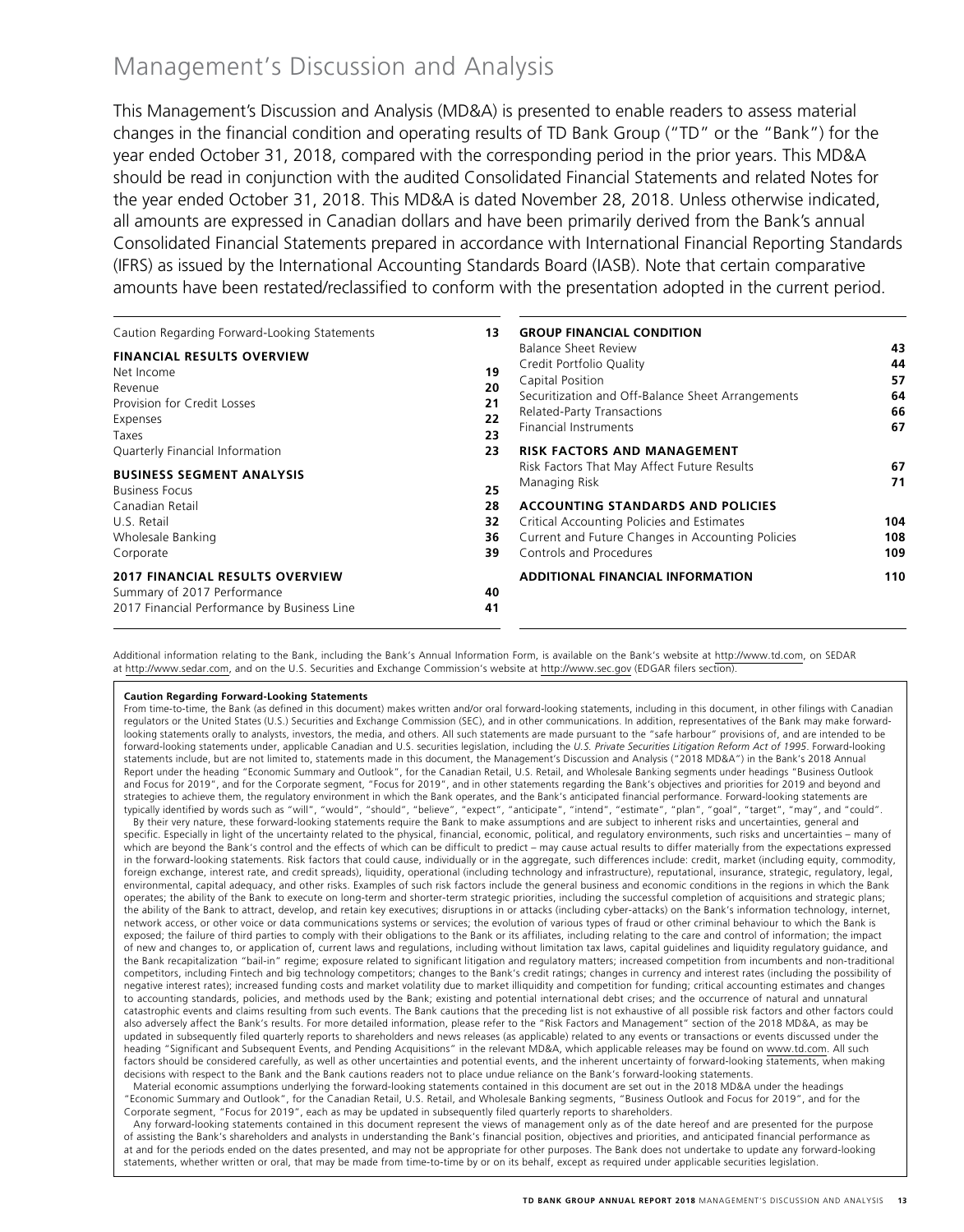# Management's Discussion and Analysis

This Management's Discussion and Analysis (MD&A) is presented to enable readers to assess material changes in the financial condition and operating results of TD Bank Group ("TD" or the "Bank") for the year ended October 31, 2018, compared with the corresponding period in the prior years. This MD&A should be read in conjunction with the audited Consolidated Financial Statements and related Notes for the year ended October 31, 2018. This MD&A is dated November 28, 2018. Unless otherwise indicated, all amounts are expressed in Canadian dollars and have been primarily derived from the Bank's annual Consolidated Financial Statements prepared in accordance with International Financial Reporting Standards (IFRS) as issued by the International Accounting Standards Board (IASB). Note that certain comparative amounts have been restated/reclassified to conform with the presentation adopted in the current period.

| Caution Regarding Forward-Looking Statements<br>13<br><b>FINANCIAL RESULTS OVERVIEW</b><br>19<br>Net Income<br>20<br>Revenue<br>21<br>Provision for Credit Losses<br>22<br>Expenses<br>23<br>Taxes | <b>GROUP FINANCIAL CONDITION</b><br>Balance Sheet Review<br>Credit Portfolio Quality<br>Capital Position<br>Securitization and Off-Balance Sheet Arrangements<br>Related-Party Transactions<br>Financial Instruments | 43<br>44<br>57<br>64<br>66<br>67 |
|----------------------------------------------------------------------------------------------------------------------------------------------------------------------------------------------------|----------------------------------------------------------------------------------------------------------------------------------------------------------------------------------------------------------------------|----------------------------------|
| 23<br>Quarterly Financial Information<br><b>BUSINESS SEGMENT ANALYSIS</b><br>25<br><b>Business Focus</b>                                                                                           | <b>RISK FACTORS AND MANAGEMENT</b><br>Risk Factors That May Affect Future Results<br>Managing Risk                                                                                                                   | 67<br>71                         |
| Canadian Retail<br>28<br>U.S. Retail<br>32<br>Wholesale Banking<br>36<br>39<br>Corporate                                                                                                           | <b>ACCOUNTING STANDARDS AND POLICIES</b><br>Critical Accounting Policies and Estimates<br>Current and Future Changes in Accounting Policies<br>Controls and Procedures                                               | 104<br>108<br>109                |
| <b>2017 FINANCIAL RESULTS OVERVIEW</b><br>Summary of 2017 Performance<br>40<br>2017 Financial Performance by Business Line<br>41                                                                   | <b>ADDITIONAL FINANCIAL INFORMATION</b>                                                                                                                                                                              | 110                              |

Additional information relating to the Bank, including the Bank's Annual Information Form, is available on the Bank's website at <http://www.td.com>, on SEDAR at <http://www.sedar.com>, and on the U.S. Securities and Exchange Commission's website at <http://www.sec.gov> (EDGAR filers section).

#### **Caution Regarding Forward-Looking Statements**

From time-to-time, the Bank (as defined in this document) makes written and/or oral forward-looking statements, including in this document, in other filings with Canadian regulators or the United States (U.S.) Securities and Exchange Commission (SEC), and in other communications. In addition, representatives of the Bank may make forwardlooking statements orally to analysts, investors, the media, and others. All such statements are made pursuant to the "safe harbour" provisions of, and are intended to be forward-looking statements under, applicable Canadian and U.S. securities legislation, including the *U.S. Private Securities Litigation Reform Act of 1995*. Forward-looking statements include, but are not limited to, statements made in this document, the Management's Discussion and Analysis ("2018 MD&A") in the Bank's 2018 Annual Report under the heading "Economic Summary and Outlook", for the Canadian Retail, U.S. Retail, and Wholesale Banking segments under headings "Business Outlook and Focus for 2019", and for the Corporate segment, "Focus for 2019", and in other statements regarding the Bank's objectives and priorities for 2019 and beyond and strategies to achieve them, the regulatory environment in which the Bank operates, and the Bank's anticipated financial performance. Forward-looking statements are typically identified by words such as "will", "would", "should", "believe", "expect", "anticipate", "intend", "estimate", "plan", "goal", "target", "may", and "could". By their very nature, these forward-looking statements require the Bank to make assumptions and are subject to inherent risks and uncertainties, general and specific. Especially in light of the uncertainty related to the physical, financial, economic, political, and regulatory environments, such risks and uncertainties – many of which are beyond the Bank's control and the effects of which can be difficult to predict – may cause actual results to differ materially from the expectations expressed in the forward-looking statements. Risk factors that could cause, individually or in the aggregate, such differences include: credit, market (including equity, commodity, foreign exchange, interest rate, and credit spreads), liquidity, operational (including technology and infrastructure), reputational, insurance, strategic, regulatory, legal, environmental, capital adequacy, and other risks. Examples of such risk factors include the general business and economic conditions in the regions in which the Bank operates; the ability of the Bank to execute on long-term and shorter-term strategic priorities, including the successful completion of acquisitions and strategic plans; the ability of the Bank to attract, develop, and retain key executives; disruptions in or attacks (including cyber-attacks) on the Bank's information technology, internet, network access, or other voice or data communications systems or services; the evolution of various types of fraud or other criminal behaviour to which the Bank is exposed; the failure of third parties to comply with their obligations to the Bank or its affiliates, including relating to the care and control of information; the impact of new and changes to, or application of, current laws and regulations, including without limitation tax laws, capital guidelines and liquidity regulatory guidance, and the Bank recapitalization "bail-in" regime; exposure related to significant litigation and regulatory matters; increased competition from incumbents and non-traditional competitors, including Fintech and big technology competitors; changes to the Bank's credit ratings; changes in currency and interest rates (including the possibility of negative interest rates); increased funding costs and market volatility due to market illiquidity and competition for funding; critical accounting estimates and changes to accounting standards, policies, and methods used by the Bank; existing and potential international debt crises; and the occurrence of natural and unnatural catastrophic events and claims resulting from such events. The Bank cautions that the preceding list is not exhaustive of all possible risk factors and other factors could also adversely affect the Bank's results. For more detailed information, please refer to the "Risk Factors and Management" section of the 2018 MD&A, as may be updated in subsequently filed quarterly reports to shareholders and news releases (as applicable) related to any events or transactions or events discussed under the heading "Significant and Subsequent Events, and Pending Acquisitions" in the relevant MD&A, which applicable releases may be found on [www.td.com](http://www.td.com). All such factors should be considered carefully, as well as other uncertainties and potential events, and the inherent uncertainty of forward-looking statements, when making decisions with respect to the Bank and the Bank cautions readers not to place undue reliance on the Bank's forward-looking statements.

Material economic assumptions underlying the forward-looking statements contained in this document are set out in the 2018 MD&A under the headings "Economic Summary and Outlook", for the Canadian Retail, U.S. Retail, and Wholesale Banking segments, "Business Outlook and Focus for 2019", and for the Corporate segment, "Focus for 2019", each as may be updated in subsequently filed quarterly reports to shareholders.

Any forward-looking statements contained in this document represent the views of management only as of the date hereof and are presented for the purpose of assisting the Bank's shareholders and analysts in understanding the Bank's financial position, objectives and priorities, and anticipated financial performance as at and for the periods ended on the dates presented, and may not be appropriate for other purposes. The Bank does not undertake to update any forward-looking statements, whether written or oral, that may be made from time-to-time by or on its behalf, except as required under applicable securities legislation.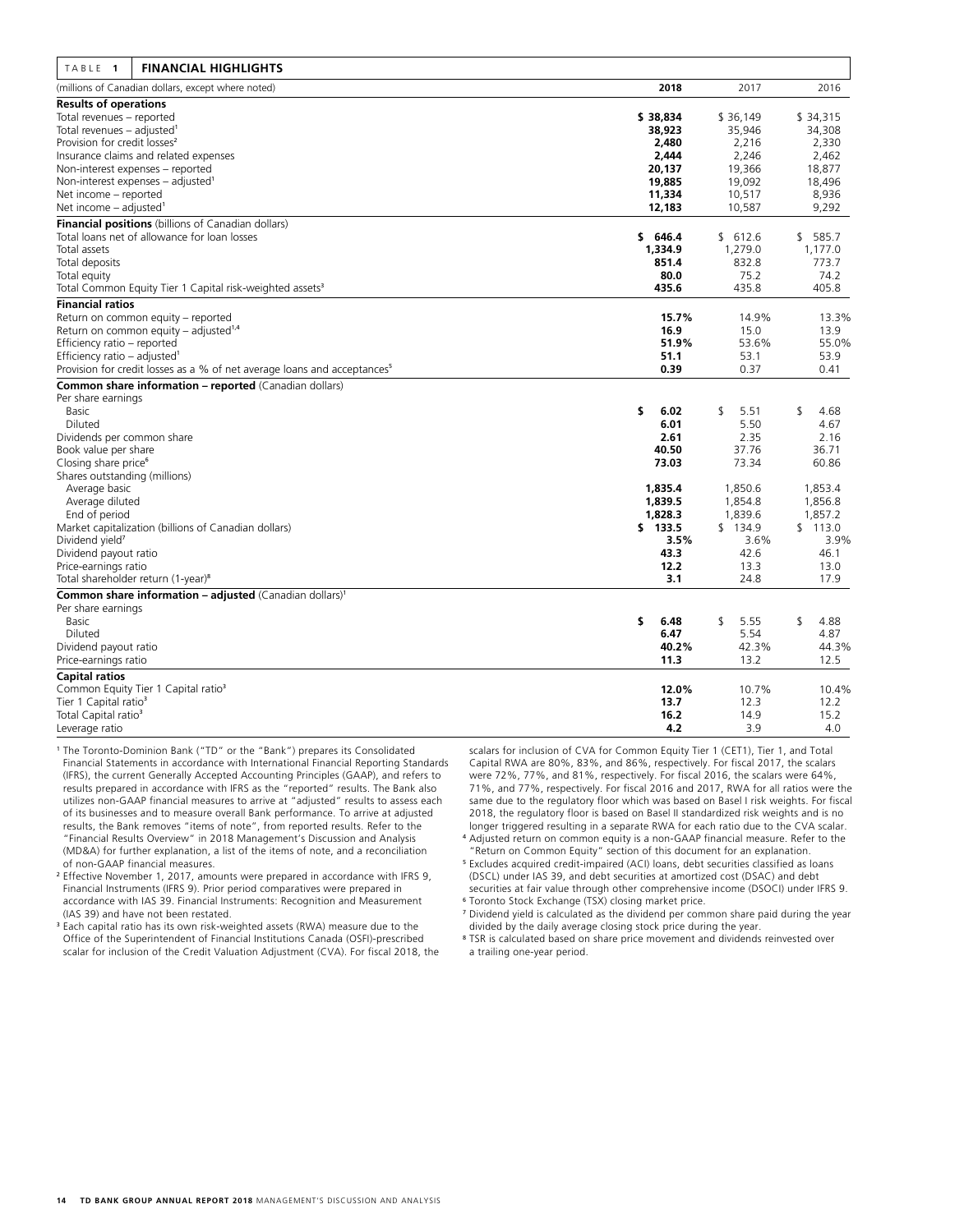| TABLE 1<br><b>FINANCIAL HIGHLIGHTS</b>                                               |            |            |            |
|--------------------------------------------------------------------------------------|------------|------------|------------|
| (millions of Canadian dollars, except where noted)                                   | 2018       | 2017       | 2016       |
| <b>Results of operations</b>                                                         |            |            |            |
| Total revenues - reported                                                            | \$38,834   | \$36,149   | \$34,315   |
| Total revenues - adjusted <sup>1</sup>                                               | 38,923     | 35,946     | 34,308     |
| Provision for credit losses <sup>2</sup>                                             | 2,480      | 2,216      | 2,330      |
| Insurance claims and related expenses                                                | 2,444      | 2,246      | 2,462      |
| Non-interest expenses - reported                                                     | 20,137     | 19,366     | 18,877     |
| Non-interest expenses - adjusted <sup>1</sup>                                        | 19,885     | 19,092     | 18,496     |
| Net income - reported                                                                | 11,334     | 10,517     | 8,936      |
| Net income - adjusted <sup>1</sup>                                                   | 12,183     | 10,587     | 9,292      |
| Financial positions (billions of Canadian dollars)                                   |            |            |            |
| Total loans net of allowance for loan losses                                         | \$646.4    | \$612.6    | \$585.7    |
| Total assets                                                                         | 1,334.9    | 1,279.0    | 1,177.0    |
| Total deposits                                                                       | 851.4      | 832.8      | 773.7      |
| Total equity                                                                         | 80.0       | 75.2       | 74.2       |
| Total Common Equity Tier 1 Capital risk-weighted assets <sup>3</sup>                 | 435.6      | 435.8      | 405.8      |
| <b>Financial ratios</b>                                                              |            |            |            |
| Return on common equity - reported                                                   | 15.7%      | 14.9%      | 13.3%      |
| Return on common equity – adjusted <sup>1,4</sup>                                    | 16.9       | 15.0       | 13.9       |
| Efficiency ratio - reported                                                          | 51.9%      | 53.6%      | 55.0%      |
| Efficiency ratio - adjusted <sup>1</sup>                                             | 51.1       | 53.1       | 53.9       |
| Provision for credit losses as a % of net average loans and acceptances <sup>5</sup> | 0.39       | 0.37       | 0.41       |
| <b>Common share information - reported</b> (Canadian dollars)                        |            |            |            |
| Per share earnings                                                                   |            |            |            |
| Basic                                                                                | \$<br>6.02 | \$<br>5.51 | \$<br>4.68 |
| Diluted                                                                              | 6.01       | 5.50       | 4.67       |
| Dividends per common share                                                           | 2.61       | 2.35       | 2.16       |
| Book value per share                                                                 | 40.50      | 37.76      | 36.71      |
| Closing share price <sup>6</sup>                                                     | 73.03      | 73.34      | 60.86      |
| Shares outstanding (millions)                                                        |            |            |            |
| Average basic                                                                        | 1,835.4    | 1,850.6    | 1,853.4    |
| Average diluted                                                                      | 1,839.5    | 1,854.8    | 1,856.8    |
| End of period                                                                        | 1,828.3    | 1,839.6    | 1,857.2    |
| Market capitalization (billions of Canadian dollars)                                 | 133.5<br>s | \$134.9    | \$113.0    |
| Dividend yield <sup>7</sup>                                                          | 3.5%       | 3.6%       | 3.9%       |
| Dividend payout ratio                                                                | 43.3       | 42.6       | 46.1       |
| Price-earnings ratio                                                                 | 12.2       | 13.3       | 13.0       |
| Total shareholder return (1-year) <sup>8</sup>                                       | 3.1        | 24.8       | 17.9       |
| Common share information - adjusted (Canadian dollars) <sup>1</sup>                  |            |            |            |
| Per share earnings                                                                   |            |            |            |
| Basic                                                                                | \$<br>6.48 | \$<br>5.55 | \$<br>4.88 |
| Diluted                                                                              | 6.47       | 5.54       | 4.87       |
| Dividend payout ratio                                                                | 40.2%      | 42.3%      | 44.3%      |
| Price-earnings ratio                                                                 | 11.3       | 13.2       | 12.5       |
| <b>Capital ratios</b>                                                                |            |            |            |
| Common Equity Tier 1 Capital ratio <sup>3</sup>                                      | 12.0%      | 10.7%      | 10.4%      |
| Tier 1 Capital ratio <sup>3</sup>                                                    | 13.7       | 12.3       | 12.2       |
| Total Capital ratio <sup>3</sup>                                                     | 16.2       | 14.9       | 15.2       |
| Leverage ratio                                                                       | 4.2        | 3.9        | 4.0        |

<sup>1</sup> The Toronto-Dominion Bank ("TD" or the "Bank") prepares its Consolidated Financial Statements in accordance with International Financial Reporting Standards (IFRS), the current Generally Accepted Accounting Principles (GAAP), and refers to results prepared in accordance with IFRS as the "reported" results. The Bank also utilizes non-GAAP financial measures to arrive at "adjusted" results to assess each of its businesses and to measure overall Bank performance. To arrive at adjusted results, the Bank removes "items of note", from reported results. Refer to the "Financial Results Overview" in 2018 Management's Discussion and Analysis (MD&A) for further explanation, a list of the items of note, and a reconciliation of non-GAAP financial measures.

<sup>2</sup> Effective November 1, 2017, amounts were prepared in accordance with IFRS 9, Financial Instruments (IFRS 9). Prior period comparatives were prepared in accordance with IAS 39. Financial Instruments: Recognition and Measurement (IAS 39) and have not been restated.

<sup>3</sup> Each capital ratio has its own risk-weighted assets (RWA) measure due to the Office of the Superintendent of Financial Institutions Canada (OSFI)-prescribed scalar for inclusion of the Credit Valuation Adjustment (CVA). For fiscal 2018, the

scalars for inclusion of CVA for Common Equity Tier 1 (CET1), Tier 1, and Total Capital RWA are 80%, 83%, and 86%, respectively. For fiscal 2017, the scalars were 72%, 77%, and 81%, respectively. For fiscal 2016, the scalars were 64%, 71%, and 77%, respectively. For fiscal 2016 and 2017, RWA for all ratios were the same due to the regulatory floor which was based on Basel I risk weights. For fiscal 2018, the regulatory floor is based on Basel II standardized risk weights and is no longer triggered resulting in a separate RWA for each ratio due to the CVA scalar. <sup>4</sup> Adjusted return on common equity is a non-GAAP financial measure. Refer to the

"Return on Common Equity" section of this document for an explanation.

<sup>5</sup> Excludes acquired credit-impaired (ACI) loans, debt securities classified as loans (DSCL) under IAS 39, and debt securities at amortized cost (DSAC) and debt securities at fair value through other comprehensive income (DSOCI) under IFRS 9. <sup>6</sup> Toronto Stock Exchange (TSX) closing market price.

<sup>7</sup> Dividend yield is calculated as the dividend per common share paid during the year divided by the daily average closing stock price during the year.

8 TSR is calculated based on share price movement and dividends reinvested over a trailing one-year period.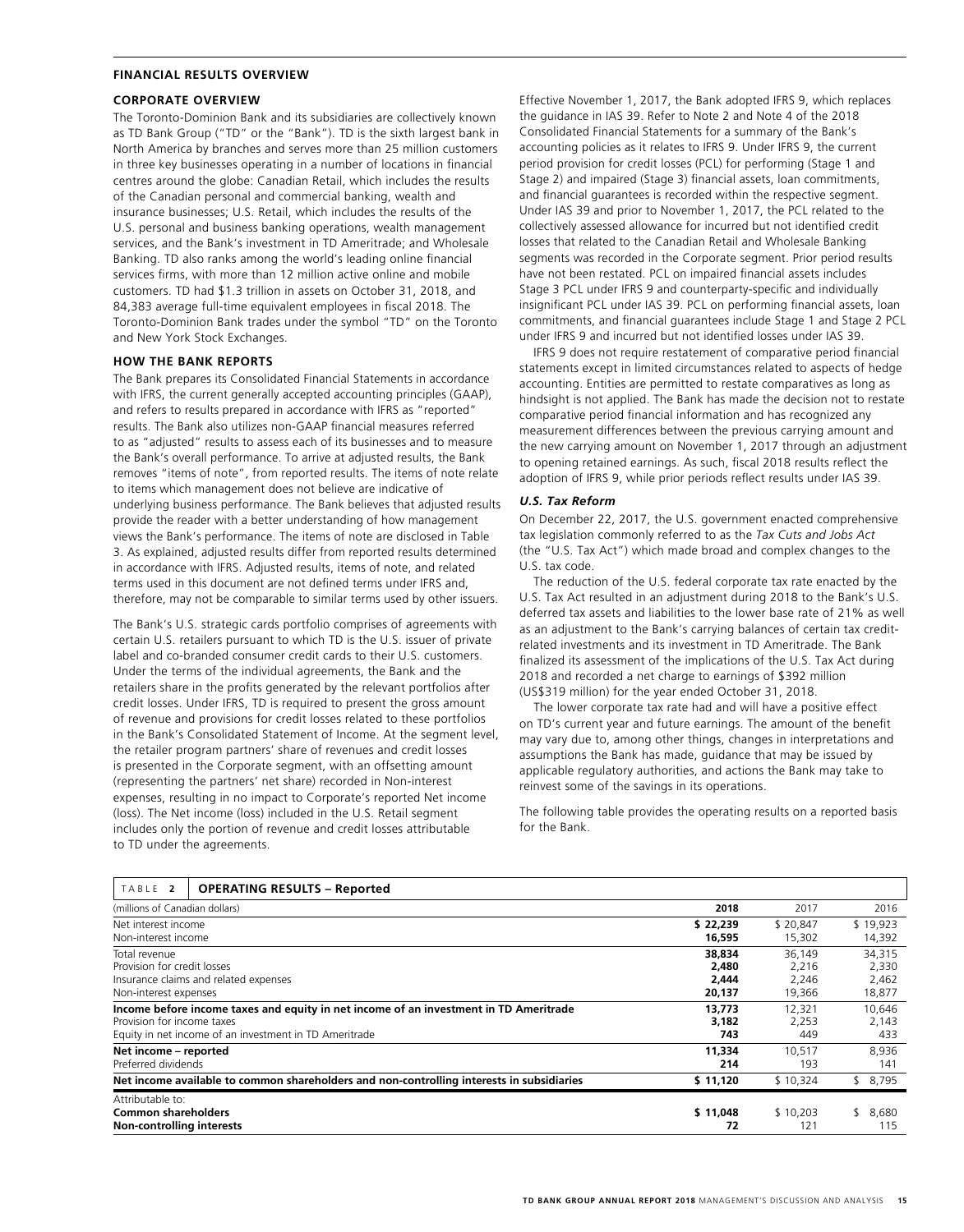#### **FINANCIAL RESULTS OVERVIEW**

#### **CORPORATE OVERVIEW**

The Toronto-Dominion Bank and its subsidiaries are collectively known as TD Bank Group ("TD" or the "Bank"). TD is the sixth largest bank in North America by branches and serves more than 25 million customers in three key businesses operating in a number of locations in financial centres around the globe: Canadian Retail, which includes the results of the Canadian personal and commercial banking, wealth and insurance businesses; U.S. Retail, which includes the results of the U.S. personal and business banking operations, wealth management services, and the Bank's investment in TD Ameritrade; and Wholesale Banking. TD also ranks among the world's leading online financial services firms, with more than 12 million active online and mobile customers. TD had \$1.3 trillion in assets on October 31, 2018, and 84,383 average full-time equivalent employees in fiscal 2018. The Toronto-Dominion Bank trades under the symbol "TD" on the Toronto and New York Stock Exchanges.

#### **HOW THE BANK REPORTS**

The Bank prepares its Consolidated Financial Statements in accordance with IFRS, the current generally accepted accounting principles (GAAP), and refers to results prepared in accordance with IFRS as "reported" results. The Bank also utilizes non-GAAP financial measures referred to as "adjusted" results to assess each of its businesses and to measure the Bank's overall performance. To arrive at adjusted results, the Bank removes "items of note", from reported results. The items of note relate to items which management does not believe are indicative of underlying business performance. The Bank believes that adjusted results provide the reader with a better understanding of how management views the Bank's performance. The items of note are disclosed in Table 3. As explained, adjusted results differ from reported results determined in accordance with IFRS. Adjusted results, items of note, and related terms used in this document are not defined terms under IFRS and, therefore, may not be comparable to similar terms used by other issuers.

The Bank's U.S. strategic cards portfolio comprises of agreements with certain U.S. retailers pursuant to which TD is the U.S. issuer of private label and co-branded consumer credit cards to their U.S. customers. Under the terms of the individual agreements, the Bank and the retailers share in the profits generated by the relevant portfolios after credit losses. Under IFRS, TD is required to present the gross amount of revenue and provisions for credit losses related to these portfolios in the Bank's Consolidated Statement of Income. At the segment level, the retailer program partners' share of revenues and credit losses is presented in the Corporate segment, with an offsetting amount (representing the partners' net share) recorded in Non-interest expenses, resulting in no impact to Corporate's reported Net income (loss). The Net income (loss) included in the U.S. Retail segment includes only the portion of revenue and credit losses attributable to TD under the agreements.

Effective November 1, 2017, the Bank adopted IFRS 9, which replaces the guidance in IAS 39. Refer to Note 2 and Note 4 of the 2018 Consolidated Financial Statements for a summary of the Bank's accounting policies as it relates to IFRS 9. Under IFRS 9, the current period provision for credit losses (PCL) for performing (Stage 1 and Stage 2) and impaired (Stage 3) financial assets, loan commitments, and financial guarantees is recorded within the respective segment. Under IAS 39 and prior to November 1, 2017, the PCL related to the collectively assessed allowance for incurred but not identified credit losses that related to the Canadian Retail and Wholesale Banking segments was recorded in the Corporate segment. Prior period results have not been restated. PCL on impaired financial assets includes Stage 3 PCL under IFRS 9 and counterparty-specific and individually insignificant PCL under IAS 39. PCL on performing financial assets, loan commitments, and financial guarantees include Stage 1 and Stage 2 PCL under IFRS 9 and incurred but not identified losses under IAS 39.

IFRS 9 does not require restatement of comparative period financial statements except in limited circumstances related to aspects of hedge accounting. Entities are permitted to restate comparatives as long as hindsight is not applied. The Bank has made the decision not to restate comparative period financial information and has recognized any measurement differences between the previous carrying amount and the new carrying amount on November 1, 2017 through an adjustment to opening retained earnings. As such, fiscal 2018 results reflect the adoption of IFRS 9, while prior periods reflect results under IAS 39.

#### *U.S. Tax Reform*

On December 22, 2017, the U.S. government enacted comprehensive tax legislation commonly referred to as the *Tax Cuts and Jobs Act* (the "U.S. Tax Act") which made broad and complex changes to the U.S. tax code.

The reduction of the U.S. federal corporate tax rate enacted by the U.S. Tax Act resulted in an adjustment during 2018 to the Bank's U.S. deferred tax assets and liabilities to the lower base rate of 21% as well as an adjustment to the Bank's carrying balances of certain tax creditrelated investments and its investment in TD Ameritrade. The Bank finalized its assessment of the implications of the U.S. Tax Act during 2018 and recorded a net charge to earnings of \$392 million (US\$319 million) for the year ended October 31, 2018.

The lower corporate tax rate had and will have a positive effect on TD's current year and future earnings. The amount of the benefit may vary due to, among other things, changes in interpretations and assumptions the Bank has made, guidance that may be issued by applicable regulatory authorities, and actions the Bank may take to reinvest some of the savings in its operations.

The following table provides the operating results on a reported basis for the Bank.

| TABLE 2                                    | <b>OPERATING RESULTS - Reported</b>                                                       |                    |                    |                    |
|--------------------------------------------|-------------------------------------------------------------------------------------------|--------------------|--------------------|--------------------|
| (millions of Canadian dollars)             |                                                                                           | 2018               | 2017               | 2016               |
| Net interest income<br>Non-interest income |                                                                                           | \$22,239<br>16,595 | \$20.847<br>15,302 | \$19,923<br>14,392 |
| Total revenue                              |                                                                                           | 38,834             | 36.149             | 34,315             |
| Provision for credit losses                |                                                                                           | 2,480              | 2,216              | 2,330              |
|                                            | Insurance claims and related expenses                                                     | 2,444              | 2,246              | 2,462              |
| Non-interest expenses                      |                                                                                           | 20,137             | 19,366             | 18,877             |
|                                            | Income before income taxes and equity in net income of an investment in TD Ameritrade     | 13,773             | 12,321             | 10,646             |
| Provision for income taxes                 |                                                                                           | 3,182              | 2,253              | 2,143              |
|                                            | Equity in net income of an investment in TD Ameritrade                                    | 743                | 449                | 433                |
| Net income - reported                      |                                                                                           | 11,334             | 10,517             | 8,936              |
| Preferred dividends                        |                                                                                           | 214                | 193                | 141                |
|                                            | Net income available to common shareholders and non-controlling interests in subsidiaries | \$11,120           | \$10,324           | 8,795<br>\$        |
| Attributable to:                           |                                                                                           |                    |                    |                    |
| <b>Common shareholders</b>                 |                                                                                           | \$11,048           | \$10.203           | 8,680<br>\$        |
|                                            | Non-controlling interests                                                                 |                    | 121                | 115                |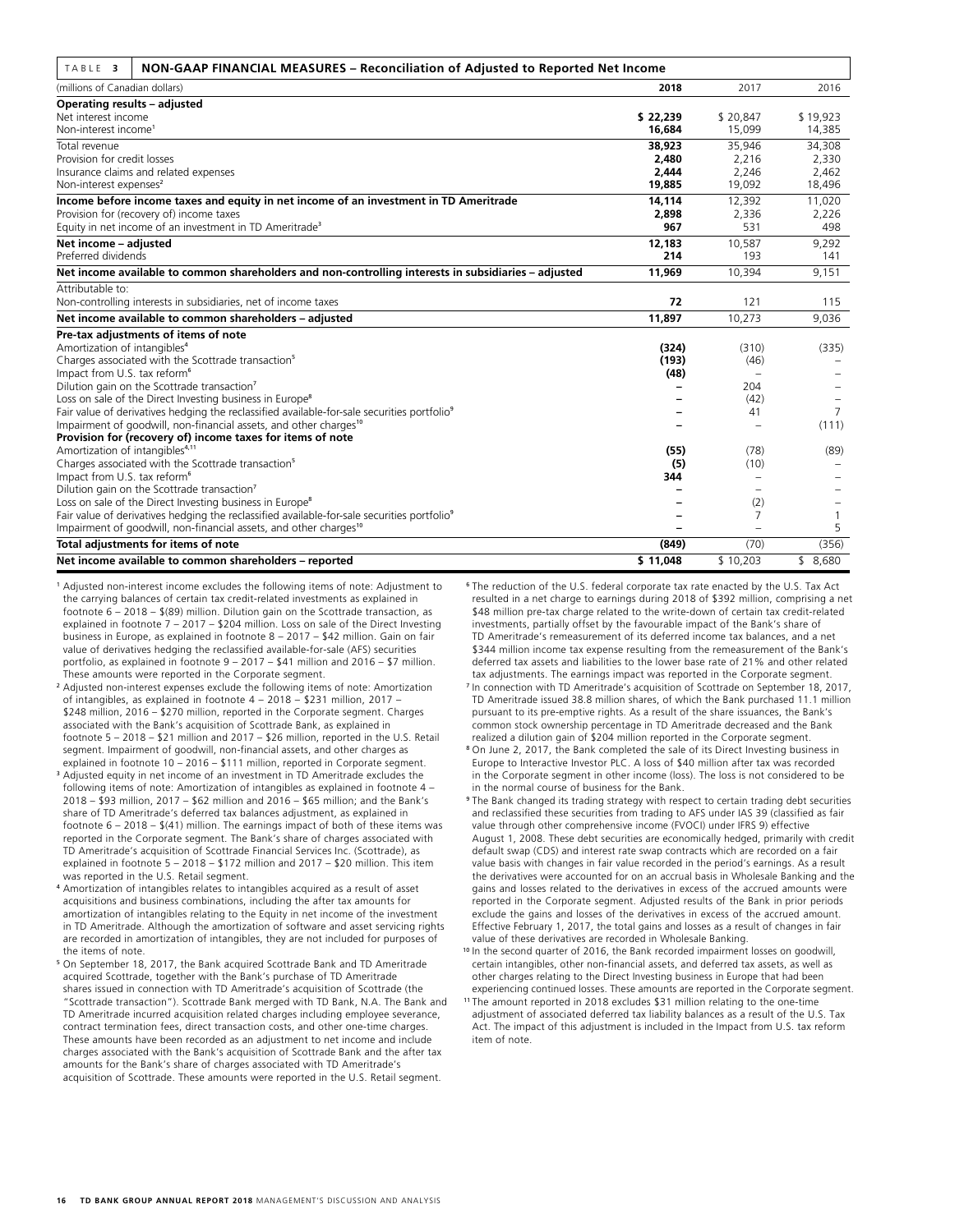| TABLE 3                                     | NON-GAAP FINANCIAL MEASURES - Reconciliation of Adjusted to Reported Net Income                         |          |                          |                |
|---------------------------------------------|---------------------------------------------------------------------------------------------------------|----------|--------------------------|----------------|
| (millions of Canadian dollars)              |                                                                                                         | 2018     | 2017                     | 2016           |
| <b>Operating results - adjusted</b>         |                                                                                                         |          |                          |                |
| Net interest income                         |                                                                                                         | \$22,239 | \$20,847                 | \$19,923       |
| Non-interest income <sup>1</sup>            |                                                                                                         | 16,684   | 15,099                   | 14,385         |
| Total revenue                               |                                                                                                         | 38,923   | 35,946                   | 34,308         |
| Provision for credit losses                 |                                                                                                         | 2,480    | 2,216                    | 2,330          |
| Insurance claims and related expenses       |                                                                                                         | 2.444    | 2,246                    | 2,462          |
|                                             | Non-interest expenses <sup>2</sup>                                                                      |          | 19,092                   | 18,496         |
|                                             | Income before income taxes and equity in net income of an investment in TD Ameritrade                   | 14,114   | 12,392                   | 11,020         |
|                                             | Provision for (recovery of) income taxes                                                                | 2,898    | 2,336                    | 2,226          |
|                                             | Equity in net income of an investment in TD Ameritrade <sup>3</sup>                                     | 967      | 531                      | 498            |
| Net income - adjusted                       |                                                                                                         | 12,183   | 10,587                   | 9,292          |
| Preferred dividends                         |                                                                                                         | 214      | 193                      | 141            |
|                                             | Net income available to common shareholders and non-controlling interests in subsidiaries - adjusted    | 11,969   | 10.394                   | 9,151          |
| Attributable to:                            |                                                                                                         |          |                          |                |
|                                             | Non-controlling interests in subsidiaries, net of income taxes                                          | 72       | 121                      | 115            |
|                                             | Net income available to common shareholders - adjusted                                                  | 11,897   | 10,273                   | 9,036          |
|                                             | Pre-tax adjustments of items of note                                                                    |          |                          |                |
| Amortization of intangibles <sup>4</sup>    |                                                                                                         | (324)    | (310)                    | (335)          |
|                                             | Charges associated with the Scottrade transaction <sup>5</sup>                                          | (193)    | (46)                     |                |
| Impact from U.S. tax reform <sup>6</sup>    |                                                                                                         | (48)     | $\overline{\phantom{a}}$ |                |
|                                             | Dilution gain on the Scottrade transaction <sup>7</sup>                                                 |          | 204                      |                |
|                                             | Loss on sale of the Direct Investing business in Europe <sup>8</sup>                                    |          | (42)                     |                |
|                                             | Fair value of derivatives hedging the reclassified available-for-sale securities portfolio <sup>9</sup> |          | 41                       | $\overline{7}$ |
|                                             | Impairment of goodwill, non-financial assets, and other charges <sup>10</sup>                           |          |                          | (111)          |
|                                             | Provision for (recovery of) income taxes for items of note                                              |          |                          |                |
| Amortization of intangibles <sup>4,11</sup> |                                                                                                         | (55)     | (78)                     | (89)           |
|                                             | Charges associated with the Scottrade transaction <sup>5</sup>                                          | (5)      | (10)                     |                |
| Impact from U.S. tax reform <sup>6</sup>    |                                                                                                         | 344      | $\overline{\phantom{0}}$ |                |
|                                             | Dilution gain on the Scottrade transaction <sup>7</sup>                                                 |          |                          |                |
|                                             | Loss on sale of the Direct Investing business in Europe <sup>8</sup>                                    |          | (2)                      |                |
|                                             | Fair value of derivatives hedging the reclassified available-for-sale securities portfolio <sup>9</sup> |          | $\overline{7}$           |                |
|                                             | Impairment of goodwill, non-financial assets, and other charges <sup>10</sup>                           |          |                          | 5              |
|                                             | Total adjustments for items of note                                                                     | (849)    | (70)                     | (356)          |
|                                             | Net income available to common shareholders - reported                                                  | \$11,048 | \$10,203                 | \$8,680        |

<sup>1</sup> Adjusted non-interest income excludes the following items of note: Adjustment to the carrying balances of certain tax credit-related investments as explained in footnote 6 – 2018 – \$(89) million. Dilution gain on the Scottrade transaction, as explained in footnote 7 – 2017 – \$204 million. Loss on sale of the Direct Investing business in Europe, as explained in footnote 8 – 2017 – \$42 million. Gain on fair value of derivatives hedging the reclassified available-for-sale (AFS) securities portfolio, as explained in footnote 9 – 2017 – \$41 million and 2016 – \$7 million. These amounts were reported in the Corporate segment.

- <sup>2</sup> Adjusted non-interest expenses exclude the following items of note: Amortization of intangibles, as explained in footnote 4 – 2018 – \$231 million, 2017 – \$248 million, 2016 – \$270 million, reported in the Corporate segment. Charges associated with the Bank's acquisition of Scottrade Bank, as explained in footnote 5 – 2018 – \$21 million and 2017 – \$26 million, reported in the U.S. Retail segment. Impairment of goodwill, non-financial assets, and other charges as explained in footnote 10 – 2016 – \$111 million, reported in Corporate segment.
- <sup>3</sup> Adjusted equity in net income of an investment in TD Ameritrade excludes the following items of note: Amortization of intangibles as explained in footnote 4 – 2018 – \$93 million, 2017 – \$62 million and 2016 – \$65 million; and the Bank's share of TD Ameritrade's deferred tax balances adjustment, as explained in footnote  $6 - 2018 - \frac{6}{41}$  million. The earnings impact of both of these items was reported in the Corporate segment. The Bank's share of charges associated with TD Ameritrade's acquisition of Scottrade Financial Services Inc. (Scottrade), as explained in footnote 5 – 2018 – \$172 million and 2017 – \$20 million. This item was reported in the U.S. Retail segment.
- <sup>4</sup> Amortization of intangibles relates to intangibles acquired as a result of asset acquisitions and business combinations, including the after tax amounts for amortization of intangibles relating to the Equity in net income of the investment in TD Ameritrade. Although the amortization of software and asset servicing rights are recorded in amortization of intangibles, they are not included for purposes of the items of note.
- <sup>5</sup> On September 18, 2017, the Bank acquired Scottrade Bank and TD Ameritrade acquired Scottrade, together with the Bank's purchase of TD Ameritrade shares issued in connection with TD Ameritrade's acquisition of Scottrade (the "Scottrade transaction"). Scottrade Bank merged with TD Bank, N.A. The Bank and TD Ameritrade incurred acquisition related charges including employee severance, contract termination fees, direct transaction costs, and other one-time charges. These amounts have been recorded as an adjustment to net income and include charges associated with the Bank's acquisition of Scottrade Bank and the after tax amounts for the Bank's share of charges associated with TD Ameritrade's acquisition of Scottrade. These amounts were reported in the U.S. Retail segment.

<sup>6</sup> The reduction of the U.S. federal corporate tax rate enacted by the U.S. Tax Act resulted in a net charge to earnings during 2018 of \$392 million, comprising a net \$48 million pre-tax charge related to the write-down of certain tax credit-related investments, partially offset by the favourable impact of the Bank's share of TD Ameritrade's remeasurement of its deferred income tax balances, and a net \$344 million income tax expense resulting from the remeasurement of the Bank's deferred tax assets and liabilities to the lower base rate of 21% and other related tax adjustments. The earnings impact was reported in the Corporate segment.

- <sup>7</sup> In connection with TD Ameritrade's acquisition of Scottrade on September 18, 2017, TD Ameritrade issued 38.8 million shares, of which the Bank purchased 11.1 million pursuant to its pre-emptive rights. As a result of the share issuances, the Bank's common stock ownership percentage in TD Ameritrade decreased and the Bank realized a dilution gain of \$204 million reported in the Corporate segment.
- <sup>8</sup> On June 2, 2017, the Bank completed the sale of its Direct Investing business in Europe to Interactive Investor PLC. A loss of \$40 million after tax was recorded in the Corporate segment in other income (loss). The loss is not considered to be in the normal course of business for the Bank.
- <sup>9</sup> The Bank changed its trading strategy with respect to certain trading debt securities and reclassified these securities from trading to AFS under IAS 39 (classified as fair value through other comprehensive income (FVOCI) under IFRS 9) effective August 1, 2008. These debt securities are economically hedged, primarily with credit default swap (CDS) and interest rate swap contracts which are recorded on a fair value basis with changes in fair value recorded in the period's earnings. As a result the derivatives were accounted for on an accrual basis in Wholesale Banking and the gains and losses related to the derivatives in excess of the accrued amounts were reported in the Corporate segment. Adjusted results of the Bank in prior periods exclude the gains and losses of the derivatives in excess of the accrued amount. Effective February 1, 2017, the total gains and losses as a result of changes in fair value of these derivatives are recorded in Wholesale Banking.
- <sup>10</sup> In the second quarter of 2016, the Bank recorded impairment losses on goodwill, certain intangibles, other non-financial assets, and deferred tax assets, as well as other charges relating to the Direct Investing business in Europe that had been experiencing continued losses. These amounts are reported in the Corporate segment.
- <sup>11</sup> The amount reported in 2018 excludes \$31 million relating to the one-time adjustment of associated deferred tax liability balances as a result of the U.S. Tax Act. The impact of this adjustment is included in the Impact from U.S. tax reform item of note.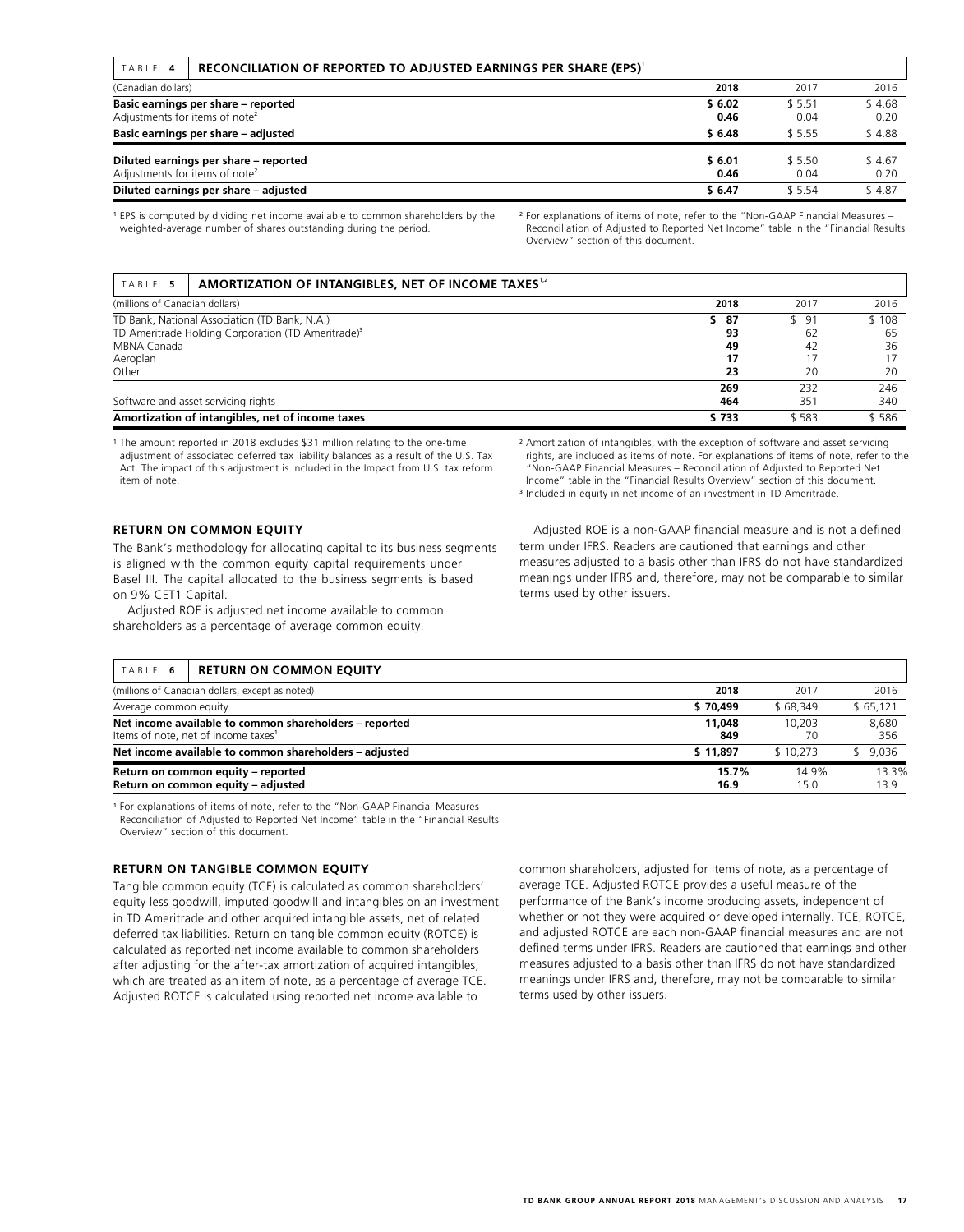| TABLE 4                                    | <b>RECONCILIATION OF REPORTED TO ADJUSTED EARNINGS PER SHARE (EPS)</b> |                |                |                |
|--------------------------------------------|------------------------------------------------------------------------|----------------|----------------|----------------|
| (Canadian dollars)                         |                                                                        | 2018           | 2017           | 2016           |
| Adjustments for items of note <sup>2</sup> | Basic earnings per share - reported                                    | \$6.02<br>0.46 | \$5.51<br>0.04 | \$4.68<br>0.20 |
|                                            | Basic earnings per share - adjusted                                    | \$6.48         | \$5.55         | \$4.88         |
| Adjustments for items of note <sup>2</sup> | Diluted earnings per share - reported                                  | \$6.01<br>0.46 | \$5.50<br>0.04 | \$4.67<br>0.20 |
|                                            | Diluted earnings per share - adjusted                                  | \$6.47         | \$5.54         | \$4.87         |

<sup>1</sup> EPS is computed by dividing net income available to common shareholders by the weighted-average number of shares outstanding during the period.

<sup>2</sup> For explanations of items of note, refer to the "Non-GAAP Financial Measures – Reconciliation of Adjusted to Reported Net Income" table in the "Financial Results Overview" section of this document.

| TABLE 5                        | AMORTIZATION OF INTANGIBLES, NET OF INCOME TAXES <sup>1,2</sup> |              |       |
|--------------------------------|-----------------------------------------------------------------|--------------|-------|
| (millions of Canadian dollars) |                                                                 | 2018<br>2017 | 2016  |
|                                | TD Bank, National Association (TD Bank, N.A.)<br>s.             | - 87<br>\$91 | \$108 |
|                                | TD Ameritrade Holding Corporation (TD Ameritrade) <sup>3</sup>  | 93<br>-62    | 65    |
| MBNA Canada                    |                                                                 | 42<br>49     | 36    |
| Aeroplan                       |                                                                 | 17           |       |
| Other                          |                                                                 | 20<br>23     | 20    |
|                                |                                                                 | 232<br>269   | 246   |
|                                | Software and asset servicing rights                             | 351<br>464   | 340   |
|                                | Amortization of intangibles, net of income taxes<br>\$733       | \$583        | \$586 |

<sup>1</sup> The amount reported in 2018 excludes \$31 million relating to the one-time adjustment of associated deferred tax liability balances as a result of the U.S. Tax Act. The impact of this adjustment is included in the Impact from U.S. tax reform item of note.

#### **RETURN ON COMMON EQUITY**

The Bank's methodology for allocating capital to its business segments is aligned with the common equity capital requirements under Basel III. The capital allocated to the business segments is based on 9% CET1 Capital.

Adjusted ROE is adjusted net income available to common shareholders as a percentage of average common equity.

<sup>2</sup> Amortization of intangibles, with the exception of software and asset servicing rights, are included as items of note. For explanations of items of note, refer to the "Non-GAAP Financial Measures – Reconciliation of Adjusted to Reported Net Income" table in the "Financial Results Overview" section of this document. <sup>3</sup> Included in equity in net income of an investment in TD Ameritrade.

Adjusted ROE is a non-GAAP financial measure and is not a defined term under IFRS. Readers are cautioned that earnings and other measures adjusted to a basis other than IFRS do not have standardized meanings under IFRS and, therefore, may not be comparable to similar terms used by other issuers.

| TABLE 6               | <b>RETURN ON COMMON EQUITY</b>                                                                            |               |               |               |
|-----------------------|-----------------------------------------------------------------------------------------------------------|---------------|---------------|---------------|
|                       | (millions of Canadian dollars, except as noted)                                                           | 2018          | 2017          | 2016          |
| Average common equity |                                                                                                           | \$70,499      | \$68,349      | \$65,121      |
|                       | Net income available to common shareholders - reported<br>Items of note, net of income taxes <sup>1</sup> | 11,048<br>849 | 10.203<br>70  | 8,680<br>356  |
|                       | Net income available to common shareholders - adjusted                                                    | \$11,897      | \$10.273      | \$9.036       |
|                       | Return on common equity - reported<br>Return on common equity - adjusted                                  | 15.7%<br>16.9 | 14.9%<br>15.0 | 13.3%<br>13.9 |

<sup>1</sup> For explanations of items of note, refer to the "Non-GAAP Financial Measures – Reconciliation of Adjusted to Reported Net Income" table in the "Financial Results Overview" section of this document.

#### **RETURN ON TANGIBLE COMMON EQUITY**

Tangible common equity (TCE) is calculated as common shareholders' equity less goodwill, imputed goodwill and intangibles on an investment in TD Ameritrade and other acquired intangible assets, net of related deferred tax liabilities. Return on tangible common equity (ROTCE) is calculated as reported net income available to common shareholders after adjusting for the after-tax amortization of acquired intangibles, which are treated as an item of note, as a percentage of average TCE. Adjusted ROTCE is calculated using reported net income available to

common shareholders, adjusted for items of note, as a percentage of average TCE. Adjusted ROTCE provides a useful measure of the performance of the Bank's income producing assets, independent of whether or not they were acquired or developed internally. TCE, ROTCE, and adjusted ROTCE are each non-GAAP financial measures and are not defined terms under IFRS. Readers are cautioned that earnings and other measures adjusted to a basis other than IFRS do not have standardized meanings under IFRS and, therefore, may not be comparable to similar terms used by other issuers.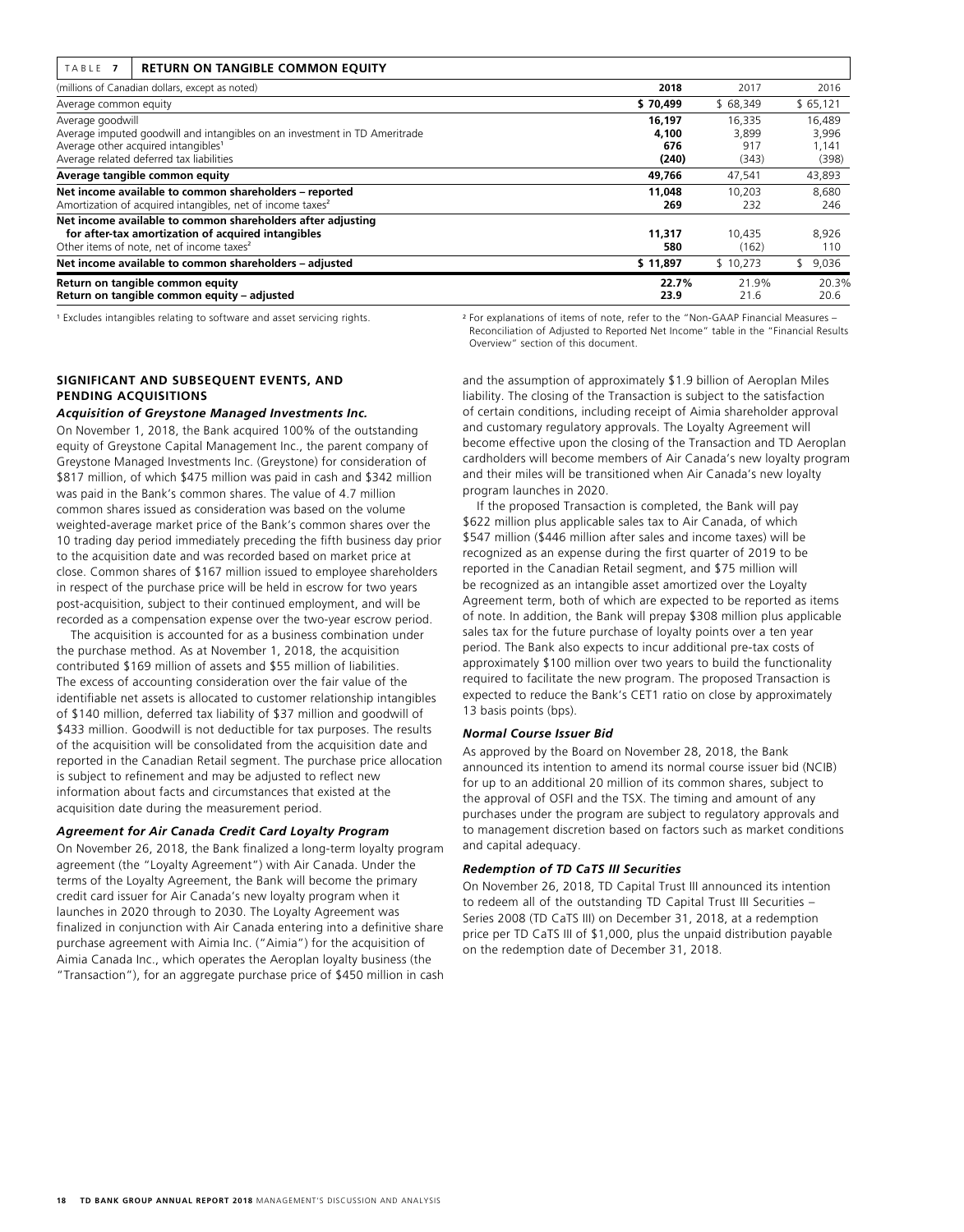| TABLE 7                                                                    | <b>RETURN ON TANGIBLE COMMON EQUITY</b>                                |          |          |          |
|----------------------------------------------------------------------------|------------------------------------------------------------------------|----------|----------|----------|
|                                                                            | (millions of Canadian dollars, except as noted)                        | 2018     | 2017     | 2016     |
| Average common equity                                                      |                                                                        | \$70.499 | \$68.349 | \$65,121 |
| Average goodwill                                                           |                                                                        | 16,197   | 16.335   | 16,489   |
| Average imputed goodwill and intangibles on an investment in TD Ameritrade |                                                                        | 4.100    | 3,899    | 3,996    |
|                                                                            | Average other acquired intangibles <sup>1</sup>                        | 676      | 917      | 1.141    |
|                                                                            | Average related deferred tax liabilities                               | (240)    | (343)    | (398)    |
|                                                                            | Average tangible common equity                                         | 49.766   | 47,541   | 43,893   |
|                                                                            | Net income available to common shareholders - reported                 | 11,048   | 10.203   | 8.680    |
|                                                                            | Amortization of acquired intangibles, net of income taxes <sup>2</sup> | 269      | 232      | 246      |
|                                                                            | Net income available to common shareholders after adjusting            |          |          |          |
|                                                                            | for after-tax amortization of acquired intangibles                     | 11,317   | 10.435   | 8,926    |
|                                                                            | Other items of note, net of income taxes <sup>2</sup>                  | 580      | (162)    | 110      |
|                                                                            | Net income available to common shareholders - adjusted                 | \$11,897 | \$10,273 | 9,036    |
|                                                                            | Return on tangible common equity                                       | 22.7%    | 21.9%    | 20.3%    |
|                                                                            | Return on tangible common equity - adjusted                            | 23.9     | 21.6     | 20.6     |

<sup>1</sup> Excludes intangibles relating to software and asset servicing rights. <sup>2</sup> For explanations of items of note, refer to the "Non-GAAP Financial Measures – Reconciliation of Adjusted to Reported Net Income" table in the "Financial Results Overview" section of this document.

#### **SIGNIFICANT AND SUBSEQUENT EVENTS, AND PENDING ACQUISITIONS**

#### *Acquisition of Greystone Managed Investments Inc.*

On November 1, 2018, the Bank acquired 100% of the outstanding equity of Greystone Capital Management Inc., the parent company of Greystone Managed Investments Inc. (Greystone) for consideration of \$817 million, of which \$475 million was paid in cash and \$342 million was paid in the Bank's common shares. The value of 4.7 million common shares issued as consideration was based on the volume weighted-average market price of the Bank's common shares over the 10 trading day period immediately preceding the fifth business day prior to the acquisition date and was recorded based on market price at close. Common shares of \$167 million issued to employee shareholders in respect of the purchase price will be held in escrow for two years post-acquisition, subject to their continued employment, and will be recorded as a compensation expense over the two-year escrow period.

The acquisition is accounted for as a business combination under the purchase method. As at November 1, 2018, the acquisition contributed \$169 million of assets and \$55 million of liabilities. The excess of accounting consideration over the fair value of the identifiable net assets is allocated to customer relationship intangibles of \$140 million, deferred tax liability of \$37 million and goodwill of \$433 million. Goodwill is not deductible for tax purposes. The results of the acquisition will be consolidated from the acquisition date and reported in the Canadian Retail segment. The purchase price allocation is subject to refinement and may be adjusted to reflect new information about facts and circumstances that existed at the acquisition date during the measurement period.

#### *Agreement for Air Canada Credit Card Loyalty Program*

On November 26, 2018, the Bank finalized a long-term loyalty program agreement (the "Loyalty Agreement") with Air Canada. Under the terms of the Loyalty Agreement, the Bank will become the primary credit card issuer for Air Canada's new loyalty program when it launches in 2020 through to 2030. The Loyalty Agreement was finalized in conjunction with Air Canada entering into a definitive share purchase agreement with Aimia Inc. ("Aimia") for the acquisition of Aimia Canada Inc., which operates the Aeroplan loyalty business (the "Transaction"), for an aggregate purchase price of \$450 million in cash and the assumption of approximately \$1.9 billion of Aeroplan Miles liability. The closing of the Transaction is subject to the satisfaction of certain conditions, including receipt of Aimia shareholder approval and customary regulatory approvals. The Loyalty Agreement will become effective upon the closing of the Transaction and TD Aeroplan cardholders will become members of Air Canada's new loyalty program and their miles will be transitioned when Air Canada's new loyalty program launches in 2020.

If the proposed Transaction is completed, the Bank will pay \$622 million plus applicable sales tax to Air Canada, of which \$547 million (\$446 million after sales and income taxes) will be recognized as an expense during the first quarter of 2019 to be reported in the Canadian Retail segment, and \$75 million will be recognized as an intangible asset amortized over the Loyalty Agreement term, both of which are expected to be reported as items of note. In addition, the Bank will prepay \$308 million plus applicable sales tax for the future purchase of loyalty points over a ten year period. The Bank also expects to incur additional pre-tax costs of approximately \$100 million over two years to build the functionality required to facilitate the new program. The proposed Transaction is expected to reduce the Bank's CET1 ratio on close by approximately 13 basis points (bps).

#### *Normal Course Issuer Bid*

As approved by the Board on November 28, 2018, the Bank announced its intention to amend its normal course issuer bid (NCIB) for up to an additional 20 million of its common shares, subject to the approval of OSFI and the TSX. The timing and amount of any purchases under the program are subject to regulatory approvals and to management discretion based on factors such as market conditions and capital adequacy.

#### *Redemption of TD CaTS III Securities*

On November 26, 2018, TD Capital Trust III announced its intention to redeem all of the outstanding TD Capital Trust III Securities – Series 2008 (TD CaTS III) on December 31, 2018, at a redemption price per TD CaTS III of \$1,000, plus the unpaid distribution payable on the redemption date of December 31, 2018.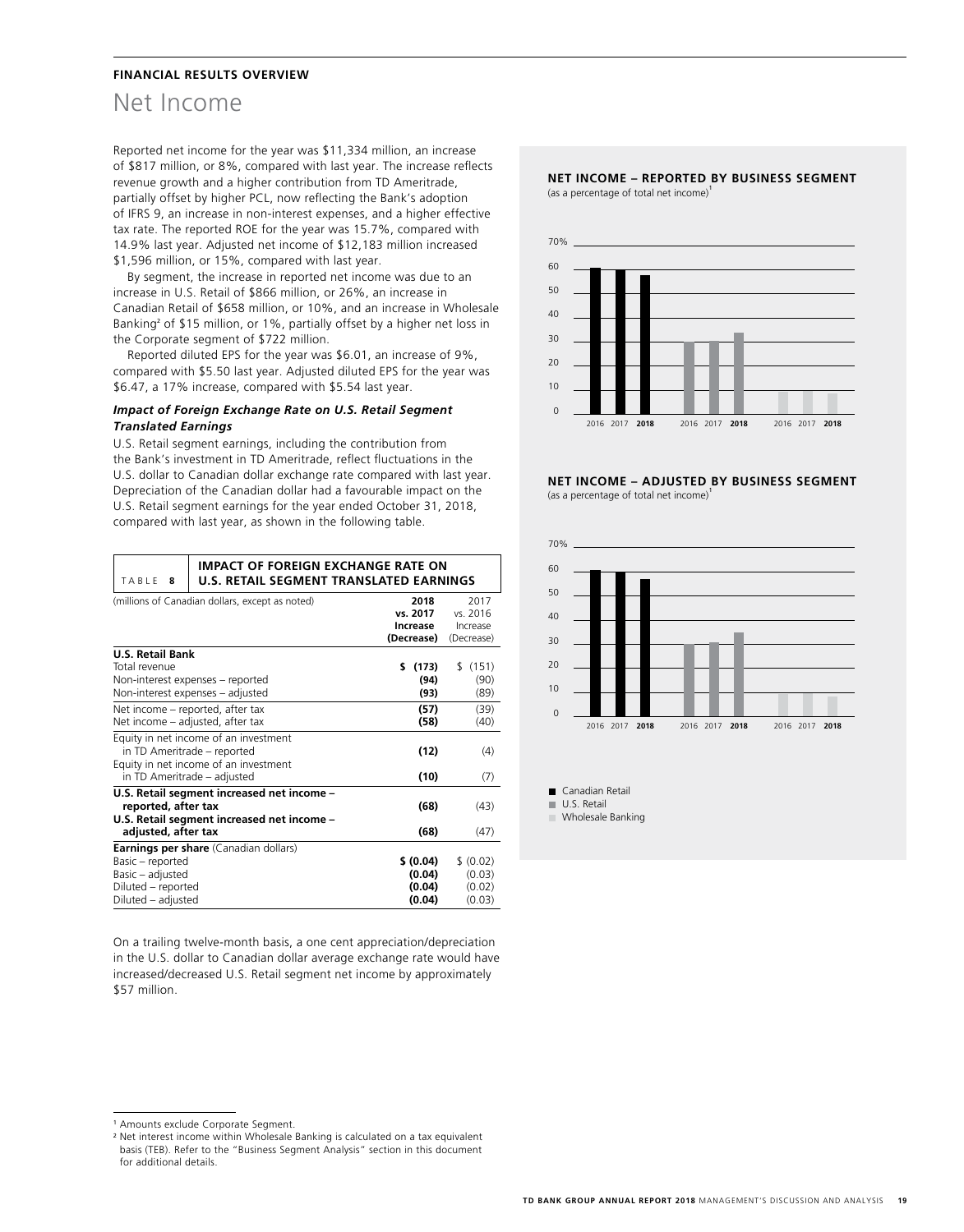#### <span id="page-6-0"></span>**FINANCIAL RESULTS OVERVIEW**

### Net Income

Reported net income for the year was \$11,334 million, an increase of \$817 million, or 8%, compared with last year. The increase reflects revenue growth and a higher contribution from TD Ameritrade, partially offset by higher PCL, now reflecting the Bank's adoption of IFRS 9, an increase in non-interest expenses, and a higher effective tax rate. The reported ROE for the year was 15.7%, compared with 14.9% last year. Adjusted net income of \$12,183 million increased \$1,596 million, or 15%, compared with last year.

By segment, the increase in reported net income was due to an increase in U.S. Retail of \$866 million, or 26%, an increase in Canadian Retail of \$658 million, or 10%, and an increase in Wholesale Banking<sup>2</sup> of \$15 million, or 1%, partially offset by a higher net loss in the Corporate segment of \$722 million.

Reported diluted EPS for the year was \$6.01, an increase of 9%, compared with \$5.50 last year. Adjusted diluted EPS for the year was \$6.47, a 17% increase, compared with \$5.54 last year.

#### *Impact of Foreign Exchange Rate on U.S. Retail Segment Translated Earnings*

U.S. Retail segment earnings, including the contribution from the Bank's investment in TD Ameritrade, reflect fluctuations in the U.S. dollar to Canadian dollar exchange rate compared with last year. Depreciation of the Canadian dollar had a favourable impact on the U.S. Retail segment earnings for the year ended October 31, 2018, compared with last year, as shown in the following table.

| <b>IMPACT OF FOREIGN EXCHANGE RATE ON</b><br><b>U.S. RETAIL SEGMENT TRANSLATED EARNINGS</b><br>TABIF<br>8 |                                              |           |           |  |  |  |  |
|-----------------------------------------------------------------------------------------------------------|----------------------------------------------|-----------|-----------|--|--|--|--|
| (millions of Canadian dollars, except as noted)<br>2018<br>vs. 2017<br>Increase<br>(Decrease)             |                                              |           |           |  |  |  |  |
| <b>U.S. Retail Bank</b>                                                                                   |                                              |           |           |  |  |  |  |
| Total revenue                                                                                             |                                              | \$ (173)  | \$(151)   |  |  |  |  |
|                                                                                                           | Non-interest expenses – reported             | (94)      | (90)      |  |  |  |  |
|                                                                                                           | Non-interest expenses - adjusted             | (93)      | (89)      |  |  |  |  |
|                                                                                                           | Net income - reported, after tax             | (57)      | (39)      |  |  |  |  |
|                                                                                                           | Net income - adjusted, after tax             | (58)      | (40)      |  |  |  |  |
|                                                                                                           | Equity in net income of an investment        |           |           |  |  |  |  |
| in TD Ameritrade - reported                                                                               |                                              | (12)      | (4)       |  |  |  |  |
|                                                                                                           | Equity in net income of an investment        |           |           |  |  |  |  |
| in TD Ameritrade - adjusted                                                                               |                                              | (10)      | (7)       |  |  |  |  |
| reported, after tax                                                                                       | U.S. Retail segment increased net income -   | (68)      | (43)      |  |  |  |  |
| adjusted, after tax                                                                                       | U.S. Retail segment increased net income -   | (68)      | (47)      |  |  |  |  |
|                                                                                                           | <b>Earnings per share</b> (Canadian dollars) |           |           |  |  |  |  |
| Basic - reported                                                                                          |                                              | \$ (0.04) | \$ (0.02) |  |  |  |  |
| Basic - adjusted                                                                                          |                                              | (0.04)    | (0.03)    |  |  |  |  |
| Diluted - reported                                                                                        |                                              | (0.04)    | (0.02)    |  |  |  |  |
| Diluted - adjusted                                                                                        |                                              | (0.04)    | (0.03)    |  |  |  |  |

On a trailing twelve-month basis, a one cent appreciation/depreciation in the U.S. dollar to Canadian dollar average exchange rate would have increased/decreased U.S. Retail segment net income by approximately \$57 million.





**NET INCOME – ADJUSTED BY BUSINESS SEGMENT** (as a percentage of total net income)<sup>1</sup>



Canadian Retail U.S. Retail

Wholesale Banking

<sup>1</sup> Amounts exclude Corporate Segment.

<sup>2</sup> Net interest income within Wholesale Banking is calculated on a tax equivalent basis (TEB). Refer to the "Business Segment Analysis" section in this document for additional details.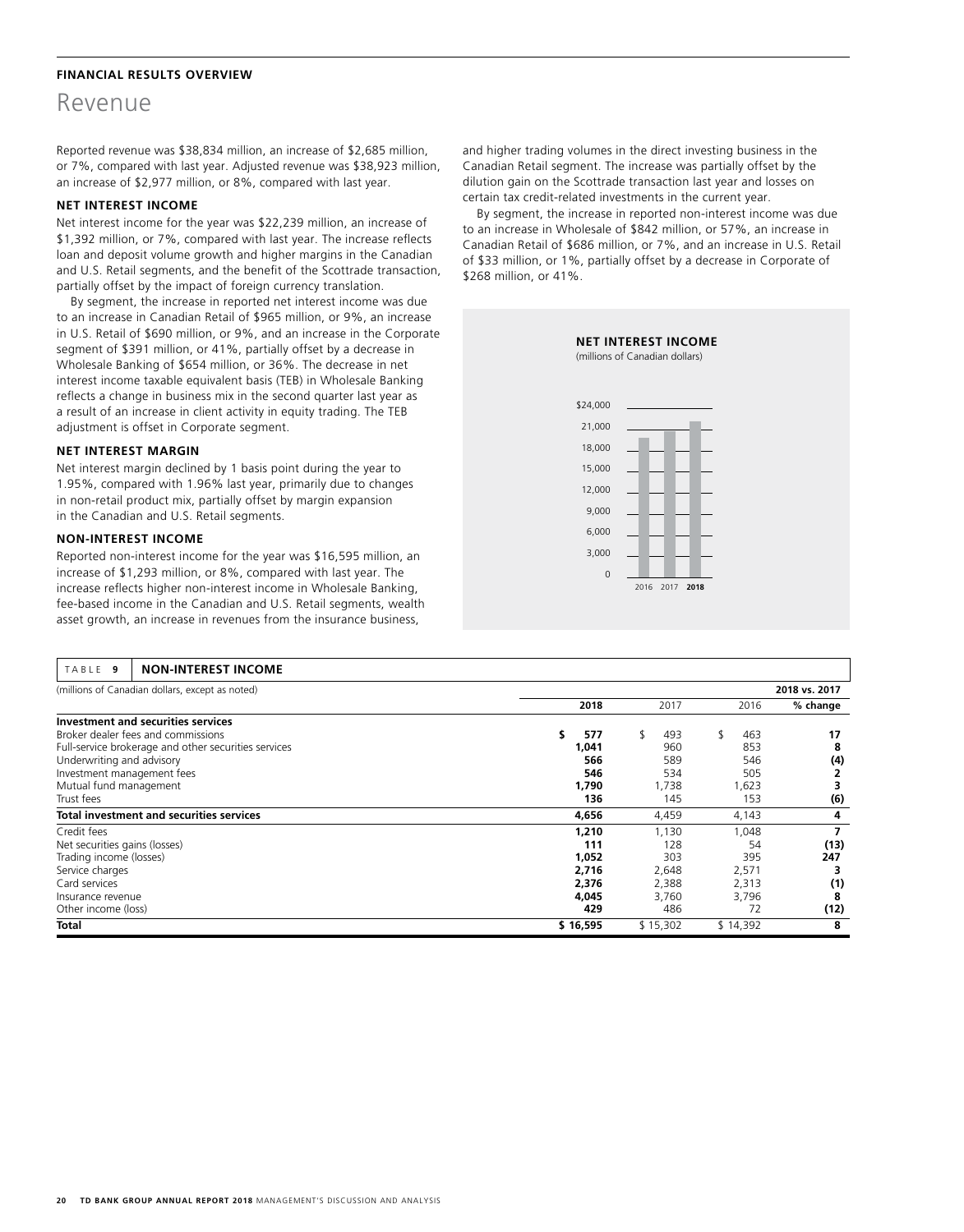#### <span id="page-7-0"></span>**FINANCIAL RESULTS OVERVIEW**

### Revenue

Reported revenue was \$38,834 million, an increase of \$2,685 million, or 7%, compared with last year. Adjusted revenue was \$38,923 million, an increase of \$2,977 million, or 8%, compared with last year.

#### **NET INTEREST INCOME**

Net interest income for the year was \$22,239 million, an increase of \$1,392 million, or 7%, compared with last year. The increase reflects loan and deposit volume growth and higher margins in the Canadian and U.S. Retail segments, and the benefit of the Scottrade transaction, partially offset by the impact of foreign currency translation.

By segment, the increase in reported net interest income was due to an increase in Canadian Retail of \$965 million, or 9%, an increase in U.S. Retail of \$690 million, or 9%, and an increase in the Corporate segment of \$391 million, or 41%, partially offset by a decrease in Wholesale Banking of \$654 million, or 36%. The decrease in net interest income taxable equivalent basis (TEB) in Wholesale Banking reflects a change in business mix in the second quarter last year as a result of an increase in client activity in equity trading. The TEB adjustment is offset in Corporate segment.

#### **NET INTEREST MARGIN**

Net interest margin declined by 1 basis point during the year to 1.95%, compared with 1.96% last year, primarily due to changes in non-retail product mix, partially offset by margin expansion in the Canadian and U.S. Retail segments.

#### **NON-INTEREST INCOME**

Reported non-interest income for the year was \$16,595 million, an increase of \$1,293 million, or 8%, compared with last year. The increase reflects higher non-interest income in Wholesale Banking, fee-based income in the Canadian and U.S. Retail segments, wealth asset growth, an increase in revenues from the insurance business,

and higher trading volumes in the direct investing business in the Canadian Retail segment. The increase was partially offset by the dilution gain on the Scottrade transaction last year and losses on certain tax credit-related investments in the current year.

By segment, the increase in reported non-interest income was due to an increase in Wholesale of \$842 million, or 57%, an increase in Canadian Retail of \$686 million, or 7%, and an increase in U.S. Retail of \$33 million, or 1%, partially offset by a decrease in Corporate of \$268 million, or 41%.



| TABLE 9                       | <b>NON-INTEREST INCOME</b>                           |          |           |          |           |               |
|-------------------------------|------------------------------------------------------|----------|-----------|----------|-----------|---------------|
|                               | (millions of Canadian dollars, except as noted)      |          |           |          |           | 2018 vs. 2017 |
|                               |                                                      | 2018     |           | 2017     | 2016      | % change      |
|                               | <b>Investment and securities services</b>            |          |           |          |           |               |
|                               | Broker dealer fees and commissions                   |          | 577<br>\$ | 493      | \$<br>463 | 17            |
|                               | Full-service brokerage and other securities services | 1.041    |           | 960      | 853       | 8             |
| Underwriting and advisory     |                                                      |          | 566       | 589      | 546       | (4)           |
| Investment management fees    |                                                      |          | 546       | 534      | 505       |               |
| Mutual fund management        |                                                      | 1,790    |           | 1,738    | 1,623     |               |
| Trust fees                    |                                                      |          | 136       | 145      | 153       | (6)           |
|                               | <b>Total investment and securities services</b>      | 4,656    |           | 4,459    | 4,143     | 4             |
| Credit fees                   |                                                      | 1,210    |           | 1.130    | 1,048     |               |
| Net securities gains (losses) |                                                      |          | 111       | 128      | 54        | (13)          |
| Trading income (losses)       |                                                      | 1,052    |           | 303      | 395       | 247           |
| Service charges               |                                                      | 2.716    |           | 2,648    | 2,571     |               |
| Card services                 |                                                      | 2,376    |           | 2,388    | 2,313     | (1)           |
| Insurance revenue             |                                                      | 4,045    |           | 3,760    | 3,796     | 8             |
| Other income (loss)           |                                                      |          | 429       | 486      | 72        | (12)          |
| Total                         |                                                      | \$16,595 |           | \$15,302 | \$14,392  | 8             |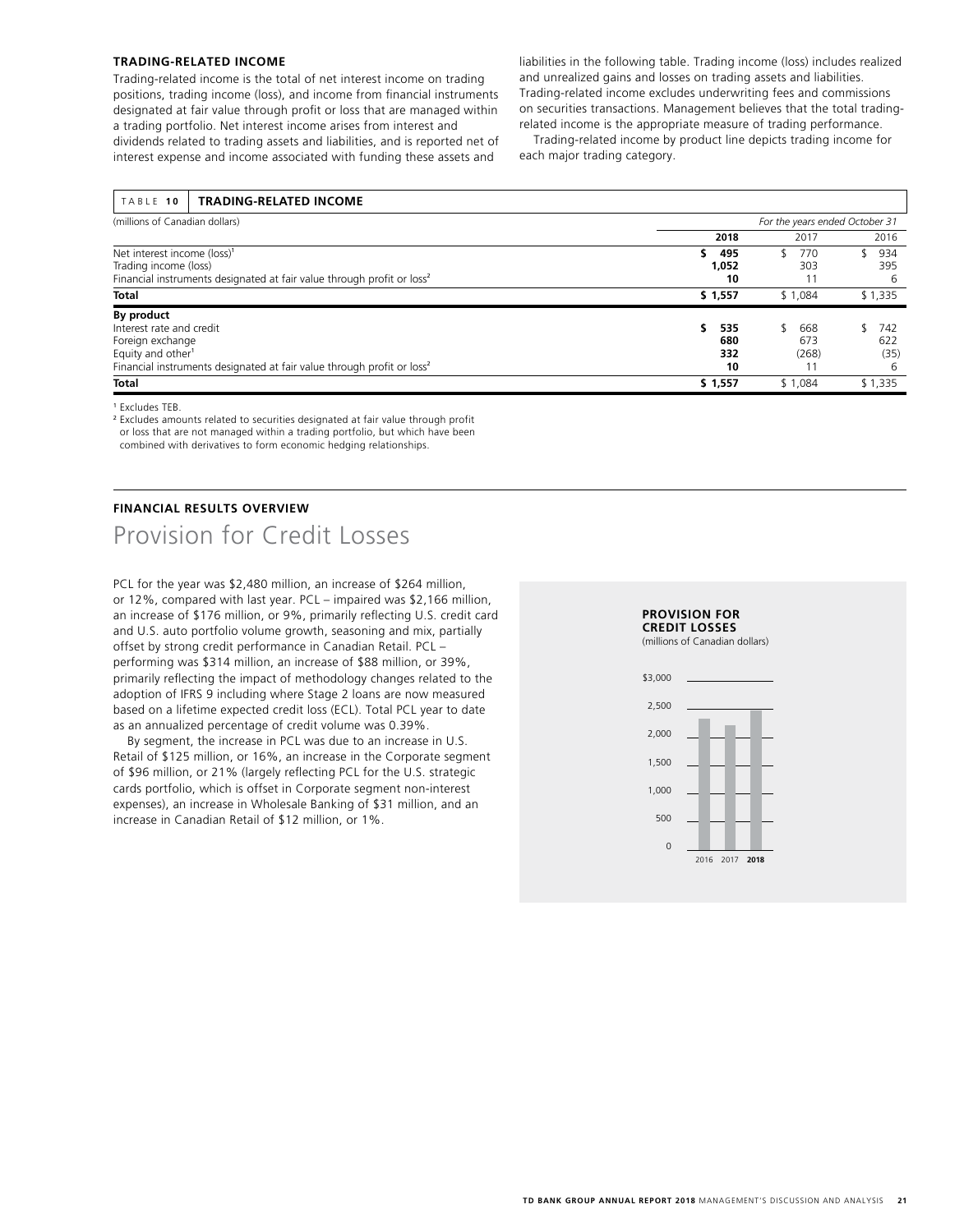#### <span id="page-8-0"></span>**TRADING-RELATED INCOME**

Trading-related income is the total of net interest income on trading positions, trading income (loss), and income from financial instruments designated at fair value through profit or loss that are managed within a trading portfolio. Net interest income arises from interest and dividends related to trading assets and liabilities, and is reported net of interest expense and income associated with funding these assets and

liabilities in the following table. Trading income (loss) includes realized and unrealized gains and losses on trading assets and liabilities. Trading-related income excludes underwriting fees and commissions on securities transactions. Management believes that the total tradingrelated income is the appropriate measure of trading performance.

Trading-related income by product line depicts trading income for each major trading category.

### **TABLE 10 | TRADING-RELATED INCOME**

| (millions of Canadian dollars)                                                     |         | For the years ended October 31 |         |
|------------------------------------------------------------------------------------|---------|--------------------------------|---------|
|                                                                                    | 2018    | 2017                           | 2016    |
| Net interest income (loss) <sup>1</sup>                                            | 495     | 770                            | 934     |
| Trading income (loss)                                                              | 1.052   | 303                            | 395     |
| Financial instruments designated at fair value through profit or loss <sup>2</sup> | 10      |                                | 6       |
| <b>Total</b>                                                                       | \$1,557 | \$1.084                        | \$1,335 |
| By product                                                                         |         |                                |         |
| Interest rate and credit                                                           | 535     | 668                            | 742     |
| Foreign exchange                                                                   | 680     | 673                            | 622     |
| Equity and other <sup>1</sup>                                                      | 332     | (268)                          | (35)    |
| Financial instruments designated at fair value through profit or loss <sup>2</sup> | 10      |                                | 6       |
| <b>Total</b>                                                                       | \$1,557 | \$1.084                        | \$1,335 |

<sup>1</sup> Excludes TEB.

<sup>2</sup> Excludes amounts related to securities designated at fair value through profit or loss that are not managed within a trading portfolio, but which have been combined with derivatives to form economic hedging relationships.

#### **FINANCIAL RESULTS OVERVIEW**

## Provision for Credit Losses

PCL for the year was \$2,480 million, an increase of \$264 million, or 12%, compared with last year. PCL – impaired was \$2,166 million, an increase of \$176 million, or 9%, primarily reflecting U.S. credit card and U.S. auto portfolio volume growth, seasoning and mix, partially offset by strong credit performance in Canadian Retail. PCL – performing was \$314 million, an increase of \$88 million, or 39%, primarily reflecting the impact of methodology changes related to the adoption of IFRS 9 including where Stage 2 loans are now measured based on a lifetime expected credit loss (ECL). Total PCL year to date as an annualized percentage of credit volume was 0.39%.

By segment, the increase in PCL was due to an increase in U.S. Retail of \$125 million, or 16%, an increase in the Corporate segment of \$96 million, or 21% (largely reflecting PCL for the U.S. strategic cards portfolio, which is offset in Corporate segment non-interest expenses), an increase in Wholesale Banking of \$31 million, and an increase in Canadian Retail of \$12 million, or 1%.

#### **PROVISION FOR CREDIT LOSSES**

(millions of Canadian dollars)

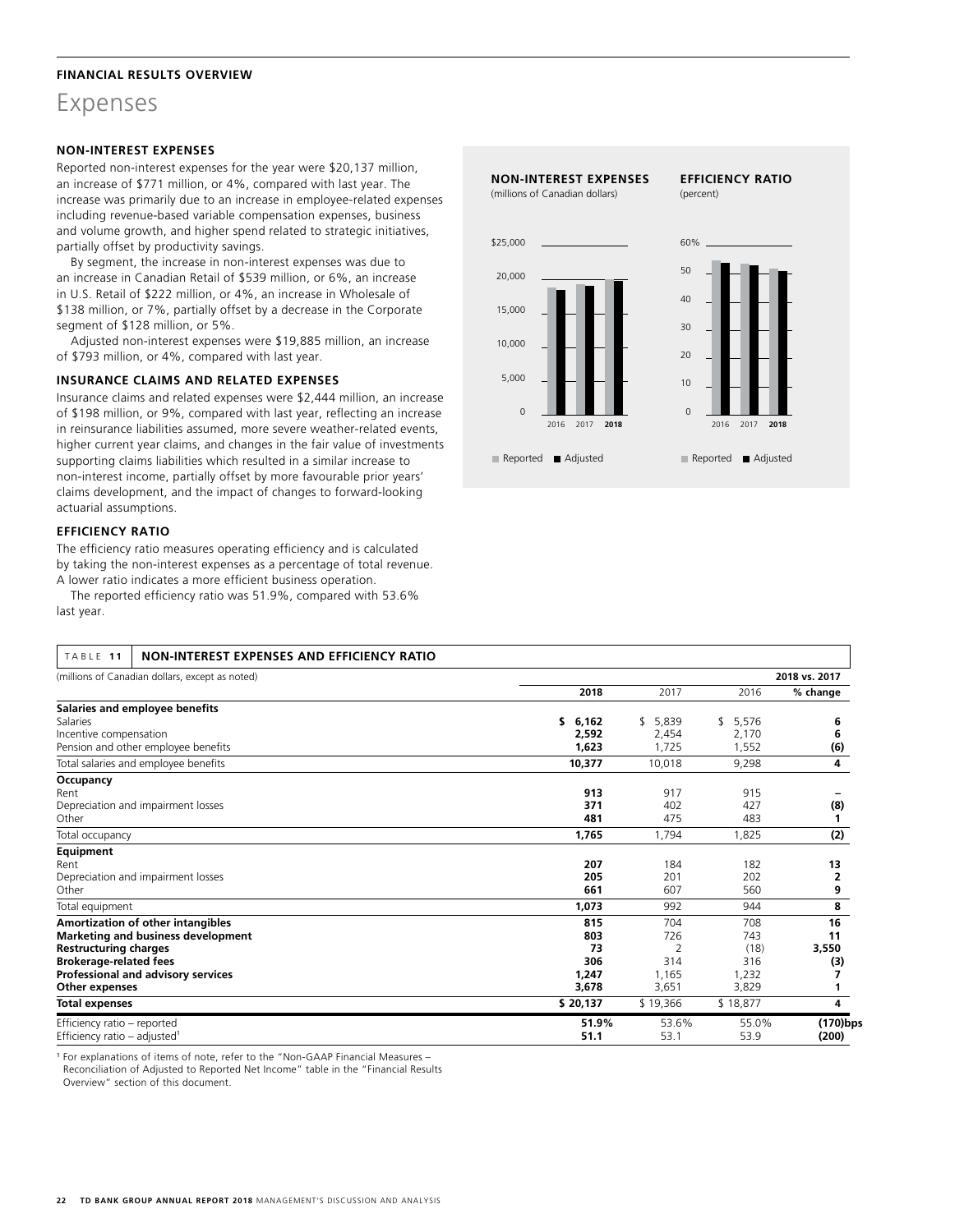#### <span id="page-9-0"></span>**FINANCIAL RESULTS OVERVIEW**

### Expenses

#### **NON-INTEREST EXPENSES**

Reported non-interest expenses for the year were \$20,137 million, an increase of \$771 million, or 4%, compared with last year. The increase was primarily due to an increase in employee-related expenses including revenue-based variable compensation expenses, business and volume growth, and higher spend related to strategic initiatives, partially offset by productivity savings.

By segment, the increase in non-interest expenses was due to an increase in Canadian Retail of \$539 million, or 6%, an increase in U.S. Retail of \$222 million, or 4%, an increase in Wholesale of \$138 million, or 7%, partially offset by a decrease in the Corporate segment of \$128 million, or 5%.

Adjusted non-interest expenses were \$19,885 million, an increase of \$793 million, or 4%, compared with last year.

#### **INSURANCE CLAIMS AND RELATED EXPENSES**

Insurance claims and related expenses were \$2,444 million, an increase of \$198 million, or 9%, compared with last year, reflecting an increase in reinsurance liabilities assumed, more severe weather-related events, higher current year claims, and changes in the fair value of investments supporting claims liabilities which resulted in a similar increase to non-interest income, partially offset by more favourable prior years' claims development, and the impact of changes to forward-looking actuarial assumptions.

#### **EFFICIENCY RATIO**

The efficiency ratio measures operating efficiency and is calculated by taking the non-interest expenses as a percentage of total revenue. A lower ratio indicates a more efficient business operation.

The reported efficiency ratio was 51.9%, compared with 53.6% last year.



| TABLE 11                                 | NON-INTEREST EXPENSES AND EFFICIENCY RATIO      |            |             |             |               |
|------------------------------------------|-------------------------------------------------|------------|-------------|-------------|---------------|
|                                          | (millions of Canadian dollars, except as noted) |            |             |             | 2018 vs. 2017 |
|                                          |                                                 | 2018       | 2017        | 2016        | % change      |
|                                          | Salaries and employee benefits                  |            |             |             |               |
| Salaries                                 |                                                 | 6,162<br>s | 5,839<br>\$ | 5,576<br>\$ | 6             |
| Incentive compensation                   |                                                 | 2,592      | 2,454       | 2,170       | 6             |
|                                          | Pension and other employee benefits             | 1,623      | 1,725       | 1,552       | (6)           |
|                                          | Total salaries and employee benefits            | 10,377     | 10,018      | 9,298       | 4             |
| Occupancy                                |                                                 |            |             |             |               |
| Rent                                     |                                                 | 913        | 917         | 915         |               |
|                                          | Depreciation and impairment losses              | 371        | 402         | 427         | (8)           |
| Other                                    |                                                 | 481        | 475         | 483         | 1             |
| Total occupancy                          |                                                 | 1,765      | 1,794       | 1,825       | (2)           |
| Equipment                                |                                                 |            |             |             |               |
| Rent                                     |                                                 | 207        | 184         | 182         | 13            |
|                                          | Depreciation and impairment losses              | 205        | 201         | 202         | 2             |
| Other                                    |                                                 | 661        | 607         | 560         | 9             |
| Total equipment                          |                                                 | 1,073      | 992         | 944         | 8             |
|                                          | Amortization of other intangibles               | 815        | 704         | 708         | 16            |
|                                          | Marketing and business development              | 803        | 726         | 743         | 11            |
| <b>Restructuring charges</b>             |                                                 | 73         |             | (18)        | 3,550         |
| <b>Brokerage-related fees</b>            |                                                 | 306        | 314         | 316         | (3)           |
|                                          | Professional and advisory services              | 1,247      | 1,165       | 1,232       | 7             |
| Other expenses                           |                                                 | 3,678      | 3,651       | 3,829       | 1             |
| <b>Total expenses</b>                    |                                                 | \$20,137   | \$19,366    | \$18,877    | 4             |
| Efficiency ratio - reported              |                                                 | 51.9%      | 53.6%       | 55.0%       | (170)bps      |
| Efficiency ratio - adjusted <sup>1</sup> |                                                 | 51.1       | 53.1        | 53.9        | (200)         |

<sup>1</sup> For explanations of items of note, refer to the "Non-GAAP Financial Measures – Reconciliation of Adjusted to Reported Net Income" table in the "Financial Results

Overview" section of this document.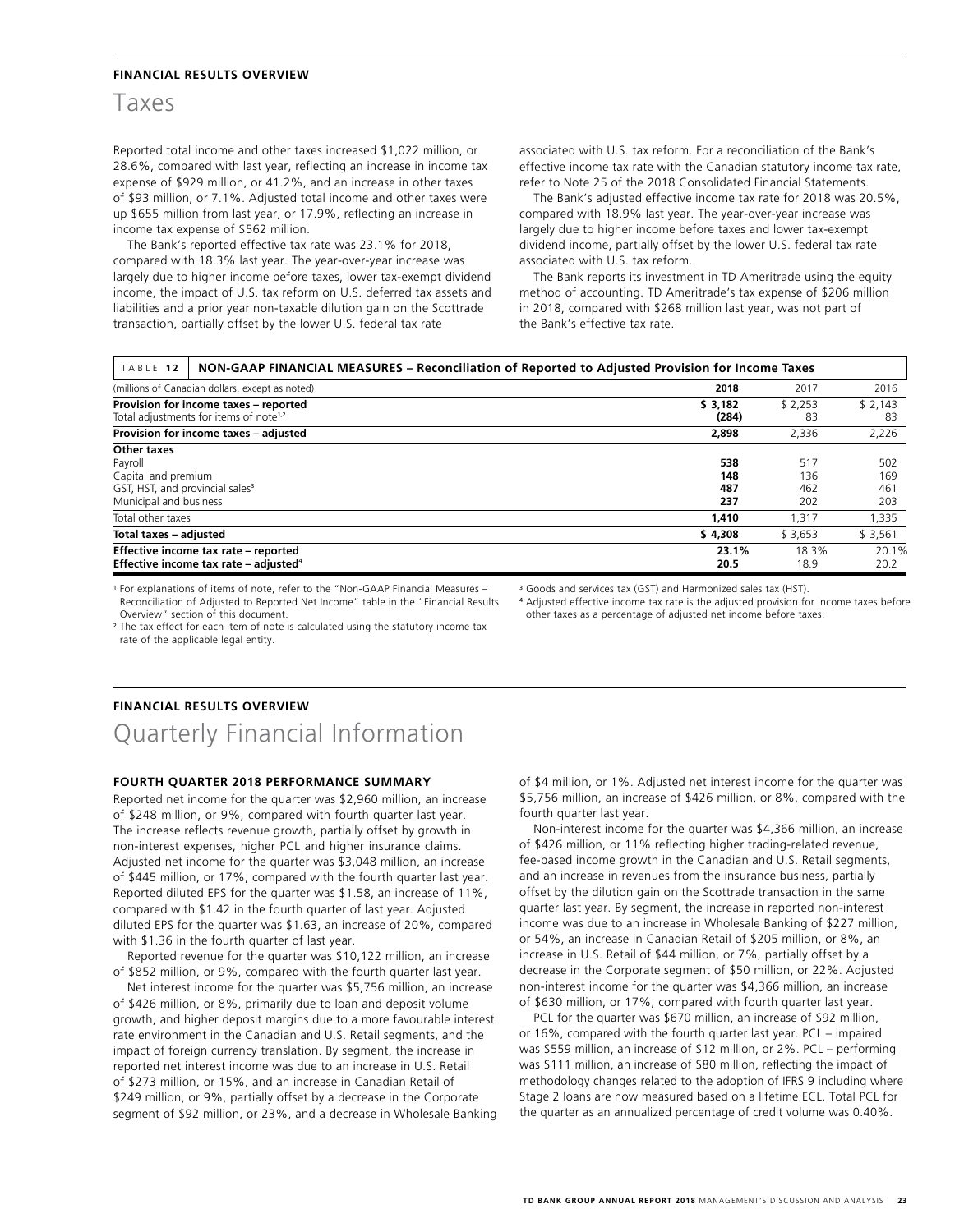#### <span id="page-10-0"></span>**FINANCIAL RESULTS OVERVIEW**

### Taxes

Reported total income and other taxes increased \$1,022 million, or 28.6%, compared with last year, reflecting an increase in income tax expense of \$929 million, or 41.2%, and an increase in other taxes of \$93 million, or 7.1%. Adjusted total income and other taxes were up \$655 million from last year, or 17.9%, reflecting an increase in income tax expense of \$562 million.

The Bank's reported effective tax rate was 23.1% for 2018, compared with 18.3% last year. The year-over-year increase was largely due to higher income before taxes, lower tax-exempt dividend income, the impact of U.S. tax reform on U.S. deferred tax assets and liabilities and a prior year non-taxable dilution gain on the Scottrade transaction, partially offset by the lower U.S. federal tax rate

associated with U.S. tax reform. For a reconciliation of the Bank's effective income tax rate with the Canadian statutory income tax rate, refer to Note 25 of the 2018 Consolidated Financial Statements.

The Bank's adjusted effective income tax rate for 2018 was 20.5%, compared with 18.9% last year. The year-over-year increase was largely due to higher income before taxes and lower tax-exempt dividend income, partially offset by the lower U.S. federal tax rate associated with U.S. tax reform.

The Bank reports its investment in TD Ameritrade using the equity method of accounting. TD Ameritrade's tax expense of \$206 million in 2018, compared with \$268 million last year, was not part of the Bank's effective tax rate.

| TABLE 12                                                                                                                      | NON-GAAP FINANCIAL MEASURES - Reconciliation of Reported to Adjusted Provision for Income Taxes |                          |                          |                          |
|-------------------------------------------------------------------------------------------------------------------------------|-------------------------------------------------------------------------------------------------|--------------------------|--------------------------|--------------------------|
|                                                                                                                               | (millions of Canadian dollars, except as noted)                                                 | 2018                     | 2017                     | 2016                     |
|                                                                                                                               | Provision for income taxes - reported<br>Total adjustments for items of note <sup>1,2</sup>     | \$ 3.182<br>(284)        | \$2,253<br>83            | \$2.143<br>-83           |
|                                                                                                                               | Provision for income taxes - adjusted                                                           | 2,898                    | 2,336                    | 2,226                    |
| <b>Other taxes</b><br>Payroll<br>Capital and premium<br>GST, HST, and provincial sales <sup>3</sup><br>Municipal and business |                                                                                                 | 538<br>148<br>487<br>237 | 517<br>136<br>462<br>202 | 502<br>169<br>461<br>203 |
| Total other taxes                                                                                                             |                                                                                                 | 1,410                    | 1.317                    | 1,335                    |
| Total taxes - adjusted                                                                                                        |                                                                                                 | \$4.308                  | \$3.653                  | \$3.561                  |
|                                                                                                                               | Effective income tax rate - reported<br>Effective income tax rate - adjusted <sup>4</sup>       | 23.1%<br>20.5            | 18.3%<br>18.9            | 20.1%<br>20.2            |

<sup>1</sup> For explanations of items of note, refer to the "Non-GAAP Financial Measures – Reconciliation of Adjusted to Reported Net Income" table in the "Financial Results Overview" section of this document.

<sup>3</sup> Goods and services tax (GST) and Harmonized sales tax (HST).

<sup>4</sup> Adjusted effective income tax rate is the adjusted provision for income taxes before other taxes as a percentage of adjusted net income before taxes.

<sup>2</sup> The tax effect for each item of note is calculated using the statutory income tax rate of the applicable legal entity.

#### **FINANCIAL RESULTS OVERVIEW**

# Quarterly Financial Information

#### **FOURTH QUARTER 2018 PERFORMANCE SUMMARY**

Reported net income for the quarter was \$2,960 million, an increase of \$248 million, or 9%, compared with fourth quarter last year. The increase reflects revenue growth, partially offset by growth in non-interest expenses, higher PCL and higher insurance claims. Adjusted net income for the quarter was \$3,048 million, an increase of \$445 million, or 17%, compared with the fourth quarter last year. Reported diluted EPS for the quarter was \$1.58, an increase of 11%, compared with \$1.42 in the fourth quarter of last year. Adjusted diluted EPS for the quarter was \$1.63, an increase of 20%, compared with \$1.36 in the fourth quarter of last year.

Reported revenue for the quarter was \$10,122 million, an increase of \$852 million, or 9%, compared with the fourth quarter last year.

Net interest income for the quarter was \$5,756 million, an increase of \$426 million, or 8%, primarily due to loan and deposit volume growth, and higher deposit margins due to a more favourable interest rate environment in the Canadian and U.S. Retail segments, and the impact of foreign currency translation. By segment, the increase in reported net interest income was due to an increase in U.S. Retail of \$273 million, or 15%, and an increase in Canadian Retail of \$249 million, or 9%, partially offset by a decrease in the Corporate segment of \$92 million, or 23%, and a decrease in Wholesale Banking of \$4 million, or 1%. Adjusted net interest income for the quarter was \$5,756 million, an increase of \$426 million, or 8%, compared with the fourth quarter last year.

Non-interest income for the quarter was \$4,366 million, an increase of \$426 million, or 11% reflecting higher trading-related revenue, fee-based income growth in the Canadian and U.S. Retail segments, and an increase in revenues from the insurance business, partially offset by the dilution gain on the Scottrade transaction in the same quarter last year. By segment, the increase in reported non-interest income was due to an increase in Wholesale Banking of \$227 million, or 54%, an increase in Canadian Retail of \$205 million, or 8%, an increase in U.S. Retail of \$44 million, or 7%, partially offset by a decrease in the Corporate segment of \$50 million, or 22%. Adjusted non-interest income for the quarter was \$4,366 million, an increase of \$630 million, or 17%, compared with fourth quarter last year.

PCL for the quarter was \$670 million, an increase of \$92 million, or 16%, compared with the fourth quarter last year. PCL – impaired was \$559 million, an increase of \$12 million, or 2%. PCL – performing was \$111 million, an increase of \$80 million, reflecting the impact of methodology changes related to the adoption of IFRS 9 including where Stage 2 loans are now measured based on a lifetime ECL. Total PCL for the quarter as an annualized percentage of credit volume was 0.40%.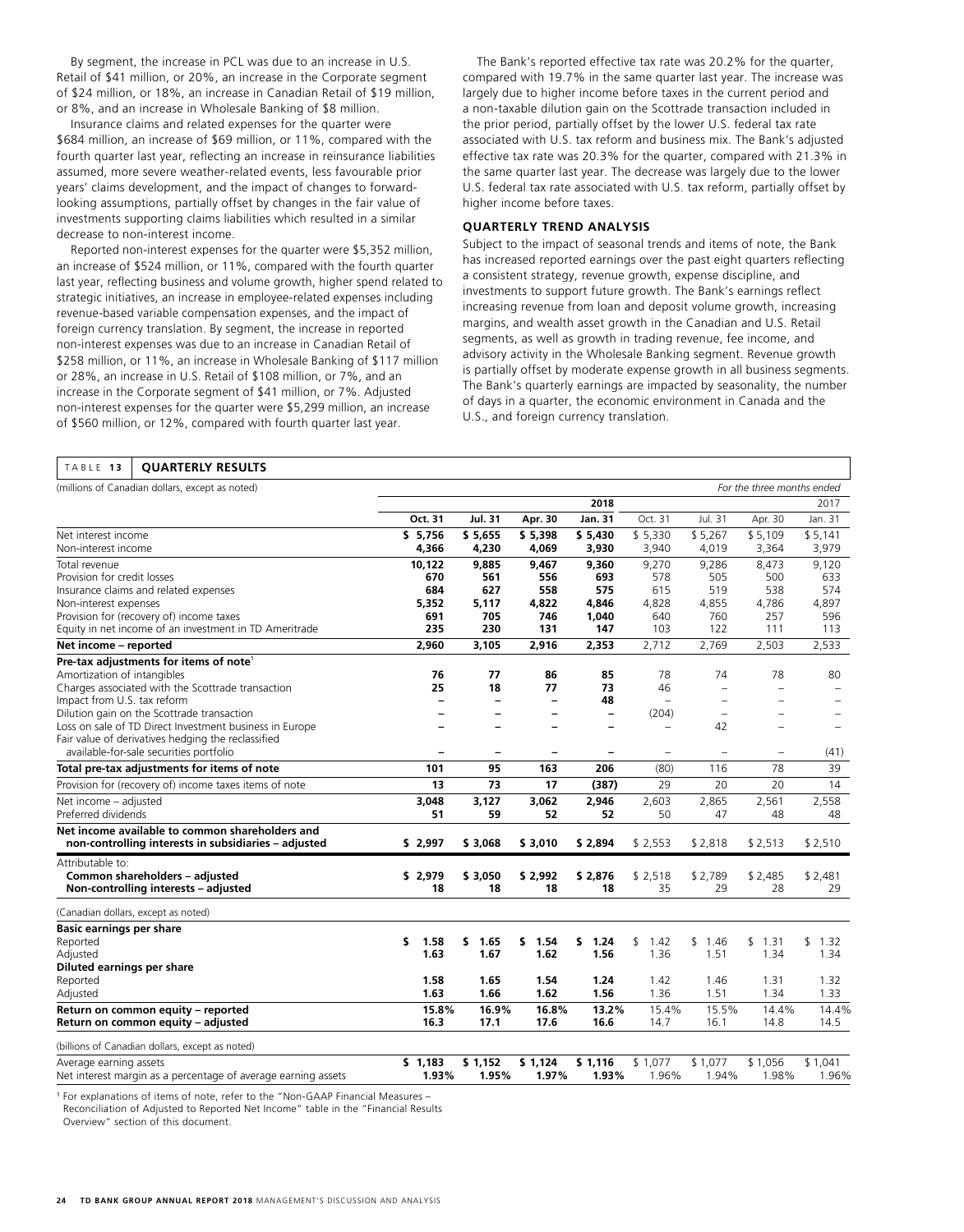By segment, the increase in PCL was due to an increase in U.S. Retail of \$41 million, or 20%, an increase in the Corporate segment of \$24 million, or 18%, an increase in Canadian Retail of \$19 million, or 8%, and an increase in Wholesale Banking of \$8 million.

Insurance claims and related expenses for the quarter were \$684 million, an increase of \$69 million, or 11%, compared with the fourth quarter last year, reflecting an increase in reinsurance liabilities assumed, more severe weather-related events, less favourable prior years' claims development, and the impact of changes to forwardlooking assumptions, partially offset by changes in the fair value of investments supporting claims liabilities which resulted in a similar decrease to non-interest income.

Reported non-interest expenses for the quarter were \$5,352 million, an increase of \$524 million, or 11%, compared with the fourth quarter last year, reflecting business and volume growth, higher spend related to strategic initiatives, an increase in employee-related expenses including revenue-based variable compensation expenses, and the impact of foreign currency translation. By segment, the increase in reported non-interest expenses was due to an increase in Canadian Retail of \$258 million, or 11%, an increase in Wholesale Banking of \$117 million or 28%, an increase in U.S. Retail of \$108 million, or 7%, and an increase in the Corporate segment of \$41 million, or 7%. Adjusted non-interest expenses for the quarter were \$5,299 million, an increase of \$560 million, or 12%, compared with fourth quarter last year.

The Bank's reported effective tax rate was 20.2% for the quarter, compared with 19.7% in the same quarter last year. The increase was largely due to higher income before taxes in the current period and a non-taxable dilution gain on the Scottrade transaction included in the prior period, partially offset by the lower U.S. federal tax rate associated with U.S. tax reform and business mix. The Bank's adjusted effective tax rate was 20.3% for the quarter, compared with 21.3% in the same quarter last year. The decrease was largely due to the lower U.S. federal tax rate associated with U.S. tax reform, partially offset by higher income before taxes.

#### **QUARTERLY TREND ANALYSIS**

Subject to the impact of seasonal trends and items of note, the Bank has increased reported earnings over the past eight quarters reflecting a consistent strategy, revenue growth, expense discipline, and investments to support future growth. The Bank's earnings reflect increasing revenue from loan and deposit volume growth, increasing margins, and wealth asset growth in the Canadian and U.S. Retail segments, as well as growth in trading revenue, fee income, and advisory activity in the Wholesale Banking segment. Revenue growth is partially offset by moderate expense growth in all business segments. The Bank's quarterly earnings are impacted by seasonality, the number of days in a quarter, the economic environment in Canada and the U.S., and foreign currency translation.

| TABLE 13                               | <b>QUARTERLY RESULTS</b>                                               |   |               |                |                          |                          |                               |                                   |                                      |                            |               |
|----------------------------------------|------------------------------------------------------------------------|---|---------------|----------------|--------------------------|--------------------------|-------------------------------|-----------------------------------|--------------------------------------|----------------------------|---------------|
|                                        | (millions of Canadian dollars, except as noted)                        |   |               |                |                          |                          |                               |                                   |                                      | For the three months ended |               |
|                                        |                                                                        |   |               |                |                          |                          | 2018                          |                                   |                                      |                            | 2017          |
|                                        |                                                                        |   | Oct. 31       | <b>Jul. 31</b> |                          | Apr. 30                  | Jan. 31                       | Oct. 31                           | Jul. 31                              | Apr. 30                    | Jan. 31       |
| Net interest income                    |                                                                        |   | \$ 5,756      | \$5,655        |                          | \$5,398                  | \$5,430                       | \$5,330                           | \$5,267                              | \$5,109                    | \$5,141       |
| Non-interest income                    |                                                                        |   | 4,366         | 4,230          |                          | 4,069                    | 3,930                         | 3,940                             | 4,019                                | 3,364                      | 3,979         |
| Total revenue                          |                                                                        |   | 10,122        | 9.885          |                          | 9,467                    | 9,360                         | 9,270                             | 9,286                                | 8,473                      | 9,120         |
| Provision for credit losses            | Insurance claims and related expenses                                  |   | 670<br>684    | 561<br>627     |                          | 556<br>558               | 693<br>575                    | 578<br>615                        | 505<br>519                           | 500<br>538                 | 633<br>574    |
| Non-interest expenses                  |                                                                        |   | 5,352         | 5.117          |                          | 4.822                    | 4.846                         | 4,828                             | 4,855                                | 4,786                      | 4,897         |
|                                        | Provision for (recovery of) income taxes                               |   | 691           | 705            |                          | 746                      | 1,040                         | 640                               | 760                                  | 257                        | 596           |
|                                        | Equity in net income of an investment in TD Ameritrade                 |   | 235           | 230            |                          | 131                      | 147                           | 103                               | 122                                  | 111                        | 113           |
| Net income - reported                  |                                                                        |   | 2,960         | 3,105          |                          | 2,916                    | 2,353                         | 2,712                             | 2,769                                | 2,503                      | 2,533         |
|                                        | Pre-tax adjustments for items of note <sup>1</sup>                     |   |               |                |                          |                          |                               |                                   |                                      |                            |               |
| Amortization of intangibles            |                                                                        |   | 76            | 77             |                          | 86                       | 85                            | 78                                | 74                                   | 78                         | 80            |
|                                        | Charges associated with the Scottrade transaction                      |   | 25            |                | 18                       | 77                       | 73                            | 46                                | ÷                                    | L.                         |               |
| Impact from U.S. tax reform            | Dilution gain on the Scottrade transaction                             |   |               |                | L.                       | L.                       | 48                            | $\overline{\phantom{0}}$<br>(204) | $\overline{\phantom{a}}$<br>$\equiv$ |                            |               |
|                                        | Loss on sale of TD Direct Investment business in Europe                |   |               |                | $\overline{\phantom{0}}$ | $\overline{\phantom{0}}$ | -<br>$\overline{\phantom{0}}$ | ÷                                 | 42                                   |                            |               |
|                                        | Fair value of derivatives hedging the reclassified                     |   |               |                |                          |                          |                               |                                   |                                      |                            |               |
|                                        | available-for-sale securities portfolio                                |   |               |                | $\qquad \qquad -$        | $\qquad \qquad -$        | -                             | $\qquad \qquad -$                 |                                      | $\qquad \qquad -$          | (41)          |
|                                        | Total pre-tax adjustments for items of note                            |   | 101           |                | 95                       | 163                      | 206                           | (80)                              | 116                                  | 78                         | 39            |
|                                        | Provision for (recovery of) income taxes items of note                 |   | 13            |                | 73                       | 17                       | (387)                         | 29                                | 20                                   | 20                         | 14            |
| Net income - adjusted                  |                                                                        |   | 3,048         | 3,127          |                          | 3,062                    | 2,946                         | 2,603                             | 2,865                                | 2,561                      | 2,558         |
| Preferred dividends                    |                                                                        |   | 51            |                | 59                       | 52                       | 52                            | 50                                | 47                                   | 48                         | 48            |
|                                        | Net income available to common shareholders and                        |   |               |                |                          |                          |                               |                                   |                                      |                            |               |
|                                        | non-controlling interests in subsidiaries - adjusted                   |   | \$ 2,997      | \$3.068        |                          | \$ 3,010                 | \$2,894                       | \$2,553                           | \$2,818                              | \$2,513                    | \$2,510       |
| Attributable to:                       |                                                                        |   |               |                |                          |                          |                               |                                   |                                      |                            |               |
|                                        | Common shareholders - adjusted<br>Non-controlling interests - adjusted |   | \$2,979<br>18 | \$3,050        | 18                       | \$ 2,992<br>18           | \$2,876<br>18                 | \$2,518<br>35                     | \$2,789<br>29                        | \$2,485<br>28              | \$2,481<br>29 |
|                                        |                                                                        |   |               |                |                          |                          |                               |                                   |                                      |                            |               |
|                                        | (Canadian dollars, except as noted)                                    |   |               |                |                          |                          |                               |                                   |                                      |                            |               |
| <b>Basic earnings per share</b>        |                                                                        |   |               |                |                          |                          |                               |                                   |                                      |                            |               |
| Reported                               |                                                                        | s | 1.58          | s.<br>1.65     |                          | Ś.<br>1.54               | \$.<br>1.24                   | \$<br>1.42                        | \$<br>1.46                           | \$<br>1.31                 | \$1.32        |
| Adjusted<br>Diluted earnings per share |                                                                        |   | 1.63          | 1.67           |                          | 1.62                     | 1.56                          | 1.36                              | 1.51                                 | 1.34                       | 1.34          |
| Reported                               |                                                                        |   | 1.58          | 1.65           |                          | 1.54                     | 1.24                          | 1.42                              | 1.46                                 | 1.31                       | 1.32          |
| Adjusted                               |                                                                        |   | 1.63          | 1.66           |                          | 1.62                     | 1.56                          | 1.36                              | 1.51                                 | 1.34                       | 1.33          |
|                                        | Return on common equity - reported                                     |   | 15.8%         |                | 16.9%                    | 16.8%                    | 13.2%                         | 15.4%                             | 15.5%                                | 14.4%                      | 14.4%         |
|                                        | Return on common equity - adjusted                                     |   | 16.3          | 17.1           |                          | 17.6                     | 16.6                          | 14.7                              | 16.1                                 | 14.8                       | 14.5          |
|                                        | (billions of Canadian dollars, except as noted)                        |   |               |                |                          |                          |                               |                                   |                                      |                            |               |
| Average earning assets                 |                                                                        |   | \$1,183       | \$1,152        |                          | \$1,124                  | \$1,116                       | \$1,077                           | \$1,077                              | \$1,056                    | \$1,041       |
|                                        | Net interest margin as a percentage of average earning assets          |   | 1.93%         |                | 1.95%                    | 1.97%                    | 1.93%                         | 1.96%                             | 1.94%                                | 1.98%                      | 1.96%         |

<sup>1</sup> For explanations of items of note, refer to the "Non-GAAP Financial Measures – Reconciliation of Adjusted to Reported Net Income" table in the "Financial Results Overview" section of this document.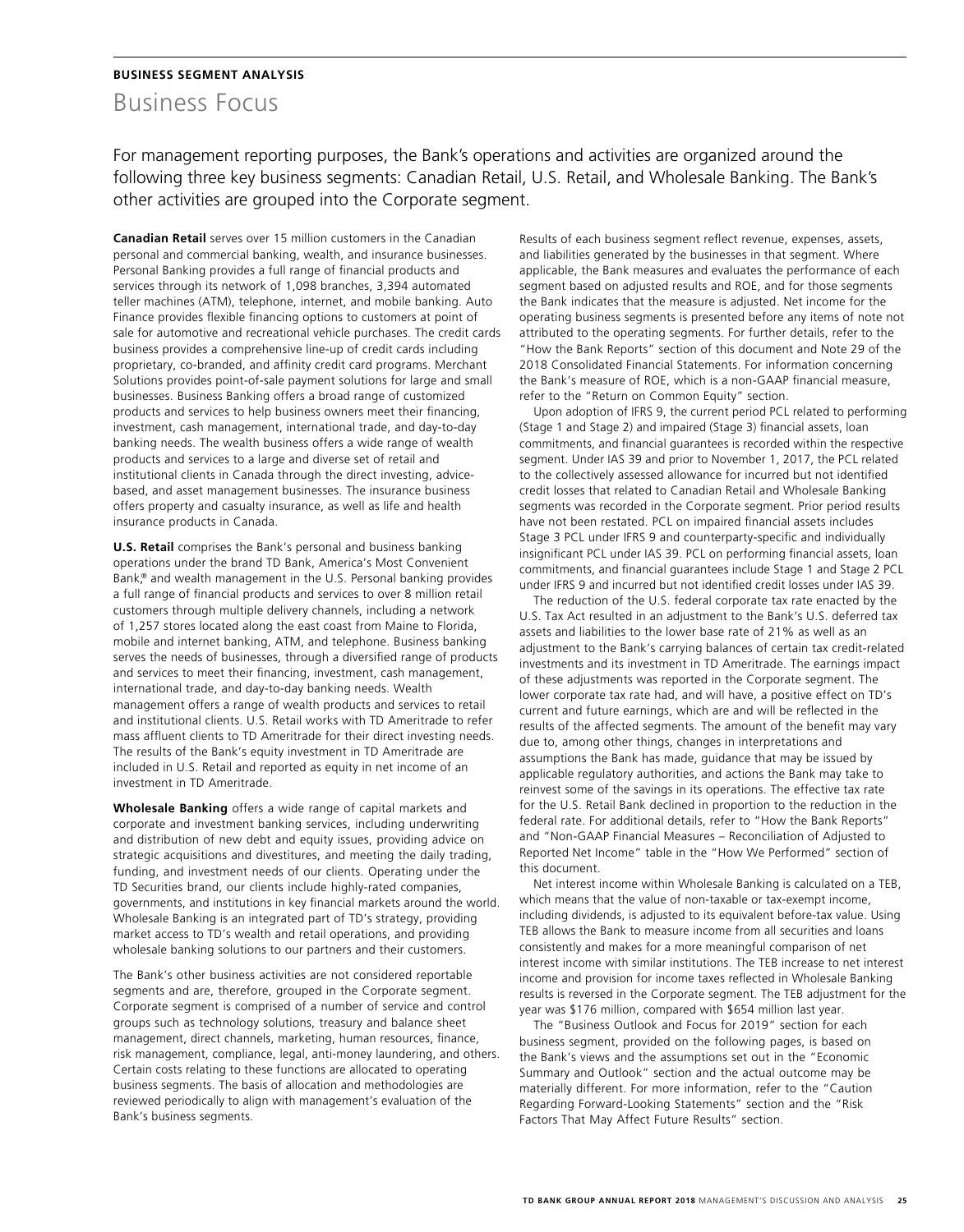#### <span id="page-12-0"></span>**BUSINESS SEGMENT ANALYSIS**

## Business Focus

For management reporting purposes, the Bank's operations and activities are organized around the following three key business segments: Canadian Retail, U.S. Retail, and Wholesale Banking. The Bank's other activities are grouped into the Corporate segment.

**Canadian Retail** serves over 15 million customers in the Canadian personal and commercial banking, wealth, and insurance businesses. Personal Banking provides a full range of financial products and services through its network of 1,098 branches, 3,394 automated teller machines (ATM), telephone, internet, and mobile banking. Auto Finance provides flexible financing options to customers at point of sale for automotive and recreational vehicle purchases. The credit cards business provides a comprehensive line-up of credit cards including proprietary, co-branded, and affinity credit card programs. Merchant Solutions provides point-of-sale payment solutions for large and small businesses. Business Banking offers a broad range of customized products and services to help business owners meet their financing, investment, cash management, international trade, and day-to-day banking needs. The wealth business offers a wide range of wealth products and services to a large and diverse set of retail and institutional clients in Canada through the direct investing, advicebased, and asset management businesses. The insurance business offers property and casualty insurance, as well as life and health insurance products in Canada.

**U.S. Retail** comprises the Bank's personal and business banking operations under the brand TD Bank, America's Most Convenient Bank,<sup>®</sup> and wealth management in the U.S. Personal banking provides a full range of financial products and services to over 8 million retail customers through multiple delivery channels, including a network of 1,257 stores located along the east coast from Maine to Florida, mobile and internet banking, ATM, and telephone. Business banking serves the needs of businesses, through a diversified range of products and services to meet their financing, investment, cash management, international trade, and day-to-day banking needs. Wealth management offers a range of wealth products and services to retail and institutional clients. U.S. Retail works with TD Ameritrade to refer mass affluent clients to TD Ameritrade for their direct investing needs. The results of the Bank's equity investment in TD Ameritrade are included in U.S. Retail and reported as equity in net income of an investment in TD Ameritrade.

**Wholesale Banking** offers a wide range of capital markets and corporate and investment banking services, including underwriting and distribution of new debt and equity issues, providing advice on strategic acquisitions and divestitures, and meeting the daily trading, funding, and investment needs of our clients. Operating under the TD Securities brand, our clients include highly-rated companies, governments, and institutions in key financial markets around the world. Wholesale Banking is an integrated part of TD's strategy, providing market access to TD's wealth and retail operations, and providing wholesale banking solutions to our partners and their customers.

The Bank's other business activities are not considered reportable segments and are, therefore, grouped in the Corporate segment. Corporate segment is comprised of a number of service and control groups such as technology solutions, treasury and balance sheet management, direct channels, marketing, human resources, finance, risk management, compliance, legal, anti-money laundering, and others. Certain costs relating to these functions are allocated to operating business segments. The basis of allocation and methodologies are reviewed periodically to align with management's evaluation of the Bank's business segments.

Results of each business segment reflect revenue, expenses, assets, and liabilities generated by the businesses in that segment. Where applicable, the Bank measures and evaluates the performance of each segment based on adjusted results and ROE, and for those segments the Bank indicates that the measure is adjusted. Net income for the operating business segments is presented before any items of note not attributed to the operating segments. For further details, refer to the "How the Bank Reports" section of this document and Note 29 of the 2018 Consolidated Financial Statements. For information concerning the Bank's measure of ROE, which is a non-GAAP financial measure, refer to the "Return on Common Equity" section.

Upon adoption of IFRS 9, the current period PCL related to performing (Stage 1 and Stage 2) and impaired (Stage 3) financial assets, loan commitments, and financial guarantees is recorded within the respective segment. Under IAS 39 and prior to November 1, 2017, the PCL related to the collectively assessed allowance for incurred but not identified credit losses that related to Canadian Retail and Wholesale Banking segments was recorded in the Corporate segment. Prior period results have not been restated. PCL on impaired financial assets includes Stage 3 PCL under IFRS 9 and counterparty-specific and individually insignificant PCL under IAS 39. PCL on performing financial assets, loan commitments, and financial guarantees include Stage 1 and Stage 2 PCL under IFRS 9 and incurred but not identified credit losses under IAS 39.

The reduction of the U.S. federal corporate tax rate enacted by the U.S. Tax Act resulted in an adjustment to the Bank's U.S. deferred tax assets and liabilities to the lower base rate of 21% as well as an adjustment to the Bank's carrying balances of certain tax credit-related investments and its investment in TD Ameritrade. The earnings impact of these adjustments was reported in the Corporate segment. The lower corporate tax rate had, and will have, a positive effect on TD's current and future earnings, which are and will be reflected in the results of the affected segments. The amount of the benefit may vary due to, among other things, changes in interpretations and assumptions the Bank has made, guidance that may be issued by applicable regulatory authorities, and actions the Bank may take to reinvest some of the savings in its operations. The effective tax rate for the U.S. Retail Bank declined in proportion to the reduction in the federal rate. For additional details, refer to "How the Bank Reports" and "Non-GAAP Financial Measures – Reconciliation of Adjusted to Reported Net Income" table in the "How We Performed" section of this document.

Net interest income within Wholesale Banking is calculated on a TEB, which means that the value of non-taxable or tax-exempt income, including dividends, is adjusted to its equivalent before-tax value. Using TEB allows the Bank to measure income from all securities and loans consistently and makes for a more meaningful comparison of net interest income with similar institutions. The TEB increase to net interest income and provision for income taxes reflected in Wholesale Banking results is reversed in the Corporate segment. The TEB adjustment for the year was \$176 million, compared with \$654 million last year.

The "Business Outlook and Focus for 2019" section for each business segment, provided on the following pages, is based on the Bank's views and the assumptions set out in the "Economic Summary and Outlook" section and the actual outcome may be materially different. For more information, refer to the "Caution Regarding Forward-Looking Statements" section and the "Risk Factors That May Affect Future Results" section.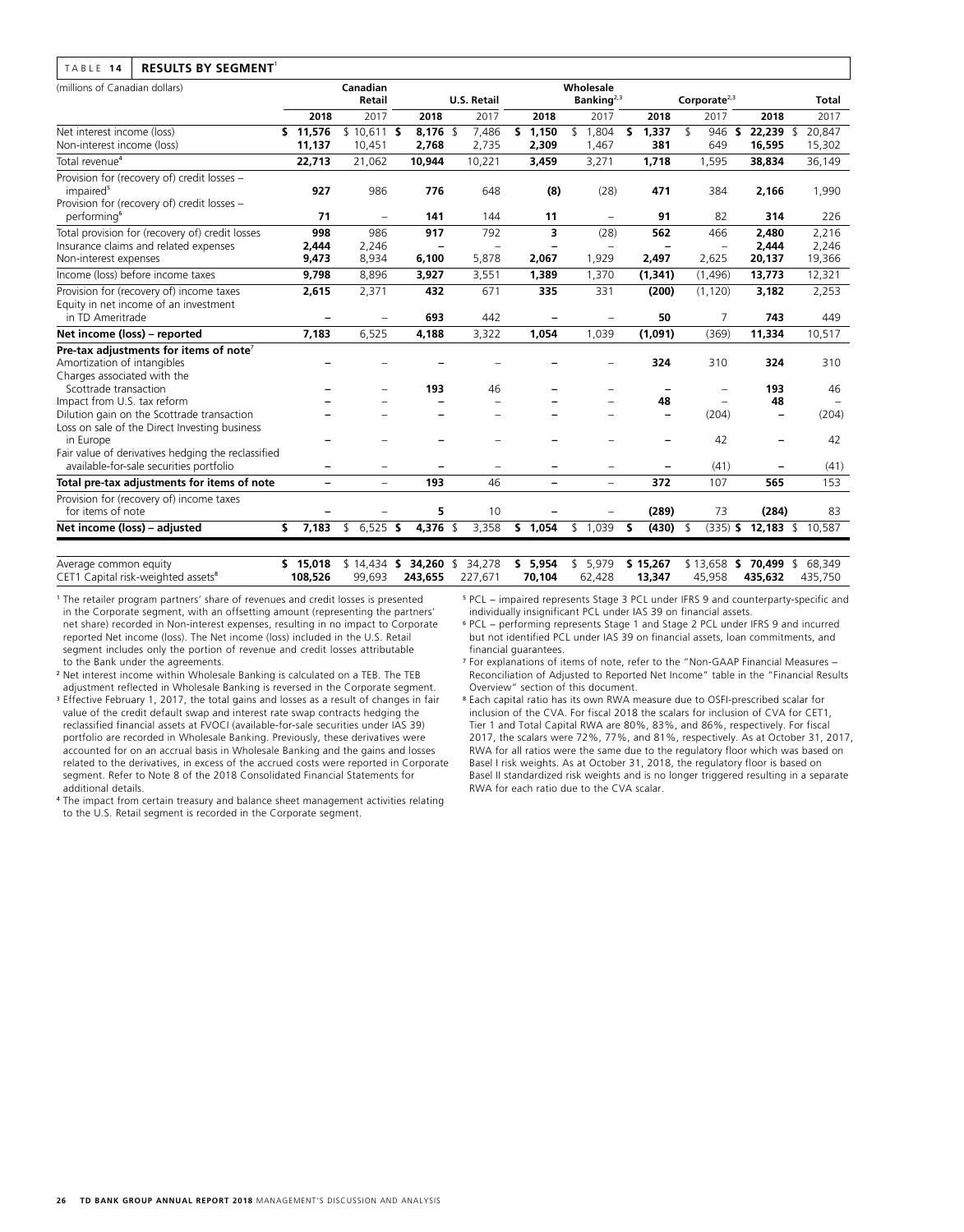| TABLE 14                                                   | <b>RESULTS BY SEGMENT</b>                                                                     |                     |                |                        |                      |                          |                      |                                  |    |                          |    |                               |                                |         |                  |
|------------------------------------------------------------|-----------------------------------------------------------------------------------------------|---------------------|----------------|------------------------|----------------------|--------------------------|----------------------|----------------------------------|----|--------------------------|----|-------------------------------|--------------------------------|---------|------------------|
| (millions of Canadian dollars)                             |                                                                                               |                     |                | Canadian<br>Retail     |                      | <b>U.S. Retail</b>       |                      | Wholesale<br>Banking $^{2,3}$    |    |                          |    | Corporate <sup>2,3</sup>      |                                |         | <b>Total</b>     |
|                                                            |                                                                                               |                     | 2018           | 2017                   | 2018                 | 2017                     | 2018                 | 2017                             |    | 2018                     |    | 2017                          | 2018                           |         | 2017             |
| Net interest income (loss)<br>Non-interest income (loss)   |                                                                                               | \$11,576<br>11,137  |                | $$10,611$ \$<br>10,451 | 8,176 \$<br>2,768    | 7,486<br>2,735           | \$<br>1,150<br>2,309 | \$<br>1,804<br>1,467             | \$ | 1,337<br>381             | \$ | 946<br>\$<br>649              | 22,239 \$<br>16,595            |         | 20,847<br>15,302 |
| Total revenue <sup>4</sup>                                 |                                                                                               | 22,713              |                | 21,062                 | 10,944               | 10,221                   | 3,459                | 3,271                            |    | 1,718                    |    | 1.595                         | 38,834                         |         | 36,149           |
| impaired <sup>5</sup><br>performing <sup>6</sup>           | Provision for (recovery of) credit losses -<br>Provision for (recovery of) credit losses -    |                     | 927<br>71      | 986<br>÷               | 776<br>141           | 648<br>144               | (8)<br>11            | (28)<br>$\overline{\phantom{a}}$ |    | 471<br>91                |    | 384<br>82                     | 2,166<br>314                   |         | 1,990<br>226     |
|                                                            | Total provision for (recovery of) credit losses                                               |                     | 998            | 986                    | 917                  | 792                      | 3                    | (28)                             |    | 562                      |    | 466                           | 2,480                          |         | 2,216            |
| Non-interest expenses                                      | Insurance claims and related expenses                                                         |                     | 2,444<br>9,473 | 2,246<br>8,934         | 6,100                | 5,878                    | 2,067                | 1,929                            |    | 2,497                    |    | 2,625                         | 2,444<br>20,137                |         | 2,246<br>19,366  |
|                                                            | Income (loss) before income taxes                                                             |                     | 9,798          | 8,896                  | 3,927                | 3,551                    | 1,389                | 1,370                            |    | (1, 341)                 |    | (1, 496)                      | 13,773                         |         | 12,321           |
|                                                            | Provision for (recovery of) income taxes<br>Equity in net income of an investment             |                     | 2,615          | 2,371                  | 432                  | 671                      | 335                  | 331                              |    | (200)                    |    | (1, 120)                      | 3,182                          |         | 2,253            |
| in TD Ameritrade                                           |                                                                                               |                     | ۳              | ÷,                     | 693                  | 442                      |                      |                                  |    | 50                       |    | $\overline{7}$                | 743                            |         | 449              |
| Net income (loss) - reported                               |                                                                                               | 7,183               |                | 6,525                  | 4,188                | 3,322                    | 1,054                | 1,039                            |    | (1,091)                  |    | (369)                         | 11,334                         |         | 10,517           |
| Amortization of intangibles<br>Charges associated with the | Pre-tax adjustments for items of note <sup>7</sup>                                            |                     |                |                        |                      |                          |                      |                                  |    | 324                      |    | 310                           | 324                            |         | 310              |
| Scottrade transaction                                      |                                                                                               |                     |                |                        | 193                  | 46                       |                      |                                  |    | $\qquad \qquad$          |    |                               | 193                            |         | 46               |
| Impact from U.S. tax reform                                | Dilution gain on the Scottrade transaction<br>Loss on sale of the Direct Investing business   |                     |                |                        |                      | $\equiv$                 |                      |                                  |    | 48<br>-                  |    | (204)                         | 48<br>$\overline{\phantom{0}}$ |         | (204)            |
| in Europe                                                  |                                                                                               |                     |                |                        |                      |                          |                      |                                  |    | $\overline{\phantom{0}}$ |    | 42                            | $\overline{\phantom{0}}$       |         | 42               |
|                                                            | Fair value of derivatives hedging the reclassified<br>available-for-sale securities portfolio |                     | -              | -                      |                      | $\overline{\phantom{0}}$ | -                    | $\qquad \qquad -$                |    | -                        |    | (41)                          | $\overline{\phantom{0}}$       |         | (41)             |
|                                                            | Total pre-tax adjustments for items of note                                                   |                     | $\equiv$       | ÷.                     | 193                  | 46                       | Ξ.                   | $\equiv$                         |    | 372                      |    | 107                           | 565                            |         | 153              |
| for items of note                                          | Provision for (recovery of) income taxes                                                      |                     |                |                        | 5                    | 10                       |                      |                                  |    | (289)                    |    | 73                            | (284)                          |         | 83               |
| Net income (loss) - adjusted                               |                                                                                               | \$<br>7,183         |                | $6,525$ \$<br>\$       | 4,376 \$             | 3,358                    | \$1,054              | \$<br>1,039                      | s  | (430)                    | S  | $(335)$ \$                    | 12,183 \$                      |         | 10,587           |
|                                                            |                                                                                               |                     |                |                        |                      |                          |                      |                                  |    |                          |    |                               |                                |         |                  |
| Average common equity                                      | CET1 Capital risk-weighted assets <sup>8</sup>                                                | \$15,018<br>108,526 |                | $$14,434$ \$<br>99.693 | 34,260 \$<br>243,655 | 34,278<br>227,671        | \$5,954<br>70.104    | \$<br>5,979<br>62,428            |    | \$15,267<br>13,347       |    | $$13,658$ \$ 70,499<br>45,958 | \$<br>435,632                  | 435,750 | 68,349           |

<sup>1</sup> The retailer program partners' share of revenues and credit losses is presented in the Corporate segment, with an offsetting amount (representing the partners' net share) recorded in Non-interest expenses, resulting in no impact to Corporate reported Net income (loss). The Net income (loss) included in the U.S. Retail segment includes only the portion of revenue and credit losses attributable to the Bank under the agreements.

<sup>5</sup> PCL − impaired represents Stage 3 PCL under IFRS 9 and counterparty-specific and individually insignificant PCL under IAS 39 on financial assets.

<sup>6</sup> PCL − performing represents Stage 1 and Stage 2 PCL under IFRS 9 and incurred but not identified PCL under IAS 39 on financial assets, loan commitments, and financial guarantees.

<sup>7</sup> For explanations of items of note, refer to the "Non-GAAP Financial Measures − Reconciliation of Adjusted to Reported Net Income" table in the "Financial Results Overview" section of this document.

<sup>8</sup> Each capital ratio has its own RWA measure due to OSFI-prescribed scalar for inclusion of the CVA. For fiscal 2018 the scalars for inclusion of CVA for CET1, Tier 1 and Total Capital RWA are 80%, 83%, and 86%, respectively. For fiscal 2017, the scalars were 72%, 77%, and 81%, respectively. As at October 31, 2017, RWA for all ratios were the same due to the regulatory floor which was based on Basel I risk weights. As at October 31, 2018, the regulatory floor is based on Basel II standardized risk weights and is no longer triggered resulting in a separate RWA for each ratio due to the CVA scalar.

<sup>2</sup> Net interest income within Wholesale Banking is calculated on a TEB. The TEB adjustment reflected in Wholesale Banking is reversed in the Corporate segment.

<sup>3</sup> Effective February 1, 2017, the total gains and losses as a result of changes in fair value of the credit default swap and interest rate swap contracts hedging the reclassified financial assets at FVOCI (available-for-sale securities under IAS 39) portfolio are recorded in Wholesale Banking. Previously, these derivatives were accounted for on an accrual basis in Wholesale Banking and the gains and losses related to the derivatives, in excess of the accrued costs were reported in Corporate segment. Refer to Note 8 of the 2018 Consolidated Financial Statements for additional details.

<sup>4</sup> The impact from certain treasury and balance sheet management activities relating to the U.S. Retail segment is recorded in the Corporate segment.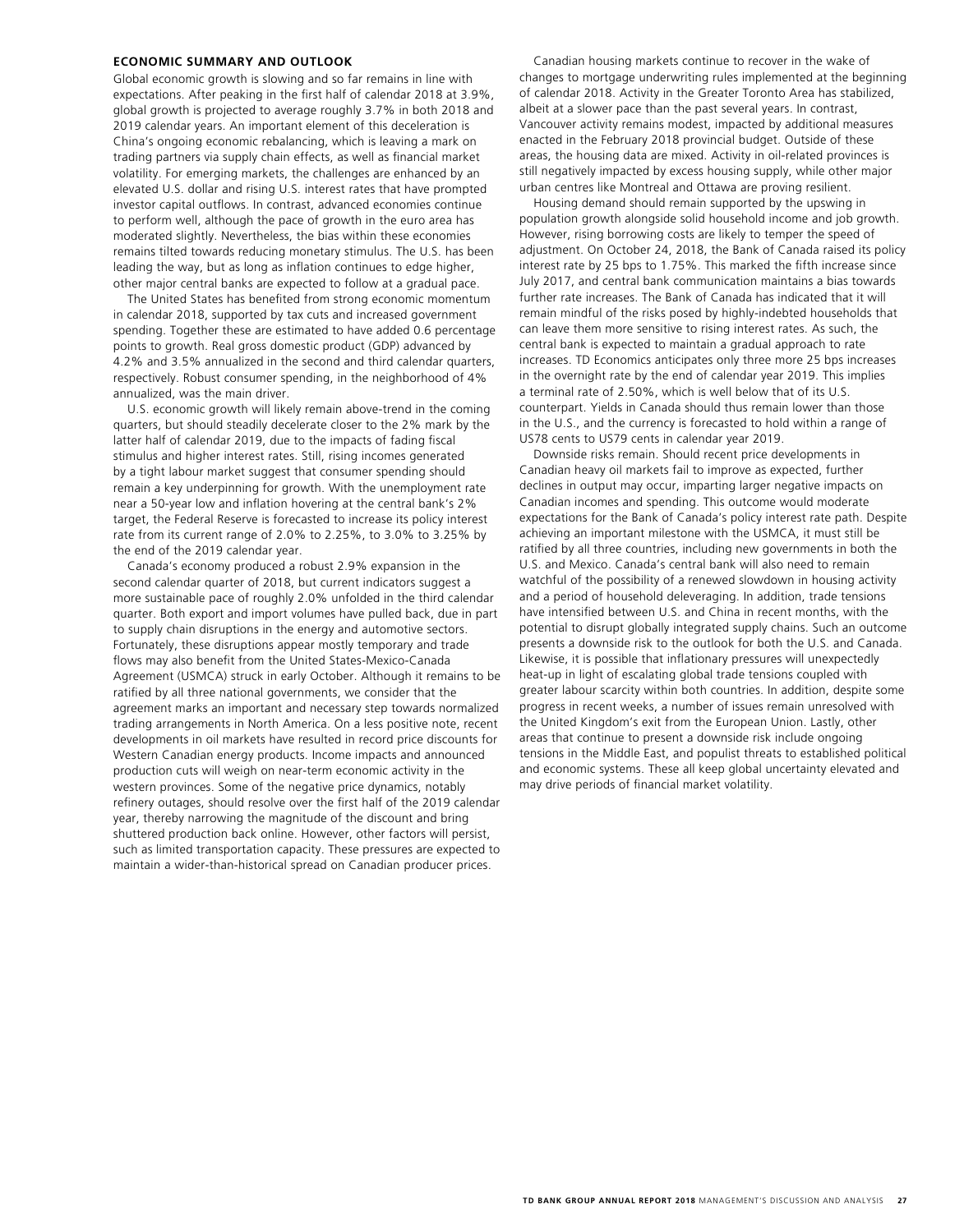#### **ECONOMIC SUMMARY AND OUTLOOK**

Global economic growth is slowing and so far remains in line with expectations. After peaking in the first half of calendar 2018 at 3.9%, global growth is projected to average roughly 3.7% in both 2018 and 2019 calendar years. An important element of this deceleration is China's ongoing economic rebalancing, which is leaving a mark on trading partners via supply chain effects, as well as financial market volatility. For emerging markets, the challenges are enhanced by an elevated U.S. dollar and rising U.S. interest rates that have prompted investor capital outflows. In contrast, advanced economies continue to perform well, although the pace of growth in the euro area has moderated slightly. Nevertheless, the bias within these economies remains tilted towards reducing monetary stimulus. The U.S. has been leading the way, but as long as inflation continues to edge higher, other major central banks are expected to follow at a gradual pace.

The United States has benefited from strong economic momentum in calendar 2018, supported by tax cuts and increased government spending. Together these are estimated to have added 0.6 percentage points to growth. Real gross domestic product (GDP) advanced by 4.2% and 3.5% annualized in the second and third calendar quarters, respectively. Robust consumer spending, in the neighborhood of 4% annualized, was the main driver.

U.S. economic growth will likely remain above-trend in the coming quarters, but should steadily decelerate closer to the 2% mark by the latter half of calendar 2019, due to the impacts of fading fiscal stimulus and higher interest rates. Still, rising incomes generated by a tight labour market suggest that consumer spending should remain a key underpinning for growth. With the unemployment rate near a 50-year low and inflation hovering at the central bank's 2% target, the Federal Reserve is forecasted to increase its policy interest rate from its current range of 2.0% to 2.25%, to 3.0% to 3.25% by the end of the 2019 calendar year.

Canada's economy produced a robust 2.9% expansion in the second calendar quarter of 2018, but current indicators suggest a more sustainable pace of roughly 2.0% unfolded in the third calendar quarter. Both export and import volumes have pulled back, due in part to supply chain disruptions in the energy and automotive sectors. Fortunately, these disruptions appear mostly temporary and trade flows may also benefit from the United States-Mexico-Canada Agreement (USMCA) struck in early October. Although it remains to be ratified by all three national governments, we consider that the agreement marks an important and necessary step towards normalized trading arrangements in North America. On a less positive note, recent developments in oil markets have resulted in record price discounts for Western Canadian energy products. Income impacts and announced production cuts will weigh on near-term economic activity in the western provinces. Some of the negative price dynamics, notably refinery outages, should resolve over the first half of the 2019 calendar year, thereby narrowing the magnitude of the discount and bring shuttered production back online. However, other factors will persist, such as limited transportation capacity. These pressures are expected to maintain a wider-than-historical spread on Canadian producer prices.

Canadian housing markets continue to recover in the wake of changes to mortgage underwriting rules implemented at the beginning of calendar 2018. Activity in the Greater Toronto Area has stabilized, albeit at a slower pace than the past several years. In contrast, Vancouver activity remains modest, impacted by additional measures enacted in the February 2018 provincial budget. Outside of these areas, the housing data are mixed. Activity in oil-related provinces is still negatively impacted by excess housing supply, while other major urban centres like Montreal and Ottawa are proving resilient.

Housing demand should remain supported by the upswing in population growth alongside solid household income and job growth. However, rising borrowing costs are likely to temper the speed of adjustment. On October 24, 2018, the Bank of Canada raised its policy interest rate by 25 bps to 1.75%. This marked the fifth increase since July 2017, and central bank communication maintains a bias towards further rate increases. The Bank of Canada has indicated that it will remain mindful of the risks posed by highly-indebted households that can leave them more sensitive to rising interest rates. As such, the central bank is expected to maintain a gradual approach to rate increases. TD Economics anticipates only three more 25 bps increases in the overnight rate by the end of calendar year 2019. This implies a terminal rate of 2.50%, which is well below that of its U.S. counterpart. Yields in Canada should thus remain lower than those in the U.S., and the currency is forecasted to hold within a range of US78 cents to US79 cents in calendar year 2019.

Downside risks remain. Should recent price developments in Canadian heavy oil markets fail to improve as expected, further declines in output may occur, imparting larger negative impacts on Canadian incomes and spending. This outcome would moderate expectations for the Bank of Canada's policy interest rate path. Despite achieving an important milestone with the USMCA, it must still be ratified by all three countries, including new governments in both the U.S. and Mexico. Canada's central bank will also need to remain watchful of the possibility of a renewed slowdown in housing activity and a period of household deleveraging. In addition, trade tensions have intensified between U.S. and China in recent months, with the potential to disrupt globally integrated supply chains. Such an outcome presents a downside risk to the outlook for both the U.S. and Canada. Likewise, it is possible that inflationary pressures will unexpectedly heat-up in light of escalating global trade tensions coupled with greater labour scarcity within both countries. In addition, despite some progress in recent weeks, a number of issues remain unresolved with the United Kingdom's exit from the European Union. Lastly, other areas that continue to present a downside risk include ongoing tensions in the Middle East, and populist threats to established political and economic systems. These all keep global uncertainty elevated and may drive periods of financial market volatility.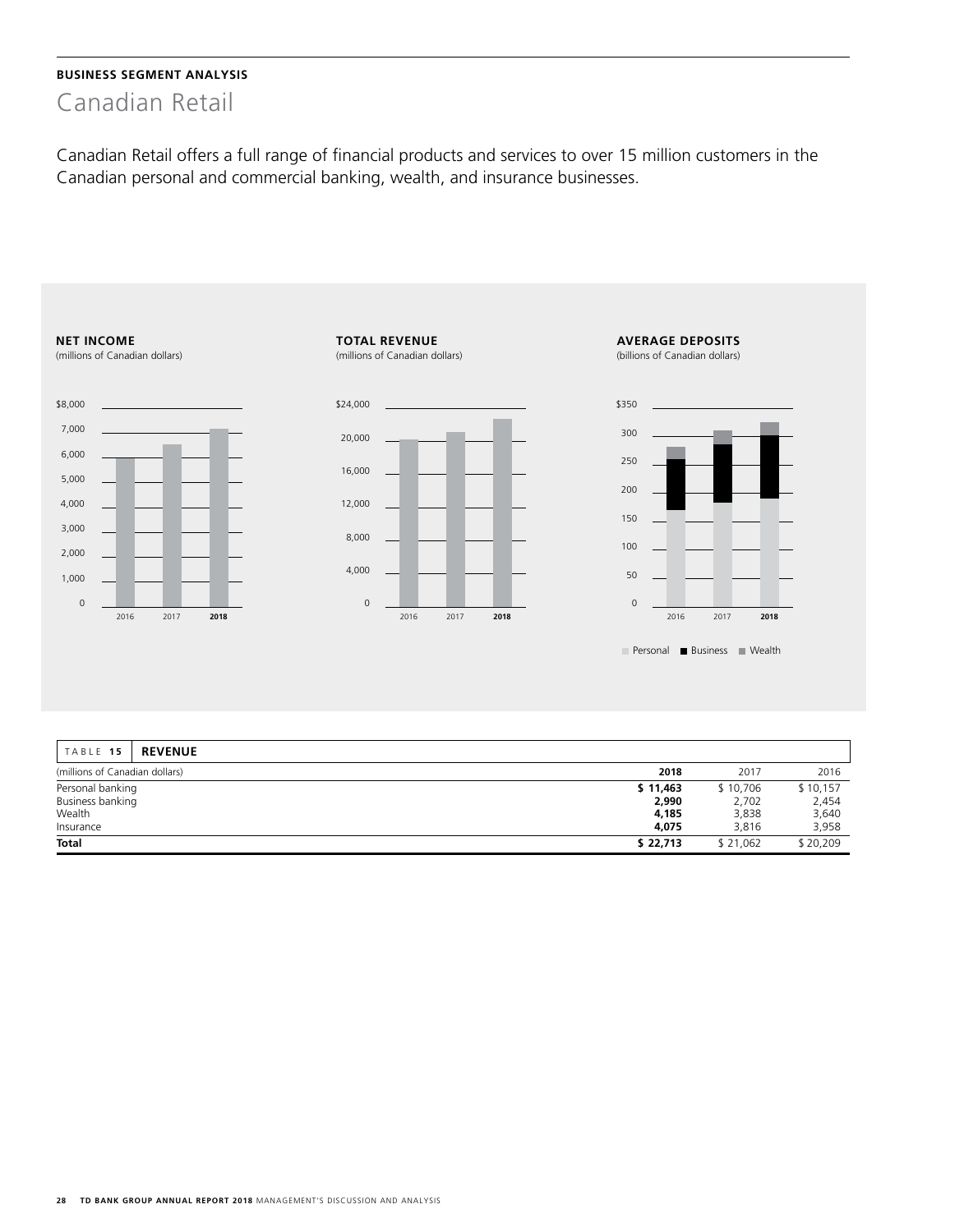### <span id="page-15-0"></span>**BUSINESS SEGMENT ANALYSIS**

# Canadian Retail

Canadian Retail offers a full range of financial products and services to over 15 million customers in the Canadian personal and commercial banking, wealth, and insurance businesses.



| TABLE 15                       | <b>REVENUE</b> |          |          |          |
|--------------------------------|----------------|----------|----------|----------|
| (millions of Canadian dollars) |                | 2018     | 2017     | 2016     |
| Personal banking               |                | \$11.463 | \$10,706 | \$10,157 |
| Business banking               |                | 2,990    | 2,702    | 2,454    |
| Wealth                         |                | 4,185    | 3.838    | 3,640    |
| Insurance                      |                | 4.075    | 3,816    | 3,958    |
| <b>Total</b>                   |                | \$22,713 | \$21,062 | \$20,209 |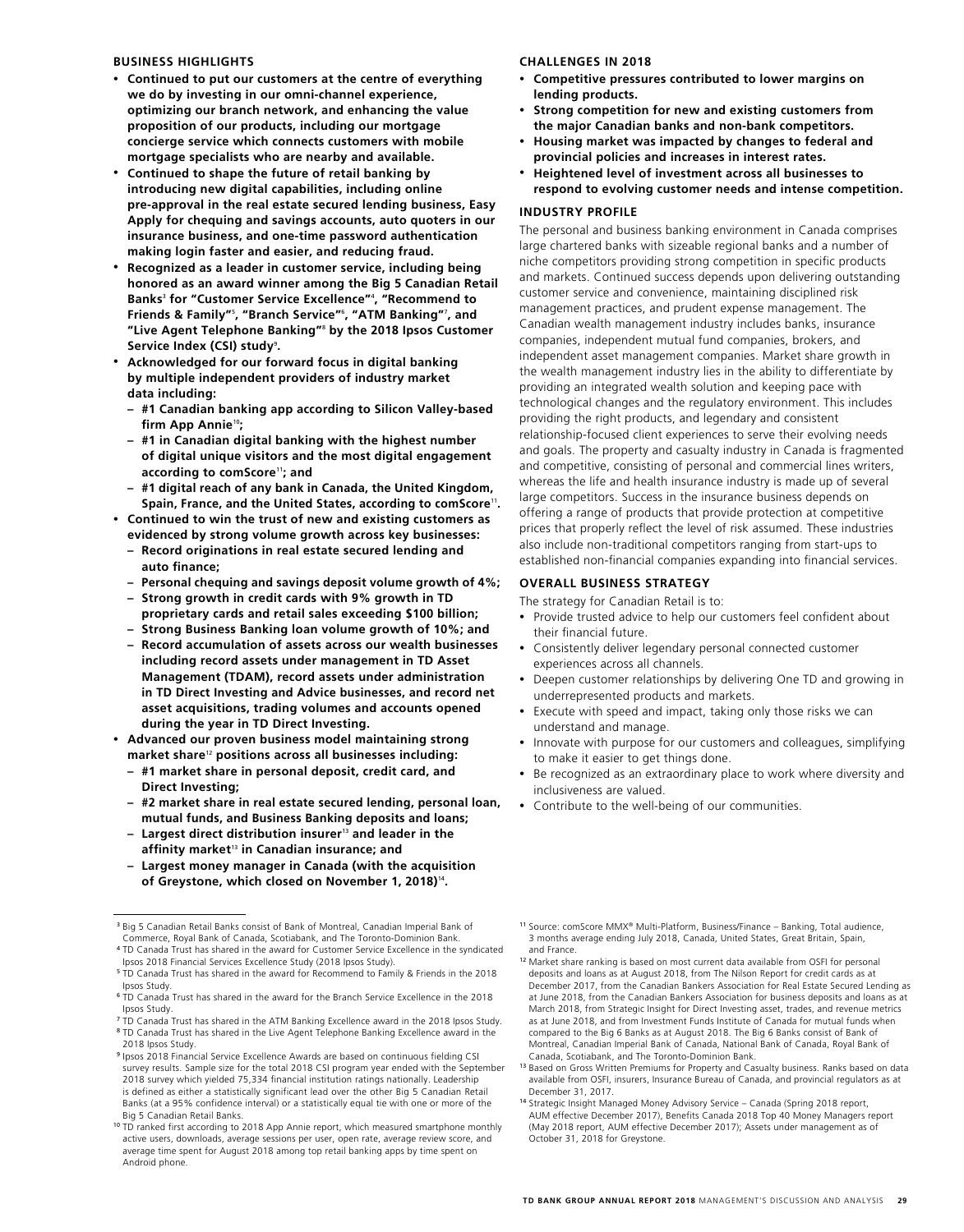#### **BUSINESS HIGHLIGHTS**

- **• Continued to put our customers at the centre of everything we do by investing in our omni-channel experience, optimizing our branch network, and enhancing the value proposition of our products, including our mortgage concierge service which connects customers with mobile mortgage specialists who are nearby and available.**
- **• Continued to shape the future of retail banking by introducing new digital capabilities, including online pre-approval in the real estate secured lending business, Easy Apply for chequing and savings accounts, auto quoters in our insurance business, and one-time password authentication making login faster and easier, and reducing fraud.**
- **• Recognized as a leader in customer service, including being honored as an award winner among the Big 5 Canadian Retail Banks**<sup>3</sup>  **for "Customer Service Excellence"**<sup>4</sup> **, "Recommend to Friends & Family"**<sup>5</sup> **, "Branch Service"**<sup>6</sup> **, "ATM Banking"**<sup>7</sup> **, and "Live Agent Telephone Banking"**<sup>8</sup>  **by the 2018 Ipsos Customer**  Service Index (CSI) study<sup>9</sup>.
- **• Acknowledged for our forward focus in digital banking by multiple independent providers of industry market data including:**
	- **– #1 Canadian banking app according to Silicon Valley-based firm App Annie**10**;**
	- **– #1 in Canadian digital banking with the highest number of digital unique visitors and the most digital engagement according to comScore**11**; and**
	- **– #1 digital reach of any bank in Canada, the United Kingdom, Spain, France, and the United States, according to comScore**11**.**
- **• Continued to win the trust of new and existing customers as evidenced by strong volume growth across key businesses:**
	- **– Record originations in real estate secured lending and auto finance;**
	- **– Personal chequing and savings deposit volume growth of 4%;**
	- **– Strong growth in credit cards with 9% growth in TD proprietary cards and retail sales exceeding \$100 billion;**
	- **– Strong Business Banking loan volume growth of 10%; and – Record accumulation of assets across our wealth businesses including record assets under management in TD Asset Management (TDAM), record assets under administration in TD Direct Investing and Advice businesses, and record net asset acquisitions, trading volumes and accounts opened during the year in TD Direct Investing.**
- **• Advanced our proven business model maintaining strong market share**12 **positions across all businesses including:**
	- **– #1 market share in personal deposit, credit card, and Direct Investing;**
	- **– #2 market share in real estate secured lending, personal loan, mutual funds, and Business Banking deposits and loans;**
	- **– Largest direct distribution insurer**13 **and leader in the affinity market**13 **in Canadian insurance; and**
	- **– Largest money manager in Canada (with the acquisition of Greystone, which closed on November 1, 2018)**14**.**

#### **CHALLENGES IN 2018**

- **• Competitive pressures contributed to lower margins on lending products.**
- **• Strong competition for new and existing customers from the major Canadian banks and non-bank competitors.**
- **• Housing market was impacted by changes to federal and provincial policies and increases in interest rates.**
- **• Heightened level of investment across all businesses to respond to evolving customer needs and intense competition.**

#### **INDUSTRY PROFILE**

The personal and business banking environment in Canada comprises large chartered banks with sizeable regional banks and a number of niche competitors providing strong competition in specific products and markets. Continued success depends upon delivering outstanding customer service and convenience, maintaining disciplined risk management practices, and prudent expense management. The Canadian wealth management industry includes banks, insurance companies, independent mutual fund companies, brokers, and independent asset management companies. Market share growth in the wealth management industry lies in the ability to differentiate by providing an integrated wealth solution and keeping pace with technological changes and the regulatory environment. This includes providing the right products, and legendary and consistent relationship-focused client experiences to serve their evolving needs and goals. The property and casualty industry in Canada is fragmented and competitive, consisting of personal and commercial lines writers, whereas the life and health insurance industry is made up of several large competitors. Success in the insurance business depends on offering a range of products that provide protection at competitive prices that properly reflect the level of risk assumed. These industries also include non-traditional competitors ranging from start-ups to established non-financial companies expanding into financial services.

#### **OVERALL BUSINESS STRATEGY**

The strategy for Canadian Retail is to:

- Provide trusted advice to help our customers feel confident about their financial future.
- Consistently deliver legendary personal connected customer experiences across all channels.
- Deepen customer relationships by delivering One TD and growing in underrepresented products and markets.
- Execute with speed and impact, taking only those risks we can understand and manage.
- Innovate with purpose for our customers and colleagues, simplifying to make it easier to get things done.
- Be recognized as an extraordinary place to work where diversity and inclusiveness are valued.
- Contribute to the well-being of our communities.

<sup>3</sup> Big 5 Canadian Retail Banks consist of Bank of Montreal, Canadian Imperial Bank of Commerce, Royal Bank of Canada, Scotiabank, and The Toronto-Dominion Bank.

<sup>4</sup> TD Canada Trust has shared in the award for Customer Service Excellence in the syndicated Ipsos 2018 Financial Services Excellence Study (2018 Ipsos Study).

<sup>5</sup> TD Canada Trust has shared in the award for Recommend to Family & Friends in the 2018 Ipsos Study.

<sup>6</sup> TD Canada Trust has shared in the award for the Branch Service Excellence in the 2018 Ipsos Study.

 <sup>7</sup> TD Canada Trust has shared in the ATM Banking Excellence award in the 2018 Ipsos Study.<sup>8</sup> TD Canada Trust has shared in the Live Agent Telephone Banking Excellence award in the 2018 Ipsos Study.

<sup>9</sup> Ipsos 2018 Financial Service Excellence Awards are based on continuous fielding CSI survey results. Sample size for the total 2018 CSI program year ended with the September 2018 survey which yielded 75,334 financial institution ratings nationally. Leadership is defined as either a statistically significant lead over the other Big 5 Canadian Retail Banks (at a 95% confidence interval) or a statistically equal tie with one or more of the Big 5 Canadian Retail Banks.

<sup>&</sup>lt;sup>10</sup> TD ranked first according to 2018 App Annie report, which measured smartphone monthly active users, downloads, average sessions per user, open rate, average review score, and average time spent for August 2018 among top retail banking apps by time spent on Android phone.

<sup>11</sup> Source: comScore MMX® Multi-Platform, Business/Finance – Banking, Total audience, 3 months average ending July 2018, Canada, United States, Great Britain, Spain, and France.

<sup>12</sup> Market share ranking is based on most current data available from OSFI for personal deposits and loans as at August 2018, from The Nilson Report for credit cards as at December 2017, from the Canadian Bankers Association for Real Estate Secured Lending as at June 2018, from the Canadian Bankers Association for business deposits and loans as at March 2018, from Strategic Insight for Direct Investing asset, trades, and revenue metrics as at June 2018, and from Investment Funds Institute of Canada for mutual funds when compared to the Big 6 Banks as at August 2018. The Big 6 Banks consist of Bank of Montreal, Canadian Imperial Bank of Canada, National Bank of Canada, Royal Bank of Canada, Scotiabank, and The Toronto-Dominion Bank.

<sup>13</sup> Based on Gross Written Premiums for Property and Casualty business. Ranks based on data available from OSFI, insurers, Insurance Bureau of Canada, and provincial regulators as at December 31, 2017.

<sup>14</sup> Strategic Insight Managed Money Advisory Service – Canada (Spring 2018 report, AUM effective December 2017), Benefits Canada 2018 Top 40 Money Managers report (May 2018 report, AUM effective December 2017); Assets under management as of October 31, 2018 for Greystone.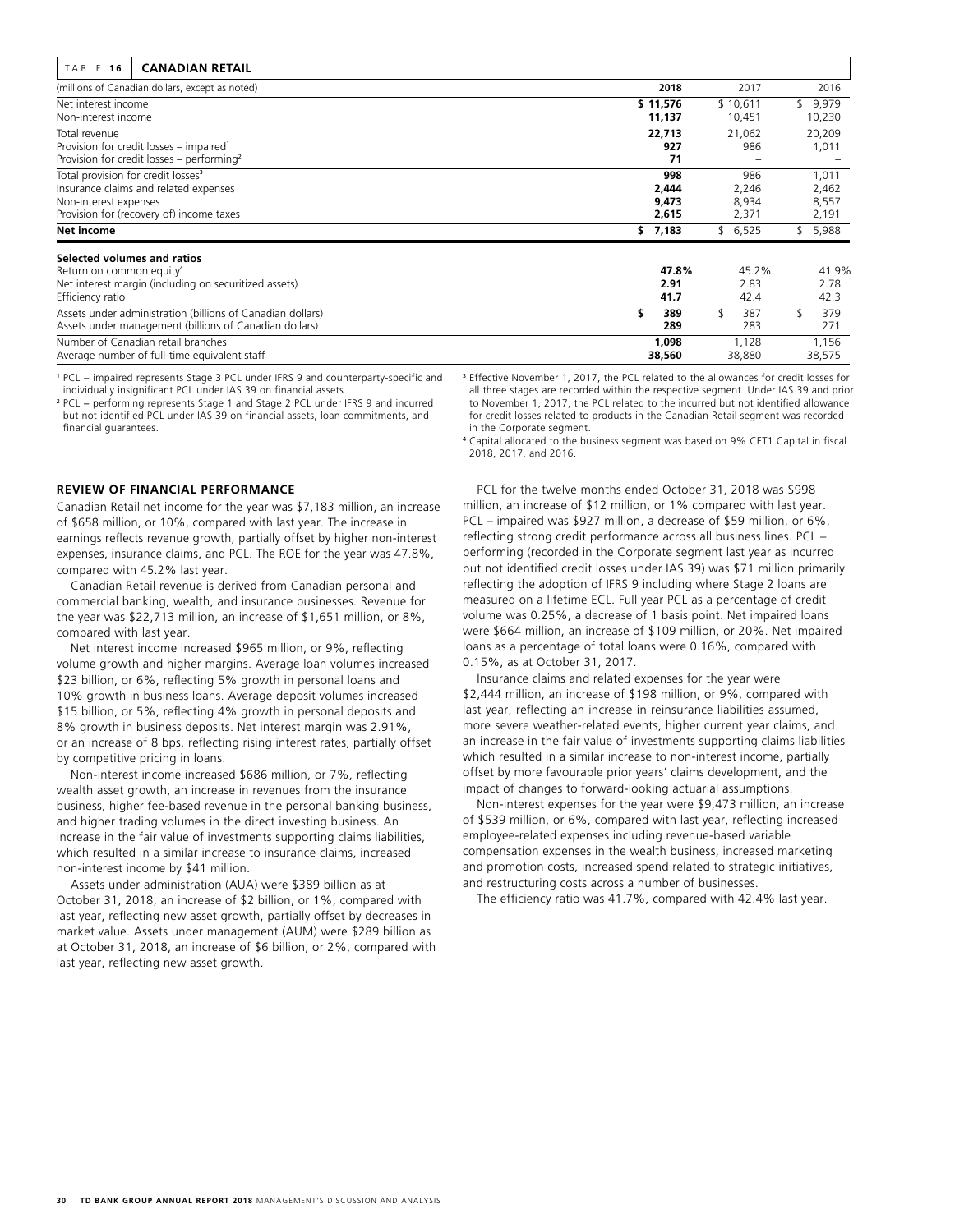| TABLE 16                                       | <b>CANADIAN RETAIL</b>                                     |          |                    |           |
|------------------------------------------------|------------------------------------------------------------|----------|--------------------|-----------|
|                                                | (millions of Canadian dollars, except as noted)            | 2018     | 2017               | 2016      |
| Net interest income                            |                                                            | \$11,576 | \$10,611           | 9,979     |
| Non-interest income                            |                                                            | 11,137   | 10,451             | 10,230    |
| Total revenue                                  |                                                            | 22,713   | 21,062             | 20,209    |
|                                                | Provision for credit losses – impaired <sup>1</sup>        | 927      | 986                | 1,011     |
|                                                | Provision for credit losses – performing <sup>2</sup>      | 71       |                    |           |
| Total provision for credit losses <sup>3</sup> |                                                            | 998      | 986                | 1,011     |
|                                                | Insurance claims and related expenses                      | 2,444    | 2,246              | 2,462     |
| Non-interest expenses                          |                                                            | 9,473    | 8,934              | 8,557     |
|                                                | Provision for (recovery of) income taxes                   | 2,615    | 2,371              | 2,191     |
| Net income                                     |                                                            | \$7,183  | \$.<br>6,525       | 5,988     |
| Selected volumes and ratios                    |                                                            |          |                    |           |
| Return on common equity <sup>4</sup>           |                                                            | 47.8%    | 45.2%              | 41.9%     |
|                                                | Net interest margin (including on securitized assets)      | 2.91     | 2.83               | 2.78      |
| Efficiency ratio                               |                                                            | 41.7     | 42.4               | 42.3      |
|                                                | Assets under administration (billions of Canadian dollars) | 389      | $\mathbf S$<br>387 | \$<br>379 |
|                                                | Assets under management (billions of Canadian dollars)     | 289      | 283                | 271       |
|                                                | Number of Canadian retail branches                         | 1,098    | 1,128              | 1,156     |
|                                                | Average number of full-time equivalent staff               | 38,560   | 38,880             | 38,575    |

1 PCL – impaired represents Stage 3 PCL under IFRS 9 and counterparty-specific and individually insignificant PCL under IAS 39 on financial assets.

<sup>2</sup> PCL − performing represents Stage 1 and Stage 2 PCL under IFRS 9 and incurred but not identified PCL under IAS 39 on financial assets, loan commitments, and financial guarantees.

<sup>3</sup> Effective November 1, 2017, the PCL related to the allowances for credit losses for all three stages are recorded within the respective segment. Under IAS 39 and prior to November 1, 2017, the PCL related to the incurred but not identified allowance for credit losses related to products in the Canadian Retail segment was recorded in the Corporate segment.

<sup>4</sup> Capital allocated to the business segment was based on 9% CET1 Capital in fiscal 2018, 2017, and 2016.

#### **REVIEW OF FINANCIAL PERFORMANCE**

Canadian Retail net income for the year was \$7,183 million, an increase of \$658 million, or 10%, compared with last year. The increase in earnings reflects revenue growth, partially offset by higher non-interest expenses, insurance claims, and PCL. The ROE for the year was 47.8%, compared with 45.2% last year.

Canadian Retail revenue is derived from Canadian personal and commercial banking, wealth, and insurance businesses. Revenue for the year was \$22,713 million, an increase of \$1,651 million, or 8%, compared with last year.

Net interest income increased \$965 million, or 9%, reflecting volume growth and higher margins. Average loan volumes increased \$23 billion, or 6%, reflecting 5% growth in personal loans and 10% growth in business loans. Average deposit volumes increased \$15 billion, or 5%, reflecting 4% growth in personal deposits and 8% growth in business deposits. Net interest margin was 2.91%, or an increase of 8 bps, reflecting rising interest rates, partially offset by competitive pricing in loans.

Non-interest income increased \$686 million, or 7%, reflecting wealth asset growth, an increase in revenues from the insurance business, higher fee-based revenue in the personal banking business, and higher trading volumes in the direct investing business. An increase in the fair value of investments supporting claims liabilities, which resulted in a similar increase to insurance claims, increased non-interest income by \$41 million.

Assets under administration (AUA) were \$389 billion as at October 31, 2018, an increase of \$2 billion, or 1%, compared with last year, reflecting new asset growth, partially offset by decreases in market value. Assets under management (AUM) were \$289 billion as at October 31, 2018, an increase of \$6 billion, or 2%, compared with last year, reflecting new asset growth.

PCL for the twelve months ended October 31, 2018 was \$998 million, an increase of \$12 million, or 1% compared with last year. PCL – impaired was \$927 million, a decrease of \$59 million, or 6%, reflecting strong credit performance across all business lines. PCL – performing (recorded in the Corporate segment last year as incurred but not identified credit losses under IAS 39) was \$71 million primarily reflecting the adoption of IFRS 9 including where Stage 2 loans are measured on a lifetime ECL. Full year PCL as a percentage of credit volume was 0.25%, a decrease of 1 basis point. Net impaired loans were \$664 million, an increase of \$109 million, or 20%. Net impaired loans as a percentage of total loans were 0.16%, compared with 0.15%, as at October 31, 2017.

Insurance claims and related expenses for the year were \$2,444 million, an increase of \$198 million, or 9%, compared with last year, reflecting an increase in reinsurance liabilities assumed, more severe weather-related events, higher current year claims, and an increase in the fair value of investments supporting claims liabilities which resulted in a similar increase to non-interest income, partially offset by more favourable prior years' claims development, and the impact of changes to forward-looking actuarial assumptions.

Non-interest expenses for the year were \$9,473 million, an increase of \$539 million, or 6%, compared with last year, reflecting increased employee-related expenses including revenue-based variable compensation expenses in the wealth business, increased marketing and promotion costs, increased spend related to strategic initiatives, and restructuring costs across a number of businesses.

The efficiency ratio was 41.7%, compared with 42.4% last year.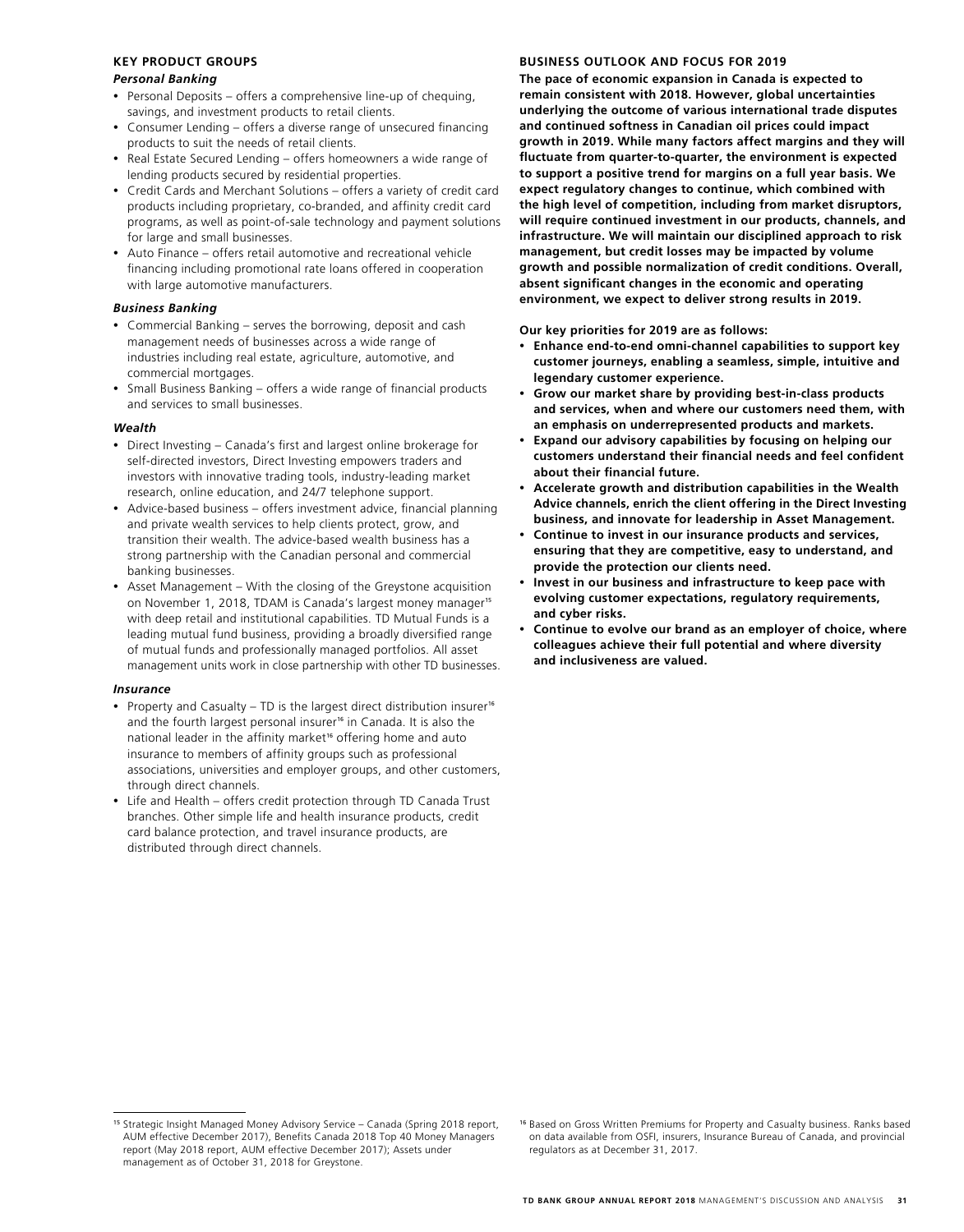#### **KEY PRODUCT GROUPS**

#### *Personal Banking*

- Personal Deposits offers a comprehensive line-up of chequing, savings, and investment products to retail clients.
- Consumer Lending offers a diverse range of unsecured financing products to suit the needs of retail clients.
- Real Estate Secured Lending offers homeowners a wide range of lending products secured by residential properties.
- Credit Cards and Merchant Solutions offers a variety of credit card products including proprietary, co-branded, and affinity credit card programs, as well as point-of-sale technology and payment solutions for large and small businesses.
- Auto Finance offers retail automotive and recreational vehicle financing including promotional rate loans offered in cooperation with large automotive manufacturers.

#### *Business Banking*

- Commercial Banking serves the borrowing, deposit and cash management needs of businesses across a wide range of industries including real estate, agriculture, automotive, and commercial mortgages.
- Small Business Banking offers a wide range of financial products and services to small businesses.

#### *Wealth*

- Direct Investing Canada's first and largest online brokerage for self-directed investors, Direct Investing empowers traders and investors with innovative trading tools, industry-leading market research, online education, and 24/7 telephone support.
- Advice-based business offers investment advice, financial planning and private wealth services to help clients protect, grow, and transition their wealth. The advice-based wealth business has a strong partnership with the Canadian personal and commercial banking businesses.
- Asset Management With the closing of the Greystone acquisition on November 1, 2018, TDAM is Canada's largest money manager<sup>15</sup> with deep retail and institutional capabilities. TD Mutual Funds is a leading mutual fund business, providing a broadly diversified range of mutual funds and professionally managed portfolios. All asset management units work in close partnership with other TD businesses.

#### *Insurance*

- Property and Casualty TD is the largest direct distribution insurer<sup>16</sup> and the fourth largest personal insurer<sup>16</sup> in Canada. It is also the national leader in the affinity market<sup>16</sup> offering home and auto insurance to members of affinity groups such as professional associations, universities and employer groups, and other customers, through direct channels.
- Life and Health offers credit protection through TD Canada Trust branches. Other simple life and health insurance products, credit card balance protection, and travel insurance products, are distributed through direct channels.

#### **BUSINESS OUTLOOK AND FOCUS FOR 2019**

**The pace of economic expansion in Canada is expected to remain consistent with 2018. However, global uncertainties underlying the outcome of various international trade disputes and continued softness in Canadian oil prices could impact growth in 2019. While many factors affect margins and they will fluctuate from quarter-to-quarter, the environment is expected to support a positive trend for margins on a full year basis. We expect regulatory changes to continue, which combined with the high level of competition, including from market disruptors, will require continued investment in our products, channels, and infrastructure. We will maintain our disciplined approach to risk management, but credit losses may be impacted by volume growth and possible normalization of credit conditions. Overall, absent significant changes in the economic and operating environment, we expect to deliver strong results in 2019.**

**Our key priorities for 2019 are as follows:**

- **• Enhance end-to-end omni-channel capabilities to support key customer journeys, enabling a seamless, simple, intuitive and legendary customer experience.**
- **• Grow our market share by providing best-in-class products and services, when and where our customers need them, with an emphasis on underrepresented products and markets.**
- **• Expand our advisory capabilities by focusing on helping our customers understand their financial needs and feel confident about their financial future.**
- **• Accelerate growth and distribution capabilities in the Wealth Advice channels, enrich the client offering in the Direct Investing business, and innovate for leadership in Asset Management.**
- **• Continue to invest in our insurance products and services, ensuring that they are competitive, easy to understand, and provide the protection our clients need.**
- **• Invest in our business and infrastructure to keep pace with evolving customer expectations, regulatory requirements, and cyber risks.**
- **• Continue to evolve our brand as an employer of choice, where colleagues achieve their full potential and where diversity and inclusiveness are valued.**

<sup>15</sup> Strategic Insight Managed Money Advisory Service – Canada (Spring 2018 report, AUM effective December 2017), Benefits Canada 2018 Top 40 Money Managers report (May 2018 report, AUM effective December 2017); Assets under management as of October 31, 2018 for Greystone.

<sup>16</sup> Based on Gross Written Premiums for Property and Casualty business. Ranks based on data available from OSFI, insurers, Insurance Bureau of Canada, and provincial regulators as at December 31, 2017.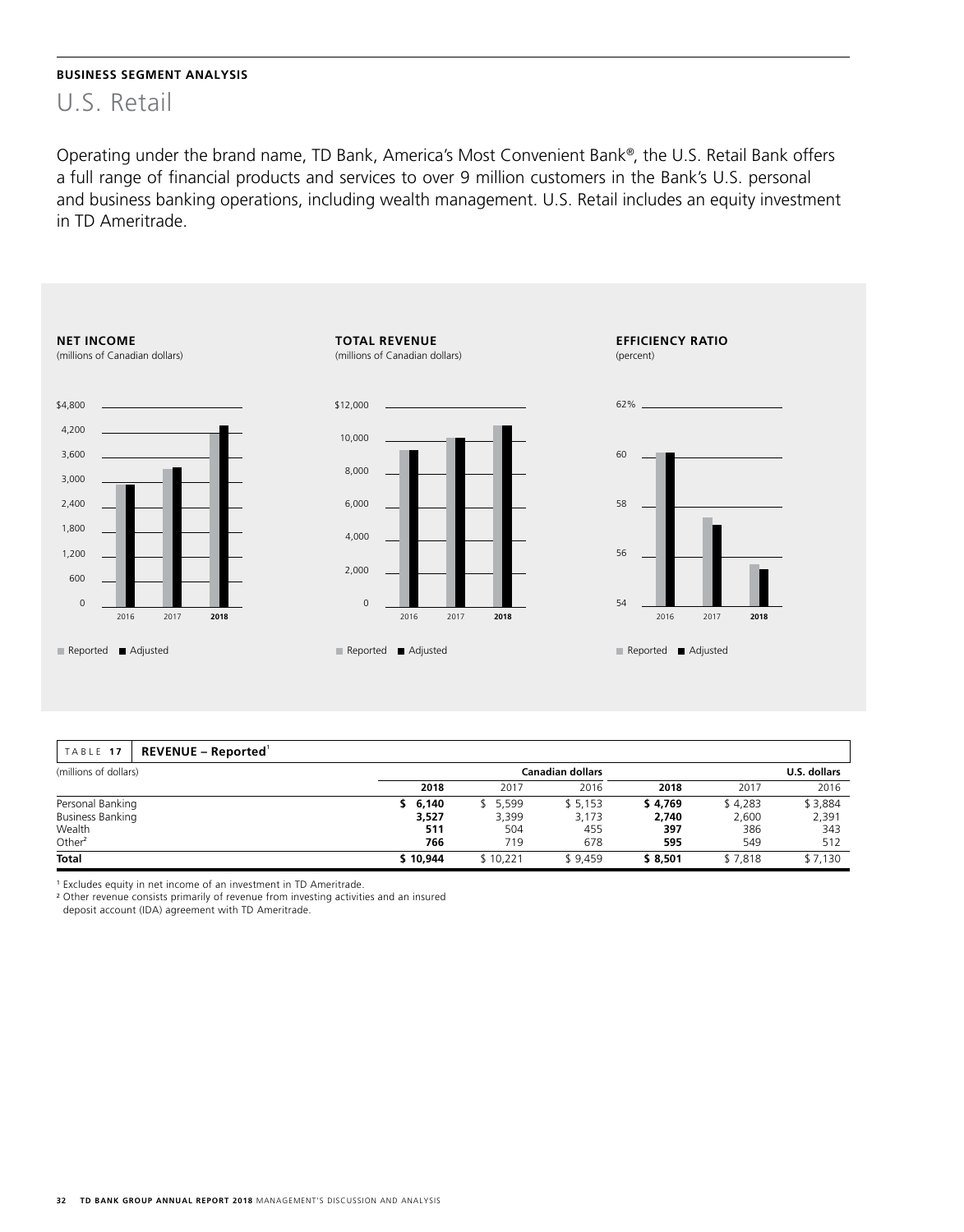#### <span id="page-19-0"></span>**BUSINESS SEGMENT ANALYSIS**

U.S. Retail

Operating under the brand name, TD Bank, America's Most Convenient Bank®, the U.S. Retail Bank offers a full range of financial products and services to over 9 million customers in the Bank's U.S. personal and business banking operations, including wealth management. U.S. Retail includes an equity investment in TD Ameritrade.



| TABLE 17                | $REVENUE - Reported'$ |          |          |                         |         |         |              |
|-------------------------|-----------------------|----------|----------|-------------------------|---------|---------|--------------|
| (millions of dollars)   |                       |          |          | <b>Canadian dollars</b> |         |         | U.S. dollars |
|                         |                       | 2018     | 2017     | 2016                    | 2018    | 2017    | 2016         |
| Personal Banking        |                       | \$6,140  | 5,599    | \$5,153                 | \$4,769 | \$4,283 | \$3,884      |
| <b>Business Banking</b> |                       | 3,527    | 3,399    | 3,173                   | 2,740   | 2,600   | 2,391        |
| Wealth                  |                       | 511      | 504      | 455                     | 397     | 386     | 343          |
| Other <sup>2</sup>      |                       | 766      | 719      | 678                     | 595     | 549     | 512          |
| <b>Total</b>            |                       | \$10,944 | \$10,221 | \$9.459                 | \$8,501 | \$7,818 | \$7,130      |

<sup>1</sup> Excludes equity in net income of an investment in TD Ameritrade.

<sup>2</sup> Other revenue consists primarily of revenue from investing activities and an insured

deposit account (IDA) agreement with TD Ameritrade.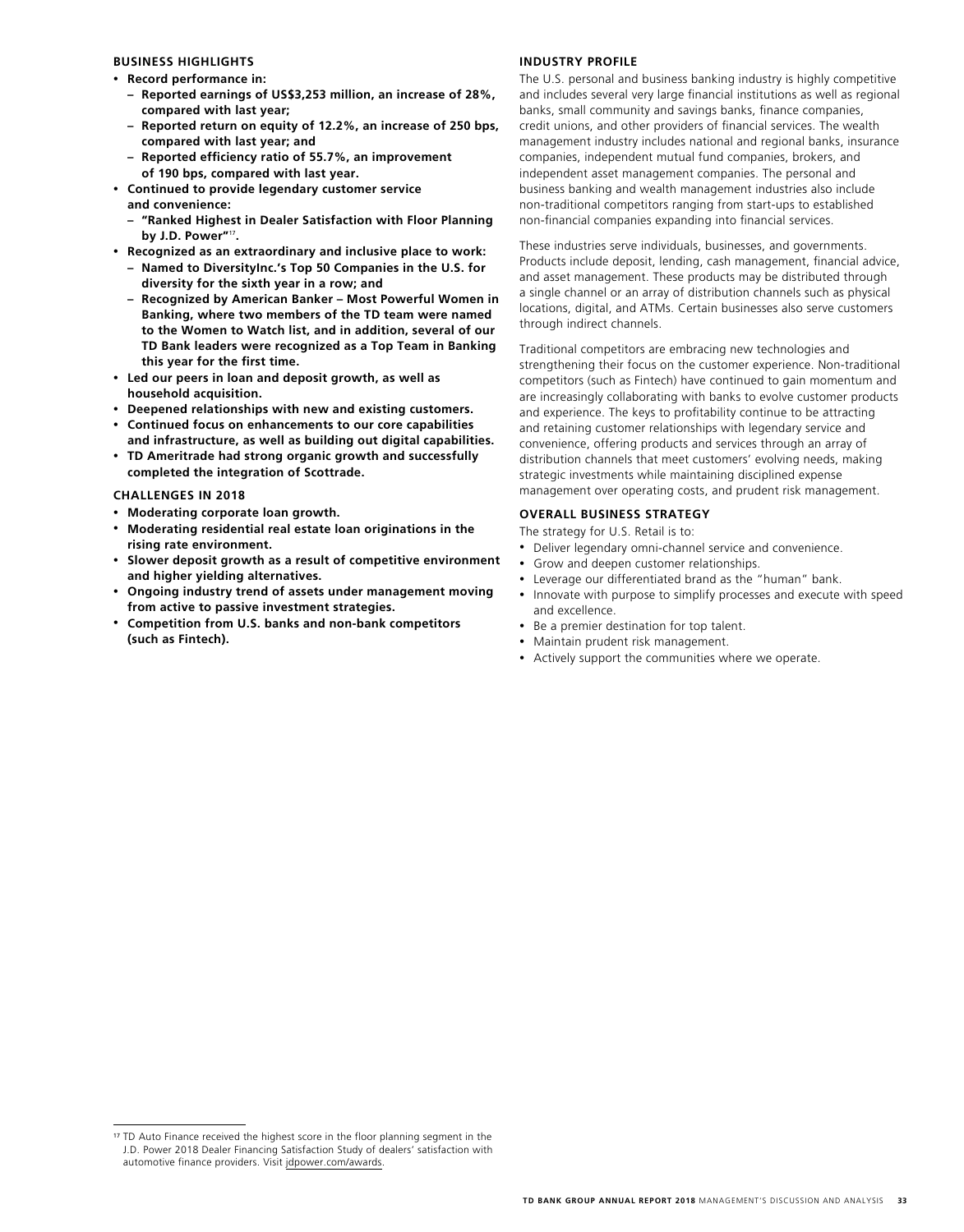#### **BUSINESS HIGHLIGHTS**

- **• Record performance in:**
	- **– Reported earnings of US\$3,253 million, an increase of 28%, compared with last year;**
	- **– Reported return on equity of 12.2%, an increase of 250 bps, compared with last year; and**
	- **– Reported efficiency ratio of 55.7%, an improvement of 190 bps, compared with last year.**
- **• Continued to provide legendary customer service and convenience:**
	- **– "Ranked Highest in Dealer Satisfaction with Floor Planning by J.D. Power"**17**.**
- **• Recognized as an extraordinary and inclusive place to work:**
- **– Named to DiversityInc.'s Top 50 Companies in the U.S. for diversity for the sixth year in a row; and**
- **– Recognized by American Banker Most Powerful Women in Banking, where two members of the TD team were named to the Women to Watch list, and in addition, several of our TD Bank leaders were recognized as a Top Team in Banking this year for the first time.**
- **• Led our peers in loan and deposit growth, as well as household acquisition.**
- **• Deepened relationships with new and existing customers.**
- **• Continued focus on enhancements to our core capabilities and infrastructure, as well as building out digital capabilities.**
- **• TD Ameritrade had strong organic growth and successfully completed the integration of Scottrade.**

#### **CHALLENGES IN 2018**

- **• Moderating corporate loan growth.**
- **• Moderating residential real estate loan originations in the rising rate environment.**
- **• Slower deposit growth as a result of competitive environment and higher yielding alternatives.**
- **• Ongoing industry trend of assets under management moving from active to passive investment strategies.**
- **• Competition from U.S. banks and non-bank competitors (such as Fintech).**

#### **INDUSTRY PROFILE**

The U.S. personal and business banking industry is highly competitive and includes several very large financial institutions as well as regional banks, small community and savings banks, finance companies, credit unions, and other providers of financial services. The wealth management industry includes national and regional banks, insurance companies, independent mutual fund companies, brokers, and independent asset management companies. The personal and business banking and wealth management industries also include non-traditional competitors ranging from start-ups to established non-financial companies expanding into financial services.

These industries serve individuals, businesses, and governments. Products include deposit, lending, cash management, financial advice, and asset management. These products may be distributed through a single channel or an array of distribution channels such as physical locations, digital, and ATMs. Certain businesses also serve customers through indirect channels.

Traditional competitors are embracing new technologies and strengthening their focus on the customer experience. Non-traditional competitors (such as Fintech) have continued to gain momentum and are increasingly collaborating with banks to evolve customer products and experience. The keys to profitability continue to be attracting and retaining customer relationships with legendary service and convenience, offering products and services through an array of distribution channels that meet customers' evolving needs, making strategic investments while maintaining disciplined expense management over operating costs, and prudent risk management.

#### **OVERALL BUSINESS STRATEGY**

The strategy for U.S. Retail is to:

- Deliver legendary omni-channel service and convenience.
- Grow and deepen customer relationships.
- Leverage our differentiated brand as the "human" bank.
- Innovate with purpose to simplify processes and execute with speed and excellence.
- Be a premier destination for top talent.
- Maintain prudent risk management.
- Actively support the communities where we operate.

<sup>17</sup> TD Auto Finance received the highest score in the floor planning segment in the J.D. Power 2018 Dealer Financing Satisfaction Study of dealers' satisfaction with automotive finance providers. Visit [jdpower.com/awards.](http://jdpower.com/awards)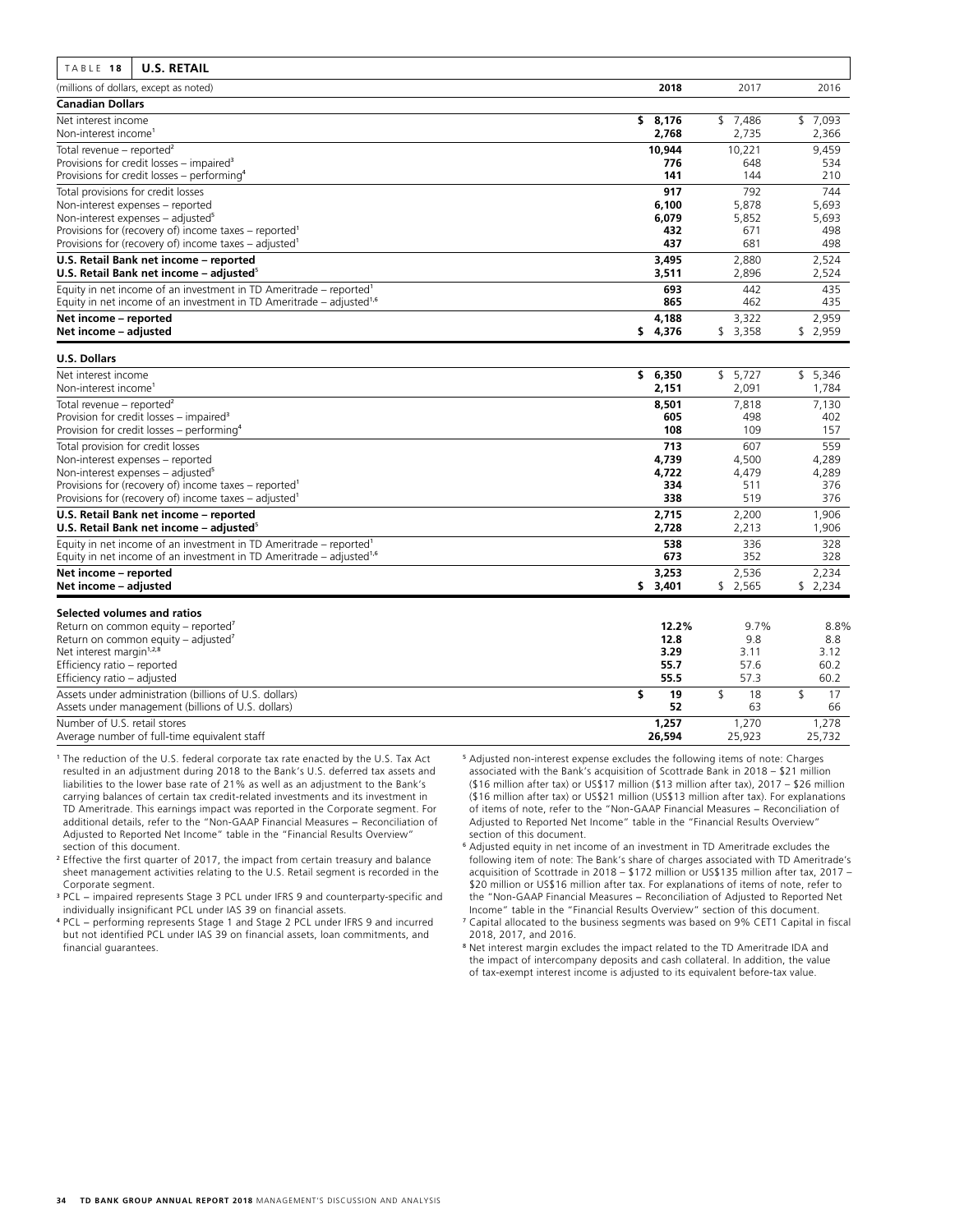| TABLE 18                                       | <b>U.S. RETAIL</b>                                                                                                 |                                                                                |                          |                  |
|------------------------------------------------|--------------------------------------------------------------------------------------------------------------------|--------------------------------------------------------------------------------|--------------------------|------------------|
|                                                | (millions of dollars, except as noted)                                                                             | 2018                                                                           | 2017                     | 2016             |
| <b>Canadian Dollars</b>                        |                                                                                                                    |                                                                                |                          |                  |
| Net interest income<br>Non-interest income     |                                                                                                                    | \$8,176<br>2.768                                                               | \$7,486<br>2.735         | \$7,093<br>2,366 |
| Total revenue - reported <sup>2</sup>          |                                                                                                                    | 10,944                                                                         | 10,221                   | 9.459            |
|                                                | Provisions for credit losses – impaired <sup>3</sup><br>Provisions for credit losses – performing <sup>4</sup>     | 776<br>141                                                                     | 648<br>144               | 534<br>210       |
| Total provisions for credit losses             |                                                                                                                    | 917                                                                            | 792                      | 744              |
|                                                | Non-interest expenses - reported                                                                                   | 6,100                                                                          | 5,878                    | 5.693            |
|                                                | Non-interest expenses - adjusted <sup>5</sup><br>Provisions for (recovery of) income taxes - reported <sup>1</sup> | 6,079<br>432                                                                   | 5.852<br>671             | 5.693<br>498     |
|                                                | Provisions for (recovery of) income taxes – adjusted <sup>1</sup>                                                  | 437                                                                            | 681                      | 498              |
|                                                | U.S. Retail Bank net income - reported                                                                             | 3,495                                                                          | 2,880                    | 2,524            |
|                                                | U.S. Retail Bank net income - adjusted <sup>5</sup>                                                                | 3,511                                                                          | 2,896                    | 2,524            |
|                                                | Equity in net income of an investment in TD Ameritrade - reported <sup>1</sup>                                     | 693                                                                            | 442                      | 435              |
|                                                | Equity in net income of an investment in TD Ameritrade – adjusted <sup>1,6</sup>                                   | 865                                                                            | 462                      | 435              |
| Net income - reported<br>Net income - adjusted |                                                                                                                    | 4.188<br>\$4,376                                                               | 3,322<br>\$3,358         | 2,959<br>\$2,959 |
|                                                |                                                                                                                    |                                                                                |                          |                  |
| <b>U.S. Dollars</b><br>Net interest income     |                                                                                                                    |                                                                                | \$5,727                  |                  |
| Non-interest income <sup>®</sup>               |                                                                                                                    | \$6,350<br>2,151                                                               | 2,091                    | \$5,346<br>1,784 |
| Total revenue - reported <sup>2</sup>          |                                                                                                                    | 8,501                                                                          | 7,818                    | 7,130            |
|                                                | Provision for credit losses - impaired <sup>3</sup>                                                                | 605                                                                            | 498                      | 402              |
|                                                | Provision for credit losses – performing <sup>4</sup>                                                              | 108                                                                            | 109                      | 157              |
| Total provision for credit losses              |                                                                                                                    | 713                                                                            | 607                      | 559              |
|                                                | Non-interest expenses – reported<br>Non-interest expenses – adjusted <sup>5</sup>                                  | 4,739<br>4,722                                                                 | 4,500<br>4,479           | 4,289<br>4,289   |
|                                                | Provisions for (recovery of) income taxes - reported <sup>1</sup>                                                  | 334                                                                            | 511                      | 376              |
|                                                | Provisions for (recovery of) income taxes – adjusted <sup>1</sup>                                                  | 338                                                                            | 519                      | 376              |
|                                                | U.S. Retail Bank net income - reported<br>U.S. Retail Bank net income – adjusted <sup>5</sup>                      | 2,715<br>2,728                                                                 | 2,200<br>2,213           | 1,906<br>1,906   |
|                                                | Equity in net income of an investment in TD Ameritrade – reported <sup>1</sup>                                     | 538                                                                            | 336                      | 328              |
|                                                | Equity in net income of an investment in TD Ameritrade - adjusted <sup>1,6</sup>                                   | 673                                                                            | 352                      | 328              |
| Net income - reported                          |                                                                                                                    | 3,253                                                                          | 2,536                    | 2,234            |
| Net income – adjusted                          |                                                                                                                    | \$3,401                                                                        | \$2,565                  | \$2,234          |
| Selected volumes and ratios                    |                                                                                                                    |                                                                                |                          |                  |
|                                                | Return on common equity – reported <sup>7</sup>                                                                    | 12.2%                                                                          | 9.7%                     | 8.8%             |
| Net interest margin <sup>1,2,8</sup>           | Return on common equity - adjusted <sup>7</sup>                                                                    | 12.8<br>3.29                                                                   | 9.8<br>3.11              | 8.8<br>3.12      |
| Efficiency ratio - reported                    |                                                                                                                    | 55.7                                                                           | 57.6                     | 60.2             |
| Efficiency ratio - adjusted                    |                                                                                                                    | 55.5                                                                           | 57.3                     | 60.2             |
|                                                | Assets under administration (billions of U.S. dollars)<br>Assets under management (billions of U.S. dollars)       | \$<br>19<br>52                                                                 | $\mathbf{S}$<br>18<br>63 | \$<br>17<br>66   |
| Number of U.S. retail stores                   |                                                                                                                    | 1,257                                                                          | 1,270                    | 1,278            |
|                                                | Average number of full-time equivalent staff                                                                       | 26,594                                                                         | 25,923                   | 25,732           |
|                                                | 1 The reduction of the LLS, federal corporate tax rate enacted by the LLS. Tax Act                                 | 5. Adjusted non-interact expense excludes the following items of note: Charges |                          |                  |

<sup>1</sup> The reduction of the U.S. federal corporate tax rate enacted by the U.S. Tax Act resulted in an adjustment during 2018 to the Bank's U.S. deferred tax assets and liabilities to the lower base rate of 21% as well as an adjustment to the Bank's carrying balances of certain tax credit-related investments and its investment in TD Ameritrade. This earnings impact was reported in the Corporate segment. For additional details, refer to the "Non-GAAP Financial Measures − Reconciliation of Adjusted to Reported Net Income" table in the "Financial Results Overview" section of this document.

<sup>2</sup> Effective the first quarter of 2017, the impact from certain treasury and balance sheet management activities relating to the U.S. Retail segment is recorded in the Corporate segment.

<sup>3</sup> PCL – impaired represents Stage 3 PCL under IFRS 9 and counterparty-specific and individually insignificant PCL under IAS 39 on financial assets.

<sup>4</sup> PCL − performing represents Stage 1 and Stage 2 PCL under IFRS 9 and incurred but not identified PCL under IAS 39 on financial assets, loan commitments, and financial guarantees.

<sup>5</sup> Adjusted non-interest expense excludes the following items of note: Charges associated with the Bank's acquisition of Scottrade Bank in 2018 – \$21 million (\$16 million after tax) or US\$17 million (\$13 million after tax), 2017 – \$26 million (\$16 million after tax) or US\$21 million (US\$13 million after tax). For explanations of items of note, refer to the "Non-GAAP Financial Measures − Reconciliation of Adjusted to Reported Net Income" table in the "Financial Results Overview" section of this document.

<sup>6</sup> Adjusted equity in net income of an investment in TD Ameritrade excludes the following item of note: The Bank's share of charges associated with TD Ameritrade's acquisition of Scottrade in 2018 – \$172 million or US\$135 million after tax, 2017 -\$20 million or US\$16 million after tax. For explanations of items of note, refer to the "Non-GAAP Financial Measures − Reconciliation of Adjusted to Reported Net Income" table in the "Financial Results Overview" section of this document. <sup>7</sup> Capital allocated to the business segments was based on 9% CET1 Capital in fiscal 2018, 2017, and 2016.

<sup>8</sup> Net interest margin excludes the impact related to the TD Ameritrade IDA and the impact of intercompany deposits and cash collateral. In addition, the value of tax-exempt interest income is adjusted to its equivalent before-tax value.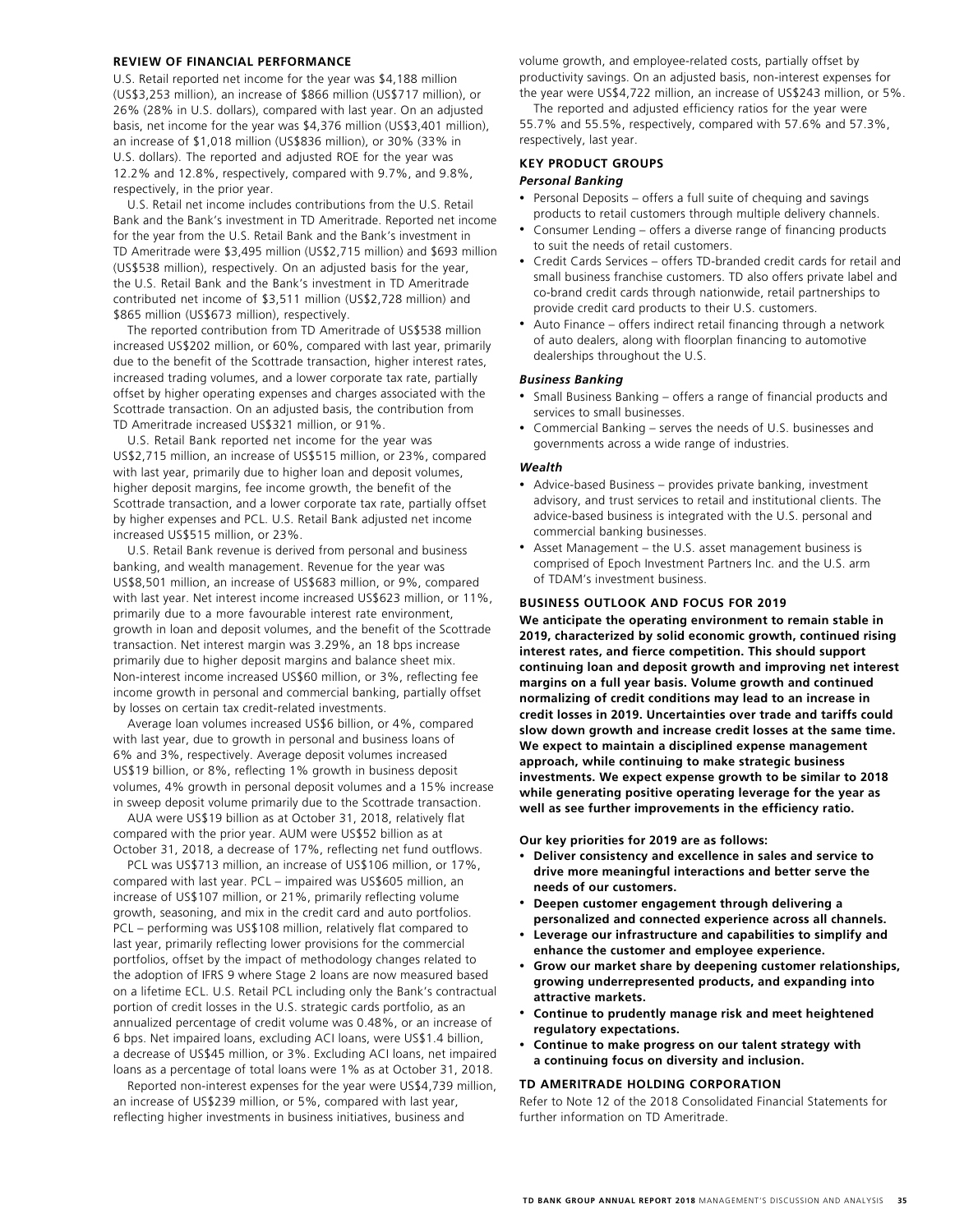#### **REVIEW OF FINANCIAL PERFORMANCE**

U.S. Retail reported net income for the year was \$4,188 million (US\$3,253 million), an increase of \$866 million (US\$717 million), or 26% (28% in U.S. dollars), compared with last year. On an adjusted basis, net income for the year was \$4,376 million (US\$3,401 million), an increase of \$1,018 million (US\$836 million), or 30% (33% in U.S. dollars). The reported and adjusted ROE for the year was 12.2% and 12.8%, respectively, compared with 9.7%, and 9.8%, respectively, in the prior year.

U.S. Retail net income includes contributions from the U.S. Retail Bank and the Bank's investment in TD Ameritrade. Reported net income for the year from the U.S. Retail Bank and the Bank's investment in TD Ameritrade were \$3,495 million (US\$2,715 million) and \$693 million (US\$538 million), respectively. On an adjusted basis for the year, the U.S. Retail Bank and the Bank's investment in TD Ameritrade contributed net income of \$3,511 million (US\$2,728 million) and \$865 million (US\$673 million), respectively.

The reported contribution from TD Ameritrade of US\$538 million increased US\$202 million, or 60%, compared with last year, primarily due to the benefit of the Scottrade transaction, higher interest rates, increased trading volumes, and a lower corporate tax rate, partially offset by higher operating expenses and charges associated with the Scottrade transaction. On an adjusted basis, the contribution from TD Ameritrade increased US\$321 million, or 91%.

U.S. Retail Bank reported net income for the year was US\$2,715 million, an increase of US\$515 million, or 23%, compared with last year, primarily due to higher loan and deposit volumes, higher deposit margins, fee income growth, the benefit of the Scottrade transaction, and a lower corporate tax rate, partially offset by higher expenses and PCL. U.S. Retail Bank adjusted net income increased US\$515 million, or 23%.

U.S. Retail Bank revenue is derived from personal and business banking, and wealth management. Revenue for the year was US\$8,501 million, an increase of US\$683 million, or 9%, compared with last year. Net interest income increased US\$623 million, or 11%, primarily due to a more favourable interest rate environment, growth in loan and deposit volumes, and the benefit of the Scottrade transaction. Net interest margin was 3.29%, an 18 bps increase primarily due to higher deposit margins and balance sheet mix. Non-interest income increased US\$60 million, or 3%, reflecting fee income growth in personal and commercial banking, partially offset by losses on certain tax credit-related investments.

Average loan volumes increased US\$6 billion, or 4%, compared with last year, due to growth in personal and business loans of 6% and 3%, respectively. Average deposit volumes increased US\$19 billion, or 8%, reflecting 1% growth in business deposit volumes, 4% growth in personal deposit volumes and a 15% increase in sweep deposit volume primarily due to the Scottrade transaction.

AUA were US\$19 billion as at October 31, 2018, relatively flat compared with the prior year. AUM were US\$52 billion as at October 31, 2018, a decrease of 17%, reflecting net fund outflows.

PCL was US\$713 million, an increase of US\$106 million, or 17%, compared with last year. PCL – impaired was US\$605 million, an increase of US\$107 million, or 21%, primarily reflecting volume growth, seasoning, and mix in the credit card and auto portfolios. PCL – performing was US\$108 million, relatively flat compared to last year, primarily reflecting lower provisions for the commercial portfolios, offset by the impact of methodology changes related to the adoption of IFRS 9 where Stage 2 loans are now measured based on a lifetime ECL. U.S. Retail PCL including only the Bank's contractual portion of credit losses in the U.S. strategic cards portfolio, as an annualized percentage of credit volume was 0.48%, or an increase of 6 bps. Net impaired loans, excluding ACI loans, were US\$1.4 billion, a decrease of US\$45 million, or 3%. Excluding ACI loans, net impaired loans as a percentage of total loans were 1% as at October 31, 2018.

Reported non-interest expenses for the year were US\$4,739 million, an increase of US\$239 million, or 5%, compared with last year, reflecting higher investments in business initiatives, business and

volume growth, and employee-related costs, partially offset by productivity savings. On an adjusted basis, non-interest expenses for the year were US\$4,722 million, an increase of US\$243 million, or 5%.

The reported and adjusted efficiency ratios for the year were 55.7% and 55.5%, respectively, compared with 57.6% and 57.3%, respectively, last year.

#### **KEY PRODUCT GROUPS**

#### *Personal Banking*

- Personal Deposits offers a full suite of chequing and savings products to retail customers through multiple delivery channels.
- Consumer Lending offers a diverse range of financing products to suit the needs of retail customers.
- Credit Cards Services offers TD-branded credit cards for retail and small business franchise customers. TD also offers private label and co-brand credit cards through nationwide, retail partnerships to provide credit card products to their U.S. customers.
- Auto Finance offers indirect retail financing through a network of auto dealers, along with floorplan financing to automotive dealerships throughout the U.S.

#### *Business Banking*

- Small Business Banking offers a range of financial products and services to small businesses.
- Commercial Banking serves the needs of U.S. businesses and governments across a wide range of industries.

#### *Wealth*

- Advice-based Business provides private banking, investment advisory, and trust services to retail and institutional clients. The advice-based business is integrated with the U.S. personal and commercial banking businesses.
- Asset Management the U.S. asset management business is comprised of Epoch Investment Partners Inc. and the U.S. arm of TDAM's investment business.

#### **BUSINESS OUTLOOK AND FOCUS FOR 2019**

**We anticipate the operating environment to remain stable in 2019, characterized by solid economic growth, continued rising interest rates, and fierce competition. This should support continuing loan and deposit growth and improving net interest margins on a full year basis. Volume growth and continued normalizing of credit conditions may lead to an increase in credit losses in 2019. Uncertainties over trade and tariffs could slow down growth and increase credit losses at the same time. We expect to maintain a disciplined expense management approach, while continuing to make strategic business investments. We expect expense growth to be similar to 2018 while generating positive operating leverage for the year as well as see further improvements in the efficiency ratio.**

**Our key priorities for 2019 are as follows:**

- **• Deliver consistency and excellence in sales and service to drive more meaningful interactions and better serve the needs of our customers.**
- **• Deepen customer engagement through delivering a personalized and connected experience across all channels.**
- **• Leverage our infrastructure and capabilities to simplify and enhance the customer and employee experience.**
- **• Grow our market share by deepening customer relationships, growing underrepresented products, and expanding into attractive markets.**
- **• Continue to prudently manage risk and meet heightened regulatory expectations.**
- **• Continue to make progress on our talent strategy with a continuing focus on diversity and inclusion.**

#### **TD AMERITRADE HOLDING CORPORATION**

Refer to Note 12 of the 2018 Consolidated Financial Statements for further information on TD Ameritrade.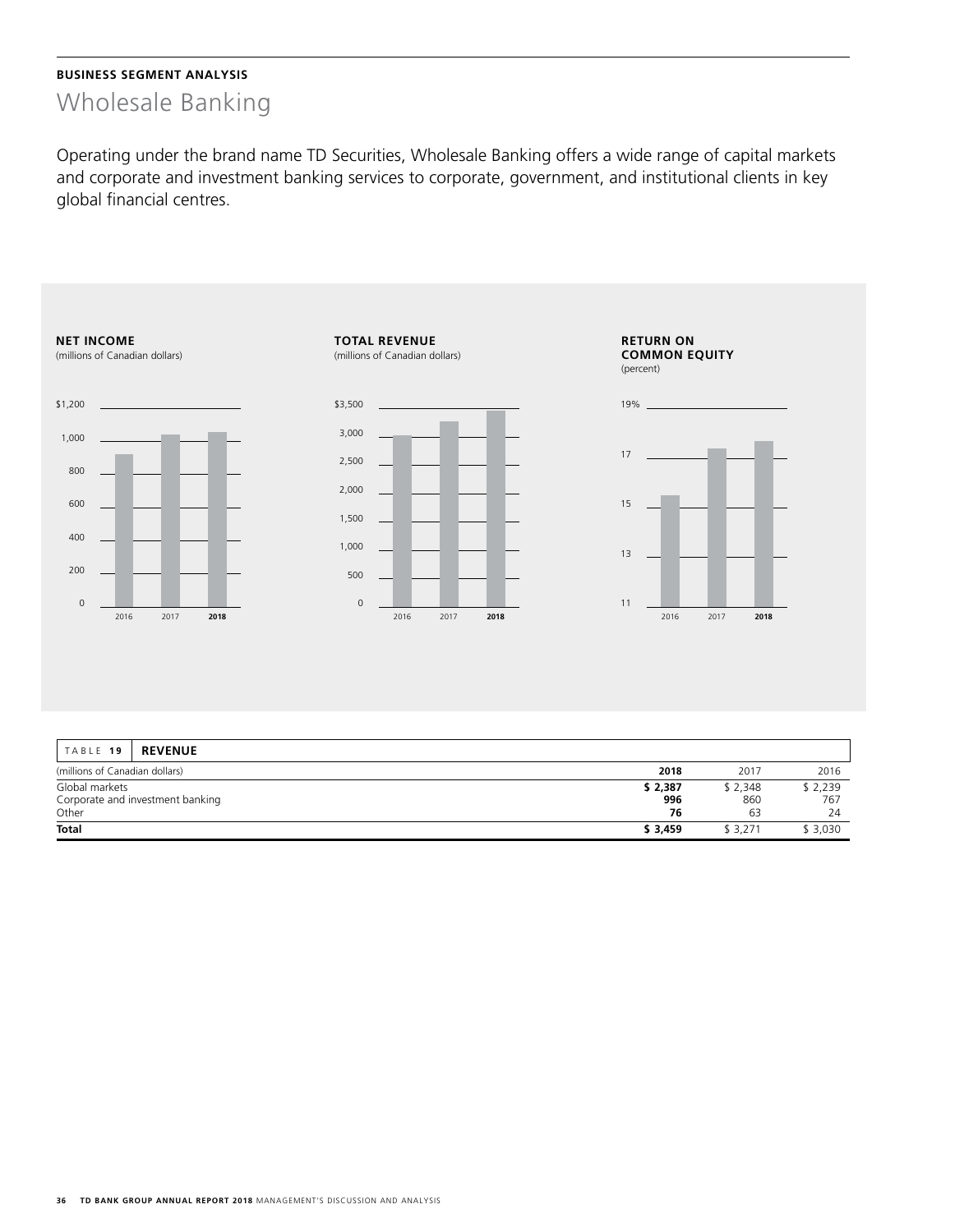### <span id="page-23-0"></span>**BUSINESS SEGMENT ANALYSIS**

# Wholesale Banking

Operating under the brand name TD Securities, Wholesale Banking offers a wide range of capital markets and corporate and investment banking services to corporate, government, and institutional clients in key global financial centres.



| TABLE 19                       | <b>REVENUE</b>                   |          |         |         |
|--------------------------------|----------------------------------|----------|---------|---------|
| (millions of Canadian dollars) |                                  | 2018     | 2017    | 2016    |
| Global markets                 |                                  | \$ 2,387 | \$2,348 | \$2,239 |
|                                | Corporate and investment banking | 996      | 860     | 767     |
| Other                          |                                  | 76       | 63      | 24      |
| Total                          |                                  | \$ 3,459 | \$3.271 | \$3,030 |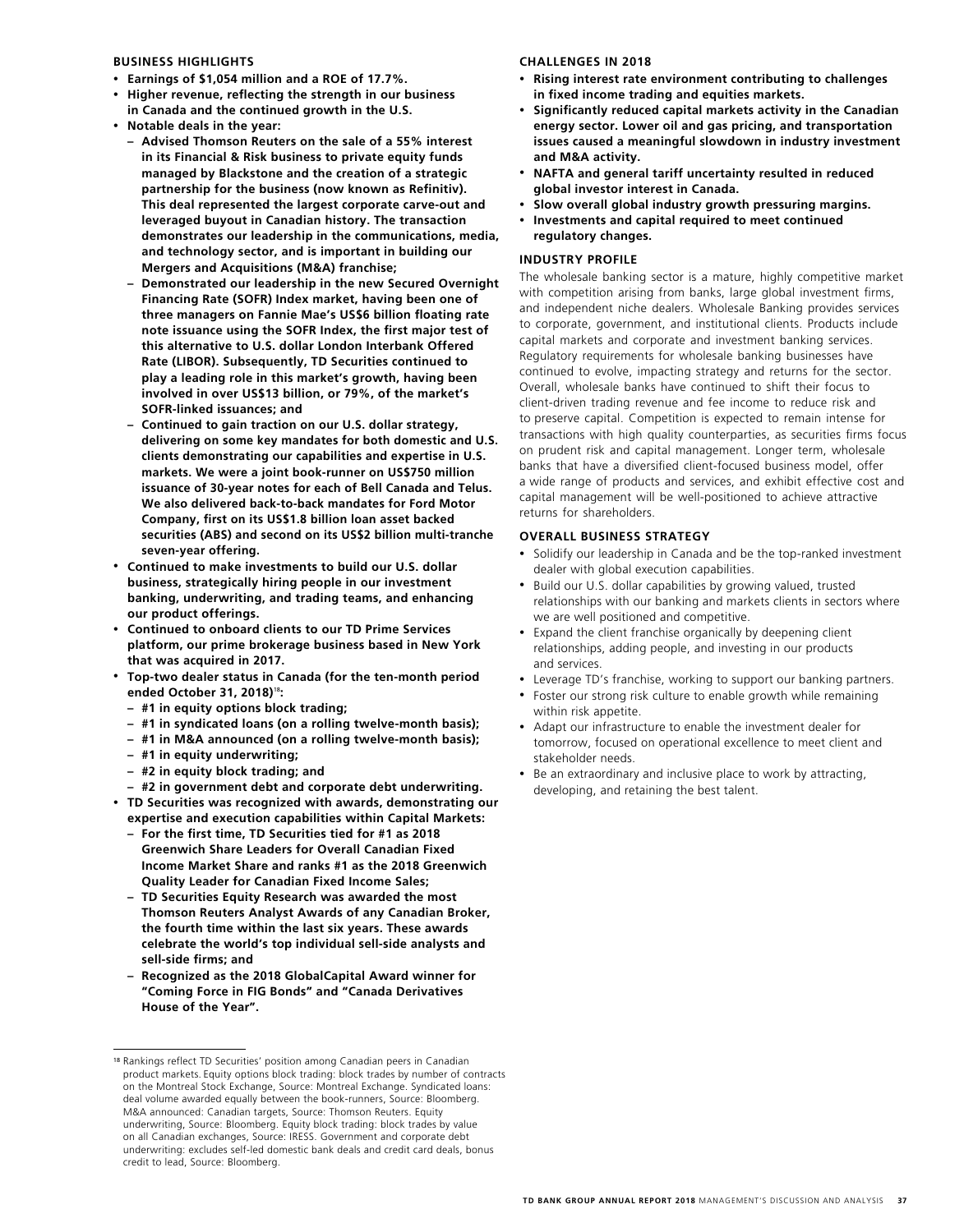#### **BUSINESS HIGHLIGHTS**

- **• Earnings of \$1,054 million and a ROE of 17.7%.**
- **• Higher revenue, reflecting the strength in our business in Canada and the continued growth in the U.S.**
- **• Notable deals in the year:**
	- **– Advised Thomson Reuters on the sale of a 55% interest in its Financial & Risk business to private equity funds managed by Blackstone and the creation of a strategic partnership for the business (now known as Refinitiv). This deal represented the largest corporate carve-out and leveraged buyout in Canadian history. The transaction demonstrates our leadership in the communications, media, and technology sector, and is important in building our Mergers and Acquisitions (M&A) franchise;**
	- **– Demonstrated our leadership in the new Secured Overnight Financing Rate (SOFR) Index market, having been one of three managers on Fannie Mae's US\$6 billion floating rate note issuance using the SOFR Index, the first major test of this alternative to U.S. dollar London Interbank Offered Rate (LIBOR). Subsequently, TD Securities continued to play a leading role in this market's growth, having been involved in over US\$13 billion, or 79%, of the market's SOFR-linked issuances; and**
	- **– Continued to gain traction on our U.S. dollar strategy, delivering on some key mandates for both domestic and U.S. clients demonstrating our capabilities and expertise in U.S. markets. We were a joint book-runner on US\$750 million issuance of 30-year notes for each of Bell Canada and Telus. We also delivered back-to-back mandates for Ford Motor Company, first on its US\$1.8 billion loan asset backed securities (ABS) and second on its US\$2 billion multi-tranche seven-year offering.**
- **• Continued to make investments to build our U.S. dollar business, strategically hiring people in our investment banking, underwriting, and trading teams, and enhancing our product offerings.**
- **• Continued to onboard clients to our TD Prime Services platform, our prime brokerage business based in New York that was acquired in 2017.**
- **• Top-two dealer status in Canada (for the ten-month period ended October 31, 2018)**18**:**
	- **– #1 in equity options block trading;**
	- **– #1 in syndicated loans (on a rolling twelve-month basis);**
	- **– #1 in M&A announced (on a rolling twelve-month basis);**
	- **– #1 in equity underwriting;**
	- **– #2 in equity block trading; and**
	- **– #2 in government debt and corporate debt underwriting.**
- **• TD Securities was recognized with awards, demonstrating our expertise and execution capabilities within Capital Markets:**
	- **– For the first time, TD Securities tied for #1 as 2018 Greenwich Share Leaders for Overall Canadian Fixed Income Market Share and ranks #1 as the 2018 Greenwich Quality Leader for Canadian Fixed Income Sales;**
	- **– TD Securities Equity Research was awarded the most Thomson Reuters Analyst Awards of any Canadian Broker, the fourth time within the last six years. These awards celebrate the world's top individual sell-side analysts and sell-side firms; and**
	- **– Recognized as the 2018 GlobalCapital Award winner for "Coming Force in FIG Bonds" and "Canada Derivatives House of the Year".**

#### **CHALLENGES IN 2018**

- **• Rising interest rate environment contributing to challenges in fixed income trading and equities markets.**
- **• Significantly reduced capital markets activity in the Canadian energy sector. Lower oil and gas pricing, and transportation issues caused a meaningful slowdown in industry investment and M&A activity.**
- **• NAFTA and general tariff uncertainty resulted in reduced global investor interest in Canada.**
- **• Slow overall global industry growth pressuring margins.**
- **• Investments and capital required to meet continued regulatory changes.**

#### **INDUSTRY PROFILE**

The wholesale banking sector is a mature, highly competitive market with competition arising from banks, large global investment firms, and independent niche dealers. Wholesale Banking provides services to corporate, government, and institutional clients. Products include capital markets and corporate and investment banking services. Regulatory requirements for wholesale banking businesses have continued to evolve, impacting strategy and returns for the sector. Overall, wholesale banks have continued to shift their focus to client-driven trading revenue and fee income to reduce risk and to preserve capital. Competition is expected to remain intense for transactions with high quality counterparties, as securities firms focus on prudent risk and capital management. Longer term, wholesale banks that have a diversified client-focused business model, offer a wide range of products and services, and exhibit effective cost and capital management will be well-positioned to achieve attractive returns for shareholders.

#### **OVERALL BUSINESS STRATEGY**

- Solidify our leadership in Canada and be the top-ranked investment dealer with global execution capabilities.
- Build our U.S. dollar capabilities by growing valued, trusted relationships with our banking and markets clients in sectors where we are well positioned and competitive.
- Expand the client franchise organically by deepening client relationships, adding people, and investing in our products and services.
- Leverage TD's franchise, working to support our banking partners.
- Foster our strong risk culture to enable growth while remaining within risk appetite.
- Adapt our infrastructure to enable the investment dealer for tomorrow, focused on operational excellence to meet client and stakeholder needs.
- Be an extraordinary and inclusive place to work by attracting, developing, and retaining the best talent.

<sup>18</sup> Rankings reflect TD Securities' position among Canadian peers in Canadian product markets. Equity options block trading: block trades by number of contracts on the Montreal Stock Exchange, Source: Montreal Exchange. Syndicated loans: deal volume awarded equally between the book-runners, Source: Bloomberg. M&A announced: Canadian targets, Source: Thomson Reuters. Equity underwriting, Source: Bloomberg. Equity block trading: block trades by value on all Canadian exchanges, Source: IRESS. Government and corporate debt underwriting: excludes self-led domestic bank deals and credit card deals, bonus credit to lead, Source: Bloomberg.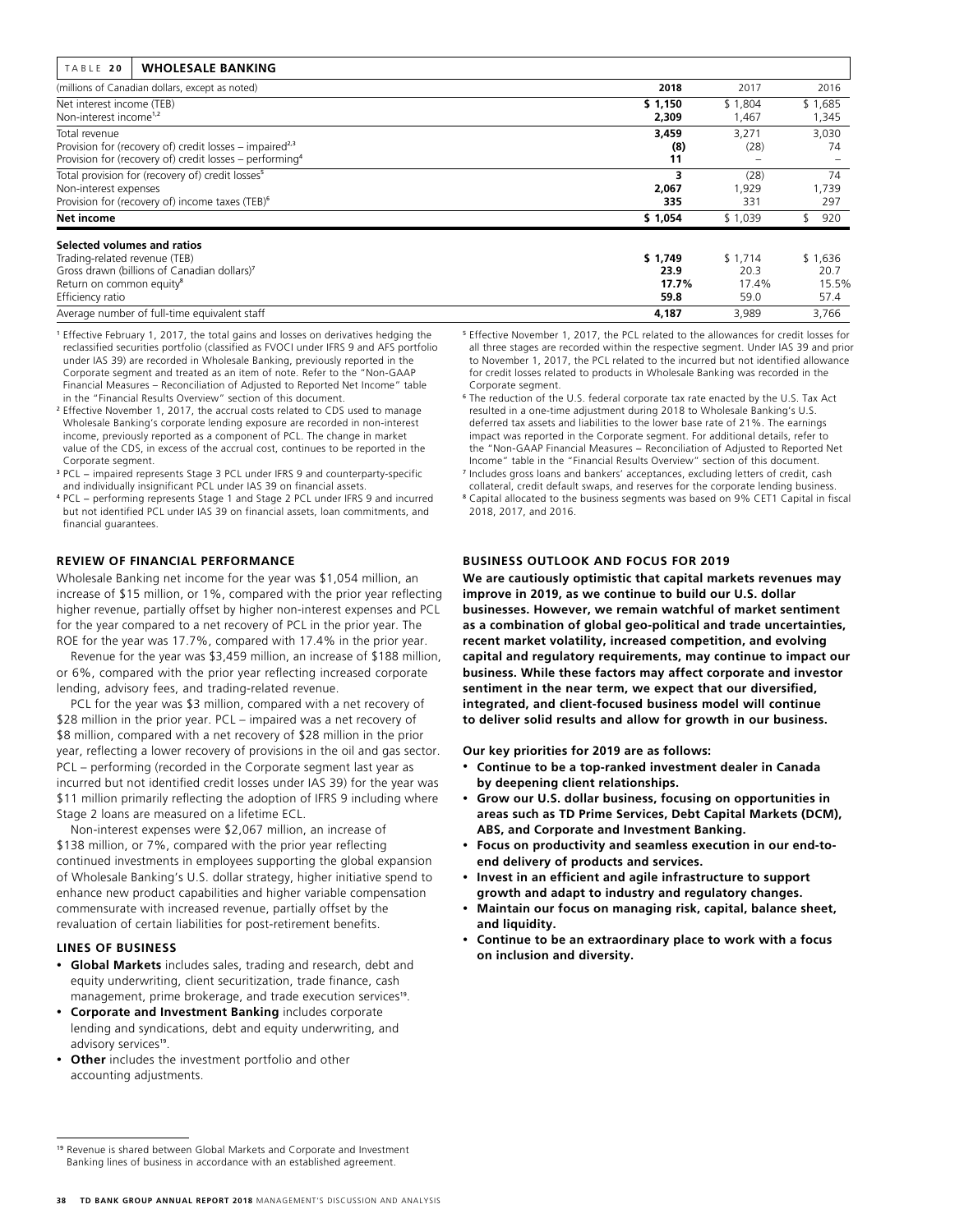| TABLE 20         | <b>WHOLESALE BANKING</b>                                                                                                                                                                                                                                                                                                                                                                                                                                                                                                                                                                                                                    |         |         |           |
|------------------|---------------------------------------------------------------------------------------------------------------------------------------------------------------------------------------------------------------------------------------------------------------------------------------------------------------------------------------------------------------------------------------------------------------------------------------------------------------------------------------------------------------------------------------------------------------------------------------------------------------------------------------------|---------|---------|-----------|
|                  |                                                                                                                                                                                                                                                                                                                                                                                                                                                                                                                                                                                                                                             | 2018    | 2017    | 2016      |
|                  |                                                                                                                                                                                                                                                                                                                                                                                                                                                                                                                                                                                                                                             | \$1.150 | \$1.804 | \$1,685   |
|                  |                                                                                                                                                                                                                                                                                                                                                                                                                                                                                                                                                                                                                                             | 2,309   | 1,467   | 1,345     |
| Total revenue    |                                                                                                                                                                                                                                                                                                                                                                                                                                                                                                                                                                                                                                             | 3.459   | 3.271   | 3,030     |
|                  |                                                                                                                                                                                                                                                                                                                                                                                                                                                                                                                                                                                                                                             | (8)     | (28)    | 74        |
|                  | (millions of Canadian dollars, except as noted)<br>Net interest income (TEB)<br>Non-interest income <sup>1,2</sup><br>Provision for (recovery of) credit losses – impaired <sup>2,3</sup><br>Provision for (recovery of) credit losses – performing <sup>4</sup><br>Total provision for (recovery of) credit losses <sup>5</sup><br>Non-interest expenses<br>Provision for (recovery of) income taxes (TEB) <sup>6</sup><br>Selected volumes and ratios<br>Trading-related revenue (TEB)<br>Gross drawn (billions of Canadian dollars) <sup>7</sup><br>Return on common equity <sup>8</sup><br>Average number of full-time equivalent staff | 11      |         |           |
|                  |                                                                                                                                                                                                                                                                                                                                                                                                                                                                                                                                                                                                                                             | 3       | (28)    | 74        |
|                  |                                                                                                                                                                                                                                                                                                                                                                                                                                                                                                                                                                                                                                             | 2,067   | 1,929   | 739, ا    |
|                  |                                                                                                                                                                                                                                                                                                                                                                                                                                                                                                                                                                                                                                             | 335     | 331     | 297       |
| Net income       |                                                                                                                                                                                                                                                                                                                                                                                                                                                                                                                                                                                                                                             | \$1.054 | \$1.039 | \$<br>920 |
|                  |                                                                                                                                                                                                                                                                                                                                                                                                                                                                                                                                                                                                                                             |         |         |           |
|                  |                                                                                                                                                                                                                                                                                                                                                                                                                                                                                                                                                                                                                                             | \$1,749 | \$1.714 | \$1,636   |
|                  |                                                                                                                                                                                                                                                                                                                                                                                                                                                                                                                                                                                                                                             | 23.9    | 20.3    | 20.7      |
|                  |                                                                                                                                                                                                                                                                                                                                                                                                                                                                                                                                                                                                                                             | 17.7%   | 17.4%   | 15.5%     |
| Efficiency ratio |                                                                                                                                                                                                                                                                                                                                                                                                                                                                                                                                                                                                                                             | 59.8    | 59.0    | 57.4      |
|                  |                                                                                                                                                                                                                                                                                                                                                                                                                                                                                                                                                                                                                                             | 4,187   | 3,989   | 3,766     |

<sup>1</sup> Effective February 1, 2017, the total gains and losses on derivatives hedging the reclassified securities portfolio (classified as FVOCI under IFRS 9 and AFS portfolio under IAS 39) are recorded in Wholesale Banking, previously reported in the Corporate segment and treated as an item of note. Refer to the "Non-GAAP Financial Measures – Reconciliation of Adjusted to Reported Net Income" table in the "Financial Results Overview" section of this document.

- <sup>2</sup> Effective November 1, 2017, the accrual costs related to CDS used to manage Wholesale Banking's corporate lending exposure are recorded in non-interest income, previously reported as a component of PCL. The change in market value of the CDS, in excess of the accrual cost, continues to be reported in the Corporate segment.
- <sup>3</sup> PCL impaired represents Stage 3 PCL under IFRS 9 and counterparty-specific and individually insignificant PCL under IAS 39 on financial assets.
- <sup>4</sup> PCL − performing represents Stage 1 and Stage 2 PCL under IFRS 9 and incurred but not identified PCL under IAS 39 on financial assets, loan commitments, and financial guarantees.

#### **REVIEW OF FINANCIAL PERFORMANCE**

Wholesale Banking net income for the year was \$1,054 million, an increase of \$15 million, or 1%, compared with the prior year reflecting higher revenue, partially offset by higher non-interest expenses and PCL for the year compared to a net recovery of PCL in the prior year. The ROE for the year was 17.7%, compared with 17.4% in the prior year.

Revenue for the year was \$3,459 million, an increase of \$188 million, or 6%, compared with the prior year reflecting increased corporate lending, advisory fees, and trading-related revenue.

PCL for the year was \$3 million, compared with a net recovery of \$28 million in the prior year. PCL – impaired was a net recovery of \$8 million, compared with a net recovery of \$28 million in the prior year, reflecting a lower recovery of provisions in the oil and gas sector. PCL – performing (recorded in the Corporate segment last year as incurred but not identified credit losses under IAS 39) for the year was \$11 million primarily reflecting the adoption of IFRS 9 including where Stage 2 loans are measured on a lifetime ECL.

Non-interest expenses were \$2,067 million, an increase of \$138 million, or 7%, compared with the prior year reflecting continued investments in employees supporting the global expansion of Wholesale Banking's U.S. dollar strategy, higher initiative spend to enhance new product capabilities and higher variable compensation commensurate with increased revenue, partially offset by the revaluation of certain liabilities for post-retirement benefits.

#### **LINES OF BUSINESS**

- **Global Markets** includes sales, trading and research, debt and equity underwriting, client securitization, trade finance, cash management, prime brokerage, and trade execution services<sup>19</sup>.
- **Corporate and Investment Banking** includes corporate lending and syndications, debt and equity underwriting, and advisory services<sup>19</sup>.
- **Other** includes the investment portfolio and other accounting adjustments.

<sup>5</sup> Effective November 1, 2017, the PCL related to the allowances for credit losses for all three stages are recorded within the respective segment. Under IAS 39 and prior to November 1, 2017, the PCL related to the incurred but not identified allowance for credit losses related to products in Wholesale Banking was recorded in the Corporate segment.

<sup>6</sup> The reduction of the U.S. federal corporate tax rate enacted by the U.S. Tax Act resulted in a one-time adjustment during 2018 to Wholesale Banking's U.S. deferred tax assets and liabilities to the lower base rate of 21%. The earnings impact was reported in the Corporate segment. For additional details, refer to the "Non-GAAP Financial Measures − Reconciliation of Adjusted to Reported Net Income" table in the "Financial Results Overview" section of this document.

<sup>7</sup> Includes gross loans and bankers' acceptances, excluding letters of credit, cash collateral, credit default swaps, and reserves for the corporate lending business.

<sup>8</sup> Capital allocated to the business segments was based on 9% CET1 Capital in fiscal 2018, 2017, and 2016.

#### **BUSINESS OUTLOOK AND FOCUS FOR 2019**

**We are cautiously optimistic that capital markets revenues may improve in 2019, as we continue to build our U.S. dollar businesses. However, we remain watchful of market sentiment as a combination of global geo-political and trade uncertainties, recent market volatility, increased competition, and evolving capital and regulatory requirements, may continue to impact our business. While these factors may affect corporate and investor sentiment in the near term, we expect that our diversified, integrated, and client-focused business model will continue to deliver solid results and allow for growth in our business.**

**Our key priorities for 2019 are as follows:**

- **• Continue to be a top-ranked investment dealer in Canada by deepening client relationships.**
- **• Grow our U.S. dollar business, focusing on opportunities in areas such as TD Prime Services, Debt Capital Markets (DCM), ABS, and Corporate and Investment Banking.**
- **• Focus on productivity and seamless execution in our end-toend delivery of products and services.**
- **• Invest in an efficient and agile infrastructure to support growth and adapt to industry and regulatory changes.**
- **• Maintain our focus on managing risk, capital, balance sheet, and liquidity.**
- **• Continue to be an extraordinary place to work with a focus on inclusion and diversity.**

<sup>&</sup>lt;sup>19</sup> Revenue is shared between Global Markets and Corporate and Investment Banking lines of business in accordance with an established agreement.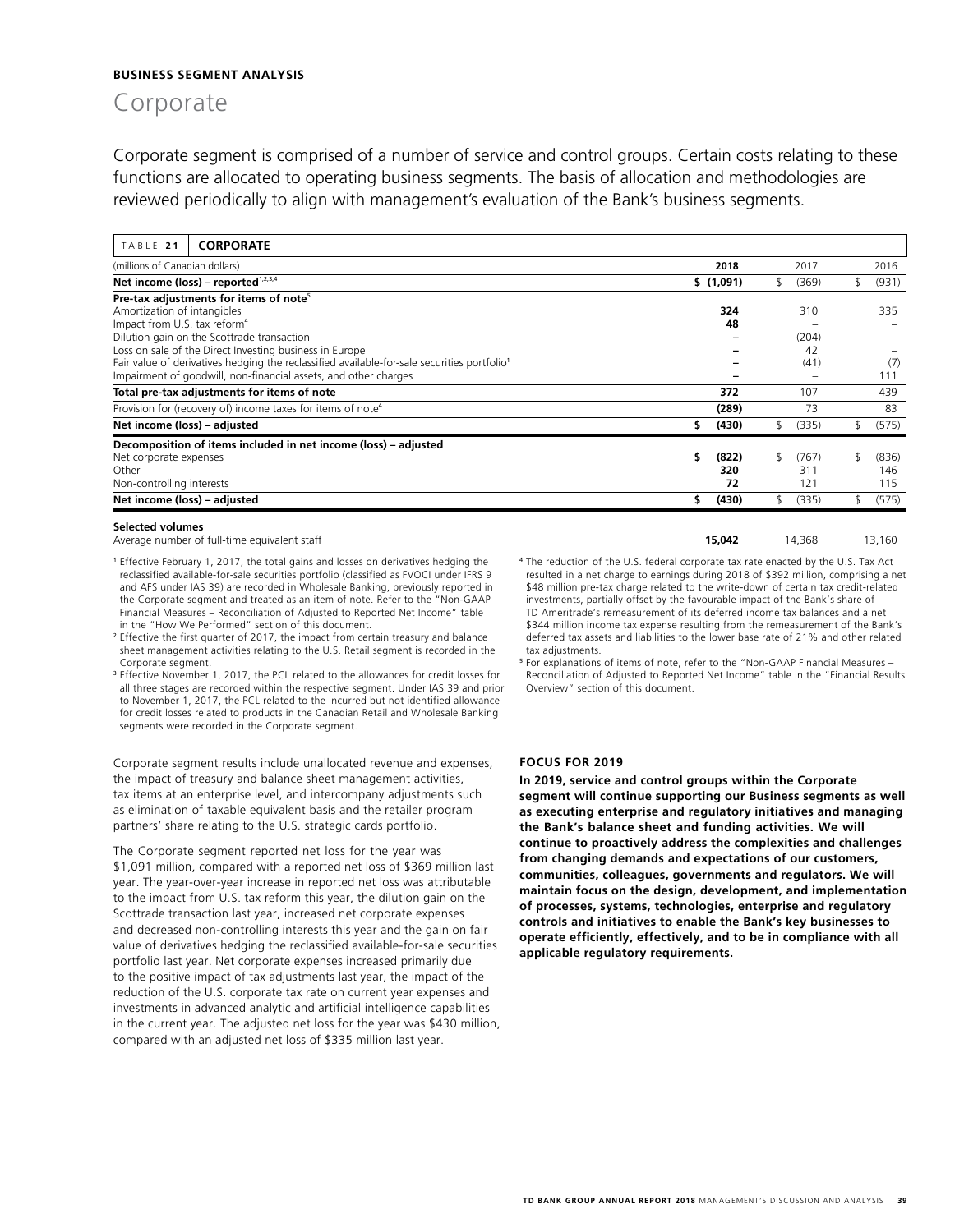#### <span id="page-26-0"></span>**BUSINESS SEGMENT ANALYSIS**

### Corporate

Corporate segment is comprised of a number of service and control groups. Certain costs relating to these functions are allocated to operating business segments. The basis of allocation and methodologies are reviewed periodically to align with management's evaluation of the Bank's business segments.

| 2017                                                                                                                                                                                                                                                                                                                                                                                                                                                                                                                                                                                                                                                                                                                                                                                                                                                                                                                                                                                                                                                      | 2016  |  |
|-----------------------------------------------------------------------------------------------------------------------------------------------------------------------------------------------------------------------------------------------------------------------------------------------------------------------------------------------------------------------------------------------------------------------------------------------------------------------------------------------------------------------------------------------------------------------------------------------------------------------------------------------------------------------------------------------------------------------------------------------------------------------------------------------------------------------------------------------------------------------------------------------------------------------------------------------------------------------------------------------------------------------------------------------------------|-------|--|
| (369)                                                                                                                                                                                                                                                                                                                                                                                                                                                                                                                                                                                                                                                                                                                                                                                                                                                                                                                                                                                                                                                     | (931) |  |
|                                                                                                                                                                                                                                                                                                                                                                                                                                                                                                                                                                                                                                                                                                                                                                                                                                                                                                                                                                                                                                                           |       |  |
| 310                                                                                                                                                                                                                                                                                                                                                                                                                                                                                                                                                                                                                                                                                                                                                                                                                                                                                                                                                                                                                                                       | 335   |  |
|                                                                                                                                                                                                                                                                                                                                                                                                                                                                                                                                                                                                                                                                                                                                                                                                                                                                                                                                                                                                                                                           |       |  |
| (204)                                                                                                                                                                                                                                                                                                                                                                                                                                                                                                                                                                                                                                                                                                                                                                                                                                                                                                                                                                                                                                                     |       |  |
| 42                                                                                                                                                                                                                                                                                                                                                                                                                                                                                                                                                                                                                                                                                                                                                                                                                                                                                                                                                                                                                                                        |       |  |
| (41)                                                                                                                                                                                                                                                                                                                                                                                                                                                                                                                                                                                                                                                                                                                                                                                                                                                                                                                                                                                                                                                      | (7)   |  |
| <b>CORPORATE</b><br>TABLE 21<br>(millions of Canadian dollars)<br>2018<br>Net income (loss) – reported $1,2,3,4$<br>\$(1,091)<br>\$.<br>Pre-tax adjustments for items of note <sup>5</sup><br>Amortization of intangibles<br>324<br>Impact from U.S. tax reform <sup>4</sup><br>48<br>Dilution gain on the Scottrade transaction<br>Loss on sale of the Direct Investing business in Europe<br>Fair value of derivatives hedging the reclassified available-for-sale securities portfolio <sup>1</sup><br>Impairment of goodwill, non-financial assets, and other charges<br>$\overline{\phantom{0}}$<br>Total pre-tax adjustments for items of note<br>372<br>107<br>Provision for (recovery of) income taxes for items of note <sup>4</sup><br>(289)<br>73<br>Net income (loss) – adjusted<br>(430)<br>(335)<br>Decomposition of items included in net income (loss) – adjusted<br>(822)<br>(767)<br>\$<br>Net corporate expenses<br>320<br>311<br>Non-controlling interests<br>121<br>72<br>Net income (loss) – adjusted<br>(430)<br>(335)<br>\$.<br>s |       |  |
|                                                                                                                                                                                                                                                                                                                                                                                                                                                                                                                                                                                                                                                                                                                                                                                                                                                                                                                                                                                                                                                           | 439   |  |
|                                                                                                                                                                                                                                                                                                                                                                                                                                                                                                                                                                                                                                                                                                                                                                                                                                                                                                                                                                                                                                                           | 83    |  |
|                                                                                                                                                                                                                                                                                                                                                                                                                                                                                                                                                                                                                                                                                                                                                                                                                                                                                                                                                                                                                                                           | (575) |  |
|                                                                                                                                                                                                                                                                                                                                                                                                                                                                                                                                                                                                                                                                                                                                                                                                                                                                                                                                                                                                                                                           |       |  |
|                                                                                                                                                                                                                                                                                                                                                                                                                                                                                                                                                                                                                                                                                                                                                                                                                                                                                                                                                                                                                                                           | (836) |  |
|                                                                                                                                                                                                                                                                                                                                                                                                                                                                                                                                                                                                                                                                                                                                                                                                                                                                                                                                                                                                                                                           | 146   |  |
|                                                                                                                                                                                                                                                                                                                                                                                                                                                                                                                                                                                                                                                                                                                                                                                                                                                                                                                                                                                                                                                           | 115   |  |
|                                                                                                                                                                                                                                                                                                                                                                                                                                                                                                                                                                                                                                                                                                                                                                                                                                                                                                                                                                                                                                                           | (575) |  |
|                                                                                                                                                                                                                                                                                                                                                                                                                                                                                                                                                                                                                                                                                                                                                                                                                                                                                                                                                                                                                                                           |       |  |

#### **Selected volumes**

Average number of full-time equivalent staff **15,042** 14,368 13,160

<sup>1</sup> Effective February 1, 2017, the total gains and losses on derivatives hedging the reclassified available-for-sale securities portfolio (classified as FVOCI under IFRS 9 and AFS under IAS 39) are recorded in Wholesale Banking, previously reported in the Corporate segment and treated as an item of note. Refer to the "Non-GAAP Financial Measures – Reconciliation of Adjusted to Reported Net Income" table in the "How We Performed" section of this document.

<sup>2</sup> Effective the first quarter of 2017, the impact from certain treasury and balance sheet management activities relating to the U.S. Retail segment is recorded in the Corporate segment.

<sup>3</sup> Effective November 1, 2017, the PCL related to the allowances for credit losses for all three stages are recorded within the respective segment. Under IAS 39 and prior to November 1, 2017, the PCL related to the incurred but not identified allowance for credit losses related to products in the Canadian Retail and Wholesale Banking segments were recorded in the Corporate segment.

Corporate segment results include unallocated revenue and expenses, the impact of treasury and balance sheet management activities, tax items at an enterprise level, and intercompany adjustments such as elimination of taxable equivalent basis and the retailer program partners' share relating to the U.S. strategic cards portfolio.

The Corporate segment reported net loss for the year was \$1,091 million, compared with a reported net loss of \$369 million last year. The year-over-year increase in reported net loss was attributable to the impact from U.S. tax reform this year, the dilution gain on the Scottrade transaction last year, increased net corporate expenses and decreased non-controlling interests this year and the gain on fair value of derivatives hedging the reclassified available-for-sale securities portfolio last year. Net corporate expenses increased primarily due to the positive impact of tax adjustments last year, the impact of the reduction of the U.S. corporate tax rate on current year expenses and investments in advanced analytic and artificial intelligence capabilities in the current year. The adjusted net loss for the year was \$430 million, compared with an adjusted net loss of \$335 million last year.

<sup>4</sup> The reduction of the U.S. federal corporate tax rate enacted by the U.S. Tax Act resulted in a net charge to earnings during 2018 of \$392 million, comprising a net \$48 million pre-tax charge related to the write-down of certain tax credit-related investments, partially offset by the favourable impact of the Bank's share of TD Ameritrade's remeasurement of its deferred income tax balances and a net \$344 million income tax expense resulting from the remeasurement of the Bank's deferred tax assets and liabilities to the lower base rate of 21% and other related tax adjustments.

<sup>5</sup> For explanations of items of note, refer to the "Non-GAAP Financial Measures -Reconciliation of Adjusted to Reported Net Income" table in the "Financial Results Overview" section of this document.

#### **FOCUS FOR 2019**

**In 2019, service and control groups within the Corporate segment will continue supporting our Business segments as well as executing enterprise and regulatory initiatives and managing the Bank's balance sheet and funding activities. We will continue to proactively address the complexities and challenges from changing demands and expectations of our customers, communities, colleagues, governments and regulators. We will maintain focus on the design, development, and implementation of processes, systems, technologies, enterprise and regulatory controls and initiatives to enable the Bank's key businesses to operate efficiently, effectively, and to be in compliance with all applicable regulatory requirements.**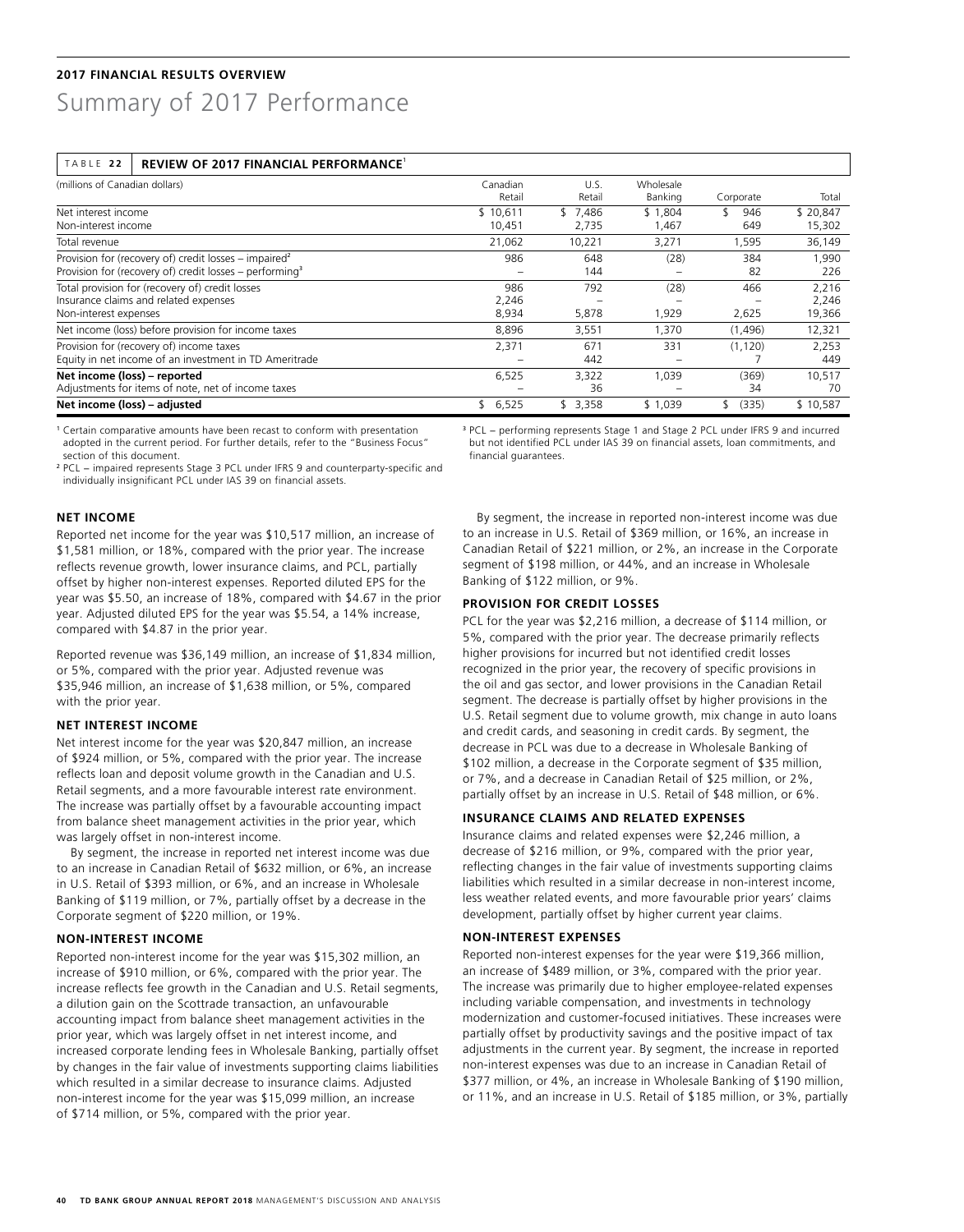#### <span id="page-27-0"></span>**2017 FINANCIAL RESULTS OVERVIEW**

# Summary of 2017 Performance

| TABLE 22                                   | <b>REVIEW OF 2017 FINANCIAL PERFORMANCE</b>                                                                                              |                       |                      |                      |                 |                          |
|--------------------------------------------|------------------------------------------------------------------------------------------------------------------------------------------|-----------------------|----------------------|----------------------|-----------------|--------------------------|
| (millions of Canadian dollars)             |                                                                                                                                          | Canadian<br>Retail    | U.S.<br>Retail       | Wholesale<br>Banking | Corporate       | Total                    |
| Net interest income<br>Non-interest income |                                                                                                                                          | \$10,611<br>10,451    | 7.486<br>\$<br>2,735 | \$1,804<br>1,467     | 946<br>≮<br>649 | \$20,847<br>15,302       |
| Total revenue                              |                                                                                                                                          | 21,062                | 10,221               | 3,271                | ,595            | 36,149                   |
|                                            | Provision for (recovery of) credit losses – impaired <sup>2</sup><br>Provision for (recovery of) credit losses – performing <sup>3</sup> | 986                   | 648<br>144           | (28)<br>-            | 384<br>82       | 1,990<br>226             |
| Non-interest expenses                      | Total provision for (recovery of) credit losses<br>Insurance claims and related expenses                                                 | 986<br>2,246<br>8,934 | 792<br>5,878         | (28)<br>1,929        | 466<br>2,625    | 2,216<br>2,246<br>19,366 |
|                                            | Net income (loss) before provision for income taxes                                                                                      | 8,896                 | 3,551                | 1,370                | (1,496)         | 12,321                   |
|                                            | Provision for (recovery of) income taxes<br>Equity in net income of an investment in TD Ameritrade                                       | 2,371                 | 671<br>442           | 331                  | (1, 120)        | 2,253<br>449             |
| Net income (loss) - reported               | Adjustments for items of note, net of income taxes                                                                                       | 6,525                 | 3,322<br>36          | 1,039                | (369)<br>34     | 10,517<br>70             |
| Net income (loss) - adjusted               |                                                                                                                                          | 6,525<br>\$.          | 3,358<br>\$          | \$1,039              | (335)           | \$10,587                 |

<sup>1</sup> Certain comparative amounts have been recast to conform with presentation adopted in the current period. For further details, refer to the "Business Focus" section of this document.

<sup>2</sup> PCL − impaired represents Stage 3 PCL under IFRS 9 and counterparty-specific and individually insignificant PCL under IAS 39 on financial assets.

**NET INCOME**

Reported net income for the year was \$10,517 million, an increase of \$1,581 million, or 18%, compared with the prior year. The increase reflects revenue growth, lower insurance claims, and PCL, partially offset by higher non-interest expenses. Reported diluted EPS for the year was \$5.50, an increase of 18%, compared with \$4.67 in the prior year. Adjusted diluted EPS for the year was \$5.54, a 14% increase, compared with \$4.87 in the prior year.

Reported revenue was \$36,149 million, an increase of \$1,834 million, or 5%, compared with the prior year. Adjusted revenue was \$35,946 million, an increase of \$1,638 million, or 5%, compared with the prior year.

#### **NET INTEREST INCOME**

Net interest income for the year was \$20,847 million, an increase of \$924 million, or 5%, compared with the prior year. The increase reflects loan and deposit volume growth in the Canadian and U.S. Retail segments, and a more favourable interest rate environment. The increase was partially offset by a favourable accounting impact from balance sheet management activities in the prior year, which was largely offset in non-interest income.

By segment, the increase in reported net interest income was due to an increase in Canadian Retail of \$632 million, or 6%, an increase in U.S. Retail of \$393 million, or 6%, and an increase in Wholesale Banking of \$119 million, or 7%, partially offset by a decrease in the Corporate segment of \$220 million, or 19%.

#### **NON-INTEREST INCOME**

Reported non-interest income for the year was \$15,302 million, an increase of \$910 million, or 6%, compared with the prior year. The increase reflects fee growth in the Canadian and U.S. Retail segments, a dilution gain on the Scottrade transaction, an unfavourable accounting impact from balance sheet management activities in the prior year, which was largely offset in net interest income, and increased corporate lending fees in Wholesale Banking, partially offset by changes in the fair value of investments supporting claims liabilities which resulted in a similar decrease to insurance claims. Adjusted non-interest income for the year was \$15,099 million, an increase of \$714 million, or 5%, compared with the prior year.

<sup>3</sup> PCL – performing represents Stage 1 and Stage 2 PCL under IFRS 9 and incurred but not identified PCL under IAS 39 on financial assets, loan commitments, and financial guarantees.

By segment, the increase in reported non-interest income was due to an increase in U.S. Retail of \$369 million, or 16%, an increase in Canadian Retail of \$221 million, or 2%, an increase in the Corporate segment of \$198 million, or 44%, and an increase in Wholesale Banking of \$122 million, or 9%.

#### **PROVISION FOR CREDIT LOSSES**

PCL for the year was \$2,216 million, a decrease of \$114 million, or 5%, compared with the prior year. The decrease primarily reflects higher provisions for incurred but not identified credit losses recognized in the prior year, the recovery of specific provisions in the oil and gas sector, and lower provisions in the Canadian Retail segment. The decrease is partially offset by higher provisions in the U.S. Retail segment due to volume growth, mix change in auto loans and credit cards, and seasoning in credit cards. By segment, the decrease in PCL was due to a decrease in Wholesale Banking of \$102 million, a decrease in the Corporate segment of \$35 million, or 7%, and a decrease in Canadian Retail of \$25 million, or 2%, partially offset by an increase in U.S. Retail of \$48 million, or 6%.

#### **INSURANCE CLAIMS AND RELATED EXPENSES**

Insurance claims and related expenses were \$2,246 million, a decrease of \$216 million, or 9%, compared with the prior year, reflecting changes in the fair value of investments supporting claims liabilities which resulted in a similar decrease in non-interest income, less weather related events, and more favourable prior years' claims development, partially offset by higher current year claims.

#### **NON-INTEREST EXPENSES**

Reported non-interest expenses for the year were \$19,366 million, an increase of \$489 million, or 3%, compared with the prior year. The increase was primarily due to higher employee-related expenses including variable compensation, and investments in technology modernization and customer-focused initiatives. These increases were partially offset by productivity savings and the positive impact of tax adjustments in the current year. By segment, the increase in reported non-interest expenses was due to an increase in Canadian Retail of \$377 million, or 4%, an increase in Wholesale Banking of \$190 million, or 11%, and an increase in U.S. Retail of \$185 million, or 3%, partially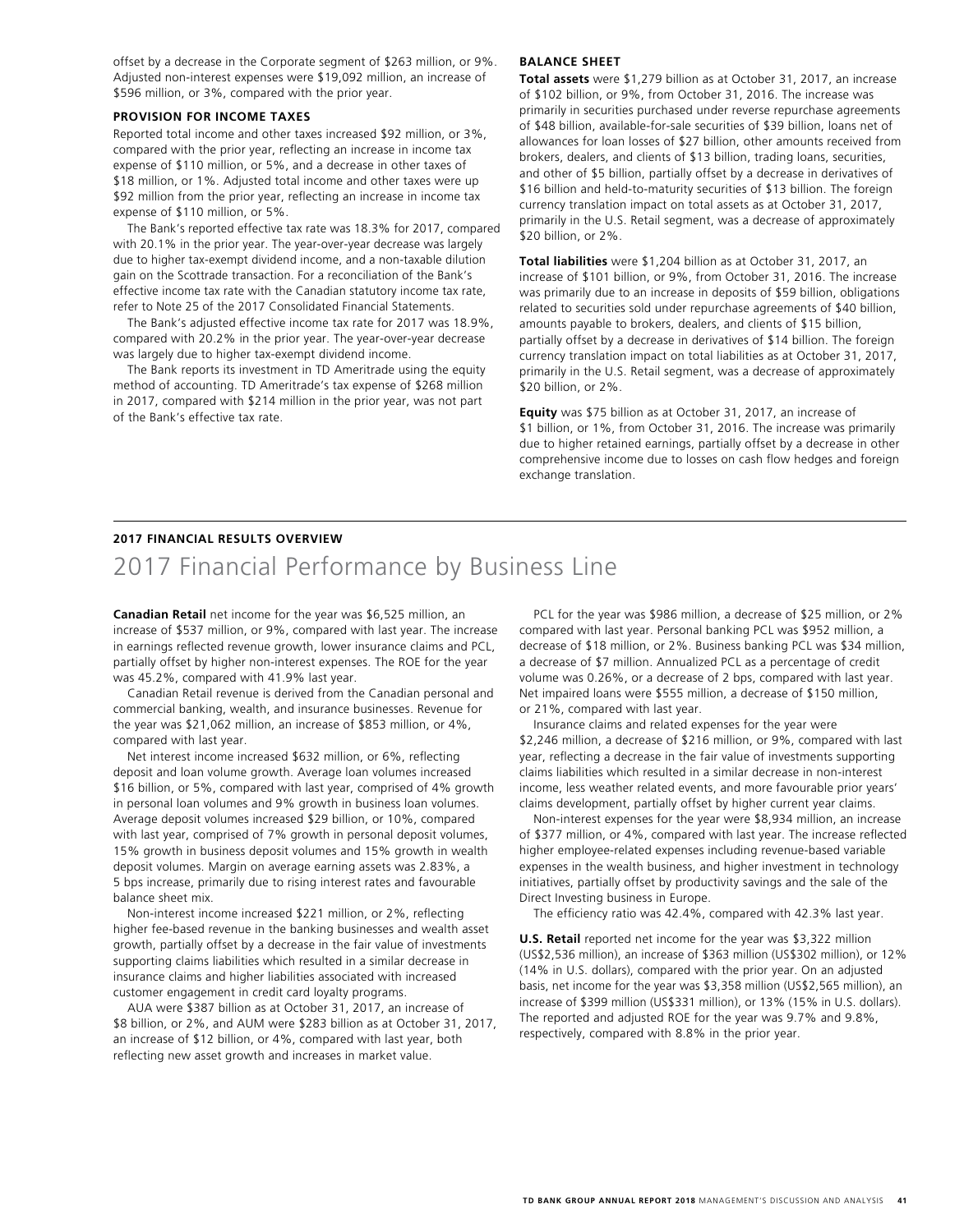<span id="page-28-0"></span>offset by a decrease in the Corporate segment of \$263 million, or 9%. Adjusted non-interest expenses were \$19,092 million, an increase of \$596 million, or 3%, compared with the prior year.

#### **PROVISION FOR INCOME TAXES**

Reported total income and other taxes increased \$92 million, or 3%, compared with the prior year, reflecting an increase in income tax expense of \$110 million, or 5%, and a decrease in other taxes of \$18 million, or 1%. Adjusted total income and other taxes were up \$92 million from the prior year, reflecting an increase in income tax expense of \$110 million, or 5%.

The Bank's reported effective tax rate was 18.3% for 2017, compared with 20.1% in the prior year. The year-over-year decrease was largely due to higher tax-exempt dividend income, and a non-taxable dilution gain on the Scottrade transaction. For a reconciliation of the Bank's effective income tax rate with the Canadian statutory income tax rate, refer to Note 25 of the 2017 Consolidated Financial Statements.

The Bank's adjusted effective income tax rate for 2017 was 18.9%, compared with 20.2% in the prior year. The year-over-year decrease was largely due to higher tax-exempt dividend income.

The Bank reports its investment in TD Ameritrade using the equity method of accounting. TD Ameritrade's tax expense of \$268 million in 2017, compared with \$214 million in the prior year, was not part of the Bank's effective tax rate.

#### **BALANCE SHEET**

**Total assets** were \$1,279 billion as at October 31, 2017, an increase of \$102 billion, or 9%, from October 31, 2016. The increase was primarily in securities purchased under reverse repurchase agreements of \$48 billion, available-for-sale securities of \$39 billion, loans net of allowances for loan losses of \$27 billion, other amounts received from brokers, dealers, and clients of \$13 billion, trading loans, securities, and other of \$5 billion, partially offset by a decrease in derivatives of \$16 billion and held-to-maturity securities of \$13 billion. The foreign currency translation impact on total assets as at October 31, 2017, primarily in the U.S. Retail segment, was a decrease of approximately \$20 billion, or 2%.

**Total liabilities** were \$1,204 billion as at October 31, 2017, an increase of \$101 billion, or 9%, from October 31, 2016. The increase was primarily due to an increase in deposits of \$59 billion, obligations related to securities sold under repurchase agreements of \$40 billion, amounts payable to brokers, dealers, and clients of \$15 billion, partially offset by a decrease in derivatives of \$14 billion. The foreign currency translation impact on total liabilities as at October 31, 2017, primarily in the U.S. Retail segment, was a decrease of approximately \$20 billion, or 2%.

**Equity** was \$75 billion as at October 31, 2017, an increase of \$1 billion, or 1%, from October 31, 2016. The increase was primarily due to higher retained earnings, partially offset by a decrease in other comprehensive income due to losses on cash flow hedges and foreign exchange translation.

#### **2017 FINANCIAL RESULTS OVERVIEW**

## 2017 Financial Performance by Business Line

**Canadian Retail** net income for the year was \$6,525 million, an increase of \$537 million, or 9%, compared with last year. The increase in earnings reflected revenue growth, lower insurance claims and PCL, partially offset by higher non-interest expenses. The ROE for the year was 45.2%, compared with 41.9% last year.

Canadian Retail revenue is derived from the Canadian personal and commercial banking, wealth, and insurance businesses. Revenue for the year was \$21,062 million, an increase of \$853 million, or 4%, compared with last year.

Net interest income increased \$632 million, or 6%, reflecting deposit and loan volume growth. Average loan volumes increased \$16 billion, or 5%, compared with last year, comprised of 4% growth in personal loan volumes and 9% growth in business loan volumes. Average deposit volumes increased \$29 billion, or 10%, compared with last year, comprised of 7% growth in personal deposit volumes, 15% growth in business deposit volumes and 15% growth in wealth deposit volumes. Margin on average earning assets was 2.83%, a 5 bps increase, primarily due to rising interest rates and favourable balance sheet mix.

Non-interest income increased \$221 million, or 2%, reflecting higher fee-based revenue in the banking businesses and wealth asset growth, partially offset by a decrease in the fair value of investments supporting claims liabilities which resulted in a similar decrease in insurance claims and higher liabilities associated with increased customer engagement in credit card loyalty programs.

AUA were \$387 billion as at October 31, 2017, an increase of \$8 billion, or 2%, and AUM were \$283 billion as at October 31, 2017, an increase of \$12 billion, or 4%, compared with last year, both reflecting new asset growth and increases in market value.

PCL for the year was \$986 million, a decrease of \$25 million, or 2% compared with last year. Personal banking PCL was \$952 million, a decrease of \$18 million, or 2%. Business banking PCL was \$34 million, a decrease of \$7 million. Annualized PCL as a percentage of credit volume was 0.26%, or a decrease of 2 bps, compared with last year. Net impaired loans were \$555 million, a decrease of \$150 million, or 21%, compared with last year.

Insurance claims and related expenses for the year were \$2,246 million, a decrease of \$216 million, or 9%, compared with last year, reflecting a decrease in the fair value of investments supporting claims liabilities which resulted in a similar decrease in non-interest income, less weather related events, and more favourable prior years' claims development, partially offset by higher current year claims.

Non-interest expenses for the year were \$8,934 million, an increase of \$377 million, or 4%, compared with last year. The increase reflected higher employee-related expenses including revenue-based variable expenses in the wealth business, and higher investment in technology initiatives, partially offset by productivity savings and the sale of the Direct Investing business in Europe.

The efficiency ratio was 42.4%, compared with 42.3% last year.

**U.S. Retail** reported net income for the year was \$3,322 million (US\$2,536 million), an increase of \$363 million (US\$302 million), or 12% (14% in U.S. dollars), compared with the prior year. On an adjusted basis, net income for the year was \$3,358 million (US\$2,565 million), an increase of \$399 million (US\$331 million), or 13% (15% in U.S. dollars). The reported and adjusted ROE for the year was 9.7% and 9.8%, respectively, compared with 8.8% in the prior year.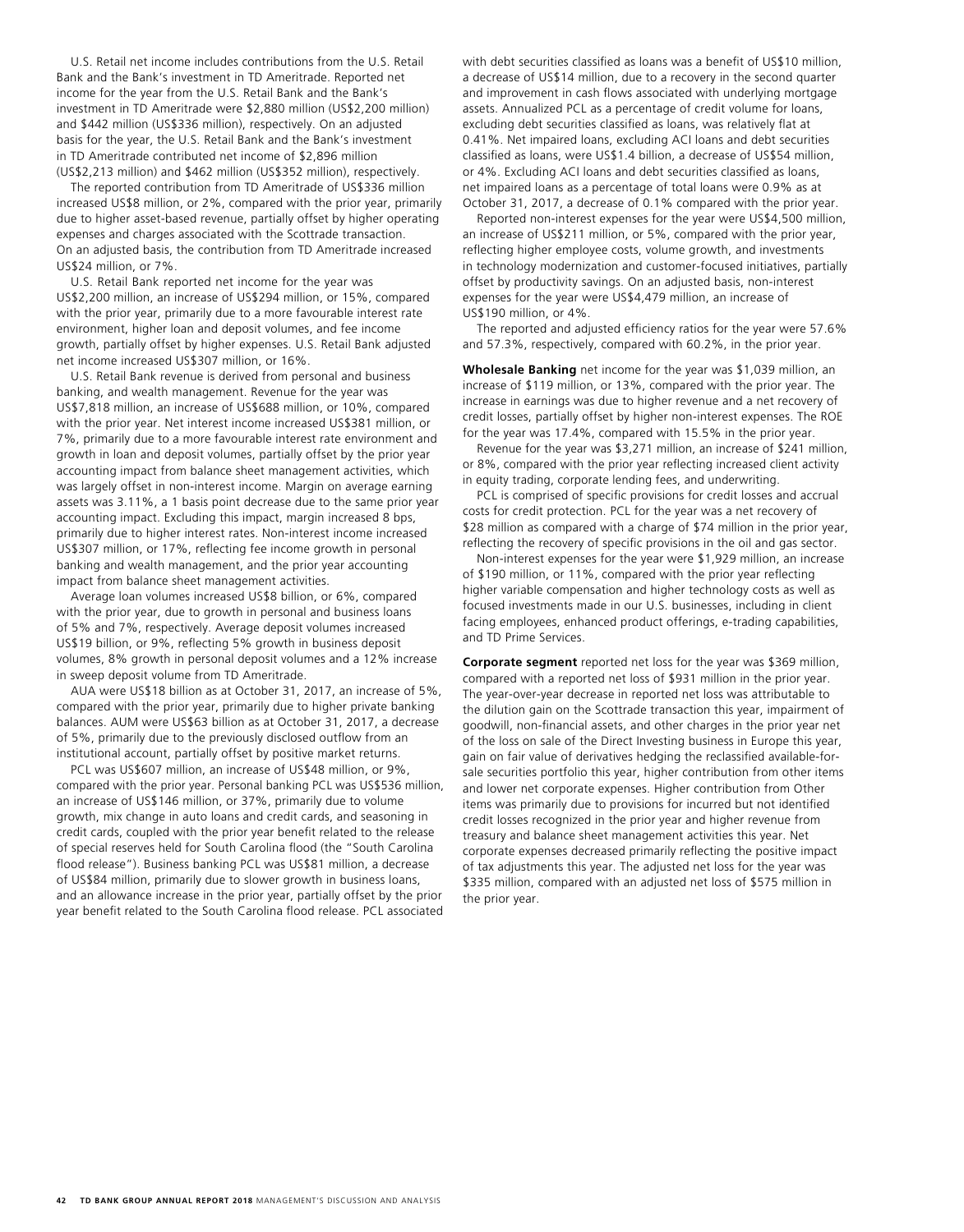U.S. Retail net income includes contributions from the U.S. Retail Bank and the Bank's investment in TD Ameritrade. Reported net income for the year from the U.S. Retail Bank and the Bank's investment in TD Ameritrade were \$2,880 million (US\$2,200 million) and \$442 million (US\$336 million), respectively. On an adjusted basis for the year, the U.S. Retail Bank and the Bank's investment in TD Ameritrade contributed net income of \$2,896 million (US\$2,213 million) and \$462 million (US\$352 million), respectively.

The reported contribution from TD Ameritrade of US\$336 million increased US\$8 million, or 2%, compared with the prior year, primarily due to higher asset-based revenue, partially offset by higher operating expenses and charges associated with the Scottrade transaction. On an adjusted basis, the contribution from TD Ameritrade increased US\$24 million, or 7%.

U.S. Retail Bank reported net income for the year was US\$2,200 million, an increase of US\$294 million, or 15%, compared with the prior year, primarily due to a more favourable interest rate environment, higher loan and deposit volumes, and fee income growth, partially offset by higher expenses. U.S. Retail Bank adjusted net income increased US\$307 million, or 16%.

U.S. Retail Bank revenue is derived from personal and business banking, and wealth management. Revenue for the year was US\$7,818 million, an increase of US\$688 million, or 10%, compared with the prior year. Net interest income increased US\$381 million, or 7%, primarily due to a more favourable interest rate environment and growth in loan and deposit volumes, partially offset by the prior year accounting impact from balance sheet management activities, which was largely offset in non-interest income. Margin on average earning assets was 3.11%, a 1 basis point decrease due to the same prior year accounting impact. Excluding this impact, margin increased 8 bps, primarily due to higher interest rates. Non-interest income increased US\$307 million, or 17%, reflecting fee income growth in personal banking and wealth management, and the prior year accounting impact from balance sheet management activities.

Average loan volumes increased US\$8 billion, or 6%, compared with the prior year, due to growth in personal and business loans of 5% and 7%, respectively. Average deposit volumes increased US\$19 billion, or 9%, reflecting 5% growth in business deposit volumes, 8% growth in personal deposit volumes and a 12% increase in sweep deposit volume from TD Ameritrade.

AUA were US\$18 billion as at October 31, 2017, an increase of 5%, compared with the prior year, primarily due to higher private banking balances. AUM were US\$63 billion as at October 31, 2017, a decrease of 5%, primarily due to the previously disclosed outflow from an institutional account, partially offset by positive market returns.

PCL was US\$607 million, an increase of US\$48 million, or 9%, compared with the prior year. Personal banking PCL was US\$536 million, an increase of US\$146 million, or 37%, primarily due to volume growth, mix change in auto loans and credit cards, and seasoning in credit cards, coupled with the prior year benefit related to the release of special reserves held for South Carolina flood (the "South Carolina flood release"). Business banking PCL was US\$81 million, a decrease of US\$84 million, primarily due to slower growth in business loans, and an allowance increase in the prior year, partially offset by the prior year benefit related to the South Carolina flood release. PCL associated with debt securities classified as loans was a benefit of US\$10 million, a decrease of US\$14 million, due to a recovery in the second quarter and improvement in cash flows associated with underlying mortgage assets. Annualized PCL as a percentage of credit volume for loans, excluding debt securities classified as loans, was relatively flat at 0.41%. Net impaired loans, excluding ACI loans and debt securities classified as loans, were US\$1.4 billion, a decrease of US\$54 million, or 4%. Excluding ACI loans and debt securities classified as loans, net impaired loans as a percentage of total loans were 0.9% as at October 31, 2017, a decrease of 0.1% compared with the prior year.

Reported non-interest expenses for the year were US\$4,500 million, an increase of US\$211 million, or 5%, compared with the prior year, reflecting higher employee costs, volume growth, and investments in technology modernization and customer-focused initiatives, partially offset by productivity savings. On an adjusted basis, non-interest expenses for the year were US\$4,479 million, an increase of US\$190 million, or 4%.

The reported and adjusted efficiency ratios for the year were 57.6% and 57.3%, respectively, compared with 60.2%, in the prior year.

**Wholesale Banking** net income for the year was \$1,039 million, an increase of \$119 million, or 13%, compared with the prior year. The increase in earnings was due to higher revenue and a net recovery of credit losses, partially offset by higher non-interest expenses. The ROE for the year was 17.4%, compared with 15.5% in the prior year.

Revenue for the year was \$3,271 million, an increase of \$241 million, or 8%, compared with the prior year reflecting increased client activity in equity trading, corporate lending fees, and underwriting.

PCL is comprised of specific provisions for credit losses and accrual costs for credit protection. PCL for the year was a net recovery of \$28 million as compared with a charge of \$74 million in the prior year, reflecting the recovery of specific provisions in the oil and gas sector.

Non-interest expenses for the year were \$1,929 million, an increase of \$190 million, or 11%, compared with the prior year reflecting higher variable compensation and higher technology costs as well as focused investments made in our U.S. businesses, including in client facing employees, enhanced product offerings, e-trading capabilities, and TD Prime Services.

**Corporate segment** reported net loss for the year was \$369 million, compared with a reported net loss of \$931 million in the prior year. The year-over-year decrease in reported net loss was attributable to the dilution gain on the Scottrade transaction this year, impairment of goodwill, non-financial assets, and other charges in the prior year net of the loss on sale of the Direct Investing business in Europe this year, gain on fair value of derivatives hedging the reclassified available-forsale securities portfolio this year, higher contribution from other items and lower net corporate expenses. Higher contribution from Other items was primarily due to provisions for incurred but not identified credit losses recognized in the prior year and higher revenue from treasury and balance sheet management activities this year. Net corporate expenses decreased primarily reflecting the positive impact of tax adjustments this year. The adjusted net loss for the year was \$335 million, compared with an adjusted net loss of \$575 million in the prior year.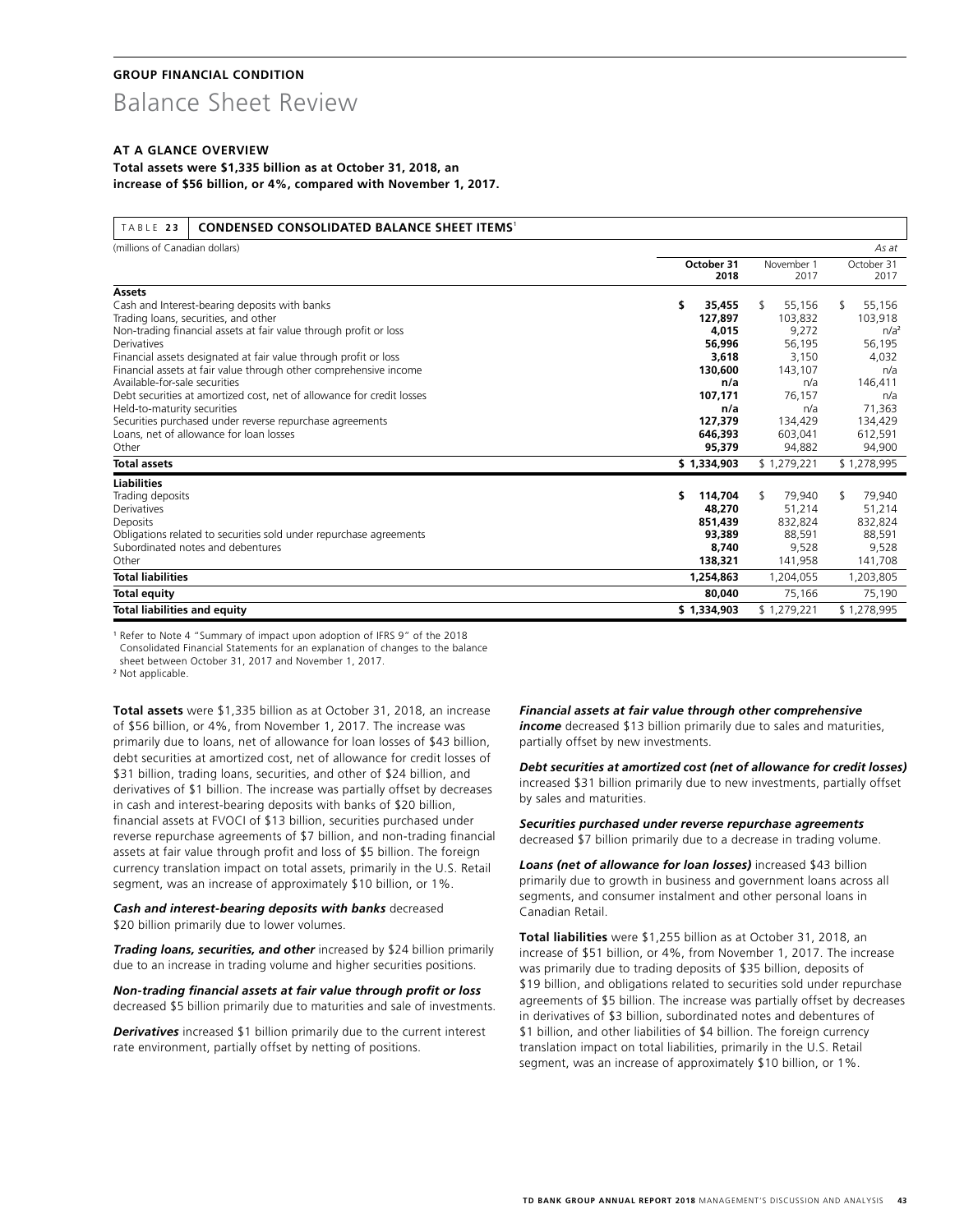#### <span id="page-30-0"></span>**GROUP FINANCIAL CONDITION**

### Balance Sheet Review

#### **AT A GLANCE OVERVIEW**

**Total assets were \$1,335 billion as at October 31, 2018, an increase of \$56 billion, or 4%, compared with November 1, 2017.**

| <b>CONDENSED CONSOLIDATED BALANCE SHEET ITEMS</b><br>TABLE 23                                             |                         |                  |                             |
|-----------------------------------------------------------------------------------------------------------|-------------------------|------------------|-----------------------------|
| (millions of Canadian dollars)                                                                            |                         |                  | As at                       |
|                                                                                                           | October 31              | November 1       | October 31                  |
|                                                                                                           | 2018                    | 2017             | 2017                        |
| <b>Assets</b>                                                                                             |                         |                  |                             |
| Cash and Interest-bearing deposits with banks                                                             | \$<br>35,455<br>127.897 | 55,156           | 55,156                      |
| Trading loans, securities, and other<br>Non-trading financial assets at fair value through profit or loss | 4.015                   | 103,832<br>9.272 | 103,918<br>n/a <sup>2</sup> |
| Derivatives                                                                                               | 56,996                  | 56,195           | 56,195                      |
| Financial assets designated at fair value through profit or loss                                          | 3,618                   | 3,150            | 4,032                       |
| Financial assets at fair value through other comprehensive income                                         | 130,600                 | 143,107          | n/a                         |
| Available-for-sale securities                                                                             | n/a                     | n/a              | 146,411                     |
| Debt securities at amortized cost, net of allowance for credit losses                                     | 107.171                 | 76,157           | n/a                         |
| Held-to-maturity securities                                                                               | n/a                     | n/a              | 71,363                      |
| Securities purchased under reverse repurchase agreements                                                  | 127,379                 | 134,429          | 134,429                     |
| Loans, net of allowance for loan losses                                                                   | 646,393                 | 603.041          | 612,591                     |
| Other                                                                                                     | 95,379                  | 94,882           | 94,900                      |
| <b>Total assets</b>                                                                                       | \$1,334,903             | \$1,279,221      | \$1,278,995                 |
| <b>Liabilities</b>                                                                                        |                         |                  |                             |
| Trading deposits                                                                                          | 114,704<br>\$           | 79.940<br>\$.    | 79,940<br>\$.               |
| Derivatives                                                                                               | 48,270                  | 51,214           | 51,214                      |
| Deposits                                                                                                  | 851,439                 | 832,824          | 832,824                     |
| Obligations related to securities sold under repurchase agreements                                        | 93,389                  | 88,591           | 88,591                      |
| Subordinated notes and debentures                                                                         | 8.740                   | 9,528            | 9,528                       |
| Other                                                                                                     | 138,321                 | 141,958          | 141,708                     |
| <b>Total liabilities</b>                                                                                  | 1,254,863               | 1,204,055        | 1,203,805                   |
| <b>Total equity</b>                                                                                       | 80,040                  | 75,166           | 75,190                      |
| <b>Total liabilities and equity</b>                                                                       | \$1,334,903             | \$1,279,221      | \$1,278,995                 |

<sup>1</sup> Refer to Note 4 "Summary of impact upon adoption of IFRS 9" of the 2018 Consolidated Financial Statements for an explanation of changes to the balance sheet between October 31, 2017 and November 1, 2017.

2 Not applicable.

**Total assets** were \$1,335 billion as at October 31, 2018, an increase of \$56 billion, or 4%, from November 1, 2017. The increase was primarily due to loans, net of allowance for loan losses of \$43 billion, debt securities at amortized cost, net of allowance for credit losses of \$31 billion, trading loans, securities, and other of \$24 billion, and derivatives of \$1 billion. The increase was partially offset by decreases in cash and interest-bearing deposits with banks of \$20 billion, financial assets at FVOCI of \$13 billion, securities purchased under reverse repurchase agreements of \$7 billion, and non-trading financial assets at fair value through profit and loss of \$5 billion. The foreign currency translation impact on total assets, primarily in the U.S. Retail segment, was an increase of approximately \$10 billion, or 1%.

*Cash and interest-bearing deposits with banks* decreased \$20 billion primarily due to lower volumes.

*Trading loans, securities, and other* increased by \$24 billion primarily due to an increase in trading volume and higher securities positions.

*Non-trading financial assets at fair value through profit or loss* decreased \$5 billion primarily due to maturities and sale of investments.

*Derivatives* increased \$1 billion primarily due to the current interest rate environment, partially offset by netting of positions.

*Financial assets at fair value through other comprehensive* 

*income* decreased \$13 billion primarily due to sales and maturities, partially offset by new investments.

*Debt securities at amortized cost (net of allowance for credit losses)* increased \$31 billion primarily due to new investments, partially offset by sales and maturities.

*Securities purchased under reverse repurchase agreements* decreased \$7 billion primarily due to a decrease in trading volume.

*Loans (net of allowance for loan losses)* increased \$43 billion primarily due to growth in business and government loans across all segments, and consumer instalment and other personal loans in Canadian Retail.

**Total liabilities** were \$1,255 billion as at October 31, 2018, an increase of \$51 billion, or 4%, from November 1, 2017. The increase was primarily due to trading deposits of \$35 billion, deposits of \$19 billion, and obligations related to securities sold under repurchase agreements of \$5 billion. The increase was partially offset by decreases in derivatives of \$3 billion, subordinated notes and debentures of \$1 billion, and other liabilities of \$4 billion. The foreign currency translation impact on total liabilities, primarily in the U.S. Retail segment, was an increase of approximately \$10 billion, or 1%.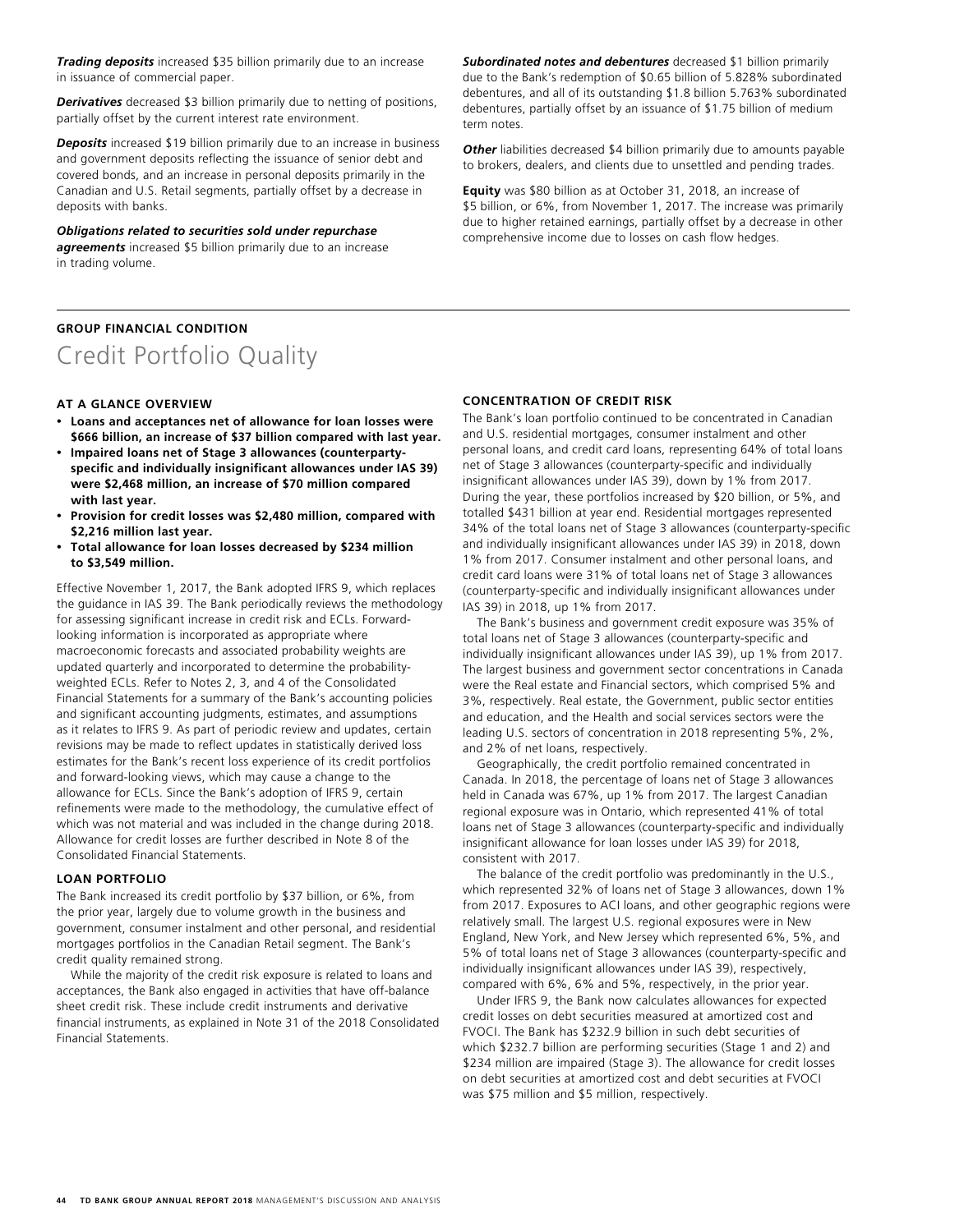<span id="page-31-0"></span>*Trading deposits* increased \$35 billion primarily due to an increase in issuance of commercial paper.

*Derivatives* decreased \$3 billion primarily due to netting of positions, partially offset by the current interest rate environment.

**Deposits** increased \$19 billion primarily due to an increase in business and government deposits reflecting the issuance of senior debt and covered bonds, and an increase in personal deposits primarily in the Canadian and U.S. Retail segments, partially offset by a decrease in deposits with banks.

*Obligations related to securities sold under repurchase agreements* increased \$5 billion primarily due to an increase in trading volume.

### **GROUP FINANCIAL CONDITION** Credit Portfolio Quality

#### **AT A GLANCE OVERVIEW**

- **• Loans and acceptances net of allowance for loan losses were \$666 billion, an increase of \$37 billion compared with last year.**
- **• Impaired loans net of Stage 3 allowances (counterpartyspecific and individually insignificant allowances under IAS 39) were \$2,468 million, an increase of \$70 million compared with last year.**
- **• Provision for credit losses was \$2,480 million, compared with \$2,216 million last year.**
- **• Total allowance for loan losses decreased by \$234 million to \$3,549 million.**

Effective November 1, 2017, the Bank adopted IFRS 9, which replaces the guidance in IAS 39. The Bank periodically reviews the methodology for assessing significant increase in credit risk and ECLs. Forwardlooking information is incorporated as appropriate where macroeconomic forecasts and associated probability weights are updated quarterly and incorporated to determine the probabilityweighted ECLs. Refer to Notes 2, 3, and 4 of the Consolidated Financial Statements for a summary of the Bank's accounting policies and significant accounting judgments, estimates, and assumptions as it relates to IFRS 9. As part of periodic review and updates, certain revisions may be made to reflect updates in statistically derived loss estimates for the Bank's recent loss experience of its credit portfolios and forward-looking views, which may cause a change to the allowance for ECLs. Since the Bank's adoption of IFRS 9, certain refinements were made to the methodology, the cumulative effect of which was not material and was included in the change during 2018. Allowance for credit losses are further described in Note 8 of the Consolidated Financial Statements.

#### **LOAN PORTFOLIO**

The Bank increased its credit portfolio by \$37 billion, or 6%, from the prior year, largely due to volume growth in the business and government, consumer instalment and other personal, and residential mortgages portfolios in the Canadian Retail segment. The Bank's credit quality remained strong.

While the majority of the credit risk exposure is related to loans and acceptances, the Bank also engaged in activities that have off-balance sheet credit risk. These include credit instruments and derivative financial instruments, as explained in Note 31 of the 2018 Consolidated Financial Statements.

*Subordinated notes and debentures* decreased \$1 billion primarily due to the Bank's redemption of \$0.65 billion of 5.828% subordinated debentures, and all of its outstanding \$1.8 billion 5.763% subordinated debentures, partially offset by an issuance of \$1.75 billion of medium term notes.

**Other** liabilities decreased \$4 billion primarily due to amounts payable to brokers, dealers, and clients due to unsettled and pending trades.

**Equity** was \$80 billion as at October 31, 2018, an increase of \$5 billion, or 6%, from November 1, 2017. The increase was primarily due to higher retained earnings, partially offset by a decrease in other comprehensive income due to losses on cash flow hedges.

#### **CONCENTRATION OF CREDIT RISK**

The Bank's loan portfolio continued to be concentrated in Canadian and U.S. residential mortgages, consumer instalment and other personal loans, and credit card loans, representing 64% of total loans net of Stage 3 allowances (counterparty-specific and individually insignificant allowances under IAS 39), down by 1% from 2017. During the year, these portfolios increased by \$20 billion, or 5%, and totalled \$431 billion at year end. Residential mortgages represented 34% of the total loans net of Stage 3 allowances (counterparty-specific and individually insignificant allowances under IAS 39) in 2018, down 1% from 2017. Consumer instalment and other personal loans, and credit card loans were 31% of total loans net of Stage 3 allowances (counterparty-specific and individually insignificant allowances under IAS 39) in 2018, up 1% from 2017.

The Bank's business and government credit exposure was 35% of total loans net of Stage 3 allowances (counterparty-specific and individually insignificant allowances under IAS 39), up 1% from 2017. The largest business and government sector concentrations in Canada were the Real estate and Financial sectors, which comprised 5% and 3%, respectively. Real estate, the Government, public sector entities and education, and the Health and social services sectors were the leading U.S. sectors of concentration in 2018 representing 5%, 2%, and 2% of net loans, respectively.

Geographically, the credit portfolio remained concentrated in Canada. In 2018, the percentage of loans net of Stage 3 allowances held in Canada was 67%, up 1% from 2017. The largest Canadian regional exposure was in Ontario, which represented 41% of total loans net of Stage 3 allowances (counterparty-specific and individually insignificant allowance for loan losses under IAS 39) for 2018, consistent with 2017.

The balance of the credit portfolio was predominantly in the U.S., which represented 32% of loans net of Stage 3 allowances, down 1% from 2017. Exposures to ACI loans, and other geographic regions were relatively small. The largest U.S. regional exposures were in New England, New York, and New Jersey which represented 6%, 5%, and 5% of total loans net of Stage 3 allowances (counterparty-specific and individually insignificant allowances under IAS 39), respectively, compared with 6%, 6% and 5%, respectively, in the prior year.

Under IFRS 9, the Bank now calculates allowances for expected credit losses on debt securities measured at amortized cost and FVOCI. The Bank has \$232.9 billion in such debt securities of which \$232.7 billion are performing securities (Stage 1 and 2) and \$234 million are impaired (Stage 3). The allowance for credit losses on debt securities at amortized cost and debt securities at FVOCI was \$75 million and \$5 million, respectively.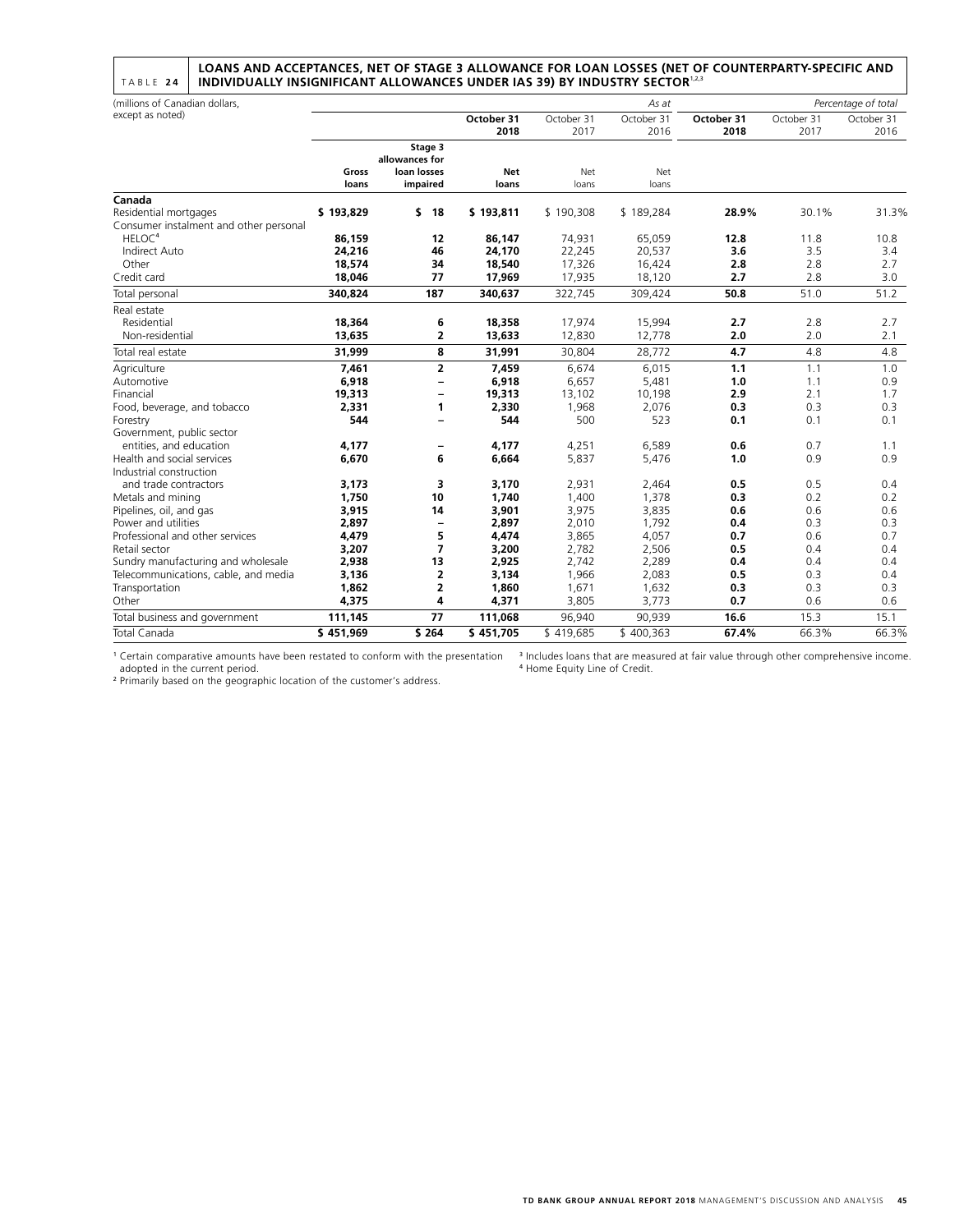# **LOANS AND**

| LOANS AND ACCEPTANCES, NET OF STAGE 3 ALLOWANCE FOR LOAN LOSSES (NET OF COUNTERPARTY-SPECIFIC AND<br>INDIVIDUALLY INSIGNIFICANT ALLOWANCES UNDER IAS 39) BY INDUSTRY SECTOR <sup>1,2,3</sup><br>TABLE 24 |                  |                           |                     |                     |                    |                     |                    |                    |  |  |
|----------------------------------------------------------------------------------------------------------------------------------------------------------------------------------------------------------|------------------|---------------------------|---------------------|---------------------|--------------------|---------------------|--------------------|--------------------|--|--|
| (millions of Canadian dollars,                                                                                                                                                                           |                  |                           |                     |                     | As at              | Percentage of total |                    |                    |  |  |
| except as noted)                                                                                                                                                                                         |                  |                           | October 31<br>2018  | October 31<br>2017  | October 31<br>2016 | October 31<br>2018  | October 31<br>2017 | October 31<br>2016 |  |  |
|                                                                                                                                                                                                          |                  | Stage 3<br>allowances for |                     |                     |                    |                     |                    |                    |  |  |
|                                                                                                                                                                                                          | Gross<br>loans   | loan losses<br>impaired   | <b>Net</b><br>loans | <b>Net</b><br>loans | Net<br>loans       |                     |                    |                    |  |  |
| Canada                                                                                                                                                                                                   |                  |                           |                     |                     |                    |                     |                    |                    |  |  |
| Residential mortgages                                                                                                                                                                                    | \$193,829        | 5 <sub>18</sub>           | \$193,811           | \$190,308           | \$189,284          | 28.9%               | 30.1%              | 31.3%              |  |  |
| Consumer instalment and other personal                                                                                                                                                                   |                  |                           |                     |                     |                    |                     |                    |                    |  |  |
| HELOC <sup>4</sup>                                                                                                                                                                                       | 86,159           | 12                        | 86,147              | 74,931              | 65,059             | 12.8                | 11.8               | 10.8               |  |  |
| Indirect Auto<br>Other                                                                                                                                                                                   | 24,216<br>18,574 | 46<br>34                  | 24,170              | 22,245<br>17,326    | 20,537             | 3.6<br>2.8          | 3.5<br>2.8         | 3.4<br>2.7         |  |  |
| Credit card                                                                                                                                                                                              | 18,046           | 77                        | 18,540<br>17,969    | 17,935              | 16,424<br>18,120   | 2.7                 | 2.8                | 3.0                |  |  |
|                                                                                                                                                                                                          |                  | 187                       |                     |                     |                    |                     | 51.0               | 51.2               |  |  |
| Total personal                                                                                                                                                                                           | 340,824          |                           | 340.637             | 322,745             | 309.424            | 50.8                |                    |                    |  |  |
| Real estate                                                                                                                                                                                              |                  |                           |                     |                     |                    |                     |                    |                    |  |  |
| Residential                                                                                                                                                                                              | 18,364           | 6                         | 18,358              | 17,974              | 15,994             | 2.7                 | 2.8                | 2.7                |  |  |
| Non-residential                                                                                                                                                                                          | 13,635           | 2                         | 13,633              | 12,830              | 12,778             | 2.0                 | 2.0                | 2.1                |  |  |
| Total real estate                                                                                                                                                                                        | 31,999           | 8                         | 31,991              | 30,804              | 28,772             | 4.7                 | 4.8                | 4.8                |  |  |
| Agriculture                                                                                                                                                                                              | 7.461            | $\overline{2}$            | 7.459               | 6.674               | 6,015              | 1.1                 | 1.1                | 1.0                |  |  |
| Automotive                                                                                                                                                                                               | 6,918            | ÷                         | 6,918               | 6,657               | 5,481              | 1.0                 | 1.1                | 0.9                |  |  |
| Financial                                                                                                                                                                                                | 19,313           | $\overline{\phantom{0}}$  | 19,313              | 13,102              | 10,198             | 2.9                 | 2.1                | 1.7                |  |  |
| Food, beverage, and tobacco                                                                                                                                                                              | 2,331            | 1                         | 2,330               | 1,968               | 2,076              | 0.3                 | 0.3                | 0.3                |  |  |
| Forestry                                                                                                                                                                                                 | 544              | $\overline{\phantom{0}}$  | 544                 | 500                 | 523                | 0.1                 | 0.1                | 0.1                |  |  |
| Government, public sector                                                                                                                                                                                |                  |                           |                     |                     |                    |                     |                    |                    |  |  |
| entities, and education                                                                                                                                                                                  | 4.177            |                           | 4,177               | 4,251               | 6,589              | 0.6                 | 0.7                | 1.1                |  |  |
| Health and social services                                                                                                                                                                               | 6,670            | 6                         | 6,664               | 5,837               | 5,476              | 1.0                 | 0.9                | 0.9                |  |  |
| Industrial construction                                                                                                                                                                                  |                  |                           |                     |                     |                    |                     |                    |                    |  |  |
| and trade contractors                                                                                                                                                                                    | 3,173            | з                         | 3,170               | 2,931               | 2,464              | 0.5                 | 0.5                | 0.4                |  |  |
| Metals and mining                                                                                                                                                                                        | 1,750            | 10                        | 1,740               | 1,400               | 1,378              | 0.3                 | 0.2                | 0.2                |  |  |
| Pipelines, oil, and gas                                                                                                                                                                                  | 3,915            | 14                        | 3,901               | 3,975               | 3,835              | 0.6                 | 0.6                | 0.6                |  |  |
| Power and utilities                                                                                                                                                                                      | 2,897            | $\overline{\phantom{a}}$  | 2,897               | 2,010               | 1,792              | 0.4                 | 0.3                | 0.3                |  |  |
| Professional and other services                                                                                                                                                                          | 4,479            | 5                         | 4,474               | 3,865               | 4,057              | 0.7                 | 0.6                | 0.7                |  |  |
| Retail sector                                                                                                                                                                                            | 3,207            | $\overline{ }$            | 3,200               | 2,782               | 2,506              | 0.5                 | 0.4                | 0.4                |  |  |
| Sundry manufacturing and wholesale                                                                                                                                                                       | 2,938            | 13                        | 2,925               | 2,742               | 2,289              | 0.4                 | 0.4                | 0.4                |  |  |
| Telecommunications, cable, and media                                                                                                                                                                     | 3,136            | 2                         | 3,134               | 1,966               | 2,083              | 0.5                 | 0.3                | 0.4                |  |  |
| Transportation                                                                                                                                                                                           | 1,862            | $\overline{2}$            | 1,860               | 1,671               | 1,632              | 0.3                 | 0.3                | 0.3                |  |  |
| Other                                                                                                                                                                                                    | 4,375            | 4                         | 4,371               | 3,805               | 3,773              | 0.7                 | 0.6                | 0.6                |  |  |
| Total business and government                                                                                                                                                                            | 111,145          | 77                        | 111,068             | 96.940              | 90.939             | 16.6                | 15.3               | 15.1               |  |  |

Total Canada **\$ 451,969 \$ 264 \$ 451,705** \$ 419,685 \$ 400,363 **67.4%** 66.3% 66.3%

<sup>1</sup> Certain comparative amounts have been restated to conform with the presentation adopted in the current period.

<sup>3</sup> Includes loans that are measured at fair value through other comprehensive income. <sup>4</sup> Home Equity Line of Credit.

<sup>2</sup> Primarily based on the geographic location of the customer's address.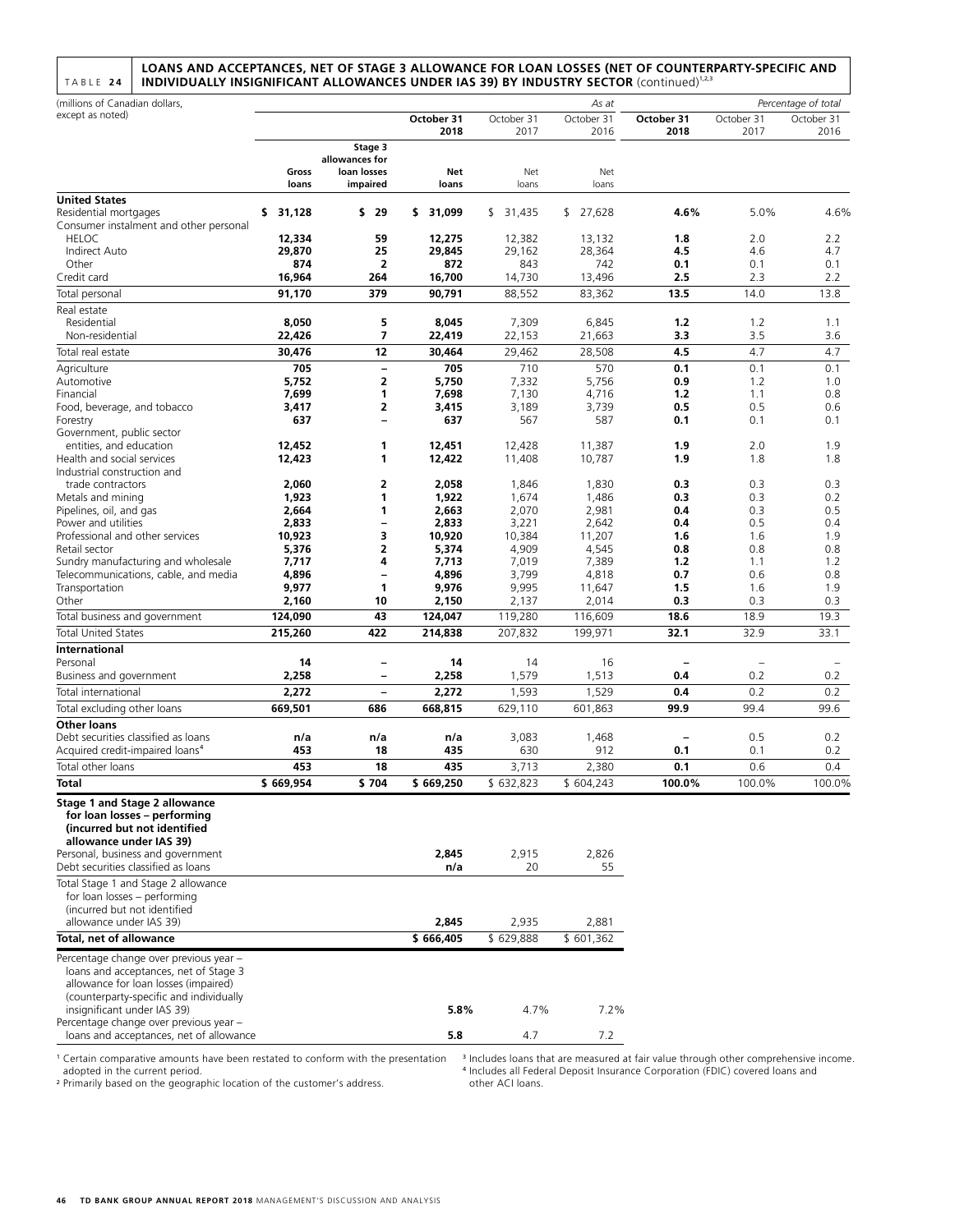#### **LOANS AND ACCEPTANCES, NET OF STAGE 3 ALLOWANCE FOR LOAN LOSSES (NET OF COUNTERPARTY-SPECIFIC AND**  <code>TABLE 24  $\mid$ </sup> <code>INDIVIDUALLY</code> INSIGNIFICANT ALLOWANCES UNDER IAS 39) BY INDUSTRY SECTOR (continued)1,2,3</mark></code>

| (millions of Canadian dollars,                                                                                                                                     |                |                               |                |                | As at          |            |            | Percentage of total |
|--------------------------------------------------------------------------------------------------------------------------------------------------------------------|----------------|-------------------------------|----------------|----------------|----------------|------------|------------|---------------------|
| except as noted)                                                                                                                                                   |                |                               | October 31     | October 31     | October 31     | October 31 | October 31 | October 31          |
|                                                                                                                                                                    |                |                               | 2018           | 2017           | 2016           | 2018       | 2017       | 2016                |
|                                                                                                                                                                    |                | Stage 3                       |                |                |                |            |            |                     |
|                                                                                                                                                                    | Gross          | allowances for<br>loan losses | <b>Net</b>     | Net            | Net            |            |            |                     |
|                                                                                                                                                                    | loans          | impaired                      | loans          | loans          | loans          |            |            |                     |
| <b>United States</b>                                                                                                                                               |                |                               |                |                |                |            |            |                     |
| Residential mortgages                                                                                                                                              | \$ 31,128      | \$29                          | \$ 31,099      | \$31,435       | \$27,628       | 4.6%       | 5.0%       | 4.6%                |
| Consumer instalment and other personal                                                                                                                             |                |                               |                |                |                |            |            |                     |
| <b>HELOC</b>                                                                                                                                                       | 12,334         | 59                            | 12,275         | 12,382         | 13,132         | 1.8        | 2.0        | 2.2                 |
| Indirect Auto                                                                                                                                                      | 29,870         | 25                            | 29,845         | 29,162         | 28,364         | 4.5        | 4.6        | 4.7                 |
| Other                                                                                                                                                              | 874            | 2                             | 872            | 843            | 742            | 0.1        | 0.1        | 0.1                 |
| Credit card                                                                                                                                                        | 16,964         | 264                           | 16,700         | 14,730         | 13,496         | 2.5        | 2.3        | 2.2                 |
| Total personal                                                                                                                                                     | 91,170         | 379                           | 90,791         | 88,552         | 83,362         | 13.5       | 14.0       | 13.8                |
| Real estate                                                                                                                                                        |                |                               |                |                |                |            |            |                     |
| Residential                                                                                                                                                        | 8,050          | 5                             | 8,045          | 7,309          | 6,845          | 1.2        | 1.2        | 1.1                 |
| Non-residential                                                                                                                                                    | 22,426         | 7                             | 22,419         | 22,153         | 21,663         | 3.3        | 3.5        | 3.6                 |
| Total real estate                                                                                                                                                  | 30,476         | 12                            | 30,464         | 29,462         | 28,508         | 4.5        | 4.7        | 4.7                 |
| Agriculture                                                                                                                                                        | 705            | $\overline{\phantom{0}}$      | 705            | 710            | 570            | 0.1        | 0.1        | 0.1                 |
| Automotive                                                                                                                                                         | 5,752          | 2                             | 5,750          | 7,332          | 5,756          | 0.9        | 1.2        | 1.0                 |
| Financial                                                                                                                                                          | 7,699          | 1                             | 7,698          | 7,130          | 4,716          | 1.2        | 1.1        | 0.8                 |
| Food, beverage, and tobacco                                                                                                                                        | 3,417          | 2<br>$\overline{\phantom{0}}$ | 3,415          | 3,189          | 3,739          | 0.5        | 0.5        | 0.6                 |
| Forestry<br>Government, public sector                                                                                                                              | 637            |                               | 637            | 567            | 587            | 0.1        | 0.1        | 0.1                 |
| entities, and education                                                                                                                                            | 12,452         | 1                             | 12,451         | 12,428         | 11,387         | 1.9        | 2.0        | 1.9                 |
| Health and social services                                                                                                                                         | 12,423         | 1                             | 12,422         | 11,408         | 10,787         | 1.9        | 1.8        | 1.8                 |
| Industrial construction and                                                                                                                                        |                |                               |                |                |                |            |            |                     |
| trade contractors                                                                                                                                                  | 2,060          | 2                             | 2,058          | 1,846          | 1,830          | 0.3        | 0.3        | 0.3                 |
| Metals and mining                                                                                                                                                  | 1,923          | 1                             | 1,922          | 1,674          | 1,486          | 0.3        | 0.3        | 0.2                 |
| Pipelines, oil, and gas                                                                                                                                            | 2,664          | 1                             | 2,663          | 2,070          | 2,981          | 0.4        | 0.3        | 0.5                 |
| Power and utilities                                                                                                                                                | 2,833          |                               | 2,833          | 3,221          | 2,642          | 0.4        | 0.5        | 0.4                 |
| Professional and other services                                                                                                                                    | 10,923         | 3                             | 10,920         | 10,384         | 11,207         | 1.6        | 1.6        | 1.9                 |
| Retail sector<br>Sundry manufacturing and wholesale                                                                                                                | 5,376<br>7,717 | 2<br>4                        | 5,374<br>7,713 | 4,909<br>7,019 | 4,545<br>7,389 | 0.8<br>1.2 | 0.8<br>1.1 | 0.8<br>1.2          |
| Telecommunications, cable, and media                                                                                                                               | 4,896          | -                             | 4,896          | 3,799          | 4,818          | 0.7        | 0.6        | 0.8                 |
| Transportation                                                                                                                                                     | 9,977          | 1                             | 9,976          | 9,995          | 11,647         | 1.5        | 1.6        | 1.9                 |
| Other                                                                                                                                                              | 2,160          | 10                            | 2,150          | 2,137          | 2,014          | 0.3        | 0.3        | 0.3                 |
| Total business and government                                                                                                                                      | 124,090        | 43                            | 124,047        | 119,280        | 116,609        | 18.6       | 18.9       | 19.3                |
| <b>Total United States</b>                                                                                                                                         | 215,260        | 422                           | 214,838        | 207,832        | 199,971        | 32.1       | 32.9       | 33.1                |
|                                                                                                                                                                    |                |                               |                |                |                |            |            |                     |
| International<br>Personal                                                                                                                                          | 14             |                               | 14             | 14             | 16             |            |            |                     |
| Business and government                                                                                                                                            | 2,258          | -                             | 2,258          | 1,579          | 1,513          | 0.4        | 0.2        | 0.2                 |
| Total international                                                                                                                                                | 2,272          | ÷                             | 2,272          | 1,593          | 1,529          | 0.4        | 0.2        | 0.2                 |
|                                                                                                                                                                    |                |                               |                |                | 601.863        |            | 99.4       | 99.6                |
| Total excluding other loans                                                                                                                                        | 669,501        | 686                           | 668,815        | 629,110        |                | 99.9       |            |                     |
| <b>Other loans</b>                                                                                                                                                 |                |                               |                |                |                |            |            |                     |
| Debt securities classified as loans<br>Acquired credit-impaired loans <sup>4</sup>                                                                                 | n/a<br>453     | n/a<br>18                     | n/a<br>435     | 3,083<br>630   | 1,468<br>912   | 0.1        | 0.5<br>0.1 | 0.2<br>0.2          |
|                                                                                                                                                                    |                |                               |                |                |                | 0.1        | 0.6        | 0.4                 |
| Total other loans                                                                                                                                                  | 453            | 18                            | 435            | 3,713          | 2,380          |            |            |                     |
| <b>Total</b>                                                                                                                                                       | \$669,954      | \$704                         | \$669,250      | \$632,823      | \$604,243      | 100.0%     | 100.0%     | 100.0%              |
| Stage 1 and Stage 2 allowance<br>for loan losses - performing<br>(incurred but not identified                                                                      |                |                               |                |                |                |            |            |                     |
| allowance under IAS 39)                                                                                                                                            |                |                               |                |                |                |            |            |                     |
| Personal, business and government                                                                                                                                  |                |                               | 2,845          | 2,915          | 2,826          |            |            |                     |
| Debt securities classified as loans                                                                                                                                |                |                               | n/a            | 20             | 55             |            |            |                     |
| Total Stage 1 and Stage 2 allowance<br>for loan losses – performing<br>(incurred but not identified                                                                |                |                               |                |                |                |            |            |                     |
| allowance under IAS 39)                                                                                                                                            |                |                               | 2,845          | 2,935          | 2,881          |            |            |                     |
| Total, net of allowance                                                                                                                                            |                |                               | \$666,405      | \$629,888      | \$601,362      |            |            |                     |
| Percentage change over previous year -<br>loans and acceptances, net of Stage 3<br>allowance for loan losses (impaired)<br>(counterparty-specific and individually |                |                               |                |                |                |            |            |                     |
| insignificant under IAS 39)<br>Percentage change over previous year -                                                                                              |                |                               | 5.8%           | 4.7%           | 7.2%           |            |            |                     |
| loans and acceptances, net of allowance                                                                                                                            |                |                               | 5.8            | 4.7            | 7.2            |            |            |                     |
|                                                                                                                                                                    |                |                               |                |                |                |            |            |                     |

adopted in the current period.

<sup>1</sup> Certain comparative amounts have been restated to conform with the presentation <sup>3</sup> Includes loans that are measured at fair value through other comprehensive income. <sup>4</sup> Includes all Federal Deposit Insurance Corporation (FDIC) covered loans and other ACI loans.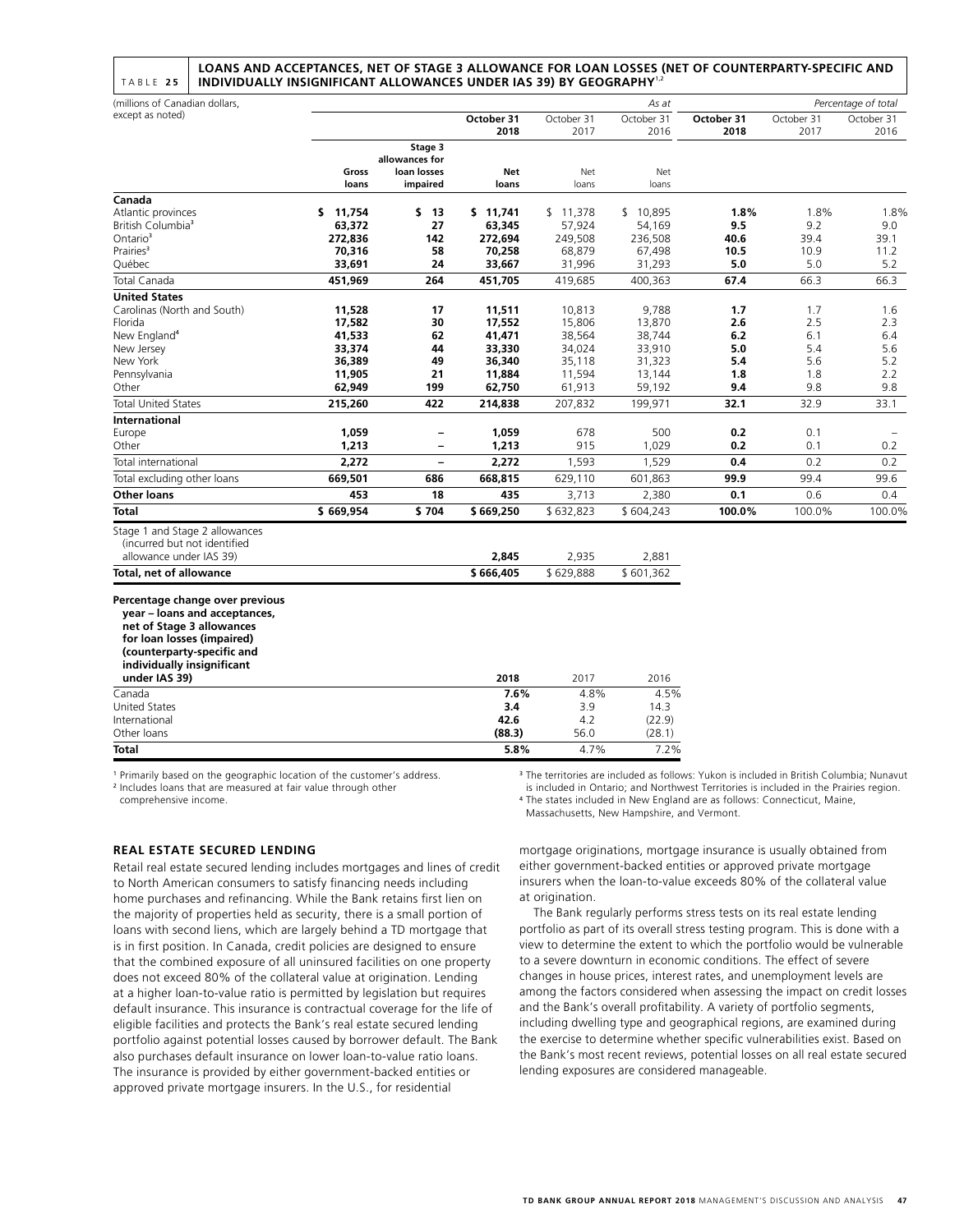#### **LOANS AND ACCEPTANCES, NET OF STAGE 3 ALLOWANCE FOR LOAN LOSSES (NET OF COUNTERPARTY-SPECIFIC AND INDIVIDUALLY INSIGNIFICANT ALLOWANCES UNDER IAS 39) BY GEOGRAPHY**1,2 TABLE **2 5**

| (millions of Canadian dollars,                                                                                                                                                                           | As at<br>Percentage of total |                           |                    |                    |                    |                    |                    |                    |  |
|----------------------------------------------------------------------------------------------------------------------------------------------------------------------------------------------------------|------------------------------|---------------------------|--------------------|--------------------|--------------------|--------------------|--------------------|--------------------|--|
| except as noted)                                                                                                                                                                                         |                              |                           | October 31<br>2018 | October 31<br>2017 | October 31<br>2016 | October 31<br>2018 | October 31<br>2017 | October 31<br>2016 |  |
|                                                                                                                                                                                                          |                              |                           |                    |                    |                    |                    |                    |                    |  |
|                                                                                                                                                                                                          |                              | Stage 3<br>allowances for |                    |                    |                    |                    |                    |                    |  |
|                                                                                                                                                                                                          | Gross                        | loan losses               | <b>Net</b>         | Net                | Net                |                    |                    |                    |  |
|                                                                                                                                                                                                          | loans                        | impaired                  | loans              | loans              | loans              |                    |                    |                    |  |
| Canada                                                                                                                                                                                                   |                              |                           |                    |                    |                    |                    |                    |                    |  |
| Atlantic provinces                                                                                                                                                                                       | \$.<br>11,754                | \$<br>13                  | \$11,741           | \$11,378           | \$10,895           | 1.8%               | 1.8%               | 1.8%               |  |
| British Columbia <sup>3</sup>                                                                                                                                                                            | 63,372                       | 27                        | 63,345             | 57,924             | 54,169             | 9.5                | 9.2                | 9.0                |  |
| Ontario <sup>3</sup>                                                                                                                                                                                     | 272,836                      | 142                       | 272,694            | 249,508            | 236,508            | 40.6               | 39.4               | 39.1               |  |
| Prairies <sup>3</sup>                                                                                                                                                                                    | 70,316                       | 58                        | 70,258             | 68,879             | 67,498             | 10.5               | 10.9               | 11.2               |  |
| Québec                                                                                                                                                                                                   | 33,691                       | 24                        | 33,667             | 31,996             | 31,293             | 5.0                | 5.0                | 5.2                |  |
| <b>Total Canada</b>                                                                                                                                                                                      | 451,969                      | 264                       | 451,705            | 419,685            | 400,363            | 67.4               | 66.3               | 66.3               |  |
| <b>United States</b>                                                                                                                                                                                     |                              |                           |                    |                    |                    |                    |                    |                    |  |
| Carolinas (North and South)                                                                                                                                                                              | 11,528                       | 17                        | 11,511             | 10,813             | 9,788              | 1.7                | 1.7                | 1.6                |  |
| Florida                                                                                                                                                                                                  | 17,582                       | 30                        | 17,552             | 15,806             | 13,870             | 2.6                | 2.5                | 2.3                |  |
| New England <sup>4</sup>                                                                                                                                                                                 | 41,533                       | 62                        | 41,471             | 38,564             | 38,744             | 6.2                | 6.1                | 6.4                |  |
| New Jersey                                                                                                                                                                                               | 33,374                       | 44                        | 33,330             | 34,024             | 33,910             | 5.0                | 5.4                | 5.6                |  |
| New York                                                                                                                                                                                                 | 36,389                       | 49                        | 36,340             | 35,118             | 31,323             | 5.4                | 5.6                | 5.2                |  |
| Pennsylvania                                                                                                                                                                                             | 11,905                       | 21                        | 11,884             | 11,594             | 13,144             | 1.8                | 1.8                | 2.2                |  |
| Other                                                                                                                                                                                                    | 62,949                       | 199                       | 62,750             | 61,913             | 59,192             | 9.4                | 9.8                | 9.8                |  |
| <b>Total United States</b>                                                                                                                                                                               | 215,260                      | 422                       | 214,838            | 207,832            | 199,971            | 32.1               | 32.9               | 33.1               |  |
| <b>International</b>                                                                                                                                                                                     |                              |                           |                    |                    |                    |                    |                    |                    |  |
| Europe                                                                                                                                                                                                   | 1,059                        | $\equiv$                  | 1,059              | 678                | 500                | 0.2                | 0.1                |                    |  |
| Other                                                                                                                                                                                                    | 1,213                        | $\qquad \qquad -$         | 1,213              | 915                | 1,029              | 0.2                | 0.1                | 0.2                |  |
| <b>Total international</b>                                                                                                                                                                               | 2,272                        | ÷.                        | 2,272              | 1,593              | 1,529              | 0.4                | 0.2                | 0.2                |  |
| Total excluding other loans                                                                                                                                                                              | 669,501                      | 686                       | 668,815            | 629,110            | 601,863            | 99.9               | 99.4               | 99.6               |  |
| <b>Other loans</b>                                                                                                                                                                                       | 453                          | 18                        | 435                | 3,713              | 2,380              | 0.1                | 0.6                | 0.4                |  |
| <b>Total</b>                                                                                                                                                                                             | \$669,954                    | \$704                     | \$669,250          | \$632,823          | \$604,243          | 100.0%             | 100.0%             | 100.0%             |  |
| Stage 1 and Stage 2 allowances                                                                                                                                                                           |                              |                           |                    |                    |                    |                    |                    |                    |  |
| (incurred but not identified                                                                                                                                                                             |                              |                           |                    |                    |                    |                    |                    |                    |  |
| allowance under IAS 39)                                                                                                                                                                                  |                              |                           | 2,845              | 2,935              | 2,881              |                    |                    |                    |  |
| Total, net of allowance                                                                                                                                                                                  |                              |                           | \$666,405          | \$629,888          | \$601,362          |                    |                    |                    |  |
| Percentage change over previous<br>year - loans and acceptances,<br>net of Stage 3 allowances<br>for loan losses (impaired)<br>(counterparty-specific and<br>individually insignificant<br>under IAS 39) |                              |                           | 2018               | 2017               | 2016               |                    |                    |                    |  |
|                                                                                                                                                                                                          |                              |                           |                    |                    | 4.5%               |                    |                    |                    |  |
| Canada<br><b>United States</b>                                                                                                                                                                           |                              |                           | 7.6%<br>3.4        | 4.8%<br>3.9        | 14.3               |                    |                    |                    |  |
| International                                                                                                                                                                                            |                              |                           | 42.6               | 4.2                | (22.9)             |                    |                    |                    |  |
| Other loans                                                                                                                                                                                              |                              |                           | (88.3)             | 56.0               | (28.1)             |                    |                    |                    |  |
|                                                                                                                                                                                                          |                              |                           |                    |                    |                    |                    |                    |                    |  |
| Total                                                                                                                                                                                                    |                              |                           | 5.8%               | 4.7%               | 7.2%               |                    |                    |                    |  |

<sup>1</sup> Primarily based on the geographic location of the customer's address.

<sup>2</sup> Includes loans that are measured at fair value through other

comprehensive income.

<sup>3</sup> The territories are included as follows: Yukon is included in British Columbia; Nunavut is included in Ontario; and Northwest Territories is included in the Prairies region.

<sup>4</sup> The states included in New England are as follows: Connecticut, Maine,

Massachusetts, New Hampshire, and Vermont.

#### **REAL ESTATE SECURED LENDING**

Retail real estate secured lending includes mortgages and lines of credit to North American consumers to satisfy financing needs including home purchases and refinancing. While the Bank retains first lien on the majority of properties held as security, there is a small portion of loans with second liens, which are largely behind a TD mortgage that is in first position. In Canada, credit policies are designed to ensure that the combined exposure of all uninsured facilities on one property does not exceed 80% of the collateral value at origination. Lending at a higher loan-to-value ratio is permitted by legislation but requires default insurance. This insurance is contractual coverage for the life of eligible facilities and protects the Bank's real estate secured lending portfolio against potential losses caused by borrower default. The Bank also purchases default insurance on lower loan-to-value ratio loans. The insurance is provided by either government-backed entities or approved private mortgage insurers. In the U.S., for residential

mortgage originations, mortgage insurance is usually obtained from either government-backed entities or approved private mortgage insurers when the loan-to-value exceeds 80% of the collateral value at origination

The Bank regularly performs stress tests on its real estate lending portfolio as part of its overall stress testing program. This is done with a view to determine the extent to which the portfolio would be vulnerable to a severe downturn in economic conditions. The effect of severe changes in house prices, interest rates, and unemployment levels are among the factors considered when assessing the impact on credit losses and the Bank's overall profitability. A variety of portfolio segments, including dwelling type and geographical regions, are examined during the exercise to determine whether specific vulnerabilities exist. Based on the Bank's most recent reviews, potential losses on all real estate secured lending exposures are considered manageable.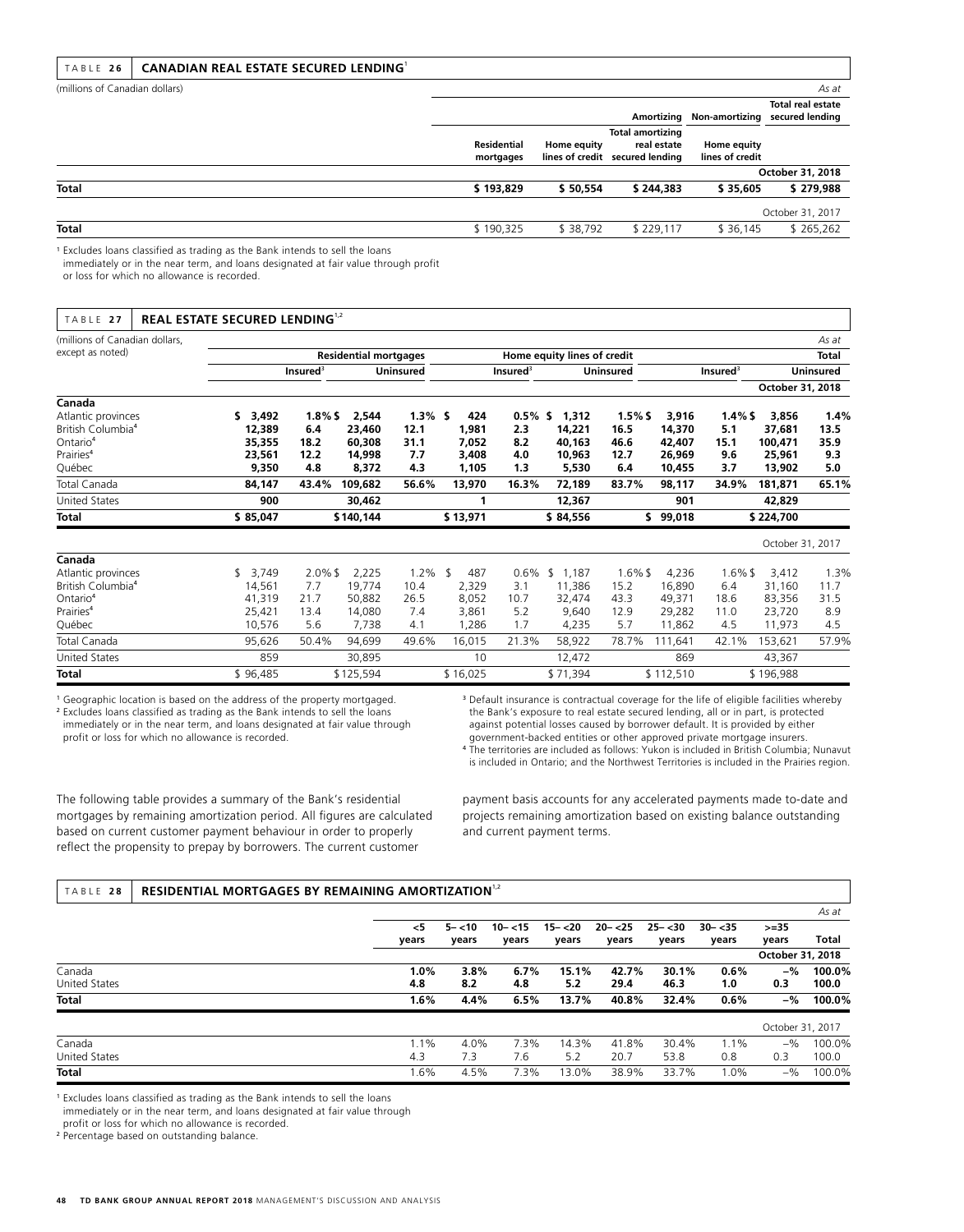| TABLE 26                       | <b>CANADIAN REAL ESTATE SECURED LENDING</b> |                    |             |                                 |                           |                          |
|--------------------------------|---------------------------------------------|--------------------|-------------|---------------------------------|---------------------------|--------------------------|
| (millions of Canadian dollars) |                                             |                    |             |                                 |                           | As at                    |
|                                |                                             |                    |             |                                 |                           | <b>Total real estate</b> |
|                                |                                             |                    |             |                                 | Amortizing Non-amortizing | secured lending          |
|                                |                                             |                    |             | <b>Total amortizing</b>         |                           |                          |
|                                |                                             | <b>Residential</b> | Home equity | real estate                     | Home equity               |                          |
|                                |                                             | mortgages          |             | lines of credit secured lending | lines of credit           |                          |
|                                |                                             |                    |             |                                 |                           | October 31, 2018         |
| <b>Total</b>                   |                                             | \$193,829          | \$50,554    | \$244,383                       | \$35,605                  | \$279,988                |
|                                |                                             |                    |             |                                 |                           | October 31, 2017         |
| <b>Total</b>                   |                                             | \$190,325          | \$38,792    | \$229,117                       | \$36,145                  | \$265,262                |
|                                |                                             |                    |             |                                 |                           |                          |

<sup>1</sup> Excludes loans classified as trading as the Bank intends to sell the loans

immediately or in the near term, and loans designated at fair value through profit

or loss for which no allowance is recorded.

| TABLE<br>27                    |  | REAL ESTATE SECURED LENDING <sup>1,2</sup> |                      |                              |            |                      |            |                             |            |                      |            |                  |              |
|--------------------------------|--|--------------------------------------------|----------------------|------------------------------|------------|----------------------|------------|-----------------------------|------------|----------------------|------------|------------------|--------------|
| (millions of Canadian dollars, |  |                                            |                      |                              |            |                      |            |                             |            |                      |            |                  | As at        |
| except as noted)               |  |                                            |                      | <b>Residential mortgages</b> |            |                      |            | Home equity lines of credit |            |                      |            |                  | <b>Total</b> |
|                                |  |                                            | Insured <sup>3</sup> | <b>Uninsured</b>             |            | Insured <sup>3</sup> |            | <b>Uninsured</b>            |            | Insured <sup>3</sup> |            | <b>Uninsured</b> |              |
|                                |  |                                            |                      |                              |            |                      |            |                             |            |                      |            | October 31, 2018 |              |
| Canada                         |  |                                            |                      |                              |            |                      |            |                             |            |                      |            |                  |              |
| Atlantic provinces             |  | 3,492<br>s.                                | $1.8\%$ \$           | 2,544                        | $1.3\%$ \$ | 424                  | $0.5\%$ \$ | 1,312                       | $1.5\%$ \$ | 3,916                | $1.4\%$ \$ | 3.856            | 1.4%         |
| British Columbia <sup>4</sup>  |  | 12,389                                     | 6.4                  | 23,460                       | 12.1       | 1.981                | 2.3        | 14.221                      | 16.5       | 14,370               | 5.1        | 37,681           | 13.5         |
| Ontario <sup>4</sup>           |  | 35,355                                     | 18.2                 | 60,308                       | 31.1       | 7.052                | 8.2        | 40,163                      | 46.6       | 42,407               | 15.1       | 100,471          | 35.9         |
| Prairies <sup>4</sup>          |  | 23,561                                     | 12.2                 | 14,998                       | 7.7        | 3,408                | 4.0        | 10,963                      | 12.7       | 26,969               | 9.6        | 25,961           | 9.3          |
| Québec                         |  | 9,350                                      | 4.8                  | 8.372                        | 4.3        | 1,105                | 1.3        | 5,530                       | 6.4        | 10,455               | 3.7        | 13,902           | 5.0          |
| Total Canada                   |  | 84,147                                     | 43.4%                | 109,682                      | 56.6%      | 13,970               | 16.3%      | 72,189                      | 83.7%      | 98,117               | 34.9%      | 181.871          | 65.1%        |
| <b>United States</b>           |  | 900                                        |                      | 30,462                       |            | 1                    |            | 12,367                      |            | 901                  |            | 42,829           |              |
| Total                          |  | \$85,047                                   |                      | \$140,144                    |            | \$13,971             |            | \$84,556                    | \$.        | 99,018               |            | \$224,700        |              |
|                                |  |                                            |                      |                              |            |                      |            |                             |            |                      |            | October 31, 2017 |              |
| Canada                         |  |                                            |                      |                              |            |                      |            |                             |            |                      |            |                  |              |
| Atlantic provinces             |  | 3.749<br>\$                                | $2.0\%$ \$           | 2,225                        | 1.2%       | -S<br>487            | 0.6%       | \$<br>1.187                 | 1.6%\$     | 4,236                | 1.6%\$     | 3,412            | 1.3%         |
| British Columbia <sup>4</sup>  |  | 14,561                                     | 7.7                  | 19,774                       | 10.4       | 2.329                | 3.1        | 11,386                      | 15.2       | 16,890               | 6.4        | 31,160           | 11.7         |
| Ontario <sup>4</sup>           |  | 41.319                                     | 21.7                 | 50.882                       | 26.5       | 8.052                | 10.7       | 32.474                      | 43.3       | 49.371               | 18.6       | 83.356           | 31.5         |
| Prairies <sup>4</sup>          |  | 25,421                                     | 13.4                 | 14,080                       | 7.4        | 3,861                | 5.2        | 9,640                       | 12.9       | 29,282               | 11.0       | 23.720           | 8.9          |
| Québec                         |  | 10,576                                     | 5.6                  | 7.738                        | 4.1        | 1,286                | 1.7        | 4,235                       | 5.7        | 11.862               | 4.5        | 11,973           | 4.5          |
| Total Canada                   |  | 95,626                                     | 50.4%                | 94,699                       | 49.6%      | 16,015               | 21.3%      | 58,922                      | 78.7%      | 111.641              | 42.1%      | 153.621          | 57.9%        |
| <b>United States</b>           |  | 859                                        |                      | 30,895                       |            | 10                   |            | 12,472                      |            | 869                  |            | 43,367           |              |
| Total                          |  | \$96,485                                   |                      | \$125,594                    |            | \$16,025             |            | \$71,394                    |            | \$112,510            |            | \$196,988        |              |

<sup>1</sup> Geographic location is based on the address of the property mortgaged. <sup>2</sup> Excludes loans classified as trading as the Bank intends to sell the loans immediately or in the near term, and loans designated at fair value through profit or loss for which no allowance is recorded.

<sup>3</sup> Default insurance is contractual coverage for the life of eligible facilities whereby the Bank's exposure to real estate secured lending, all or in part, is protected against potential losses caused by borrower default. It is provided by either government-backed entities or other approved private mortgage insurers.

<sup>4</sup> The territories are included as follows: Yukon is included in British Columbia; Nunavut is included in Ontario; and the Northwest Territories is included in the Prairies region.

The following table provides a summary of the Bank's residential mortgages by remaining amortization period. All figures are calculated based on current customer payment behaviour in order to properly reflect the propensity to prepay by borrowers. The current customer

payment basis accounts for any accelerated payments made to-date and projects remaining amortization based on existing balance outstanding and current payment terms.

| TABLE 28             | RESIDENTIAL MORTGAGES BY REMAINING AMORTIZATION <sup>1,2</sup> |       |            |           |           |           |           |           |                  |        |
|----------------------|----------------------------------------------------------------|-------|------------|-----------|-----------|-----------|-----------|-----------|------------------|--------|
|                      |                                                                |       |            |           |           |           |           |           |                  | As at  |
|                      |                                                                | $<$ 5 | $5 - < 10$ | $10 - 15$ | $15 - 20$ | $20 - 25$ | $25 - 30$ | $30 - 35$ | $>= 35$          |        |
|                      |                                                                | years | years      | years     | years     | years     | years     | years     | years            | Total  |
|                      |                                                                |       |            |           |           |           |           |           | October 31, 2018 |        |
| Canada               |                                                                | 1.0%  | 3.8%       | 6.7%      | 15.1%     | 42.7%     | 30.1%     | 0.6%      | $-$ %            | 100.0% |
| <b>United States</b> |                                                                | 4.8   | 8.2        | 4.8       | 5.2       | 29.4      | 46.3      | 1.0       | 0.3              | 100.0  |
| Total                |                                                                | 1.6%  | 4.4%       | 6.5%      | 13.7%     | 40.8%     | 32.4%     | 0.6%      | $-$ %            | 100.0% |
|                      |                                                                |       |            |           |           |           |           |           | October 31, 2017 |        |
| Canada               |                                                                | 1.1%  | 4.0%       | 7.3%      | 14.3%     | 41.8%     | 30.4%     | 1.1%      | $-$ %            | 100.0% |
| <b>United States</b> |                                                                | 4.3   | 7.3        | 7.6       | 5.2       | 20.7      | 53.8      | 0.8       | 0.3              | 100.0  |
| <b>Total</b>         |                                                                | 1.6%  | 4.5%       | 7.3%      | 13.0%     | 38.9%     | 33.7%     | 1.0%      | $-$ %            | 100.0% |

<sup>1</sup> Excludes loans classified as trading as the Bank intends to sell the loans

immediately or in the near term, and loans designated at fair value through

profit or loss for which no allowance is recorded.

<sup>2</sup> Percentage based on outstanding balance.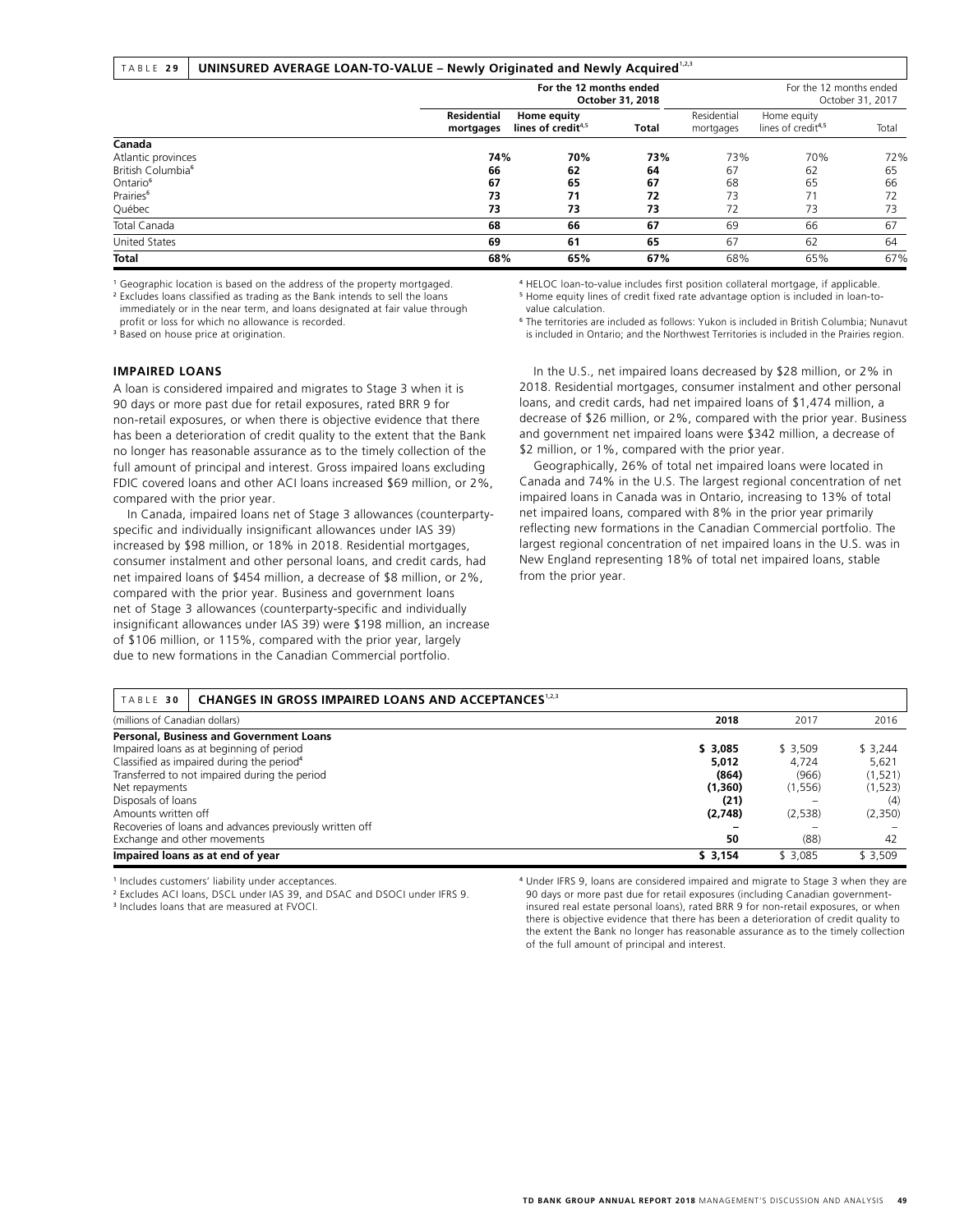| TABLE 29                                              | UNINSURED AVERAGE LOAN-TO-VALUE - Newly Originated and Newly Acquired <sup>1,2,3</sup> |                                 |                                      |                  |                          |                                               |                  |
|-------------------------------------------------------|----------------------------------------------------------------------------------------|---------------------------------|--------------------------------------|------------------|--------------------------|-----------------------------------------------|------------------|
|                                                       |                                                                                        |                                 | For the 12 months ended              | October 31, 2018 |                          | For the 12 months ended                       | October 31, 2017 |
|                                                       |                                                                                        | <b>Residential</b><br>mortgages | Home equity<br>lines of credit $4.5$ | Total            | Residential<br>mortgages | Home equity<br>lines of credit <sup>4,5</sup> | Total            |
| Canada<br>Atlantic provinces                          |                                                                                        | 74%                             | 70%                                  | 73%              | 73%                      | 70%                                           | 72%              |
| British Columbia <sup>6</sup><br>Ontario <sup>6</sup> |                                                                                        | 66<br>67                        | 62<br>65                             | 64<br>67         | 67<br>68                 | 62<br>65                                      | 65<br>66         |
| Prairies <sup>6</sup><br>Québec                       |                                                                                        | 73<br>73                        | 71<br>73                             | 72<br>73         | 73<br>72                 | 71<br>73                                      | 72<br>73         |
| Total Canada                                          |                                                                                        | 68                              | 66                                   | 67               | 69                       | 66                                            | 67               |
| <b>United States</b>                                  |                                                                                        | 69                              | 61                                   | 65               | 67                       | 62                                            | 64               |
| Total                                                 |                                                                                        | 68%                             | 65%                                  | 67%              | 68%                      | 65%                                           | 67%              |

<sup>1</sup> Geographic location is based on the address of the property mortgaged.

<sup>2</sup> Excludes loans classified as trading as the Bank intends to sell the loans immediately or in the near term, and loans designated at fair value through

profit or loss for which no allowance is recorded.

<sup>3</sup> Based on house price at origination.

# **IMPAIRED LOANS**

A loan is considered impaired and migrates to Stage 3 when it is 90 days or more past due for retail exposures, rated BRR 9 for non-retail exposures, or when there is objective evidence that there has been a deterioration of credit quality to the extent that the Bank no longer has reasonable assurance as to the timely collection of the full amount of principal and interest. Gross impaired loans excluding FDIC covered loans and other ACI loans increased \$69 million, or 2%, compared with the prior year.

In Canada, impaired loans net of Stage 3 allowances (counterpartyspecific and individually insignificant allowances under IAS 39) increased by \$98 million, or 18% in 2018. Residential mortgages, consumer instalment and other personal loans, and credit cards, had net impaired loans of \$454 million, a decrease of \$8 million, or 2%, compared with the prior year. Business and government loans net of Stage 3 allowances (counterparty-specific and individually insignificant allowances under IAS 39) were \$198 million, an increase of \$106 million, or 115%, compared with the prior year, largely due to new formations in the Canadian Commercial portfolio.

<sup>4</sup> HELOC loan-to-value includes first position collateral mortgage, if applicable. <sup>5</sup> Home equity lines of credit fixed rate advantage option is included in loan-tovalue calculation.

<sup>6</sup> The territories are included as follows: Yukon is included in British Columbia; Nunavut is included in Ontario; and the Northwest Territories is included in the Prairies region.

In the U.S., net impaired loans decreased by \$28 million, or 2% in 2018. Residential mortgages, consumer instalment and other personal loans, and credit cards, had net impaired loans of \$1,474 million, a decrease of \$26 million, or 2%, compared with the prior year. Business and government net impaired loans were \$342 million, a decrease of \$2 million, or 1%, compared with the prior year.

Geographically, 26% of total net impaired loans were located in Canada and 74% in the U.S. The largest regional concentration of net impaired loans in Canada was in Ontario, increasing to 13% of total net impaired loans, compared with 8% in the prior year primarily reflecting new formations in the Canadian Commercial portfolio. The largest regional concentration of net impaired loans in the U.S. was in New England representing 18% of total net impaired loans, stable from the prior year.

| TABLE 30                       | CHANGES IN GROSS IMPAIRED LOANS AND ACCEPTANCES <sup>1,2,3</sup> |          |          |         |
|--------------------------------|------------------------------------------------------------------|----------|----------|---------|
| (millions of Canadian dollars) |                                                                  | 2018     | 2017     | 2016    |
|                                | Personal, Business and Government Loans                          |          |          |         |
|                                | Impaired loans as at beginning of period                         | \$ 3.085 | \$3.509  | \$3,244 |
|                                | Classified as impaired during the period <sup>4</sup>            | 5.012    | 4.724    | 5.621   |
|                                | Transferred to not impaired during the period                    | (864)    | (966)    | (1,521) |
| Net repayments                 |                                                                  | (1,360)  | (1, 556) | (1,523) |
| Disposals of loans             |                                                                  | (21)     |          | (4)     |
| Amounts written off            |                                                                  | (2,748)  | (2,538)  | (2,350) |
|                                | Recoveries of loans and advances previously written off          |          |          |         |
| Exchange and other movements   |                                                                  | 50       | (88)     | 42      |
|                                | Impaired loans as at end of year                                 | \$3.154  | \$3.085  | \$3.509 |

<sup>1</sup> Includes customers' liability under acceptances.

<sup>2</sup> Excludes ACI loans, DSCL under IAS 39, and DSAC and DSOCI under IFRS 9.

<sup>3</sup> Includes loans that are measured at FVOCI.

<sup>4</sup> Under IFRS 9, loans are considered impaired and migrate to Stage 3 when they are 90 days or more past due for retail exposures (including Canadian governmentinsured real estate personal loans), rated BRR 9 for non-retail exposures, or when there is objective evidence that there has been a deterioration of credit quality to the extent the Bank no longer has reasonable assurance as to the timely collection of the full amount of principal and interest.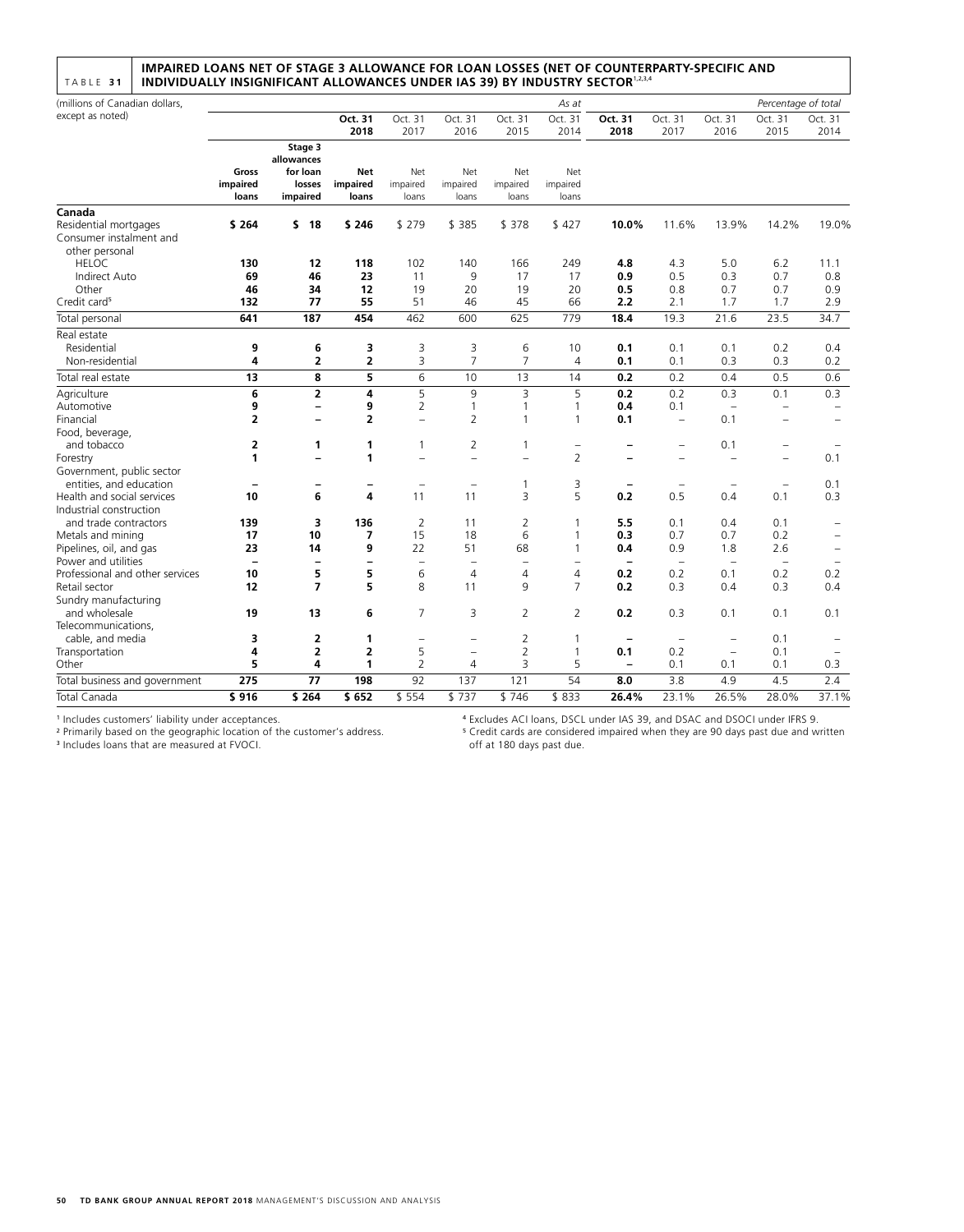# **IMPAIRED LOANS NET OF STAGE 3 ALLOWANCE FOR LOAN LOSSES (NET OF COUNTERPARTY-SPECIFIC AND INDIVIDUALLY INSIGNIFICANT ALLOWANCES UNDER IAS 39) BY INDUSTRY SECTOR<sup>1,2,3,4</sup>**

| (millions of Canadian dollars,  |                          |                          |                         |                          |                          |                          | As at           |                          |                          |                          | Percentage of total      |                          |
|---------------------------------|--------------------------|--------------------------|-------------------------|--------------------------|--------------------------|--------------------------|-----------------|--------------------------|--------------------------|--------------------------|--------------------------|--------------------------|
| except as noted)                |                          |                          | Oct. 31<br>2018         | Oct. 31<br>2017          | Oct. 31<br>2016          | Oct. 31<br>2015          | Oct. 31<br>2014 | Oct. 31<br>2018          | Oct. 31<br>2017          | Oct. 31<br>2016          | Oct. 31<br>2015          | Oct. 31<br>2014          |
|                                 |                          |                          |                         |                          |                          |                          |                 |                          |                          |                          |                          |                          |
|                                 |                          | Stage 3<br>allowances    |                         |                          |                          |                          |                 |                          |                          |                          |                          |                          |
|                                 | Gross                    | for loan                 | Net                     | Net                      | Net                      | Net                      | Net             |                          |                          |                          |                          |                          |
|                                 | impaired                 | losses                   | impaired                | impaired                 | impaired                 | impaired                 | impaired        |                          |                          |                          |                          |                          |
|                                 | loans                    | impaired                 | loans                   | loans                    | loans                    | loans                    | loans           |                          |                          |                          |                          |                          |
| Canada                          |                          |                          |                         |                          |                          |                          |                 |                          |                          |                          |                          |                          |
| Residential mortgages           | \$ 264                   | \$18                     | \$246                   | \$ 279                   | \$385                    | \$378                    | \$427           | 10.0%                    | 11.6%                    | 13.9%                    | 14.2%                    | 19.0%                    |
| Consumer instalment and         |                          |                          |                         |                          |                          |                          |                 |                          |                          |                          |                          |                          |
| other personal                  |                          |                          |                         |                          |                          |                          |                 |                          |                          |                          |                          |                          |
| <b>HELOC</b>                    | 130                      | 12                       | 118                     | 102                      | 140                      | 166                      | 249             | 4.8                      | 4.3                      | 5.0                      | 6.2                      | 11.1                     |
| Indirect Auto                   | 69                       | 46                       | 23                      | 11                       | 9                        | 17                       | 17              | 0.9                      | 0.5                      | 0.3                      | 0.7                      | 0.8                      |
| Other                           | 46                       | 34                       | 12                      | 19                       | 20                       | 19                       | 20              | 0.5                      | 0.8                      | 0.7                      | 0.7                      | 0.9                      |
| Credit card <sup>5</sup>        | 132                      | 77                       | 55                      | 51                       | 46                       | 45                       | 66              | 2.2                      | 2.1                      | 1.7                      | 1.7                      | 2.9                      |
| Total personal                  | 641                      | 187                      | 454                     | 462                      | 600                      | 625                      | 779             | 18.4                     | 19.3                     | 21.6                     | 23.5                     | 34.7                     |
| Real estate                     |                          |                          |                         |                          |                          |                          |                 |                          |                          |                          |                          |                          |
| Residential                     | 9                        | 6                        | 3                       | 3                        | 3                        | 6                        | 10              | 0.1                      | 0.1                      | 0.1                      | 0.2                      | 0.4                      |
| Non-residential                 | 4                        | $\overline{\mathbf{2}}$  | $\overline{\mathbf{c}}$ | 3                        | $\overline{7}$           | $\overline{7}$           | 4               | 0.1                      | 0.1                      | 0.3                      | 0.3                      | 0.2                      |
| Total real estate               | 13                       | 8                        | 5                       | 6                        | 10                       | 13                       | 14              | 0.2                      | 0.2                      | 0.4                      | 0.5                      | 0.6                      |
| Agriculture                     | 6                        | $\overline{2}$           | 4                       | 5                        | 9                        | 3                        | 5               | 0.2                      | 0.2                      | 0.3                      | 0.1                      | 0.3                      |
| Automotive                      | 9                        | $\overline{\phantom{0}}$ | 9                       | $\overline{2}$           | $\mathbf{1}$             | $\mathbf{1}$             | $\mathbf{1}$    | 0.4                      | 0.1                      | $\overline{\phantom{a}}$ | $\overline{\phantom{0}}$ | $\overline{a}$           |
| Financial                       | $\overline{2}$           | $\equiv$                 | $\overline{2}$          | ÷,                       | $\overline{2}$           | $\mathbf{1}$             | 1               | 0.1                      | $\overline{\phantom{0}}$ | 0.1                      | $\overline{\phantom{0}}$ | L.                       |
| Food, beverage,                 |                          |                          |                         |                          |                          |                          |                 |                          |                          |                          |                          |                          |
| and tobacco                     | 2                        | 1                        | 1                       | 1                        | $\overline{2}$           | 1                        | L.              |                          |                          | 0.1                      |                          |                          |
| Forestry                        | $\mathbf{1}$             | $\overline{\phantom{0}}$ | 1                       | $\overline{\phantom{0}}$ | $\overline{\phantom{0}}$ | $\overline{\phantom{0}}$ | $\overline{2}$  | $\overline{\phantom{0}}$ | ۰                        | ۰                        | ÷                        | 0.1                      |
| Government, public sector       |                          |                          |                         |                          |                          |                          |                 |                          |                          |                          |                          |                          |
| entities, and education         |                          |                          | -                       | $\overline{\phantom{0}}$ | $\overline{\phantom{a}}$ | 1                        | 3               |                          |                          |                          | $\overline{\phantom{0}}$ | 0.1                      |
| Health and social services      | 10                       | 6                        | 4                       | 11                       | 11                       | 3                        | 5               | 0.2                      | 0.5                      | 0.4                      | 0.1                      | 0.3                      |
| Industrial construction         |                          |                          |                         |                          |                          |                          |                 |                          |                          |                          |                          |                          |
| and trade contractors           | 139                      | 3                        | 136                     | $\overline{2}$           | 11                       | 2                        | 1               | 5.5                      | 0.1                      | 0.4                      | 0.1                      |                          |
| Metals and mining               | 17                       | 10                       | 7                       | 15                       | 18                       | 6                        | $\mathbf{1}$    | 0.3                      | 0.7                      | 0.7                      | 0.2                      |                          |
| Pipelines, oil, and gas         | 23                       | 14                       | 9                       | 22                       | 51                       | 68                       | $\mathbf{1}$    | 0.4                      | 0.9                      | 1.8                      | 2.6                      | $\overline{\phantom{a}}$ |
| Power and utilities             | $\overline{\phantom{0}}$ | $\overline{\phantom{0}}$ | -                       | $\overline{\phantom{0}}$ | $\overline{\phantom{a}}$ | ۰                        | L.              | $\overline{\phantom{0}}$ | $\overline{\phantom{m}}$ | $\overline{\phantom{0}}$ | $\overline{\phantom{0}}$ | $\overline{\phantom{0}}$ |
| Professional and other services | 10                       | 5                        | 5                       | 6                        | $\overline{4}$           | $\overline{4}$           | 4               | 0.2                      | 0.2                      | 0.1                      | 0.2                      | 0.2                      |
| Retail sector                   | 12                       | $\overline{\phantom{a}}$ | 5                       | 8                        | 11                       | 9                        | $\overline{7}$  | 0.2                      | 0.3                      | 0.4                      | 0.3                      | 0.4                      |
| Sundry manufacturing            |                          |                          |                         |                          |                          |                          |                 |                          |                          |                          |                          |                          |
| and wholesale                   | 19                       | 13                       | 6                       | $\overline{7}$           | 3                        | 2                        | $\overline{2}$  | 0.2                      | 0.3                      | 0.1                      | 0.1                      | 0.1                      |
| Telecommunications,             |                          |                          |                         |                          |                          |                          |                 |                          |                          |                          |                          |                          |
| cable, and media                | 3                        | 2                        | 1                       | $\qquad \qquad -$        | $\overline{\phantom{a}}$ | 2                        | 1               | $\overline{\phantom{a}}$ | $\overline{\phantom{a}}$ | $\overline{\phantom{0}}$ | 0.1                      |                          |
| Transportation                  | 4                        | 2                        | $\overline{2}$          | 5                        | $\overline{\phantom{a}}$ | $\overline{2}$           | $\mathbf{1}$    | 0.1                      | 0.2                      | $\overline{\phantom{0}}$ | 0.1                      |                          |
| Other                           | 5                        | 4                        | 1                       | 2                        | 4                        | 3                        | 5               | $\overline{\phantom{0}}$ | 0.1                      | 0.1                      | 0.1                      | 0.3                      |
| Total business and government   | 275                      | 77                       | 198                     | 92                       | 137                      | 121                      | 54              | 8.0                      | 3.8                      | 4.9                      | 4.5                      | 2.4                      |
| <b>Total Canada</b>             | \$916                    | \$264                    | \$652                   | \$554                    | \$737                    | \$746                    | \$833           | 26.4%                    | 23.1%                    | 26.5%                    | 28.0%                    | 37.1%                    |

<sup>1</sup> Includes customers' liability under acceptances.

<sup>2</sup> Primarily based on the geographic location of the customer's address.

<sup>4</sup> Excludes ACI loans, DSCL under IAS 39, and DSAC and DSOCI under IFRS 9.

<sup>5</sup> Credit cards are considered impaired when they are 90 days past due and written off at 180 days past due.

<sup>3</sup> Includes loans that are measured at FVOCI.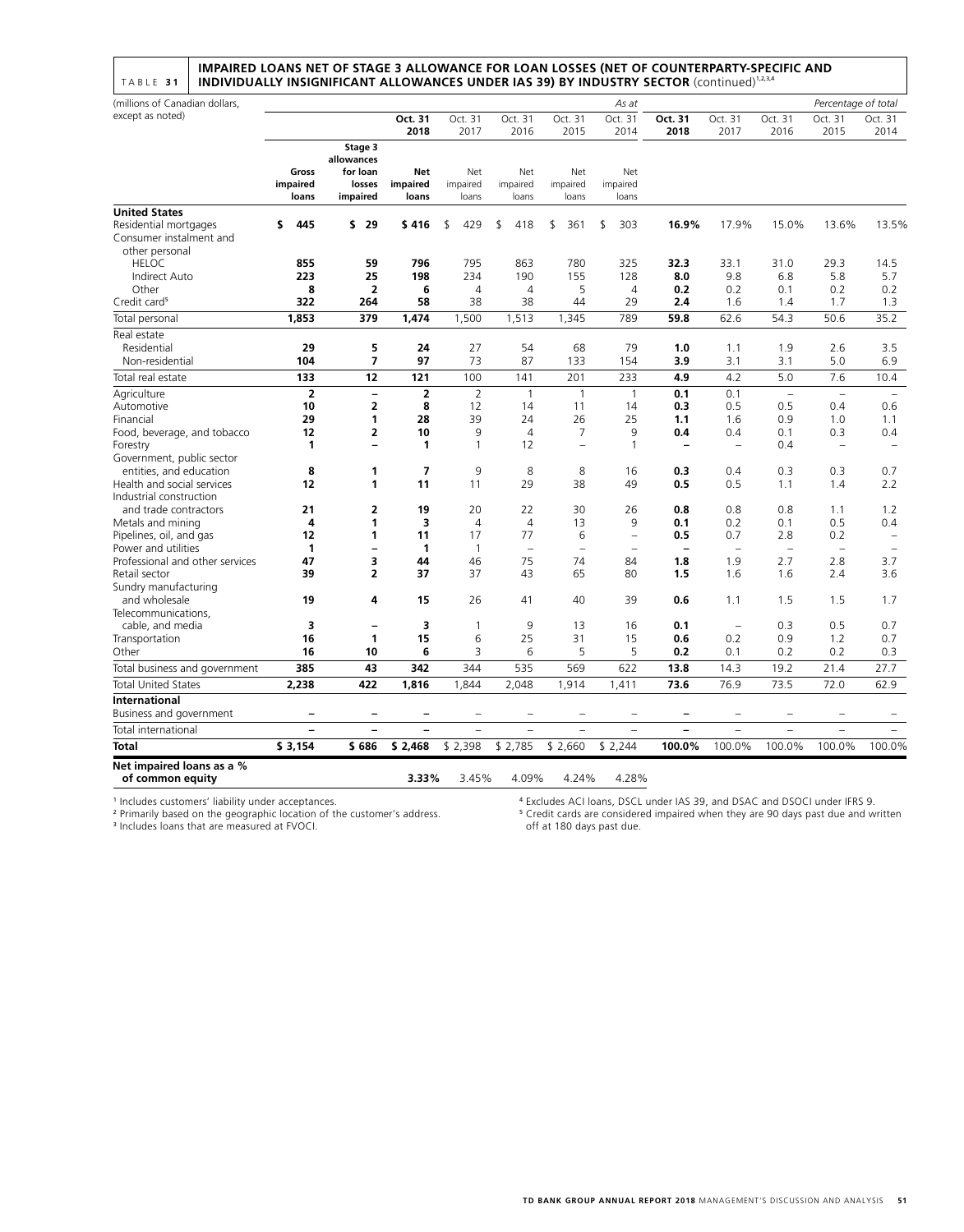# **IMPAIRED LOANS NET OF STAGE 3 ALLOWANCE FOR LOAN LOSSES (NET OF COUNTERPARTY-SPECIFIC AND**  <code>TABLE 31</code>  $\mid$  <code>INDIVIDUALLY</code> INSIGNIFICANT ALLOWANCES UNDER IAS 39) BY INDUSTRY SECTOR (continued)<sup>1,2,3,4</sup>

| (millions of Canadian dollars,                |                |                          |                |                |                |                   | As at                    |                          |                                 |                          | Percentage of total      |                          |
|-----------------------------------------------|----------------|--------------------------|----------------|----------------|----------------|-------------------|--------------------------|--------------------------|---------------------------------|--------------------------|--------------------------|--------------------------|
| except as noted)                              |                |                          | Oct. 31        | Oct. 31        | Oct. 31        | Oct. 31           | Oct. 31                  | Oct. 31                  | Oct. 31                         | Oct. 31                  | Oct. 31                  | Oct. 31                  |
|                                               |                |                          | 2018           | 2017           | 2016           | 2015              | 2014                     | 2018                     | 2017                            | 2016                     | 2015                     | 2014                     |
|                                               |                | Stage 3                  |                |                |                |                   |                          |                          |                                 |                          |                          |                          |
|                                               |                | allowances               |                |                |                |                   |                          |                          |                                 |                          |                          |                          |
|                                               | Gross          | for loan                 | Net            | Net            | Net            | Net               | Net                      |                          |                                 |                          |                          |                          |
|                                               | impaired       | losses                   | impaired       | impaired       | impaired       | impaired          | impaired                 |                          |                                 |                          |                          |                          |
|                                               | loans          | impaired                 | loans          | loans          | loans          | loans             | loans                    |                          |                                 |                          |                          |                          |
| <b>United States</b>                          |                |                          |                |                |                |                   |                          |                          |                                 |                          |                          |                          |
| Residential mortgages                         | 445<br>\$      | 529                      | \$416          | \$<br>429      | \$<br>418      | \$<br>361         | \$<br>303                | 16.9%                    | 17.9%                           | 15.0%                    | 13.6%                    | 13.5%                    |
| Consumer instalment and                       |                |                          |                |                |                |                   |                          |                          |                                 |                          |                          |                          |
| other personal                                |                |                          |                |                |                |                   |                          |                          |                                 |                          |                          |                          |
| <b>HELOC</b>                                  | 855            | 59                       | 796            | 795            | 863            | 780               | 325                      | 32.3                     | 33.1                            | 31.0                     | 29.3                     | 14.5                     |
| Indirect Auto                                 | 223            | 25                       | 198            | 234            | 190            | 155               | 128                      | 8.0                      | 9.8                             | 6.8                      | 5.8                      | 5.7                      |
| Other                                         | 8              | $\overline{2}$           | 6              | $\overline{4}$ | 4              | 5                 | 4                        | 0.2                      | 0.2                             | 0.1                      | 0.2                      | 0.2                      |
| Credit card <sup>5</sup>                      | 322            | 264                      | 58             | 38             | 38             | 44                | 29                       | 2.4                      | 1.6                             | 1.4                      | 1.7                      | 1.3                      |
| Total personal                                | 1,853          | 379                      | 1,474          | 1,500          | 1,513          | 1,345             | 789                      | 59.8                     | 62.6                            | 54.3                     | 50.6                     | 35.2                     |
| Real estate                                   |                |                          |                |                |                |                   |                          |                          |                                 |                          |                          |                          |
| Residential                                   | 29             | 5                        | 24             | 27             | 54             | 68                | 79                       | 1.0                      | 1.1                             | 1.9                      | 2.6                      | 3.5                      |
| Non-residential                               | 104            | $\overline{\mathbf{z}}$  | 97             | 73             | 87             | 133               | 154                      | 3.9                      | 3.1                             | 3.1                      | 5.0                      | 6.9                      |
| Total real estate                             | 133            | 12                       | 121            | 100            | 141            | 201               | 233                      | 4.9                      | 4.2                             | 5.0                      | 7.6                      | 10.4                     |
| Agriculture                                   | $\overline{2}$ | $\overline{\phantom{0}}$ | $\overline{2}$ | $\overline{2}$ | $\mathbf{1}$   | $\mathbf{1}$      | $\mathbf{1}$             | 0.1                      | 0.1                             | $\overline{\phantom{a}}$ | $\overline{\phantom{0}}$ | $\overline{\phantom{a}}$ |
| Automotive                                    | 10             | $\overline{\mathbf{2}}$  | 8              | 12             | 14             | 11                | 14                       | 0.3                      | 0.5                             | 0.5                      | 0.4                      | 0.6                      |
| Financial                                     | 29             | 1                        | 28             | 39             | 24             | 26                | 25                       | 1.1                      | 1.6                             | 0.9                      | 1.0                      | 1.1                      |
| Food, beverage, and tobacco                   | 12             | $\overline{\mathbf{2}}$  | 10             | 9              | $\overline{4}$ | 7                 | 9                        | 0.4                      | 0.4                             | 0.1                      | 0.3                      | 0.4                      |
| Forestry                                      | 1              | $\overline{\phantom{0}}$ | 1              | $\mathbf{1}$   | 12             | $\qquad \qquad -$ | 1                        | $\overline{\phantom{a}}$ | $\overline{\phantom{0}}$        | 0.4                      | $\overline{\phantom{0}}$ | ÷                        |
| Government, public sector                     |                |                          |                |                |                |                   |                          |                          |                                 |                          |                          |                          |
| entities, and education                       | 8              | 1                        | $\overline{ }$ | 9              | 8              | 8                 | 16                       | 0.3                      | 0.4                             | 0.3                      | 0.3                      | 0.7                      |
| Health and social services                    | 12             | 1                        | 11             | 11             | 29             | 38                | 49                       | 0.5                      | 0.5                             | 1.1                      | 1.4                      | 2.2                      |
| Industrial construction                       |                |                          |                |                |                |                   |                          |                          |                                 |                          |                          |                          |
| and trade contractors                         | 21             | $\overline{\mathbf{2}}$  | 19             | 20             | 22             | 30                | 26                       | 0.8                      | 0.8                             | 0.8                      | 1.1                      | 1.2                      |
| Metals and mining                             | 4              | 1                        | 3              | 4              | $\overline{4}$ | 13                | 9                        | 0.1                      | 0.2                             | 0.1                      | 0.5                      | 0.4                      |
| Pipelines, oil, and gas                       | 12             | 1                        | 11             | 17             | 77             | 6                 | $\overline{\phantom{0}}$ | 0.5                      | 0.7                             | 2.8                      | 0.2                      | $\overline{\phantom{a}}$ |
| Power and utilities                           | $\mathbf{1}$   | $\equiv$                 | 1              | $\mathbf{1}$   | $\sim$         | $\sim$            | L.                       | $\equiv$                 | $\sim$                          | $\sim$                   | L.                       | $\overline{\phantom{a}}$ |
| Professional and other services               | 47             | 3                        | 44             | 46             | 75             | 74                | 84                       | 1.8                      | 1.9                             | 2.7                      | 2.8                      | 3.7                      |
| Retail sector                                 | 39             | $\overline{2}$           | 37             | 37             | 43             | 65                | 80                       | 1.5                      | 1.6                             | 1.6                      | 2.4                      | 3.6                      |
| Sundry manufacturing                          |                |                          |                |                |                |                   |                          |                          |                                 |                          |                          |                          |
| and wholesale                                 | 19             | 4                        | 15             | 26             | 41             | 40                | 39                       | 0.6                      | 1.1                             | 1.5                      | 1.5                      | 1.7                      |
| Telecommunications,                           |                |                          |                |                |                |                   |                          |                          |                                 |                          |                          |                          |
| cable, and media                              | 3<br>16        | 1                        | 3<br>15        | 1<br>6         | 9<br>25        | 13<br>31          | 16<br>15                 | 0.1<br>0.6               | $\overline{\phantom{a}}$<br>0.2 | 0.3<br>0.9               | 0.5                      | 0.7<br>0.7               |
| Transportation<br>Other                       | 16             | 10                       | 6              | 3              | 6              | 5                 | 5                        | 0.2                      | 0.1                             | 0.2                      | 1.2<br>0.2               | 0.3                      |
|                                               | 385            |                          | 342            | 344            | 535            | 569               |                          |                          |                                 |                          |                          |                          |
| Total business and government                 |                | 43                       |                |                |                |                   | 622                      | 13.8                     | 14.3                            | 19.2                     | 21.4                     | 27.7                     |
| <b>Total United States</b>                    | 2,238          | 422                      | 1,816          | 1,844          | 2,048          | 1,914             | 1,411                    | 73.6                     | 76.9                            | 73.5                     | 72.0                     | 62.9                     |
| <b>International</b>                          |                |                          |                |                |                |                   |                          |                          |                                 |                          |                          |                          |
| Business and government                       |                |                          |                |                |                |                   |                          |                          |                                 |                          |                          |                          |
| Total international                           | -              |                          | L              | $\overline{a}$ | $\overline{a}$ | $\equiv$          | ÷.                       | ÷                        | ÷,                              | $\bar{a}$                | $\overline{\phantom{0}}$ |                          |
| <b>Total</b>                                  | \$3,154        | \$ 686                   | \$2,468        | \$2,398        | \$2,785        | \$2,660           | \$2,244                  | 100.0%                   | 100.0%                          | 100.0%                   | 100.0%                   | 100.0%                   |
| Net impaired loans as a %<br>of common equity |                |                          | 3.33%          | 3.45%          | 4.09%          | 4.24%             | 4.28%                    |                          |                                 |                          |                          |                          |

<sup>1</sup> Includes customers' liability under acceptances.

<sup>4</sup> Excludes ACI loans, DSCL under IAS 39, and DSAC and DSOCI under IFRS 9. <sup>5</sup> Credit cards are considered impaired when they are 90 days past due and written off at 180 days past due.

<sup>2</sup> Primarily based on the geographic location of the customer's address.<br><sup>3</sup> Includes loans that are measured at FVOCI.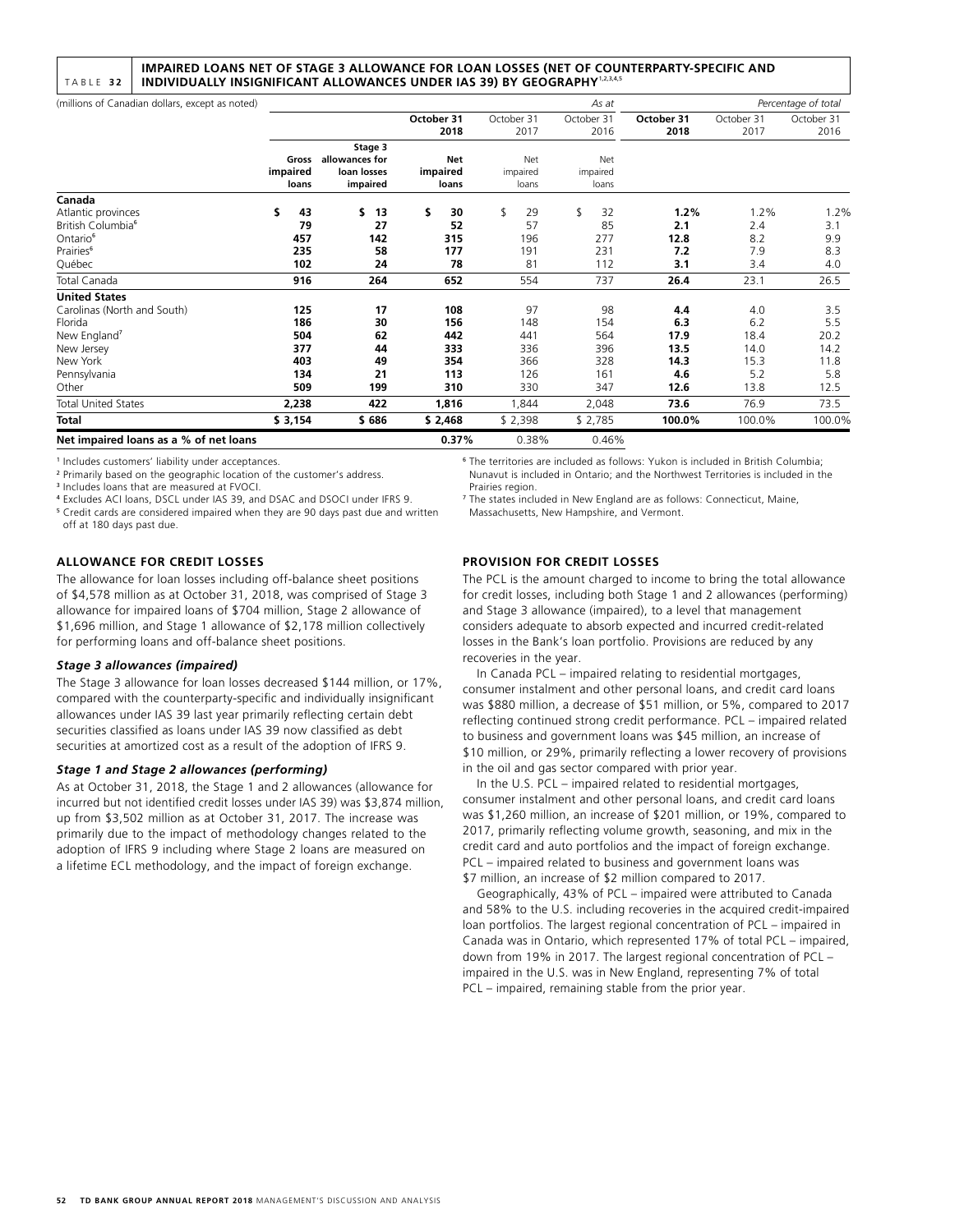#### **IMPAIRED LOANS NET OF STAGE 3 ALLOWANCE FOR LOAN LOSSES (NET OF COUNTERPARTY-SPECIFIC AND**  <code>TABLE 32  $\,$  INDIVIDUALLY INSIGNIFICANT ALLOWANCES UNDER IAS 39) BY GEOGRAPHY</code>  $^{12}$

| (millions of Canadian dollars, except as noted) |   |                            |                                                      |            |                                 |                          |    | As at                    |                    |                    | Percentage of total |
|-------------------------------------------------|---|----------------------------|------------------------------------------------------|------------|---------------------------------|--------------------------|----|--------------------------|--------------------|--------------------|---------------------|
|                                                 |   |                            |                                                      | October 31 | 2018                            | October 31<br>2017       |    | October 31<br>2016       | October 31<br>2018 | October 31<br>2017 | October 31<br>2016  |
|                                                 |   | Gross<br>impaired<br>loans | Stage 3<br>allowances for<br>loan losses<br>impaired |            | <b>Net</b><br>impaired<br>loans | Net<br>impaired<br>loans |    | Net<br>impaired<br>loans |                    |                    |                     |
| Canada                                          |   |                            |                                                      |            |                                 |                          |    |                          |                    |                    |                     |
| Atlantic provinces                              | s | 43                         | 13<br>s                                              | \$         | 30                              | \$<br>29                 | ß. | 32                       | 1.2%               | 1.2%               | 1.2%                |
| British Columbia <sup>6</sup>                   |   | 79                         | 27                                                   |            | 52                              | 57                       |    | 85                       | 2.1                | 2.4                | 3.1                 |
| Ontario <sup>6</sup>                            |   | 457                        | 142                                                  |            | 315                             | 196                      |    | 277                      | 12.8               | 8.2                | 9.9                 |
| Prairies <sup>6</sup>                           |   | 235                        | 58                                                   |            | 177                             | 191                      |    | 231                      | 7.2                | 7.9                | 8.3                 |
| Québec                                          |   | 102                        | 24                                                   |            | 78                              | 81                       |    | 112                      | 3.1                | 3.4                | 4.0                 |
| Total Canada                                    |   | 916                        | 264                                                  |            | 652                             | 554                      |    | 737                      | 26.4               | 23.1               | 26.5                |
| <b>United States</b>                            |   |                            |                                                      |            |                                 |                          |    |                          |                    |                    |                     |
| Carolinas (North and South)                     |   | 125                        | 17                                                   |            | 108                             | 97                       |    | 98                       | 4.4                | 4.0                | 3.5                 |
| Florida                                         |   | 186                        | 30                                                   |            | 156                             | 148                      |    | 154                      | 6.3                | 6.2                | 5.5                 |
| New England <sup>7</sup>                        |   | 504                        | 62                                                   |            | 442                             | 441                      |    | 564                      | 17.9               | 18.4               | 20.2                |
| New Jersey                                      |   | 377                        | 44                                                   |            | 333                             | 336                      |    | 396                      | 13.5               | 14.0               | 14.2                |
| New York                                        |   | 403                        | 49                                                   |            | 354                             | 366                      |    | 328                      | 14.3               | 15.3               | 11.8                |
| Pennsylvania                                    |   | 134                        | 21                                                   |            | 113                             | 126                      |    | 161                      | 4.6                | 5.2                | 5.8                 |
| Other                                           |   | 509                        | 199                                                  |            | 310                             | 330                      |    | 347                      | 12.6               | 13.8               | 12.5                |
| <b>Total United States</b>                      |   | 2,238                      | 422                                                  |            | 1,816                           | 1,844                    |    | 2,048                    | 73.6               | 76.9               | 73.5                |
| Total                                           |   | \$3,154                    | \$686                                                |            | \$2,468                         | \$2,398                  |    | \$2,785                  | 100.0%             | 100.0%             | 100.0%              |
| Net impaired loans as a % of net loans          |   |                            |                                                      |            | 0.37%                           | 0.38%                    |    | 0.46%                    |                    |                    |                     |

<sup>1</sup> Includes customers' liability under acceptances.

<sup>2</sup> Primarily based on the geographic location of the customer's address.

<sup>3</sup> Includes loans that are measured at FVOCI.

<sup>4</sup> Excludes ACI loans, DSCL under IAS 39, and DSAC and DSOCI under IFRS 9. <sup>5</sup> Credit cards are considered impaired when they are 90 days past due and written off at 180 days past due.

#### **ALLOWANCE FOR CREDIT LOSSES**

The allowance for loan losses including off-balance sheet positions of \$4,578 million as at October 31, 2018, was comprised of Stage 3 allowance for impaired loans of \$704 million, Stage 2 allowance of \$1,696 million, and Stage 1 allowance of \$2,178 million collectively for performing loans and off-balance sheet positions.

#### *Stage 3 allowances (impaired)*

The Stage 3 allowance for loan losses decreased \$144 million, or 17%, compared with the counterparty-specific and individually insignificant allowances under IAS 39 last year primarily reflecting certain debt securities classified as loans under IAS 39 now classified as debt securities at amortized cost as a result of the adoption of IFRS 9.

#### *Stage 1 and Stage 2 allowances (performing)*

As at October 31, 2018, the Stage 1 and 2 allowances (allowance for incurred but not identified credit losses under IAS 39) was \$3,874 million, up from \$3,502 million as at October 31, 2017. The increase was primarily due to the impact of methodology changes related to the adoption of IFRS 9 including where Stage 2 loans are measured on a lifetime ECL methodology, and the impact of foreign exchange.

<sup>6</sup> The territories are included as follows: Yukon is included in British Columbia; Nunavut is included in Ontario; and the Northwest Territories is included in the Prairies region.

<sup>7</sup> The states included in New England are as follows: Connecticut, Maine, Massachusetts, New Hampshire, and Vermont.

# **PROVISION FOR CREDIT LOSSES**

The PCL is the amount charged to income to bring the total allowance for credit losses, including both Stage 1 and 2 allowances (performing) and Stage 3 allowance (impaired), to a level that management considers adequate to absorb expected and incurred credit-related losses in the Bank's loan portfolio. Provisions are reduced by any recoveries in the year.

In Canada PCL – impaired relating to residential mortgages, consumer instalment and other personal loans, and credit card loans was \$880 million, a decrease of \$51 million, or 5%, compared to 2017 reflecting continued strong credit performance. PCL – impaired related to business and government loans was \$45 million, an increase of \$10 million, or 29%, primarily reflecting a lower recovery of provisions in the oil and gas sector compared with prior year.

In the U.S. PCL – impaired related to residential mortgages, consumer instalment and other personal loans, and credit card loans was \$1,260 million, an increase of \$201 million, or 19%, compared to 2017, primarily reflecting volume growth, seasoning, and mix in the credit card and auto portfolios and the impact of foreign exchange. PCL – impaired related to business and government loans was \$7 million, an increase of \$2 million compared to 2017.

Geographically, 43% of PCL – impaired were attributed to Canada and 58% to the U.S. including recoveries in the acquired credit-impaired loan portfolios. The largest regional concentration of PCL – impaired in Canada was in Ontario, which represented 17% of total PCL – impaired, down from 19% in 2017. The largest regional concentration of PCL – impaired in the U.S. was in New England, representing 7% of total PCL – impaired, remaining stable from the prior year.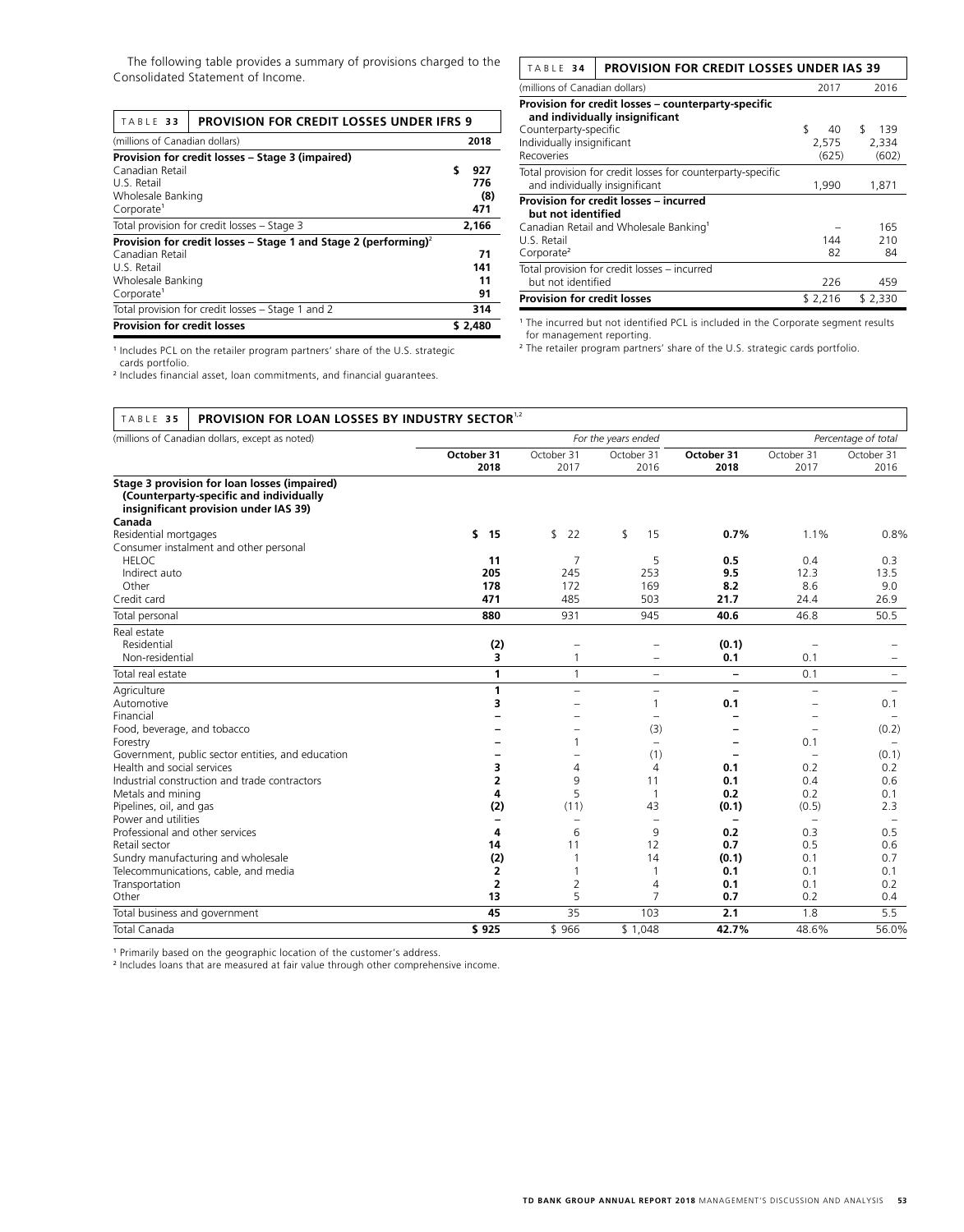The following table provides a summary of provisions charged to the Consolidated Statement of Income.

| TABLE 33                                                                      | <b>PROVISION FOR CREDIT LOSSES UNDER IFRS 9</b>                           |   |                          |
|-------------------------------------------------------------------------------|---------------------------------------------------------------------------|---|--------------------------|
| (millions of Canadian dollars)                                                |                                                                           |   | 2018                     |
| Canadian Retail<br>U.S. Retail<br>Wholesale Banking<br>Corporate <sup>1</sup> | Provision for credit losses - Stage 3 (impaired)                          | s | 927<br>776<br>(8)<br>471 |
|                                                                               | Total provision for credit losses - Stage 3                               |   | 2,166                    |
| Canadian Retail<br>U.S. Retail<br>Wholesale Banking<br>Corporate <sup>1</sup> | Provision for credit losses – Stage 1 and Stage 2 (performing) $\epsilon$ |   | 71<br>141<br>11<br>91    |
| <b>Provision for credit losses</b>                                            | Total provision for credit losses - Stage 1 and 2                         |   | 314<br>\$2,480           |

(millions of Canadian dollars) 2017 2016 **Provision for credit losses – counterparty-specific and individually insignificant** Counterparty-specific and the set of the set of the set of the set of the set of the set of the set of the set of the set of the set of the set of the set of the set of the set of the set of the set of the set of the set o Individually insignificant 1.1 and 2,575 2,334<br>Recoveries (625) (602) Recoveries Total provision for credit losses for counterparty-specific and individually insignificant 1,990 1,871 **Provision for credit losses – incurred but not identified** Canadian Retail and Wholesale Banking<sup>1</sup> – 165 U.S. Retail 210 Corporate<sup>2</sup> 82 84 Total provision for credit losses – incurred but not identified 226 459 **Provision for credit losses** \$ 2,216 \$ 2,330 TABLE **3 4 PROVISION FOR CREDIT LOSSES UNDER IAS 39**

<sup>1</sup> The incurred but not identified PCL is included in the Corporate segment results for management reporting.

<sup>1</sup> Includes PCL on the retailer program partners' share of the U.S. strategic

cards portfolio.

<sup>2</sup> Includes financial asset, loan commitments, and financial guarantees.

<sup>2</sup> The retailer program partners' share of the U.S. strategic cards portfolio.

| PROVISION FOR LOAN LOSSES BY INDUSTRY SECTOR <sup>1,2</sup><br>TABLE 35                                                          |                          |                          |                          |                          |                          |                          |
|----------------------------------------------------------------------------------------------------------------------------------|--------------------------|--------------------------|--------------------------|--------------------------|--------------------------|--------------------------|
| (millions of Canadian dollars, except as noted)                                                                                  |                          |                          | For the years ended      |                          |                          | Percentage of total      |
|                                                                                                                                  | October 31<br>2018       | October 31<br>2017       | October 31<br>2016       | October 31<br>2018       | October 31<br>2017       | October 31<br>2016       |
| Stage 3 provision for loan losses (impaired)<br>(Counterparty-specific and individually<br>insignificant provision under IAS 39) |                          |                          |                          |                          |                          |                          |
| Canada                                                                                                                           |                          |                          |                          |                          |                          |                          |
| Residential mortgages                                                                                                            | 5 <sub>15</sub>          | \$<br>22                 | \$<br>15                 | 0.7%                     | 1.1%                     | 0.8%                     |
| Consumer instalment and other personal                                                                                           |                          |                          |                          |                          |                          |                          |
| <b>HELOC</b>                                                                                                                     | 11                       | 7                        | 5                        | 0.5                      | 0.4                      | 0.3                      |
| Indirect auto                                                                                                                    | 205                      | 245                      | 253                      | 9.5                      | 12.3                     | 13.5                     |
| Other                                                                                                                            | 178                      | 172                      | 169                      | 8.2                      | 8.6                      | 9.0                      |
| Credit card                                                                                                                      | 471                      | 485                      | 503                      | 21.7                     | 24.4                     | 26.9                     |
| Total personal                                                                                                                   | 880                      | 931                      | 945                      | 40.6                     | 46.8                     | 50.5                     |
| Real estate                                                                                                                      |                          |                          |                          |                          |                          |                          |
| Residential                                                                                                                      | (2)                      |                          |                          | (0.1)                    | $\overline{\phantom{0}}$ |                          |
| Non-residential                                                                                                                  | 3                        | $\mathbf{1}$             | $\overline{\phantom{0}}$ | 0.1                      | 0.1                      |                          |
| Total real estate                                                                                                                | 1                        | $\mathbf{1}$             | $\overline{\phantom{0}}$ | $\overline{\phantom{0}}$ | 0.1                      | $\overline{\phantom{0}}$ |
| Agriculture                                                                                                                      | 1                        | $\overline{\phantom{a}}$ | $\overline{\phantom{0}}$ | $\overline{\phantom{0}}$ | L.                       | $\overline{\phantom{m}}$ |
| Automotive                                                                                                                       | 3                        |                          | 1                        | 0.1                      | -                        | 0.1                      |
| Financial                                                                                                                        |                          |                          | $\equiv$                 |                          | $\overline{\phantom{a}}$ |                          |
| Food, beverage, and tobacco                                                                                                      |                          |                          | (3)                      | -                        | $\overline{\phantom{0}}$ | (0.2)                    |
| Forestry                                                                                                                         |                          | $\mathbf{1}$             | $\overline{\phantom{a}}$ |                          | 0.1                      |                          |
| Government, public sector entities, and education                                                                                |                          |                          | (1)                      |                          |                          | (0.1)                    |
| Health and social services                                                                                                       | 3                        | 4                        | $\overline{4}$           | 0.1                      | 0.2                      | 0.2                      |
| Industrial construction and trade contractors                                                                                    | $\overline{2}$           | 9                        | 11                       | 0.1                      | 0.4                      | 0.6                      |
| Metals and mining                                                                                                                | 4                        | 5                        | $\mathbf{1}$             | 0.2                      | 0.2                      | 0.1                      |
| Pipelines, oil, and gas                                                                                                          | (2)                      | (11)                     | 43                       | (0.1)                    | (0.5)                    | 2.3                      |
| Power and utilities                                                                                                              | $\overline{\phantom{0}}$ | $\overline{\phantom{a}}$ | ۰                        | $\overline{\phantom{m}}$ | $\overline{\phantom{0}}$ | $\overline{\phantom{a}}$ |
| Professional and other services                                                                                                  | 4                        | 6                        | 9                        | 0.2                      | 0.3                      | 0.5                      |
| Retail sector                                                                                                                    | 14                       | 11                       | 12                       | 0.7                      | 0.5                      | 0.6                      |
| Sundry manufacturing and wholesale                                                                                               | (2)                      | 1                        | 14                       | (0.1)                    | 0.1                      | 0.7                      |
| Telecommunications, cable, and media                                                                                             | 2                        | $\mathbf{1}$             | $\mathbf{1}$             | 0.1                      | 0.1                      | 0.1                      |
| Transportation                                                                                                                   | $\overline{2}$           | $\overline{2}$           | 4                        | 0.1                      | 0.1                      | 0.2                      |
| Other                                                                                                                            | 13                       | 5                        | $\overline{7}$           | 0.7                      | 0.2                      | 0.4                      |
| Total business and government                                                                                                    | 45                       | 35                       | 103                      | 2.1                      | 1.8                      | 5.5                      |
| <b>Total Canada</b>                                                                                                              | \$925                    | \$966                    | \$1,048                  | 42.7%                    | 48.6%                    | 56.0%                    |

<sup>1</sup> Primarily based on the geographic location of the customer's address.

<sup>2</sup> Includes loans that are measured at fair value through other comprehensive income.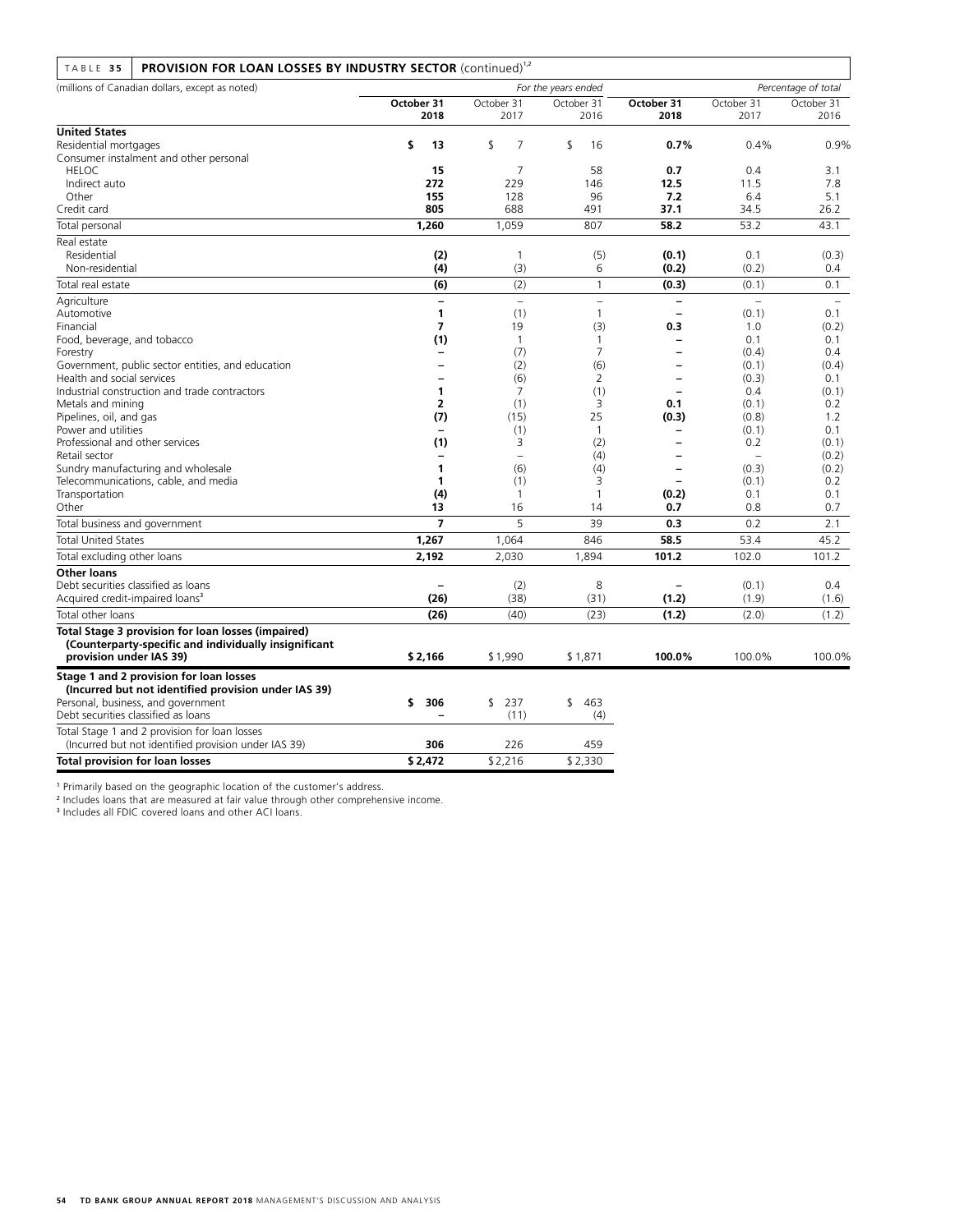| TABLE 35                        | PROVISION FOR LOAN LOSSES BY INDUSTRY SECTOR (continued) <sup>1,2</sup>                                     |                          |                      |                       |                    |                    |                     |
|---------------------------------|-------------------------------------------------------------------------------------------------------------|--------------------------|----------------------|-----------------------|--------------------|--------------------|---------------------|
|                                 | (millions of Canadian dollars, except as noted)                                                             |                          |                      | For the years ended   |                    |                    | Percentage of total |
|                                 |                                                                                                             | October 31<br>2018       | October 31<br>2017   | October 31<br>2016    | October 31<br>2018 | October 31<br>2017 | October 31<br>2016  |
| <b>United States</b>            |                                                                                                             |                          |                      |                       |                    |                    |                     |
| Residential mortgages           |                                                                                                             | \$<br>13                 | \$<br>$\overline{7}$ | \$<br>16              | 0.7%               | 0.4%               | 0.9%                |
|                                 | Consumer instalment and other personal                                                                      |                          |                      |                       |                    |                    |                     |
| <b>HELOC</b>                    |                                                                                                             | 15                       | $\overline{7}$       | 58                    | 0.7                | 0.4                | 3.1                 |
| Indirect auto<br>Other          |                                                                                                             | 272<br>155               | 229<br>128           | 146<br>96             | 12.5<br>7.2        | 11.5<br>6.4        | 7.8<br>5.1          |
| Credit card                     |                                                                                                             | 805                      | 688                  | 491                   | 37.1               | 34.5               | 26.2                |
|                                 |                                                                                                             | 1,260                    | 1,059                | 807                   | 58.2               | 53.2               | 43.1                |
| Total personal                  |                                                                                                             |                          |                      |                       |                    |                    |                     |
| Real estate                     |                                                                                                             |                          | $\mathbf{1}$         |                       |                    | 0.1                |                     |
| Residential<br>Non-residential  |                                                                                                             | (2)<br>(4)               | (3)                  | (5)<br>6              | (0.1)<br>(0.2)     | (0.2)              | (0.3)<br>0.4        |
|                                 |                                                                                                             |                          |                      |                       |                    |                    |                     |
| Total real estate               |                                                                                                             | (6)                      | (2)                  | $\mathbf{1}$          | (0.3)              | (0.1)              | 0.1                 |
| Agriculture                     |                                                                                                             | $\overline{\phantom{0}}$ | $\qquad \qquad -$    | $\qquad \qquad -$     |                    |                    |                     |
| Automotive                      |                                                                                                             | 1                        | (1)                  | 1                     |                    | (0.1)              | 0.1                 |
| Financial                       |                                                                                                             | $\overline{ }$           | 19                   | (3)                   | 0.3                | 1.0                | (0.2)               |
| Food, beverage, and tobacco     |                                                                                                             | (1)                      | $\mathbf{1}$         | 1                     |                    | 0.1                | 0.1                 |
| Forestry                        |                                                                                                             | $\overline{\phantom{0}}$ | (7)                  | $\overline{7}$        |                    | (0.4)              | 0.4                 |
| Health and social services      | Government, public sector entities, and education                                                           | ÷                        | (2)<br>(6)           | (6)<br>$\overline{2}$ |                    | (0.1)<br>(0.3)     | (0.4)<br>0.1        |
|                                 | Industrial construction and trade contractors                                                               | 1                        | $\overline{7}$       | (1)                   | $\equiv$           | 0.4                | (0.1)               |
| Metals and mining               |                                                                                                             | $\overline{2}$           | (1)                  | 3                     | 0.1                | (0.1)              | 0.2                 |
| Pipelines, oil, and gas         |                                                                                                             | (7)                      | (15)                 | 25                    | (0.3)              | (0.8)              | 1.2                 |
| Power and utilities             |                                                                                                             |                          | (1)                  | -1                    |                    | (0.1)              | 0.1                 |
| Professional and other services |                                                                                                             | (1)                      | 3                    | (2)                   |                    | 0.2                | (0.1)               |
| Retail sector                   |                                                                                                             |                          | L,                   | (4)                   |                    |                    | (0.2)               |
|                                 | Sundry manufacturing and wholesale                                                                          | 1                        | (6)                  | (4)                   | $\equiv$           | (0.3)              | (0.2)               |
|                                 | Telecommunications, cable, and media                                                                        | 1                        | (1)                  | 3                     |                    | (0.1)              | 0.2                 |
| Transportation                  |                                                                                                             | (4)                      | $\mathbf{1}$         | $\mathbf{1}$          | (0.2)              | 0.1                | 0.1                 |
| Other                           |                                                                                                             | 13                       | 16                   | 14                    | 0.7                | 0.8                | 0.7                 |
|                                 | Total business and government                                                                               | $\overline{\mathbf{z}}$  | 5                    | 39                    | 0.3                | 0.2                | 2.1                 |
| <b>Total United States</b>      |                                                                                                             | 1,267                    | 1,064                | 846                   | 58.5               | 53.4               | 45.2                |
| Total excluding other loans     |                                                                                                             | 2,192                    | 2,030                | 1,894                 | 101.2              | 102.0              | 101.2               |
| <b>Other loans</b>              |                                                                                                             |                          |                      |                       |                    |                    |                     |
|                                 | Debt securities classified as loans                                                                         |                          | (2)                  | 8                     |                    | (0.1)              | 0.4                 |
|                                 | Acquired credit-impaired loans <sup>3</sup>                                                                 | (26)                     | (38)                 | (31)                  | (1.2)              | (1.9)              | (1.6)               |
| Total other loans               |                                                                                                             | (26)                     | (40)                 | (23)                  | (1.2)              | (2.0)              | (1.2)               |
|                                 | Total Stage 3 provision for loan losses (impaired)<br>(Counterparty-specific and individually insignificant |                          |                      |                       |                    |                    |                     |
| provision under IAS 39)         |                                                                                                             | \$2,166                  | \$1,990              | \$1,871               | 100.0%             | 100.0%             | 100.0%              |
|                                 | Stage 1 and 2 provision for loan losses                                                                     |                          |                      |                       |                    |                    |                     |
|                                 | (Incurred but not identified provision under IAS 39)                                                        |                          |                      |                       |                    |                    |                     |
|                                 | Personal, business, and government                                                                          | \$<br>306                | \$237                | \$<br>463             |                    |                    |                     |
|                                 | Debt securities classified as loans                                                                         |                          | (11)                 | (4)                   |                    |                    |                     |
|                                 | Total Stage 1 and 2 provision for loan losses<br>(Incurred but not identified provision under IAS 39)       | 306                      | 226                  | 459                   |                    |                    |                     |
|                                 | <b>Total provision for loan losses</b>                                                                      | \$2,472                  | \$2.216              | \$2,330               |                    |                    |                     |
|                                 |                                                                                                             |                          |                      |                       |                    |                    |                     |

<sup>1</sup> Primarily based on the geographic location of the customer's address. <sup>2</sup> Includes loans that are measured at fair value through other comprehensive income. 3 Includes all FDIC covered loans and other ACI loans.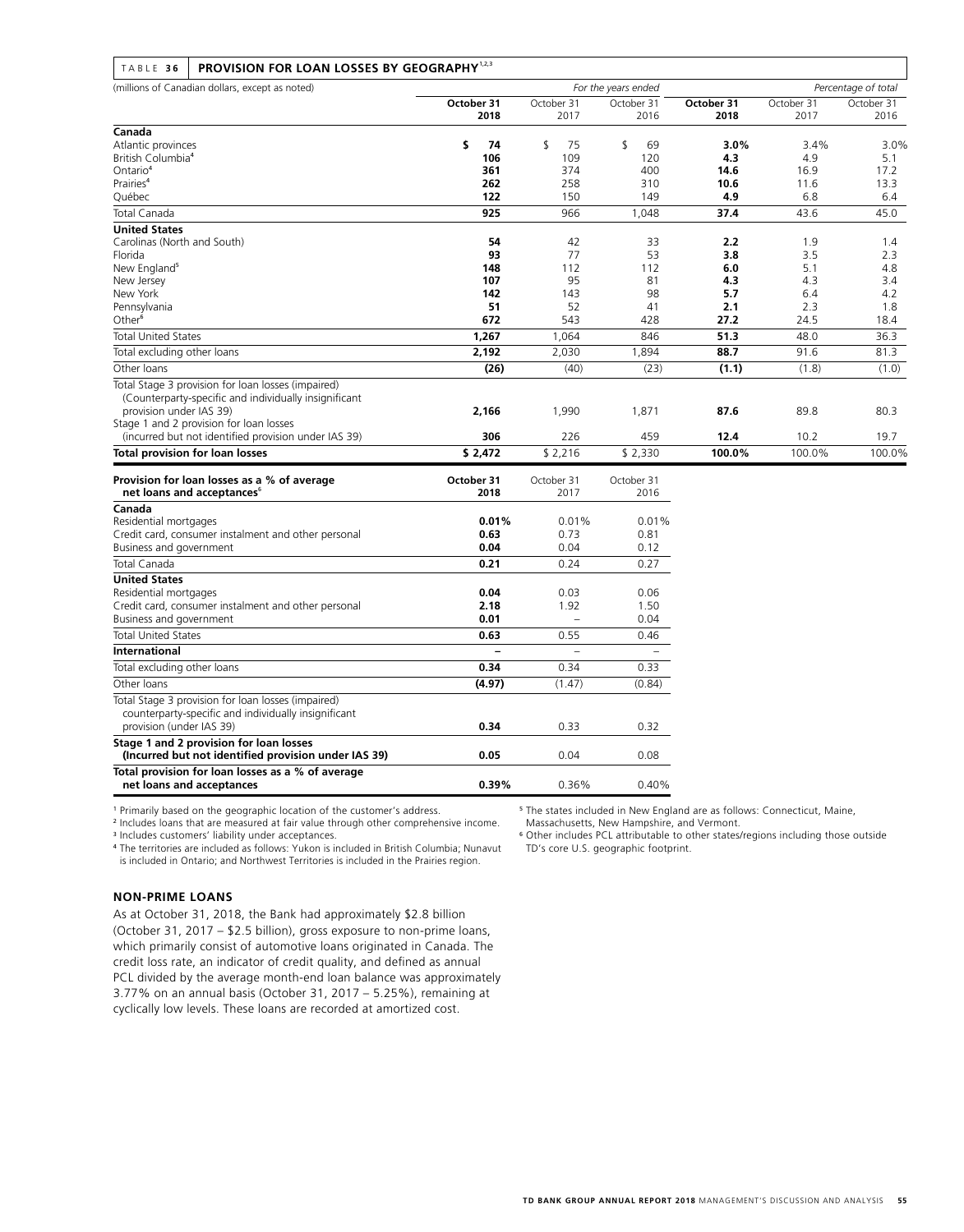| (millions of Canadian dollars, except as noted)                                                 |                          |                   | For the years ended |            |            | Percentage of total |
|-------------------------------------------------------------------------------------------------|--------------------------|-------------------|---------------------|------------|------------|---------------------|
|                                                                                                 | October 31               | October 31        | October 31          | October 31 | October 31 | October 31          |
|                                                                                                 | 2018                     | 2017              | 2016                | 2018       | 2017       | 2016                |
| Canada                                                                                          |                          |                   |                     |            |            |                     |
| Atlantic provinces                                                                              | \$<br>74                 | S<br>75           | \$<br>69            | $3.0\%$    | 3.4%       | 3.0%                |
| British Columbia <sup>4</sup>                                                                   | 106                      | 109               | 120                 | 4.3        | 4.9        | 5.1                 |
| Ontario <sup>4</sup>                                                                            | 361                      | 374               | 400                 | 14.6       | 16.9       | 17.2                |
| Prairies <sup>4</sup>                                                                           | 262                      | 258               | 310                 | 10.6       | 11.6       | 13.3                |
| Québec                                                                                          | 122                      | 150               | 149                 | 4.9        | 6.8        | 6.4                 |
| <b>Total Canada</b>                                                                             | 925                      | 966               | 1,048               | 37.4       | 43.6       | 45.0                |
| <b>United States</b>                                                                            |                          | 42                | 33                  | 2.2        | 1.9        |                     |
| Carolinas (North and South)<br>Florida                                                          | 54<br>93                 | 77                | 53                  | 3.8        | 3.5        | 1.4<br>2.3          |
| New England <sup>5</sup>                                                                        | 148                      | 112               | 112                 | 6.0        | 5.1        | 4.8                 |
| New Jersey                                                                                      | 107                      | 95                | 81                  | 4.3        | 4.3        | 3.4                 |
| New York                                                                                        | 142                      | 143               | 98                  | 5.7        | 6.4        | 4.2                 |
| Pennsylvania                                                                                    | 51                       | 52                | 41                  | 2.1        | 2.3        | 1.8                 |
| Other <sup>6</sup>                                                                              | 672                      | 543               | 428                 | 27.2       | 24.5       | 18.4                |
| <b>Total United States</b>                                                                      | 1,267                    | 1,064             | 846                 | 51.3       | 48.0       | 36.3                |
| Total excluding other loans                                                                     | 2,192                    | 2,030             | 1,894               | 88.7       | 91.6       | 81.3                |
| Other loans                                                                                     | (26)                     | (40)              | (23)                | (1.1)      | (1.8)      | (1.0)               |
| Total Stage 3 provision for loan losses (impaired)                                              |                          |                   |                     |            |            |                     |
| (Counterparty-specific and individually insignificant                                           |                          |                   |                     |            |            |                     |
| provision under IAS 39)                                                                         | 2,166                    | 1,990             | 1,871               | 87.6       | 89.8       | 80.3                |
| Stage 1 and 2 provision for loan losses                                                         |                          |                   |                     |            |            |                     |
| (incurred but not identified provision under IAS 39)                                            | 306                      | 226               | 459                 | 12.4       | 10.2       | 19.7                |
| <b>Total provision for loan losses</b>                                                          | \$ 2,472                 | \$2,216           | \$2,330             | 100.0%     | 100.0%     | 100.0%              |
| Provision for loan losses as a % of average                                                     | October 31               | October 31        | October 31          |            |            |                     |
| net loans and acceptances <sup>6</sup>                                                          | 2018                     | 2017              | 2016                |            |            |                     |
| Canada                                                                                          |                          |                   |                     |            |            |                     |
| Residential mortgages                                                                           | 0.01%                    | 0.01%             | 0.01%               |            |            |                     |
| Credit card, consumer instalment and other personal                                             | 0.63                     | 0.73              | 0.81                |            |            |                     |
| Business and government                                                                         | 0.04                     | 0.04              | 0.12                |            |            |                     |
| Total Canada                                                                                    | 0.21                     | 0.24              | 0.27                |            |            |                     |
| <b>United States</b>                                                                            |                          |                   |                     |            |            |                     |
| Residential mortgages                                                                           | 0.04                     | 0.03              | 0.06                |            |            |                     |
| Credit card, consumer instalment and other personal                                             | 2.18                     | 1.92              | 1.50                |            |            |                     |
| Business and government                                                                         | 0.01                     |                   | 0.04                |            |            |                     |
| <b>Total United States</b>                                                                      | 0.63                     | 0.55              | 0.46                |            |            |                     |
| <b>International</b>                                                                            | $\overline{\phantom{0}}$ | $\qquad \qquad -$ | ÷                   |            |            |                     |
| Total excluding other loans                                                                     | 0.34                     | 0.34              | 0.33                |            |            |                     |
| Other loans                                                                                     | (4.97)                   | (1.47)            | (0.84)              |            |            |                     |
| Total Stage 3 provision for loan losses (impaired)                                              |                          |                   |                     |            |            |                     |
| counterparty-specific and individually insignificant                                            |                          |                   |                     |            |            |                     |
| provision (under IAS 39)                                                                        | 0.34                     | 0.33              | 0.32                |            |            |                     |
| Stage 1 and 2 provision for loan losses<br>(Incurred but not identified provision under IAS 39) | 0.05                     | 0.04              | 0.08                |            |            |                     |
| Total provision for loan losses as a % of average                                               |                          |                   |                     |            |            |                     |
| net loans and acceptances                                                                       | 0.39%                    | 0.36%             | 0.40%               |            |            |                     |
|                                                                                                 |                          |                   |                     |            |            |                     |

<sup>1</sup> Primarily based on the geographic location of the customer's address.

<sup>2</sup> Includes loans that are measured at fair value through other comprehensive income.

<sup>3</sup> Includes customers' liability under acceptances.

<sup>4</sup> The territories are included as follows: Yukon is included in British Columbia; Nunavut

is included in Ontario; and Northwest Territories is included in the Prairies region.

# **NON-PRIME LOANS**

As at October 31, 2018, the Bank had approximately \$2.8 billion (October 31, 2017 – \$2.5 billion), gross exposure to non-prime loans, which primarily consist of automotive loans originated in Canada. The credit loss rate, an indicator of credit quality, and defined as annual PCL divided by the average month-end loan balance was approximately 3.77% on an annual basis (October 31, 2017 – 5.25%), remaining at cyclically low levels. These loans are recorded at amortized cost.

<sup>5</sup> The states included in New England are as follows: Connecticut, Maine,

Massachusetts, New Hampshire, and Vermont. <sup>6</sup> Other includes PCL attributable to other states/regions including those outside TD's core U.S. geographic footprint.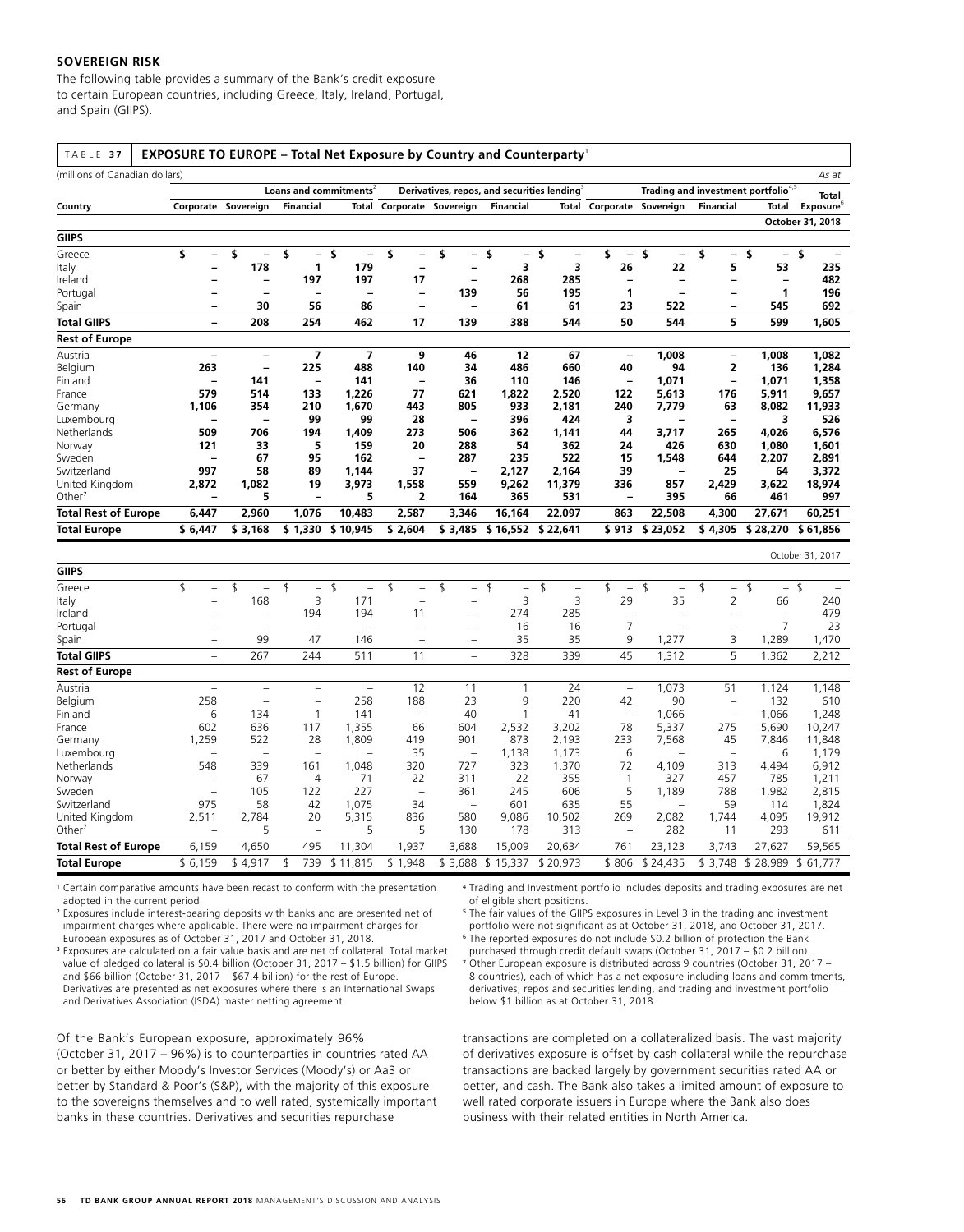# **SOVEREIGN RISK**

The following table provides a summary of the Bank's credit exposure to certain European countries, including Greece, Italy, Ireland, Portugal, and Spain (GIIPS).

| TABLE 37                                           | <b>EXPOSURE TO EUROPE – Total Net Exposure by Country and Counterparty</b> |                          |                                      |                                    |                                |                                            |                                  |                               |                          |                                |                          |                                                 |                             |
|----------------------------------------------------|----------------------------------------------------------------------------|--------------------------|--------------------------------------|------------------------------------|--------------------------------|--------------------------------------------|----------------------------------|-------------------------------|--------------------------|--------------------------------|--------------------------|-------------------------------------------------|-----------------------------|
| (millions of Canadian dollars)                     |                                                                            |                          |                                      |                                    |                                |                                            |                                  |                               |                          |                                |                          |                                                 | As at                       |
|                                                    |                                                                            |                          |                                      | Loans and commitments <sup>4</sup> |                                | Derivatives, repos, and securities lending |                                  |                               |                          |                                |                          | Trading and investment portfolio <sup>4,5</sup> | <b>Total</b>                |
| Country                                            |                                                                            | Corporate Sovereign      | Financial                            |                                    | Total Corporate Sovereign      |                                            | Financial                        | Total                         |                          | Corporate Sovereign            | Financial                |                                                 | Total Exposure <sup>c</sup> |
|                                                    |                                                                            |                          |                                      |                                    |                                |                                            |                                  |                               |                          |                                |                          |                                                 | October 31, 2018            |
| <b>GIIPS</b>                                       |                                                                            |                          |                                      |                                    |                                |                                            |                                  |                               |                          |                                |                          |                                                 |                             |
| Greece                                             | \$<br>$\overline{\phantom{0}}$                                             | \$                       | \$<br>-                              | s<br>۳                             | \$<br>$\overline{\phantom{0}}$ | \$<br>$\qquad \qquad -$                    | \$<br>$\qquad \qquad -$          | s<br>$\overline{\phantom{0}}$ | \$<br>۳                  | s<br>۰                         | \$<br>-                  | s<br>$\frac{1}{2}$                              | Ŝ.                          |
| Italy                                              | $\overline{\phantom{0}}$                                                   | 178                      | 1                                    | 179                                | ÷                              | ۰                                          | 3                                | 3                             | 26                       | 22                             | 5                        | 53                                              | 235                         |
| Ireland                                            |                                                                            |                          | 197                                  | 197                                | 17                             |                                            | 268                              | 285                           |                          | $\overline{a}$                 | ÷                        | $\overline{\phantom{0}}$                        | 482                         |
| Portugal                                           |                                                                            |                          |                                      |                                    |                                | 139                                        | 56                               | 195                           | 1                        | $\overline{\phantom{0}}$       | ÷                        | 1                                               | 196                         |
| Spain                                              | $\overline{\phantom{0}}$                                                   | 30                       | 56                                   | 86                                 | $\overline{\phantom{0}}$       | $\qquad \qquad -$                          | 61                               | 61                            | 23                       | 522                            | $\overline{\phantom{0}}$ | 545                                             | 692                         |
| <b>Total GIIPS</b>                                 | -                                                                          | 208                      | 254                                  | 462                                | 17                             | 139                                        | 388                              | 544                           | 50                       | 544                            | 5                        | 599                                             | 1,605                       |
| <b>Rest of Europe</b>                              |                                                                            |                          |                                      |                                    |                                |                                            |                                  |                               |                          |                                |                          |                                                 |                             |
| Austria                                            |                                                                            | $\overline{\phantom{m}}$ | 7                                    | 7                                  | 9                              | 46                                         | 12                               | 67                            | $\overline{\phantom{0}}$ | 1,008                          | $\overline{\phantom{0}}$ | 1,008                                           | 1,082                       |
| Belgium                                            | 263                                                                        | $\overline{\phantom{0}}$ | 225                                  | 488                                | 140                            | 34                                         | 486                              | 660                           | 40                       | 94                             | 2                        | 136                                             | 1,284                       |
| Finland                                            | L.                                                                         | 141                      | $\overline{\phantom{0}}$             | 141                                | $\overline{\phantom{0}}$       | 36                                         | 110                              | 146                           | $\sim$                   | 1.071                          | $\overline{\phantom{0}}$ | 1.071                                           | 1,358                       |
| France                                             | 579                                                                        | 514                      | 133                                  | 1,226                              | 77                             | 621                                        | 1,822                            | 2,520                         | 122                      | 5.613                          | 176                      | 5,911                                           | 9.657                       |
| Germany                                            | 1,106                                                                      | 354                      | 210                                  | 1,670                              | 443                            | 805                                        | 933                              | 2,181                         | 240                      | 7,779                          | 63                       | 8,082                                           | 11,933                      |
| Luxembourg                                         |                                                                            | $\overline{\phantom{0}}$ | 99                                   | 99                                 | 28                             | ÷                                          | 396                              | 424                           | 3                        |                                | $\equiv$                 | 3                                               | 526                         |
| Netherlands                                        | 509                                                                        | 706                      | 194                                  | 1,409                              | 273                            | 506                                        | 362                              | 1.141                         | 44                       | 3.717                          | 265                      | 4.026                                           | 6,576                       |
| Norway                                             | 121                                                                        | 33                       | 5                                    | 159                                | 20                             | 288                                        | 54                               | 362                           | 24                       | 426                            | 630                      | 1.080                                           | 1,601                       |
| Sweden                                             | 997                                                                        | 67<br>58                 | 95<br>89                             | 162                                | 37                             | 287<br>÷                                   | 235                              | 522                           | 15                       | 1.548                          | 644                      | 2,207                                           | 2.891                       |
| Switzerland                                        |                                                                            | 1,082                    | 19                                   | 1.144<br>3.973                     | 1,558                          | 559                                        | 2.127                            | 2.164                         | 39<br>336                | 857                            | 25<br>2.429              | 64                                              | 3,372                       |
| United Kingdom<br>Other <sup>7</sup>               | 2,872                                                                      | 5                        |                                      | 5                                  | 2                              | 164                                        | 9,262<br>365                     | 11,379<br>531                 |                          | 395                            | 66                       | 3,622<br>461                                    | 18,974<br>997               |
|                                                    | 6,447                                                                      | 2,960                    |                                      | 10,483                             | 2,587                          | 3,346                                      | 16,164                           | 22,097                        | 863                      |                                | 4,300                    |                                                 | 60,251                      |
| <b>Total Rest of Europe</b>                        |                                                                            |                          | 1,076                                |                                    |                                |                                            |                                  |                               |                          | 22,508                         |                          | 27,671                                          |                             |
|                                                    |                                                                            |                          |                                      |                                    |                                |                                            |                                  |                               |                          |                                |                          |                                                 |                             |
| <b>Total Europe</b>                                | \$6,447                                                                    | \$3,168                  | \$1,330                              | \$10,945                           | \$ 2,604                       | \$3,485                                    | \$16,552                         | \$22,641                      |                          | \$913 \$23,052                 | \$4,305                  | \$28,270                                        | \$61,856                    |
|                                                    |                                                                            |                          |                                      |                                    |                                |                                            |                                  |                               |                          |                                |                          |                                                 | October 31, 2017            |
| <b>GIIPS</b>                                       |                                                                            |                          |                                      |                                    |                                |                                            |                                  |                               |                          |                                |                          |                                                 |                             |
| Greece                                             | \$<br>÷                                                                    | \$<br>÷                  | $\mathbf{\hat{S}}$<br>$\overline{a}$ | $\mathbf{\hat{S}}$<br>÷            | $\mathbf{\hat{S}}$<br>L.       | \$<br>÷,                                   | $\mathsf S$<br>$\qquad \qquad -$ | \$<br>÷                       | \$<br>۳                  | \$<br>$\overline{\phantom{0}}$ | \$<br>÷                  | $-5$<br>\$                                      |                             |
| Italy                                              | $\equiv$                                                                   | 168                      | 3                                    | 171                                | L.                             | ÷                                          | 3                                | 3                             | 29                       | 35                             | 2                        | 66                                              | 240                         |
| Ireland                                            | $\overline{\phantom{0}}$                                                   | $\sim$                   | 194                                  | 194                                | 11                             | ۰                                          | 274                              | 285                           | $\overline{\phantom{a}}$ | ۳                              | $\equiv$                 | $\overline{\phantom{a}}$                        | 479                         |
| Portugal                                           |                                                                            |                          | L.                                   | ÷                                  |                                | i.                                         | 16                               | 16                            | $\overline{7}$           | ÷                              | ÷                        | 7                                               | 23                          |
| Spain                                              | L,                                                                         | 99                       | 47                                   | 146                                |                                | ÷                                          | 35                               | 35                            | 9                        | 1,277                          | 3                        | 1,289                                           | 1,470                       |
| <b>Total GIIPS</b>                                 |                                                                            | 267                      | 244                                  | 511                                | 11                             | ÷                                          | 328                              | 339                           | 45                       | 1,312                          | 5                        | 1,362                                           | 2,212                       |
| <b>Rest of Europe</b>                              |                                                                            |                          |                                      |                                    |                                |                                            |                                  |                               |                          |                                |                          |                                                 |                             |
| Austria                                            | ÷                                                                          | $\sim$                   | L,                                   | ÷                                  | 12                             | 11                                         | $\mathbf{1}$                     | 24                            | $\overline{\phantom{a}}$ | 1.073                          | 51                       | 1,124                                           | 1,148                       |
| Belgium                                            | 258                                                                        | $\overline{\phantom{a}}$ | $\overline{\phantom{0}}$             | 258                                | 188                            | 23                                         | 9                                | 220                           | 42                       | 90                             | ÷                        | 132                                             | 610                         |
| Finland                                            | 6                                                                          | 134                      | 1                                    | 141                                |                                | 40                                         | 1                                | 41                            | $\sim$                   | 1,066                          | L.                       | 1,066                                           | 1,248                       |
| France                                             | 602                                                                        | 636                      | 117                                  | 1.355                              | 66                             | 604                                        | 2.532                            | 3,202                         | 78                       | 5,337                          | 275                      | 5,690                                           | 10,247                      |
| Germany                                            | 1,259                                                                      | 522                      | 28                                   | 1,809                              | 419                            | 901                                        | 873                              | 2.193                         | 233                      | 7,568                          | 45                       | 7,846                                           | 11,848                      |
| Luxembourg                                         |                                                                            |                          | L                                    |                                    | 35                             | ä,                                         | 1.138                            | 1.173                         | 6                        |                                |                          | 6                                               | 1.179                       |
| Netherlands                                        | 548                                                                        | 339                      | 161                                  | 1,048                              | 320                            | 727                                        | 323                              | 1,370                         | 72                       | 4.109                          | 313                      | 4,494                                           | 6,912                       |
| Norway                                             | $\overline{\phantom{a}}$                                                   | 67                       | $\overline{4}$                       | 71                                 | 22<br>$\sim$                   | 311                                        | 22                               | 355                           | 1                        | 327                            | 457                      | 785                                             | 1,211                       |
| Sweden                                             |                                                                            | 105                      | 122                                  | 227                                |                                | 361                                        | 245                              | 606                           | 5                        | 1,189                          | 788                      | 1,982                                           | 2,815                       |
| Switzerland                                        | 975                                                                        | 58                       | 42                                   | 1.075                              | 34                             |                                            | 601                              | 635                           | 55                       |                                | 59                       | 114                                             | 1,824                       |
| United Kingdom                                     | 2,511<br>$\overline{\phantom{0}}$                                          | 2,784                    | 20<br>÷                              | 5,315<br>5                         | 836<br>5                       | 580                                        | 9.086                            | 10,502                        | 269<br>÷                 | 2,082                          | 1,744                    | 4,095                                           | 19,912                      |
| Other <sup>7</sup>                                 |                                                                            | 5                        |                                      |                                    |                                | 130                                        | 178                              | 313                           |                          | 282                            | 11                       | 293                                             | 611                         |
| <b>Total Rest of Europe</b><br><b>Total Europe</b> | 6,159<br>\$6,159                                                           | 4,650<br>\$4,917         | 495<br>739<br>\$                     | 11,304<br>\$11,815                 | 1,937<br>\$1,948               | 3,688<br>\$3,688                           | 15,009<br>\$15,337               | 20,634<br>\$20,973            | 761<br>\$806             | 23,123<br>\$24,435             | 3,743                    | 27,627<br>\$3,748 \$28,989                      | 59,565<br>\$61,777          |

<sup>1</sup> Certain comparative amounts have been recast to conform with the presentation adopted in the current period.

<sup>2</sup> Exposures include interest-bearing deposits with banks and are presented net of impairment charges where applicable. There were no impairment charges for European exposures as of October 31, 2017 and October 31, 2018.

<sup>3</sup> Exposures are calculated on a fair value basis and are net of collateral. Total market value of pledged collateral is \$0.4 billion (October 31, 2017 – \$1.5 billion) for GIIPS and \$66 billion (October 31, 2017 – \$67.4 billion) for the rest of Europe. Derivatives are presented as net exposures where there is an International Swaps and Derivatives Association (ISDA) master netting agreement.

Of the Bank's European exposure, approximately 96% (October 31, 2017 – 96%) is to counterparties in countries rated AA or better by either Moody's Investor Services (Moody's) or Aa3 or better by Standard & Poor's (S&P), with the majority of this exposure to the sovereigns themselves and to well rated, systemically important banks in these countries. Derivatives and securities repurchase

<sup>4</sup> Trading and Investment portfolio includes deposits and trading exposures are net of eligible short positions.

<sup>5</sup> The fair values of the GIIPS exposures in Level 3 in the trading and investment portfolio were not significant as at October 31, 2018, and October 31, 2017.

<sup>6</sup> The reported exposures do not include \$0.2 billion of protection the Bank

purchased through credit default swaps (October 31, 2017 – \$0.2 billion).

<sup>7</sup> Other European exposure is distributed across 9 countries (October 31, 2017 – 8 countries), each of which has a net exposure including loans and commitments, derivatives, repos and securities lending, and trading and investment portfolio below \$1 billion as at October 31, 2018.

transactions are completed on a collateralized basis. The vast majority of derivatives exposure is offset by cash collateral while the repurchase transactions are backed largely by government securities rated AA or better, and cash. The Bank also takes a limited amount of exposure to well rated corporate issuers in Europe where the Bank also does business with their related entities in North America.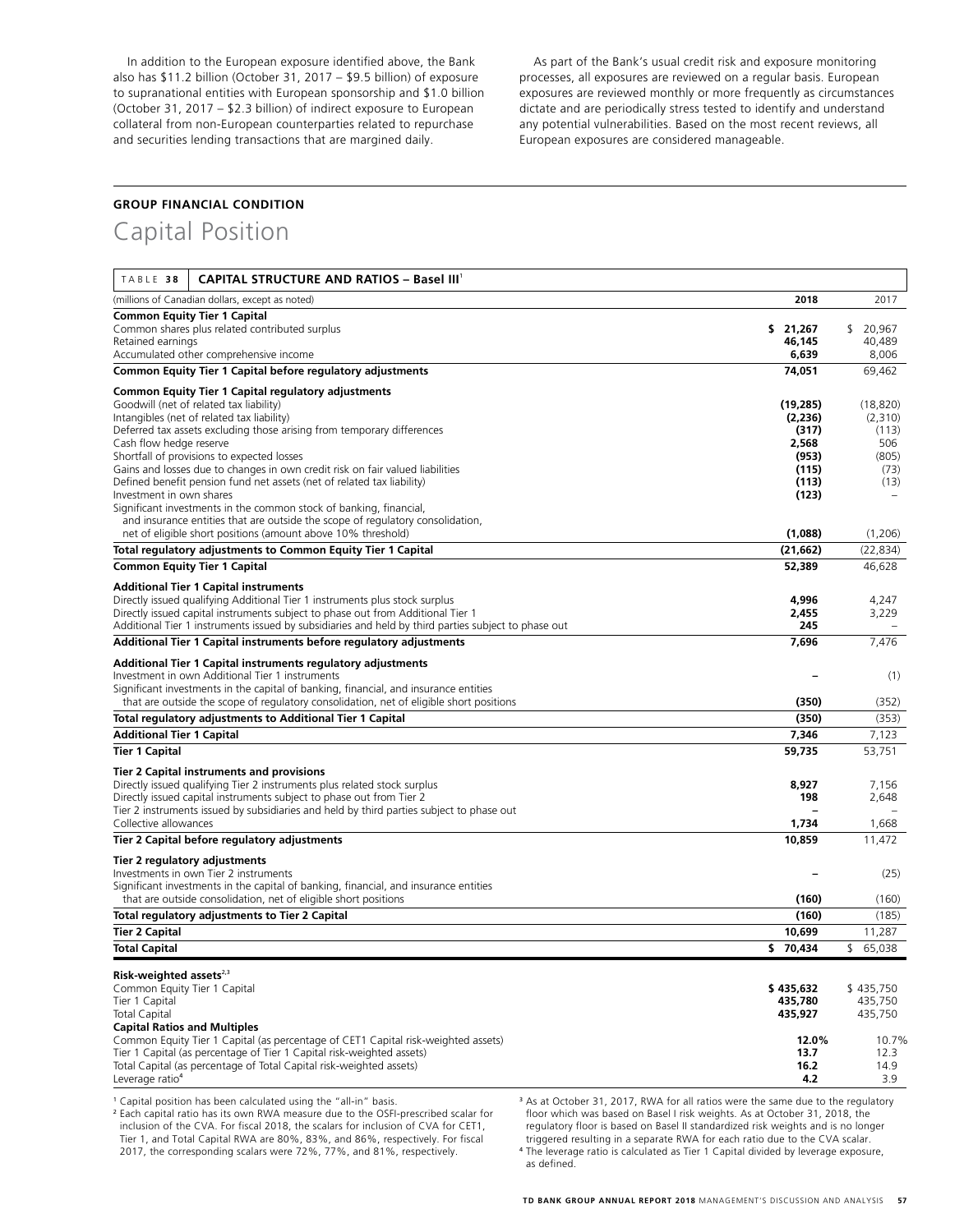In addition to the European exposure identified above, the Bank also has \$11.2 billion (October 31, 2017 – \$9.5 billion) of exposure to supranational entities with European sponsorship and \$1.0 billion (October 31, 2017 – \$2.3 billion) of indirect exposure to European collateral from non-European counterparties related to repurchase and securities lending transactions that are margined daily.

As part of the Bank's usual credit risk and exposure monitoring processes, all exposures are reviewed on a regular basis. European exposures are reviewed monthly or more frequently as circumstances dictate and are periodically stress tested to identify and understand any potential vulnerabilities. Based on the most recent reviews, all European exposures are considered manageable.

# **GROUP FINANCIAL CONDITION**

# Capital Position

| TABLE 38                                                                                                                                             | <b>CAPITAL STRUCTURE AND RATIOS - Basel III'</b>                                                                                                                                                                                                                                                                      |                                           |                                  |
|------------------------------------------------------------------------------------------------------------------------------------------------------|-----------------------------------------------------------------------------------------------------------------------------------------------------------------------------------------------------------------------------------------------------------------------------------------------------------------------|-------------------------------------------|----------------------------------|
|                                                                                                                                                      | (millions of Canadian dollars, except as noted)                                                                                                                                                                                                                                                                       | 2018                                      | 2017                             |
| Retained earnings                                                                                                                                    | <b>Common Equity Tier 1 Capital</b><br>Common shares plus related contributed surplus<br>Accumulated other comprehensive income                                                                                                                                                                                       | \$21,267<br>46,145<br>6,639               | 20,967<br>\$.<br>40,489<br>8,006 |
|                                                                                                                                                      | Common Equity Tier 1 Capital before regulatory adjustments                                                                                                                                                                                                                                                            | 74,051                                    | 69,462                           |
|                                                                                                                                                      | <b>Common Equity Tier 1 Capital regulatory adjustments</b><br>Goodwill (net of related tax liability)<br>Intangibles (net of related tax liability)<br>Deferred tax assets excluding those arising from temporary differences                                                                                         | (19, 285)<br>(2,236)<br>(317)             | (18, 820)<br>(2,310)<br>(113)    |
| Cash flow hedge reserve<br>Investment in own shares                                                                                                  | Shortfall of provisions to expected losses<br>Gains and losses due to changes in own credit risk on fair valued liabilities<br>Defined benefit pension fund net assets (net of related tax liability)<br>Significant investments in the common stock of banking, financial,                                           | 2,568<br>(953)<br>(115)<br>(113)<br>(123) | 506<br>(805)<br>(73)<br>(13)     |
|                                                                                                                                                      | and insurance entities that are outside the scope of regulatory consolidation,<br>net of eligible short positions (amount above 10% threshold)                                                                                                                                                                        | (1,088)                                   | (1,206)                          |
|                                                                                                                                                      | Total regulatory adjustments to Common Equity Tier 1 Capital                                                                                                                                                                                                                                                          | (21, 662)                                 | (22, 834)                        |
|                                                                                                                                                      | <b>Common Equity Tier 1 Capital</b>                                                                                                                                                                                                                                                                                   | 52,389                                    | 46,628                           |
|                                                                                                                                                      | <b>Additional Tier 1 Capital instruments</b><br>Directly issued qualifying Additional Tier 1 instruments plus stock surplus<br>Directly issued capital instruments subject to phase out from Additional Tier 1<br>Additional Tier 1 instruments issued by subsidiaries and held by third parties subject to phase out | 4,996<br>2,455<br>245                     | 4,247<br>3,229                   |
|                                                                                                                                                      | Additional Tier 1 Capital instruments before regulatory adjustments                                                                                                                                                                                                                                                   | 7,696                                     | 7,476                            |
|                                                                                                                                                      | Additional Tier 1 Capital instruments regulatory adjustments<br>Investment in own Additional Tier 1 instruments<br>Significant investments in the capital of banking, financial, and insurance entities<br>that are outside the scope of regulatory consolidation, net of eligible short positions                    | (350)                                     | (1)<br>(352)                     |
|                                                                                                                                                      | <b>Total regulatory adjustments to Additional Tier 1 Capital</b>                                                                                                                                                                                                                                                      | (350)                                     | (353)                            |
| <b>Additional Tier 1 Capital</b>                                                                                                                     |                                                                                                                                                                                                                                                                                                                       | 7,346                                     | 7,123                            |
| <b>Tier 1 Capital</b>                                                                                                                                |                                                                                                                                                                                                                                                                                                                       | 59,735                                    | 53,751                           |
| Collective allowances                                                                                                                                | <b>Tier 2 Capital instruments and provisions</b><br>Directly issued qualifying Tier 2 instruments plus related stock surplus<br>Directly issued capital instruments subject to phase out from Tier 2<br>Tier 2 instruments issued by subsidiaries and held by third parties subject to phase out                      | 8,927<br>198<br>1,734                     | 7,156<br>2,648<br>1,668          |
|                                                                                                                                                      | Tier 2 Capital before regulatory adjustments                                                                                                                                                                                                                                                                          | 10,859                                    | 11,472                           |
| Tier 2 regulatory adjustments                                                                                                                        | Investments in own Tier 2 instruments<br>Significant investments in the capital of banking, financial, and insurance entities<br>that are outside consolidation, net of eligible short positions                                                                                                                      | (160)                                     | (25)<br>(160)                    |
|                                                                                                                                                      | Total regulatory adjustments to Tier 2 Capital                                                                                                                                                                                                                                                                        | (160)                                     | (185)                            |
| <b>Tier 2 Capital</b>                                                                                                                                |                                                                                                                                                                                                                                                                                                                       | 10,699                                    | 11,287                           |
| <b>Total Capital</b>                                                                                                                                 |                                                                                                                                                                                                                                                                                                                       | \$ 70,434                                 | 65,038<br>\$                     |
| Risk-weighted assets <sup>2,3</sup><br>Common Equity Tier 1 Capital<br>Tier 1 Capital<br><b>Total Capital</b><br><b>Capital Ratios and Multiples</b> |                                                                                                                                                                                                                                                                                                                       | \$435,632<br>435,780<br>435,927           | \$435,750<br>435,750<br>435,750  |
| Leverage ratio <sup>4</sup>                                                                                                                          | Common Equity Tier 1 Capital (as percentage of CET1 Capital risk-weighted assets)<br>Tier 1 Capital (as percentage of Tier 1 Capital risk-weighted assets)<br>Total Capital (as percentage of Total Capital risk-weighted assets)                                                                                     | 12.0%<br>13.7<br>16.2<br>4.2              | 10.7%<br>12.3<br>14.9<br>3.9     |

<sup>1</sup> Capital position has been calculated using the "all-in" basis.

<sup>2</sup> Each capital ratio has its own RWA measure due to the OSFI-prescribed scalar for inclusion of the CVA. For fiscal 2018, the scalars for inclusion of CVA for CET1, Tier 1, and Total Capital RWA are 80%, 83%, and 86%, respectively. For fiscal 2017, the corresponding scalars were 72%, 77%, and 81%, respectively.

<sup>3</sup> As at October 31, 2017, RWA for all ratios were the same due to the regulatory floor which was based on Basel I risk weights. As at October 31, 2018, the regulatory floor is based on Basel II standardized risk weights and is no longer triggered resulting in a separate RWA for each ratio due to the CVA scalar. <sup>4</sup> The leverage ratio is calculated as Tier 1 Capital divided by leverage exposure, as defined.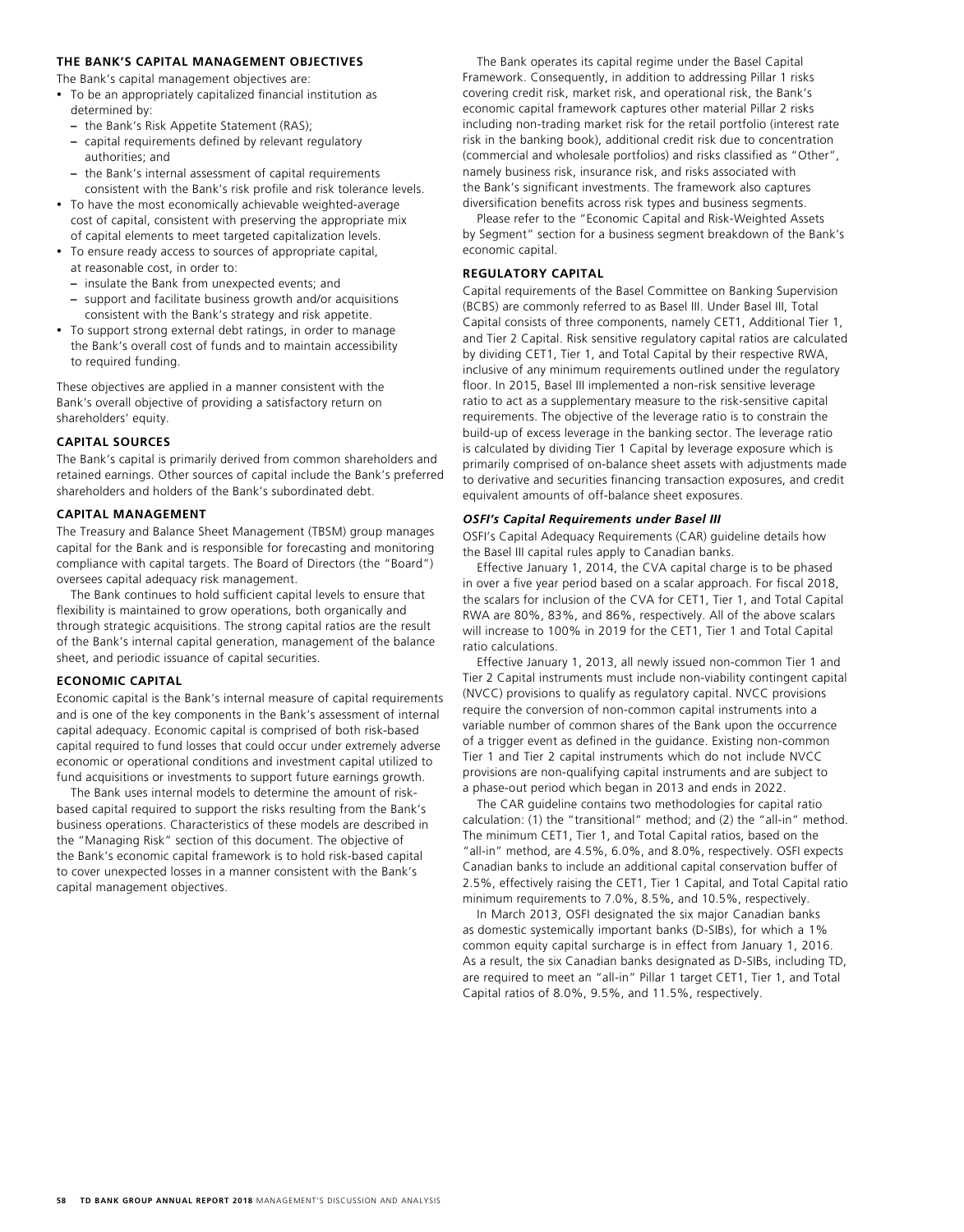#### **THE BANK'S CAPITAL MANAGEMENT OBJECTIVES**

The Bank's capital management objectives are:

- To be an appropriately capitalized financial institution as determined by:
	- **–** the Bank's Risk Appetite Statement (RAS);
	- **–** capital requirements defined by relevant regulatory authorities; and
	- **–** the Bank's internal assessment of capital requirements consistent with the Bank's risk profile and risk tolerance levels.
- To have the most economically achievable weighted-average cost of capital, consistent with preserving the appropriate mix of capital elements to meet targeted capitalization levels.
- To ensure ready access to sources of appropriate capital,
- at reasonable cost, in order to:
- **–** insulate the Bank from unexpected events; and
- **–** support and facilitate business growth and/or acquisitions consistent with the Bank's strategy and risk appetite.
- To support strong external debt ratings, in order to manage the Bank's overall cost of funds and to maintain accessibility to required funding.

These objectives are applied in a manner consistent with the Bank's overall objective of providing a satisfactory return on shareholders' equity.

## **CAPITAL SOURCES**

The Bank's capital is primarily derived from common shareholders and retained earnings. Other sources of capital include the Bank's preferred shareholders and holders of the Bank's subordinated debt.

## **CAPITAL MANAGEMENT**

The Treasury and Balance Sheet Management (TBSM) group manages capital for the Bank and is responsible for forecasting and monitoring compliance with capital targets. The Board of Directors (the "Board") oversees capital adequacy risk management.

The Bank continues to hold sufficient capital levels to ensure that flexibility is maintained to grow operations, both organically and through strategic acquisitions. The strong capital ratios are the result of the Bank's internal capital generation, management of the balance sheet, and periodic issuance of capital securities.

## **ECONOMIC CAPITAL**

Economic capital is the Bank's internal measure of capital requirements and is one of the key components in the Bank's assessment of internal capital adequacy. Economic capital is comprised of both risk-based capital required to fund losses that could occur under extremely adverse economic or operational conditions and investment capital utilized to fund acquisitions or investments to support future earnings growth.

The Bank uses internal models to determine the amount of riskbased capital required to support the risks resulting from the Bank's business operations. Characteristics of these models are described in the "Managing Risk" section of this document. The objective of the Bank's economic capital framework is to hold risk-based capital to cover unexpected losses in a manner consistent with the Bank's capital management objectives.

The Bank operates its capital regime under the Basel Capital Framework. Consequently, in addition to addressing Pillar 1 risks covering credit risk, market risk, and operational risk, the Bank's economic capital framework captures other material Pillar 2 risks including non-trading market risk for the retail portfolio (interest rate risk in the banking book), additional credit risk due to concentration (commercial and wholesale portfolios) and risks classified as "Other", namely business risk, insurance risk, and risks associated with the Bank's significant investments. The framework also captures diversification benefits across risk types and business segments.

Please refer to the "Economic Capital and Risk-Weighted Assets by Segment" section for a business segment breakdown of the Bank's economic capital.

#### **REGULATORY CAPITAL**

Capital requirements of the Basel Committee on Banking Supervision (BCBS) are commonly referred to as Basel III. Under Basel III, Total Capital consists of three components, namely CET1, Additional Tier 1, and Tier 2 Capital. Risk sensitive regulatory capital ratios are calculated by dividing CET1, Tier 1, and Total Capital by their respective RWA, inclusive of any minimum requirements outlined under the regulatory floor. In 2015, Basel III implemented a non-risk sensitive leverage ratio to act as a supplementary measure to the risk-sensitive capital requirements. The objective of the leverage ratio is to constrain the build-up of excess leverage in the banking sector. The leverage ratio is calculated by dividing Tier 1 Capital by leverage exposure which is primarily comprised of on-balance sheet assets with adjustments made to derivative and securities financing transaction exposures, and credit equivalent amounts of off-balance sheet exposures.

### *OSFI's Capital Requirements under Basel III*

OSFI's Capital Adequacy Requirements (CAR) guideline details how the Basel III capital rules apply to Canadian banks.

Effective January 1, 2014, the CVA capital charge is to be phased in over a five year period based on a scalar approach. For fiscal 2018, the scalars for inclusion of the CVA for CET1, Tier 1, and Total Capital RWA are 80%, 83%, and 86%, respectively. All of the above scalars will increase to 100% in 2019 for the CET1, Tier 1 and Total Capital ratio calculations.

Effective January 1, 2013, all newly issued non-common Tier 1 and Tier 2 Capital instruments must include non-viability contingent capital (NVCC) provisions to qualify as regulatory capital. NVCC provisions require the conversion of non-common capital instruments into a variable number of common shares of the Bank upon the occurrence of a trigger event as defined in the guidance. Existing non-common Tier 1 and Tier 2 capital instruments which do not include NVCC provisions are non-qualifying capital instruments and are subject to a phase-out period which began in 2013 and ends in 2022.

The CAR guideline contains two methodologies for capital ratio calculation: (1) the "transitional" method; and (2) the "all-in" method. The minimum CET1, Tier 1, and Total Capital ratios, based on the "all-in" method, are 4.5%, 6.0%, and 8.0%, respectively. OSFI expects Canadian banks to include an additional capital conservation buffer of 2.5%, effectively raising the CET1, Tier 1 Capital, and Total Capital ratio minimum requirements to 7.0%, 8.5%, and 10.5%, respectively.

In March 2013, OSFI designated the six major Canadian banks as domestic systemically important banks (D-SIBs), for which a 1% common equity capital surcharge is in effect from January 1, 2016. As a result, the six Canadian banks designated as D-SIBs, including TD, are required to meet an "all-in" Pillar 1 target CET1, Tier 1, and Total Capital ratios of 8.0%, 9.5%, and 11.5%, respectively.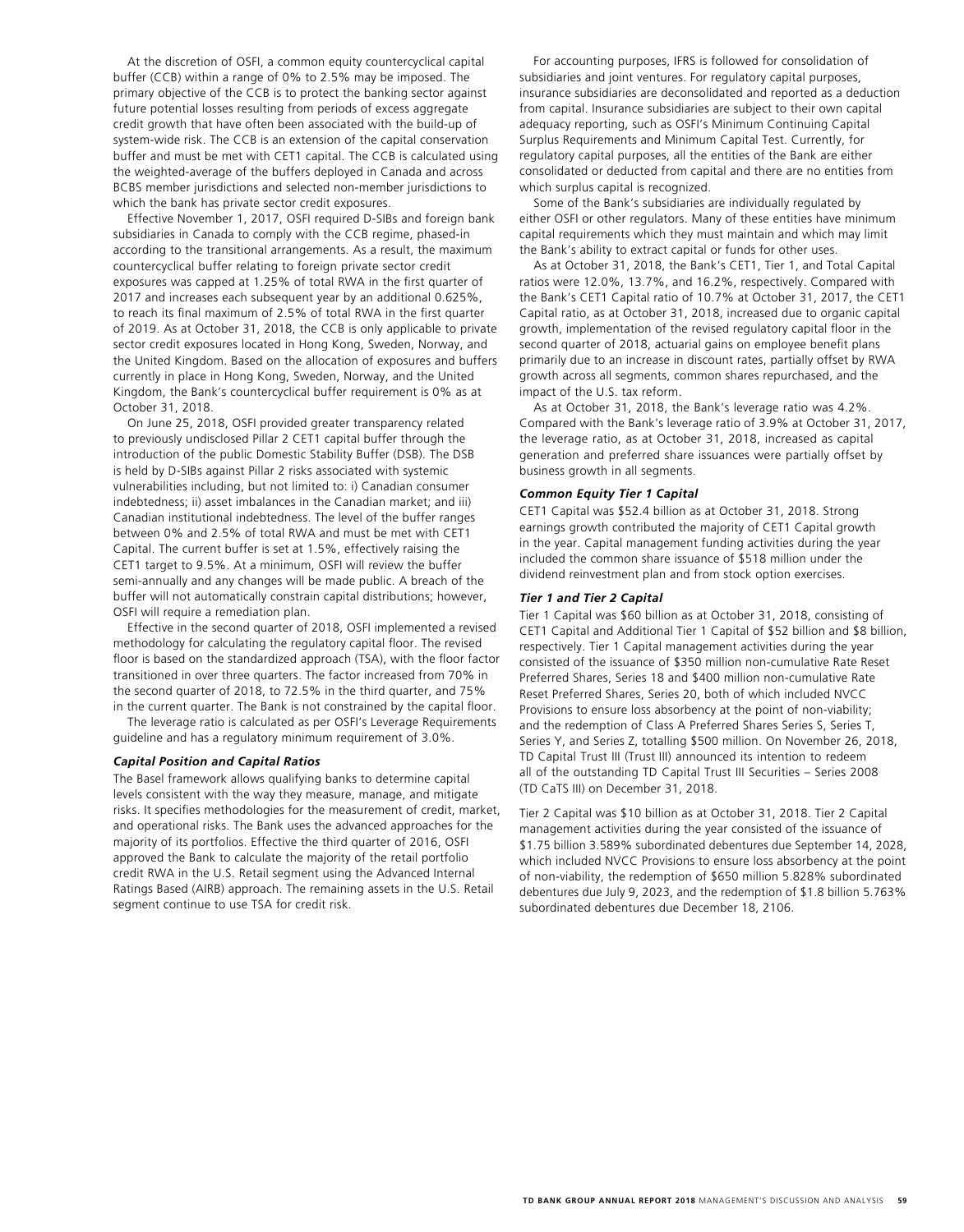At the discretion of OSFI, a common equity countercyclical capital buffer (CCB) within a range of 0% to 2.5% may be imposed. The primary objective of the CCB is to protect the banking sector against future potential losses resulting from periods of excess aggregate credit growth that have often been associated with the build-up of system-wide risk. The CCB is an extension of the capital conservation buffer and must be met with CET1 capital. The CCB is calculated using the weighted-average of the buffers deployed in Canada and across BCBS member jurisdictions and selected non-member jurisdictions to which the bank has private sector credit exposures.

Effective November 1, 2017, OSFI required D-SIBs and foreign bank subsidiaries in Canada to comply with the CCB regime, phased-in according to the transitional arrangements. As a result, the maximum countercyclical buffer relating to foreign private sector credit exposures was capped at 1.25% of total RWA in the first quarter of 2017 and increases each subsequent year by an additional 0.625%, to reach its final maximum of 2.5% of total RWA in the first quarter of 2019. As at October 31, 2018, the CCB is only applicable to private sector credit exposures located in Hong Kong, Sweden, Norway, and the United Kingdom. Based on the allocation of exposures and buffers currently in place in Hong Kong, Sweden, Norway, and the United Kingdom, the Bank's countercyclical buffer requirement is 0% as at October 31, 2018.

On June 25, 2018, OSFI provided greater transparency related to previously undisclosed Pillar 2 CET1 capital buffer through the introduction of the public Domestic Stability Buffer (DSB). The DSB is held by D-SIBs against Pillar 2 risks associated with systemic vulnerabilities including, but not limited to: i) Canadian consumer indebtedness; ii) asset imbalances in the Canadian market; and iii) Canadian institutional indebtedness. The level of the buffer ranges between 0% and 2.5% of total RWA and must be met with CET1 Capital. The current buffer is set at 1.5%, effectively raising the CET1 target to 9.5%. At a minimum, OSFI will review the buffer semi-annually and any changes will be made public. A breach of the buffer will not automatically constrain capital distributions; however, OSFI will require a remediation plan.

Effective in the second quarter of 2018, OSFI implemented a revised methodology for calculating the regulatory capital floor. The revised floor is based on the standardized approach (TSA), with the floor factor transitioned in over three quarters. The factor increased from 70% in the second quarter of 2018, to 72.5% in the third quarter, and 75% in the current quarter. The Bank is not constrained by the capital floor.

The leverage ratio is calculated as per OSFI's Leverage Requirements guideline and has a regulatory minimum requirement of 3.0%.

## *Capital Position and Capital Ratios*

The Basel framework allows qualifying banks to determine capital levels consistent with the way they measure, manage, and mitigate risks. It specifies methodologies for the measurement of credit, market, and operational risks. The Bank uses the advanced approaches for the majority of its portfolios. Effective the third quarter of 2016, OSFI approved the Bank to calculate the majority of the retail portfolio credit RWA in the U.S. Retail segment using the Advanced Internal Ratings Based (AIRB) approach. The remaining assets in the U.S. Retail segment continue to use TSA for credit risk.

For accounting purposes, IFRS is followed for consolidation of subsidiaries and joint ventures. For regulatory capital purposes, insurance subsidiaries are deconsolidated and reported as a deduction from capital. Insurance subsidiaries are subject to their own capital adequacy reporting, such as OSFI's Minimum Continuing Capital Surplus Requirements and Minimum Capital Test. Currently, for regulatory capital purposes, all the entities of the Bank are either consolidated or deducted from capital and there are no entities from which surplus capital is recognized.

Some of the Bank's subsidiaries are individually regulated by either OSFI or other regulators. Many of these entities have minimum capital requirements which they must maintain and which may limit the Bank's ability to extract capital or funds for other uses.

As at October 31, 2018, the Bank's CET1, Tier 1, and Total Capital ratios were 12.0%, 13.7%, and 16.2%, respectively. Compared with the Bank's CET1 Capital ratio of 10.7% at October 31, 2017, the CET1 Capital ratio, as at October 31, 2018, increased due to organic capital growth, implementation of the revised regulatory capital floor in the second quarter of 2018, actuarial gains on employee benefit plans primarily due to an increase in discount rates, partially offset by RWA growth across all segments, common shares repurchased, and the impact of the U.S. tax reform.

As at October 31, 2018, the Bank's leverage ratio was 4.2%. Compared with the Bank's leverage ratio of 3.9% at October 31, 2017, the leverage ratio, as at October 31, 2018, increased as capital generation and preferred share issuances were partially offset by business growth in all segments.

# *Common Equity Tier 1 Capital*

CET1 Capital was \$52.4 billion as at October 31, 2018. Strong earnings growth contributed the majority of CET1 Capital growth in the year. Capital management funding activities during the year included the common share issuance of \$518 million under the dividend reinvestment plan and from stock option exercises.

# *Tier 1 and Tier 2 Capital*

Tier 1 Capital was \$60 billion as at October 31, 2018, consisting of CET1 Capital and Additional Tier 1 Capital of \$52 billion and \$8 billion, respectively. Tier 1 Capital management activities during the year consisted of the issuance of \$350 million non-cumulative Rate Reset Preferred Shares, Series 18 and \$400 million non-cumulative Rate Reset Preferred Shares, Series 20, both of which included NVCC Provisions to ensure loss absorbency at the point of non-viability; and the redemption of Class A Preferred Shares Series S, Series T, Series Y, and Series Z, totalling \$500 million. On November 26, 2018, TD Capital Trust III (Trust III) announced its intention to redeem all of the outstanding TD Capital Trust III Securities – Series 2008 (TD CaTS III) on December 31, 2018.

Tier 2 Capital was \$10 billion as at October 31, 2018. Tier 2 Capital management activities during the year consisted of the issuance of \$1.75 billion 3.589% subordinated debentures due September 14, 2028, which included NVCC Provisions to ensure loss absorbency at the point of non-viability, the redemption of \$650 million 5.828% subordinated debentures due July 9, 2023, and the redemption of \$1.8 billion 5.763% subordinated debentures due December 18, 2106.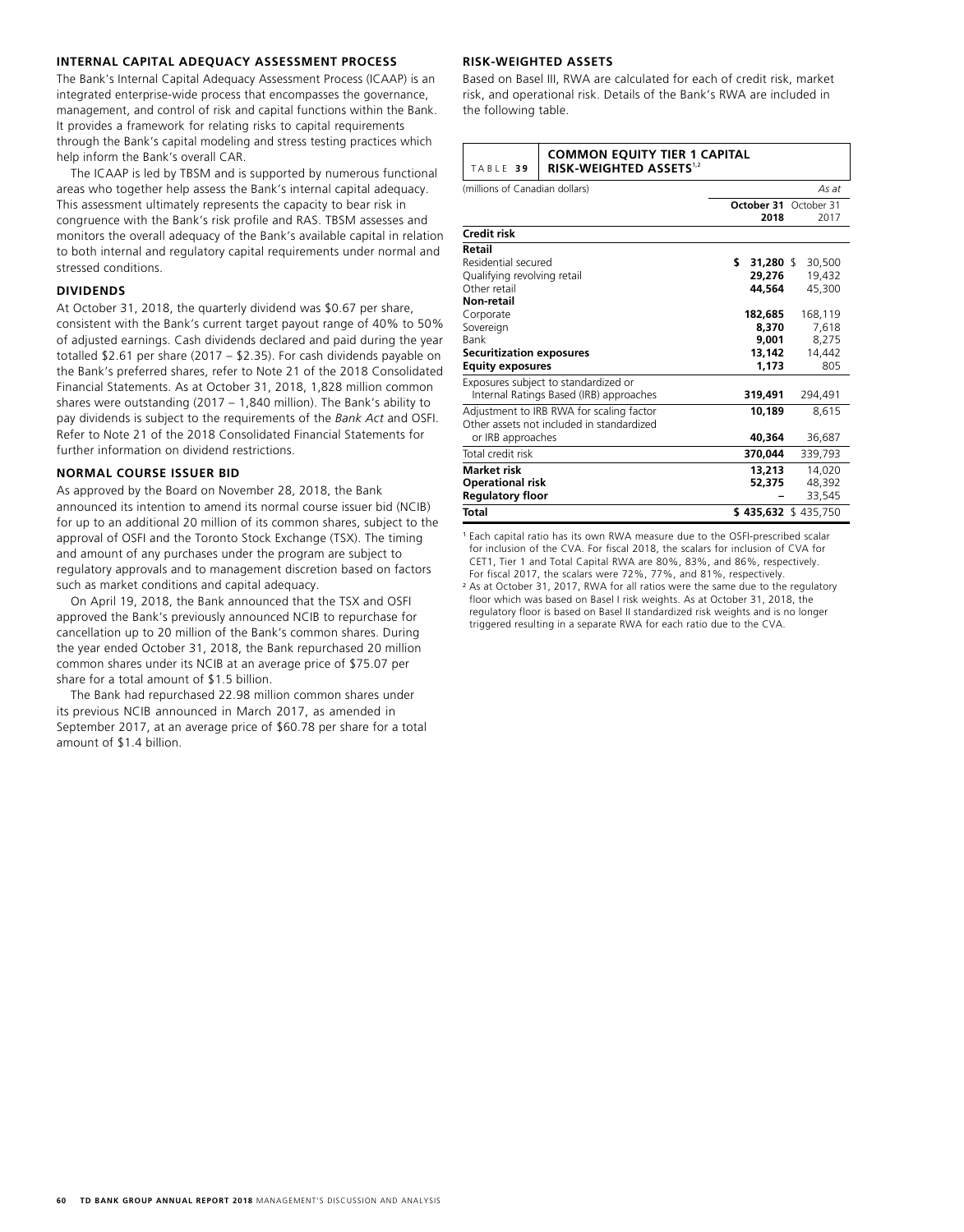# **INTERNAL CAPITAL ADEQUACY ASSESSMENT PROCESS**

The Bank's Internal Capital Adequacy Assessment Process (ICAAP) is an integrated enterprise-wide process that encompasses the governance, management, and control of risk and capital functions within the Bank. It provides a framework for relating risks to capital requirements through the Bank's capital modeling and stress testing practices which help inform the Bank's overall CAR.

The ICAAP is led by TBSM and is supported by numerous functional areas who together help assess the Bank's internal capital adequacy. This assessment ultimately represents the capacity to bear risk in congruence with the Bank's risk profile and RAS. TBSM assesses and monitors the overall adequacy of the Bank's available capital in relation to both internal and regulatory capital requirements under normal and stressed conditions.

## **DIVIDENDS**

At October 31, 2018, the quarterly dividend was \$0.67 per share, consistent with the Bank's current target payout range of 40% to 50% of adjusted earnings. Cash dividends declared and paid during the year totalled \$2.61 per share (2017 – \$2.35). For cash dividends payable on the Bank's preferred shares, refer to Note 21 of the 2018 Consolidated Financial Statements. As at October 31, 2018, 1,828 million common shares were outstanding (2017 – 1,840 million). The Bank's ability to pay dividends is subject to the requirements of the *Bank Act* and OSFI. Refer to Note 21 of the 2018 Consolidated Financial Statements for further information on dividend restrictions.

# **NORMAL COURSE ISSUER BID**

As approved by the Board on November 28, 2018, the Bank announced its intention to amend its normal course issuer bid (NCIB) for up to an additional 20 million of its common shares, subject to the approval of OSFI and the Toronto Stock Exchange (TSX). The timing and amount of any purchases under the program are subject to regulatory approvals and to management discretion based on factors such as market conditions and capital adequacy.

On April 19, 2018, the Bank announced that the TSX and OSFI approved the Bank's previously announced NCIB to repurchase for cancellation up to 20 million of the Bank's common shares. During the year ended October 31, 2018, the Bank repurchased 20 million common shares under its NCIB at an average price of \$75.07 per share for a total amount of \$1.5 billion.

The Bank had repurchased 22.98 million common shares under its previous NCIB announced in March 2017, as amended in September 2017, at an average price of \$60.78 per share for a total amount of \$1.4 billion.

# **RISK-WEIGHTED ASSETS**

Based on Basel III, RWA are calculated for each of credit risk, market risk, and operational risk. Details of the Bank's RWA are included in the following table.

| TABLE 39                                                                  | <b>COMMON EQUITY TIER 1 CAPITAL</b><br>RISK-WEIGHTED ASSETS1,2                        |                               |                        |
|---------------------------------------------------------------------------|---------------------------------------------------------------------------------------|-------------------------------|------------------------|
| (millions of Canadian dollars)                                            |                                                                                       |                               | As at                  |
|                                                                           |                                                                                       | October 31 October 31<br>2018 | 2017                   |
| <b>Credit risk</b>                                                        |                                                                                       |                               |                        |
| Retail<br>Residential secured                                             |                                                                                       | \$<br>31,280 $$$              | 30,500                 |
| Qualifying revolving retail<br>Other retail<br>Non-retail                 |                                                                                       | 29,276<br>44,564              | 19,432<br>45,300       |
| Corporate<br>Sovereign                                                    |                                                                                       | 182,685<br>8,370              | 168,119<br>7,618       |
| <b>Bank</b><br><b>Securitization exposures</b><br><b>Equity exposures</b> |                                                                                       | 9,001<br>13,142<br>1,173      | 8,275<br>14.442<br>805 |
|                                                                           | Exposures subject to standardized or<br>Internal Ratings Based (IRB) approaches       | 319,491                       | 294,491                |
|                                                                           | Adjustment to IRB RWA for scaling factor<br>Other assets not included in standardized | 10,189                        | 8,615                  |
| or IRB approaches<br>Total credit risk                                    |                                                                                       | 40,364                        | 36,687                 |
| <b>Market risk</b>                                                        |                                                                                       | 370,044<br>13,213             | 339,793<br>14.020      |
| <b>Operational risk</b><br><b>Regulatory floor</b>                        |                                                                                       | 52,375                        | 48.392<br>33,545       |
| Total                                                                     |                                                                                       | \$435,632 \$435.750           |                        |

<sup>1</sup> Each capital ratio has its own RWA measure due to the OSFI-prescribed scalar for inclusion of the CVA. For fiscal 2018, the scalars for inclusion of CVA for CET1, Tier 1 and Total Capital RWA are 80%, 83%, and 86%, respectively. For fiscal 2017, the scalars were 72%, 77%, and 81%, respectively. <sup>2</sup> As at October 31, 2017, RWA for all ratios were the same due to the regulatory floor which was based on Basel I risk weights. As at October 31, 2018, the regulatory floor is based on Basel II standardized risk weights and is no longer triggered resulting in a separate RWA for each ratio due to the CVA.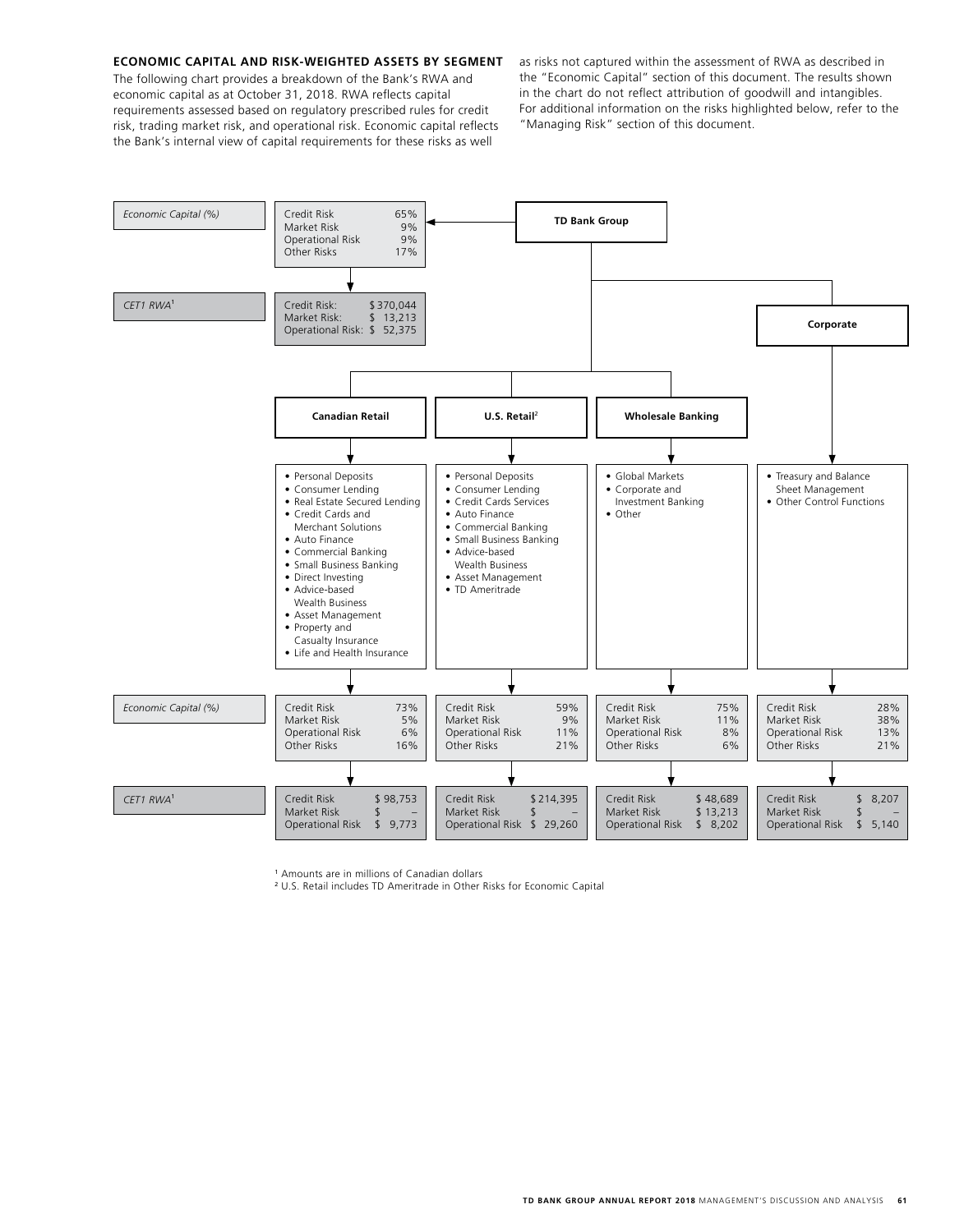# **ECONOMIC CAPITAL AND RISK-WEIGHTED ASSETS BY SEGMENT**

The following chart provides a breakdown of the Bank's RWA and economic capital as at October 31, 2018. RWA reflects capital requirements assessed based on regulatory prescribed rules for credit risk, trading market risk, and operational risk. Economic capital reflects the Bank's internal view of capital requirements for these risks as well

as risks not captured within the assessment of RWA as described in the "Economic Capital" section of this document. The results shown in the chart do not reflect attribution of goodwill and intangibles. For additional information on the risks highlighted below, refer to the "Managing Risk" section of this document.



<sup>1</sup> Amounts are in millions of Canadian dollars

2 U.S. Retail includes TD Ameritrade in Other Risks for Economic Capital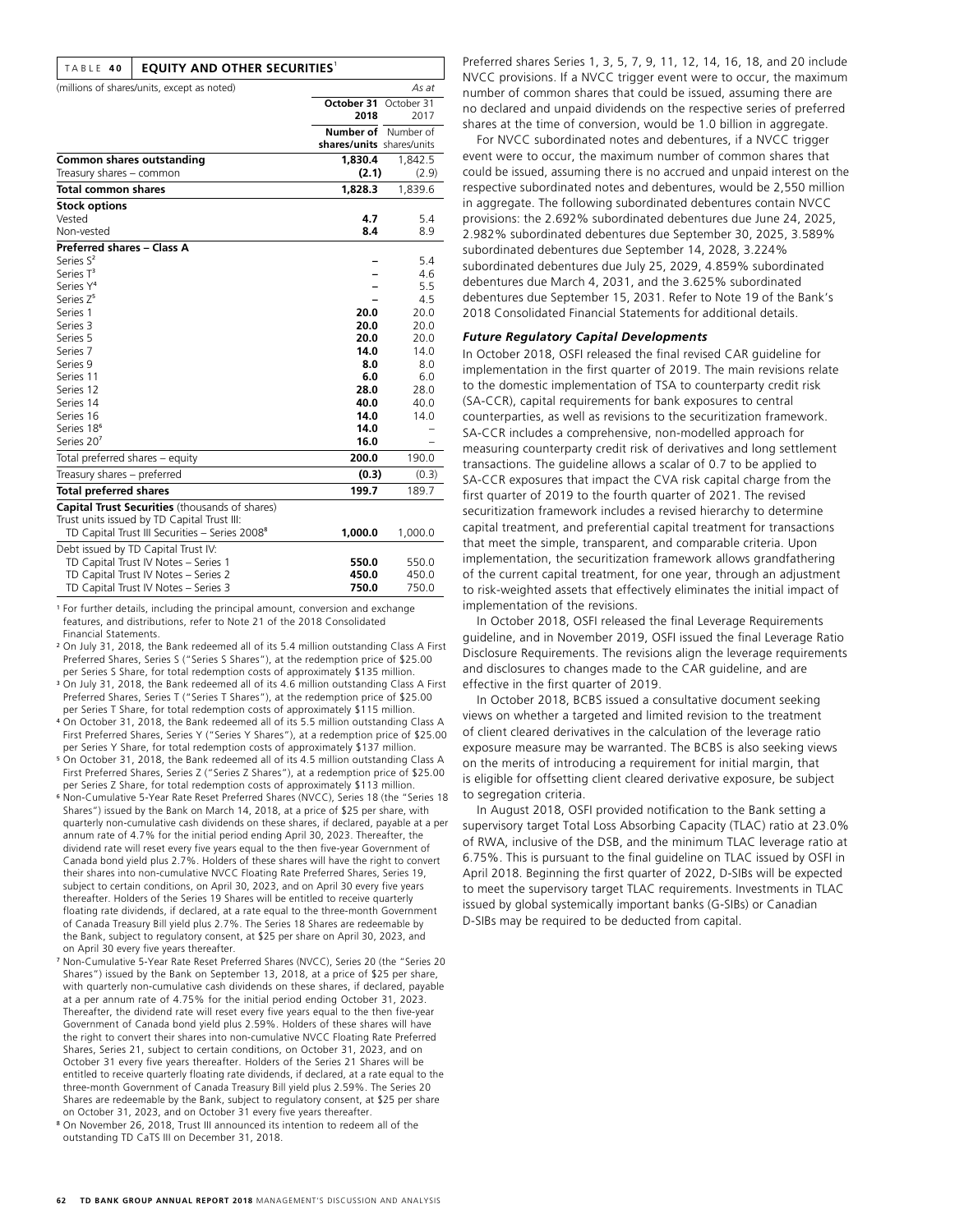| TABLE 40<br><b>EQUITY AND OTHER SECURITIES'</b>  |                                                            |                           |         |  |  |  |
|--------------------------------------------------|------------------------------------------------------------|---------------------------|---------|--|--|--|
|                                                  | (millions of shares/units, except as noted)                |                           | As at   |  |  |  |
|                                                  |                                                            | October 31 October 31     |         |  |  |  |
|                                                  |                                                            | 2018                      | 2017    |  |  |  |
|                                                  |                                                            | Number of Number of       |         |  |  |  |
|                                                  |                                                            | shares/units shares/units |         |  |  |  |
| Common shares outstanding                        |                                                            | 1,830.4                   | 1,842.5 |  |  |  |
| Treasury shares - common                         |                                                            | (2.1)                     | (2.9)   |  |  |  |
| <b>Total common shares</b>                       |                                                            | 1,828.3                   | 1,839.6 |  |  |  |
| <b>Stock options</b>                             |                                                            |                           |         |  |  |  |
| Vested                                           |                                                            | 4.7                       | 5.4     |  |  |  |
| Non-vested                                       |                                                            | 8.4                       | 8.9     |  |  |  |
| Preferred shares - Class A                       |                                                            |                           |         |  |  |  |
| Series S <sup>2</sup>                            |                                                            |                           | 5.4     |  |  |  |
| Series T <sup>3</sup>                            |                                                            |                           | 4.6     |  |  |  |
| Series Y <sup>4</sup>                            |                                                            |                           | 5.5     |  |  |  |
| Series Z <sup>5</sup>                            |                                                            |                           | 4.5     |  |  |  |
| Series 1                                         |                                                            | 20.0                      | 20.0    |  |  |  |
| Series 3                                         |                                                            | 20.0                      | 20.0    |  |  |  |
| Series 5                                         |                                                            | 20.0                      | 20.0    |  |  |  |
| Series 7                                         |                                                            | 14.0                      | 14.0    |  |  |  |
| Series 9                                         |                                                            | 8.0                       | 8.0     |  |  |  |
| Series 11                                        |                                                            | 6.0                       | 6.0     |  |  |  |
| Series 12                                        |                                                            | 28.0                      | 28.0    |  |  |  |
| Series 14                                        |                                                            | 40.0                      | 40.0    |  |  |  |
| Series 16                                        |                                                            | 14.0                      | 14.0    |  |  |  |
| Series 18 <sup>6</sup><br>Series 20 <sup>7</sup> |                                                            | 14.0<br>16.0              |         |  |  |  |
|                                                  |                                                            |                           |         |  |  |  |
| Total preferred shares - equity                  |                                                            | 200.0                     | 190.0   |  |  |  |
| Treasury shares - preferred                      |                                                            | (0.3)                     | (0.3)   |  |  |  |
| <b>Total preferred shares</b>                    |                                                            | 199.7                     | 189.7   |  |  |  |
|                                                  | <b>Capital Trust Securities</b> (thousands of shares)      |                           |         |  |  |  |
|                                                  | Trust units issued by TD Capital Trust III:                |                           |         |  |  |  |
|                                                  | TD Capital Trust III Securities - Series 2008 <sup>8</sup> | 1,000.0                   | 1,000.0 |  |  |  |
|                                                  | Debt issued by TD Capital Trust IV:                        |                           |         |  |  |  |
|                                                  | TD Capital Trust IV Notes - Series 1                       | 550.0                     | 550.0   |  |  |  |
|                                                  | TD Capital Trust IV Notes - Series 2                       | 450.0                     | 450.0   |  |  |  |
|                                                  | TD Capital Trust IV Notes - Series 3                       | 750.0                     | 750.0   |  |  |  |

<sup>1</sup> For further details, including the principal amount, conversion and exchange features, and distributions, refer to Note 21 of the 2018 Consolidated Financial Statements.

- <sup>2</sup> On July 31, 2018, the Bank redeemed all of its 5.4 million outstanding Class A First Preferred Shares, Series S ("Series S Shares"), at the redemption price of \$25.00 per Series S Share, for total redemption costs of approximately \$135 million.
- <sup>3</sup> On July 31, 2018, the Bank redeemed all of its 4.6 million outstanding Class A First Preferred Shares, Series T ("Series T Shares"), at the redemption price of \$25.00 per Series T Share, for total redemption costs of approximately \$115 million.
- <sup>4</sup> On October 31, 2018, the Bank redeemed all of its 5.5 million outstanding Class A First Preferred Shares, Series Y ("Series Y Shares"), at a redemption price of \$25.00 per Series Y Share, for total redemption costs of approximately \$137 million.
- <sup>5</sup> On October 31, 2018, the Bank redeemed all of its 4.5 million outstanding Class A First Preferred Shares, Series Z ("Series Z Shares"), at a redemption price of \$25.00 per Series Z Share, for total redemption costs of approximately \$113 million.
- <sup>6</sup> Non-Cumulative 5-Year Rate Reset Preferred Shares (NVCC), Series 18 (the "Series 18 Shares") issued by the Bank on March 14, 2018, at a price of \$25 per share, with quarterly non-cumulative cash dividends on these shares, if declared, payable at a per annum rate of 4.7% for the initial period ending April 30, 2023. Thereafter, the dividend rate will reset every five years equal to the then five-year Government of Canada bond yield plus 2.7%. Holders of these shares will have the right to convert their shares into non-cumulative NVCC Floating Rate Preferred Shares, Series 19, subject to certain conditions, on April 30, 2023, and on April 30 every five years thereafter. Holders of the Series 19 Shares will be entitled to receive quarterly floating rate dividends, if declared, at a rate equal to the three-month Government of Canada Treasury Bill yield plus 2.7%. The Series 18 Shares are redeemable by the Bank, subject to regulatory consent, at \$25 per share on April 30, 2023, and on April 30 every five years thereafter.
- <sup>7</sup> Non-Cumulative 5-Year Rate Reset Preferred Shares (NVCC), Series 20 (the "Series 20 Shares") issued by the Bank on September 13, 2018, at a price of \$25 per share, with quarterly non-cumulative cash dividends on these shares, if declared, payable at a per annum rate of 4.75% for the initial period ending October 31, 2023. Thereafter, the dividend rate will reset every five years equal to the then five-year Government of Canada bond yield plus 2.59%. Holders of these shares will have the right to convert their shares into non-cumulative NVCC Floating Rate Preferred Shares, Series 21, subject to certain conditions, on October 31, 2023, and on October 31 every five years thereafter. Holders of the Series 21 Shares will be entitled to receive quarterly floating rate dividends, if declared, at a rate equal to the three-month Government of Canada Treasury Bill yield plus 2.59%. The Series 20 Shares are redeemable by the Bank, subject to regulatory consent, at \$25 per share on October 31, 2023, and on October 31 every five years thereafter.
- <sup>8</sup> On November 26, 2018, Trust III announced its intention to redeem all of the outstanding TD CaTS III on December 31, 2018.

Preferred shares Series 1, 3, 5, 7, 9, 11, 12, 14, 16, 18, and 20 include NVCC provisions. If a NVCC trigger event were to occur, the maximum number of common shares that could be issued, assuming there are no declared and unpaid dividends on the respective series of preferred shares at the time of conversion, would be 1.0 billion in aggregate.

For NVCC subordinated notes and debentures, if a NVCC trigger event were to occur, the maximum number of common shares that could be issued, assuming there is no accrued and unpaid interest on the respective subordinated notes and debentures, would be 2,550 million in aggregate. The following subordinated debentures contain NVCC provisions: the 2.692% subordinated debentures due June 24, 2025, 2.982% subordinated debentures due September 30, 2025, 3.589% subordinated debentures due September 14, 2028, 3.224% subordinated debentures due July 25, 2029, 4.859% subordinated debentures due March 4, 2031, and the 3.625% subordinated debentures due September 15, 2031. Refer to Note 19 of the Bank's 2018 Consolidated Financial Statements for additional details.

#### *Future Regulatory Capital Developments*

In October 2018, OSFI released the final revised CAR guideline for implementation in the first quarter of 2019. The main revisions relate to the domestic implementation of TSA to counterparty credit risk (SA-CCR), capital requirements for bank exposures to central counterparties, as well as revisions to the securitization framework. SA-CCR includes a comprehensive, non-modelled approach for measuring counterparty credit risk of derivatives and long settlement transactions. The guideline allows a scalar of 0.7 to be applied to SA-CCR exposures that impact the CVA risk capital charge from the first quarter of 2019 to the fourth quarter of 2021. The revised securitization framework includes a revised hierarchy to determine capital treatment, and preferential capital treatment for transactions that meet the simple, transparent, and comparable criteria. Upon implementation, the securitization framework allows grandfathering of the current capital treatment, for one year, through an adjustment to risk-weighted assets that effectively eliminates the initial impact of implementation of the revisions.

In October 2018, OSFI released the final Leverage Requirements guideline, and in November 2019, OSFI issued the final Leverage Ratio Disclosure Requirements. The revisions align the leverage requirements and disclosures to changes made to the CAR guideline, and are effective in the first quarter of 2019.

In October 2018, BCBS issued a consultative document seeking views on whether a targeted and limited revision to the treatment of client cleared derivatives in the calculation of the leverage ratio exposure measure may be warranted. The BCBS is also seeking views on the merits of introducing a requirement for initial margin, that is eligible for offsetting client cleared derivative exposure, be subject to segregation criteria.

In August 2018, OSFI provided notification to the Bank setting a supervisory target Total Loss Absorbing Capacity (TLAC) ratio at 23.0% of RWA, inclusive of the DSB, and the minimum TLAC leverage ratio at 6.75%. This is pursuant to the final guideline on TLAC issued by OSFI in April 2018. Beginning the first quarter of 2022, D-SIBs will be expected to meet the supervisory target TLAC requirements. Investments in TLAC issued by global systemically important banks (G-SIBs) or Canadian D-SIBs may be required to be deducted from capital.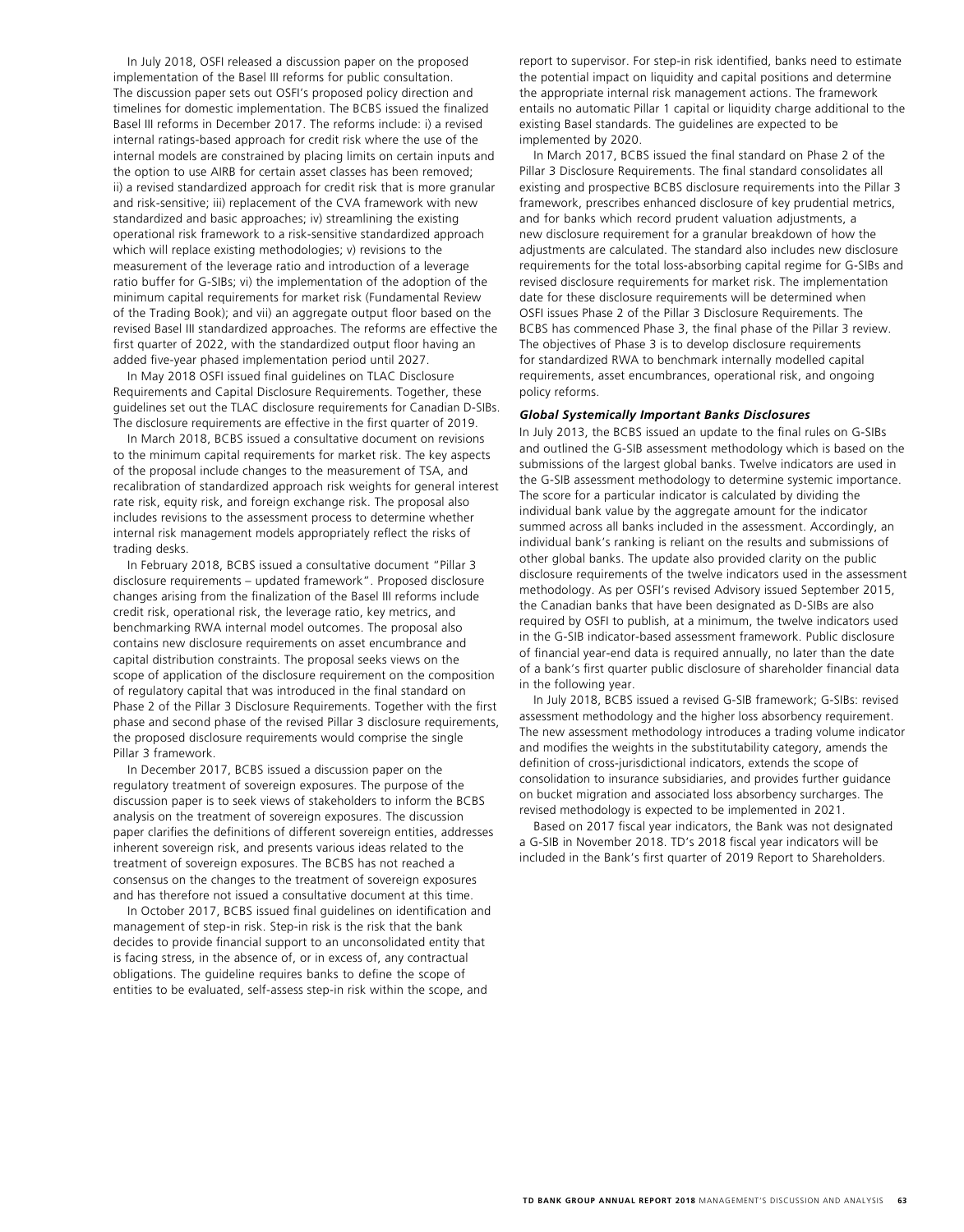In July 2018, OSFI released a discussion paper on the proposed implementation of the Basel III reforms for public consultation. The discussion paper sets out OSFI's proposed policy direction and timelines for domestic implementation. The BCBS issued the finalized Basel III reforms in December 2017. The reforms include: i) a revised internal ratings-based approach for credit risk where the use of the internal models are constrained by placing limits on certain inputs and the option to use AIRB for certain asset classes has been removed; ii) a revised standardized approach for credit risk that is more granular and risk-sensitive; iii) replacement of the CVA framework with new standardized and basic approaches; iv) streamlining the existing operational risk framework to a risk-sensitive standardized approach which will replace existing methodologies; v) revisions to the measurement of the leverage ratio and introduction of a leverage ratio buffer for G-SIBs; vi) the implementation of the adoption of the minimum capital requirements for market risk (Fundamental Review of the Trading Book); and vii) an aggregate output floor based on the revised Basel III standardized approaches. The reforms are effective the first quarter of 2022, with the standardized output floor having an added five-year phased implementation period until 2027.

In May 2018 OSFI issued final guidelines on TLAC Disclosure Requirements and Capital Disclosure Requirements. Together, these guidelines set out the TLAC disclosure requirements for Canadian D-SIBs. The disclosure requirements are effective in the first quarter of 2019.

In March 2018, BCBS issued a consultative document on revisions to the minimum capital requirements for market risk. The key aspects of the proposal include changes to the measurement of TSA, and recalibration of standardized approach risk weights for general interest rate risk, equity risk, and foreign exchange risk. The proposal also includes revisions to the assessment process to determine whether internal risk management models appropriately reflect the risks of trading desks.

In February 2018, BCBS issued a consultative document "Pillar 3 disclosure requirements – updated framework". Proposed disclosure changes arising from the finalization of the Basel III reforms include credit risk, operational risk, the leverage ratio, key metrics, and benchmarking RWA internal model outcomes. The proposal also contains new disclosure requirements on asset encumbrance and capital distribution constraints. The proposal seeks views on the scope of application of the disclosure requirement on the composition of regulatory capital that was introduced in the final standard on Phase 2 of the Pillar 3 Disclosure Requirements. Together with the first phase and second phase of the revised Pillar 3 disclosure requirements, the proposed disclosure requirements would comprise the single Pillar 3 framework.

In December 2017, BCBS issued a discussion paper on the regulatory treatment of sovereign exposures. The purpose of the discussion paper is to seek views of stakeholders to inform the BCBS analysis on the treatment of sovereign exposures. The discussion paper clarifies the definitions of different sovereign entities, addresses inherent sovereign risk, and presents various ideas related to the treatment of sovereign exposures. The BCBS has not reached a consensus on the changes to the treatment of sovereign exposures and has therefore not issued a consultative document at this time.

In October 2017, BCBS issued final guidelines on identification and management of step-in risk. Step-in risk is the risk that the bank decides to provide financial support to an unconsolidated entity that is facing stress, in the absence of, or in excess of, any contractual obligations. The guideline requires banks to define the scope of entities to be evaluated, self-assess step-in risk within the scope, and

report to supervisor. For step-in risk identified, banks need to estimate the potential impact on liquidity and capital positions and determine the appropriate internal risk management actions. The framework entails no automatic Pillar 1 capital or liquidity charge additional to the existing Basel standards. The guidelines are expected to be implemented by 2020.

In March 2017, BCBS issued the final standard on Phase 2 of the Pillar 3 Disclosure Requirements. The final standard consolidates all existing and prospective BCBS disclosure requirements into the Pillar 3 framework, prescribes enhanced disclosure of key prudential metrics, and for banks which record prudent valuation adjustments, a new disclosure requirement for a granular breakdown of how the adjustments are calculated. The standard also includes new disclosure requirements for the total loss-absorbing capital regime for G-SIBs and revised disclosure requirements for market risk. The implementation date for these disclosure requirements will be determined when OSFI issues Phase 2 of the Pillar 3 Disclosure Requirements. The BCBS has commenced Phase 3, the final phase of the Pillar 3 review. The objectives of Phase 3 is to develop disclosure requirements for standardized RWA to benchmark internally modelled capital requirements, asset encumbrances, operational risk, and ongoing policy reforms.

#### *Global Systemically Important Banks Disclosures*

In July 2013, the BCBS issued an update to the final rules on G-SIBs and outlined the G-SIB assessment methodology which is based on the submissions of the largest global banks. Twelve indicators are used in the G-SIB assessment methodology to determine systemic importance. The score for a particular indicator is calculated by dividing the individual bank value by the aggregate amount for the indicator summed across all banks included in the assessment. Accordingly, an individual bank's ranking is reliant on the results and submissions of other global banks. The update also provided clarity on the public disclosure requirements of the twelve indicators used in the assessment methodology. As per OSFI's revised Advisory issued September 2015, the Canadian banks that have been designated as D-SIBs are also required by OSFI to publish, at a minimum, the twelve indicators used in the G-SIB indicator-based assessment framework. Public disclosure of financial year-end data is required annually, no later than the date of a bank's first quarter public disclosure of shareholder financial data in the following year.

In July 2018, BCBS issued a revised G-SIB framework; G-SIBs: revised assessment methodology and the higher loss absorbency requirement. The new assessment methodology introduces a trading volume indicator and modifies the weights in the substitutability category, amends the definition of cross-jurisdictional indicators, extends the scope of consolidation to insurance subsidiaries, and provides further guidance on bucket migration and associated loss absorbency surcharges. The revised methodology is expected to be implemented in 2021.

Based on 2017 fiscal year indicators, the Bank was not designated a G-SIB in November 2018. TD's 2018 fiscal year indicators will be included in the Bank's first quarter of 2019 Report to Shareholders.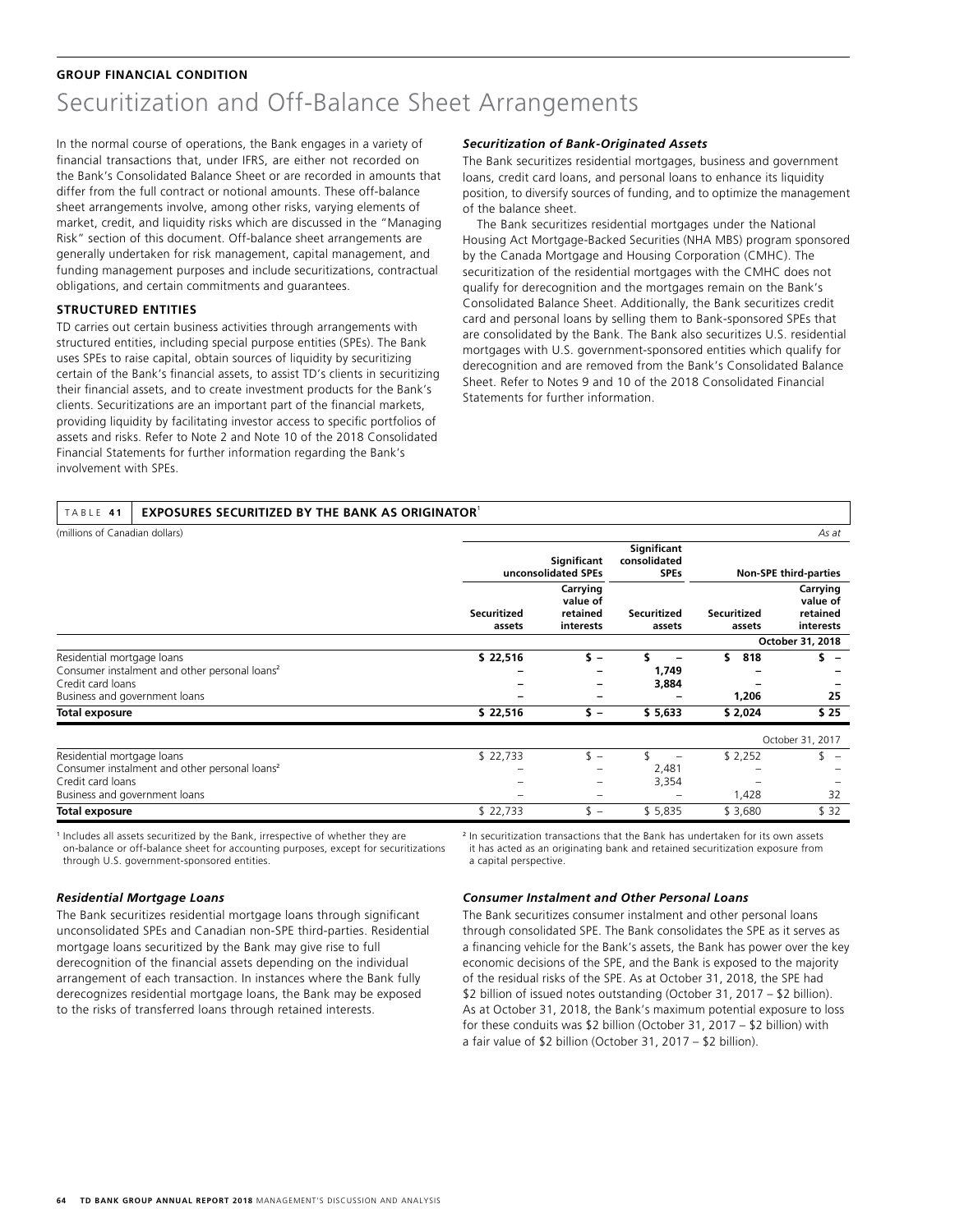# **GROUP FINANCIAL CONDITION**

# Securitization and Off-Balance Sheet Arrangements

In the normal course of operations, the Bank engages in a variety of financial transactions that, under IFRS, are either not recorded on the Bank's Consolidated Balance Sheet or are recorded in amounts that differ from the full contract or notional amounts. These off-balance sheet arrangements involve, among other risks, varying elements of market, credit, and liquidity risks which are discussed in the "Managing Risk" section of this document. Off-balance sheet arrangements are generally undertaken for risk management, capital management, and funding management purposes and include securitizations, contractual obligations, and certain commitments and guarantees.

# **STRUCTURED ENTITIES**

TD carries out certain business activities through arrangements with structured entities, including special purpose entities (SPEs). The Bank uses SPEs to raise capital, obtain sources of liquidity by securitizing certain of the Bank's financial assets, to assist TD's clients in securitizing their financial assets, and to create investment products for the Bank's clients. Securitizations are an important part of the financial markets, providing liquidity by facilitating investor access to specific portfolios of assets and risks. Refer to Note 2 and Note 10 of the 2018 Consolidated Financial Statements for further information regarding the Bank's involvement with SPEs.

# *Securitization of Bank-Originated Assets*

The Bank securitizes residential mortgages, business and government loans, credit card loans, and personal loans to enhance its liquidity position, to diversify sources of funding, and to optimize the management of the balance sheet.

The Bank securitizes residential mortgages under the National Housing Act Mortgage-Backed Securities (NHA MBS) program sponsored by the Canada Mortgage and Housing Corporation (CMHC). The securitization of the residential mortgages with the CMHC does not qualify for derecognition and the mortgages remain on the Bank's Consolidated Balance Sheet. Additionally, the Bank securitizes credit card and personal loans by selling them to Bank-sponsored SPEs that are consolidated by the Bank. The Bank also securitizes U.S. residential mortgages with U.S. government-sponsored entities which qualify for derecognition and are removed from the Bank's Consolidated Balance Sheet. Refer to Notes 9 and 10 of the 2018 Consolidated Financial Statements for further information.

# **EXPOSURES SECURITIZED BY THE BANK AS ORIGINATOR**<sup>1</sup> TABLE **4 1**

| (millions of Canadian dollars)                                                                                                                |                       |                                                                    |                                            |                       | As at                                         |
|-----------------------------------------------------------------------------------------------------------------------------------------------|-----------------------|--------------------------------------------------------------------|--------------------------------------------|-----------------------|-----------------------------------------------|
|                                                                                                                                               |                       | Significant<br>unconsolidated SPEs                                 | Significant<br>consolidated<br><b>SPEs</b> |                       | <b>Non-SPE third-parties</b>                  |
|                                                                                                                                               | Securitized<br>assets | Carrying<br>value of<br>retained<br>interests                      | Securitized<br>assets                      | Securitized<br>assets | Carrying<br>value of<br>retained<br>interests |
|                                                                                                                                               |                       |                                                                    |                                            |                       | October 31, 2018                              |
| Residential mortgage loans<br>Consumer instalment and other personal loans <sup>2</sup><br>Credit card loans<br>Business and government loans | \$22,516              | \$ –                                                               | 1,749<br>3,884                             | \$.<br>818<br>1,206   | s<br>$\qquad \qquad \blacksquare$<br>25       |
| <b>Total exposure</b>                                                                                                                         | \$22,516              | s –                                                                | \$5,633                                    | \$2,024               | \$25                                          |
|                                                                                                                                               |                       |                                                                    |                                            |                       | October 31, 2017                              |
| Residential mortgage loans<br>Consumer instalment and other personal loans <sup>2</sup><br>Credit card loans<br>Business and government loans | \$22,733              | $$ -$<br>$\overline{\phantom{0}}$<br>-<br>$\overline{\phantom{0}}$ | $\qquad \qquad$<br>2,481<br>3,354<br>-     | \$2,252<br>1,428      | $\overline{\phantom{a}}$<br>32                |
| Total exposure                                                                                                                                | \$22,733              | $s -$                                                              | \$5,835                                    | \$3,680               | \$32                                          |

<sup>1</sup> Includes all assets securitized by the Bank, irrespective of whether they are on-balance or off-balance sheet for accounting purposes, except for securitizations through U.S. government-sponsored entities.

#### *Residential Mortgage Loans*

The Bank securitizes residential mortgage loans through significant unconsolidated SPEs and Canadian non-SPE third-parties. Residential mortgage loans securitized by the Bank may give rise to full derecognition of the financial assets depending on the individual arrangement of each transaction. In instances where the Bank fully derecognizes residential mortgage loans, the Bank may be exposed to the risks of transferred loans through retained interests.

<sup>2</sup> In securitization transactions that the Bank has undertaken for its own assets it has acted as an originating bank and retained securitization exposure from a capital perspective.

## *Consumer Instalment and Other Personal Loans*

The Bank securitizes consumer instalment and other personal loans through consolidated SPE. The Bank consolidates the SPE as it serves as a financing vehicle for the Bank's assets, the Bank has power over the key economic decisions of the SPE, and the Bank is exposed to the majority of the residual risks of the SPE. As at October 31, 2018, the SPE had \$2 billion of issued notes outstanding (October 31, 2017 – \$2 billion). As at October 31, 2018, the Bank's maximum potential exposure to loss for these conduits was \$2 billion (October 31, 2017 – \$2 billion) with a fair value of \$2 billion (October 31, 2017 – \$2 billion).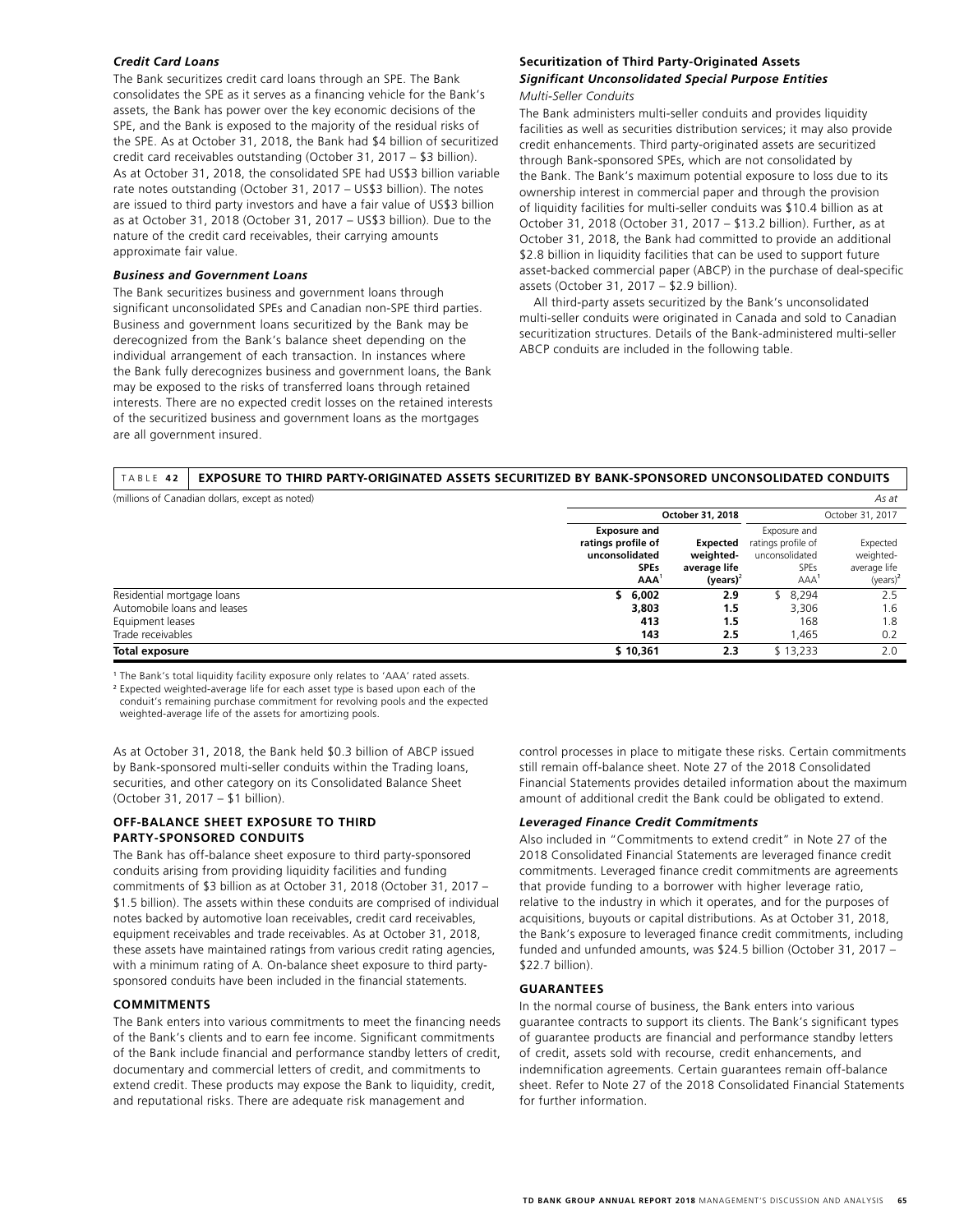# *Credit Card Loans*

The Bank securitizes credit card loans through an SPE. The Bank consolidates the SPE as it serves as a financing vehicle for the Bank's assets, the Bank has power over the key economic decisions of the SPE, and the Bank is exposed to the majority of the residual risks of the SPE. As at October 31, 2018, the Bank had \$4 billion of securitized credit card receivables outstanding (October 31, 2017 – \$3 billion). As at October 31, 2018, the consolidated SPE had US\$3 billion variable rate notes outstanding (October 31, 2017 – US\$3 billion). The notes are issued to third party investors and have a fair value of US\$3 billion as at October 31, 2018 (October 31, 2017 – US\$3 billion). Due to the nature of the credit card receivables, their carrying amounts approximate fair value.

#### *Business and Government Loans*

The Bank securitizes business and government loans through significant unconsolidated SPEs and Canadian non-SPE third parties. Business and government loans securitized by the Bank may be derecognized from the Bank's balance sheet depending on the individual arrangement of each transaction. In instances where the Bank fully derecognizes business and government loans, the Bank may be exposed to the risks of transferred loans through retained interests. There are no expected credit losses on the retained interests of the securitized business and government loans as the mortgages are all government insured.

## **Securitization of Third Party-Originated Assets** *Significant Unconsolidated Special Purpose Entities Multi-Seller Conduits*

The Bank administers multi-seller conduits and provides liquidity facilities as well as securities distribution services; it may also provide credit enhancements. Third party-originated assets are securitized through Bank-sponsored SPEs, which are not consolidated by the Bank. The Bank's maximum potential exposure to loss due to its ownership interest in commercial paper and through the provision of liquidity facilities for multi-seller conduits was \$10.4 billion as at October 31, 2018 (October 31, 2017 – \$13.2 billion). Further, as at October 31, 2018, the Bank had committed to provide an additional \$2.8 billion in liquidity facilities that can be used to support future asset-backed commercial paper (ABCP) in the purchase of deal-specific assets (October 31, 2017 – \$2.9 billion).

All third-party assets securitized by the Bank's unconsolidated multi-seller conduits were originated in Canada and sold to Canadian securitization structures. Details of the Bank-administered multi-seller ABCP conduits are included in the following table.

## TABLE **4 2 EXPOSURE TO THIRD PARTY-ORIGINATED ASSETS SECURITIZED BY BANK-SPONSORED UNCONSOLIDATED CONDUITS**

| (millions of Canadian dollars, except as noted) |                                                                                          |                                                             |                                                                            |                                                      |  |  |
|-------------------------------------------------|------------------------------------------------------------------------------------------|-------------------------------------------------------------|----------------------------------------------------------------------------|------------------------------------------------------|--|--|
|                                                 | October 31, 2018                                                                         | October 31, 2017                                            |                                                                            |                                                      |  |  |
|                                                 | <b>Exposure and</b><br>ratings profile of<br>unconsolidated<br><b>SPEs</b><br><b>AAA</b> | <b>Expected</b><br>weighted-<br>average life<br>$(years)^2$ | Exposure and<br>ratings profile of<br>unconsolidated<br><b>SPEs</b><br>AAA | Expected<br>weighted-<br>average life<br>$(years)^2$ |  |  |
| Residential mortgage loans                      | 6,002                                                                                    | 2.9                                                         | 8.294                                                                      | 2.5                                                  |  |  |
| Automobile loans and leases                     | 3,803                                                                                    | 1.5                                                         | 3,306                                                                      | .6                                                   |  |  |
| Equipment leases                                | 413                                                                                      | 1.5                                                         | 168                                                                        | 1.8                                                  |  |  |
| Trade receivables                               | 143                                                                                      | 2.5                                                         | .465                                                                       | 0.2                                                  |  |  |
| <b>Total exposure</b>                           | \$10,361                                                                                 | 2.3                                                         | \$13,233                                                                   | 2.0                                                  |  |  |

<sup>1</sup> The Bank's total liquidity facility exposure only relates to 'AAA' rated assets.

<sup>2</sup> Expected weighted-average life for each asset type is based upon each of the

conduit's remaining purchase commitment for revolving pools and the expected weighted-average life of the assets for amortizing pools.

As at October 31, 2018, the Bank held \$0.3 billion of ABCP issued by Bank-sponsored multi-seller conduits within the Trading loans, securities, and other category on its Consolidated Balance Sheet (October 31, 2017 – \$1 billion).

# **OFF-BALANCE SHEET EXPOSURE TO THIRD PARTY-SPONSORED CONDUITS**

The Bank has off-balance sheet exposure to third party-sponsored conduits arising from providing liquidity facilities and funding commitments of \$3 billion as at October 31, 2018 (October 31, 2017 – \$1.5 billion). The assets within these conduits are comprised of individual notes backed by automotive loan receivables, credit card receivables, equipment receivables and trade receivables. As at October 31, 2018, these assets have maintained ratings from various credit rating agencies, with a minimum rating of A. On-balance sheet exposure to third partysponsored conduits have been included in the financial statements.

# **COMMITMENTS**

The Bank enters into various commitments to meet the financing needs of the Bank's clients and to earn fee income. Significant commitments of the Bank include financial and performance standby letters of credit, documentary and commercial letters of credit, and commitments to extend credit. These products may expose the Bank to liquidity, credit, and reputational risks. There are adequate risk management and

control processes in place to mitigate these risks. Certain commitments still remain off-balance sheet. Note 27 of the 2018 Consolidated Financial Statements provides detailed information about the maximum amount of additional credit the Bank could be obligated to extend.

# *Leveraged Finance Credit Commitments*

Also included in "Commitments to extend credit" in Note 27 of the 2018 Consolidated Financial Statements are leveraged finance credit commitments. Leveraged finance credit commitments are agreements that provide funding to a borrower with higher leverage ratio, relative to the industry in which it operates, and for the purposes of acquisitions, buyouts or capital distributions. As at October 31, 2018, the Bank's exposure to leveraged finance credit commitments, including funded and unfunded amounts, was \$24.5 billion (October 31, 2017 – \$22.7 billion).

# **GUARANTEES**

In the normal course of business, the Bank enters into various guarantee contracts to support its clients. The Bank's significant types of guarantee products are financial and performance standby letters of credit, assets sold with recourse, credit enhancements, and indemnification agreements. Certain guarantees remain off-balance sheet. Refer to Note 27 of the 2018 Consolidated Financial Statements for further information.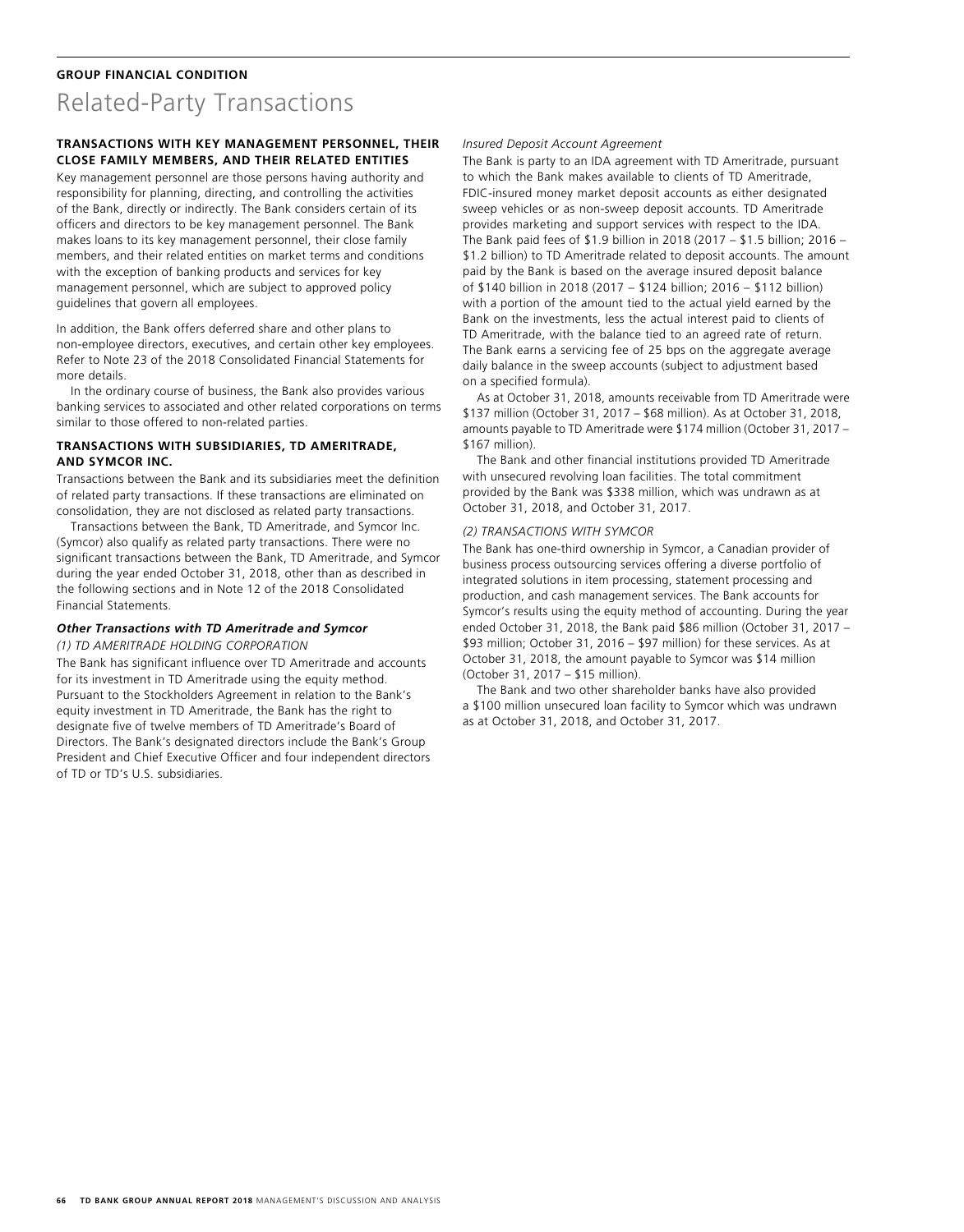# **GROUP FINANCIAL CONDITION**

# Related-Party Transactions

# **TRANSACTIONS WITH KEY MANAGEMENT PERSONNEL, THEIR CLOSE FAMILY MEMBERS, AND THEIR RELATED ENTITIES**

Key management personnel are those persons having authority and responsibility for planning, directing, and controlling the activities of the Bank, directly or indirectly. The Bank considers certain of its officers and directors to be key management personnel. The Bank makes loans to its key management personnel, their close family members, and their related entities on market terms and conditions with the exception of banking products and services for key management personnel, which are subject to approved policy guidelines that govern all employees.

In addition, the Bank offers deferred share and other plans to non-employee directors, executives, and certain other key employees. Refer to Note 23 of the 2018 Consolidated Financial Statements for more details.

In the ordinary course of business, the Bank also provides various banking services to associated and other related corporations on terms similar to those offered to non-related parties.

# **TRANSACTIONS WITH SUBSIDIARIES, TD AMERITRADE, AND SYMCOR INC.**

Transactions between the Bank and its subsidiaries meet the definition of related party transactions. If these transactions are eliminated on consolidation, they are not disclosed as related party transactions.

Transactions between the Bank, TD Ameritrade, and Symcor Inc. (Symcor) also qualify as related party transactions. There were no significant transactions between the Bank, TD Ameritrade, and Symcor during the year ended October 31, 2018, other than as described in the following sections and in Note 12 of the 2018 Consolidated Financial Statements.

# *Other Transactions with TD Ameritrade and Symcor*

*(1) TD AMERITRADE HOLDING CORPORATION*

The Bank has significant influence over TD Ameritrade and accounts for its investment in TD Ameritrade using the equity method. Pursuant to the Stockholders Agreement in relation to the Bank's equity investment in TD Ameritrade, the Bank has the right to designate five of twelve members of TD Ameritrade's Board of Directors. The Bank's designated directors include the Bank's Group President and Chief Executive Officer and four independent directors of TD or TD's U.S. subsidiaries.

# *Insured Deposit Account Agreement*

The Bank is party to an IDA agreement with TD Ameritrade, pursuant to which the Bank makes available to clients of TD Ameritrade, FDIC-insured money market deposit accounts as either designated sweep vehicles or as non-sweep deposit accounts. TD Ameritrade provides marketing and support services with respect to the IDA. The Bank paid fees of \$1.9 billion in 2018 (2017 – \$1.5 billion; 2016 – \$1.2 billion) to TD Ameritrade related to deposit accounts. The amount paid by the Bank is based on the average insured deposit balance of \$140 billion in 2018 (2017 – \$124 billion; 2016 – \$112 billion) with a portion of the amount tied to the actual yield earned by the Bank on the investments, less the actual interest paid to clients of TD Ameritrade, with the balance tied to an agreed rate of return. The Bank earns a servicing fee of 25 bps on the aggregate average daily balance in the sweep accounts (subject to adjustment based on a specified formula).

As at October 31, 2018, amounts receivable from TD Ameritrade were \$137 million (October 31, 2017 – \$68 million). As at October 31, 2018, amounts payable to TD Ameritrade were \$174 million (October 31, 2017 – \$167 million).

The Bank and other financial institutions provided TD Ameritrade with unsecured revolving loan facilities. The total commitment provided by the Bank was \$338 million, which was undrawn as at October 31, 2018, and October 31, 2017.

# *(2) TRANSACTIONS WITH SYMCOR*

The Bank has one-third ownership in Symcor, a Canadian provider of business process outsourcing services offering a diverse portfolio of integrated solutions in item processing, statement processing and production, and cash management services. The Bank accounts for Symcor's results using the equity method of accounting. During the year ended October 31, 2018, the Bank paid \$86 million (October 31, 2017 – \$93 million; October 31, 2016 – \$97 million) for these services. As at October 31, 2018, the amount payable to Symcor was \$14 million (October 31, 2017 – \$15 million).

The Bank and two other shareholder banks have also provided a \$100 million unsecured loan facility to Symcor which was undrawn as at October 31, 2018, and October 31, 2017.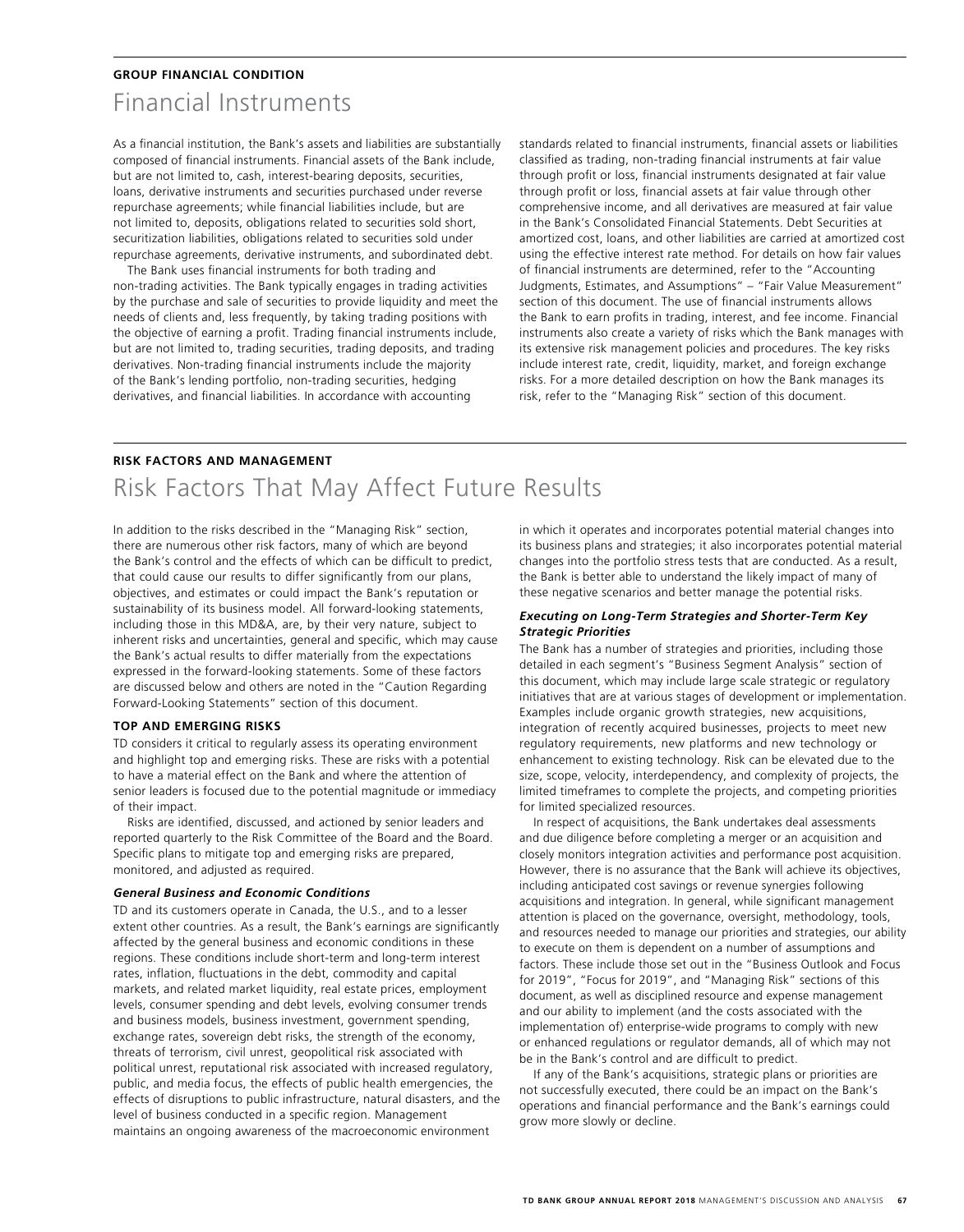# **GROUP FINANCIAL CONDITION**

# Financial Instruments

As a financial institution, the Bank's assets and liabilities are substantially composed of financial instruments. Financial assets of the Bank include, but are not limited to, cash, interest-bearing deposits, securities, loans, derivative instruments and securities purchased under reverse repurchase agreements; while financial liabilities include, but are not limited to, deposits, obligations related to securities sold short, securitization liabilities, obligations related to securities sold under repurchase agreements, derivative instruments, and subordinated debt.

The Bank uses financial instruments for both trading and non-trading activities. The Bank typically engages in trading activities by the purchase and sale of securities to provide liquidity and meet the needs of clients and, less frequently, by taking trading positions with the objective of earning a profit. Trading financial instruments include, but are not limited to, trading securities, trading deposits, and trading derivatives. Non-trading financial instruments include the majority of the Bank's lending portfolio, non-trading securities, hedging derivatives, and financial liabilities. In accordance with accounting

standards related to financial instruments, financial assets or liabilities classified as trading, non-trading financial instruments at fair value through profit or loss, financial instruments designated at fair value through profit or loss, financial assets at fair value through other comprehensive income, and all derivatives are measured at fair value in the Bank's Consolidated Financial Statements. Debt Securities at amortized cost, loans, and other liabilities are carried at amortized cost using the effective interest rate method. For details on how fair values of financial instruments are determined, refer to the "Accounting Judgments, Estimates, and Assumptions" – "Fair Value Measurement" section of this document. The use of financial instruments allows the Bank to earn profits in trading, interest, and fee income. Financial instruments also create a variety of risks which the Bank manages with its extensive risk management policies and procedures. The key risks include interest rate, credit, liquidity, market, and foreign exchange risks. For a more detailed description on how the Bank manages its risk, refer to the "Managing Risk" section of this document.

# **RISK FACTORS AND MANAGEMENT**

# Risk Factors That May Affect Future Results

In addition to the risks described in the "Managing Risk" section, there are numerous other risk factors, many of which are beyond the Bank's control and the effects of which can be difficult to predict, that could cause our results to differ significantly from our plans, objectives, and estimates or could impact the Bank's reputation or sustainability of its business model. All forward-looking statements, including those in this MD&A, are, by their very nature, subject to inherent risks and uncertainties, general and specific, which may cause the Bank's actual results to differ materially from the expectations expressed in the forward-looking statements. Some of these factors are discussed below and others are noted in the "Caution Regarding Forward-Looking Statements" section of this document.

# **TOP AND EMERGING RISKS**

TD considers it critical to regularly assess its operating environment and highlight top and emerging risks. These are risks with a potential to have a material effect on the Bank and where the attention of senior leaders is focused due to the potential magnitude or immediacy of their impact.

Risks are identified, discussed, and actioned by senior leaders and reported quarterly to the Risk Committee of the Board and the Board. Specific plans to mitigate top and emerging risks are prepared, monitored, and adjusted as required.

# *General Business and Economic Conditions*

TD and its customers operate in Canada, the U.S., and to a lesser extent other countries. As a result, the Bank's earnings are significantly affected by the general business and economic conditions in these regions. These conditions include short-term and long-term interest rates, inflation, fluctuations in the debt, commodity and capital markets, and related market liquidity, real estate prices, employment levels, consumer spending and debt levels, evolving consumer trends and business models, business investment, government spending, exchange rates, sovereign debt risks, the strength of the economy, threats of terrorism, civil unrest, geopolitical risk associated with political unrest, reputational risk associated with increased regulatory, public, and media focus, the effects of public health emergencies, the effects of disruptions to public infrastructure, natural disasters, and the level of business conducted in a specific region. Management maintains an ongoing awareness of the macroeconomic environment

in which it operates and incorporates potential material changes into its business plans and strategies; it also incorporates potential material changes into the portfolio stress tests that are conducted. As a result, the Bank is better able to understand the likely impact of many of these negative scenarios and better manage the potential risks.

## *Executing on Long-Term Strategies and Shorter-Term Key Strategic Priorities*

The Bank has a number of strategies and priorities, including those detailed in each segment's "Business Segment Analysis" section of this document, which may include large scale strategic or regulatory initiatives that are at various stages of development or implementation. Examples include organic growth strategies, new acquisitions, integration of recently acquired businesses, projects to meet new regulatory requirements, new platforms and new technology or enhancement to existing technology. Risk can be elevated due to the size, scope, velocity, interdependency, and complexity of projects, the limited timeframes to complete the projects, and competing priorities for limited specialized resources.

In respect of acquisitions, the Bank undertakes deal assessments and due diligence before completing a merger or an acquisition and closely monitors integration activities and performance post acquisition. However, there is no assurance that the Bank will achieve its objectives, including anticipated cost savings or revenue synergies following acquisitions and integration. In general, while significant management attention is placed on the governance, oversight, methodology, tools, and resources needed to manage our priorities and strategies, our ability to execute on them is dependent on a number of assumptions and factors. These include those set out in the "Business Outlook and Focus for 2019", "Focus for 2019", and "Managing Risk" sections of this document, as well as disciplined resource and expense management and our ability to implement (and the costs associated with the implementation of) enterprise-wide programs to comply with new or enhanced regulations or regulator demands, all of which may not be in the Bank's control and are difficult to predict.

If any of the Bank's acquisitions, strategic plans or priorities are not successfully executed, there could be an impact on the Bank's operations and financial performance and the Bank's earnings could grow more slowly or decline.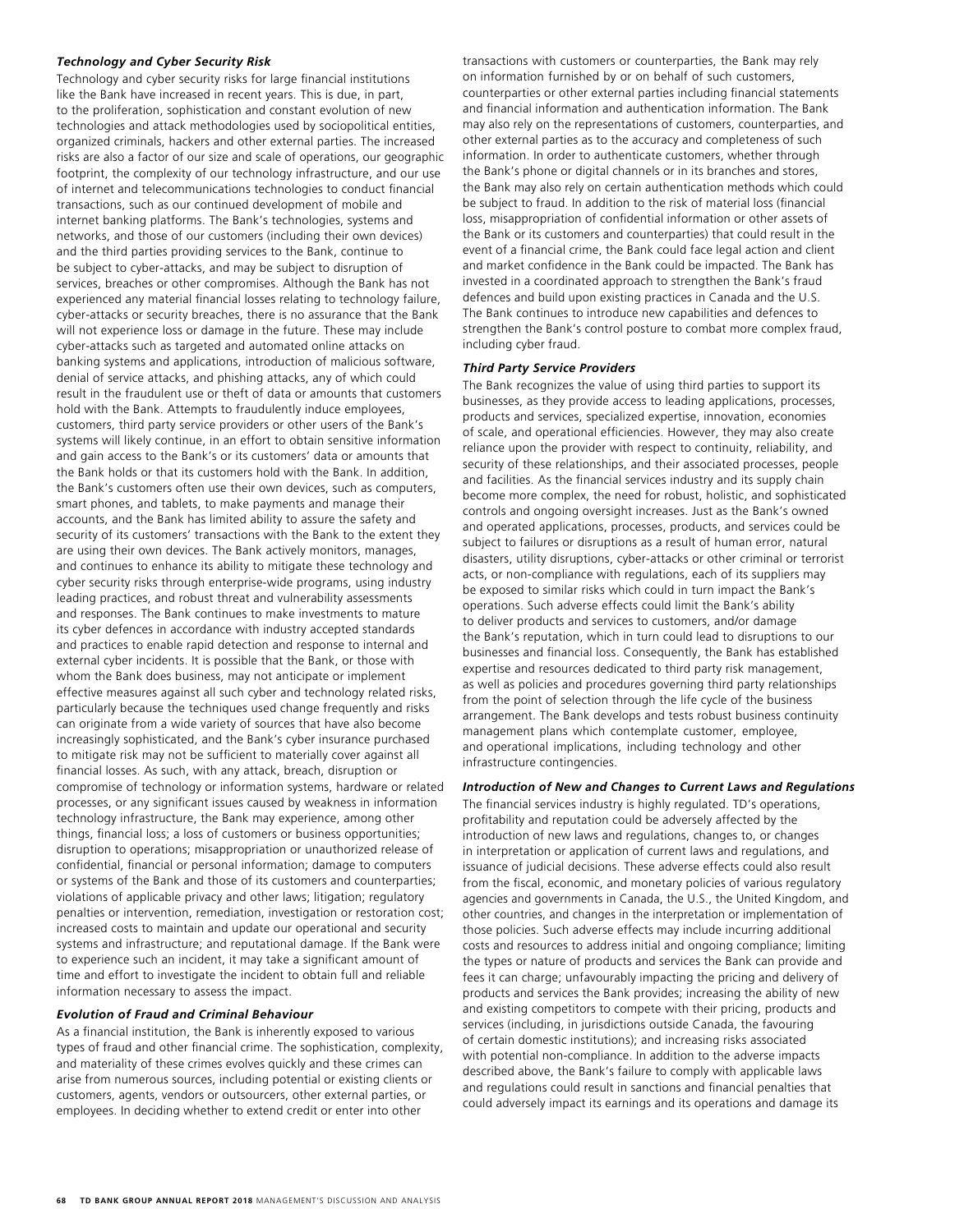# *Technology and Cyber Security Risk*

Technology and cyber security risks for large financial institutions like the Bank have increased in recent years. This is due, in part, to the proliferation, sophistication and constant evolution of new technologies and attack methodologies used by sociopolitical entities, organized criminals, hackers and other external parties. The increased risks are also a factor of our size and scale of operations, our geographic footprint, the complexity of our technology infrastructure, and our use of internet and telecommunications technologies to conduct financial transactions, such as our continued development of mobile and internet banking platforms. The Bank's technologies, systems and networks, and those of our customers (including their own devices) and the third parties providing services to the Bank, continue to be subject to cyber-attacks, and may be subject to disruption of services, breaches or other compromises. Although the Bank has not experienced any material financial losses relating to technology failure, cyber-attacks or security breaches, there is no assurance that the Bank will not experience loss or damage in the future. These may include cyber-attacks such as targeted and automated online attacks on banking systems and applications, introduction of malicious software, denial of service attacks, and phishing attacks, any of which could result in the fraudulent use or theft of data or amounts that customers hold with the Bank. Attempts to fraudulently induce employees, customers, third party service providers or other users of the Bank's systems will likely continue, in an effort to obtain sensitive information and gain access to the Bank's or its customers' data or amounts that the Bank holds or that its customers hold with the Bank. In addition, the Bank's customers often use their own devices, such as computers, smart phones, and tablets, to make payments and manage their accounts, and the Bank has limited ability to assure the safety and security of its customers' transactions with the Bank to the extent they are using their own devices. The Bank actively monitors, manages, and continues to enhance its ability to mitigate these technology and cyber security risks through enterprise-wide programs, using industry leading practices, and robust threat and vulnerability assessments and responses. The Bank continues to make investments to mature its cyber defences in accordance with industry accepted standards and practices to enable rapid detection and response to internal and external cyber incidents. It is possible that the Bank, or those with whom the Bank does business, may not anticipate or implement effective measures against all such cyber and technology related risks, particularly because the techniques used change frequently and risks can originate from a wide variety of sources that have also become increasingly sophisticated, and the Bank's cyber insurance purchased to mitigate risk may not be sufficient to materially cover against all financial losses. As such, with any attack, breach, disruption or compromise of technology or information systems, hardware or related processes, or any significant issues caused by weakness in information technology infrastructure, the Bank may experience, among other things, financial loss; a loss of customers or business opportunities; disruption to operations; misappropriation or unauthorized release of confidential, financial or personal information; damage to computers or systems of the Bank and those of its customers and counterparties; violations of applicable privacy and other laws; litigation; regulatory penalties or intervention, remediation, investigation or restoration cost; increased costs to maintain and update our operational and security systems and infrastructure; and reputational damage. If the Bank were to experience such an incident, it may take a significant amount of time and effort to investigate the incident to obtain full and reliable information necessary to assess the impact.

### *Evolution of Fraud and Criminal Behaviour*

As a financial institution, the Bank is inherently exposed to various types of fraud and other financial crime. The sophistication, complexity, and materiality of these crimes evolves quickly and these crimes can arise from numerous sources, including potential or existing clients or customers, agents, vendors or outsourcers, other external parties, or employees. In deciding whether to extend credit or enter into other

transactions with customers or counterparties, the Bank may rely on information furnished by or on behalf of such customers, counterparties or other external parties including financial statements and financial information and authentication information. The Bank may also rely on the representations of customers, counterparties, and other external parties as to the accuracy and completeness of such information. In order to authenticate customers, whether through the Bank's phone or digital channels or in its branches and stores, the Bank may also rely on certain authentication methods which could be subject to fraud. In addition to the risk of material loss (financial loss, misappropriation of confidential information or other assets of the Bank or its customers and counterparties) that could result in the event of a financial crime, the Bank could face legal action and client and market confidence in the Bank could be impacted. The Bank has invested in a coordinated approach to strengthen the Bank's fraud defences and build upon existing practices in Canada and the U.S. The Bank continues to introduce new capabilities and defences to strengthen the Bank's control posture to combat more complex fraud, including cyber fraud.

#### *Third Party Service Providers*

The Bank recognizes the value of using third parties to support its businesses, as they provide access to leading applications, processes, products and services, specialized expertise, innovation, economies of scale, and operational efficiencies. However, they may also create reliance upon the provider with respect to continuity, reliability, and security of these relationships, and their associated processes, people and facilities. As the financial services industry and its supply chain become more complex, the need for robust, holistic, and sophisticated controls and ongoing oversight increases. Just as the Bank's owned and operated applications, processes, products, and services could be subject to failures or disruptions as a result of human error, natural disasters, utility disruptions, cyber-attacks or other criminal or terrorist acts, or non-compliance with regulations, each of its suppliers may be exposed to similar risks which could in turn impact the Bank's operations. Such adverse effects could limit the Bank's ability to deliver products and services to customers, and/or damage the Bank's reputation, which in turn could lead to disruptions to our businesses and financial loss. Consequently, the Bank has established expertise and resources dedicated to third party risk management, as well as policies and procedures governing third party relationships from the point of selection through the life cycle of the business arrangement. The Bank develops and tests robust business continuity management plans which contemplate customer, employee, and operational implications, including technology and other infrastructure contingencies.

#### *Introduction of New and Changes to Current Laws and Regulations*

The financial services industry is highly regulated. TD's operations, profitability and reputation could be adversely affected by the introduction of new laws and regulations, changes to, or changes in interpretation or application of current laws and regulations, and issuance of judicial decisions. These adverse effects could also result from the fiscal, economic, and monetary policies of various regulatory agencies and governments in Canada, the U.S., the United Kingdom, and other countries, and changes in the interpretation or implementation of those policies. Such adverse effects may include incurring additional costs and resources to address initial and ongoing compliance; limiting the types or nature of products and services the Bank can provide and fees it can charge; unfavourably impacting the pricing and delivery of products and services the Bank provides; increasing the ability of new and existing competitors to compete with their pricing, products and services (including, in jurisdictions outside Canada, the favouring of certain domestic institutions); and increasing risks associated with potential non-compliance. In addition to the adverse impacts described above, the Bank's failure to comply with applicable laws and regulations could result in sanctions and financial penalties that could adversely impact its earnings and its operations and damage its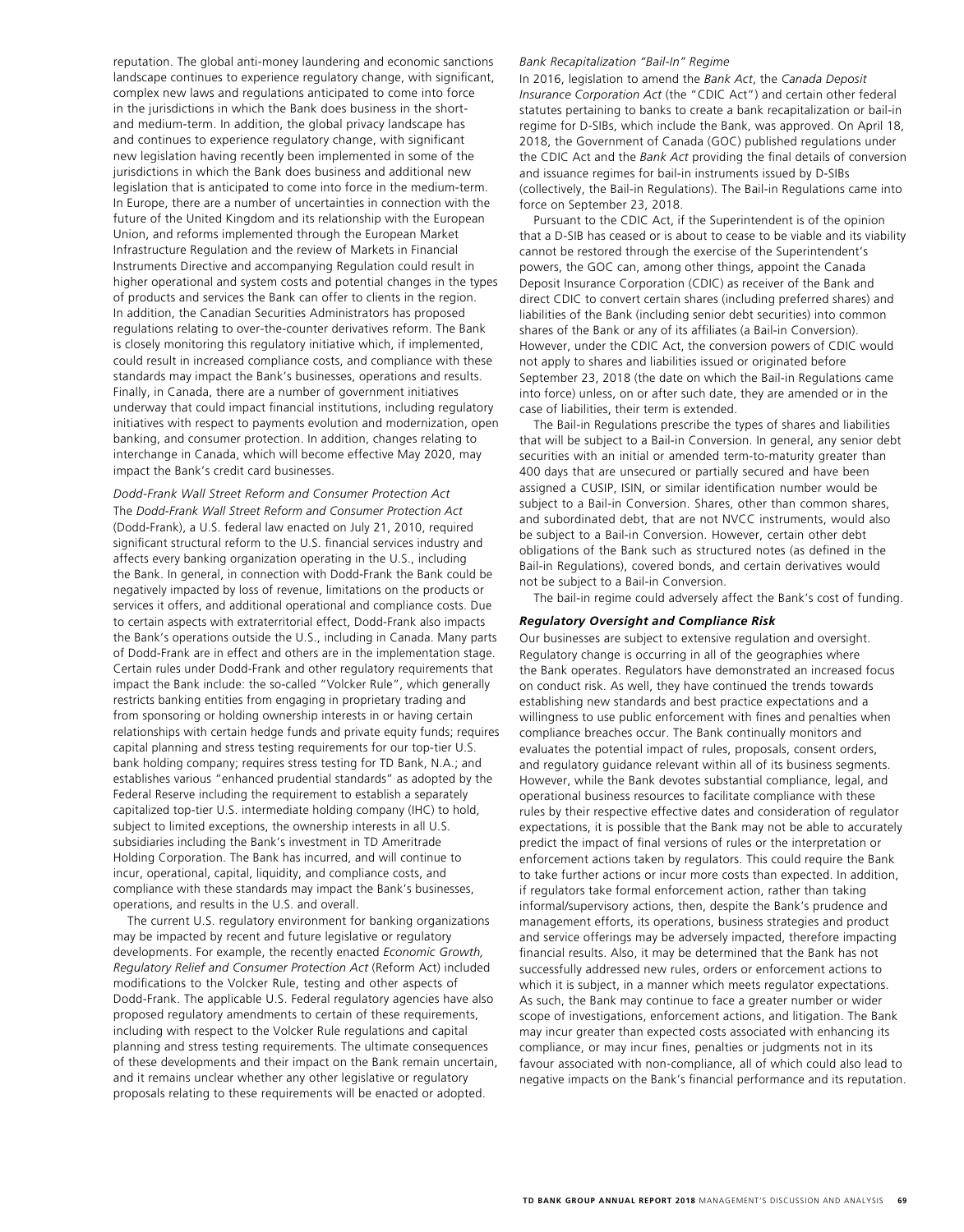reputation. The global anti-money laundering and economic sanctions landscape continues to experience regulatory change, with significant, complex new laws and regulations anticipated to come into force in the jurisdictions in which the Bank does business in the shortand medium-term. In addition, the global privacy landscape has and continues to experience regulatory change, with significant new legislation having recently been implemented in some of the jurisdictions in which the Bank does business and additional new legislation that is anticipated to come into force in the medium-term. In Europe, there are a number of uncertainties in connection with the future of the United Kingdom and its relationship with the European Union, and reforms implemented through the European Market Infrastructure Regulation and the review of Markets in Financial Instruments Directive and accompanying Regulation could result in higher operational and system costs and potential changes in the types of products and services the Bank can offer to clients in the region. In addition, the Canadian Securities Administrators has proposed regulations relating to over-the-counter derivatives reform. The Bank is closely monitoring this regulatory initiative which, if implemented, could result in increased compliance costs, and compliance with these standards may impact the Bank's businesses, operations and results. Finally, in Canada, there are a number of government initiatives underway that could impact financial institutions, including regulatory initiatives with respect to payments evolution and modernization, open banking, and consumer protection. In addition, changes relating to interchange in Canada, which will become effective May 2020, may impact the Bank's credit card businesses.

*Dodd-Frank Wall Street Reform and Consumer Protection Act* The *Dodd-Frank Wall Street Reform and Consumer Protection Act* (Dodd-Frank), a U.S. federal law enacted on July 21, 2010, required significant structural reform to the U.S. financial services industry and affects every banking organization operating in the U.S., including the Bank. In general, in connection with Dodd-Frank the Bank could be negatively impacted by loss of revenue, limitations on the products or services it offers, and additional operational and compliance costs. Due to certain aspects with extraterritorial effect, Dodd-Frank also impacts the Bank's operations outside the U.S., including in Canada. Many parts of Dodd-Frank are in effect and others are in the implementation stage. Certain rules under Dodd-Frank and other regulatory requirements that impact the Bank include: the so-called "Volcker Rule", which generally restricts banking entities from engaging in proprietary trading and from sponsoring or holding ownership interests in or having certain relationships with certain hedge funds and private equity funds; requires capital planning and stress testing requirements for our top-tier U.S. bank holding company; requires stress testing for TD Bank, N.A.; and establishes various "enhanced prudential standards" as adopted by the Federal Reserve including the requirement to establish a separately capitalized top-tier U.S. intermediate holding company (IHC) to hold, subject to limited exceptions, the ownership interests in all U.S. subsidiaries including the Bank's investment in TD Ameritrade Holding Corporation. The Bank has incurred, and will continue to incur, operational, capital, liquidity, and compliance costs, and compliance with these standards may impact the Bank's businesses, operations, and results in the U.S. and overall.

The current U.S. regulatory environment for banking organizations may be impacted by recent and future legislative or regulatory developments. For example, the recently enacted *Economic Growth, Regulatory Relief and Consumer Protection Act* (Reform Act) included modifications to the Volcker Rule, testing and other aspects of Dodd-Frank. The applicable U.S. Federal regulatory agencies have also proposed regulatory amendments to certain of these requirements, including with respect to the Volcker Rule regulations and capital planning and stress testing requirements. The ultimate consequences of these developments and their impact on the Bank remain uncertain, and it remains unclear whether any other legislative or regulatory proposals relating to these requirements will be enacted or adopted.

#### *Bank Recapitalization "Bail-In" Regime*

In 2016, legislation to amend the *Bank Act*, the *Canada Deposit Insurance Corporation Act* (the "CDIC Act") and certain other federal statutes pertaining to banks to create a bank recapitalization or bail-in regime for D-SIBs, which include the Bank, was approved. On April 18, 2018, the Government of Canada (GOC) published regulations under the CDIC Act and the *Bank Act* providing the final details of conversion and issuance regimes for bail-in instruments issued by D-SIBs (collectively, the Bail-in Regulations). The Bail-in Regulations came into force on September 23, 2018.

Pursuant to the CDIC Act, if the Superintendent is of the opinion that a D-SIB has ceased or is about to cease to be viable and its viability cannot be restored through the exercise of the Superintendent's powers, the GOC can, among other things, appoint the Canada Deposit Insurance Corporation (CDIC) as receiver of the Bank and direct CDIC to convert certain shares (including preferred shares) and liabilities of the Bank (including senior debt securities) into common shares of the Bank or any of its affiliates (a Bail-in Conversion). However, under the CDIC Act, the conversion powers of CDIC would not apply to shares and liabilities issued or originated before September 23, 2018 (the date on which the Bail-in Regulations came into force) unless, on or after such date, they are amended or in the case of liabilities, their term is extended.

The Bail-in Regulations prescribe the types of shares and liabilities that will be subject to a Bail-in Conversion. In general, any senior debt securities with an initial or amended term-to-maturity greater than 400 days that are unsecured or partially secured and have been assigned a CUSIP, ISIN, or similar identification number would be subject to a Bail-in Conversion. Shares, other than common shares, and subordinated debt, that are not NVCC instruments, would also be subject to a Bail-in Conversion. However, certain other debt obligations of the Bank such as structured notes (as defined in the Bail-in Regulations), covered bonds, and certain derivatives would not be subject to a Bail-in Conversion.

The bail-in regime could adversely affect the Bank's cost of funding.

#### *Regulatory Oversight and Compliance Risk*

Our businesses are subject to extensive regulation and oversight. Regulatory change is occurring in all of the geographies where the Bank operates. Regulators have demonstrated an increased focus on conduct risk. As well, they have continued the trends towards establishing new standards and best practice expectations and a willingness to use public enforcement with fines and penalties when compliance breaches occur. The Bank continually monitors and evaluates the potential impact of rules, proposals, consent orders, and regulatory guidance relevant within all of its business segments. However, while the Bank devotes substantial compliance, legal, and operational business resources to facilitate compliance with these rules by their respective effective dates and consideration of regulator expectations, it is possible that the Bank may not be able to accurately predict the impact of final versions of rules or the interpretation or enforcement actions taken by regulators. This could require the Bank to take further actions or incur more costs than expected. In addition, if regulators take formal enforcement action, rather than taking informal/supervisory actions, then, despite the Bank's prudence and management efforts, its operations, business strategies and product and service offerings may be adversely impacted, therefore impacting financial results. Also, it may be determined that the Bank has not successfully addressed new rules, orders or enforcement actions to which it is subject, in a manner which meets regulator expectations. As such, the Bank may continue to face a greater number or wider scope of investigations, enforcement actions, and litigation. The Bank may incur greater than expected costs associated with enhancing its compliance, or may incur fines, penalties or judgments not in its favour associated with non-compliance, all of which could also lead to negative impacts on the Bank's financial performance and its reputation.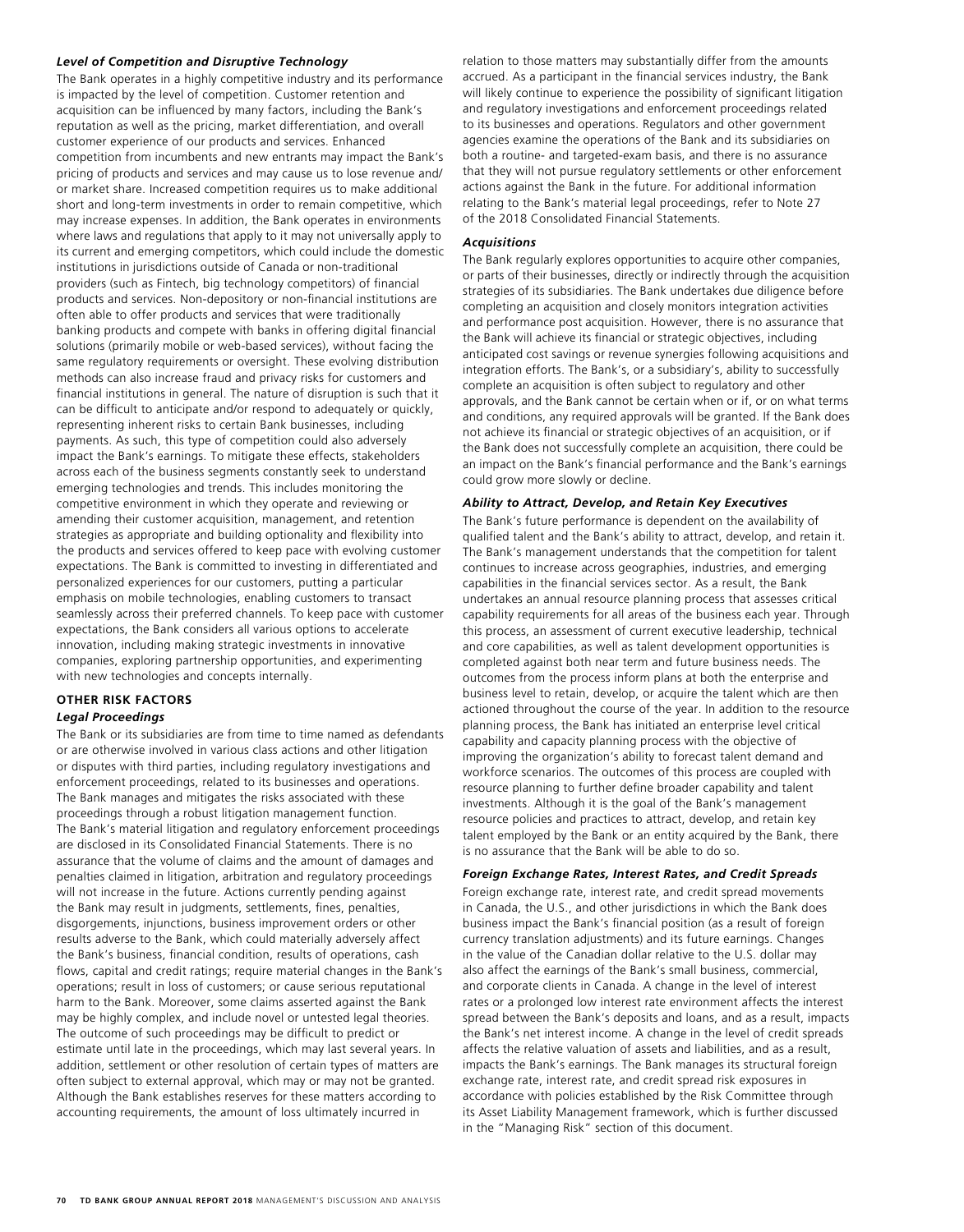## *Level of Competition and Disruptive Technology*

The Bank operates in a highly competitive industry and its performance is impacted by the level of competition. Customer retention and acquisition can be influenced by many factors, including the Bank's reputation as well as the pricing, market differentiation, and overall customer experience of our products and services. Enhanced competition from incumbents and new entrants may impact the Bank's pricing of products and services and may cause us to lose revenue and/ or market share. Increased competition requires us to make additional short and long-term investments in order to remain competitive, which may increase expenses. In addition, the Bank operates in environments where laws and regulations that apply to it may not universally apply to its current and emerging competitors, which could include the domestic institutions in jurisdictions outside of Canada or non-traditional providers (such as Fintech, big technology competitors) of financial products and services. Non-depository or non-financial institutions are often able to offer products and services that were traditionally banking products and compete with banks in offering digital financial solutions (primarily mobile or web-based services), without facing the same regulatory requirements or oversight. These evolving distribution methods can also increase fraud and privacy risks for customers and financial institutions in general. The nature of disruption is such that it can be difficult to anticipate and/or respond to adequately or quickly, representing inherent risks to certain Bank businesses, including payments. As such, this type of competition could also adversely impact the Bank's earnings. To mitigate these effects, stakeholders across each of the business segments constantly seek to understand emerging technologies and trends. This includes monitoring the competitive environment in which they operate and reviewing or amending their customer acquisition, management, and retention strategies as appropriate and building optionality and flexibility into the products and services offered to keep pace with evolving customer expectations. The Bank is committed to investing in differentiated and personalized experiences for our customers, putting a particular emphasis on mobile technologies, enabling customers to transact seamlessly across their preferred channels. To keep pace with customer expectations, the Bank considers all various options to accelerate innovation, including making strategic investments in innovative companies, exploring partnership opportunities, and experimenting with new technologies and concepts internally.

# **OTHER RISK FACTORS**

# *Legal Proceedings*

The Bank or its subsidiaries are from time to time named as defendants or are otherwise involved in various class actions and other litigation or disputes with third parties, including regulatory investigations and enforcement proceedings, related to its businesses and operations. The Bank manages and mitigates the risks associated with these proceedings through a robust litigation management function. The Bank's material litigation and regulatory enforcement proceedings are disclosed in its Consolidated Financial Statements. There is no assurance that the volume of claims and the amount of damages and penalties claimed in litigation, arbitration and regulatory proceedings will not increase in the future. Actions currently pending against the Bank may result in judgments, settlements, fines, penalties, disgorgements, injunctions, business improvement orders or other results adverse to the Bank, which could materially adversely affect the Bank's business, financial condition, results of operations, cash flows, capital and credit ratings; require material changes in the Bank's operations; result in loss of customers; or cause serious reputational harm to the Bank. Moreover, some claims asserted against the Bank may be highly complex, and include novel or untested legal theories. The outcome of such proceedings may be difficult to predict or estimate until late in the proceedings, which may last several years. In addition, settlement or other resolution of certain types of matters are often subject to external approval, which may or may not be granted. Although the Bank establishes reserves for these matters according to accounting requirements, the amount of loss ultimately incurred in

relation to those matters may substantially differ from the amounts accrued. As a participant in the financial services industry, the Bank will likely continue to experience the possibility of significant litigation and regulatory investigations and enforcement proceedings related to its businesses and operations. Regulators and other government agencies examine the operations of the Bank and its subsidiaries on both a routine- and targeted-exam basis, and there is no assurance that they will not pursue regulatory settlements or other enforcement actions against the Bank in the future. For additional information relating to the Bank's material legal proceedings, refer to Note 27 of the 2018 Consolidated Financial Statements.

# *Acquisitions*

The Bank regularly explores opportunities to acquire other companies, or parts of their businesses, directly or indirectly through the acquisition strategies of its subsidiaries. The Bank undertakes due diligence before completing an acquisition and closely monitors integration activities and performance post acquisition. However, there is no assurance that the Bank will achieve its financial or strategic objectives, including anticipated cost savings or revenue synergies following acquisitions and integration efforts. The Bank's, or a subsidiary's, ability to successfully complete an acquisition is often subject to regulatory and other approvals, and the Bank cannot be certain when or if, or on what terms and conditions, any required approvals will be granted. If the Bank does not achieve its financial or strategic objectives of an acquisition, or if the Bank does not successfully complete an acquisition, there could be an impact on the Bank's financial performance and the Bank's earnings could grow more slowly or decline.

#### *Ability to Attract, Develop, and Retain Key Executives*

The Bank's future performance is dependent on the availability of qualified talent and the Bank's ability to attract, develop, and retain it. The Bank's management understands that the competition for talent continues to increase across geographies, industries, and emerging capabilities in the financial services sector. As a result, the Bank undertakes an annual resource planning process that assesses critical capability requirements for all areas of the business each year. Through this process, an assessment of current executive leadership, technical and core capabilities, as well as talent development opportunities is completed against both near term and future business needs. The outcomes from the process inform plans at both the enterprise and business level to retain, develop, or acquire the talent which are then actioned throughout the course of the year. In addition to the resource planning process, the Bank has initiated an enterprise level critical capability and capacity planning process with the objective of improving the organization's ability to forecast talent demand and workforce scenarios. The outcomes of this process are coupled with resource planning to further define broader capability and talent investments. Although it is the goal of the Bank's management resource policies and practices to attract, develop, and retain key talent employed by the Bank or an entity acquired by the Bank, there is no assurance that the Bank will be able to do so.

*Foreign Exchange Rates, Interest Rates, and Credit Spreads* Foreign exchange rate, interest rate, and credit spread movements in Canada, the U.S., and other jurisdictions in which the Bank does business impact the Bank's financial position (as a result of foreign currency translation adjustments) and its future earnings. Changes in the value of the Canadian dollar relative to the U.S. dollar may also affect the earnings of the Bank's small business, commercial, and corporate clients in Canada. A change in the level of interest rates or a prolonged low interest rate environment affects the interest spread between the Bank's deposits and loans, and as a result, impacts the Bank's net interest income. A change in the level of credit spreads affects the relative valuation of assets and liabilities, and as a result, impacts the Bank's earnings. The Bank manages its structural foreign exchange rate, interest rate, and credit spread risk exposures in accordance with policies established by the Risk Committee through its Asset Liability Management framework, which is further discussed in the "Managing Risk" section of this document.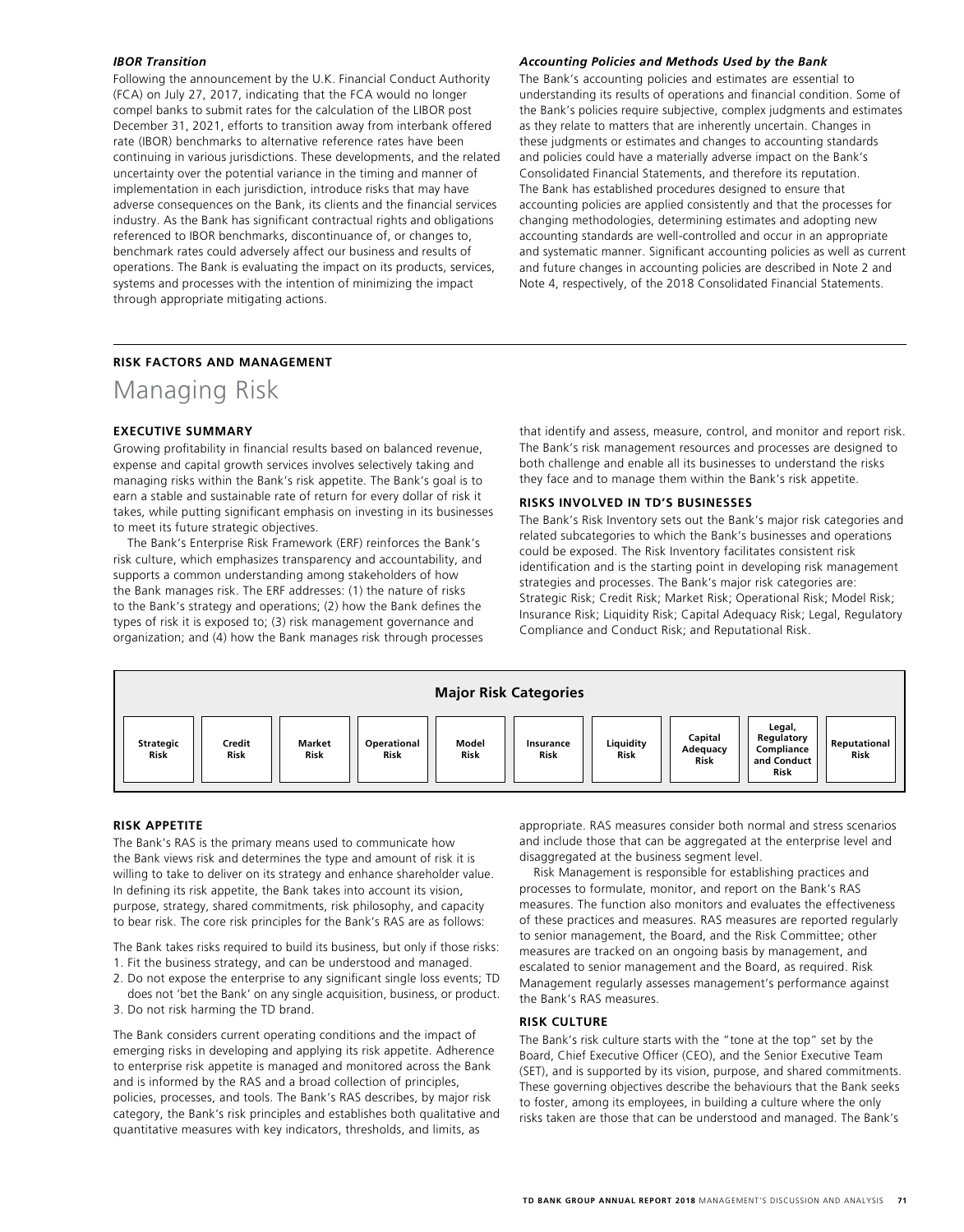#### *IBOR Transition*

Following the announcement by the U.K. Financial Conduct Authority (FCA) on July 27, 2017, indicating that the FCA would no longer compel banks to submit rates for the calculation of the LIBOR post December 31, 2021, efforts to transition away from interbank offered rate (IBOR) benchmarks to alternative reference rates have been continuing in various jurisdictions. These developments, and the related uncertainty over the potential variance in the timing and manner of implementation in each jurisdiction, introduce risks that may have adverse consequences on the Bank, its clients and the financial services industry. As the Bank has significant contractual rights and obligations referenced to IBOR benchmarks, discontinuance of, or changes to, benchmark rates could adversely affect our business and results of operations. The Bank is evaluating the impact on its products, services, systems and processes with the intention of minimizing the impact through appropriate mitigating actions.

#### *Accounting Policies and Methods Used by the Bank*

The Bank's accounting policies and estimates are essential to understanding its results of operations and financial condition. Some of the Bank's policies require subjective, complex judgments and estimates as they relate to matters that are inherently uncertain. Changes in these judgments or estimates and changes to accounting standards and policies could have a materially adverse impact on the Bank's Consolidated Financial Statements, and therefore its reputation. The Bank has established procedures designed to ensure that accounting policies are applied consistently and that the processes for changing methodologies, determining estimates and adopting new accounting standards are well-controlled and occur in an appropriate and systematic manner. Significant accounting policies as well as current and future changes in accounting policies are described in Note 2 and Note 4, respectively, of the 2018 Consolidated Financial Statements.

# **RISK FACTORS AND MANAGEMENT**

# Managing Risk

## **EXECUTIVE SUMMARY**

Growing profitability in financial results based on balanced revenue, expense and capital growth services involves selectively taking and managing risks within the Bank's risk appetite. The Bank's goal is to earn a stable and sustainable rate of return for every dollar of risk it takes, while putting significant emphasis on investing in its businesses to meet its future strategic objectives.

The Bank's Enterprise Risk Framework (ERF) reinforces the Bank's risk culture, which emphasizes transparency and accountability, and supports a common understanding among stakeholders of how the Bank manages risk. The ERF addresses: (1) the nature of risks to the Bank's strategy and operations; (2) how the Bank defines the types of risk it is exposed to; (3) risk management governance and organization; and (4) how the Bank manages risk through processes that identify and assess, measure, control, and monitor and report risk. The Bank's risk management resources and processes are designed to both challenge and enable all its businesses to understand the risks they face and to manage them within the Bank's risk appetite.

#### **RISKS INVOLVED IN TD'S BUSINESSES**

The Bank's Risk Inventory sets out the Bank's major risk categories and related subcategories to which the Bank's businesses and operations could be exposed. The Risk Inventory facilitates consistent risk identification and is the starting point in developing risk management strategies and processes. The Bank's major risk categories are: Strategic Risk; Credit Risk; Market Risk; Operational Risk; Model Risk; Insurance Risk; Liquidity Risk; Capital Adequacy Risk; Legal, Regulatory Compliance and Conduct Risk; and Reputational Risk.



#### **RISK APPETITE**

The Bank's RAS is the primary means used to communicate how the Bank views risk and determines the type and amount of risk it is willing to take to deliver on its strategy and enhance shareholder value. In defining its risk appetite, the Bank takes into account its vision, purpose, strategy, shared commitments, risk philosophy, and capacity to bear risk. The core risk principles for the Bank's RAS are as follows:

The Bank takes risks required to build its business, but only if those risks: 1. Fit the business strategy, and can be understood and managed.

- 2. Do not expose the enterprise to any significant single loss events; TD
- does not 'bet the Bank' on any single acquisition, business, or product. 3. Do not risk harming the TD brand.

The Bank considers current operating conditions and the impact of emerging risks in developing and applying its risk appetite. Adherence to enterprise risk appetite is managed and monitored across the Bank and is informed by the RAS and a broad collection of principles, policies, processes, and tools. The Bank's RAS describes, by major risk category, the Bank's risk principles and establishes both qualitative and quantitative measures with key indicators, thresholds, and limits, as

appropriate. RAS measures consider both normal and stress scenarios and include those that can be aggregated at the enterprise level and disaggregated at the business segment level.

Risk Management is responsible for establishing practices and processes to formulate, monitor, and report on the Bank's RAS measures. The function also monitors and evaluates the effectiveness of these practices and measures. RAS measures are reported regularly to senior management, the Board, and the Risk Committee; other measures are tracked on an ongoing basis by management, and escalated to senior management and the Board, as required. Risk Management regularly assesses management's performance against the Bank's RAS measures.

#### **RISK CULTURE**

The Bank's risk culture starts with the "tone at the top" set by the Board, Chief Executive Officer (CEO), and the Senior Executive Team (SET), and is supported by its vision, purpose, and shared commitments. These governing objectives describe the behaviours that the Bank seeks to foster, among its employees, in building a culture where the only risks taken are those that can be understood and managed. The Bank's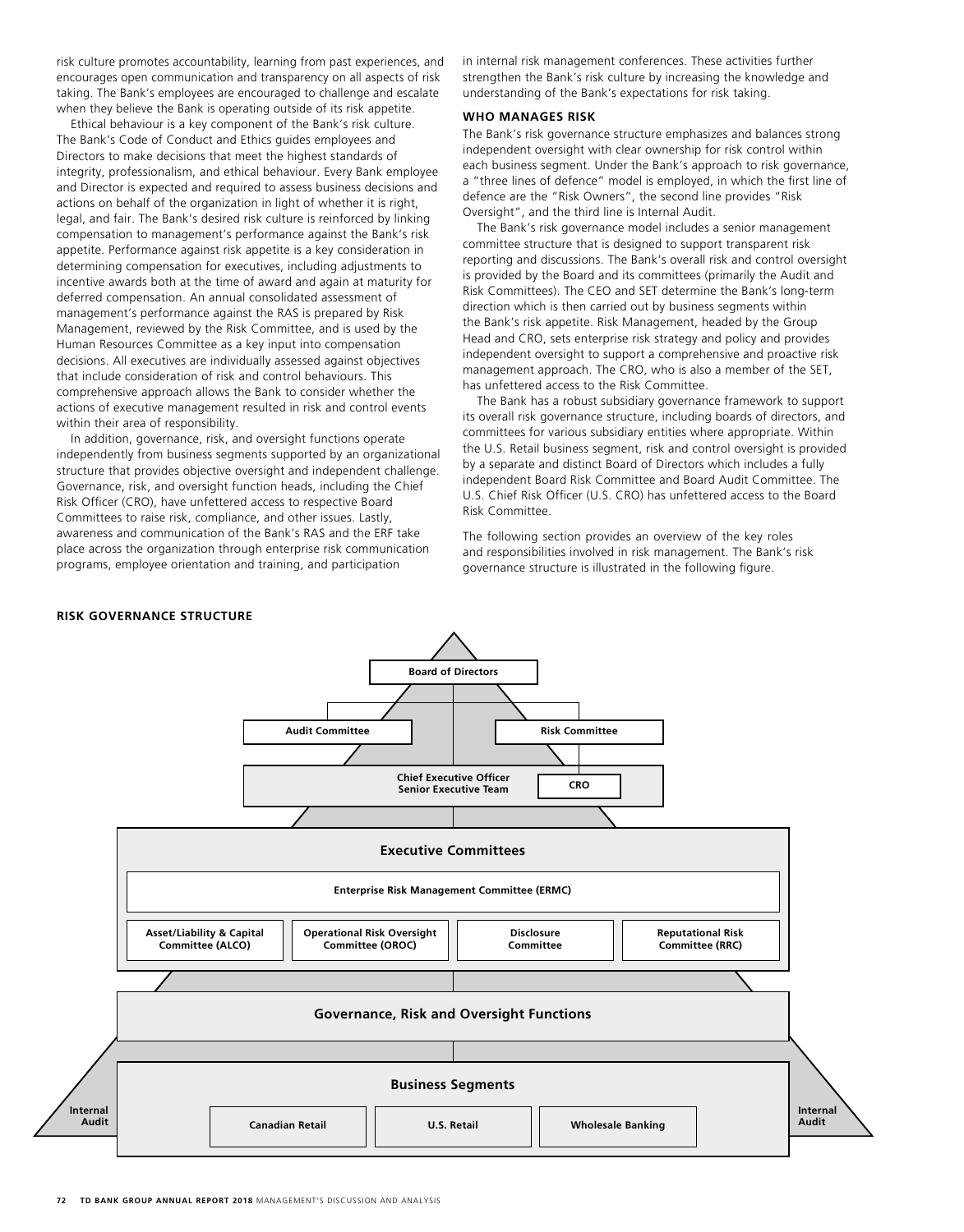risk culture promotes accountability, learning from past experiences, and encourages open communication and transparency on all aspects of risk taking. The Bank's employees are encouraged to challenge and escalate when they believe the Bank is operating outside of its risk appetite.

Ethical behaviour is a key component of the Bank's risk culture. The Bank's Code of Conduct and Ethics guides employees and Directors to make decisions that meet the highest standards of integrity, professionalism, and ethical behaviour. Every Bank employee and Director is expected and required to assess business decisions and actions on behalf of the organization in light of whether it is right, legal, and fair. The Bank's desired risk culture is reinforced by linking compensation to management's performance against the Bank's risk appetite. Performance against risk appetite is a key consideration in determining compensation for executives, including adjustments to incentive awards both at the time of award and again at maturity for deferred compensation. An annual consolidated assessment of management's performance against the RAS is prepared by Risk Management, reviewed by the Risk Committee, and is used by the Human Resources Committee as a key input into compensation decisions. All executives are individually assessed against objectives that include consideration of risk and control behaviours. This comprehensive approach allows the Bank to consider whether the actions of executive management resulted in risk and control events within their area of responsibility.

In addition, governance, risk, and oversight functions operate independently from business segments supported by an organizational structure that provides objective oversight and independent challenge. Governance, risk, and oversight function heads, including the Chief Risk Officer (CRO), have unfettered access to respective Board Committees to raise risk, compliance, and other issues. Lastly, awareness and communication of the Bank's RAS and the ERF take place across the organization through enterprise risk communication programs, employee orientation and training, and participation

in internal risk management conferences. These activities further strengthen the Bank's risk culture by increasing the knowledge and understanding of the Bank's expectations for risk taking.

#### **WHO MANAGES RISK**

The Bank's risk governance structure emphasizes and balances strong independent oversight with clear ownership for risk control within each business segment. Under the Bank's approach to risk governance, a "three lines of defence" model is employed, in which the first line of defence are the "Risk Owners", the second line provides "Risk Oversight", and the third line is Internal Audit.

The Bank's risk governance model includes a senior management committee structure that is designed to support transparent risk reporting and discussions. The Bank's overall risk and control oversight is provided by the Board and its committees (primarily the Audit and Risk Committees). The CEO and SET determine the Bank's long-term direction which is then carried out by business segments within the Bank's risk appetite. Risk Management, headed by the Group Head and CRO, sets enterprise risk strategy and policy and provides independent oversight to support a comprehensive and proactive risk management approach. The CRO, who is also a member of the SET, has unfettered access to the Risk Committee.

The Bank has a robust subsidiary governance framework to support its overall risk governance structure, including boards of directors, and committees for various subsidiary entities where appropriate. Within the U.S. Retail business segment, risk and control oversight is provided by a separate and distinct Board of Directors which includes a fully independent Board Risk Committee and Board Audit Committee. The U.S. Chief Risk Officer (U.S. CRO) has unfettered access to the Board Risk Committee.

The following section provides an overview of the key roles and responsibilities involved in risk management. The Bank's risk governance structure is illustrated in the following figure.

### **RISK GOVERNANCE STRUCTURE**

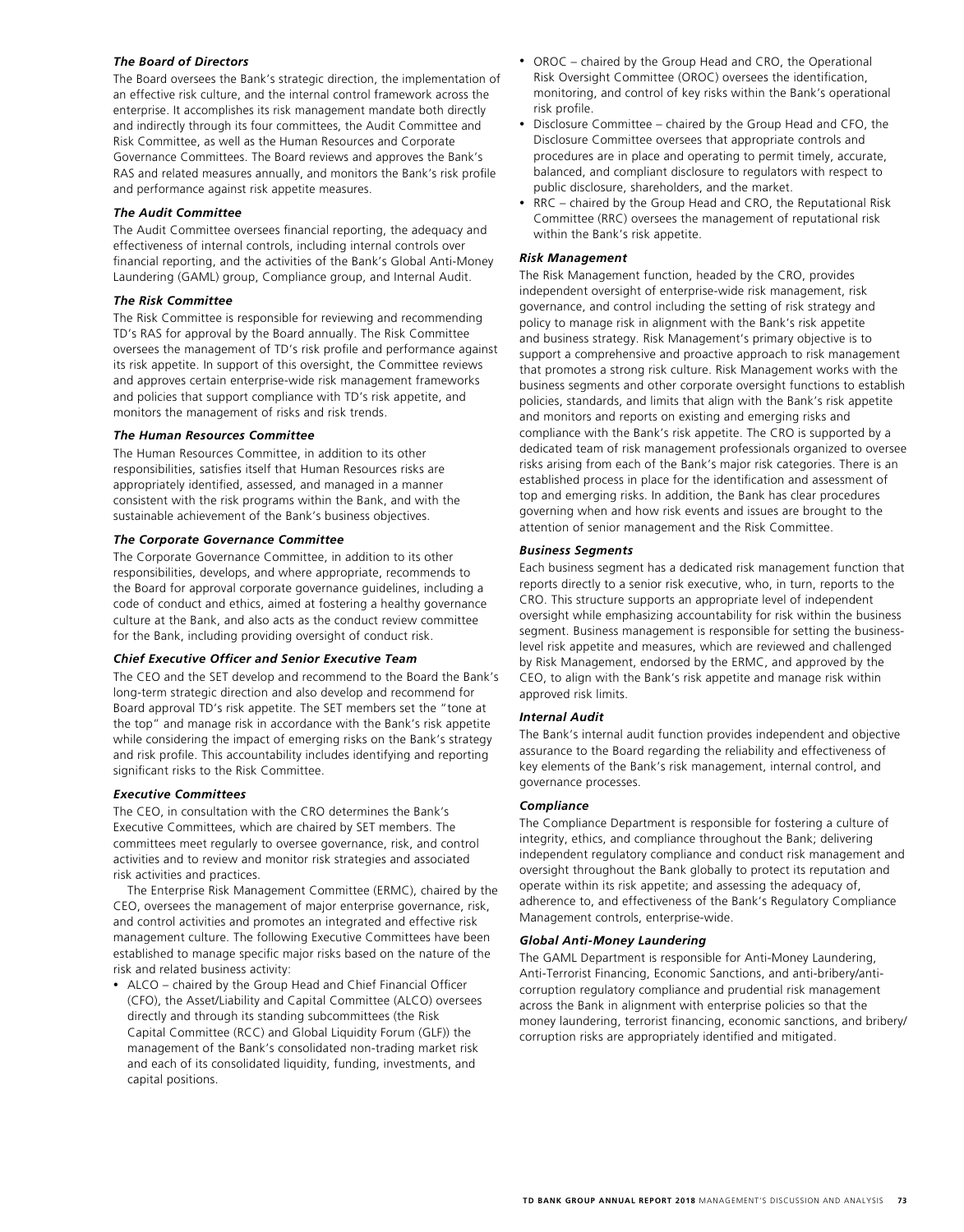# *The Board of Directors*

The Board oversees the Bank's strategic direction, the implementation of an effective risk culture, and the internal control framework across the enterprise. It accomplishes its risk management mandate both directly and indirectly through its four committees, the Audit Committee and Risk Committee, as well as the Human Resources and Corporate Governance Committees. The Board reviews and approves the Bank's RAS and related measures annually, and monitors the Bank's risk profile and performance against risk appetite measures.

#### *The Audit Committee*

The Audit Committee oversees financial reporting, the adequacy and effectiveness of internal controls, including internal controls over financial reporting, and the activities of the Bank's Global Anti-Money Laundering (GAML) group, Compliance group, and Internal Audit.

# *The Risk Committee*

The Risk Committee is responsible for reviewing and recommending TD's RAS for approval by the Board annually. The Risk Committee oversees the management of TD's risk profile and performance against its risk appetite. In support of this oversight, the Committee reviews and approves certain enterprise-wide risk management frameworks and policies that support compliance with TD's risk appetite, and monitors the management of risks and risk trends.

#### *The Human Resources Committee*

The Human Resources Committee, in addition to its other responsibilities, satisfies itself that Human Resources risks are appropriately identified, assessed, and managed in a manner consistent with the risk programs within the Bank, and with the sustainable achievement of the Bank's business objectives.

#### *The Corporate Governance Committee*

The Corporate Governance Committee, in addition to its other responsibilities, develops, and where appropriate, recommends to the Board for approval corporate governance guidelines, including a code of conduct and ethics, aimed at fostering a healthy governance culture at the Bank, and also acts as the conduct review committee for the Bank, including providing oversight of conduct risk.

# *Chief Executive Officer and Senior Executive Team*

The CEO and the SET develop and recommend to the Board the Bank's long-term strategic direction and also develop and recommend for Board approval TD's risk appetite. The SET members set the "tone at the top" and manage risk in accordance with the Bank's risk appetite while considering the impact of emerging risks on the Bank's strategy and risk profile. This accountability includes identifying and reporting significant risks to the Risk Committee.

#### *Executive Committees*

The CEO, in consultation with the CRO determines the Bank's Executive Committees, which are chaired by SET members. The committees meet regularly to oversee governance, risk, and control activities and to review and monitor risk strategies and associated risk activities and practices.

The Enterprise Risk Management Committee (ERMC), chaired by the CEO, oversees the management of major enterprise governance, risk, and control activities and promotes an integrated and effective risk management culture. The following Executive Committees have been established to manage specific major risks based on the nature of the risk and related business activity:

• ALCO – chaired by the Group Head and Chief Financial Officer (CFO), the Asset/Liability and Capital Committee (ALCO) oversees directly and through its standing subcommittees (the Risk Capital Committee (RCC) and Global Liquidity Forum (GLF)) the management of the Bank's consolidated non-trading market risk and each of its consolidated liquidity, funding, investments, and capital positions.

- OROC chaired by the Group Head and CRO, the Operational Risk Oversight Committee (OROC) oversees the identification, monitoring, and control of key risks within the Bank's operational risk profile.
- Disclosure Committee chaired by the Group Head and CFO, the Disclosure Committee oversees that appropriate controls and procedures are in place and operating to permit timely, accurate, balanced, and compliant disclosure to regulators with respect to public disclosure, shareholders, and the market.
- RRC chaired by the Group Head and CRO, the Reputational Risk Committee (RRC) oversees the management of reputational risk within the Bank's risk appetite.

#### *Risk Management*

The Risk Management function, headed by the CRO, provides independent oversight of enterprise-wide risk management, risk governance, and control including the setting of risk strategy and policy to manage risk in alignment with the Bank's risk appetite and business strategy. Risk Management's primary objective is to support a comprehensive and proactive approach to risk management that promotes a strong risk culture. Risk Management works with the business segments and other corporate oversight functions to establish policies, standards, and limits that align with the Bank's risk appetite and monitors and reports on existing and emerging risks and compliance with the Bank's risk appetite. The CRO is supported by a dedicated team of risk management professionals organized to oversee risks arising from each of the Bank's major risk categories. There is an established process in place for the identification and assessment of top and emerging risks. In addition, the Bank has clear procedures governing when and how risk events and issues are brought to the attention of senior management and the Risk Committee.

#### *Business Segments*

Each business segment has a dedicated risk management function that reports directly to a senior risk executive, who, in turn, reports to the CRO. This structure supports an appropriate level of independent oversight while emphasizing accountability for risk within the business segment. Business management is responsible for setting the businesslevel risk appetite and measures, which are reviewed and challenged by Risk Management, endorsed by the ERMC, and approved by the CEO, to align with the Bank's risk appetite and manage risk within approved risk limits.

# *Internal Audit*

The Bank's internal audit function provides independent and objective assurance to the Board regarding the reliability and effectiveness of key elements of the Bank's risk management, internal control, and governance processes.

# *Compliance*

The Compliance Department is responsible for fostering a culture of integrity, ethics, and compliance throughout the Bank; delivering independent regulatory compliance and conduct risk management and oversight throughout the Bank globally to protect its reputation and operate within its risk appetite; and assessing the adequacy of, adherence to, and effectiveness of the Bank's Regulatory Compliance Management controls, enterprise-wide.

# *Global Anti-Money Laundering*

The GAML Department is responsible for Anti-Money Laundering, Anti-Terrorist Financing, Economic Sanctions, and anti-bribery/anticorruption regulatory compliance and prudential risk management across the Bank in alignment with enterprise policies so that the money laundering, terrorist financing, economic sanctions, and bribery/ corruption risks are appropriately identified and mitigated.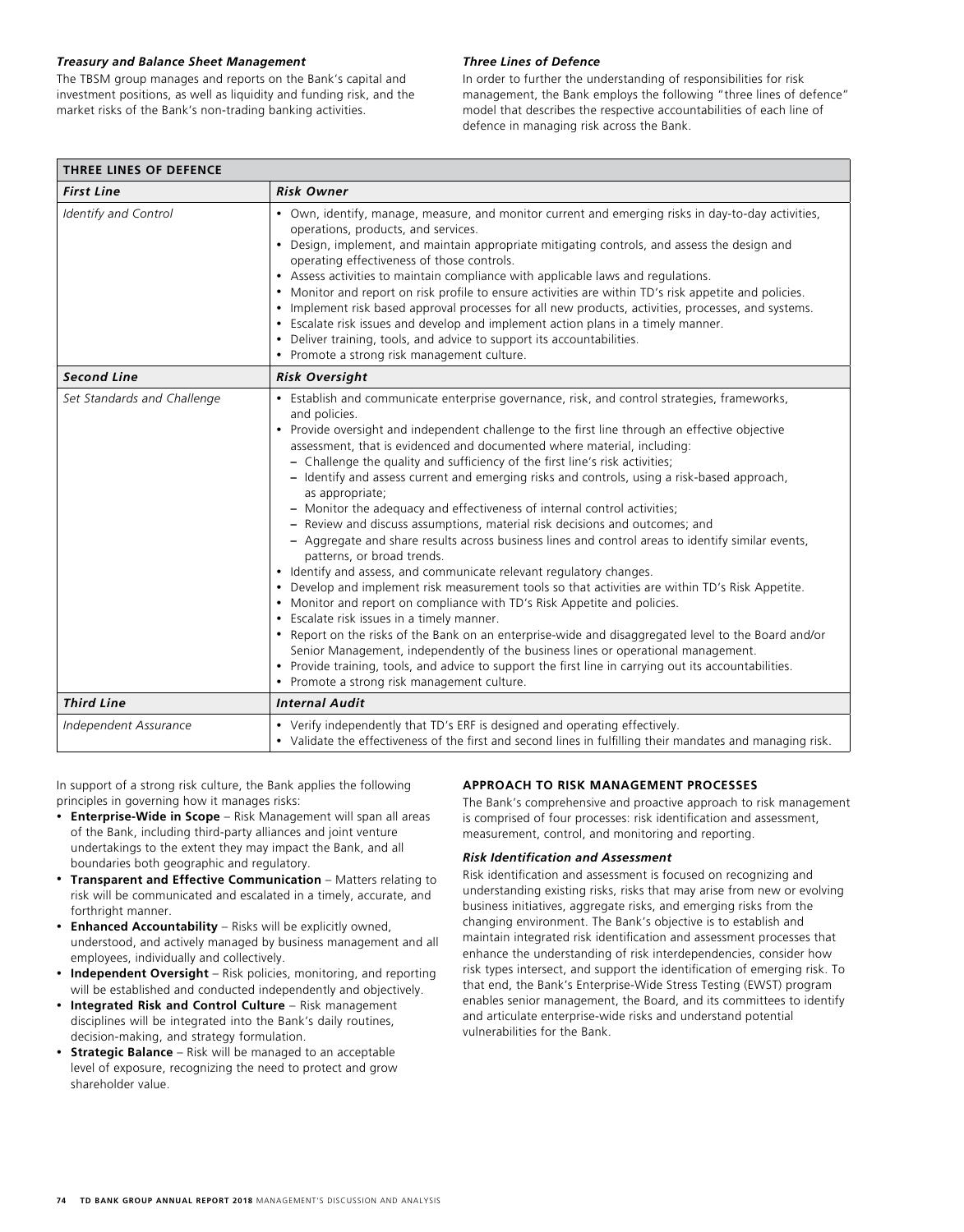# *Treasury and Balance Sheet Management*

The TBSM group manages and reports on the Bank's capital and investment positions, as well as liquidity and funding risk, and the market risks of the Bank's non-trading banking activities.

# *Three Lines of Defence*

In order to further the understanding of responsibilities for risk management, the Bank employs the following "three lines of defence" model that describes the respective accountabilities of each line of defence in managing risk across the Bank.

| THREE LINES OF DEFENCE      |                                                                                                                                                                                                                                                                                                                                                                                                                                                                                                                                                                                                                                                                                                                                                                                                                                                                                                                                                                                                                                                                                                                                                                                                                                                                                                                                                                                                                                                     |
|-----------------------------|-----------------------------------------------------------------------------------------------------------------------------------------------------------------------------------------------------------------------------------------------------------------------------------------------------------------------------------------------------------------------------------------------------------------------------------------------------------------------------------------------------------------------------------------------------------------------------------------------------------------------------------------------------------------------------------------------------------------------------------------------------------------------------------------------------------------------------------------------------------------------------------------------------------------------------------------------------------------------------------------------------------------------------------------------------------------------------------------------------------------------------------------------------------------------------------------------------------------------------------------------------------------------------------------------------------------------------------------------------------------------------------------------------------------------------------------------------|
| <b>First Line</b>           | <b>Risk Owner</b>                                                                                                                                                                                                                                                                                                                                                                                                                                                                                                                                                                                                                                                                                                                                                                                                                                                                                                                                                                                                                                                                                                                                                                                                                                                                                                                                                                                                                                   |
| <b>Identify and Control</b> | • Own, identify, manage, measure, and monitor current and emerging risks in day-to-day activities,<br>operations, products, and services.<br>• Design, implement, and maintain appropriate mitigating controls, and assess the design and<br>operating effectiveness of those controls.<br>• Assess activities to maintain compliance with applicable laws and regulations.<br>• Monitor and report on risk profile to ensure activities are within TD's risk appetite and policies.<br>• Implement risk based approval processes for all new products, activities, processes, and systems.<br>• Escalate risk issues and develop and implement action plans in a timely manner.<br>• Deliver training, tools, and advice to support its accountabilities.<br>• Promote a strong risk management culture.                                                                                                                                                                                                                                                                                                                                                                                                                                                                                                                                                                                                                                           |
| <b>Second Line</b>          | <b>Risk Oversight</b>                                                                                                                                                                                                                                                                                                                                                                                                                                                                                                                                                                                                                                                                                                                                                                                                                                                                                                                                                                                                                                                                                                                                                                                                                                                                                                                                                                                                                               |
| Set Standards and Challenge | • Establish and communicate enterprise governance, risk, and control strategies, frameworks,<br>and policies.<br>• Provide oversight and independent challenge to the first line through an effective objective<br>assessment, that is evidenced and documented where material, including:<br>- Challenge the quality and sufficiency of the first line's risk activities;<br>- Identify and assess current and emerging risks and controls, using a risk-based approach,<br>as appropriate;<br>- Monitor the adequacy and effectiveness of internal control activities;<br>- Review and discuss assumptions, material risk decisions and outcomes; and<br>- Aggregate and share results across business lines and control areas to identify similar events,<br>patterns, or broad trends.<br>• Identify and assess, and communicate relevant regulatory changes.<br>• Develop and implement risk measurement tools so that activities are within TD's Risk Appetite.<br>• Monitor and report on compliance with TD's Risk Appetite and policies.<br>• Escalate risk issues in a timely manner.<br>• Report on the risks of the Bank on an enterprise-wide and disaggregated level to the Board and/or<br>Senior Management, independently of the business lines or operational management.<br>• Provide training, tools, and advice to support the first line in carrying out its accountabilities.<br>• Promote a strong risk management culture. |
| <b>Third Line</b>           | <b>Internal Audit</b>                                                                                                                                                                                                                                                                                                                                                                                                                                                                                                                                                                                                                                                                                                                                                                                                                                                                                                                                                                                                                                                                                                                                                                                                                                                                                                                                                                                                                               |
| Independent Assurance       | • Verify independently that TD's ERF is designed and operating effectively.<br>• Validate the effectiveness of the first and second lines in fulfilling their mandates and managing risk.                                                                                                                                                                                                                                                                                                                                                                                                                                                                                                                                                                                                                                                                                                                                                                                                                                                                                                                                                                                                                                                                                                                                                                                                                                                           |

In support of a strong risk culture, the Bank applies the following principles in governing how it manages risks:

- **Enterprise-Wide in Scope** Risk Management will span all areas of the Bank, including third-party alliances and joint venture undertakings to the extent they may impact the Bank, and all boundaries both geographic and regulatory.
- **Transparent and Effective Communication** Matters relating to risk will be communicated and escalated in a timely, accurate, and forthright manner.
- **Enhanced Accountability** Risks will be explicitly owned, understood, and actively managed by business management and all employees, individually and collectively.
- **Independent Oversight** Risk policies, monitoring, and reporting will be established and conducted independently and objectively.
- **Integrated Risk and Control Culture** Risk management disciplines will be integrated into the Bank's daily routines, decision-making, and strategy formulation.
- **Strategic Balance** Risk will be managed to an acceptable level of exposure, recognizing the need to protect and grow shareholder value.

# **APPROACH TO RISK MANAGEMENT PROCESSES**

The Bank's comprehensive and proactive approach to risk management is comprised of four processes: risk identification and assessment, measurement, control, and monitoring and reporting.

# *Risk Identification and Assessment*

Risk identification and assessment is focused on recognizing and understanding existing risks, risks that may arise from new or evolving business initiatives, aggregate risks, and emerging risks from the changing environment. The Bank's objective is to establish and maintain integrated risk identification and assessment processes that enhance the understanding of risk interdependencies, consider how risk types intersect, and support the identification of emerging risk. To that end, the Bank's Enterprise-Wide Stress Testing (EWST) program enables senior management, the Board, and its committees to identify and articulate enterprise-wide risks and understand potential vulnerabilities for the Bank.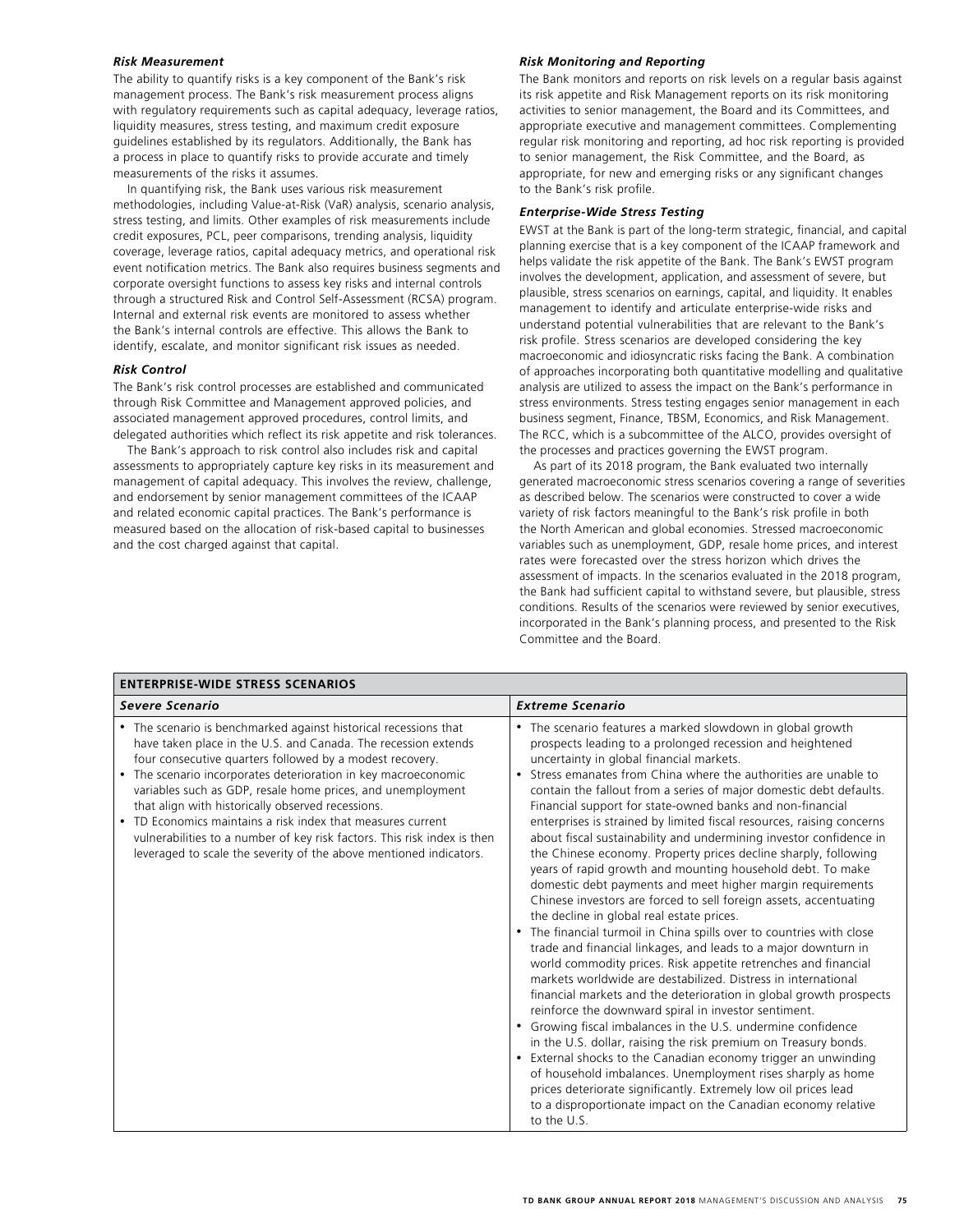### *Risk Measurement*

The ability to quantify risks is a key component of the Bank's risk management process. The Bank's risk measurement process aligns with regulatory requirements such as capital adequacy, leverage ratios, liquidity measures, stress testing, and maximum credit exposure guidelines established by its regulators. Additionally, the Bank has a process in place to quantify risks to provide accurate and timely measurements of the risks it assumes.

In quantifying risk, the Bank uses various risk measurement methodologies, including Value-at-Risk (VaR) analysis, scenario analysis, stress testing, and limits. Other examples of risk measurements include credit exposures, PCL, peer comparisons, trending analysis, liquidity coverage, leverage ratios, capital adequacy metrics, and operational risk event notification metrics. The Bank also requires business segments and corporate oversight functions to assess key risks and internal controls through a structured Risk and Control Self-Assessment (RCSA) program. Internal and external risk events are monitored to assess whether the Bank's internal controls are effective. This allows the Bank to identify, escalate, and monitor significant risk issues as needed.

# *Risk Control*

The Bank's risk control processes are established and communicated through Risk Committee and Management approved policies, and associated management approved procedures, control limits, and delegated authorities which reflect its risk appetite and risk tolerances.

The Bank's approach to risk control also includes risk and capital assessments to appropriately capture key risks in its measurement and management of capital adequacy. This involves the review, challenge, and endorsement by senior management committees of the ICAAP and related economic capital practices. The Bank's performance is measured based on the allocation of risk-based capital to businesses and the cost charged against that capital.

# *Risk Monitoring and Reporting*

The Bank monitors and reports on risk levels on a regular basis against its risk appetite and Risk Management reports on its risk monitoring activities to senior management, the Board and its Committees, and appropriate executive and management committees. Complementing regular risk monitoring and reporting, ad hoc risk reporting is provided to senior management, the Risk Committee, and the Board, as appropriate, for new and emerging risks or any significant changes to the Bank's risk profile.

# *Enterprise-Wide Stress Testing*

EWST at the Bank is part of the long-term strategic, financial, and capital planning exercise that is a key component of the ICAAP framework and helps validate the risk appetite of the Bank. The Bank's EWST program involves the development, application, and assessment of severe, but plausible, stress scenarios on earnings, capital, and liquidity. It enables management to identify and articulate enterprise-wide risks and understand potential vulnerabilities that are relevant to the Bank's risk profile. Stress scenarios are developed considering the key macroeconomic and idiosyncratic risks facing the Bank. A combination of approaches incorporating both quantitative modelling and qualitative analysis are utilized to assess the impact on the Bank's performance in stress environments. Stress testing engages senior management in each business segment, Finance, TBSM, Economics, and Risk Management. The RCC, which is a subcommittee of the ALCO, provides oversight of the processes and practices governing the EWST program.

As part of its 2018 program, the Bank evaluated two internally generated macroeconomic stress scenarios covering a range of severities as described below. The scenarios were constructed to cover a wide variety of risk factors meaningful to the Bank's risk profile in both the North American and global economies. Stressed macroeconomic variables such as unemployment, GDP, resale home prices, and interest rates were forecasted over the stress horizon which drives the assessment of impacts. In the scenarios evaluated in the 2018 program, the Bank had sufficient capital to withstand severe, but plausible, stress conditions. Results of the scenarios were reviewed by senior executives, incorporated in the Bank's planning process, and presented to the Risk Committee and the Board.

| <b>ENTERPRISE-WIDE STRESS SCENARIOS</b>                                                                                                                                                                                                                                                                                                                                                                                                                                                                                                                                                               |                                                                                                                                                                                                                                                                                                                                                                                                                                                                                                                                                                                                                                                                                                                                                                                                                                                                                                                                                                                                                                                                                                                                                                                                                                                                                                                                                                                                                                                                                                                                                                                                                                                                              |  |  |  |  |  |
|-------------------------------------------------------------------------------------------------------------------------------------------------------------------------------------------------------------------------------------------------------------------------------------------------------------------------------------------------------------------------------------------------------------------------------------------------------------------------------------------------------------------------------------------------------------------------------------------------------|------------------------------------------------------------------------------------------------------------------------------------------------------------------------------------------------------------------------------------------------------------------------------------------------------------------------------------------------------------------------------------------------------------------------------------------------------------------------------------------------------------------------------------------------------------------------------------------------------------------------------------------------------------------------------------------------------------------------------------------------------------------------------------------------------------------------------------------------------------------------------------------------------------------------------------------------------------------------------------------------------------------------------------------------------------------------------------------------------------------------------------------------------------------------------------------------------------------------------------------------------------------------------------------------------------------------------------------------------------------------------------------------------------------------------------------------------------------------------------------------------------------------------------------------------------------------------------------------------------------------------------------------------------------------------|--|--|--|--|--|
| Severe Scenario                                                                                                                                                                                                                                                                                                                                                                                                                                                                                                                                                                                       | <b>Extreme Scenario</b>                                                                                                                                                                                                                                                                                                                                                                                                                                                                                                                                                                                                                                                                                                                                                                                                                                                                                                                                                                                                                                                                                                                                                                                                                                                                                                                                                                                                                                                                                                                                                                                                                                                      |  |  |  |  |  |
| • The scenario is benchmarked against historical recessions that<br>have taken place in the U.S. and Canada. The recession extends<br>four consecutive quarters followed by a modest recovery.<br>• The scenario incorporates deterioration in key macroeconomic<br>variables such as GDP, resale home prices, and unemployment<br>that align with historically observed recessions.<br>• TD Economics maintains a risk index that measures current<br>vulnerabilities to a number of key risk factors. This risk index is then<br>leveraged to scale the severity of the above mentioned indicators. | • The scenario features a marked slowdown in global growth<br>prospects leading to a prolonged recession and heightened<br>uncertainty in global financial markets.<br>• Stress emanates from China where the authorities are unable to<br>contain the fallout from a series of major domestic debt defaults.<br>Financial support for state-owned banks and non-financial<br>enterprises is strained by limited fiscal resources, raising concerns<br>about fiscal sustainability and undermining investor confidence in<br>the Chinese economy. Property prices decline sharply, following<br>years of rapid growth and mounting household debt. To make<br>domestic debt payments and meet higher margin requirements<br>Chinese investors are forced to sell foreign assets, accentuating<br>the decline in global real estate prices.<br>• The financial turmoil in China spills over to countries with close<br>trade and financial linkages, and leads to a major downturn in<br>world commodity prices. Risk appetite retrenches and financial<br>markets worldwide are destabilized. Distress in international<br>financial markets and the deterioration in global growth prospects<br>reinforce the downward spiral in investor sentiment.<br>• Growing fiscal imbalances in the U.S. undermine confidence<br>in the U.S. dollar, raising the risk premium on Treasury bonds.<br>• External shocks to the Canadian economy trigger an unwinding<br>of household imbalances. Unemployment rises sharply as home<br>prices deteriorate significantly. Extremely low oil prices lead<br>to a disproportionate impact on the Canadian economy relative<br>to the U.S. |  |  |  |  |  |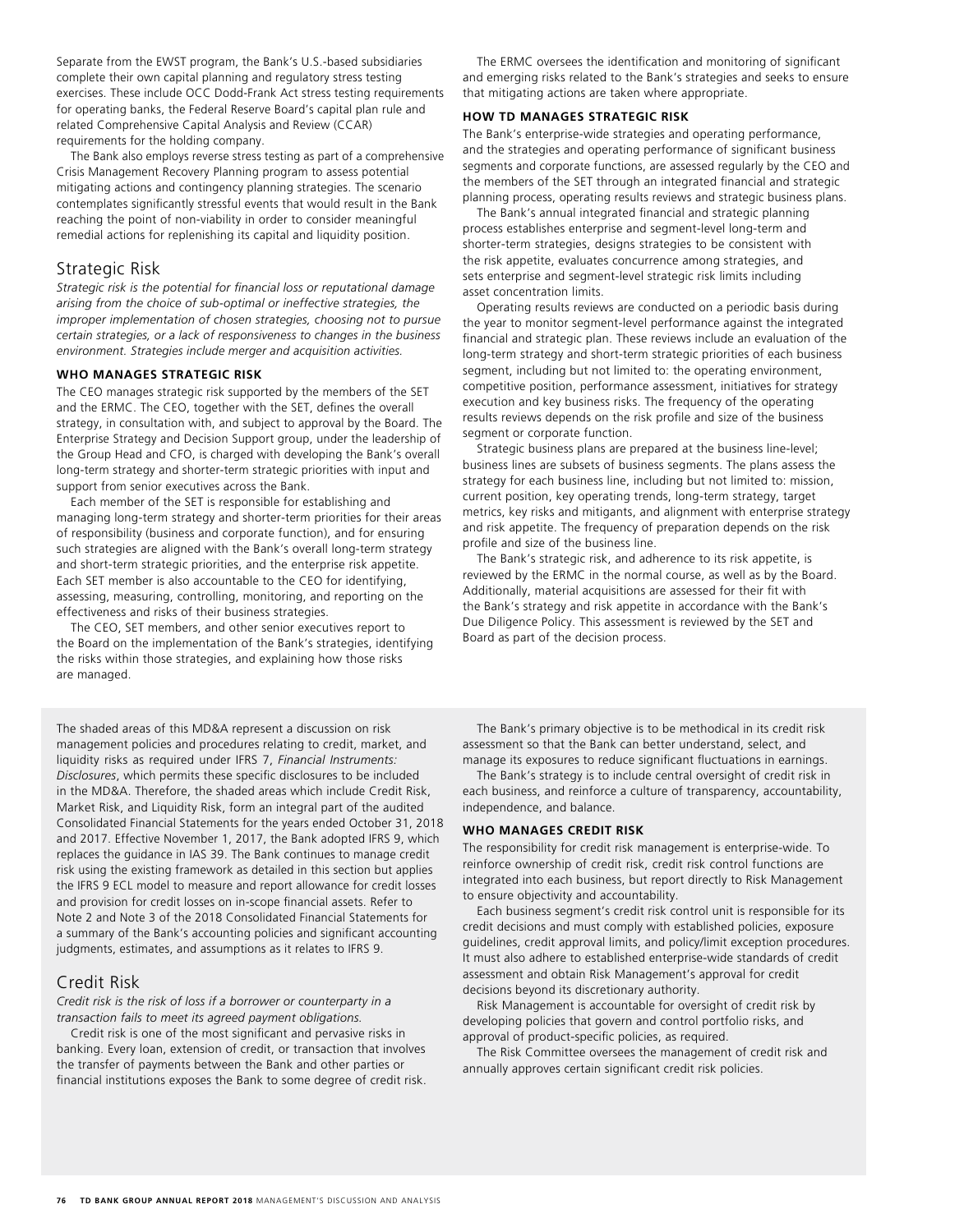Separate from the EWST program, the Bank's U.S.-based subsidiaries complete their own capital planning and regulatory stress testing exercises. These include OCC Dodd-Frank Act stress testing requirements for operating banks, the Federal Reserve Board's capital plan rule and related Comprehensive Capital Analysis and Review (CCAR) requirements for the holding company.

The Bank also employs reverse stress testing as part of a comprehensive Crisis Management Recovery Planning program to assess potential mitigating actions and contingency planning strategies. The scenario contemplates significantly stressful events that would result in the Bank reaching the point of non-viability in order to consider meaningful remedial actions for replenishing its capital and liquidity position.

# Strategic Risk

*Strategic risk is the potential for financial loss or reputational damage arising from the choice of sub-optimal or ineffective strategies, the improper implementation of chosen strategies, choosing not to pursue certain strategies, or a lack of responsiveness to changes in the business environment. Strategies include merger and acquisition activities.*

## **WHO MANAGES STRATEGIC RISK**

The CEO manages strategic risk supported by the members of the SET and the ERMC. The CEO, together with the SET, defines the overall strategy, in consultation with, and subject to approval by the Board. The Enterprise Strategy and Decision Support group, under the leadership of the Group Head and CFO, is charged with developing the Bank's overall long-term strategy and shorter-term strategic priorities with input and support from senior executives across the Bank.

Each member of the SET is responsible for establishing and managing long-term strategy and shorter-term priorities for their areas of responsibility (business and corporate function), and for ensuring such strategies are aligned with the Bank's overall long-term strategy and short-term strategic priorities, and the enterprise risk appetite. Each SET member is also accountable to the CEO for identifying, assessing, measuring, controlling, monitoring, and reporting on the effectiveness and risks of their business strategies.

The CEO, SET members, and other senior executives report to the Board on the implementation of the Bank's strategies, identifying the risks within those strategies, and explaining how those risks are managed.

The shaded areas of this MD&A represent a discussion on risk management policies and procedures relating to credit, market, and liquidity risks as required under IFRS 7, *Financial Instruments: Disclosures*, which permits these specific disclosures to be included in the MD&A. Therefore, the shaded areas which include Credit Risk, Market Risk, and Liquidity Risk, form an integral part of the audited Consolidated Financial Statements for the years ended October 31, 2018 and 2017. Effective November 1, 2017, the Bank adopted IFRS 9, which replaces the guidance in IAS 39. The Bank continues to manage credit risk using the existing framework as detailed in this section but applies the IFRS 9 ECL model to measure and report allowance for credit losses and provision for credit losses on in-scope financial assets. Refer to Note 2 and Note 3 of the 2018 Consolidated Financial Statements for a summary of the Bank's accounting policies and significant accounting judgments, estimates, and assumptions as it relates to IFRS 9.

# Credit Risk

*Credit risk is the risk of loss if a borrower or counterparty in a transaction fails to meet its agreed payment obligations.*

Credit risk is one of the most significant and pervasive risks in banking. Every loan, extension of credit, or transaction that involves the transfer of payments between the Bank and other parties or financial institutions exposes the Bank to some degree of credit risk.

The ERMC oversees the identification and monitoring of significant and emerging risks related to the Bank's strategies and seeks to ensure that mitigating actions are taken where appropriate.

#### **HOW TD MANAGES STRATEGIC RISK**

The Bank's enterprise-wide strategies and operating performance, and the strategies and operating performance of significant business segments and corporate functions, are assessed regularly by the CEO and the members of the SET through an integrated financial and strategic planning process, operating results reviews and strategic business plans.

The Bank's annual integrated financial and strategic planning process establishes enterprise and segment-level long-term and shorter-term strategies, designs strategies to be consistent with the risk appetite, evaluates concurrence among strategies, and sets enterprise and segment-level strategic risk limits including asset concentration limits.

Operating results reviews are conducted on a periodic basis during the year to monitor segment-level performance against the integrated financial and strategic plan. These reviews include an evaluation of the long-term strategy and short-term strategic priorities of each business segment, including but not limited to: the operating environment, competitive position, performance assessment, initiatives for strategy execution and key business risks. The frequency of the operating results reviews depends on the risk profile and size of the business segment or corporate function.

Strategic business plans are prepared at the business line-level; business lines are subsets of business segments. The plans assess the strategy for each business line, including but not limited to: mission, current position, key operating trends, long-term strategy, target metrics, key risks and mitigants, and alignment with enterprise strategy and risk appetite. The frequency of preparation depends on the risk profile and size of the business line.

The Bank's strategic risk, and adherence to its risk appetite, is reviewed by the ERMC in the normal course, as well as by the Board. Additionally, material acquisitions are assessed for their fit with the Bank's strategy and risk appetite in accordance with the Bank's Due Diligence Policy. This assessment is reviewed by the SET and Board as part of the decision process.

The Bank's primary objective is to be methodical in its credit risk assessment so that the Bank can better understand, select, and manage its exposures to reduce significant fluctuations in earnings.

The Bank's strategy is to include central oversight of credit risk in each business, and reinforce a culture of transparency, accountability, independence, and balance.

### **WHO MANAGES CREDIT RISK**

The responsibility for credit risk management is enterprise-wide. To reinforce ownership of credit risk, credit risk control functions are integrated into each business, but report directly to Risk Management to ensure objectivity and accountability.

Each business segment's credit risk control unit is responsible for its credit decisions and must comply with established policies, exposure guidelines, credit approval limits, and policy/limit exception procedures. It must also adhere to established enterprise-wide standards of credit assessment and obtain Risk Management's approval for credit decisions beyond its discretionary authority.

Risk Management is accountable for oversight of credit risk by developing policies that govern and control portfolio risks, and approval of product-specific policies, as required.

The Risk Committee oversees the management of credit risk and annually approves certain significant credit risk policies.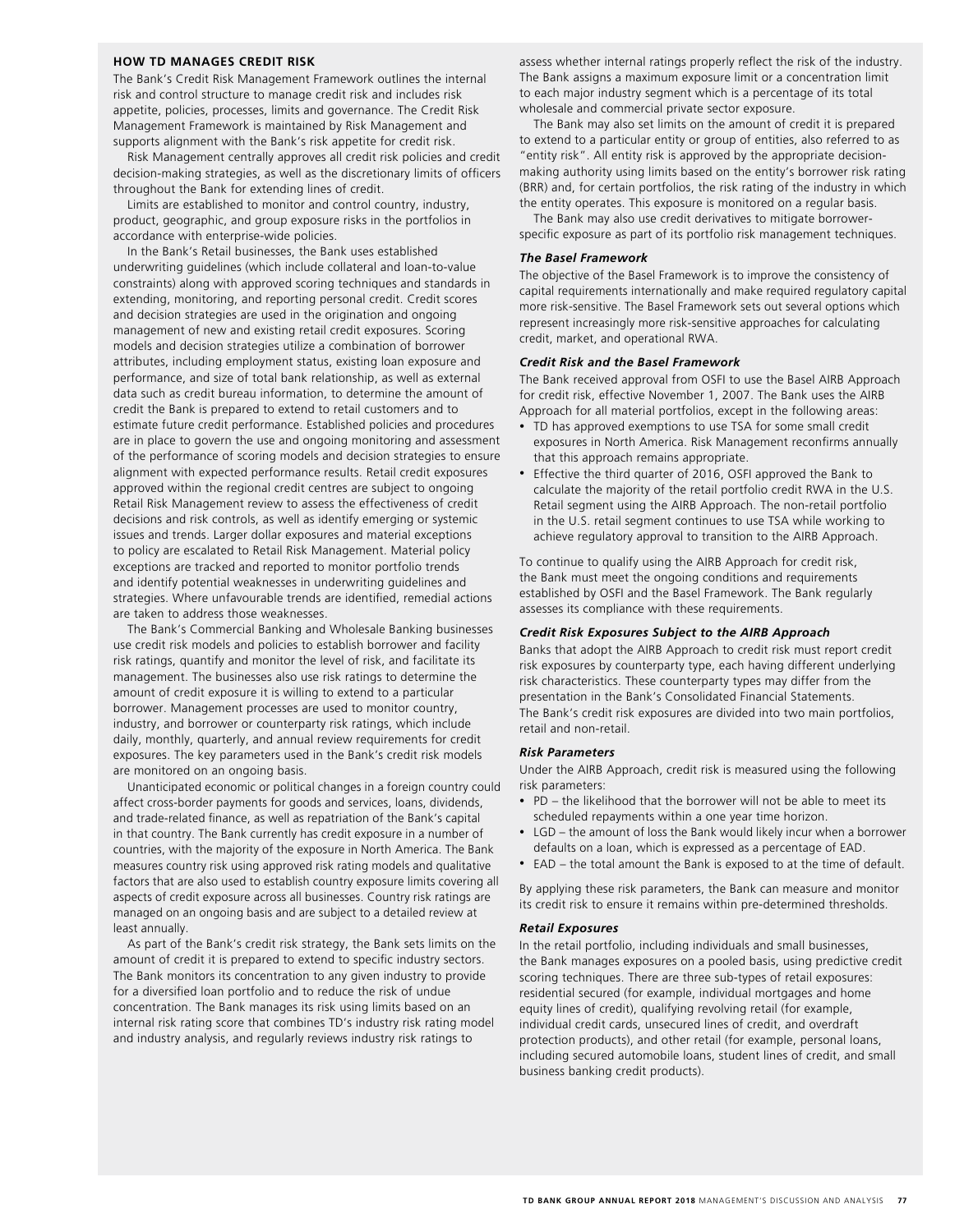# **HOW TD MANAGES CREDIT RISK**

The Bank's Credit Risk Management Framework outlines the internal risk and control structure to manage credit risk and includes risk appetite, policies, processes, limits and governance. The Credit Risk Management Framework is maintained by Risk Management and supports alignment with the Bank's risk appetite for credit risk.

Risk Management centrally approves all credit risk policies and credit decision-making strategies, as well as the discretionary limits of officers throughout the Bank for extending lines of credit.

Limits are established to monitor and control country, industry, product, geographic, and group exposure risks in the portfolios in accordance with enterprise-wide policies.

In the Bank's Retail businesses, the Bank uses established underwriting guidelines (which include collateral and loan-to-value constraints) along with approved scoring techniques and standards in extending, monitoring, and reporting personal credit. Credit scores and decision strategies are used in the origination and ongoing management of new and existing retail credit exposures. Scoring models and decision strategies utilize a combination of borrower attributes, including employment status, existing loan exposure and performance, and size of total bank relationship, as well as external data such as credit bureau information, to determine the amount of credit the Bank is prepared to extend to retail customers and to estimate future credit performance. Established policies and procedures are in place to govern the use and ongoing monitoring and assessment of the performance of scoring models and decision strategies to ensure alignment with expected performance results. Retail credit exposures approved within the regional credit centres are subject to ongoing Retail Risk Management review to assess the effectiveness of credit decisions and risk controls, as well as identify emerging or systemic issues and trends. Larger dollar exposures and material exceptions to policy are escalated to Retail Risk Management. Material policy exceptions are tracked and reported to monitor portfolio trends and identify potential weaknesses in underwriting guidelines and strategies. Where unfavourable trends are identified, remedial actions are taken to address those weaknesses.

The Bank's Commercial Banking and Wholesale Banking businesses use credit risk models and policies to establish borrower and facility risk ratings, quantify and monitor the level of risk, and facilitate its management. The businesses also use risk ratings to determine the amount of credit exposure it is willing to extend to a particular borrower. Management processes are used to monitor country, industry, and borrower or counterparty risk ratings, which include daily, monthly, quarterly, and annual review requirements for credit exposures. The key parameters used in the Bank's credit risk models are monitored on an ongoing basis.

Unanticipated economic or political changes in a foreign country could affect cross-border payments for goods and services, loans, dividends, and trade-related finance, as well as repatriation of the Bank's capital in that country. The Bank currently has credit exposure in a number of countries, with the majority of the exposure in North America. The Bank measures country risk using approved risk rating models and qualitative factors that are also used to establish country exposure limits covering all aspects of credit exposure across all businesses. Country risk ratings are managed on an ongoing basis and are subject to a detailed review at least annually.

As part of the Bank's credit risk strategy, the Bank sets limits on the amount of credit it is prepared to extend to specific industry sectors. The Bank monitors its concentration to any given industry to provide for a diversified loan portfolio and to reduce the risk of undue concentration. The Bank manages its risk using limits based on an internal risk rating score that combines TD's industry risk rating model and industry analysis, and regularly reviews industry risk ratings to

assess whether internal ratings properly reflect the risk of the industry. The Bank assigns a maximum exposure limit or a concentration limit to each major industry segment which is a percentage of its total wholesale and commercial private sector exposure.

The Bank may also set limits on the amount of credit it is prepared to extend to a particular entity or group of entities, also referred to as "entity risk". All entity risk is approved by the appropriate decisionmaking authority using limits based on the entity's borrower risk rating (BRR) and, for certain portfolios, the risk rating of the industry in which the entity operates. This exposure is monitored on a regular basis.

The Bank may also use credit derivatives to mitigate borrowerspecific exposure as part of its portfolio risk management techniques.

#### *The Basel Framework*

The objective of the Basel Framework is to improve the consistency of capital requirements internationally and make required regulatory capital more risk-sensitive. The Basel Framework sets out several options which represent increasingly more risk-sensitive approaches for calculating credit, market, and operational RWA.

## *Credit Risk and the Basel Framework*

The Bank received approval from OSFI to use the Basel AIRB Approach for credit risk, effective November 1, 2007. The Bank uses the AIRB Approach for all material portfolios, except in the following areas:

- TD has approved exemptions to use TSA for some small credit exposures in North America. Risk Management reconfirms annually that this approach remains appropriate.
- Effective the third quarter of 2016, OSFI approved the Bank to calculate the majority of the retail portfolio credit RWA in the U.S. Retail segment using the AIRB Approach. The non-retail portfolio in the U.S. retail segment continues to use TSA while working to achieve regulatory approval to transition to the AIRB Approach.

To continue to qualify using the AIRB Approach for credit risk, the Bank must meet the ongoing conditions and requirements established by OSFI and the Basel Framework. The Bank regularly assesses its compliance with these requirements.

#### *Credit Risk Exposures Subject to the AIRB Approach*

Banks that adopt the AIRB Approach to credit risk must report credit risk exposures by counterparty type, each having different underlying risk characteristics. These counterparty types may differ from the presentation in the Bank's Consolidated Financial Statements. The Bank's credit risk exposures are divided into two main portfolios, retail and non-retail.

## *Risk Parameters*

Under the AIRB Approach, credit risk is measured using the following risk parameters:

- PD the likelihood that the borrower will not be able to meet its scheduled repayments within a one year time horizon.
- LGD the amount of loss the Bank would likely incur when a borrower defaults on a loan, which is expressed as a percentage of EAD.
- EAD the total amount the Bank is exposed to at the time of default.

By applying these risk parameters, the Bank can measure and monitor its credit risk to ensure it remains within pre-determined thresholds.

#### *Retail Exposures*

In the retail portfolio, including individuals and small businesses, the Bank manages exposures on a pooled basis, using predictive credit scoring techniques. There are three sub-types of retail exposures: residential secured (for example, individual mortgages and home equity lines of credit), qualifying revolving retail (for example, individual credit cards, unsecured lines of credit, and overdraft protection products), and other retail (for example, personal loans, including secured automobile loans, student lines of credit, and small business banking credit products).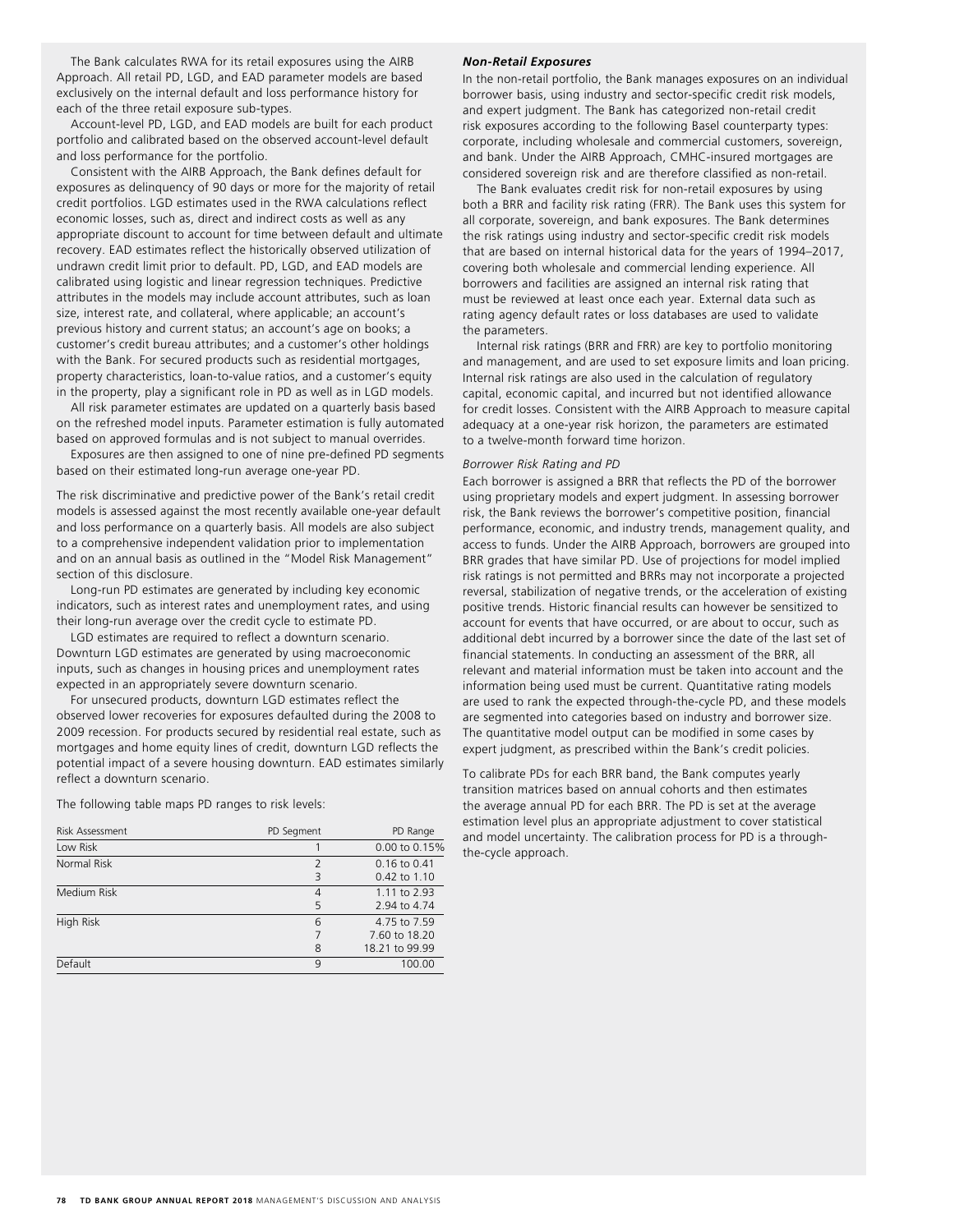The Bank calculates RWA for its retail exposures using the AIRB Approach. All retail PD, LGD, and EAD parameter models are based exclusively on the internal default and loss performance history for each of the three retail exposure sub-types.

Account-level PD, LGD, and EAD models are built for each product portfolio and calibrated based on the observed account-level default and loss performance for the portfolio.

Consistent with the AIRB Approach, the Bank defines default for exposures as delinquency of 90 days or more for the majority of retail credit portfolios. LGD estimates used in the RWA calculations reflect economic losses, such as, direct and indirect costs as well as any appropriate discount to account for time between default and ultimate recovery. EAD estimates reflect the historically observed utilization of undrawn credit limit prior to default. PD, LGD, and EAD models are calibrated using logistic and linear regression techniques. Predictive attributes in the models may include account attributes, such as loan size, interest rate, and collateral, where applicable; an account's previous history and current status; an account's age on books; a customer's credit bureau attributes; and a customer's other holdings with the Bank. For secured products such as residential mortgages, property characteristics, loan-to-value ratios, and a customer's equity in the property, play a significant role in PD as well as in LGD models.

All risk parameter estimates are updated on a quarterly basis based on the refreshed model inputs. Parameter estimation is fully automated based on approved formulas and is not subject to manual overrides.

Exposures are then assigned to one of nine pre-defined PD segments based on their estimated long-run average one-year PD.

The risk discriminative and predictive power of the Bank's retail credit models is assessed against the most recently available one-year default and loss performance on a quarterly basis. All models are also subject to a comprehensive independent validation prior to implementation and on an annual basis as outlined in the "Model Risk Management" section of this disclosure.

Long-run PD estimates are generated by including key economic indicators, such as interest rates and unemployment rates, and using their long-run average over the credit cycle to estimate PD.

LGD estimates are required to reflect a downturn scenario. Downturn LGD estimates are generated by using macroeconomic inputs, such as changes in housing prices and unemployment rates expected in an appropriately severe downturn scenario.

For unsecured products, downturn LGD estimates reflect the observed lower recoveries for exposures defaulted during the 2008 to 2009 recession. For products secured by residential real estate, such as mortgages and home equity lines of credit, downturn LGD reflects the potential impact of a severe housing downturn. EAD estimates similarly reflect a downturn scenario.

| Risk Assessment | PD Segment               | PD Range       |
|-----------------|--------------------------|----------------|
| Low Risk        |                          | 0.00 to 0.15%  |
| Normal Risk     | $\overline{\phantom{0}}$ | 0.16 to 0.41   |
|                 | 3                        | 0.42 to 1.10   |
| Medium Risk     | $\overline{4}$           | 1.11 to 2.93   |
|                 | 5                        | 2.94 to 4.74   |
| High Risk       | 6                        | 4.75 to 7.59   |
|                 | 7                        | 7.60 to 18.20  |
|                 | 8                        | 18.21 to 99.99 |
| Default         | 9                        | 100.00         |

The following table maps PD ranges to risk levels:

# *Non-Retail Exposures*

In the non-retail portfolio, the Bank manages exposures on an individual borrower basis, using industry and sector-specific credit risk models, and expert judgment. The Bank has categorized non-retail credit risk exposures according to the following Basel counterparty types: corporate, including wholesale and commercial customers, sovereign, and bank. Under the AIRB Approach, CMHC-insured mortgages are considered sovereign risk and are therefore classified as non-retail.

The Bank evaluates credit risk for non-retail exposures by using both a BRR and facility risk rating (FRR). The Bank uses this system for all corporate, sovereign, and bank exposures. The Bank determines the risk ratings using industry and sector-specific credit risk models that are based on internal historical data for the years of 1994–2017, covering both wholesale and commercial lending experience. All borrowers and facilities are assigned an internal risk rating that must be reviewed at least once each year. External data such as rating agency default rates or loss databases are used to validate the parameters.

Internal risk ratings (BRR and FRR) are key to portfolio monitoring and management, and are used to set exposure limits and loan pricing. Internal risk ratings are also used in the calculation of regulatory capital, economic capital, and incurred but not identified allowance for credit losses. Consistent with the AIRB Approach to measure capital adequacy at a one-year risk horizon, the parameters are estimated to a twelve-month forward time horizon.

#### *Borrower Risk Rating and PD*

Each borrower is assigned a BRR that reflects the PD of the borrower using proprietary models and expert judgment. In assessing borrower risk, the Bank reviews the borrower's competitive position, financial performance, economic, and industry trends, management quality, and access to funds. Under the AIRB Approach, borrowers are grouped into BRR grades that have similar PD. Use of projections for model implied risk ratings is not permitted and BRRs may not incorporate a projected reversal, stabilization of negative trends, or the acceleration of existing positive trends. Historic financial results can however be sensitized to account for events that have occurred, or are about to occur, such as additional debt incurred by a borrower since the date of the last set of financial statements. In conducting an assessment of the BRR, all relevant and material information must be taken into account and the information being used must be current. Quantitative rating models are used to rank the expected through-the-cycle PD, and these models are segmented into categories based on industry and borrower size. The quantitative model output can be modified in some cases by expert judgment, as prescribed within the Bank's credit policies.

To calibrate PDs for each BRR band, the Bank computes yearly transition matrices based on annual cohorts and then estimates the average annual PD for each BRR. The PD is set at the average estimation level plus an appropriate adjustment to cover statistical and model uncertainty. The calibration process for PD is a throughthe-cycle approach.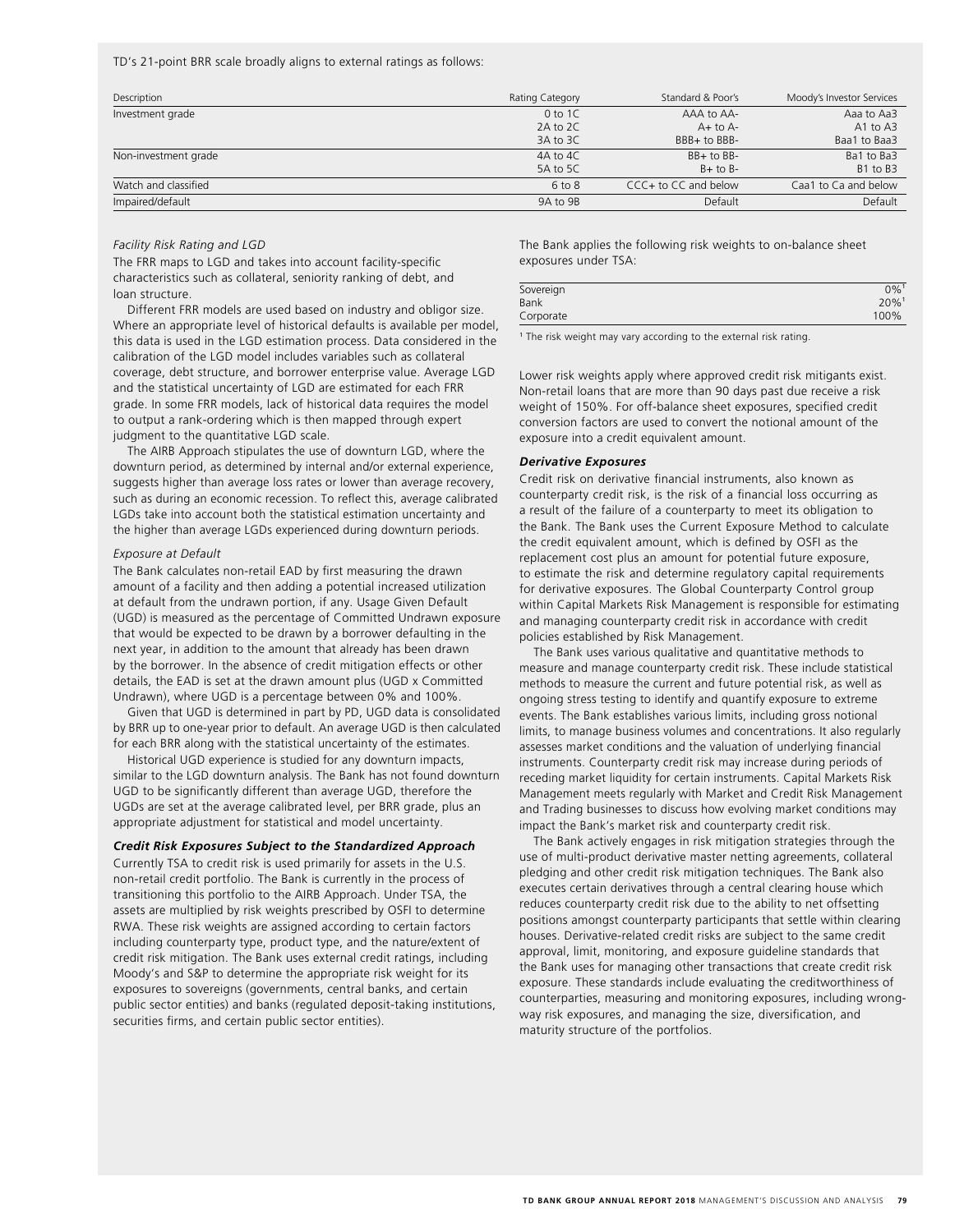TD's 21-point BRR scale broadly aligns to external ratings as follows:

| Description          | Rating Category                     | Standard & Poor's                          | Moody's Investor Services              |
|----------------------|-------------------------------------|--------------------------------------------|----------------------------------------|
| Investment grade     | $0$ to $1C$<br>2A to 2C<br>3A to 3C | AAA to AA-<br>$A+$ to $A-$<br>BBB+ to BBB- | Aaa to Aa3<br>A1 to A3<br>Baa1 to Baa3 |
| Non-investment grade | 4A to 4C<br>5A to 5C                | $BB+$ to $BB-$<br>$B+$ to $B-$             | Ba1 to Ba3<br>B1 to B3                 |
| Watch and classified | $6$ to $8$                          | CCC+ to CC and below                       | Caa1 to Ca and below                   |
| Impaired/default     | 9A to 9B                            | Default                                    | Default                                |

#### *Facility Risk Rating and LGD*

The FRR maps to LGD and takes into account facility-specific characteristics such as collateral, seniority ranking of debt, and loan structure.

Different FRR models are used based on industry and obligor size. Where an appropriate level of historical defaults is available per model, this data is used in the LGD estimation process. Data considered in the calibration of the LGD model includes variables such as collateral coverage, debt structure, and borrower enterprise value. Average LGD and the statistical uncertainty of LGD are estimated for each FRR grade. In some FRR models, lack of historical data requires the model to output a rank-ordering which is then mapped through expert judgment to the quantitative LGD scale.

The AIRB Approach stipulates the use of downturn LGD, where the downturn period, as determined by internal and/or external experience, suggests higher than average loss rates or lower than average recovery, such as during an economic recession. To reflect this, average calibrated LGDs take into account both the statistical estimation uncertainty and the higher than average LGDs experienced during downturn periods.

#### *Exposure at Default*

The Bank calculates non-retail EAD by first measuring the drawn amount of a facility and then adding a potential increased utilization at default from the undrawn portion, if any. Usage Given Default (UGD) is measured as the percentage of Committed Undrawn exposure that would be expected to be drawn by a borrower defaulting in the next year, in addition to the amount that already has been drawn by the borrower. In the absence of credit mitigation effects or other details, the EAD is set at the drawn amount plus (UGD x Committed Undrawn), where UGD is a percentage between 0% and 100%.

Given that UGD is determined in part by PD, UGD data is consolidated by BRR up to one-year prior to default. An average UGD is then calculated for each BRR along with the statistical uncertainty of the estimates.

Historical UGD experience is studied for any downturn impacts, similar to the LGD downturn analysis. The Bank has not found downturn UGD to be significantly different than average UGD, therefore the UGDs are set at the average calibrated level, per BRR grade, plus an appropriate adjustment for statistical and model uncertainty.

# *Credit Risk Exposures Subject to the Standardized Approach*

Currently TSA to credit risk is used primarily for assets in the U.S. non-retail credit portfolio. The Bank is currently in the process of transitioning this portfolio to the AIRB Approach. Under TSA, the assets are multiplied by risk weights prescribed by OSFI to determine RWA. These risk weights are assigned according to certain factors including counterparty type, product type, and the nature/extent of credit risk mitigation. The Bank uses external credit ratings, including Moody's and S&P to determine the appropriate risk weight for its exposures to sovereigns (governments, central banks, and certain public sector entities) and banks (regulated deposit-taking institutions, securities firms, and certain public sector entities).

The Bank applies the following risk weights to on-balance sheet exposures under TSA:

| Sovereign | $0\%$ <sup>1</sup>  |
|-----------|---------------------|
| Bank      | $20\%$ <sup>1</sup> |
| Corporate | 100%                |
|           |                     |

<sup>1</sup> The risk weight may vary according to the external risk rating.

Lower risk weights apply where approved credit risk mitigants exist. Non-retail loans that are more than 90 days past due receive a risk weight of 150%. For off-balance sheet exposures, specified credit conversion factors are used to convert the notional amount of the exposure into a credit equivalent amount.

#### *Derivative Exposures*

Credit risk on derivative financial instruments, also known as counterparty credit risk, is the risk of a financial loss occurring as a result of the failure of a counterparty to meet its obligation to the Bank. The Bank uses the Current Exposure Method to calculate the credit equivalent amount, which is defined by OSFI as the replacement cost plus an amount for potential future exposure, to estimate the risk and determine regulatory capital requirements for derivative exposures. The Global Counterparty Control group within Capital Markets Risk Management is responsible for estimating and managing counterparty credit risk in accordance with credit policies established by Risk Management.

The Bank uses various qualitative and quantitative methods to measure and manage counterparty credit risk. These include statistical methods to measure the current and future potential risk, as well as ongoing stress testing to identify and quantify exposure to extreme events. The Bank establishes various limits, including gross notional limits, to manage business volumes and concentrations. It also regularly assesses market conditions and the valuation of underlying financial instruments. Counterparty credit risk may increase during periods of receding market liquidity for certain instruments. Capital Markets Risk Management meets regularly with Market and Credit Risk Management and Trading businesses to discuss how evolving market conditions may impact the Bank's market risk and counterparty credit risk.

The Bank actively engages in risk mitigation strategies through the use of multi-product derivative master netting agreements, collateral pledging and other credit risk mitigation techniques. The Bank also executes certain derivatives through a central clearing house which reduces counterparty credit risk due to the ability to net offsetting positions amongst counterparty participants that settle within clearing houses. Derivative-related credit risks are subject to the same credit approval, limit, monitoring, and exposure guideline standards that the Bank uses for managing other transactions that create credit risk exposure. These standards include evaluating the creditworthiness of counterparties, measuring and monitoring exposures, including wrongway risk exposures, and managing the size, diversification, and maturity structure of the portfolios.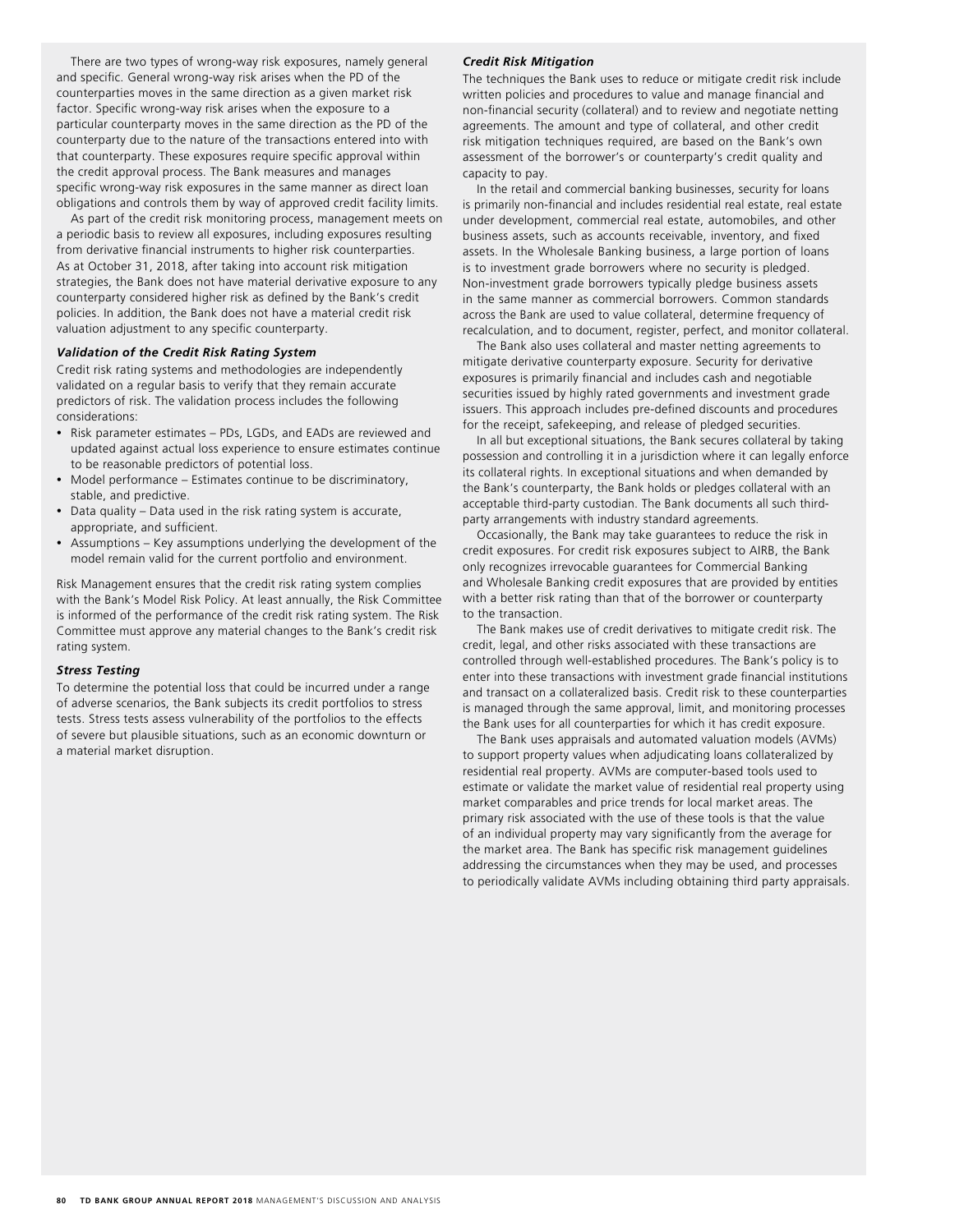There are two types of wrong-way risk exposures, namely general and specific. General wrong-way risk arises when the PD of the counterparties moves in the same direction as a given market risk factor. Specific wrong-way risk arises when the exposure to a particular counterparty moves in the same direction as the PD of the counterparty due to the nature of the transactions entered into with that counterparty. These exposures require specific approval within the credit approval process. The Bank measures and manages specific wrong-way risk exposures in the same manner as direct loan obligations and controls them by way of approved credit facility limits.

As part of the credit risk monitoring process, management meets on a periodic basis to review all exposures, including exposures resulting from derivative financial instruments to higher risk counterparties. As at October 31, 2018, after taking into account risk mitigation strategies, the Bank does not have material derivative exposure to any counterparty considered higher risk as defined by the Bank's credit policies. In addition, the Bank does not have a material credit risk valuation adjustment to any specific counterparty.

#### *Validation of the Credit Risk Rating System*

Credit risk rating systems and methodologies are independently validated on a regular basis to verify that they remain accurate predictors of risk. The validation process includes the following considerations:

- Risk parameter estimates PDs, LGDs, and EADs are reviewed and updated against actual loss experience to ensure estimates continue to be reasonable predictors of potential loss.
- Model performance Estimates continue to be discriminatory, stable, and predictive.
- Data quality Data used in the risk rating system is accurate, appropriate, and sufficient.
- Assumptions Key assumptions underlying the development of the model remain valid for the current portfolio and environment.

Risk Management ensures that the credit risk rating system complies with the Bank's Model Risk Policy. At least annually, the Risk Committee is informed of the performance of the credit risk rating system. The Risk Committee must approve any material changes to the Bank's credit risk rating system.

# *Stress Testing*

To determine the potential loss that could be incurred under a range of adverse scenarios, the Bank subjects its credit portfolios to stress tests. Stress tests assess vulnerability of the portfolios to the effects of severe but plausible situations, such as an economic downturn or a material market disruption.

## *Credit Risk Mitigation*

The techniques the Bank uses to reduce or mitigate credit risk include written policies and procedures to value and manage financial and non-financial security (collateral) and to review and negotiate netting agreements. The amount and type of collateral, and other credit risk mitigation techniques required, are based on the Bank's own assessment of the borrower's or counterparty's credit quality and capacity to pay.

In the retail and commercial banking businesses, security for loans is primarily non-financial and includes residential real estate, real estate under development, commercial real estate, automobiles, and other business assets, such as accounts receivable, inventory, and fixed assets. In the Wholesale Banking business, a large portion of loans is to investment grade borrowers where no security is pledged. Non-investment grade borrowers typically pledge business assets in the same manner as commercial borrowers. Common standards across the Bank are used to value collateral, determine frequency of recalculation, and to document, register, perfect, and monitor collateral.

The Bank also uses collateral and master netting agreements to mitigate derivative counterparty exposure. Security for derivative exposures is primarily financial and includes cash and negotiable securities issued by highly rated governments and investment grade issuers. This approach includes pre-defined discounts and procedures for the receipt, safekeeping, and release of pledged securities.

In all but exceptional situations, the Bank secures collateral by taking possession and controlling it in a jurisdiction where it can legally enforce its collateral rights. In exceptional situations and when demanded by the Bank's counterparty, the Bank holds or pledges collateral with an acceptable third-party custodian. The Bank documents all such thirdparty arrangements with industry standard agreements.

Occasionally, the Bank may take guarantees to reduce the risk in credit exposures. For credit risk exposures subject to AIRB, the Bank only recognizes irrevocable guarantees for Commercial Banking and Wholesale Banking credit exposures that are provided by entities with a better risk rating than that of the borrower or counterparty to the transaction.

The Bank makes use of credit derivatives to mitigate credit risk. The credit, legal, and other risks associated with these transactions are controlled through well-established procedures. The Bank's policy is to enter into these transactions with investment grade financial institutions and transact on a collateralized basis. Credit risk to these counterparties is managed through the same approval, limit, and monitoring processes the Bank uses for all counterparties for which it has credit exposure.

The Bank uses appraisals and automated valuation models (AVMs) to support property values when adjudicating loans collateralized by residential real property. AVMs are computer-based tools used to estimate or validate the market value of residential real property using market comparables and price trends for local market areas. The primary risk associated with the use of these tools is that the value of an individual property may vary significantly from the average for the market area. The Bank has specific risk management guidelines addressing the circumstances when they may be used, and processes to periodically validate AVMs including obtaining third party appraisals.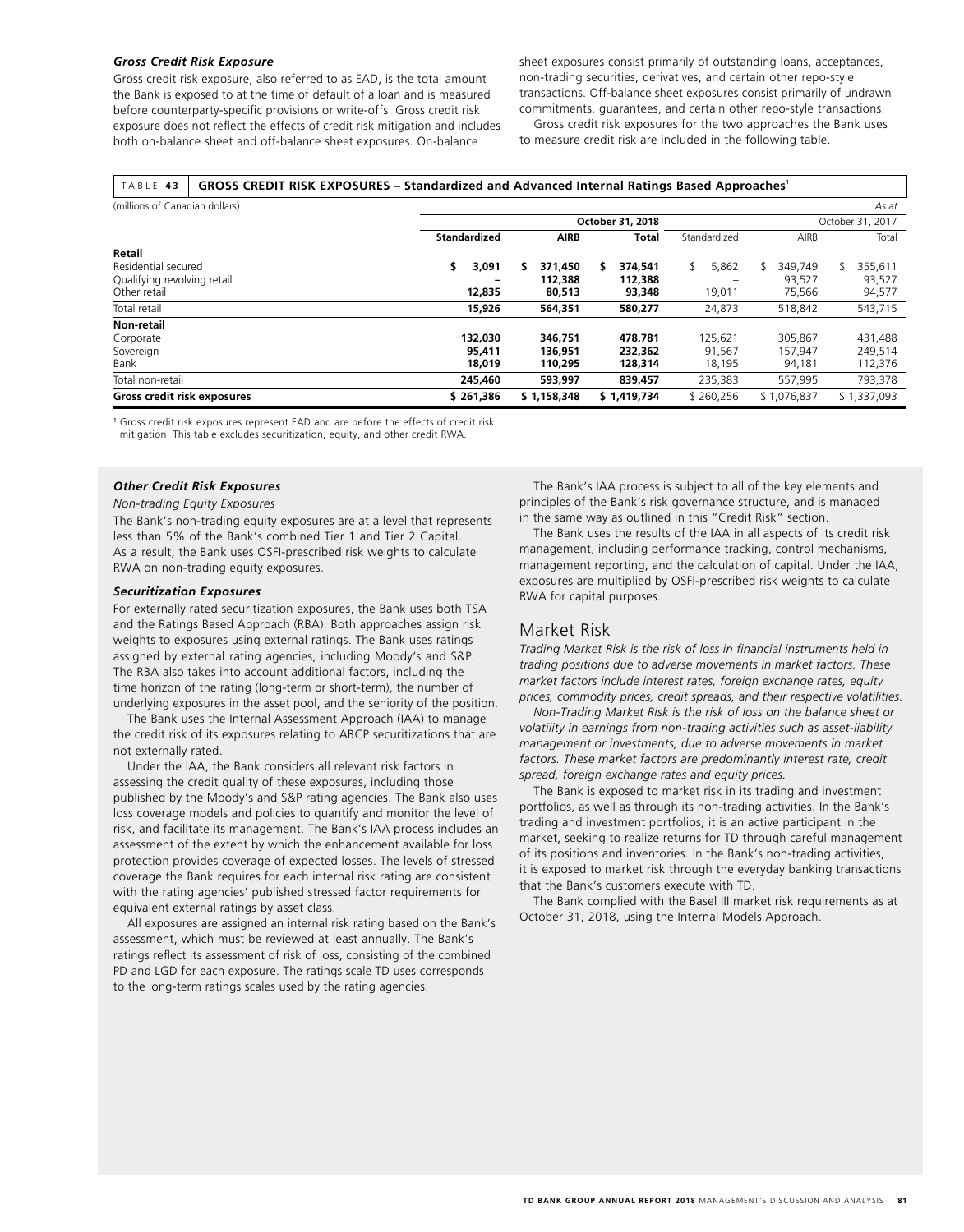# *Gross Credit Risk Exposure*

Gross credit risk exposure, also referred to as EAD, is the total amount the Bank is exposed to at the time of default of a loan and is measured before counterparty-specific provisions or write-offs. Gross credit risk exposure does not reflect the effects of credit risk mitigation and includes both on-balance sheet and off-balance sheet exposures. On-balance

sheet exposures consist primarily of outstanding loans, acceptances, non-trading securities, derivatives, and certain other repo-style transactions. Off-balance sheet exposures consist primarily of undrawn commitments, guarantees, and certain other repo-style transactions.

Gross credit risk exposures for the two approaches the Bank uses to measure credit risk are included in the following table.

# **GROSS CREDIT RISK EXPOSURES – Standardized and Advanced Internal Ratings Based Approaches**<sup>1</sup> TABLE **4 3**

| (millions of Canadian dollars)                                               |                                      |                               |                                   |                             |                                   | As at                         |  |
|------------------------------------------------------------------------------|--------------------------------------|-------------------------------|-----------------------------------|-----------------------------|-----------------------------------|-------------------------------|--|
|                                                                              | October 31, 2018<br>October 31, 2017 |                               |                                   |                             |                                   |                               |  |
|                                                                              | <b>Standardized</b>                  | <b>AIRB</b>                   | Total                             | Standardized                | AIRB                              | Total                         |  |
| Retail<br>Residential secured<br>Qualifying revolving retail<br>Other retail | 3,091<br>-<br>12,835                 | 371,450<br>112,388<br>80,513  | 374,541<br>s<br>112,388<br>93,348 | 5,862<br>\$.<br>19,011      | 349.749<br>٢.<br>93,527<br>75,566 | 355.611<br>93,527<br>94,577   |  |
| Total retail                                                                 | 15,926                               | 564,351                       | 580.277                           | 24,873                      | 518.842                           | 543,715                       |  |
| Non-retail<br>Corporate<br>Sovereign<br>Bank                                 | 132,030<br>95,411<br>18,019          | 346,751<br>136,951<br>110,295 | 478,781<br>232,362<br>128,314     | 125.621<br>91.567<br>18,195 | 305.867<br>157.947<br>94,181      | 431,488<br>249.514<br>112,376 |  |
| Total non-retail                                                             | 245,460                              | 593,997                       | 839,457                           | 235,383                     | 557.995                           | 793,378                       |  |
| Gross credit risk exposures                                                  | \$261,386                            | \$1,158,348                   | \$1,419,734                       | \$260,256                   | \$1,076,837                       | \$1,337,093                   |  |

<sup>1</sup> Gross credit risk exposures represent EAD and are before the effects of credit risk mitigation. This table excludes securitization, equity, and other credit RWA.

# *Other Credit Risk Exposures*

*Non-trading Equity Exposures*

The Bank's non-trading equity exposures are at a level that represents less than 5% of the Bank's combined Tier 1 and Tier 2 Capital. As a result, the Bank uses OSFI-prescribed risk weights to calculate RWA on non-trading equity exposures.

# *Securitization Exposures*

For externally rated securitization exposures, the Bank uses both TSA and the Ratings Based Approach (RBA). Both approaches assign risk weights to exposures using external ratings. The Bank uses ratings assigned by external rating agencies, including Moody's and S&P. The RBA also takes into account additional factors, including the time horizon of the rating (long-term or short-term), the number of underlying exposures in the asset pool, and the seniority of the position.

The Bank uses the Internal Assessment Approach (IAA) to manage the credit risk of its exposures relating to ABCP securitizations that are not externally rated.

Under the IAA, the Bank considers all relevant risk factors in assessing the credit quality of these exposures, including those published by the Moody's and S&P rating agencies. The Bank also uses loss coverage models and policies to quantify and monitor the level of risk, and facilitate its management. The Bank's IAA process includes an assessment of the extent by which the enhancement available for loss protection provides coverage of expected losses. The levels of stressed coverage the Bank requires for each internal risk rating are consistent with the rating agencies' published stressed factor requirements for equivalent external ratings by asset class.

All exposures are assigned an internal risk rating based on the Bank's assessment, which must be reviewed at least annually. The Bank's ratings reflect its assessment of risk of loss, consisting of the combined PD and LGD for each exposure. The ratings scale TD uses corresponds to the long-term ratings scales used by the rating agencies.

The Bank's IAA process is subject to all of the key elements and principles of the Bank's risk governance structure, and is managed in the same way as outlined in this "Credit Risk" section.

The Bank uses the results of the IAA in all aspects of its credit risk management, including performance tracking, control mechanisms, management reporting, and the calculation of capital. Under the IAA, exposures are multiplied by OSFI-prescribed risk weights to calculate RWA for capital purposes.

# Market Risk

*Trading Market Risk is the risk of loss in financial instruments held in trading positions due to adverse movements in market factors. These market factors include interest rates, foreign exchange rates, equity prices, commodity prices, credit spreads, and their respective volatilities.*

*Non-Trading Market Risk is the risk of loss on the balance sheet or volatility in earnings from non-trading activities such as asset-liability management or investments, due to adverse movements in market factors. These market factors are predominantly interest rate, credit spread, foreign exchange rates and equity prices.*

The Bank is exposed to market risk in its trading and investment portfolios, as well as through its non-trading activities. In the Bank's trading and investment portfolios, it is an active participant in the market, seeking to realize returns for TD through careful management of its positions and inventories. In the Bank's non-trading activities, it is exposed to market risk through the everyday banking transactions that the Bank's customers execute with TD.

The Bank complied with the Basel III market risk requirements as at October 31, 2018, using the Internal Models Approach.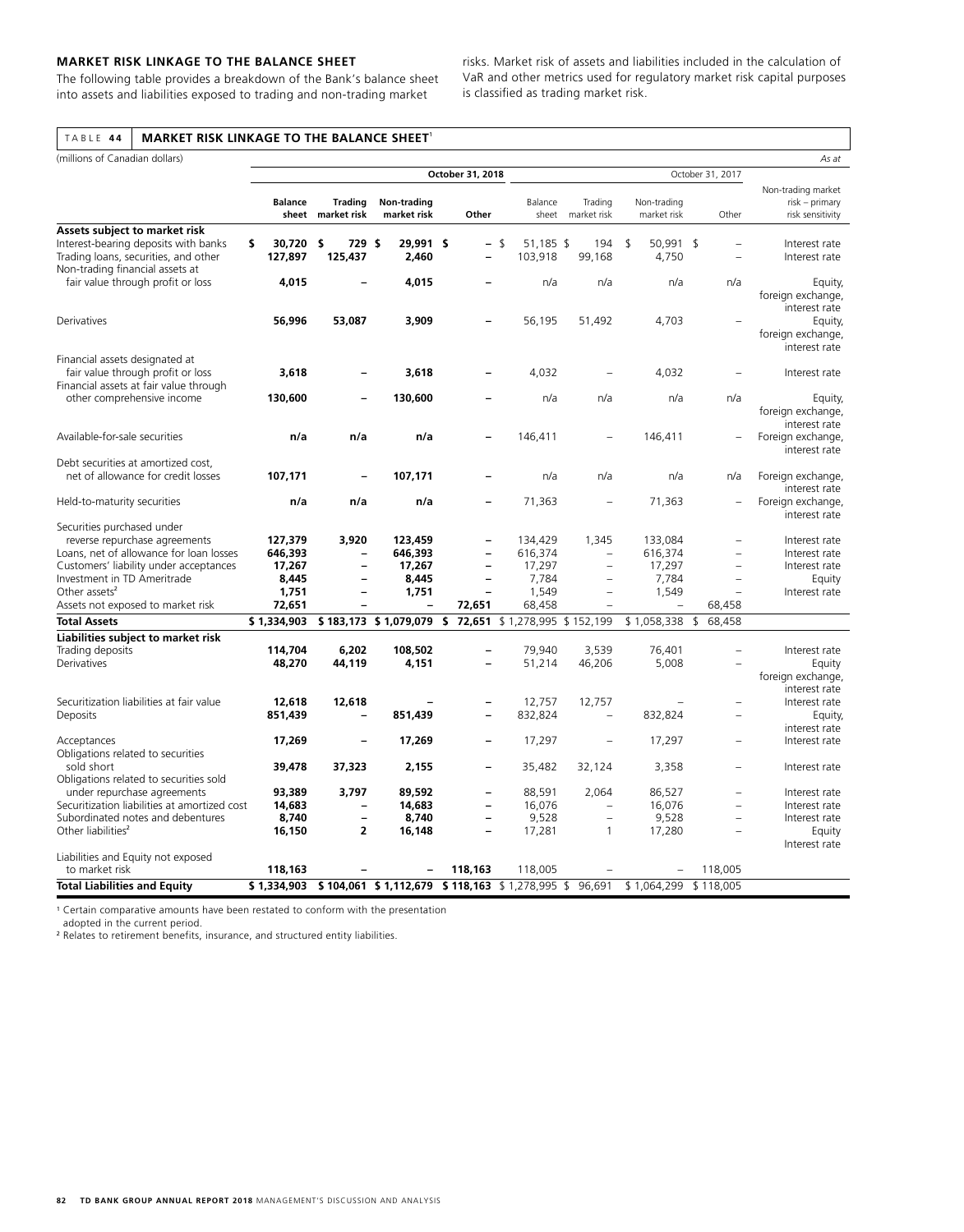# **MARKET RISK LINKAGE TO THE BALANCE SHEET**

The following table provides a breakdown of the Bank's balance sheet into assets and liabilities exposed to trading and non-trading market

risks. Market risk of assets and liabilities included in the calculation of VaR and other metrics used for regulatory market risk capital purposes is classified as trading market risk.

# TABLE 44 | MARKET RISK LINKAGE TO THE BALANCE SHEET<sup>1</sup>

| (millions of Canadian dollars)                                           |                 |                          |                                                      |                          |           |                          |                   |                          | As at                              |
|--------------------------------------------------------------------------|-----------------|--------------------------|------------------------------------------------------|--------------------------|-----------|--------------------------|-------------------|--------------------------|------------------------------------|
|                                                                          |                 |                          |                                                      | October 31, 2018         |           |                          |                   | October 31, 2017         |                                    |
|                                                                          |                 |                          |                                                      |                          |           |                          |                   |                          | Non-trading market                 |
|                                                                          | <b>Balance</b>  | <b>Trading</b>           | Non-trading                                          |                          | Balance   | Trading                  | Non-trading       |                          | risk - primary                     |
|                                                                          |                 | sheet market risk        | market risk                                          | Other                    | sheet     | market risk              | market risk       | Other                    | risk sensitivity                   |
| Assets subject to market risk                                            |                 |                          |                                                      |                          |           |                          |                   |                          |                                    |
| Interest-bearing deposits with banks                                     | \$<br>30,720 \$ | 729 \$                   | 29,991 \$                                            | $-5$                     | 51,185 \$ | 194                      | - \$<br>50,991 \$ |                          | Interest rate                      |
| Trading loans, securities, and other                                     | 127,897         | 125,437                  | 2,460                                                |                          | 103,918   | 99,168                   | 4,750             |                          | Interest rate                      |
| Non-trading financial assets at                                          |                 |                          |                                                      |                          |           |                          |                   |                          |                                    |
| fair value through profit or loss                                        | 4,015           |                          | 4,015                                                |                          | n/a       | n/a                      | n/a               | n/a                      | Equity,                            |
|                                                                          |                 |                          |                                                      |                          |           |                          |                   |                          | foreign exchange,<br>interest rate |
| Derivatives                                                              | 56,996          | 53,087                   | 3,909                                                |                          | 56,195    | 51,492                   | 4,703             |                          | Equity,                            |
|                                                                          |                 |                          |                                                      |                          |           |                          |                   |                          | foreign exchange,                  |
|                                                                          |                 |                          |                                                      |                          |           |                          |                   |                          | interest rate                      |
| Financial assets designated at                                           |                 |                          |                                                      |                          |           |                          |                   |                          |                                    |
| fair value through profit or loss                                        | 3,618           |                          | 3,618                                                |                          | 4.032     |                          | 4.032             |                          | Interest rate                      |
| Financial assets at fair value through                                   |                 |                          |                                                      |                          |           |                          |                   |                          |                                    |
| other comprehensive income                                               | 130,600         |                          | 130,600                                              |                          | n/a       | n/a                      | n/a               | n/a                      | Equity,                            |
|                                                                          |                 |                          |                                                      |                          |           |                          |                   |                          | foreign exchange,                  |
|                                                                          |                 |                          |                                                      |                          |           |                          |                   |                          | interest rate                      |
| Available-for-sale securities                                            | n/a             | n/a                      | n/a                                                  |                          | 146.411   | ÷,                       | 146,411           |                          | Foreign exchange,                  |
|                                                                          |                 |                          |                                                      |                          |           |                          |                   |                          | interest rate                      |
| Debt securities at amortized cost,<br>net of allowance for credit losses | 107,171         |                          | 107,171                                              |                          | n/a       | n/a                      | n/a               | n/a                      |                                    |
|                                                                          |                 |                          |                                                      |                          |           |                          |                   |                          | Foreign exchange,<br>interest rate |
| Held-to-maturity securities                                              | n/a             | n/a                      | n/a                                                  |                          | 71,363    |                          | 71,363            | $\sim$                   | Foreign exchange,                  |
|                                                                          |                 |                          |                                                      |                          |           |                          |                   |                          | interest rate                      |
| Securities purchased under                                               |                 |                          |                                                      |                          |           |                          |                   |                          |                                    |
| reverse repurchase agreements                                            | 127,379         | 3,920                    | 123,459                                              |                          | 134,429   | 1,345                    | 133,084           |                          | Interest rate                      |
| Loans, net of allowance for loan losses                                  | 646,393         |                          | 646,393                                              | $\overline{\phantom{a}}$ | 616,374   | $\qquad \qquad -$        | 616,374           | $\overline{\phantom{0}}$ | Interest rate                      |
| Customers' liability under acceptances                                   | 17,267          | $\overline{\phantom{0}}$ | 17,267                                               | $\overline{a}$           | 17,297    | $\overline{\phantom{a}}$ | 17,297            | $\equiv$                 | Interest rate                      |
| Investment in TD Ameritrade                                              | 8,445           | $\overline{a}$           | 8,445                                                | $\overline{\phantom{0}}$ | 7,784     | $\overline{\phantom{a}}$ | 7,784             | $\overline{\phantom{a}}$ | Equity                             |
| Other assets <sup>2</sup>                                                | 1,751           | $\overline{a}$           | 1,751                                                |                          | 1,549     | $\overline{\phantom{a}}$ | 1,549             |                          | Interest rate                      |
| Assets not exposed to market risk                                        | 72,651          | $\overline{a}$           |                                                      | 72,651                   | 68,458    |                          |                   | 68,458                   |                                    |
| <b>Total Assets</b>                                                      | \$1,334,903     |                          | \$183,173 \$1,079,079 \$72,651 \$1,278,995 \$152,199 |                          |           |                          | \$1,058,338       | 68,458<br>\$             |                                    |
| Liabilities subject to market risk                                       |                 |                          |                                                      |                          |           |                          |                   |                          |                                    |
| Trading deposits                                                         | 114,704         | 6,202                    | 108,502                                              |                          | 79,940    | 3,539                    | 76,401            | $\sim$                   | Interest rate                      |
| Derivatives                                                              | 48,270          | 44,119                   | 4,151                                                | $\overline{\phantom{a}}$ | 51,214    | 46,206                   | 5,008             | $\sim$                   | Equity                             |
|                                                                          |                 |                          |                                                      |                          |           |                          |                   |                          | foreign exchange,                  |
|                                                                          |                 |                          |                                                      |                          |           |                          |                   |                          | interest rate                      |
| Securitization liabilities at fair value                                 | 12,618          | 12,618                   |                                                      |                          | 12,757    | 12,757                   |                   |                          | Interest rate                      |
| Deposits                                                                 | 851,439         |                          | 851,439                                              | $\equiv$                 | 832,824   |                          | 832,824           | $\equiv$                 | Equity,                            |
|                                                                          | 17,269          |                          | 17,269                                               |                          |           | $\overline{\phantom{0}}$ |                   | $\overline{\phantom{0}}$ | interest rate                      |
| Acceptances<br>Obligations related to securities                         |                 |                          |                                                      |                          | 17,297    |                          | 17,297            |                          | Interest rate                      |
| sold short                                                               | 39,478          | 37,323                   | 2,155                                                |                          | 35,482    | 32,124                   | 3,358             |                          | Interest rate                      |
| Obligations related to securities sold                                   |                 |                          |                                                      |                          |           |                          |                   |                          |                                    |
| under repurchase agreements                                              | 93,389          | 3,797                    | 89,592                                               |                          | 88,591    | 2,064                    | 86,527            |                          | Interest rate                      |
| Securitization liabilities at amortized cost                             | 14,683          |                          | 14,683                                               |                          | 16,076    | $\overline{\phantom{a}}$ | 16,076            |                          | Interest rate                      |
| Subordinated notes and debentures                                        | 8,740           | $\overline{\phantom{0}}$ | 8,740                                                | $\rightarrow$            | 9,528     | ÷,                       | 9,528             | ÷,                       | Interest rate                      |
| Other liabilities <sup>2</sup>                                           | 16,150          | $\overline{2}$           | 16,148                                               | $\overline{\phantom{0}}$ | 17,281    | $\mathbf{1}$             | 17,280            | $\equiv$                 | Equity                             |
|                                                                          |                 |                          |                                                      |                          |           |                          |                   |                          | Interest rate                      |
| Liabilities and Equity not exposed                                       |                 |                          |                                                      |                          |           |                          |                   |                          |                                    |
| to market risk                                                           | 118,163         |                          |                                                      | 118,163                  | 118,005   |                          |                   | 118,005                  |                                    |
| <b>Total Liabilities and Equity</b>                                      | \$1,334,903     |                          | \$104,061 \$1,112,679 \$118,163 \$1,278,995 \$       |                          |           | 96,691                   | \$1,064,299       | \$118,005                |                                    |

<sup>1</sup> Certain comparative amounts have been restated to conform with the presentation

adopted in the current period.

<sup>2</sup> Relates to retirement benefits, insurance, and structured entity liabilities.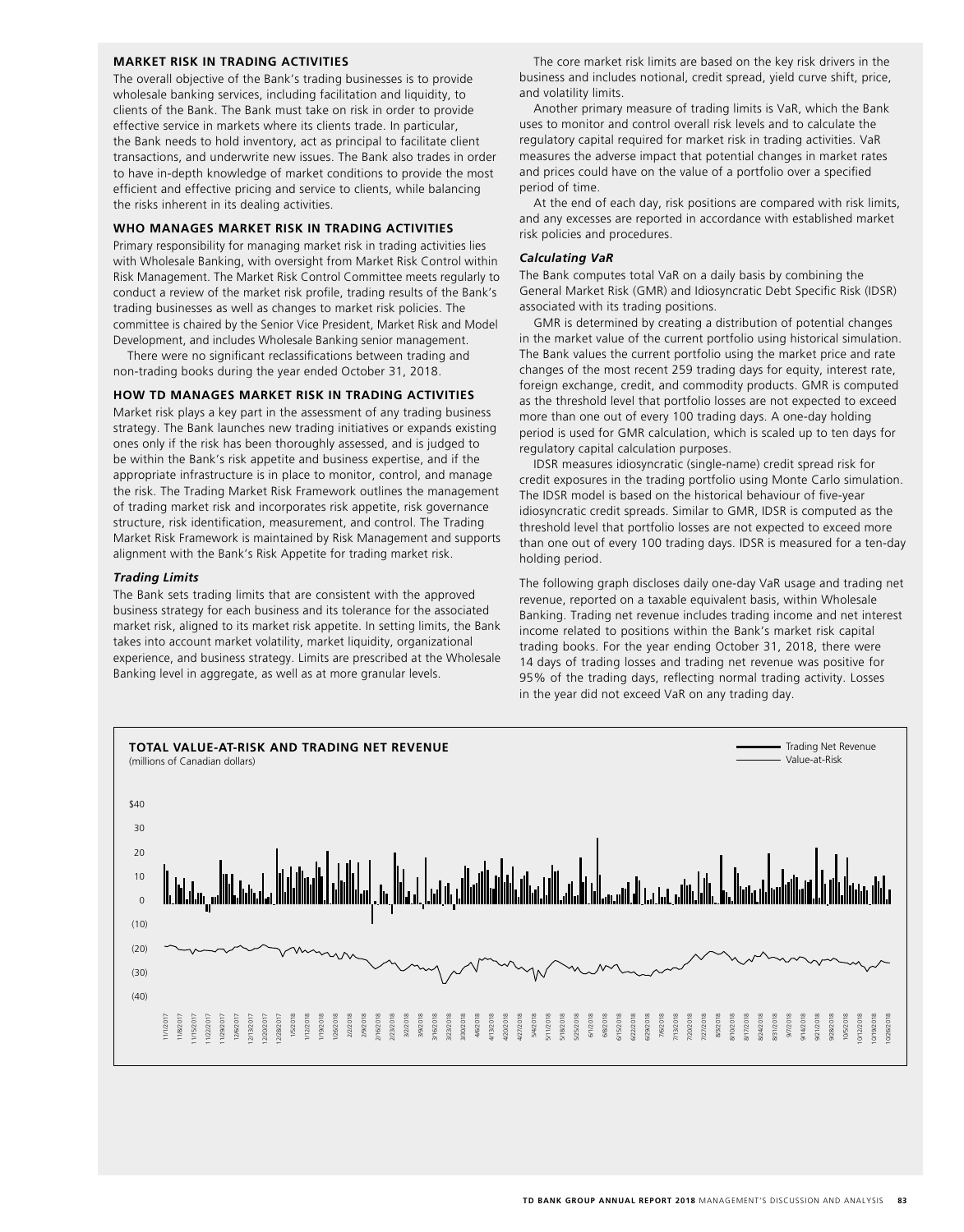# **MARKET RISK IN TRADING ACTIVITIES**

The overall objective of the Bank's trading businesses is to provide wholesale banking services, including facilitation and liquidity, to clients of the Bank. The Bank must take on risk in order to provide effective service in markets where its clients trade. In particular, the Bank needs to hold inventory, act as principal to facilitate client transactions, and underwrite new issues. The Bank also trades in order to have in-depth knowledge of market conditions to provide the most efficient and effective pricing and service to clients, while balancing the risks inherent in its dealing activities.

#### **WHO MANAGES MARKET RISK IN TRADING ACTIVITIES**

Primary responsibility for managing market risk in trading activities lies with Wholesale Banking, with oversight from Market Risk Control within Risk Management. The Market Risk Control Committee meets regularly to conduct a review of the market risk profile, trading results of the Bank's trading businesses as well as changes to market risk policies. The committee is chaired by the Senior Vice President, Market Risk and Model Development, and includes Wholesale Banking senior management.

There were no significant reclassifications between trading and non-trading books during the year ended October 31, 2018.

## **HOW TD MANAGES MARKET RISK IN TRADING ACTIVITIES**

Market risk plays a key part in the assessment of any trading business strategy. The Bank launches new trading initiatives or expands existing ones only if the risk has been thoroughly assessed, and is judged to be within the Bank's risk appetite and business expertise, and if the appropriate infrastructure is in place to monitor, control, and manage the risk. The Trading Market Risk Framework outlines the management of trading market risk and incorporates risk appetite, risk governance structure, risk identification, measurement, and control. The Trading Market Risk Framework is maintained by Risk Management and supports alignment with the Bank's Risk Appetite for trading market risk.

#### *Trading Limits*

The Bank sets trading limits that are consistent with the approved business strategy for each business and its tolerance for the associated market risk, aligned to its market risk appetite. In setting limits, the Bank takes into account market volatility, market liquidity, organizational experience, and business strategy. Limits are prescribed at the Wholesale Banking level in aggregate, as well as at more granular levels.

The core market risk limits are based on the key risk drivers in the business and includes notional, credit spread, yield curve shift, price, and volatility limits.

Another primary measure of trading limits is VaR, which the Bank uses to monitor and control overall risk levels and to calculate the regulatory capital required for market risk in trading activities. VaR measures the adverse impact that potential changes in market rates and prices could have on the value of a portfolio over a specified period of time.

At the end of each day, risk positions are compared with risk limits, and any excesses are reported in accordance with established market risk policies and procedures.

#### *Calculating VaR*

The Bank computes total VaR on a daily basis by combining the General Market Risk (GMR) and Idiosyncratic Debt Specific Risk (IDSR) associated with its trading positions.

GMR is determined by creating a distribution of potential changes in the market value of the current portfolio using historical simulation. The Bank values the current portfolio using the market price and rate changes of the most recent 259 trading days for equity, interest rate, foreign exchange, credit, and commodity products. GMR is computed as the threshold level that portfolio losses are not expected to exceed more than one out of every 100 trading days. A one-day holding period is used for GMR calculation, which is scaled up to ten days for regulatory capital calculation purposes.

IDSR measures idiosyncratic (single-name) credit spread risk for credit exposures in the trading portfolio using Monte Carlo simulation. The IDSR model is based on the historical behaviour of five-year idiosyncratic credit spreads. Similar to GMR, IDSR is computed as the threshold level that portfolio losses are not expected to exceed more than one out of every 100 trading days. IDSR is measured for a ten-day holding period.

The following graph discloses daily one-day VaR usage and trading net revenue, reported on a taxable equivalent basis, within Wholesale Banking. Trading net revenue includes trading income and net interest income related to positions within the Bank's market risk capital trading books. For the year ending October 31, 2018, there were 14 days of trading losses and trading net revenue was positive for 95% of the trading days, reflecting normal trading activity. Losses in the year did not exceed VaR on any trading day.

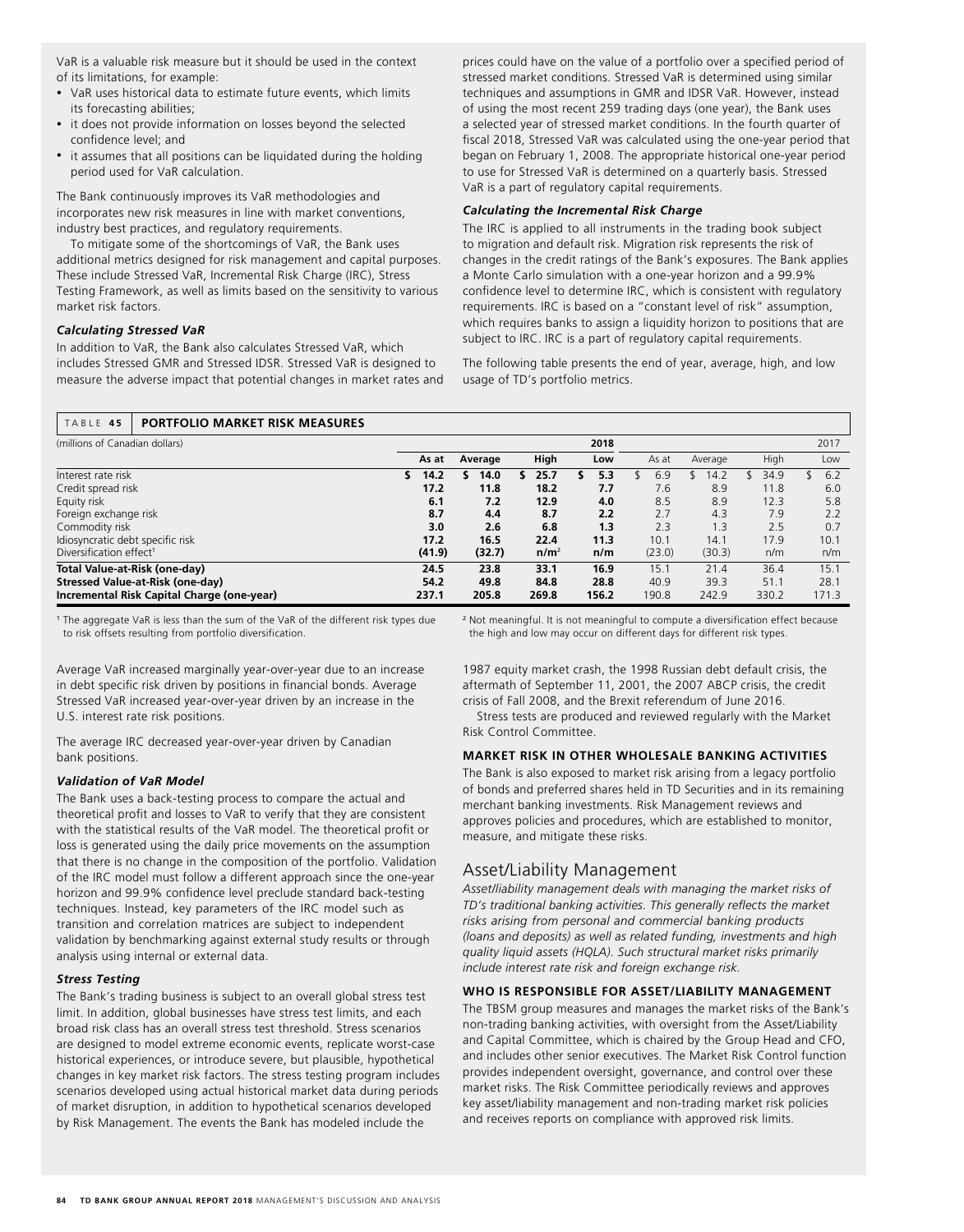VaR is a valuable risk measure but it should be used in the context of its limitations, for example:

- VaR uses historical data to estimate future events, which limits its forecasting abilities;
- it does not provide information on losses beyond the selected confidence level; and
- it assumes that all positions can be liquidated during the holding period used for VaR calculation.

The Bank continuously improves its VaR methodologies and incorporates new risk measures in line with market conventions, industry best practices, and regulatory requirements.

To mitigate some of the shortcomings of VaR, the Bank uses additional metrics designed for risk management and capital purposes. These include Stressed VaR, Incremental Risk Charge (IRC), Stress Testing Framework, as well as limits based on the sensitivity to various market risk factors.

# *Calculating Stressed VaR*

In addition to VaR, the Bank also calculates Stressed VaR, which includes Stressed GMR and Stressed IDSR. Stressed VaR is designed to measure the adverse impact that potential changes in market rates and

prices could have on the value of a portfolio over a specified period of stressed market conditions. Stressed VaR is determined using similar techniques and assumptions in GMR and IDSR VaR. However, instead of using the most recent 259 trading days (one year), the Bank uses a selected year of stressed market conditions. In the fourth quarter of fiscal 2018, Stressed VaR was calculated using the one-year period that began on February 1, 2008. The appropriate historical one-year period to use for Stressed VaR is determined on a quarterly basis. Stressed VaR is a part of regulatory capital requirements.

# *Calculating the Incremental Risk Charge*

The IRC is applied to all instruments in the trading book subject to migration and default risk. Migration risk represents the risk of changes in the credit ratings of the Bank's exposures. The Bank applies a Monte Carlo simulation with a one-year horizon and a 99.9% confidence level to determine IRC, which is consistent with regulatory requirements. IRC is based on a "constant level of risk" assumption, which requires banks to assign a liquidity horizon to positions that are subject to IRC. IRC is a part of regulatory capital requirements.

The following table presents the end of year, average, high, and low usage of TD's portfolio metrics.

| TABLE 45                            | <b>PORTFOLIO MARKET RISK MEASURES</b>      |        |         |         |       |        |         |       |       |
|-------------------------------------|--------------------------------------------|--------|---------|---------|-------|--------|---------|-------|-------|
| (millions of Canadian dollars)      |                                            |        |         |         | 2018  |        |         |       | 2017  |
|                                     |                                            | As at  | Average | High    | Low   | As at  | Average | High  | Low   |
| Interest rate risk                  |                                            | 14.2   | 14.0    | 25.7    | 5.3   | 6.9    | 14.2    | 34.9  | 6.2   |
| Credit spread risk                  |                                            | 17.2   | 11.8    | 18.2    | 7.7   | 7.6    | 8.9     | 11.8  | 6.0   |
| Equity risk                         |                                            | 6.1    | 7.2     | 12.9    | 4.0   | 8.5    | 8.9     | 12.3  | 5.8   |
| Foreign exchange risk               |                                            | 8.7    | 4.4     | 8.7     | 2.2   | 2.7    | 4.3     | 7.9   | 2.2   |
| Commodity risk                      |                                            | 3.0    | 2.6     | 6.8     | 1.3   | 2.3    | 1.3     | 2.5   | 0.7   |
| Idiosyncratic debt specific risk    |                                            | 17.2   | 16.5    | 22.4    | 11.3  | 10.1   | 14.1    | 17.9  | 10.1  |
| Diversification effect <sup>1</sup> |                                            | (41.9) | (32.7)  | $n/m^2$ | n/m   | (23.0) | (30.3)  | n/m   | n/m   |
| Total Value-at-Risk (one-day)       |                                            | 24.5   | 23.8    | 33.1    | 16.9  | 15.1   | 21.4    | 36.4  | 15.1  |
|                                     | Stressed Value-at-Risk (one-day)           | 54.2   | 49.8    | 84.8    | 28.8  | 40.9   | 39.3    | 51.1  | 28.1  |
|                                     | Incremental Risk Capital Charge (one-year) | 237.1  | 205.8   | 269.8   | 156.2 | 190.8  | 242.9   | 330.2 | 171.3 |

<sup>1</sup> The aggregate VaR is less than the sum of the VaR of the different risk types due to risk offsets resulting from portfolio diversification.

<sup>2</sup> Not meaningful. It is not meaningful to compute a diversification effect because the high and low may occur on different days for different risk types.

Average VaR increased marginally year-over-year due to an increase in debt specific risk driven by positions in financial bonds. Average Stressed VaR increased year-over-year driven by an increase in the U.S. interest rate risk positions.

The average IRC decreased year-over-year driven by Canadian bank positions.

# *Validation of VaR Model*

The Bank uses a back-testing process to compare the actual and theoretical profit and losses to VaR to verify that they are consistent with the statistical results of the VaR model. The theoretical profit or loss is generated using the daily price movements on the assumption that there is no change in the composition of the portfolio. Validation of the IRC model must follow a different approach since the one-year horizon and 99.9% confidence level preclude standard back-testing techniques. Instead, key parameters of the IRC model such as transition and correlation matrices are subject to independent validation by benchmarking against external study results or through analysis using internal or external data.

#### *Stress Testing*

The Bank's trading business is subject to an overall global stress test limit. In addition, global businesses have stress test limits, and each broad risk class has an overall stress test threshold. Stress scenarios are designed to model extreme economic events, replicate worst-case historical experiences, or introduce severe, but plausible, hypothetical changes in key market risk factors. The stress testing program includes scenarios developed using actual historical market data during periods of market disruption, in addition to hypothetical scenarios developed by Risk Management. The events the Bank has modeled include the

1987 equity market crash, the 1998 Russian debt default crisis, the aftermath of September 11, 2001, the 2007 ABCP crisis, the credit crisis of Fall 2008, and the Brexit referendum of June 2016.

Stress tests are produced and reviewed regularly with the Market Risk Control Committee.

# **MARKET RISK IN OTHER WHOLESALE BANKING ACTIVITIES**

The Bank is also exposed to market risk arising from a legacy portfolio of bonds and preferred shares held in TD Securities and in its remaining merchant banking investments. Risk Management reviews and approves policies and procedures, which are established to monitor, measure, and mitigate these risks.

# Asset/Liability Management

*Asset/liability management deals with managing the market risks of TD's traditional banking activities. This generally reflects the market risks arising from personal and commercial banking products (loans and deposits) as well as related funding, investments and high quality liquid assets (HQLA). Such structural market risks primarily include interest rate risk and foreign exchange risk.*

#### **WHO IS RESPONSIBLE FOR ASSET/LIABILITY MANAGEMENT**

The TBSM group measures and manages the market risks of the Bank's non-trading banking activities, with oversight from the Asset/Liability and Capital Committee, which is chaired by the Group Head and CFO, and includes other senior executives. The Market Risk Control function provides independent oversight, governance, and control over these market risks. The Risk Committee periodically reviews and approves key asset/liability management and non-trading market risk policies and receives reports on compliance with approved risk limits.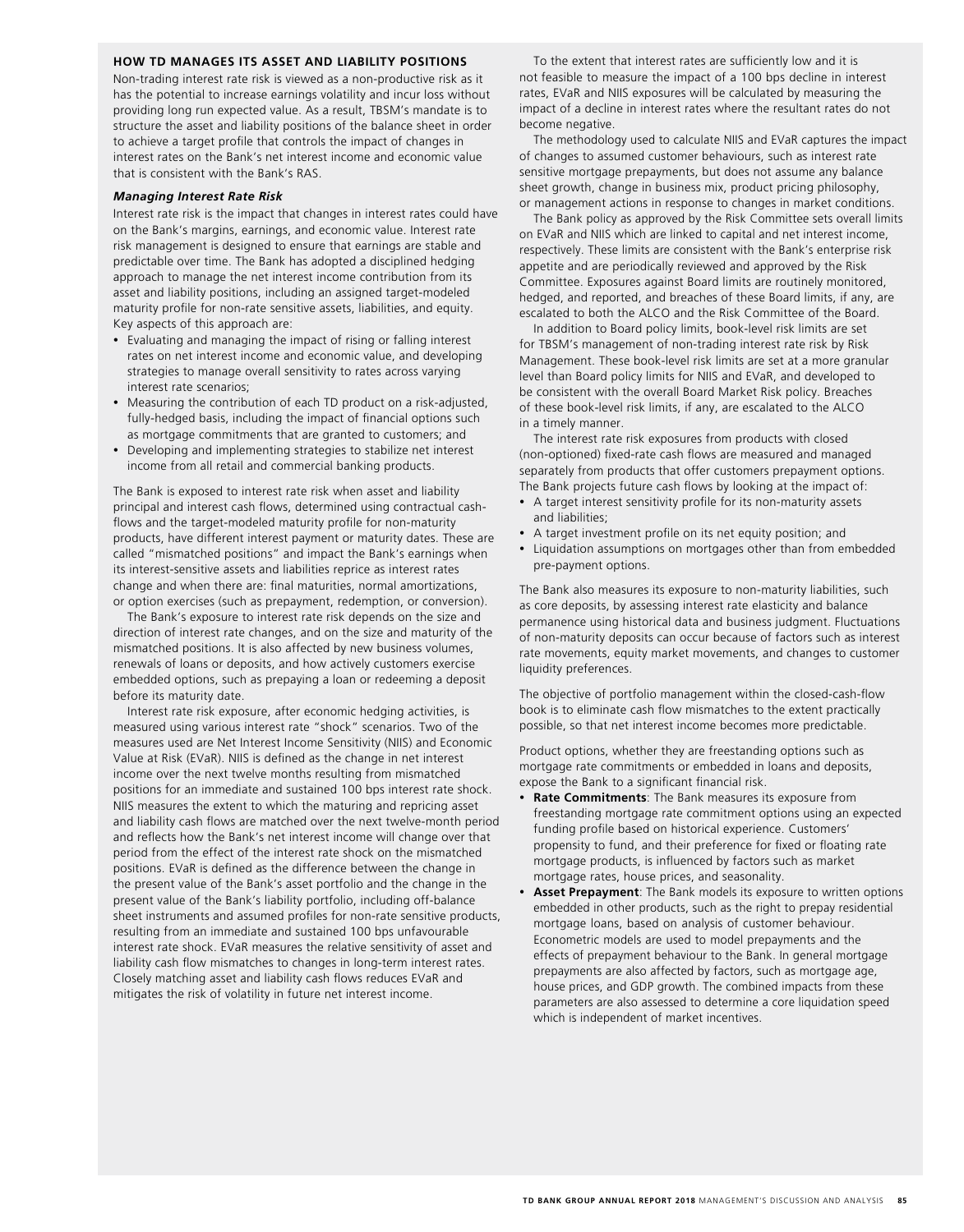### **HOW TD MANAGES ITS ASSET AND LIABILITY POSITIONS**

Non-trading interest rate risk is viewed as a non-productive risk as it has the potential to increase earnings volatility and incur loss without providing long run expected value. As a result, TBSM's mandate is to structure the asset and liability positions of the balance sheet in order to achieve a target profile that controls the impact of changes in interest rates on the Bank's net interest income and economic value that is consistent with the Bank's RAS.

### *Managing Interest Rate Risk*

Interest rate risk is the impact that changes in interest rates could have on the Bank's margins, earnings, and economic value. Interest rate risk management is designed to ensure that earnings are stable and predictable over time. The Bank has adopted a disciplined hedging approach to manage the net interest income contribution from its asset and liability positions, including an assigned target-modeled maturity profile for non-rate sensitive assets, liabilities, and equity. Key aspects of this approach are:

- Evaluating and managing the impact of rising or falling interest rates on net interest income and economic value, and developing strategies to manage overall sensitivity to rates across varying interest rate scenarios;
- Measuring the contribution of each TD product on a risk-adjusted, fully-hedged basis, including the impact of financial options such as mortgage commitments that are granted to customers; and
- Developing and implementing strategies to stabilize net interest income from all retail and commercial banking products.

The Bank is exposed to interest rate risk when asset and liability principal and interest cash flows, determined using contractual cashflows and the target-modeled maturity profile for non-maturity products, have different interest payment or maturity dates. These are called "mismatched positions" and impact the Bank's earnings when its interest-sensitive assets and liabilities reprice as interest rates change and when there are: final maturities, normal amortizations, or option exercises (such as prepayment, redemption, or conversion).

The Bank's exposure to interest rate risk depends on the size and direction of interest rate changes, and on the size and maturity of the mismatched positions. It is also affected by new business volumes, renewals of loans or deposits, and how actively customers exercise embedded options, such as prepaying a loan or redeeming a deposit before its maturity date.

Interest rate risk exposure, after economic hedging activities, is measured using various interest rate "shock" scenarios. Two of the measures used are Net Interest Income Sensitivity (NIIS) and Economic Value at Risk (EVaR). NIIS is defined as the change in net interest income over the next twelve months resulting from mismatched positions for an immediate and sustained 100 bps interest rate shock. NIIS measures the extent to which the maturing and repricing asset and liability cash flows are matched over the next twelve-month period and reflects how the Bank's net interest income will change over that period from the effect of the interest rate shock on the mismatched positions. EVaR is defined as the difference between the change in the present value of the Bank's asset portfolio and the change in the present value of the Bank's liability portfolio, including off-balance sheet instruments and assumed profiles for non-rate sensitive products, resulting from an immediate and sustained 100 bps unfavourable interest rate shock. EVaR measures the relative sensitivity of asset and liability cash flow mismatches to changes in long-term interest rates. Closely matching asset and liability cash flows reduces EVaR and mitigates the risk of volatility in future net interest income.

To the extent that interest rates are sufficiently low and it is not feasible to measure the impact of a 100 bps decline in interest rates, EVaR and NIIS exposures will be calculated by measuring the impact of a decline in interest rates where the resultant rates do not become negative.

The methodology used to calculate NIIS and EVaR captures the impact of changes to assumed customer behaviours, such as interest rate sensitive mortgage prepayments, but does not assume any balance sheet growth, change in business mix, product pricing philosophy, or management actions in response to changes in market conditions.

The Bank policy as approved by the Risk Committee sets overall limits on EVaR and NIIS which are linked to capital and net interest income, respectively. These limits are consistent with the Bank's enterprise risk appetite and are periodically reviewed and approved by the Risk Committee. Exposures against Board limits are routinely monitored, hedged, and reported, and breaches of these Board limits, if any, are escalated to both the ALCO and the Risk Committee of the Board.

In addition to Board policy limits, book-level risk limits are set for TBSM's management of non-trading interest rate risk by Risk Management. These book-level risk limits are set at a more granular level than Board policy limits for NIIS and EVaR, and developed to be consistent with the overall Board Market Risk policy. Breaches of these book-level risk limits, if any, are escalated to the ALCO in a timely manner.

The interest rate risk exposures from products with closed (non-optioned) fixed-rate cash flows are measured and managed separately from products that offer customers prepayment options. The Bank projects future cash flows by looking at the impact of:

- A target interest sensitivity profile for its non-maturity assets and liabilities;
- A target investment profile on its net equity position; and
- Liquidation assumptions on mortgages other than from embedded pre-payment options.

The Bank also measures its exposure to non-maturity liabilities, such as core deposits, by assessing interest rate elasticity and balance permanence using historical data and business judgment. Fluctuations of non-maturity deposits can occur because of factors such as interest rate movements, equity market movements, and changes to customer liquidity preferences.

The objective of portfolio management within the closed-cash-flow book is to eliminate cash flow mismatches to the extent practically possible, so that net interest income becomes more predictable.

Product options, whether they are freestanding options such as mortgage rate commitments or embedded in loans and deposits, expose the Bank to a significant financial risk.

- **Rate Commitments**: The Bank measures its exposure from freestanding mortgage rate commitment options using an expected funding profile based on historical experience. Customers' propensity to fund, and their preference for fixed or floating rate mortgage products, is influenced by factors such as market mortgage rates, house prices, and seasonality.
- **Asset Prepayment**: The Bank models its exposure to written options embedded in other products, such as the right to prepay residential mortgage loans, based on analysis of customer behaviour. Econometric models are used to model prepayments and the effects of prepayment behaviour to the Bank. In general mortgage prepayments are also affected by factors, such as mortgage age, house prices, and GDP growth. The combined impacts from these parameters are also assessed to determine a core liquidation speed which is independent of market incentives.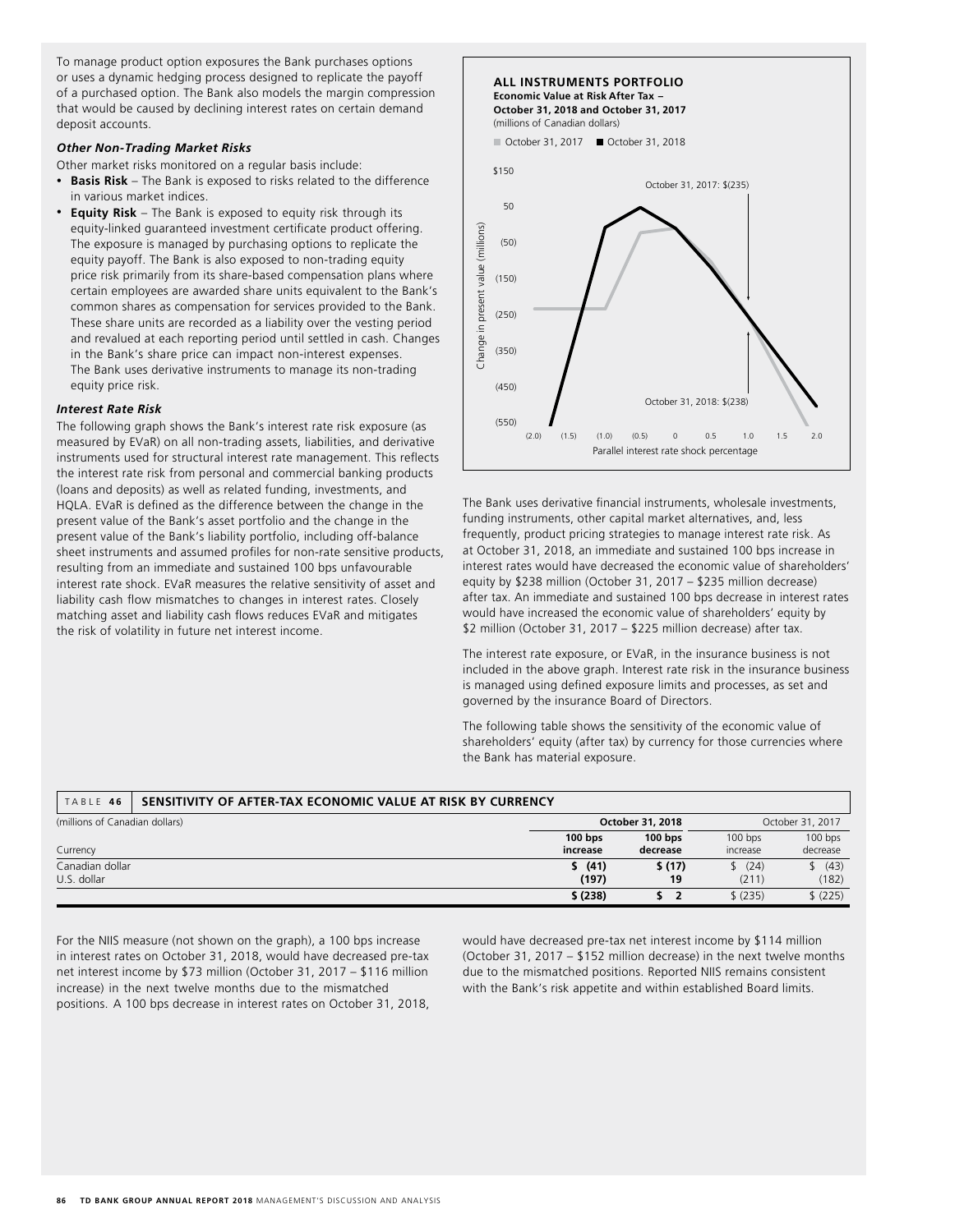To manage product option exposures the Bank purchases options or uses a dynamic hedging process designed to replicate the payoff of a purchased option. The Bank also models the margin compression that would be caused by declining interest rates on certain demand deposit accounts.

### *Other Non-Trading Market Risks*

Other market risks monitored on a regular basis include:

- **Basis Risk** The Bank is exposed to risks related to the difference in various market indices.
- **Equity Risk** The Bank is exposed to equity risk through its equity-linked guaranteed investment certificate product offering. The exposure is managed by purchasing options to replicate the equity payoff. The Bank is also exposed to non-trading equity price risk primarily from its share-based compensation plans where certain employees are awarded share units equivalent to the Bank's common shares as compensation for services provided to the Bank. These share units are recorded as a liability over the vesting period and revalued at each reporting period until settled in cash. Changes in the Bank's share price can impact non-interest expenses. The Bank uses derivative instruments to manage its non-trading equity price risk.

### *Interest Rate Risk*

The following graph shows the Bank's interest rate risk exposure (as measured by EVaR) on all non-trading assets, liabilities, and derivative instruments used for structural interest rate management. This reflects the interest rate risk from personal and commercial banking products (loans and deposits) as well as related funding, investments, and HQLA. EVaR is defined as the difference between the change in the present value of the Bank's asset portfolio and the change in the present value of the Bank's liability portfolio, including off-balance sheet instruments and assumed profiles for non-rate sensitive products, resulting from an immediate and sustained 100 bps unfavourable interest rate shock. EVaR measures the relative sensitivity of asset and liability cash flow mismatches to changes in interest rates. Closely matching asset and liability cash flows reduces EVaR and mitigates the risk of volatility in future net interest income.



The Bank uses derivative financial instruments, wholesale investments, funding instruments, other capital market alternatives, and, less frequently, product pricing strategies to manage interest rate risk. As at October 31, 2018, an immediate and sustained 100 bps increase in interest rates would have decreased the economic value of shareholders' equity by \$238 million (October 31, 2017 – \$235 million decrease) after tax. An immediate and sustained 100 bps decrease in interest rates would have increased the economic value of shareholders' equity by \$2 million (October 31, 2017 – \$225 million decrease) after tax.

The interest rate exposure, or EVaR, in the insurance business is not included in the above graph. Interest rate risk in the insurance business is managed using defined exposure limits and processes, as set and governed by the insurance Board of Directors.

The following table shows the sensitivity of the economic value of shareholders' equity (after tax) by currency for those currencies where the Bank has material exposure.

| TABLE 46                       | SENSITIVITY OF AFTER-TAX ECONOMIC VALUE AT RISK BY CURRENCY |                       |        |                       |                     |
|--------------------------------|-------------------------------------------------------------|-----------------------|--------|-----------------------|---------------------|
| (millions of Canadian dollars) |                                                             | October 31, 2018      |        |                       | October 31, 2017    |
| Currency                       | $100$ bps<br>increase                                       | $100$ bps<br>decrease |        | $100$ bps<br>increase | 100 bps<br>decrease |
| Canadian dollar                | 5(41)                                                       |                       | \$(17) | (24)                  | \$ (43)             |
| U.S. dollar                    | (197)                                                       |                       | 19     | (211)                 | (182)               |
|                                | \$ (238)                                                    |                       |        | \$ (235)              | \$ (225)            |

For the NIIS measure (not shown on the graph), a 100 bps increase in interest rates on October 31, 2018, would have decreased pre-tax net interest income by \$73 million (October 31, 2017 – \$116 million increase) in the next twelve months due to the mismatched positions. A 100 bps decrease in interest rates on October 31, 2018, would have decreased pre-tax net interest income by \$114 million (October 31, 2017 – \$152 million decrease) in the next twelve months due to the mismatched positions. Reported NIIS remains consistent with the Bank's risk appetite and within established Board limits.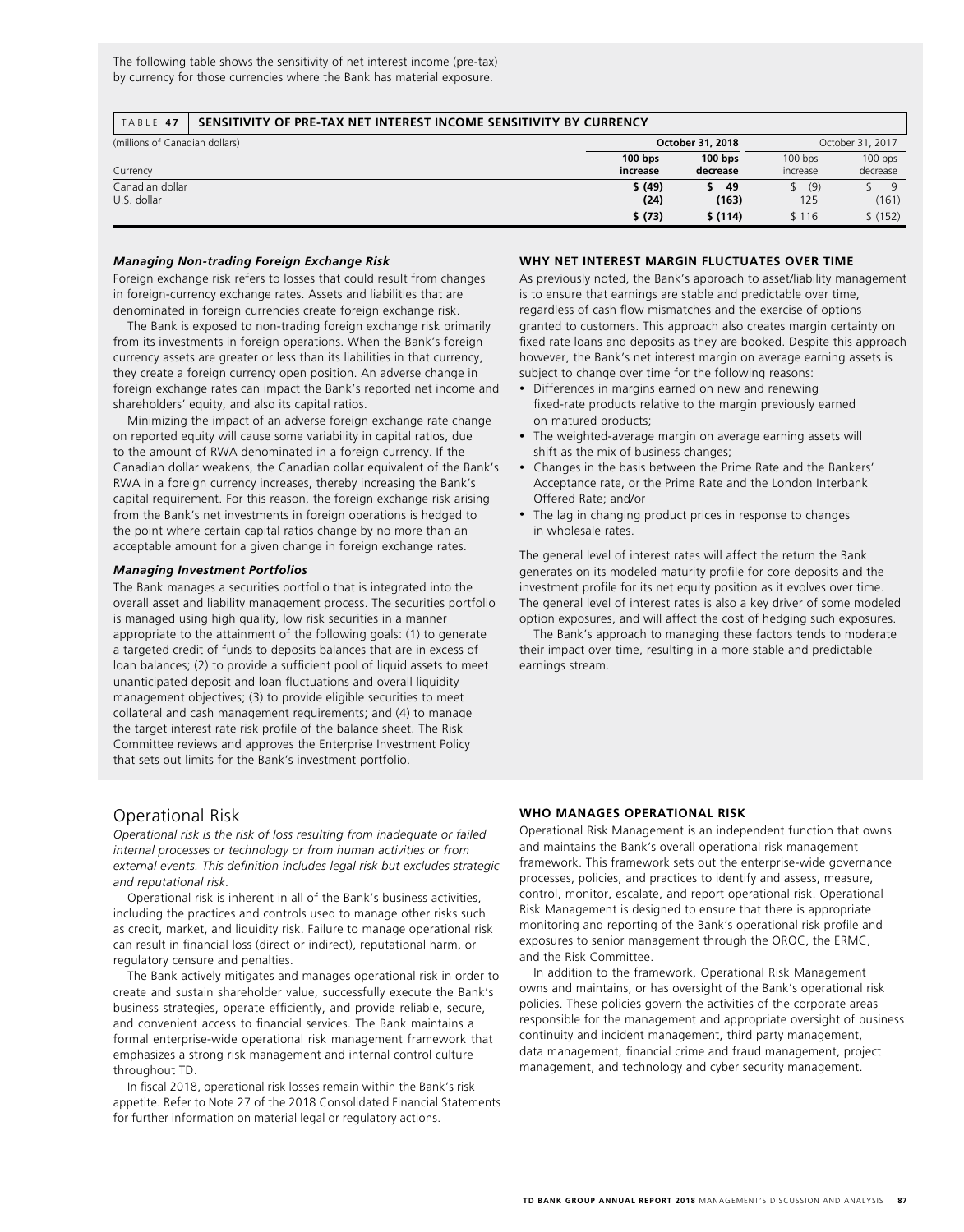The following table shows the sensitivity of net interest income (pre-tax) by currency for those currencies where the Bank has material exposure.

### TABLE **4 7 SENSITIVITY OF PRE-TAX NET INTEREST INCOME SENSITIVITY BY CURRENCY**

| (millions of Canadian dollars) | October 31, 2018 |           | October 31, 2017 |           |
|--------------------------------|------------------|-----------|------------------|-----------|
|                                | $100$ bps        | $100$ bps | $100$ bps        | $100$ bps |
| Currency                       | increase         | decrease  | increase         | decrease  |
| Canadian dollar                | \$ (49)          | 49        | (9)              |           |
| U.S. dollar                    | (24)             | (163)     | 125              | (161)     |
|                                | \$(73)           | \$(114)   | \$116            | \$ (152)  |

#### *Managing Non-trading Foreign Exchange Risk*

Foreign exchange risk refers to losses that could result from changes in foreign-currency exchange rates. Assets and liabilities that are denominated in foreign currencies create foreign exchange risk.

The Bank is exposed to non-trading foreign exchange risk primarily from its investments in foreign operations. When the Bank's foreign currency assets are greater or less than its liabilities in that currency, they create a foreign currency open position. An adverse change in foreign exchange rates can impact the Bank's reported net income and shareholders' equity, and also its capital ratios.

Minimizing the impact of an adverse foreign exchange rate change on reported equity will cause some variability in capital ratios, due to the amount of RWA denominated in a foreign currency. If the Canadian dollar weakens, the Canadian dollar equivalent of the Bank's RWA in a foreign currency increases, thereby increasing the Bank's capital requirement. For this reason, the foreign exchange risk arising from the Bank's net investments in foreign operations is hedged to the point where certain capital ratios change by no more than an acceptable amount for a given change in foreign exchange rates.

### *Managing Investment Portfolios*

The Bank manages a securities portfolio that is integrated into the overall asset and liability management process. The securities portfolio is managed using high quality, low risk securities in a manner appropriate to the attainment of the following goals: (1) to generate a targeted credit of funds to deposits balances that are in excess of loan balances; (2) to provide a sufficient pool of liquid assets to meet unanticipated deposit and loan fluctuations and overall liquidity management objectives; (3) to provide eligible securities to meet collateral and cash management requirements; and (4) to manage the target interest rate risk profile of the balance sheet. The Risk Committee reviews and approves the Enterprise Investment Policy that sets out limits for the Bank's investment portfolio.

### Operational Risk

*Operational risk is the risk of loss resulting from inadequate or failed internal processes or technology or from human activities or from external events. This definition includes legal risk but excludes strategic and reputational risk.*

Operational risk is inherent in all of the Bank's business activities, including the practices and controls used to manage other risks such as credit, market, and liquidity risk. Failure to manage operational risk can result in financial loss (direct or indirect), reputational harm, or regulatory censure and penalties.

The Bank actively mitigates and manages operational risk in order to create and sustain shareholder value, successfully execute the Bank's business strategies, operate efficiently, and provide reliable, secure, and convenient access to financial services. The Bank maintains a formal enterprise-wide operational risk management framework that emphasizes a strong risk management and internal control culture throughout TD.

In fiscal 2018, operational risk losses remain within the Bank's risk appetite. Refer to Note 27 of the 2018 Consolidated Financial Statements for further information on material legal or regulatory actions.

### **WHY NET INTEREST MARGIN FLUCTUATES OVER TIME**

As previously noted, the Bank's approach to asset/liability management is to ensure that earnings are stable and predictable over time, regardless of cash flow mismatches and the exercise of options granted to customers. This approach also creates margin certainty on fixed rate loans and deposits as they are booked. Despite this approach however, the Bank's net interest margin on average earning assets is subject to change over time for the following reasons:

- Differences in margins earned on new and renewing fixed-rate products relative to the margin previously earned on matured products;
- The weighted-average margin on average earning assets will shift as the mix of business changes;
- Changes in the basis between the Prime Rate and the Bankers' Acceptance rate, or the Prime Rate and the London Interbank Offered Rate; and/or
- The lag in changing product prices in response to changes in wholesale rates.

The general level of interest rates will affect the return the Bank generates on its modeled maturity profile for core deposits and the investment profile for its net equity position as it evolves over time. The general level of interest rates is also a key driver of some modeled option exposures, and will affect the cost of hedging such exposures.

The Bank's approach to managing these factors tends to moderate their impact over time, resulting in a more stable and predictable earnings stream.

### **WHO MANAGES OPERATIONAL RISK**

Operational Risk Management is an independent function that owns and maintains the Bank's overall operational risk management framework. This framework sets out the enterprise-wide governance processes, policies, and practices to identify and assess, measure, control, monitor, escalate, and report operational risk. Operational Risk Management is designed to ensure that there is appropriate monitoring and reporting of the Bank's operational risk profile and exposures to senior management through the OROC, the ERMC, and the Risk Committee.

In addition to the framework, Operational Risk Management owns and maintains, or has oversight of the Bank's operational risk policies. These policies govern the activities of the corporate areas responsible for the management and appropriate oversight of business continuity and incident management, third party management, data management, financial crime and fraud management, project management, and technology and cyber security management.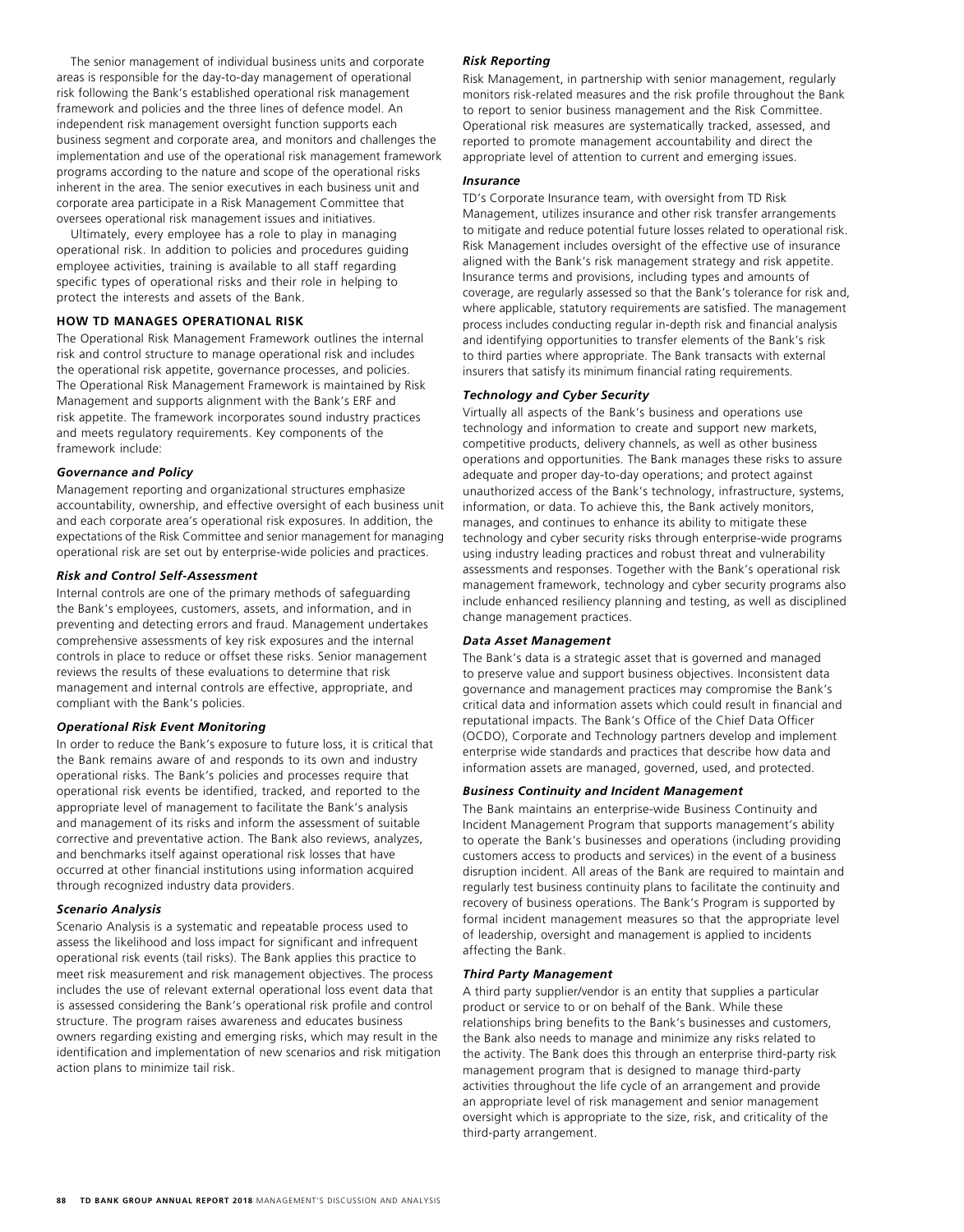The senior management of individual business units and corporate areas is responsible for the day-to-day management of operational risk following the Bank's established operational risk management framework and policies and the three lines of defence model. An independent risk management oversight function supports each business segment and corporate area, and monitors and challenges the implementation and use of the operational risk management framework programs according to the nature and scope of the operational risks inherent in the area. The senior executives in each business unit and corporate area participate in a Risk Management Committee that oversees operational risk management issues and initiatives.

Ultimately, every employee has a role to play in managing operational risk. In addition to policies and procedures guiding employee activities, training is available to all staff regarding specific types of operational risks and their role in helping to protect the interests and assets of the Bank.

### **HOW TD MANAGES OPERATIONAL RISK**

The Operational Risk Management Framework outlines the internal risk and control structure to manage operational risk and includes the operational risk appetite, governance processes, and policies. The Operational Risk Management Framework is maintained by Risk Management and supports alignment with the Bank's ERF and risk appetite. The framework incorporates sound industry practices and meets regulatory requirements. Key components of the framework include:

### *Governance and Policy*

Management reporting and organizational structures emphasize accountability, ownership, and effective oversight of each business unit and each corporate area's operational risk exposures. In addition, the expectations of the Risk Committee and senior management for managing operational risk are set out by enterprise-wide policies and practices.

### *Risk and Control Self-Assessment*

Internal controls are one of the primary methods of safeguarding the Bank's employees, customers, assets, and information, and in preventing and detecting errors and fraud. Management undertakes comprehensive assessments of key risk exposures and the internal controls in place to reduce or offset these risks. Senior management reviews the results of these evaluations to determine that risk management and internal controls are effective, appropriate, and compliant with the Bank's policies.

### *Operational Risk Event Monitoring*

In order to reduce the Bank's exposure to future loss, it is critical that the Bank remains aware of and responds to its own and industry operational risks. The Bank's policies and processes require that operational risk events be identified, tracked, and reported to the appropriate level of management to facilitate the Bank's analysis and management of its risks and inform the assessment of suitable corrective and preventative action. The Bank also reviews, analyzes, and benchmarks itself against operational risk losses that have occurred at other financial institutions using information acquired through recognized industry data providers.

### *Scenario Analysis*

Scenario Analysis is a systematic and repeatable process used to assess the likelihood and loss impact for significant and infrequent operational risk events (tail risks). The Bank applies this practice to meet risk measurement and risk management objectives. The process includes the use of relevant external operational loss event data that is assessed considering the Bank's operational risk profile and control structure. The program raises awareness and educates business owners regarding existing and emerging risks, which may result in the identification and implementation of new scenarios and risk mitigation action plans to minimize tail risk.

### *Risk Reporting*

Risk Management, in partnership with senior management, regularly monitors risk-related measures and the risk profile throughout the Bank to report to senior business management and the Risk Committee. Operational risk measures are systematically tracked, assessed, and reported to promote management accountability and direct the appropriate level of attention to current and emerging issues.

### *Insurance*

TD's Corporate Insurance team, with oversight from TD Risk Management, utilizes insurance and other risk transfer arrangements to mitigate and reduce potential future losses related to operational risk. Risk Management includes oversight of the effective use of insurance aligned with the Bank's risk management strategy and risk appetite. Insurance terms and provisions, including types and amounts of coverage, are regularly assessed so that the Bank's tolerance for risk and, where applicable, statutory requirements are satisfied. The management process includes conducting regular in-depth risk and financial analysis and identifying opportunities to transfer elements of the Bank's risk to third parties where appropriate. The Bank transacts with external insurers that satisfy its minimum financial rating requirements.

### *Technology and Cyber Security*

Virtually all aspects of the Bank's business and operations use technology and information to create and support new markets, competitive products, delivery channels, as well as other business operations and opportunities. The Bank manages these risks to assure adequate and proper day-to-day operations; and protect against unauthorized access of the Bank's technology, infrastructure, systems, information, or data. To achieve this, the Bank actively monitors, manages, and continues to enhance its ability to mitigate these technology and cyber security risks through enterprise-wide programs using industry leading practices and robust threat and vulnerability assessments and responses. Together with the Bank's operational risk management framework, technology and cyber security programs also include enhanced resiliency planning and testing, as well as disciplined change management practices.

### *Data Asset Management*

The Bank's data is a strategic asset that is governed and managed to preserve value and support business objectives. Inconsistent data governance and management practices may compromise the Bank's critical data and information assets which could result in financial and reputational impacts. The Bank's Office of the Chief Data Officer (OCDO), Corporate and Technology partners develop and implement enterprise wide standards and practices that describe how data and information assets are managed, governed, used, and protected.

### *Business Continuity and Incident Management*

The Bank maintains an enterprise-wide Business Continuity and Incident Management Program that supports management's ability to operate the Bank's businesses and operations (including providing customers access to products and services) in the event of a business disruption incident. All areas of the Bank are required to maintain and regularly test business continuity plans to facilitate the continuity and recovery of business operations. The Bank's Program is supported by formal incident management measures so that the appropriate level of leadership, oversight and management is applied to incidents affecting the Bank.

### *Third Party Management*

A third party supplier/vendor is an entity that supplies a particular product or service to or on behalf of the Bank. While these relationships bring benefits to the Bank's businesses and customers, the Bank also needs to manage and minimize any risks related to the activity. The Bank does this through an enterprise third-party risk management program that is designed to manage third-party activities throughout the life cycle of an arrangement and provide an appropriate level of risk management and senior management oversight which is appropriate to the size, risk, and criticality of the third-party arrangement.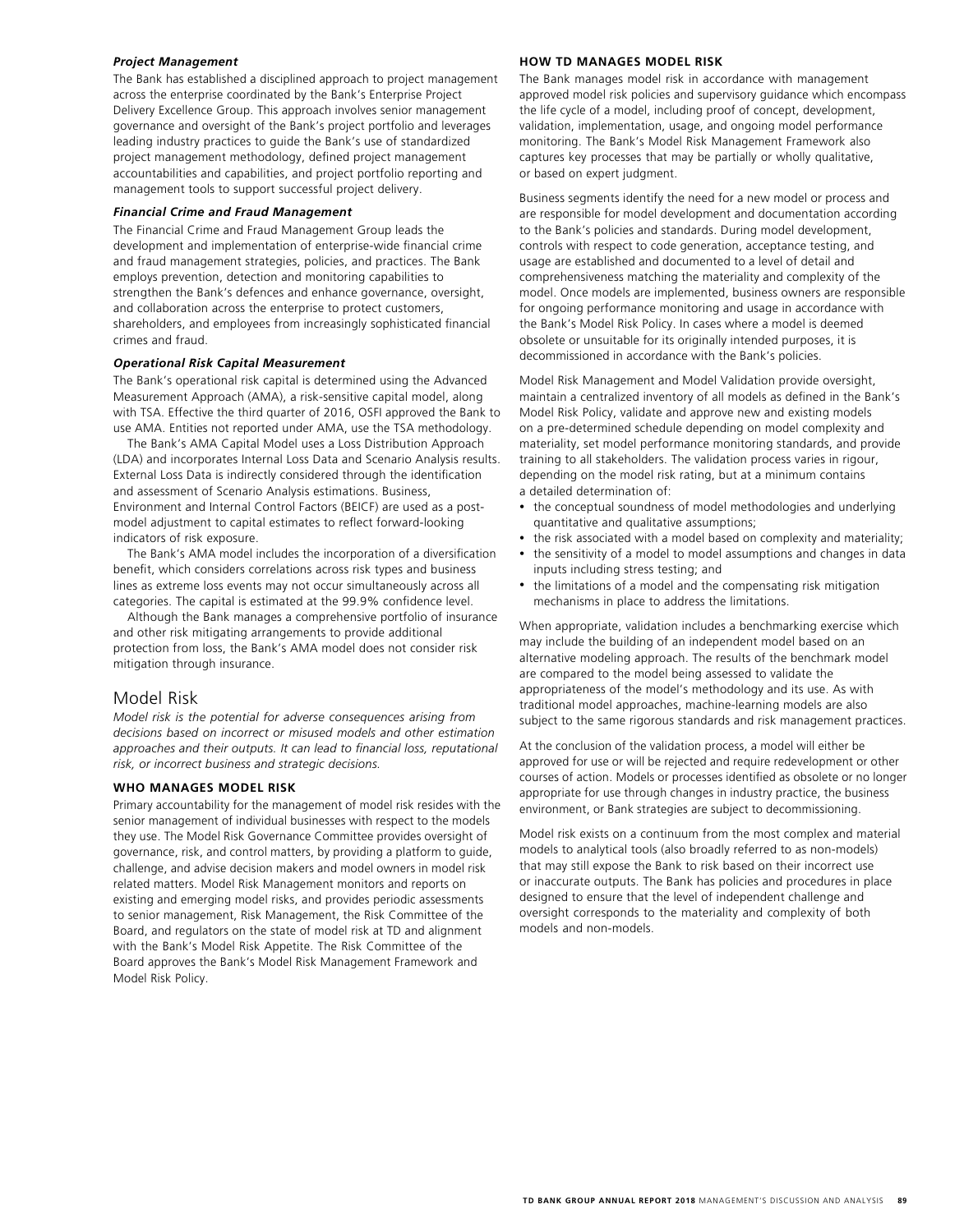### *Project Management*

The Bank has established a disciplined approach to project management across the enterprise coordinated by the Bank's Enterprise Project Delivery Excellence Group. This approach involves senior management governance and oversight of the Bank's project portfolio and leverages leading industry practices to guide the Bank's use of standardized project management methodology, defined project management accountabilities and capabilities, and project portfolio reporting and management tools to support successful project delivery.

### *Financial Crime and Fraud Management*

The Financial Crime and Fraud Management Group leads the development and implementation of enterprise-wide financial crime and fraud management strategies, policies, and practices. The Bank employs prevention, detection and monitoring capabilities to strengthen the Bank's defences and enhance governance, oversight, and collaboration across the enterprise to protect customers, shareholders, and employees from increasingly sophisticated financial crimes and fraud.

### *Operational Risk Capital Measurement*

The Bank's operational risk capital is determined using the Advanced Measurement Approach (AMA), a risk-sensitive capital model, along with TSA. Effective the third quarter of 2016, OSFI approved the Bank to use AMA. Entities not reported under AMA, use the TSA methodology.

The Bank's AMA Capital Model uses a Loss Distribution Approach (LDA) and incorporates Internal Loss Data and Scenario Analysis results. External Loss Data is indirectly considered through the identification and assessment of Scenario Analysis estimations. Business, Environment and Internal Control Factors (BEICF) are used as a postmodel adjustment to capital estimates to reflect forward-looking indicators of risk exposure.

The Bank's AMA model includes the incorporation of a diversification benefit, which considers correlations across risk types and business lines as extreme loss events may not occur simultaneously across all categories. The capital is estimated at the 99.9% confidence level.

Although the Bank manages a comprehensive portfolio of insurance and other risk mitigating arrangements to provide additional protection from loss, the Bank's AMA model does not consider risk mitigation through insurance.

### Model Risk

*Model risk is the potential for adverse consequences arising from decisions based on incorrect or misused models and other estimation approaches and their outputs. It can lead to financial loss, reputational risk, or incorrect business and strategic decisions.*

### **WHO MANAGES MODEL RISK**

Primary accountability for the management of model risk resides with the senior management of individual businesses with respect to the models they use. The Model Risk Governance Committee provides oversight of governance, risk, and control matters, by providing a platform to guide, challenge, and advise decision makers and model owners in model risk related matters. Model Risk Management monitors and reports on existing and emerging model risks, and provides periodic assessments to senior management, Risk Management, the Risk Committee of the Board, and regulators on the state of model risk at TD and alignment with the Bank's Model Risk Appetite. The Risk Committee of the Board approves the Bank's Model Risk Management Framework and Model Risk Policy.

### **HOW TD MANAGES MODEL RISK**

The Bank manages model risk in accordance with management approved model risk policies and supervisory guidance which encompass the life cycle of a model, including proof of concept, development, validation, implementation, usage, and ongoing model performance monitoring. The Bank's Model Risk Management Framework also captures key processes that may be partially or wholly qualitative, or based on expert judgment.

Business segments identify the need for a new model or process and are responsible for model development and documentation according to the Bank's policies and standards. During model development, controls with respect to code generation, acceptance testing, and usage are established and documented to a level of detail and comprehensiveness matching the materiality and complexity of the model. Once models are implemented, business owners are responsible for ongoing performance monitoring and usage in accordance with the Bank's Model Risk Policy. In cases where a model is deemed obsolete or unsuitable for its originally intended purposes, it is decommissioned in accordance with the Bank's policies.

Model Risk Management and Model Validation provide oversight, maintain a centralized inventory of all models as defined in the Bank's Model Risk Policy, validate and approve new and existing models on a pre-determined schedule depending on model complexity and materiality, set model performance monitoring standards, and provide training to all stakeholders. The validation process varies in rigour, depending on the model risk rating, but at a minimum contains a detailed determination of:

- the conceptual soundness of model methodologies and underlying quantitative and qualitative assumptions;
- the risk associated with a model based on complexity and materiality;
- the sensitivity of a model to model assumptions and changes in data inputs including stress testing; and
- the limitations of a model and the compensating risk mitigation mechanisms in place to address the limitations.

When appropriate, validation includes a benchmarking exercise which may include the building of an independent model based on an alternative modeling approach. The results of the benchmark model are compared to the model being assessed to validate the appropriateness of the model's methodology and its use. As with traditional model approaches, machine-learning models are also subject to the same rigorous standards and risk management practices.

At the conclusion of the validation process, a model will either be approved for use or will be rejected and require redevelopment or other courses of action. Models or processes identified as obsolete or no longer appropriate for use through changes in industry practice, the business environment, or Bank strategies are subject to decommissioning.

Model risk exists on a continuum from the most complex and material models to analytical tools (also broadly referred to as non-models) that may still expose the Bank to risk based on their incorrect use or inaccurate outputs. The Bank has policies and procedures in place designed to ensure that the level of independent challenge and oversight corresponds to the materiality and complexity of both models and non-models.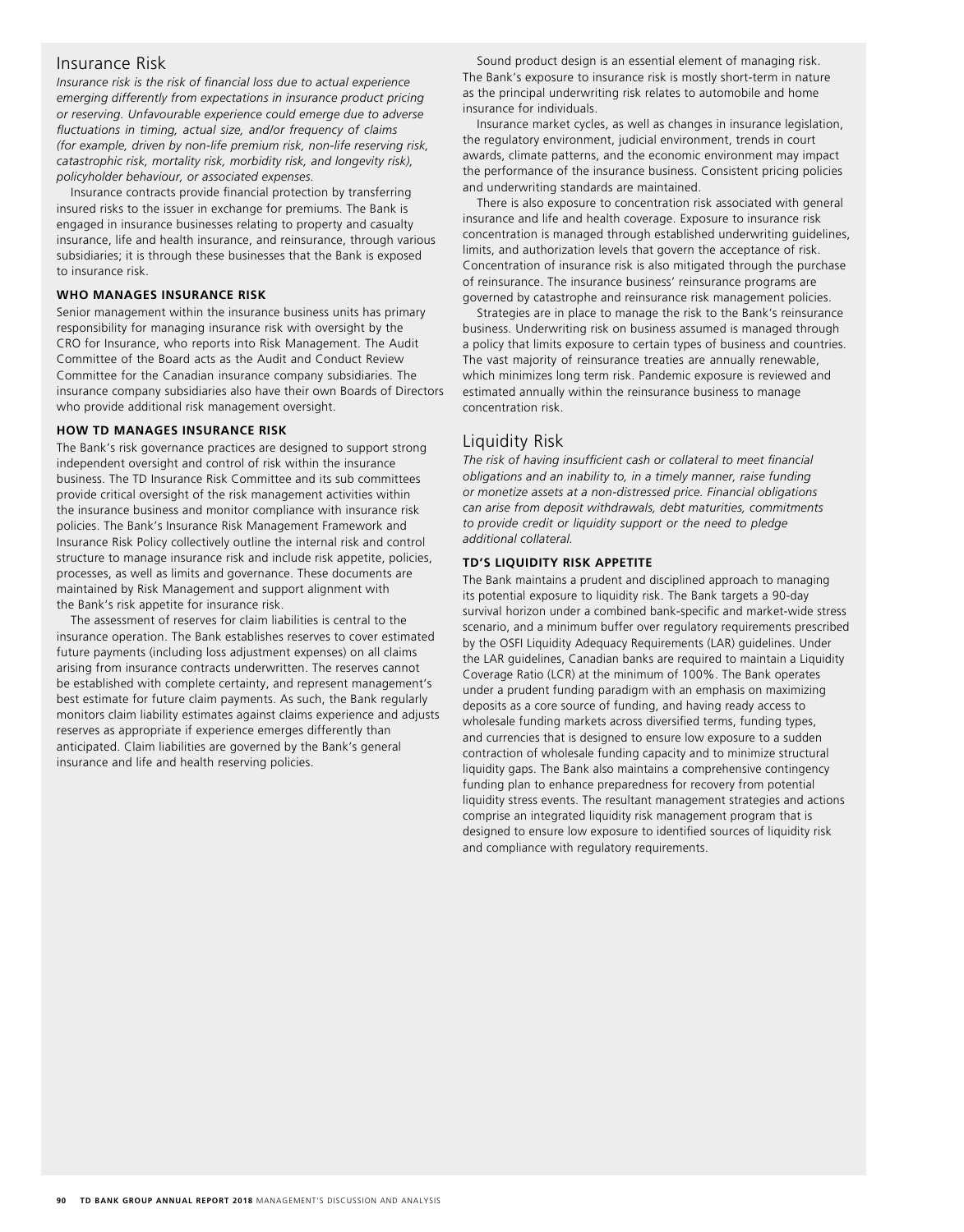### Insurance Risk

*Insurance risk is the risk of financial loss due to actual experience emerging differently from expectations in insurance product pricing or reserving. Unfavourable experience could emerge due to adverse fluctuations in timing, actual size, and/or frequency of claims (for example, driven by non-life premium risk, non-life reserving risk, catastrophic risk, mortality risk, morbidity risk, and longevity risk), policyholder behaviour, or associated expenses.*

Insurance contracts provide financial protection by transferring insured risks to the issuer in exchange for premiums. The Bank is engaged in insurance businesses relating to property and casualty insurance, life and health insurance, and reinsurance, through various subsidiaries; it is through these businesses that the Bank is exposed to insurance risk.

### **WHO MANAGES INSURANCE RISK**

Senior management within the insurance business units has primary responsibility for managing insurance risk with oversight by the CRO for Insurance, who reports into Risk Management. The Audit Committee of the Board acts as the Audit and Conduct Review Committee for the Canadian insurance company subsidiaries. The insurance company subsidiaries also have their own Boards of Directors who provide additional risk management oversight.

### **HOW TD MANAGES INSURANCE RISK**

The Bank's risk governance practices are designed to support strong independent oversight and control of risk within the insurance business. The TD Insurance Risk Committee and its sub committees provide critical oversight of the risk management activities within the insurance business and monitor compliance with insurance risk policies. The Bank's Insurance Risk Management Framework and Insurance Risk Policy collectively outline the internal risk and control structure to manage insurance risk and include risk appetite, policies, processes, as well as limits and governance. These documents are maintained by Risk Management and support alignment with the Bank's risk appetite for insurance risk.

The assessment of reserves for claim liabilities is central to the insurance operation. The Bank establishes reserves to cover estimated future payments (including loss adjustment expenses) on all claims arising from insurance contracts underwritten. The reserves cannot be established with complete certainty, and represent management's best estimate for future claim payments. As such, the Bank regularly monitors claim liability estimates against claims experience and adjusts reserves as appropriate if experience emerges differently than anticipated. Claim liabilities are governed by the Bank's general insurance and life and health reserving policies.

Sound product design is an essential element of managing risk. The Bank's exposure to insurance risk is mostly short-term in nature as the principal underwriting risk relates to automobile and home insurance for individuals.

Insurance market cycles, as well as changes in insurance legislation, the regulatory environment, judicial environment, trends in court awards, climate patterns, and the economic environment may impact the performance of the insurance business. Consistent pricing policies and underwriting standards are maintained.

There is also exposure to concentration risk associated with general insurance and life and health coverage. Exposure to insurance risk concentration is managed through established underwriting guidelines, limits, and authorization levels that govern the acceptance of risk. Concentration of insurance risk is also mitigated through the purchase of reinsurance. The insurance business' reinsurance programs are governed by catastrophe and reinsurance risk management policies.

Strategies are in place to manage the risk to the Bank's reinsurance business. Underwriting risk on business assumed is managed through a policy that limits exposure to certain types of business and countries. The vast majority of reinsurance treaties are annually renewable, which minimizes long term risk. Pandemic exposure is reviewed and estimated annually within the reinsurance business to manage concentration risk.

### Liquidity Risk

*The risk of having insufficient cash or collateral to meet financial obligations and an inability to, in a timely manner, raise funding or monetize assets at a non-distressed price. Financial obligations can arise from deposit withdrawals, debt maturities, commitments to provide credit or liquidity support or the need to pledge additional collateral.*

### **TD'S LIQUIDITY RISK APPETITE**

The Bank maintains a prudent and disciplined approach to managing its potential exposure to liquidity risk. The Bank targets a 90-day survival horizon under a combined bank-specific and market-wide stress scenario, and a minimum buffer over regulatory requirements prescribed by the OSFI Liquidity Adequacy Requirements (LAR) guidelines. Under the LAR guidelines, Canadian banks are required to maintain a Liquidity Coverage Ratio (LCR) at the minimum of 100%. The Bank operates under a prudent funding paradigm with an emphasis on maximizing deposits as a core source of funding, and having ready access to wholesale funding markets across diversified terms, funding types, and currencies that is designed to ensure low exposure to a sudden contraction of wholesale funding capacity and to minimize structural liquidity gaps. The Bank also maintains a comprehensive contingency funding plan to enhance preparedness for recovery from potential liquidity stress events. The resultant management strategies and actions comprise an integrated liquidity risk management program that is designed to ensure low exposure to identified sources of liquidity risk and compliance with regulatory requirements.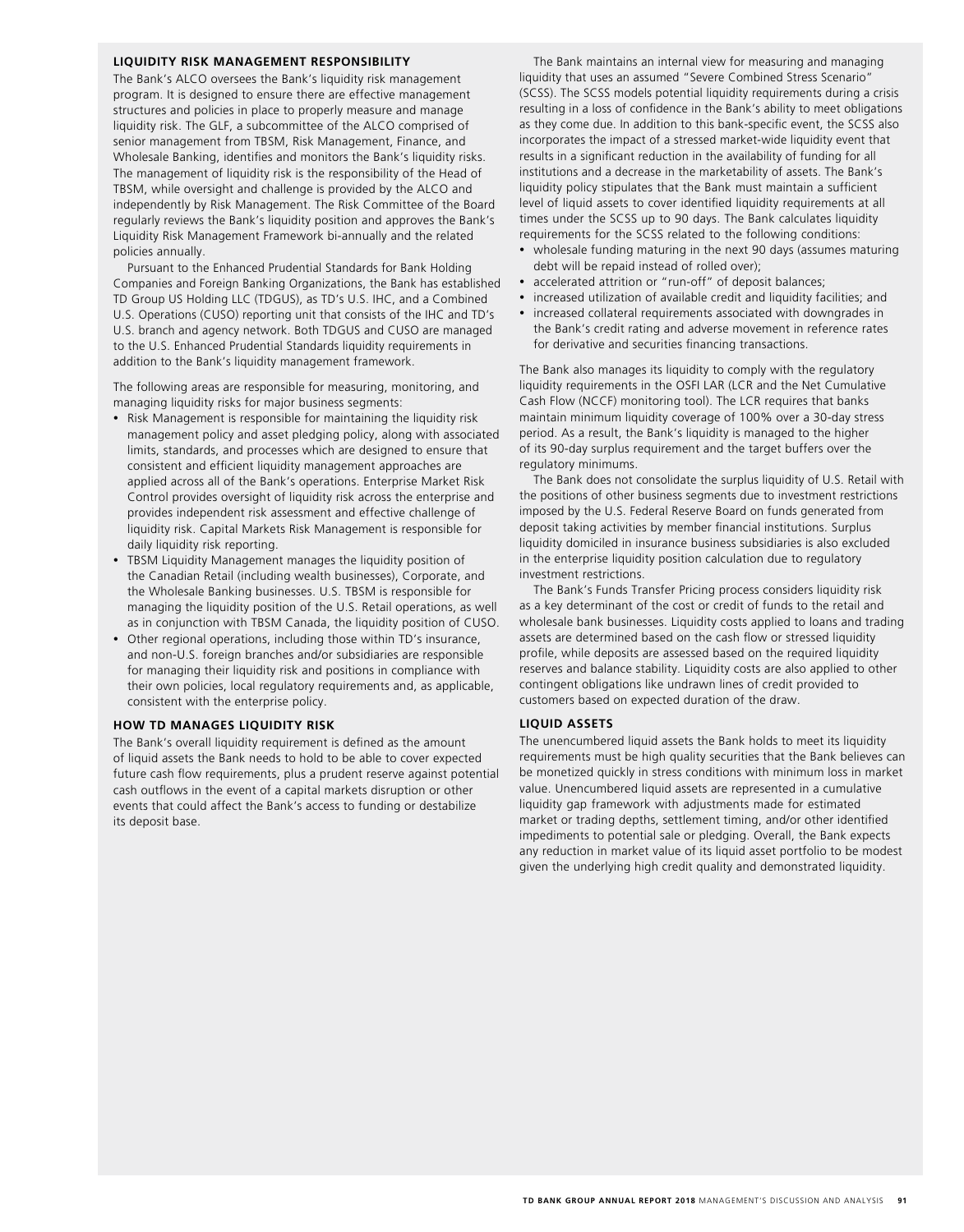### **LIQUIDITY RISK MANAGEMENT RESPONSIBILITY**

The Bank's ALCO oversees the Bank's liquidity risk management program. It is designed to ensure there are effective management structures and policies in place to properly measure and manage liquidity risk. The GLF, a subcommittee of the ALCO comprised of senior management from TBSM, Risk Management, Finance, and Wholesale Banking, identifies and monitors the Bank's liquidity risks. The management of liquidity risk is the responsibility of the Head of TBSM, while oversight and challenge is provided by the ALCO and independently by Risk Management. The Risk Committee of the Board regularly reviews the Bank's liquidity position and approves the Bank's Liquidity Risk Management Framework bi-annually and the related policies annually.

Pursuant to the Enhanced Prudential Standards for Bank Holding Companies and Foreign Banking Organizations, the Bank has established TD Group US Holding LLC (TDGUS), as TD's U.S. IHC, and a Combined U.S. Operations (CUSO) reporting unit that consists of the IHC and TD's U.S. branch and agency network. Both TDGUS and CUSO are managed to the U.S. Enhanced Prudential Standards liquidity requirements in addition to the Bank's liquidity management framework.

The following areas are responsible for measuring, monitoring, and managing liquidity risks for major business segments:

- Risk Management is responsible for maintaining the liquidity risk management policy and asset pledging policy, along with associated limits, standards, and processes which are designed to ensure that consistent and efficient liquidity management approaches are applied across all of the Bank's operations. Enterprise Market Risk Control provides oversight of liquidity risk across the enterprise and provides independent risk assessment and effective challenge of liquidity risk. Capital Markets Risk Management is responsible for daily liquidity risk reporting.
- TBSM Liquidity Management manages the liquidity position of the Canadian Retail (including wealth businesses), Corporate, and the Wholesale Banking businesses. U.S. TBSM is responsible for managing the liquidity position of the U.S. Retail operations, as well as in conjunction with TBSM Canada, the liquidity position of CUSO.
- Other regional operations, including those within TD's insurance, and non-U.S. foreign branches and/or subsidiaries are responsible for managing their liquidity risk and positions in compliance with their own policies, local regulatory requirements and, as applicable, consistent with the enterprise policy.

### **HOW TD MANAGES LIQUIDITY RISK**

The Bank's overall liquidity requirement is defined as the amount of liquid assets the Bank needs to hold to be able to cover expected future cash flow requirements, plus a prudent reserve against potential cash outflows in the event of a capital markets disruption or other events that could affect the Bank's access to funding or destabilize its deposit base.

The Bank maintains an internal view for measuring and managing liquidity that uses an assumed "Severe Combined Stress Scenario" (SCSS). The SCSS models potential liquidity requirements during a crisis resulting in a loss of confidence in the Bank's ability to meet obligations as they come due. In addition to this bank-specific event, the SCSS also incorporates the impact of a stressed market-wide liquidity event that results in a significant reduction in the availability of funding for all institutions and a decrease in the marketability of assets. The Bank's liquidity policy stipulates that the Bank must maintain a sufficient level of liquid assets to cover identified liquidity requirements at all times under the SCSS up to 90 days. The Bank calculates liquidity requirements for the SCSS related to the following conditions:

- wholesale funding maturing in the next 90 days (assumes maturing debt will be repaid instead of rolled over);
- accelerated attrition or "run-off" of deposit balances;
- increased utilization of available credit and liquidity facilities; and • increased collateral requirements associated with downgrades in the Bank's credit rating and adverse movement in reference rates for derivative and securities financing transactions.

The Bank also manages its liquidity to comply with the regulatory liquidity requirements in the OSFI LAR (LCR and the Net Cumulative Cash Flow (NCCF) monitoring tool). The LCR requires that banks maintain minimum liquidity coverage of 100% over a 30-day stress period. As a result, the Bank's liquidity is managed to the higher of its 90-day surplus requirement and the target buffers over the regulatory minimums.

The Bank does not consolidate the surplus liquidity of U.S. Retail with the positions of other business segments due to investment restrictions imposed by the U.S. Federal Reserve Board on funds generated from deposit taking activities by member financial institutions. Surplus liquidity domiciled in insurance business subsidiaries is also excluded in the enterprise liquidity position calculation due to regulatory investment restrictions.

The Bank's Funds Transfer Pricing process considers liquidity risk as a key determinant of the cost or credit of funds to the retail and wholesale bank businesses. Liquidity costs applied to loans and trading assets are determined based on the cash flow or stressed liquidity profile, while deposits are assessed based on the required liquidity reserves and balance stability. Liquidity costs are also applied to other contingent obligations like undrawn lines of credit provided to customers based on expected duration of the draw.

#### **LIQUID ASSETS**

The unencumbered liquid assets the Bank holds to meet its liquidity requirements must be high quality securities that the Bank believes can be monetized quickly in stress conditions with minimum loss in market value. Unencumbered liquid assets are represented in a cumulative liquidity gap framework with adjustments made for estimated market or trading depths, settlement timing, and/or other identified impediments to potential sale or pledging. Overall, the Bank expects any reduction in market value of its liquid asset portfolio to be modest given the underlying high credit quality and demonstrated liquidity.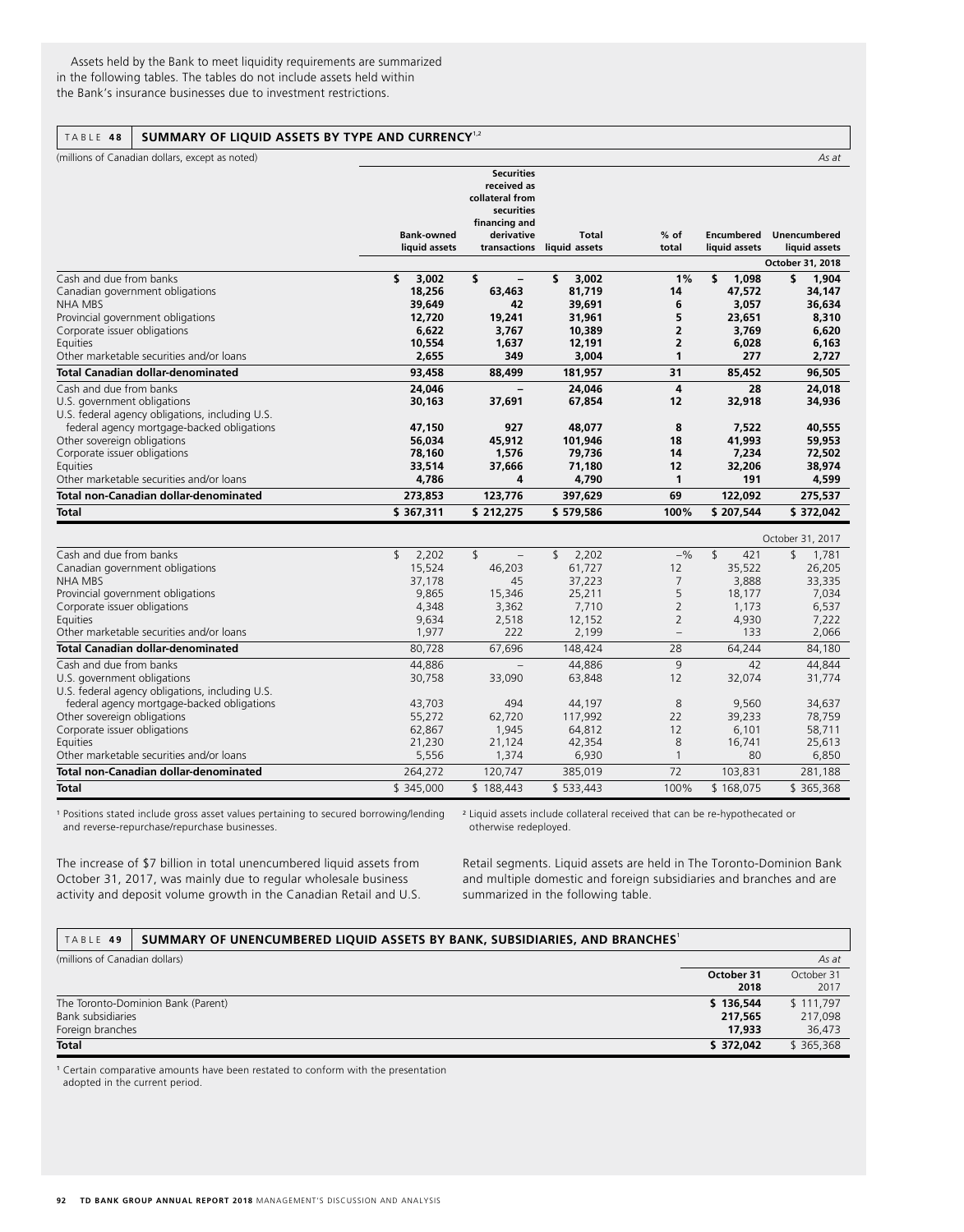### TABLE 48 | SUMMARY OF LIQUID ASSETS BY TYPE AND CURRENCY<sup>1,2</sup>

(millions of Canadian dollars, except as noted) *As at*

| securities<br>financing and                                                                                                                                             |                       |
|-------------------------------------------------------------------------------------------------------------------------------------------------------------------------|-----------------------|
| <b>Bank-owned</b><br>derivative<br>$%$ of<br>Encumbered<br><b>Total</b>                                                                                                 | Unencumbered          |
| liquid assets<br>transactions<br>liquid assets<br>total<br>liquid assets                                                                                                | liquid assets         |
| \$<br>\$<br>1,098<br>\$                                                                                                                                                 | October 31, 2018      |
| Cash and due from banks<br>3,002<br>s.<br>3,002<br>1%<br>$\overline{\phantom{0}}$<br>18,256<br>63,463<br>81,719<br>47,572<br>Canadian government obligations<br>14      | s.<br>1,904<br>34,147 |
| <b>NHA MBS</b><br>39,649<br>42<br>39,691<br>6<br>3,057                                                                                                                  | 36,634                |
| 5<br>Provincial government obligations<br>12,720<br>19,241<br>31,961<br>23,651                                                                                          | 8,310                 |
| Corporate issuer obligations<br>6,622<br>3.767<br>10,389<br>$\overline{2}$<br>3.769                                                                                     | 6,620                 |
| Equities<br>10,554<br>1,637<br>12,191<br>2<br>6,028                                                                                                                     | 6,163                 |
| Other marketable securities and/or loans<br>2,655<br>349<br>3,004<br>1<br>277                                                                                           | 2,727                 |
| <b>Total Canadian dollar denominated</b><br>88,499<br>31<br>85,452<br>93,458<br>181,957                                                                                 | 96,505                |
| 4<br>Cash and due from banks<br>24.046<br>24,046<br>28<br>$\overline{\phantom{0}}$                                                                                      | 24.018                |
| U.S. government obligations<br>37,691<br>67,854<br>12<br>32,918<br>30,163                                                                                               | 34,936                |
| U.S. federal agency obligations, including U.S.                                                                                                                         |                       |
| 8<br>federal agency mortgage-backed obligations<br>927<br>48,077<br>7,522<br>47,150                                                                                     | 40,555                |
| Other sovereign obligations<br>56,034<br>45,912<br>101,946<br>18<br>41,993                                                                                              | 59,953                |
| Corporate issuer obligations<br>1,576<br>7,234<br>78,160<br>79,736<br>14                                                                                                | 72,502                |
| 37,666<br>Equities<br>33,514<br>71,180<br>12<br>32,206<br>Other marketable securities and/or loans<br>$\mathbf{1}$<br>191<br>4                                          | 38,974                |
| 4,786<br>4,790<br>69                                                                                                                                                    | 4,599                 |
| Total non-Canadian dollar-denominated<br>273,853<br>123,776<br>122,092<br>397,629<br>100%<br>Total<br>\$367,311<br>\$212,275<br>\$579,586<br>\$207,544                  | 275,537<br>\$372,042  |
|                                                                                                                                                                         |                       |
|                                                                                                                                                                         | October 31, 2017      |
| Cash and due from banks<br>\$<br>$-$ %<br>$\mathfrak{L}$<br>421<br>\$<br>2,202<br>$\mathsf S$<br>2,202<br>$\overline{a}$                                                | \$<br>1,781           |
| 15,524<br>46,203<br>61,727<br>12<br>35,522<br>Canadian government obligations                                                                                           | 26,205                |
| $\overline{7}$<br>3,888<br><b>NHA MBS</b><br>37,178<br>45<br>37,223                                                                                                     | 33,335                |
| 5<br>Provincial government obligations<br>9,865<br>15,346<br>25,211<br>18,177                                                                                           | 7,034                 |
| $\overline{2}$<br>Corporate issuer obligations<br>4,348<br>3,362<br>7,710<br>1,173                                                                                      | 6,537                 |
| $\overline{2}$<br>Equities<br>9,634<br>2,518<br>12,152<br>4,930<br>Other marketable securities and/or loans<br>1,977<br>222<br>2,199<br>133<br>$\overline{\phantom{a}}$ | 7,222<br>2,066        |
| <b>Total Canadian dollar-denominated</b><br>80,728<br>67,696<br>28<br>64,244<br>148,424                                                                                 | 84,180                |
| 9<br>42<br>Cash and due from banks<br>44,886<br>44.886                                                                                                                  | 44.844                |
| U.S. government obligations<br>30,758<br>63,848<br>32,074<br>33,090<br>12                                                                                               | 31,774                |
| U.S. federal agency obligations, including U.S.                                                                                                                         |                       |
| federal agency mortgage-backed obligations<br>8<br>43.703<br>494<br>44,197<br>9,560                                                                                     | 34.637                |
| Other sovereign obligations<br>55,272<br>62,720<br>117,992<br>22<br>39,233                                                                                              | 78,759                |
| Corporate issuer obligations<br>1,945<br>12<br>6,101<br>62,867<br>64,812                                                                                                | 58,711                |
| Equities<br>21,230<br>21,124<br>42,354<br>8<br>16,741                                                                                                                   | 25,613                |
| Other marketable securities and/or loans<br>5,556<br>1,374<br>6,930<br>$\mathbf{1}$<br>80                                                                               | 6,850                 |
| 72<br>Total non-Canadian dollar-denominated<br>264,272<br>120,747<br>385,019<br>103,831                                                                                 | 281,188               |
| Total<br>\$345,000<br>\$533,443<br>100%<br>\$168,075<br>\$188,443                                                                                                       | \$365,368             |

<sup>1</sup> Positions stated include gross asset values pertaining to secured borrowing/lending and reverse-repurchase/repurchase businesses.

<sup>2</sup> Liquid assets include collateral received that can be re-hypothecated or otherwise redeployed.

The increase of \$7 billion in total unencumbered liquid assets from October 31, 2017, was mainly due to regular wholesale business activity and deposit volume growth in the Canadian Retail and U.S. Retail segments. Liquid assets are held in The Toronto-Dominion Bank and multiple domestic and foreign subsidiaries and branches and are summarized in the following table.

| TABLE 49                           | SUMMARY OF UNENCUMBERED LIQUID ASSETS BY BANK, SUBSIDIARIES, AND BRANCHES |            |            |
|------------------------------------|---------------------------------------------------------------------------|------------|------------|
| (millions of Canadian dollars)     |                                                                           |            | As at      |
|                                    |                                                                           | October 31 | October 31 |
|                                    |                                                                           | 2018       | 2017       |
| The Toronto-Dominion Bank (Parent) |                                                                           | \$136,544  | \$111,797  |
| Bank subsidiaries                  |                                                                           | 217,565    | 217,098    |
| Foreign branches                   |                                                                           | 17,933     | 36,473     |
| <b>Total</b>                       |                                                                           | \$372,042  | \$365,368  |

<sup>1</sup> Certain comparative amounts have been restated to conform with the presentation adopted in the current period.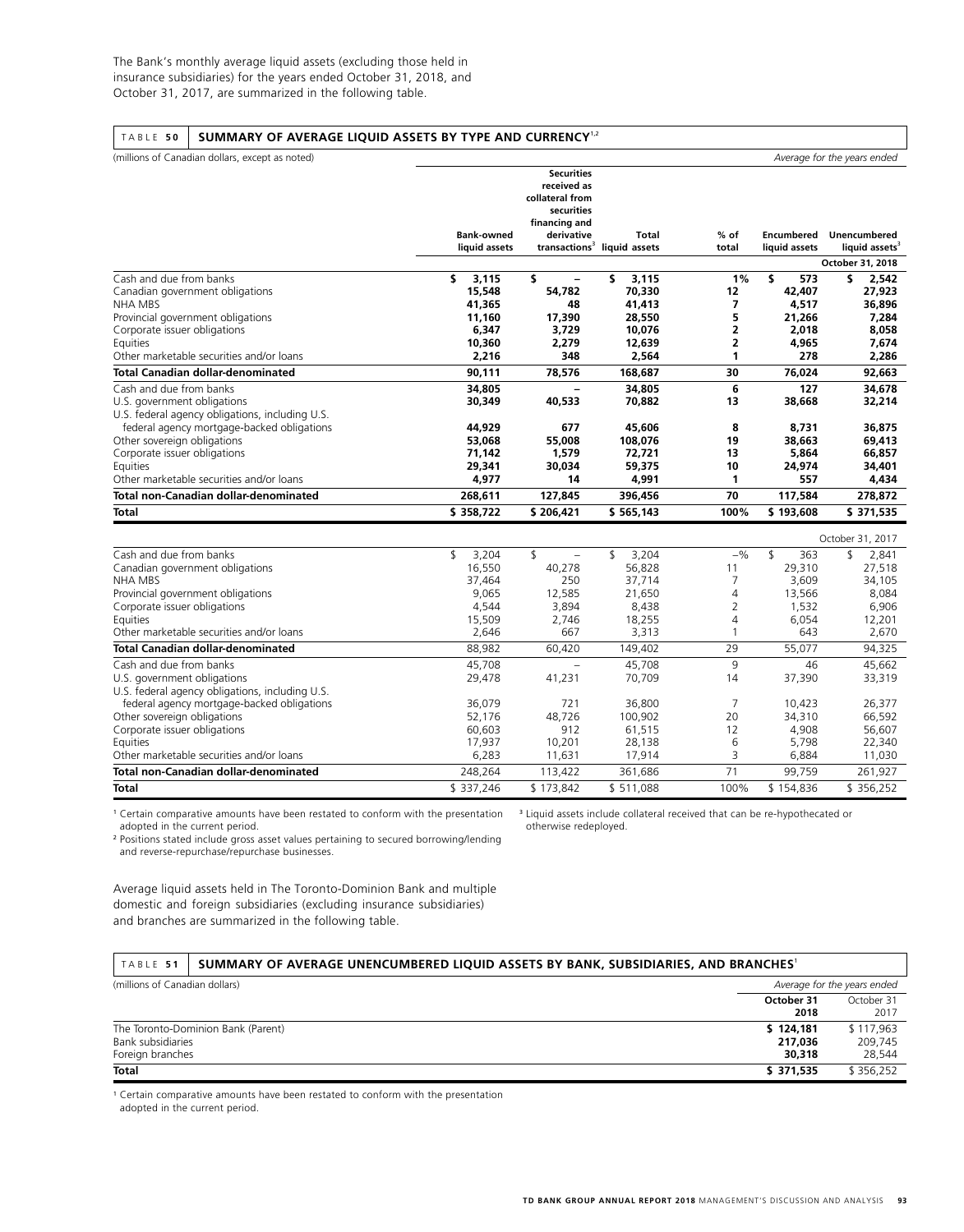### TABLE **50 SUMMARY OF AVERAGE LIQUID ASSETS BY TYPE AND CURRENCY<sup>12</sup>**

| (millions of Canadian dollars, except as noted) |                   |                   |                                         |                         |                      | Average for the years ended |
|-------------------------------------------------|-------------------|-------------------|-----------------------------------------|-------------------------|----------------------|-----------------------------|
|                                                 |                   | <b>Securities</b> |                                         |                         |                      |                             |
|                                                 |                   | received as       |                                         |                         |                      |                             |
|                                                 |                   | collateral from   |                                         |                         |                      |                             |
|                                                 |                   | securities        |                                         |                         |                      |                             |
|                                                 |                   | financing and     |                                         |                         |                      |                             |
|                                                 | <b>Bank-owned</b> | derivative        | <b>Total</b>                            | $%$ of                  |                      | Encumbered Unencumbered     |
|                                                 | liquid assets     |                   | transactions <sup>3</sup> liquid assets | total                   | liquid assets        | liquid assets <sup>3</sup>  |
|                                                 |                   |                   |                                         |                         |                      | October 31, 2018            |
| Cash and due from banks                         | \$<br>3,115       | \$                | \$<br>3.115                             | 1%                      | \$<br>573            | Ś.<br>2,542                 |
| Canadian government obligations                 | 15,548            | 54,782            | 70,330                                  | 12                      | 42,407               | 27,923                      |
| <b>NHA MBS</b>                                  | 41,365            | 48                | 41,413                                  | 7                       | 4,517                | 36,896                      |
| Provincial government obligations               | 11,160            | 17,390            | 28,550                                  | 5                       | 21,266               | 7.284                       |
| Corporate issuer obligations                    | 6,347             | 3,729             | 10,076                                  | 2                       | 2,018                | 8,058                       |
| Equities                                        | 10,360            | 2,279             | 12,639                                  | $\overline{\mathbf{2}}$ | 4,965                | 7,674                       |
| Other marketable securities and/or loans        | 2,216             | 348               | 2,564                                   | 1                       | 278                  | 2,286                       |
| <b>Total Canadian dollar-denominated</b>        | 90,111            | 78,576            | 168,687                                 | 30                      | 76,024               | 92,663                      |
| Cash and due from banks                         | 34,805            |                   | 34,805                                  | 6                       | 127                  | 34,678                      |
| U.S. government obligations                     | 30,349            | 40,533            | 70,882                                  | 13                      | 38,668               | 32,214                      |
| U.S. federal agency obligations, including U.S. |                   |                   |                                         |                         |                      |                             |
| federal agency mortgage-backed obligations      | 44,929            | 677               | 45,606                                  | 8                       | 8,731                | 36,875                      |
| Other sovereign obligations                     | 53,068            | 55,008            | 108,076                                 | 19                      | 38,663               | 69,413                      |
| Corporate issuer obligations                    | 71,142            | 1,579             | 72,721                                  | 13                      | 5,864                | 66,857                      |
| Equities                                        | 29,341            | 30,034            | 59,375                                  | 10                      | 24,974               | 34,401                      |
| Other marketable securities and/or loans        | 4,977             | 14                | 4,991                                   | $\mathbf{1}$            | 557                  | 4,434                       |
| <b>Total non-Canadian dollar-denominated</b>    | 268,611           | 127,845           | 396,456                                 | 70                      | 117,584              | 278,872                     |
| Total                                           | \$358,722         | \$206,421         | \$565,143                               | 100%                    | \$193,608            | \$371,535                   |
|                                                 |                   |                   |                                         |                         |                      | October 31, 2017            |
| Cash and due from banks                         | 3,204<br>\$       | \$                | \$<br>3,204                             | $-$ %                   | $\mathcal{L}$<br>363 | \$<br>2,841                 |
| Canadian government obligations                 | 16,550            | 40,278            | 56,828                                  | 11                      | 29,310               | 27,518                      |
| <b>NHA MBS</b>                                  | 37,464            | 250               | 37,714                                  | $\overline{7}$          | 3,609                | 34,105                      |
| Provincial government obligations               | 9,065             | 12,585            | 21,650                                  | 4                       | 13,566               | 8,084                       |
| Corporate issuer obligations                    | 4,544             | 3,894             | 8,438                                   | 2                       | 1,532                | 6,906                       |
| Equities                                        | 15,509            | 2,746             | 18,255                                  | 4                       | 6,054                | 12,201                      |
| Other marketable securities and/or loans        | 2,646             | 667               | 3,313                                   | 1                       | 643                  | 2,670                       |
| <b>Total Canadian dollar denominated</b>        | 88,982            | 60,420            | 149,402                                 | 29                      | 55,077               | 94,325                      |
| Cash and due from banks                         | 45,708            | $\equiv$          | 45,708                                  | 9                       | 46                   | 45,662                      |
| U.S. government obligations                     | 29,478            | 41,231            | 70,709                                  | 14                      | 37,390               | 33,319                      |
| U.S. federal agency obligations, including U.S. |                   |                   |                                         |                         |                      |                             |
| federal agency mortgage-backed obligations      | 36,079            | 721               | 36,800                                  | $\overline{7}$          | 10,423               | 26,377                      |
| Other sovereign obligations                     | 52,176            | 48,726            | 100,902                                 | 20                      | 34,310               | 66,592                      |
| Corporate issuer obligations                    | 60,603            | 912               | 61,515                                  | 12                      | 4,908                | 56,607                      |
| Equities                                        | 17,937            | 10,201            | 28,138                                  | 6                       | 5,798                | 22,340                      |
| Other marketable securities and/or loans        | 6,283             | 11,631            | 17,914                                  | 3                       | 6,884                | 11,030                      |
| <b>Total non-Canadian dollar-denominated</b>    | 248,264           | 113,422           | 361,686                                 | 71                      | 99.759               | 261,927                     |
| <b>Total</b>                                    | \$337,246         | \$173,842         | \$511,088                               | 100%                    | \$154,836            | \$356,252                   |

<sup>1</sup> Certain comparative amounts have been restated to conform with the presentation adopted in the current period.

<sup>3</sup> Liquid assets include collateral received that can be re-hypothecated or otherwise redeployed.

<sup>2</sup> Positions stated include gross asset values pertaining to secured borrowing/lending and reverse-repurchase/repurchase businesses.

Average liquid assets held in The Toronto-Dominion Bank and multiple domestic and foreign subsidiaries (excluding insurance subsidiaries) and branches are summarized in the following table.

| TABLE 51          | SUMMARY OF AVERAGE UNENCUMBERED LIOUID ASSETS BY BANK, SUBSIDIARIES, AND BRANCHES' |            |            |  |  |  |
|-------------------|------------------------------------------------------------------------------------|------------|------------|--|--|--|
|                   | (millions of Canadian dollars)<br>Average for the years ended                      |            |            |  |  |  |
|                   |                                                                                    | October 31 | October 31 |  |  |  |
|                   |                                                                                    | 2018       | 2017       |  |  |  |
|                   | The Toronto-Dominion Bank (Parent)                                                 | \$124,181  | \$117.963  |  |  |  |
| Bank subsidiaries |                                                                                    | 217.036    | 209.745    |  |  |  |
| Foreign branches  |                                                                                    | 30,318     | 28,544     |  |  |  |
| <b>Total</b>      |                                                                                    | \$371,535  | \$356.252  |  |  |  |

<sup>1</sup> Certain comparative amounts have been restated to conform with the presentation

adopted in the current period.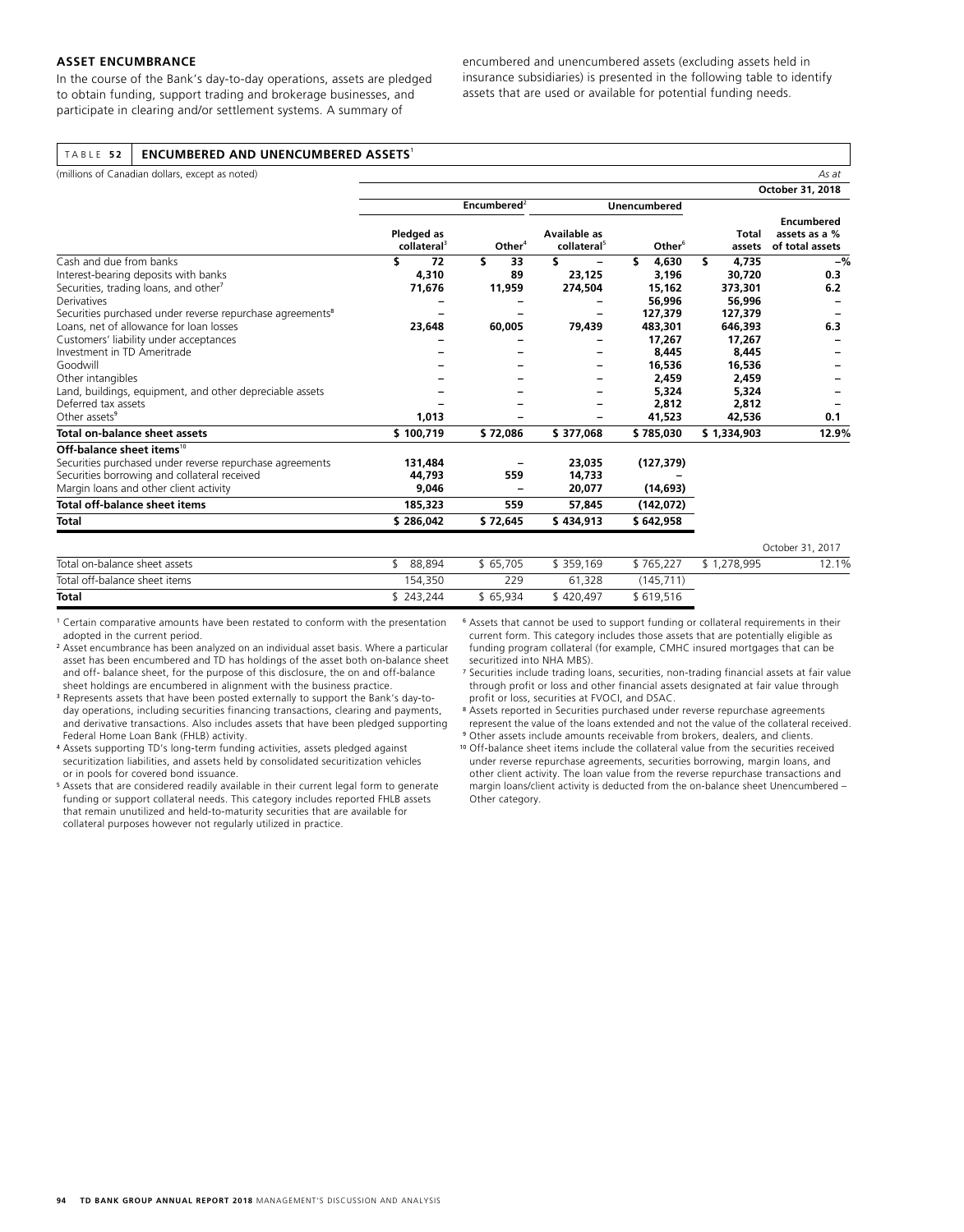### **ASSET ENCUMBRANCE**

In the course of the Bank's day-to-day operations, assets are pledged to obtain funding, support trading and brokerage businesses, and participate in clearing and/or settlement systems. A summary of

encumbered and unencumbered assets (excluding assets held in insurance subsidiaries) is presented in the following table to identify assets that are used or available for potential funding needs.

### **ENCUMBERED AND UNENCUMBERED ASSETS**<sup>1</sup> TABLE **5 2**

| (millions of Canadian dollars, except as noted)                       |    |                                       |                         |                                         |   |                     |    |                 | As at                                                 |
|-----------------------------------------------------------------------|----|---------------------------------------|-------------------------|-----------------------------------------|---|---------------------|----|-----------------|-------------------------------------------------------|
|                                                                       |    |                                       |                         |                                         |   |                     |    |                 | October 31, 2018                                      |
|                                                                       |    |                                       | Encumbered <sup>2</sup> |                                         |   | <b>Unencumbered</b> |    |                 |                                                       |
|                                                                       |    | Pledged as<br>collateral <sup>3</sup> | Other <sup>4</sup>      | Available as<br>collateral <sup>5</sup> |   | Other <sup>6</sup>  |    | Total<br>assets | <b>Encumbered</b><br>assets as a %<br>of total assets |
| Cash and due from banks                                               | s. | 72                                    | \$<br>33                | -                                       | s | 4,630               | s. | 4.735           | $-$ %                                                 |
| Interest-bearing deposits with banks                                  |    | 4,310                                 | 89                      | 23,125                                  |   | 3,196               |    | 30,720          | 0.3                                                   |
| Securities, trading loans, and other <sup>7</sup>                     |    | 71,676                                | 11,959                  | 274,504                                 |   | 15,162              |    | 373,301         | 6.2                                                   |
| <b>Derivatives</b>                                                    |    |                                       |                         |                                         |   | 56,996              |    | 56,996          |                                                       |
| Securities purchased under reverse repurchase agreements <sup>8</sup> |    |                                       |                         |                                         |   | 127,379             |    | 127,379         |                                                       |
| Loans, net of allowance for loan losses                               |    | 23,648                                | 60,005                  | 79,439                                  |   | 483,301             |    | 646,393         | 6.3                                                   |
| Customers' liability under acceptances                                |    |                                       |                         |                                         |   | 17,267              |    | 17,267          |                                                       |
| Investment in TD Ameritrade                                           |    |                                       |                         |                                         |   | 8,445               |    | 8,445           |                                                       |
| Goodwill                                                              |    |                                       |                         |                                         |   | 16,536              |    | 16,536          |                                                       |
| Other intangibles                                                     |    |                                       |                         |                                         |   | 2,459               |    | 2,459           |                                                       |
| Land, buildings, equipment, and other depreciable assets              |    |                                       |                         |                                         |   | 5,324               |    | 5,324           |                                                       |
| Deferred tax assets                                                   |    |                                       |                         |                                         |   | 2,812               |    | 2,812           |                                                       |
| Other assets <sup>9</sup>                                             |    | 1,013                                 |                         |                                         |   | 41,523              |    | 42,536          | 0.1                                                   |
| Total on-balance sheet assets                                         |    | \$100,719                             | \$72,086                | \$377,068                               |   | \$785,030           |    | \$1,334,903     | 12.9%                                                 |
| Off-balance sheet items <sup>10</sup>                                 |    |                                       |                         |                                         |   |                     |    |                 |                                                       |
| Securities purchased under reverse repurchase agreements              |    | 131,484                               |                         | 23,035                                  |   | (127, 379)          |    |                 |                                                       |
| Securities borrowing and collateral received                          |    | 44,793                                | 559                     | 14,733                                  |   |                     |    |                 |                                                       |
| Margin loans and other client activity                                |    | 9,046                                 |                         | 20,077                                  |   | (14, 693)           |    |                 |                                                       |
| <b>Total off-balance sheet items</b>                                  |    | 185,323                               | 559                     | 57,845                                  |   | (142, 072)          |    |                 |                                                       |
| Total                                                                 |    | \$286,042                             | \$72,645                | \$434,913                               |   | \$642,958           |    |                 |                                                       |
|                                                                       |    |                                       |                         |                                         |   |                     |    |                 | Octohor 21, 2017                                      |

|                               |           |           |           |           |             | October 31, 2017 |
|-------------------------------|-----------|-----------|-----------|-----------|-------------|------------------|
| Total on-balance sheet assets | 88.894    | \$ 65,705 | \$359.169 | \$765,227 | \$1,278,995 | 12.1%            |
| Total off-balance sheet items | 154.350   | 229       | 61.328    | (145.711) |             |                  |
| <b>Total</b>                  | \$243.244 | \$65.934  | \$420.497 | \$619.516 |             |                  |

<sup>1</sup> Certain comparative amounts have been restated to conform with the presentation adopted in the current period.

<sup>6</sup> Assets that cannot be used to support funding or collateral requirements in their current form. This category includes those assets that are potentially eligible as funding program collateral (for example, CMHC insured mortgages that can be securitized into NHA MBS).

<sup>2</sup> Asset encumbrance has been analyzed on an individual asset basis. Where a particular asset has been encumbered and TD has holdings of the asset both on-balance sheet and off- balance sheet, for the purpose of this disclosure, the on and off-balance sheet holdings are encumbered in alignment with the business practice.

<sup>3</sup> Represents assets that have been posted externally to support the Bank's day-today operations, including securities financing transactions, clearing and payments, and derivative transactions. Also includes assets that have been pledged supporting Federal Home Loan Bank (FHLB) activity.

<sup>4</sup> Assets supporting TD's long-term funding activities, assets pledged against securitization liabilities, and assets held by consolidated securitization vehicles or in pools for covered bond issuance.

<sup>5</sup> Assets that are considered readily available in their current legal form to generate funding or support collateral needs. This category includes reported FHLB assets that remain unutilized and held-to-maturity securities that are available for collateral purposes however not regularly utilized in practice.

<sup>7</sup> Securities include trading loans, securities, non-trading financial assets at fair value through profit or loss and other financial assets designated at fair value through profit or loss, securities at FVOCI, and DSAC.

<sup>8</sup> Assets reported in Securities purchased under reverse repurchase agreements represent the value of the loans extended and not the value of the collateral received.

<sup>9</sup> Other assets include amounts receivable from brokers, dealers, and clients. <sup>10</sup> Off-balance sheet items include the collateral value from the securities received under reverse repurchase agreements, securities borrowing, margin loans, and other client activity. The loan value from the reverse repurchase transactions and margin loans/client activity is deducted from the on-balance sheet Unencumbered – Other category.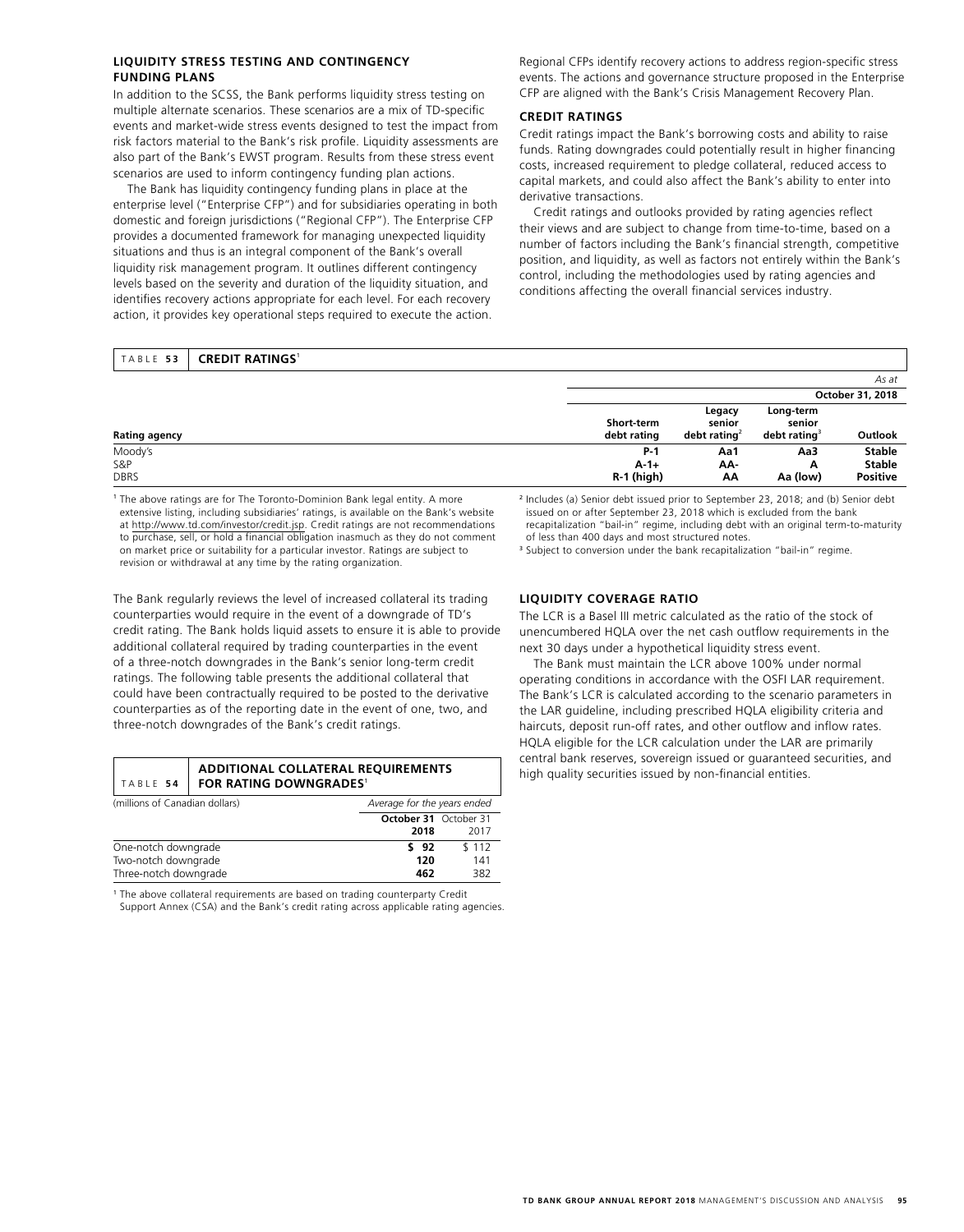### **LIQUIDITY STRESS TESTING AND CONTINGENCY FUNDING PLANS**

In addition to the SCSS, the Bank performs liquidity stress testing on multiple alternate scenarios. These scenarios are a mix of TD-specific events and market-wide stress events designed to test the impact from risk factors material to the Bank's risk profile. Liquidity assessments are also part of the Bank's EWST program. Results from these stress event scenarios are used to inform contingency funding plan actions.

The Bank has liquidity contingency funding plans in place at the enterprise level ("Enterprise CFP") and for subsidiaries operating in both domestic and foreign jurisdictions ("Regional CFP"). The Enterprise CFP provides a documented framework for managing unexpected liquidity situations and thus is an integral component of the Bank's overall liquidity risk management program. It outlines different contingency levels based on the severity and duration of the liquidity situation, and identifies recovery actions appropriate for each level. For each recovery action, it provides key operational steps required to execute the action.

Regional CFPs identify recovery actions to address region-specific stress events. The actions and governance structure proposed in the Enterprise CFP are aligned with the Bank's Crisis Management Recovery Plan.

### **CREDIT RATINGS**

Credit ratings impact the Bank's borrowing costs and ability to raise funds. Rating downgrades could potentially result in higher financing costs, increased requirement to pledge collateral, reduced access to capital markets, and could also affect the Bank's ability to enter into derivative transactions.

Credit ratings and outlooks provided by rating agencies reflect their views and are subject to change from time-to-time, based on a number of factors including the Bank's financial strength, competitive position, and liquidity, as well as factors not entirely within the Bank's control, including the methodologies used by rating agencies and conditions affecting the overall financial services industry.

| TABLE 53             | <b>CREDIT RATINGS</b> <sup>1</sup> |                   |                          |                 |                  |
|----------------------|------------------------------------|-------------------|--------------------------|-----------------|------------------|
|                      |                                    |                   |                          |                 | As at            |
|                      |                                    |                   |                          |                 | October 31, 2018 |
|                      |                                    |                   | Legacy                   | Long-term       |                  |
|                      |                                    | Short-term        | senior                   | senior          |                  |
| <b>Rating agency</b> |                                    | debt rating       | debt rating <sup>2</sup> | debt rating $3$ | Outlook          |
| Moody's              |                                    | $P-1$             | Aa1                      | Aa3             | <b>Stable</b>    |
| S&P                  |                                    | $A-1+$            | АА-                      | А               | <b>Stable</b>    |
| <b>DBRS</b>          |                                    | <b>R-1 (high)</b> | AA                       | Aa (low)        | <b>Positive</b>  |

<sup>1</sup> The above ratings are for The Toronto-Dominion Bank legal entity. A more extensive listing, including subsidiaries' ratings, is available on the Bank's website at <http://www.td.com/investor/credit.jsp>. Credit ratings are not recommendations to purchase, sell, or hold a financial obligation inasmuch as they do not comment on market price or suitability for a particular investor. Ratings are subject to revision or withdrawal at any time by the rating organization.

<sup>2</sup> Includes (a) Senior debt issued prior to September 23, 2018; and (b) Senior debt issued on or after September 23, 2018 which is excluded from the bank recapitalization "bail-in" regime, including debt with an original term-to-maturity of less than 400 days and most structured notes.

<sup>3</sup> Subject to conversion under the bank recapitalization "bail-in" regime.

The Bank regularly reviews the level of increased collateral its trading counterparties would require in the event of a downgrade of TD's credit rating. The Bank holds liquid assets to ensure it is able to provide additional collateral required by trading counterparties in the event of a three-notch downgrades in the Bank's senior long-term credit ratings. The following table presents the additional collateral that could have been contractually required to be posted to the derivative counterparties as of the reporting date in the event of one, two, and three-notch downgrades of the Bank's credit ratings.

| TABLE 54                                                      | <b>ADDITIONAL COLLATERAL REQUIREMENTS</b><br><b>FOR RATING DOWNGRADES'</b> |                              |       |  |  |  |
|---------------------------------------------------------------|----------------------------------------------------------------------------|------------------------------|-------|--|--|--|
| (millions of Canadian dollars)<br>Average for the years ended |                                                                            |                              |       |  |  |  |
|                                                               |                                                                            | <b>October 31</b> October 31 |       |  |  |  |
|                                                               |                                                                            | 2018                         | 2017  |  |  |  |
| One-notch downgrade                                           |                                                                            | \$92                         | \$112 |  |  |  |
| Two-notch downgrade                                           |                                                                            | 120                          | 141   |  |  |  |
| Three-notch downgrade<br>462                                  |                                                                            |                              |       |  |  |  |

<sup>1</sup> The above collateral requirements are based on trading counterparty Credit

Support Annex (CSA) and the Bank's credit rating across applicable rating agencies.

#### **LIQUIDITY COVERAGE RATIO**

The LCR is a Basel III metric calculated as the ratio of the stock of unencumbered HQLA over the net cash outflow requirements in the next 30 days under a hypothetical liquidity stress event.

The Bank must maintain the LCR above 100% under normal operating conditions in accordance with the OSFI LAR requirement. The Bank's LCR is calculated according to the scenario parameters in the LAR guideline, including prescribed HQLA eligibility criteria and haircuts, deposit run-off rates, and other outflow and inflow rates. HQLA eligible for the LCR calculation under the LAR are primarily central bank reserves, sovereign issued or guaranteed securities, and high quality securities issued by non-financial entities.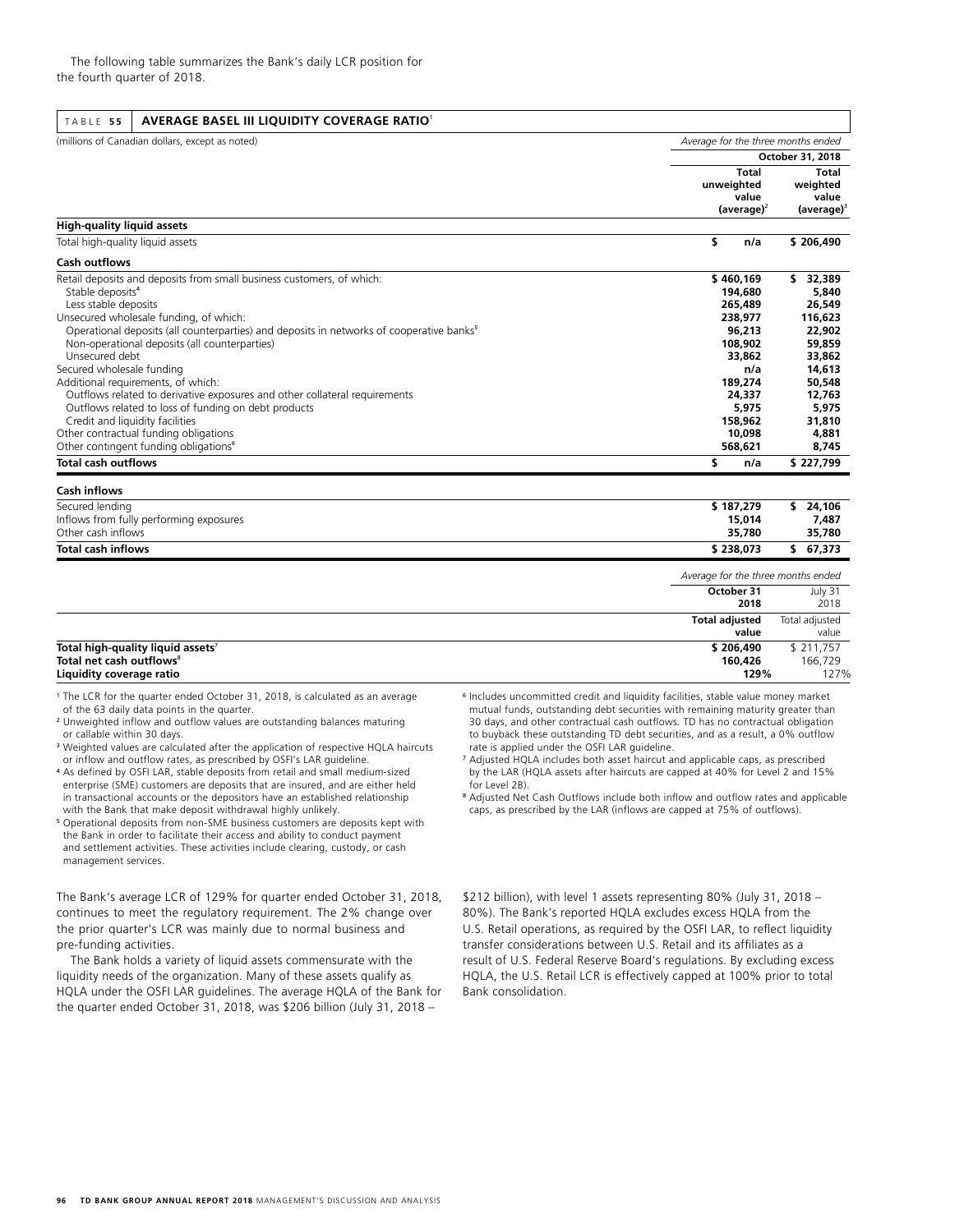| TABLE 55                          | AVERAGE BASEL III LIQUIDITY COVERAGE RATIO <sup>1</sup>                                              |                                    |                  |
|-----------------------------------|------------------------------------------------------------------------------------------------------|------------------------------------|------------------|
|                                   | (millions of Canadian dollars, except as noted)                                                      | Average for the three months ended |                  |
|                                   |                                                                                                      |                                    | October 31, 2018 |
|                                   |                                                                                                      | <b>Total</b>                       | Total            |
|                                   |                                                                                                      | unweighted                         | weighted         |
|                                   |                                                                                                      | value                              | value            |
|                                   |                                                                                                      | $(average)^2$                      | $(average)^3$    |
| <b>High-quality liquid assets</b> |                                                                                                      |                                    |                  |
| Total high-quality liquid assets  |                                                                                                      | \$<br>n/a                          | \$206,490        |
| <b>Cash outflows</b>              |                                                                                                      |                                    |                  |
|                                   | Retail deposits and deposits from small business customers, of which:                                | \$460,169                          | \$ 32,389        |
| Stable deposits <sup>4</sup>      |                                                                                                      | 194,680                            | 5,840            |
| Less stable deposits              |                                                                                                      | 265,489                            | 26,549           |
|                                   | Unsecured wholesale funding, of which:                                                               | 238,977                            | 116,623          |
|                                   | Operational deposits (all counterparties) and deposits in networks of cooperative banks <sup>5</sup> | 96,213                             | 22,902           |
| Unsecured debt                    | Non-operational deposits (all counterparties)                                                        | 108,902                            | 59,859           |
| Secured wholesale funding         |                                                                                                      | 33,862<br>n/a                      | 33,862<br>14,613 |
|                                   | Additional requirements, of which:                                                                   | 189,274                            | 50,548           |
|                                   | Outflows related to derivative exposures and other collateral requirements                           | 24,337                             | 12,763           |
|                                   | Outflows related to loss of funding on debt products                                                 | 5,975                              | 5,975            |
|                                   | Credit and liquidity facilities                                                                      | 158,962                            | 31,810           |
|                                   | Other contractual funding obligations                                                                | 10,098                             | 4,881            |
|                                   | Other contingent funding obligations <sup>6</sup>                                                    | 568,621                            | 8,745            |
| <b>Total cash outflows</b>        |                                                                                                      | \$<br>n/a                          | \$227,799        |
| Cash inflows                      |                                                                                                      |                                    |                  |
| Secured lending                   |                                                                                                      | \$187,279                          | \$24,106         |
|                                   | Inflows from fully performing exposures                                                              | 15,014                             | 7,487            |
| Other cash inflows                |                                                                                                      | 35,780                             | 35,780           |
| <b>Total cash inflows</b>         |                                                                                                      | \$238,073                          | \$67,373         |
|                                   |                                                                                                      | Average for the three months ended |                  |
|                                   |                                                                                                      | October 31                         | July 31          |
|                                   |                                                                                                      | 2018                               | 2018             |
|                                   |                                                                                                      | <b>Total adjusted</b>              | Total adjusted   |
|                                   |                                                                                                      | value                              | value            |

#### **Total high-quality liquid assets**<sup>7</sup> **\$ 206,490** \$ 211,757 **Total net cash outflows**<sup>8</sup> **160,426** 166,729 **Liquidity coverage ratio 129%** 127%

<sup>1</sup> The LCR for the quarter ended October 31, 2018, is calculated as an average of the 63 daily data points in the quarter.

- <sup>2</sup> Unweighted inflow and outflow values are outstanding balances maturing or callable within 30 days.
- <sup>3</sup> Weighted values are calculated after the application of respective HQLA haircuts or inflow and outflow rates, as prescribed by OSFI's LAR guideline.
- <sup>4</sup> As defined by OSFI LAR, stable deposits from retail and small medium-sized enterprise (SME) customers are deposits that are insured, and are either held in transactional accounts or the depositors have an established relationship with the Bank that make deposit withdrawal highly unlikely.
- <sup>5</sup> Operational deposits from non-SME business customers are deposits kept with the Bank in order to facilitate their access and ability to conduct payment and settlement activities. These activities include clearing, custody, or cash management services.

The Bank's average LCR of 129% for quarter ended October 31, 2018, continues to meet the regulatory requirement. The 2% change over the prior quarter's LCR was mainly due to normal business and pre-funding activities.

The Bank holds a variety of liquid assets commensurate with the liquidity needs of the organization. Many of these assets qualify as HQLA under the OSFI LAR guidelines. The average HQLA of the Bank for the quarter ended October 31, 2018, was \$206 billion (July 31, 2018 –

<sup>6</sup> Includes uncommitted credit and liquidity facilities, stable value money market mutual funds, outstanding debt securities with remaining maturity greater than 30 days, and other contractual cash outflows. TD has no contractual obligation to buyback these outstanding TD debt securities, and as a result, a 0% outflow rate is applied under the OSFI LAR guideline.

<sup>7</sup> Adjusted HQLA includes both asset haircut and applicable caps, as prescribed by the LAR (HQLA assets after haircuts are capped at 40% for Level 2 and 15% for Level 2B).

<sup>8</sup> Adjusted Net Cash Outflows include both inflow and outflow rates and applicable caps, as prescribed by the LAR (inflows are capped at 75% of outflows).

\$212 billion), with level 1 assets representing 80% (July 31, 2018 – 80%). The Bank's reported HQLA excludes excess HQLA from the U.S. Retail operations, as required by the OSFI LAR, to reflect liquidity transfer considerations between U.S. Retail and its affiliates as a result of U.S. Federal Reserve Board's regulations. By excluding excess HQLA, the U.S. Retail LCR is effectively capped at 100% prior to total Bank consolidation.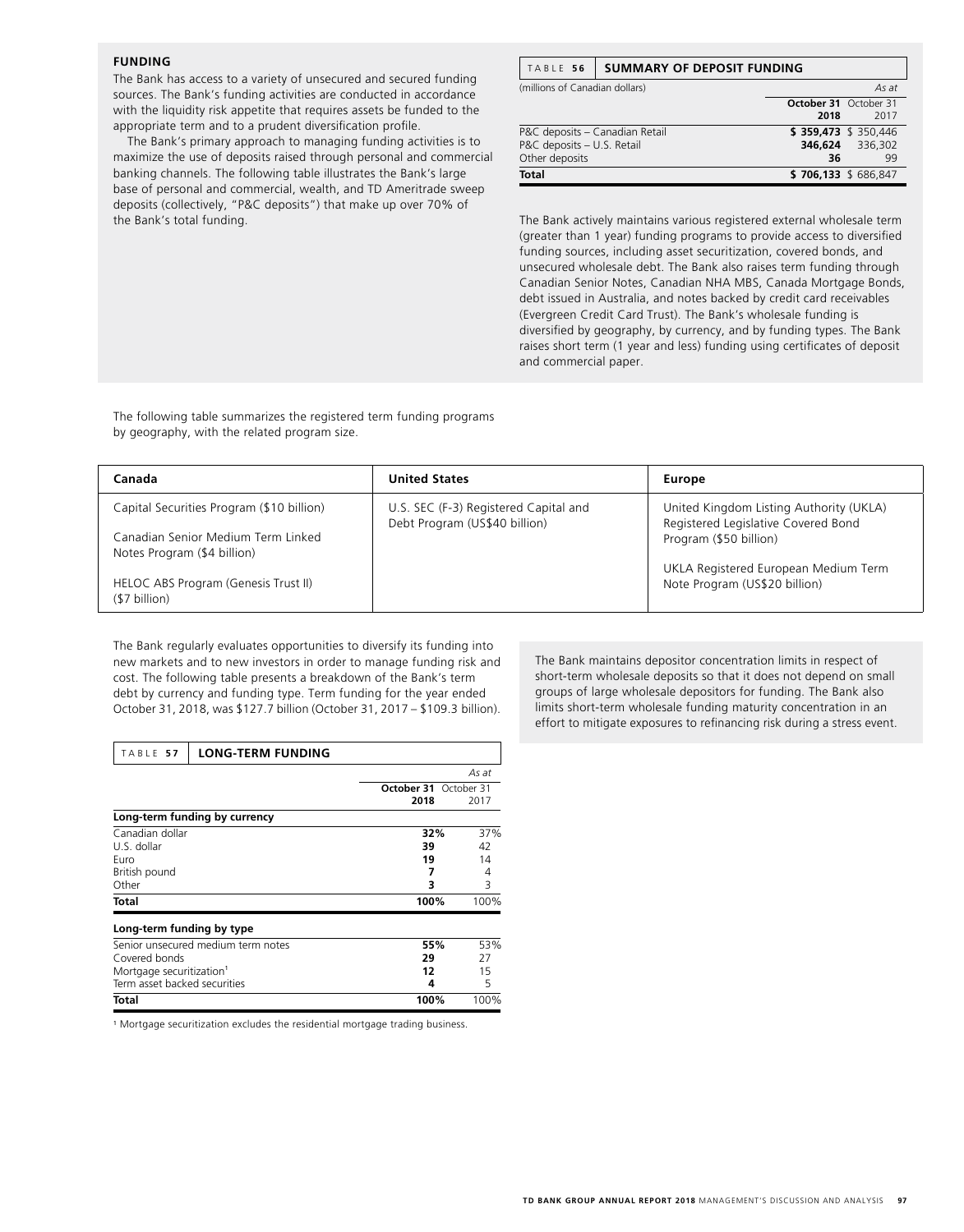### **FUNDING**

The Bank has access to a variety of unsecured and secured funding sources. The Bank's funding activities are conducted in accordance with the liquidity risk appetite that requires assets be funded to the appropriate term and to a prudent diversification profile.

The Bank's primary approach to managing funding activities is to maximize the use of deposits raised through personal and commercial banking channels. The following table illustrates the Bank's large base of personal and commercial, wealth, and TD Ameritrade sweep deposits (collectively, "P&C deposits") that make up over 70% of the Bank's total funding.

| TABLE 56                       | SUMMARY OF DEPOSIT FUNDING |                       |
|--------------------------------|----------------------------|-----------------------|
| (millions of Canadian dollars) |                            | As at                 |
|                                |                            | October 31 October 31 |
|                                |                            | 2018<br>2017          |
| P&C deposits - Canadian Retail |                            | \$359,473 \$350,446   |
| P&C deposits - U.S. Retail     |                            | 346,624 336,302       |
| Other deposits                 |                            | 36<br>99              |
| Total                          |                            | \$706,133 \$686,847   |

The Bank actively maintains various registered external wholesale term (greater than 1 year) funding programs to provide access to diversified funding sources, including asset securitization, covered bonds, and unsecured wholesale debt. The Bank also raises term funding through Canadian Senior Notes, Canadian NHA MBS, Canada Mortgage Bonds, debt issued in Australia, and notes backed by credit card receivables (Evergreen Credit Card Trust). The Bank's wholesale funding is diversified by geography, by currency, and by funding types. The Bank raises short term (1 year and less) funding using certificates of deposit and commercial paper.

The following table summarizes the registered term funding programs by geography, with the related program size.

| Canada                                                            | <b>United States</b>                                                   | Europe                                                                         |
|-------------------------------------------------------------------|------------------------------------------------------------------------|--------------------------------------------------------------------------------|
| Capital Securities Program (\$10 billion)                         | U.S. SEC (F-3) Registered Capital and<br>Debt Program (US\$40 billion) | United Kingdom Listing Authority (UKLA)<br>Registered Legislative Covered Bond |
| Canadian Senior Medium Term Linked<br>Notes Program (\$4 billion) |                                                                        | Program (\$50 billion)                                                         |
| HELOC ABS Program (Genesis Trust II)<br>(57 billion)              |                                                                        | UKLA Registered European Medium Term<br>Note Program (US\$20 billion)          |

The Bank regularly evaluates opportunities to diversify its funding into new markets and to new investors in order to manage funding risk and cost. The following table presents a breakdown of the Bank's term debt by currency and funding type. Term funding for the year ended October 31, 2018, was \$127.7 billion (October 31, 2017 – \$109.3 billion).

| TABLE 57                             | <b>LONG-TERM FUNDING</b>           |                       |       |
|--------------------------------------|------------------------------------|-----------------------|-------|
|                                      |                                    |                       | As at |
|                                      |                                    | October 31 October 31 |       |
|                                      |                                    | 2018                  | 2017  |
|                                      | Long-term funding by currency      |                       |       |
| Canadian dollar                      |                                    | 32%                   | 37%   |
| U.S. dollar                          |                                    | 39                    | 42    |
| Euro                                 |                                    | 19                    | 14    |
| British pound                        |                                    | 7                     | 4     |
| Other                                |                                    | 3                     | Β     |
| Total                                |                                    | 100%                  | 100%  |
| Long-term funding by type            |                                    |                       |       |
|                                      | Senior unsecured medium term notes | 55%                   | 53%   |
| Covered bonds                        |                                    | 29                    | 27    |
| Mortgage securitization <sup>1</sup> |                                    | 12                    | 15    |
| Term asset backed securities         |                                    | 4                     | 5     |
| Total                                |                                    | 100%                  | 100%  |

<sup>1</sup> Mortgage securitization excludes the residential mortgage trading business.

The Bank maintains depositor concentration limits in respect of short-term wholesale deposits so that it does not depend on small groups of large wholesale depositors for funding. The Bank also limits short-term wholesale funding maturity concentration in an effort to mitigate exposures to refinancing risk during a stress event.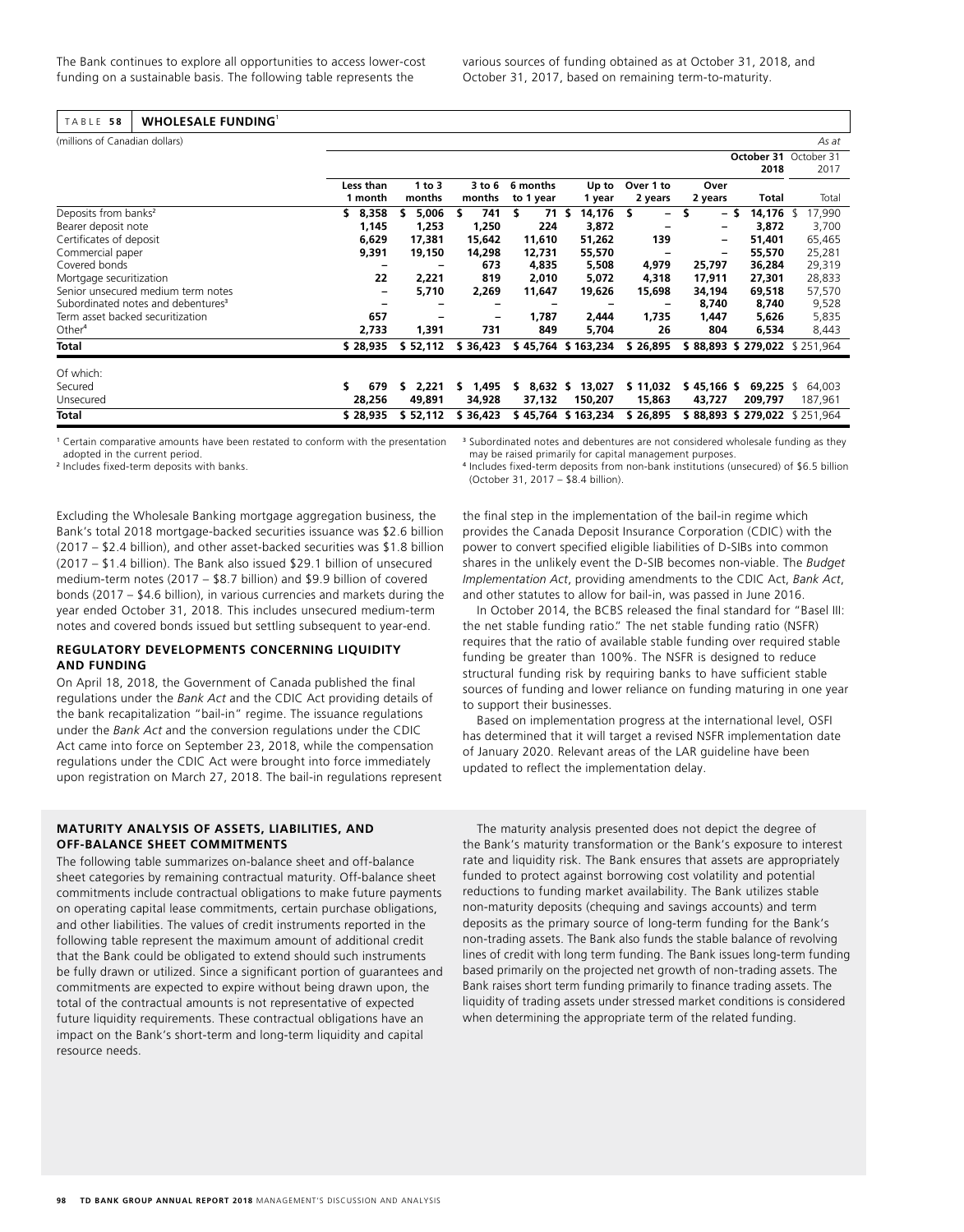various sources of funding obtained as at October 31, 2018, and October 31, 2017, based on remaining term-to-maturity.

| TABIF 58 | $\parallel$ WHOLESALE FUNDING |
|----------|-------------------------------|
|----------|-------------------------------|

| Total                                          | \$28,935             | \$52,112         | \$36,423             |                       | \$45,764 \$163,234 | \$26,895             | \$88,893 \$279,022 \$251,964 |                   |                       |
|------------------------------------------------|----------------------|------------------|----------------------|-----------------------|--------------------|----------------------|------------------------------|-------------------|-----------------------|
| Unsecured                                      | 28,256               | 49,891           | 34,928               | 37,132                | 150,207            | 15,863               | 43,727                       | 209,797           | 187,961               |
| Secured                                        | \$.<br>679           | 2,221            | 1,495<br>s.          | 8,632 \$<br>S.        | 13,027             | \$11,032             | \$45,166 \$                  | 69,225 \$         | 64,003                |
| Of which:                                      |                      |                  |                      |                       |                    |                      |                              |                   |                       |
| <b>Total</b>                                   | \$28,935             | \$52,112         | \$36,423             |                       | \$45,764 \$163,234 | \$26,895             | \$88,893 \$279,022 \$251,964 |                   |                       |
| Other <sup>4</sup>                             | 2,733                | 1,391            | 731                  | 849                   | 5,704              | 26                   | 804                          | 6,534             | 8,443                 |
| Term asset backed securitization               | 657                  |                  | -                    | 1,787                 | 2,444              | 1,735                | 1,447                        | 5,626             | 5,835                 |
| Subordinated notes and debentures <sup>3</sup> |                      |                  | -                    |                       |                    | -                    | 8,740                        | 8,740             | 9,528                 |
| Senior unsecured medium term notes             | -                    | 5,710            | 2,269                | 11,647                | 19,626             | 15,698               | 34,194                       | 69,518            | 57,570                |
| Mortgage securitization                        | 22                   | 2,221            | 819                  | 2,010                 | 5,072              | 4,318                | 17,911                       | 27,301            | 28,833                |
| Covered bonds                                  |                      |                  | 673                  | 4,835                 | 5,508              | 4,979                | 25,797                       | 36,284            | 29,319                |
| Commercial paper                               | 9,391                | 19,150           | 14,298               | 12,731                | 55,570             |                      |                              | 55,570            | 25,281                |
| Certificates of deposit                        | 6,629                | 17,381           | 15,642               | 11,610                | 51,262             | 139                  |                              | 51,401            | 65,465                |
| Bearer deposit note                            | 1,145                | 1,253            | 1,250                | 224                   | 3,872              |                      |                              | 3,872             | 3,700                 |
| Deposits from banks <sup>2</sup>               | 8,358<br>s           | 5,006            | 741                  | 71 S<br>s             | 14,176             | s<br>-               | – S                          | 14,176 $\sqrt{ }$ | 17,990                |
|                                                | Less than<br>1 month | 1 to 3<br>months | $3$ to $6$<br>months | 6 months<br>to 1 year | Up to<br>1 year    | Over 1 to<br>2 years | Over<br>2 years              | Total             | Total                 |
|                                                |                      |                  |                      |                       |                    |                      |                              | 2018              | 2017                  |
|                                                |                      |                  |                      |                       |                    |                      |                              |                   | October 31 October 31 |
| (millions of Canadian dollars)                 |                      |                  |                      |                       |                    |                      |                              |                   | As at                 |

<sup>1</sup> Certain comparative amounts have been restated to conform with the presentation adopted in the current period.

<sup>2</sup> Includes fixed-term deposits with banks.

<sup>3</sup> Subordinated notes and debentures are not considered wholesale funding as they may be raised primarily for capital management purposes.

<sup>4</sup> Includes fixed-term deposits from non-bank institutions (unsecured) of \$6.5 billion (October 31, 2017 – \$8.4 billion).

Excluding the Wholesale Banking mortgage aggregation business, the Bank's total 2018 mortgage-backed securities issuance was \$2.6 billion (2017 – \$2.4 billion), and other asset-backed securities was \$1.8 billion (2017 – \$1.4 billion). The Bank also issued \$29.1 billion of unsecured medium-term notes (2017 – \$8.7 billion) and \$9.9 billion of covered bonds (2017 – \$4.6 billion), in various currencies and markets during the year ended October 31, 2018. This includes unsecured medium-term notes and covered bonds issued but settling subsequent to year-end.

### **REGULATORY DEVELOPMENTS CONCERNING LIQUIDITY AND FUNDING**

On April 18, 2018, the Government of Canada published the final regulations under the *Bank Act* and the CDIC Act providing details of the bank recapitalization "bail-in" regime. The issuance regulations under the *Bank Act* and the conversion regulations under the CDIC Act came into force on September 23, 2018, while the compensation regulations under the CDIC Act were brought into force immediately upon registration on March 27, 2018. The bail-in regulations represent the final step in the implementation of the bail-in regime which provides the Canada Deposit Insurance Corporation (CDIC) with the power to convert specified eligible liabilities of D-SIBs into common shares in the unlikely event the D-SIB becomes non-viable. The *Budget Implementation Act*, providing amendments to the CDIC Act, *Bank Act*, and other statutes to allow for bail-in, was passed in June 2016.

In October 2014, the BCBS released the final standard for "Basel III: the net stable funding ratio." The net stable funding ratio (NSFR) requires that the ratio of available stable funding over required stable funding be greater than 100%. The NSFR is designed to reduce structural funding risk by requiring banks to have sufficient stable sources of funding and lower reliance on funding maturing in one year to support their businesses.

Based on implementation progress at the international level, OSFI has determined that it will target a revised NSFR implementation date of January 2020. Relevant areas of the LAR guideline have been updated to reflect the implementation delay.

### **MATURITY ANALYSIS OF ASSETS, LIABILITIES, AND OFF-BALANCE SHEET COMMITMENTS**

The following table summarizes on-balance sheet and off-balance sheet categories by remaining contractual maturity. Off-balance sheet commitments include contractual obligations to make future payments on operating capital lease commitments, certain purchase obligations, and other liabilities. The values of credit instruments reported in the following table represent the maximum amount of additional credit that the Bank could be obligated to extend should such instruments be fully drawn or utilized. Since a significant portion of guarantees and commitments are expected to expire without being drawn upon, the total of the contractual amounts is not representative of expected future liquidity requirements. These contractual obligations have an impact on the Bank's short-term and long-term liquidity and capital resource needs.

The maturity analysis presented does not depict the degree of the Bank's maturity transformation or the Bank's exposure to interest rate and liquidity risk. The Bank ensures that assets are appropriately funded to protect against borrowing cost volatility and potential reductions to funding market availability. The Bank utilizes stable non-maturity deposits (chequing and savings accounts) and term deposits as the primary source of long-term funding for the Bank's non-trading assets. The Bank also funds the stable balance of revolving lines of credit with long term funding. The Bank issues long-term funding based primarily on the projected net growth of non-trading assets. The Bank raises short term funding primarily to finance trading assets. The liquidity of trading assets under stressed market conditions is considered when determining the appropriate term of the related funding.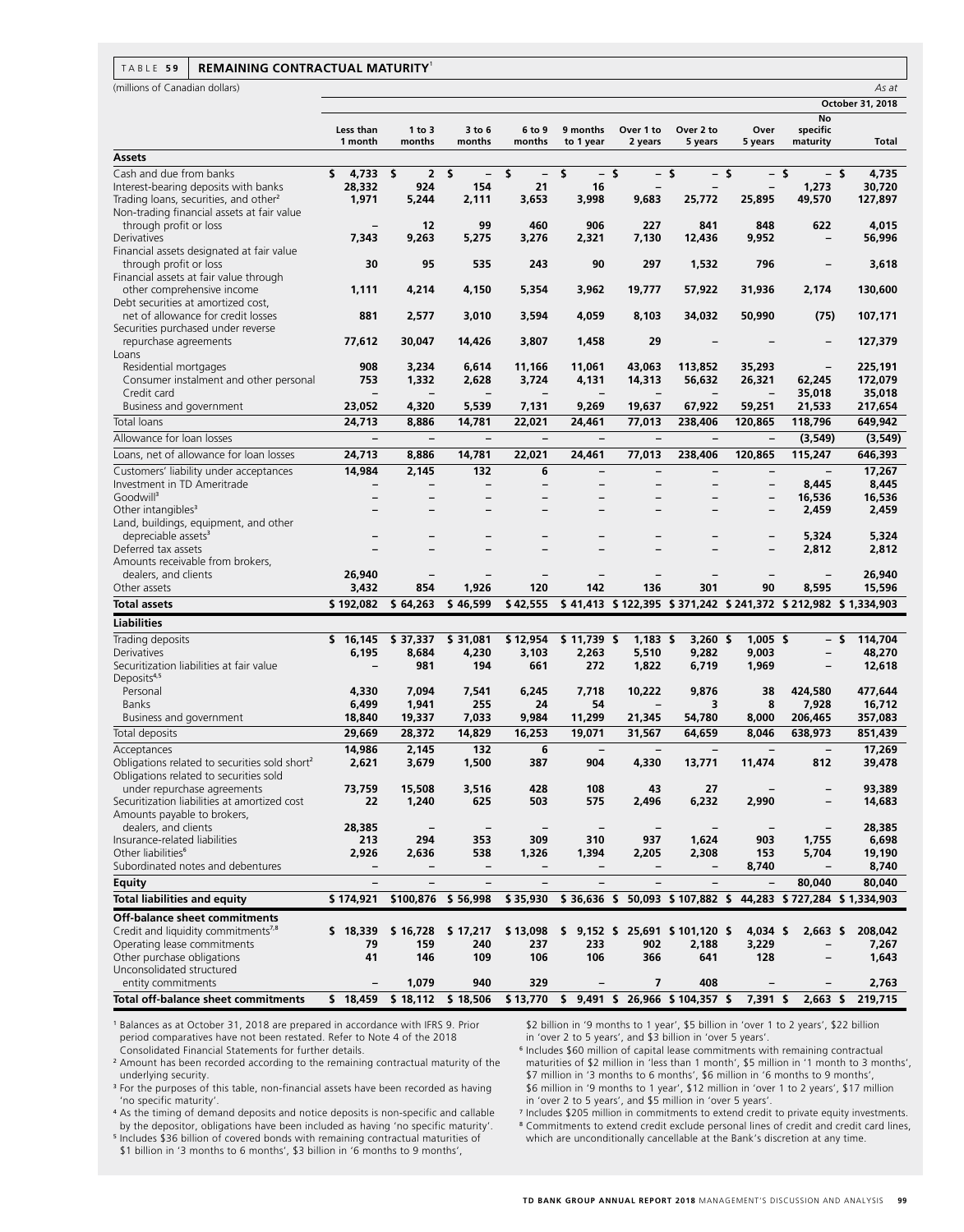### **REMAINING CONTRACTUAL MATURITY**<sup>1</sup> TABLE **5 9**

(millions of Canadian dollars) *As at*

|                                                                     |                          |                          |                          |                          |                          |                                  |                                  |                          |                          | October 31, 2018                                                    |
|---------------------------------------------------------------------|--------------------------|--------------------------|--------------------------|--------------------------|--------------------------|----------------------------------|----------------------------------|--------------------------|--------------------------|---------------------------------------------------------------------|
|                                                                     |                          |                          |                          |                          |                          |                                  |                                  |                          | <b>No</b>                |                                                                     |
|                                                                     | Less than                | $1$ to $3$               | $3$ to $6$               | 6 to 9                   | 9 months                 | Over 1 to                        | Over 2 to                        | Over                     | specific                 |                                                                     |
|                                                                     | 1 month                  | months                   | months                   | months                   | to 1 year                | 2 years                          | 5 years                          | 5 years                  | maturity                 | Total                                                               |
| <b>Assets</b>                                                       |                          |                          |                          |                          |                          |                                  |                                  |                          |                          |                                                                     |
| Cash and due from banks                                             | s<br>4,733               | -\$                      | 2 <sub>5</sub><br>-      | \$<br>$\qquad \qquad -$  | \$                       | - \$<br>$\overline{\phantom{0}}$ | \$                               | - \$                     | - \$                     | - \$<br>4,735                                                       |
| Interest-bearing deposits with banks                                | 28,332                   | 924                      | 154                      | 21                       | 16                       |                                  |                                  |                          | 1,273                    | 30,720                                                              |
| Trading loans, securities, and other <sup>2</sup>                   | 1,971                    | 5,244                    | 2,111                    | 3,653                    | 3,998                    | 9,683                            | 25.772                           | 25,895                   | 49,570                   | 127,897                                                             |
| Non-trading financial assets at fair value                          |                          |                          |                          |                          |                          |                                  |                                  |                          |                          |                                                                     |
| through profit or loss                                              |                          | 12                       | 99                       | 460                      | 906                      | 227                              | 841                              | 848                      | 622                      | 4,015                                                               |
| Derivatives                                                         | 7,343                    | 9,263                    | 5,275                    | 3,276                    | 2,321                    | 7,130                            | 12,436                           | 9,952                    | $\overline{\phantom{a}}$ | 56,996                                                              |
| Financial assets designated at fair value<br>through profit or loss | 30                       | 95                       | 535                      | 243                      | 90                       | 297                              |                                  | 796                      | $\overline{\phantom{m}}$ |                                                                     |
| Financial assets at fair value through                              |                          |                          |                          |                          |                          |                                  | 1,532                            |                          |                          | 3,618                                                               |
| other comprehensive income                                          | 1,111                    | 4,214                    | 4,150                    | 5,354                    | 3,962                    | 19,777                           | 57,922                           | 31,936                   | 2,174                    | 130,600                                                             |
| Debt securities at amortized cost,                                  |                          |                          |                          |                          |                          |                                  |                                  |                          |                          |                                                                     |
| net of allowance for credit losses                                  | 881                      | 2,577                    | 3,010                    | 3,594                    | 4,059                    | 8,103                            | 34,032                           | 50,990                   | (75)                     | 107,171                                                             |
| Securities purchased under reverse                                  |                          |                          |                          |                          |                          |                                  |                                  |                          |                          |                                                                     |
| repurchase agreements                                               | 77,612                   | 30,047                   | 14,426                   | 3,807                    | 1,458                    | 29                               |                                  |                          |                          | 127,379                                                             |
| Loans                                                               |                          |                          |                          |                          |                          |                                  |                                  |                          |                          |                                                                     |
| Residential mortgages                                               | 908                      | 3,234                    | 6,614                    | 11,166                   | 11,061                   | 43,063                           | 113,852                          | 35,293                   |                          | 225,191                                                             |
| Consumer instalment and other personal                              | 753                      | 1,332                    | 2,628                    | 3,724                    | 4,131                    | 14,313                           | 56,632                           | 26,321                   | 62,245                   | 172,079                                                             |
| Credit card                                                         |                          |                          |                          |                          |                          |                                  |                                  |                          | 35,018                   | 35,018                                                              |
| Business and government                                             | 23,052                   | 4,320                    | 5,539                    | 7,131                    | 9,269                    | 19,637                           | 67,922                           | 59,251                   | 21,533                   | 217,654                                                             |
| <b>Total loans</b>                                                  | 24,713                   | 8,886                    | 14,781                   | 22,021                   | 24,461                   | 77,013                           | 238,406                          | 120,865                  | 118,796                  | 649,942                                                             |
| Allowance for loan losses                                           | $\overline{\phantom{a}}$ | $\overline{\phantom{a}}$ | $\overline{\phantom{a}}$ | $\overline{\phantom{a}}$ | $\overline{\phantom{a}}$ | $\overline{\phantom{a}}$         | $\overline{\phantom{a}}$         | $\overline{\phantom{a}}$ | (3, 549)                 | (3, 549)                                                            |
| Loans, net of allowance for loan losses                             | 24,713                   | 8,886                    | 14,781                   | 22,021                   | 24,461                   | 77,013                           | 238,406                          | 120,865                  | 115,247                  | 646,393                                                             |
| Customers' liability under acceptances                              | 14,984                   | 2,145                    | 132                      | 6                        | $\blacksquare$           | $\overline{\phantom{0}}$         | $\overline{\phantom{0}}$         | $\overline{\phantom{a}}$ | $\overline{\phantom{a}}$ | 17,267                                                              |
| Investment in TD Ameritrade                                         |                          | $\overline{\phantom{0}}$ | $\overline{\phantom{0}}$ | $\overline{\phantom{0}}$ | $\overline{\phantom{0}}$ | $\overline{\phantom{0}}$         | $\overline{\phantom{0}}$         | $\equiv$                 | 8,445                    | 8,445                                                               |
| Goodwill <sup>3</sup>                                               |                          | $\overline{\phantom{0}}$ |                          |                          |                          |                                  |                                  | $\qquad \qquad -$        | 16,536                   | 16,536                                                              |
| Other intangibles <sup>3</sup>                                      |                          | $\overline{\phantom{0}}$ | $\equiv$                 | $\overline{\phantom{0}}$ |                          | ۳                                | ۳                                | $\equiv$                 | 2,459                    | 2,459                                                               |
| Land, buildings, equipment, and other                               |                          |                          |                          |                          |                          |                                  |                                  |                          |                          |                                                                     |
| depreciable assets <sup>3</sup>                                     |                          |                          |                          |                          |                          |                                  |                                  |                          | 5,324                    | 5,324                                                               |
| Deferred tax assets                                                 |                          |                          |                          |                          |                          |                                  |                                  |                          | 2,812                    | 2,812                                                               |
| Amounts receivable from brokers,                                    |                          |                          |                          |                          |                          |                                  |                                  |                          |                          |                                                                     |
| dealers, and clients                                                | 26,940                   |                          |                          |                          |                          |                                  |                                  |                          |                          | 26,940                                                              |
| Other assets                                                        | 3,432                    | 854                      | 1,926                    | 120                      | 142                      | 136                              | 301                              | 90                       | 8,595                    | 15,596                                                              |
| <b>Total assets</b>                                                 | \$192,082                | \$64,263                 | \$46,599                 | \$42,555                 |                          |                                  |                                  |                          |                          | \$41,413 \$122,395 \$371,242 \$241,372 \$212,982 \$1,334,903        |
| <b>Liabilities</b>                                                  |                          |                          |                          |                          |                          |                                  |                                  |                          |                          |                                                                     |
| Trading deposits                                                    | \$16,145                 | \$37,337                 | \$31,081                 | \$12,954                 | \$11,739 \$              | $1,183$ \$                       | $3,260$ \$                       | $1,005$ \$               | $\overline{\phantom{0}}$ | 114,704<br>-S                                                       |
| Derivatives                                                         | 6,195                    | 8,684                    | 4,230                    | 3,103                    | 2,263                    | 5,510                            | 9,282                            | 9,003                    |                          | 48,270                                                              |
| Securitization liabilities at fair value                            | $\equiv$                 | 981                      | 194                      | 661                      | 272                      | 1,822                            | 6,719                            | 1,969                    | $\overline{\phantom{a}}$ | 12,618                                                              |
| Deposits <sup>4,5</sup>                                             |                          |                          |                          |                          |                          |                                  |                                  |                          |                          |                                                                     |
| Personal                                                            | 4,330                    | 7,094                    | 7,541                    | 6,245                    | 7,718                    | 10,222                           | 9,876                            | 38                       | 424,580                  | 477,644                                                             |
| <b>Banks</b>                                                        | 6,499                    | 1,941                    | 255                      | 24                       | 54                       |                                  | 3                                | 8                        | 7,928                    | 16,712                                                              |
| Business and government                                             | 18,840                   | 19,337                   | 7,033                    | 9,984                    | 11,299                   | 21,345                           | 54,780                           | 8,000                    | 206,465                  | 357,083                                                             |
| Total deposits                                                      | 29,669                   | 28,372                   | 14,829                   | 16,253                   | 19,071                   | 31,567                           | 64,659                           | 8,046                    | 638,973                  | 851,439                                                             |
| Acceptances                                                         | 14,986                   | 2,145                    | 132                      | 6                        | $\overline{\phantom{a}}$ |                                  |                                  |                          | $\overline{\phantom{a}}$ | 17,269                                                              |
| Obligations related to securities sold short <sup>2</sup>           | 2,621                    | 3,679                    | 1,500                    | 387                      | 904                      | 4,330                            | 13,771                           | 11,474                   | 812                      | 39,478                                                              |
| Obligations related to securities sold                              |                          |                          |                          |                          |                          |                                  |                                  |                          |                          |                                                                     |
| under repurchase agreements                                         | 73,759                   | 15,508                   | 3,516                    | 428                      | 108                      | 43                               | 27                               |                          |                          | 93,389                                                              |
| Securitization liabilities at amortized cost                        | 22                       | 1,240                    | 625                      | 503                      | 575                      | 2,496                            | 6,232                            | 2,990                    |                          | 14,683                                                              |
| Amounts payable to brokers,<br>dealers, and clients                 | 28,385                   |                          | $\overline{\phantom{a}}$ |                          |                          |                                  |                                  |                          |                          | 28,385                                                              |
| Insurance-related liabilities                                       | 213                      | 294                      | 353                      | 309                      | 310                      | 937                              | 1,624                            | 903                      | 1,755                    | 6,698                                                               |
| Other liabilities <sup>6</sup>                                      | 2,926                    | 2,636                    | 538                      | 1,326                    | 1,394                    | 2,205                            | 2,308                            | 153                      | 5,704                    | 19,190                                                              |
| Subordinated notes and debentures                                   |                          |                          |                          |                          |                          |                                  |                                  | 8,740                    |                          | 8,740                                                               |
| Equity                                                              | $\overline{\phantom{a}}$ | $\overline{\phantom{a}}$ | $\overline{\phantom{a}}$ | $\overline{\phantom{a}}$ | $\overline{\phantom{a}}$ | $\overline{\phantom{a}}$         | $\overline{\phantom{a}}$         | $\overline{\phantom{a}}$ | 80,040                   | 80,040                                                              |
| <b>Total liabilities and equity</b>                                 |                          |                          | \$100,876 \$56,998       |                          |                          |                                  |                                  |                          |                          | \$35,930 \$36,636 \$50,093 \$107,882 \$44,283 \$727,284 \$1,334,903 |
|                                                                     | \$174,921                |                          |                          |                          |                          |                                  |                                  |                          |                          |                                                                     |
| Off-balance sheet commitments                                       |                          |                          |                          |                          |                          |                                  |                                  |                          |                          |                                                                     |
| Credit and liquidity commitments <sup>7,8</sup>                     | \$18,339                 | \$16,728                 | \$17,217                 | \$13,098                 | \$                       |                                  | 9,152 \$ 25,691 \$ 101,120 \$    | 4,034 \$                 | $2,663$ \$               | 208,042                                                             |
| Operating lease commitments                                         | 79                       | 159                      | 240                      | 237                      | 233                      | 902                              | 2,188                            | 3,229                    |                          | 7,267                                                               |
| Other purchase obligations<br>Unconsolidated structured             | 41                       | 146                      | 109                      | 106                      | 106                      | 366                              | 641                              | 128                      |                          | 1,643                                                               |
| entity commitments                                                  | $\overline{\phantom{a}}$ | 1,079                    | 940                      | 329                      |                          | 7                                | 408                              |                          |                          | 2,763                                                               |
|                                                                     |                          |                          |                          |                          |                          |                                  | \$ 9,491 \$ 26,966 \$ 104,357 \$ |                          |                          |                                                                     |
| <b>Total off-balance sheet commitments</b>                          | \$18,459                 |                          | \$18,112 \$18,506        | \$13,770                 |                          |                                  |                                  | 7,391 \$                 | $2,663$ \$               | 219,715                                                             |

<sup>1</sup> Balances as at October 31, 2018 are prepared in accordance with IFRS 9. Prior period comparatives have not been restated. Refer to Note 4 of the 2018 Consolidated Financial Statements for further details.

\$2 billion in '9 months to 1 year', \$5 billion in 'over 1 to 2 years', \$22 billion in 'over 2 to 5 years', and \$3 billion in 'over 5 years'.

\$7 million in '3 months to 6 months', \$6 million in '6 months to 9 months',

<sup>6</sup> Includes \$60 million of capital lease commitments with remaining contractual maturities of \$2 million in 'less than 1 month', \$5 million in '1 month to 3 months',

<sup>2</sup> Amount has been recorded according to the remaining contractual maturity of the underlying security.

<sup>3</sup> For the purposes of this table, non-financial assets have been recorded as having 'no specific maturity'.

<sup>4</sup> As the timing of demand deposits and notice deposits is non-specific and callable by the depositor, obligations have been included as having 'no specific maturity'.

<sup>5</sup> Includes \$36 billion of covered bonds with remaining contractual maturities of \$1 billion in '3 months to 6 months', \$3 billion in '6 months to 9 months',

\$6 million in '9 months to 1 year', \$12 million in 'over 1 to 2 years', \$17 million in 'over 2 to 5 years', and \$5 million in 'over 5 years'. <sup>7</sup> Includes \$205 million in commitments to extend credit to private equity investments.

<sup>8</sup> Commitments to extend credit exclude personal lines of credit and credit card lines, which are unconditionally cancellable at the Bank's discretion at any time.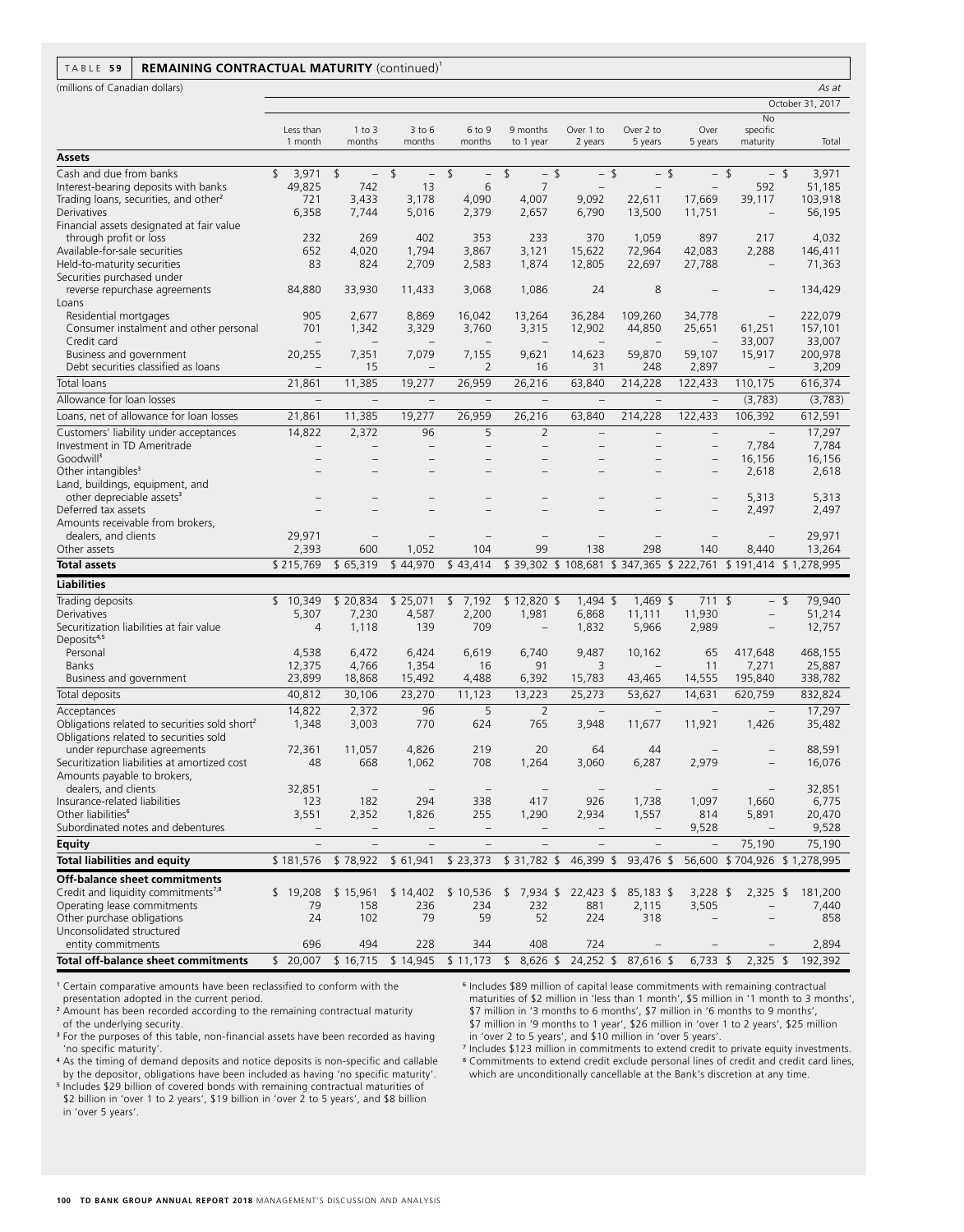### TABLE **59 | REMAINING CONTRACTUAL MATURITY** (continued)<sup>1</sup>

(millions of Canadian dollars) *As at*

|                                                           |                          |                                        |                                            |                                |                          |                          |                              |                          |                                   | October 31, 2017                                             |
|-----------------------------------------------------------|--------------------------|----------------------------------------|--------------------------------------------|--------------------------------|--------------------------|--------------------------|------------------------------|--------------------------|-----------------------------------|--------------------------------------------------------------|
|                                                           |                          |                                        |                                            |                                |                          |                          |                              |                          | No                                |                                                              |
|                                                           | Less than                | $1$ to $3$                             | $3$ to $6$                                 | 6 to 9                         | 9 months                 | Over 1 to                | Over 2 to                    | Over                     | specific                          |                                                              |
|                                                           | 1 month                  | months                                 | months                                     | months                         | to 1 year                | 2 years                  | 5 years                      | 5 years                  | maturity                          | Total                                                        |
| Assets                                                    |                          |                                        |                                            |                                |                          |                          |                              |                          |                                   |                                                              |
| Cash and due from banks                                   | 3,971<br>\$              | $\sqrt{2}$<br>$\overline{\phantom{a}}$ | $\mathfrak{L}$<br>$\overline{\phantom{a}}$ | \$<br>$\overline{\phantom{a}}$ | $-5$<br>\$               | $-5$                     | $-5$                         | $-5$                     | $-5$                              | 3,971                                                        |
| Interest-bearing deposits with banks                      | 49,825                   | 742                                    | 13                                         | 6                              | 7                        | $\overline{\phantom{0}}$ |                              |                          | 592                               | 51,185                                                       |
| Trading loans, securities, and other <sup>2</sup>         | 721                      | 3,433                                  | 3,178                                      | 4,090                          | 4,007                    | 9,092                    | 22,611                       | 17,669                   | 39,117                            | 103,918                                                      |
| Derivatives                                               | 6,358                    | 7,744                                  | 5,016                                      | 2,379                          | 2,657                    | 6,790                    | 13,500                       | 11,751                   | $\overline{\phantom{0}}$          | 56,195                                                       |
| Financial assets designated at fair value                 |                          |                                        |                                            |                                |                          |                          |                              |                          |                                   |                                                              |
| through profit or loss<br>Available-for-sale securities   | 232<br>652               | 269<br>4,020                           | 402<br>1,794                               | 353<br>3,867                   | 233<br>3,121             | 370<br>15,622            | 1,059<br>72,964              | 897<br>42,083            | 217                               | 4,032<br>146,411                                             |
| Held-to-maturity securities                               | 83                       | 824                                    | 2,709                                      | 2,583                          | 1,874                    | 12,805                   | 22,697                       | 27,788                   | 2,288<br>$\overline{\phantom{a}}$ | 71,363                                                       |
| Securities purchased under                                |                          |                                        |                                            |                                |                          |                          |                              |                          |                                   |                                                              |
| reverse repurchase agreements                             | 84,880                   | 33,930                                 | 11,433                                     | 3,068                          | 1,086                    | 24                       | 8                            |                          | $\overline{\phantom{0}}$          | 134,429                                                      |
| Loans                                                     |                          |                                        |                                            |                                |                          |                          |                              |                          |                                   |                                                              |
| Residential mortgages                                     | 905                      | 2,677                                  | 8,869                                      | 16,042                         | 13,264                   | 36,284                   | 109,260                      | 34,778                   | $\overline{\phantom{a}}$          | 222,079                                                      |
| Consumer instalment and other personal                    | 701                      | 1,342                                  | 3,329                                      | 3,760                          | 3,315                    | 12,902                   | 44,850                       | 25,651                   | 61,251                            | 157,101                                                      |
| Credit card                                               |                          |                                        |                                            |                                |                          |                          |                              |                          | 33,007                            | 33,007                                                       |
| Business and government                                   | 20,255                   | 7,351                                  | 7,079                                      | 7,155                          | 9,621                    | 14,623                   | 59,870                       | 59,107                   | 15,917                            | 200,978                                                      |
| Debt securities classified as loans                       | $\overline{\phantom{a}}$ | 15                                     |                                            | $\overline{2}$                 | 16                       | 31                       | 248                          | 2,897                    | $\overline{\phantom{a}}$          | 3,209                                                        |
| <b>Total loans</b>                                        | 21,861                   | 11,385                                 | 19,277                                     | 26,959                         | 26,216                   | 63,840                   | 214,228                      | 122,433                  | 110,175                           | 616,374                                                      |
| Allowance for loan losses                                 | $\overline{\phantom{a}}$ | $\bar{ }$                              | $\equiv$                                   | $\overline{\phantom{a}}$       | $\bar{ }$                | $\equiv$                 | $\overline{\phantom{a}}$     | $\overline{\phantom{a}}$ | (3, 783)                          | (3,783)                                                      |
| Loans, net of allowance for loan losses                   | 21,861                   | 11,385                                 | 19,277                                     | 26,959                         | 26,216                   | 63,840                   | 214,228                      | 122,433                  | 106,392                           | 612,591                                                      |
| Customers' liability under acceptances                    | 14,822                   | 2,372                                  | 96                                         | 5                              | $\overline{2}$           | $\overline{\phantom{a}}$ | $\qquad \qquad -$            | $\bar{ }$                | $\overline{\phantom{a}}$          | 17,297                                                       |
| Investment in TD Ameritrade                               |                          | $\overline{\phantom{0}}$               | $\overline{\phantom{a}}$                   | $\qquad \qquad -$              | $\overline{\phantom{0}}$ | $\overline{\phantom{0}}$ | $\overline{\phantom{0}}$     | $\qquad \qquad -$        | 7,784                             | 7,784                                                        |
| Goodwill <sup>3</sup>                                     |                          | $\overline{\phantom{0}}$               |                                            | $\overline{\phantom{0}}$       | $\overline{\phantom{0}}$ | $\overline{\phantom{0}}$ | $\overline{\phantom{0}}$     | $\qquad \qquad -$        | 16,156                            | 16,156                                                       |
| Other intangibles <sup>3</sup>                            |                          |                                        |                                            |                                |                          |                          |                              | $\overline{\phantom{0}}$ | 2,618                             | 2,618                                                        |
| Land, buildings, equipment, and                           |                          |                                        |                                            |                                |                          |                          |                              |                          |                                   |                                                              |
| other depreciable assets <sup>3</sup>                     |                          |                                        |                                            |                                |                          |                          |                              |                          | 5,313                             | 5,313                                                        |
| Deferred tax assets                                       |                          |                                        |                                            |                                |                          |                          |                              |                          | 2,497                             | 2,497                                                        |
| Amounts receivable from brokers,                          |                          |                                        |                                            |                                |                          |                          |                              |                          |                                   |                                                              |
| dealers, and clients                                      | 29,971                   |                                        |                                            |                                |                          |                          |                              |                          | $\overline{\phantom{m}}$          | 29,971                                                       |
| Other assets                                              | 2,393                    | 600                                    | 1,052                                      | 104                            | 99                       | 138                      | 298                          | 140                      | 8,440                             | 13,264                                                       |
| <b>Total assets</b>                                       | \$215,769                | \$65,319                               | \$44,970                                   | \$43,414                       |                          |                          |                              |                          |                                   | \$39,302 \$108,681 \$347,365 \$222,761 \$191,414 \$1,278,995 |
| <b>Liabilities</b>                                        |                          |                                        |                                            |                                |                          |                          |                              |                          |                                   |                                                              |
| Trading deposits                                          | \$10,349                 | \$20,834                               | \$25,071                                   | \$<br>7,192                    | $$12,820$ \$             | 1,494 \$                 | $1,469$ \$                   | 711 \$                   | $\overline{\phantom{0}}$          | $\mathfrak{L}$<br>79,940                                     |
| Derivatives                                               | 5,307                    | 7,230                                  | 4,587                                      | 2,200                          | 1,981                    | 6,868                    | 11,111                       | 11,930                   | $\overline{\phantom{0}}$          | 51,214                                                       |
| Securitization liabilities at fair value                  | $\overline{4}$           | 1,118                                  | 139                                        | 709                            | $\overline{\phantom{0}}$ | 1,832                    | 5,966                        | 2,989                    |                                   | 12,757                                                       |
| Deposits <sup>4,5</sup>                                   |                          |                                        |                                            |                                |                          |                          |                              |                          |                                   |                                                              |
| Personal                                                  | 4,538                    | 6,472                                  | 6,424                                      | 6,619                          | 6,740                    | 9,487                    | 10,162                       | 65                       | 417,648                           | 468,155                                                      |
| <b>Banks</b>                                              | 12,375                   | 4,766                                  | 1,354                                      | 16                             | 91                       | 3                        | $\overline{\phantom{0}}$     | 11                       | 7,271                             | 25,887                                                       |
| Business and government                                   | 23,899                   | 18,868                                 | 15,492                                     | 4,488                          | 6,392                    | 15,783                   | 43,465                       | 14,555                   | 195,840                           | 338,782                                                      |
| Total deposits                                            | 40,812                   | 30,106                                 | 23,270                                     | 11,123                         | 13,223                   | 25,273                   | 53,627                       | 14,631                   | 620,759                           | 832,824                                                      |
| Acceptances                                               | 14.822                   | 2,372                                  | 96                                         | 5                              | $\overline{2}$           | $\equiv$                 | $\equiv$                     | $\equiv$                 | $\equiv$                          | 17,297                                                       |
| Obligations related to securities sold short <sup>2</sup> | 1,348                    | 3,003                                  | 770                                        | 624                            | 765                      | 3,948                    | 11,677                       | 11,921                   | 1,426                             | 35,482                                                       |
| Obligations related to securities sold                    |                          |                                        |                                            |                                |                          |                          |                              |                          |                                   |                                                              |
| under repurchase agreements                               | 72,361                   | 11,057                                 | 4,826                                      | 219                            | 20                       | 64                       | 44                           |                          |                                   | 88,591                                                       |
| Securitization liabilities at amortized cost              | 48                       | 668                                    | 1,062                                      | 708                            | 1,264                    | 3,060                    | 6,287                        | 2,979                    |                                   | 16,076                                                       |
| Amounts payable to brokers,                               |                          |                                        |                                            |                                |                          |                          |                              |                          |                                   |                                                              |
| dealers, and clients                                      | 32,851                   | $\overline{\phantom{m}}$               |                                            |                                |                          |                          |                              |                          |                                   | 32,851                                                       |
| Insurance-related liabilities                             | 123                      | 182                                    | 294                                        | 338                            | 417                      | 926                      | 1,738                        | 1,097                    | 1,660                             | 6,775                                                        |
| Other liabilities <sup>6</sup>                            | 3,551                    | 2,352                                  | 1,826                                      | 255                            | 1,290                    | 2,934                    | 1,557                        | 814                      | 5,891                             | 20,470                                                       |
| Subordinated notes and debentures                         |                          |                                        |                                            | $\overline{\phantom{a}}$       |                          |                          | $\qquad \qquad -$            | 9,528                    |                                   | 9,528                                                        |
| Equity                                                    | $\qquad \qquad -$        |                                        |                                            | $\overline{\phantom{a}}$       |                          |                          | $\qquad \qquad -$            | $\bar{ }$                | 75,190                            | 75,190                                                       |
| <b>Total liabilities and equity</b>                       | \$181,576                | \$78,922                               | \$61,941                                   | \$23,373                       | $$31,782$ \$             | 46,399 \$                | 93,476 \$                    |                          |                                   | 56,600 \$704,926 \$1,278,995                                 |
| Off-balance sheet commitments                             |                          |                                        |                                            |                                |                          |                          |                              |                          |                                   |                                                              |
| Credit and liquidity commitments <sup>7,8</sup>           | \$19,208                 | \$15,961                               | \$14,402                                   | \$10,536                       | $$7,934$ \$              | 22,423 \$                | 85,183 \$                    | $3,228$ \$               | $2,325$ \$                        | 181,200                                                      |
| Operating lease commitments                               | 79                       | 158                                    | 236                                        | 234                            | 232                      | 881                      | 2,115                        | 3,505                    |                                   | 7,440                                                        |
| Other purchase obligations                                | 24                       | 102                                    | 79                                         | 59                             | 52                       | 224                      | 318                          |                          |                                   | 858                                                          |
| Unconsolidated structured                                 |                          |                                        |                                            |                                |                          |                          |                              |                          |                                   |                                                              |
| entity commitments                                        | 696                      | 494                                    | 228                                        | 344                            | 408                      | 724                      |                              |                          |                                   | 2,894                                                        |
| Total off-balance sheet commitments                       | \$20,007                 |                                        | $$16,715$ $$14,945$ $$11,173$              |                                | \$                       |                          | 8,626 \$ 24,252 \$ 87,616 \$ | $6,733$ \$               | $2,325$ \$                        | 192,392                                                      |

<sup>1</sup> Certain comparative amounts have been reclassified to conform with the

presentation adopted in the current period.

<sup>2</sup> Amount has been recorded according to the remaining contractual maturity

of the underlying security. <sup>3</sup> For the purposes of this table, non-financial assets have been recorded as having <sup>6</sup> Includes \$89 million of capital lease commitments with remaining contractual maturities of \$2 million in 'less than 1 month', \$5 million in '1 month to 3 months', \$7 million in '3 months to 6 months', \$7 million in '6 months to 9 months', \$7 million in '9 months to 1 year', \$26 million in 'over 1 to 2 years', \$25 million in 'over 2 to 5 years', and \$10 million in 'over 5 years'. <sup>7</sup> Includes \$123 million in commitments to extend credit to private equity investments.

'no specific maturity'. <sup>4</sup> As the timing of demand deposits and notice deposits is non-specific and callable by the depositor, obligations have been included as having 'no specific maturity'.

<sup>5</sup> Includes \$29 billion of covered bonds with remaining contractual maturities of \$2 billion in 'over 1 to 2 years', \$19 billion in 'over 2 to 5 years', and \$8 billion in 'over 5 years'.

<sup>8</sup> Commitments to extend credit exclude personal lines of credit and credit card lines, which are unconditionally cancellable at the Bank's discretion at any time.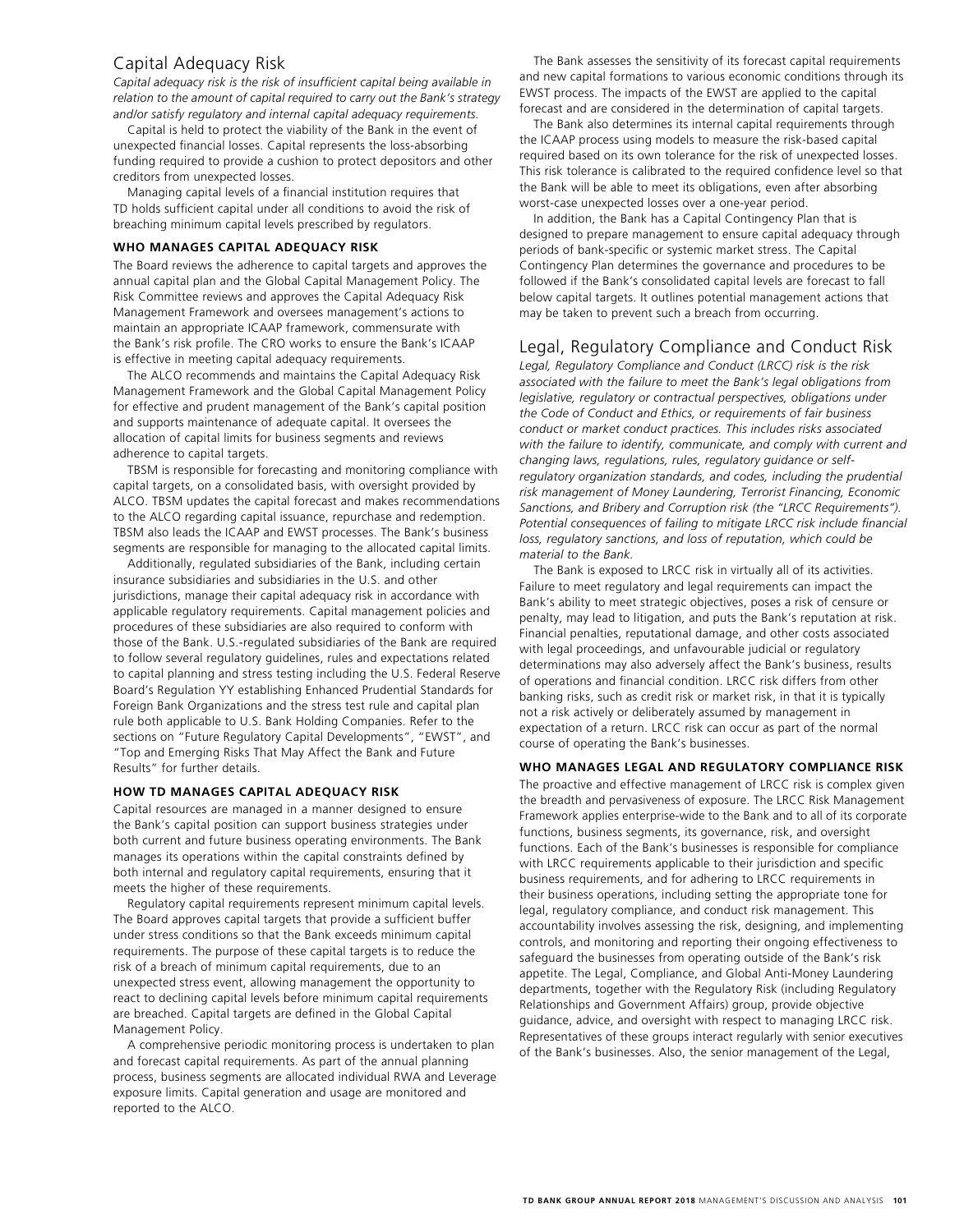### Capital Adequacy Risk

*Capital adequacy risk is the risk of insufficient capital being available in relation to the amount of capital required to carry out the Bank's strategy and/or satisfy regulatory and internal capital adequacy requirements.*

Capital is held to protect the viability of the Bank in the event of unexpected financial losses. Capital represents the loss-absorbing funding required to provide a cushion to protect depositors and other creditors from unexpected losses.

Managing capital levels of a financial institution requires that TD holds sufficient capital under all conditions to avoid the risk of breaching minimum capital levels prescribed by regulators.

### **WHO MANAGES CAPITAL ADEQUACY RISK**

The Board reviews the adherence to capital targets and approves the annual capital plan and the Global Capital Management Policy. The Risk Committee reviews and approves the Capital Adequacy Risk Management Framework and oversees management's actions to maintain an appropriate ICAAP framework, commensurate with the Bank's risk profile. The CRO works to ensure the Bank's ICAAP is effective in meeting capital adequacy requirements.

The ALCO recommends and maintains the Capital Adequacy Risk Management Framework and the Global Capital Management Policy for effective and prudent management of the Bank's capital position and supports maintenance of adequate capital. It oversees the allocation of capital limits for business segments and reviews adherence to capital targets.

TBSM is responsible for forecasting and monitoring compliance with capital targets, on a consolidated basis, with oversight provided by ALCO. TBSM updates the capital forecast and makes recommendations to the ALCO regarding capital issuance, repurchase and redemption. TBSM also leads the ICAAP and EWST processes. The Bank's business segments are responsible for managing to the allocated capital limits.

Additionally, regulated subsidiaries of the Bank, including certain insurance subsidiaries and subsidiaries in the U.S. and other jurisdictions, manage their capital adequacy risk in accordance with applicable regulatory requirements. Capital management policies and procedures of these subsidiaries are also required to conform with those of the Bank. U.S.-regulated subsidiaries of the Bank are required to follow several regulatory guidelines, rules and expectations related to capital planning and stress testing including the U.S. Federal Reserve Board's Regulation YY establishing Enhanced Prudential Standards for Foreign Bank Organizations and the stress test rule and capital plan rule both applicable to U.S. Bank Holding Companies. Refer to the sections on "Future Regulatory Capital Developments", "EWST", and "Top and Emerging Risks That May Affect the Bank and Future Results" for further details.

### **HOW TD MANAGES CAPITAL ADEQUACY RISK**

Capital resources are managed in a manner designed to ensure the Bank's capital position can support business strategies under both current and future business operating environments. The Bank manages its operations within the capital constraints defined by both internal and regulatory capital requirements, ensuring that it meets the higher of these requirements.

Regulatory capital requirements represent minimum capital levels. The Board approves capital targets that provide a sufficient buffer under stress conditions so that the Bank exceeds minimum capital requirements. The purpose of these capital targets is to reduce the risk of a breach of minimum capital requirements, due to an unexpected stress event, allowing management the opportunity to react to declining capital levels before minimum capital requirements are breached. Capital targets are defined in the Global Capital Management Policy.

A comprehensive periodic monitoring process is undertaken to plan and forecast capital requirements. As part of the annual planning process, business segments are allocated individual RWA and Leverage exposure limits. Capital generation and usage are monitored and reported to the ALCO.

The Bank assesses the sensitivity of its forecast capital requirements and new capital formations to various economic conditions through its EWST process. The impacts of the EWST are applied to the capital forecast and are considered in the determination of capital targets.

The Bank also determines its internal capital requirements through the ICAAP process using models to measure the risk-based capital required based on its own tolerance for the risk of unexpected losses. This risk tolerance is calibrated to the required confidence level so that the Bank will be able to meet its obligations, even after absorbing worst-case unexpected losses over a one-year period.

In addition, the Bank has a Capital Contingency Plan that is designed to prepare management to ensure capital adequacy through periods of bank-specific or systemic market stress. The Capital Contingency Plan determines the governance and procedures to be followed if the Bank's consolidated capital levels are forecast to fall below capital targets. It outlines potential management actions that may be taken to prevent such a breach from occurring.

### Legal, Regulatory Compliance and Conduct Risk

*Legal, Regulatory Compliance and Conduct (LRCC) risk is the risk associated with the failure to meet the Bank's legal obligations from legislative, regulatory or contractual perspectives, obligations under the Code of Conduct and Ethics, or requirements of fair business conduct or market conduct practices. This includes risks associated with the failure to identify, communicate, and comply with current and changing laws, regulations, rules, regulatory guidance or selfregulatory organization standards, and codes, including the prudential risk management of Money Laundering, Terrorist Financing, Economic Sanctions, and Bribery and Corruption risk (the "LRCC Requirements"). Potential consequences of failing to mitigate LRCC risk include financial loss, regulatory sanctions, and loss of reputation, which could be material to the Bank.*

The Bank is exposed to LRCC risk in virtually all of its activities. Failure to meet regulatory and legal requirements can impact the Bank's ability to meet strategic objectives, poses a risk of censure or penalty, may lead to litigation, and puts the Bank's reputation at risk. Financial penalties, reputational damage, and other costs associated with legal proceedings, and unfavourable judicial or regulatory determinations may also adversely affect the Bank's business, results of operations and financial condition. LRCC risk differs from other banking risks, such as credit risk or market risk, in that it is typically not a risk actively or deliberately assumed by management in expectation of a return. LRCC risk can occur as part of the normal course of operating the Bank's businesses.

### **WHO MANAGES LEGAL AND REGULATORY COMPLIANCE RISK**

The proactive and effective management of LRCC risk is complex given the breadth and pervasiveness of exposure. The LRCC Risk Management Framework applies enterprise-wide to the Bank and to all of its corporate functions, business segments, its governance, risk, and oversight functions. Each of the Bank's businesses is responsible for compliance with LRCC requirements applicable to their jurisdiction and specific business requirements, and for adhering to LRCC requirements in their business operations, including setting the appropriate tone for legal, regulatory compliance, and conduct risk management. This accountability involves assessing the risk, designing, and implementing controls, and monitoring and reporting their ongoing effectiveness to safeguard the businesses from operating outside of the Bank's risk appetite. The Legal, Compliance, and Global Anti-Money Laundering departments, together with the Regulatory Risk (including Regulatory Relationships and Government Affairs) group, provide objective guidance, advice, and oversight with respect to managing LRCC risk. Representatives of these groups interact regularly with senior executives of the Bank's businesses. Also, the senior management of the Legal,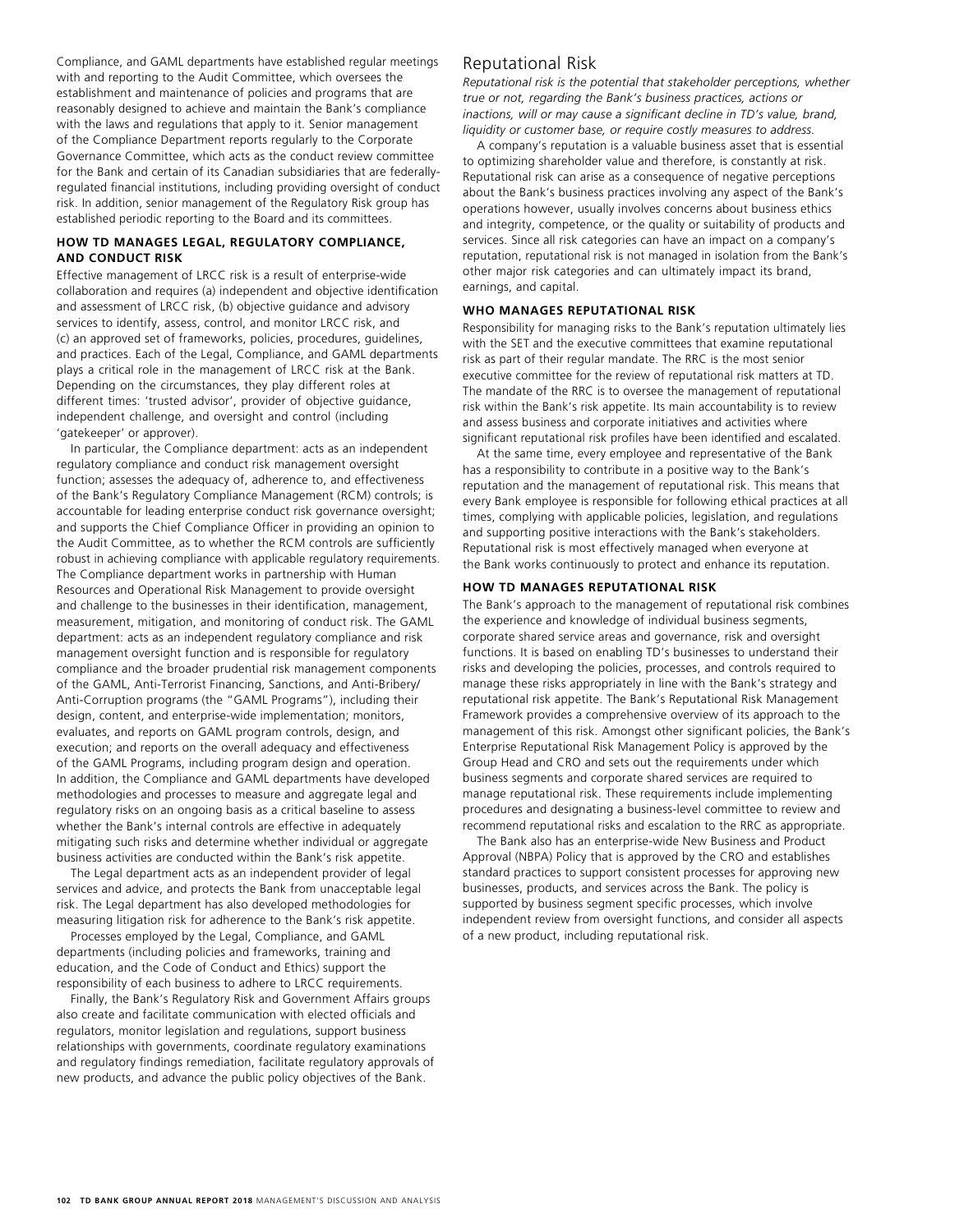Compliance, and GAML departments have established regular meetings with and reporting to the Audit Committee, which oversees the establishment and maintenance of policies and programs that are reasonably designed to achieve and maintain the Bank's compliance with the laws and regulations that apply to it. Senior management of the Compliance Department reports regularly to the Corporate Governance Committee, which acts as the conduct review committee for the Bank and certain of its Canadian subsidiaries that are federallyregulated financial institutions, including providing oversight of conduct risk. In addition, senior management of the Regulatory Risk group has established periodic reporting to the Board and its committees.

### **HOW TD MANAGES LEGAL, REGULATORY COMPLIANCE, AND CONDUCT RISK**

Effective management of LRCC risk is a result of enterprise-wide collaboration and requires (a) independent and objective identification and assessment of LRCC risk, (b) objective guidance and advisory services to identify, assess, control, and monitor LRCC risk, and (c) an approved set of frameworks, policies, procedures, guidelines, and practices. Each of the Legal, Compliance, and GAML departments plays a critical role in the management of LRCC risk at the Bank. Depending on the circumstances, they play different roles at different times: 'trusted advisor', provider of objective guidance, independent challenge, and oversight and control (including 'gatekeeper' or approver).

In particular, the Compliance department: acts as an independent regulatory compliance and conduct risk management oversight function; assesses the adequacy of, adherence to, and effectiveness of the Bank's Regulatory Compliance Management (RCM) controls; is accountable for leading enterprise conduct risk governance oversight; and supports the Chief Compliance Officer in providing an opinion to the Audit Committee, as to whether the RCM controls are sufficiently robust in achieving compliance with applicable regulatory requirements. The Compliance department works in partnership with Human Resources and Operational Risk Management to provide oversight and challenge to the businesses in their identification, management, measurement, mitigation, and monitoring of conduct risk. The GAML department: acts as an independent regulatory compliance and risk management oversight function and is responsible for regulatory compliance and the broader prudential risk management components of the GAML, Anti-Terrorist Financing, Sanctions, and Anti-Bribery/ Anti-Corruption programs (the "GAML Programs"), including their design, content, and enterprise-wide implementation; monitors, evaluates, and reports on GAML program controls, design, and execution; and reports on the overall adequacy and effectiveness of the GAML Programs, including program design and operation. In addition, the Compliance and GAML departments have developed methodologies and processes to measure and aggregate legal and regulatory risks on an ongoing basis as a critical baseline to assess whether the Bank's internal controls are effective in adequately mitigating such risks and determine whether individual or aggregate business activities are conducted within the Bank's risk appetite.

The Legal department acts as an independent provider of legal services and advice, and protects the Bank from unacceptable legal risk. The Legal department has also developed methodologies for measuring litigation risk for adherence to the Bank's risk appetite.

Processes employed by the Legal, Compliance, and GAML departments (including policies and frameworks, training and education, and the Code of Conduct and Ethics) support the responsibility of each business to adhere to LRCC requirements.

Finally, the Bank's Regulatory Risk and Government Affairs groups also create and facilitate communication with elected officials and regulators, monitor legislation and regulations, support business relationships with governments, coordinate regulatory examinations and regulatory findings remediation, facilitate regulatory approvals of new products, and advance the public policy objectives of the Bank.

### Reputational Risk

*Reputational risk is the potential that stakeholder perceptions, whether true or not, regarding the Bank's business practices, actions or inactions, will or may cause a significant decline in TD's value, brand, liquidity or customer base, or require costly measures to address.*

A company's reputation is a valuable business asset that is essential to optimizing shareholder value and therefore, is constantly at risk. Reputational risk can arise as a consequence of negative perceptions about the Bank's business practices involving any aspect of the Bank's operations however, usually involves concerns about business ethics and integrity, competence, or the quality or suitability of products and services. Since all risk categories can have an impact on a company's reputation, reputational risk is not managed in isolation from the Bank's other major risk categories and can ultimately impact its brand, earnings, and capital.

### **WHO MANAGES REPUTATIONAL RISK**

Responsibility for managing risks to the Bank's reputation ultimately lies with the SET and the executive committees that examine reputational risk as part of their regular mandate. The RRC is the most senior executive committee for the review of reputational risk matters at TD. The mandate of the RRC is to oversee the management of reputational risk within the Bank's risk appetite. Its main accountability is to review and assess business and corporate initiatives and activities where significant reputational risk profiles have been identified and escalated.

At the same time, every employee and representative of the Bank has a responsibility to contribute in a positive way to the Bank's reputation and the management of reputational risk. This means that every Bank employee is responsible for following ethical practices at all times, complying with applicable policies, legislation, and regulations and supporting positive interactions with the Bank's stakeholders. Reputational risk is most effectively managed when everyone at the Bank works continuously to protect and enhance its reputation.

### **HOW TD MANAGES REPUTATIONAL RISK**

The Bank's approach to the management of reputational risk combines the experience and knowledge of individual business segments, corporate shared service areas and governance, risk and oversight functions. It is based on enabling TD's businesses to understand their risks and developing the policies, processes, and controls required to manage these risks appropriately in line with the Bank's strategy and reputational risk appetite. The Bank's Reputational Risk Management Framework provides a comprehensive overview of its approach to the management of this risk. Amongst other significant policies, the Bank's Enterprise Reputational Risk Management Policy is approved by the Group Head and CRO and sets out the requirements under which business segments and corporate shared services are required to manage reputational risk. These requirements include implementing procedures and designating a business-level committee to review and recommend reputational risks and escalation to the RRC as appropriate.

The Bank also has an enterprise-wide New Business and Product Approval (NBPA) Policy that is approved by the CRO and establishes standard practices to support consistent processes for approving new businesses, products, and services across the Bank. The policy is supported by business segment specific processes, which involve independent review from oversight functions, and consider all aspects of a new product, including reputational risk.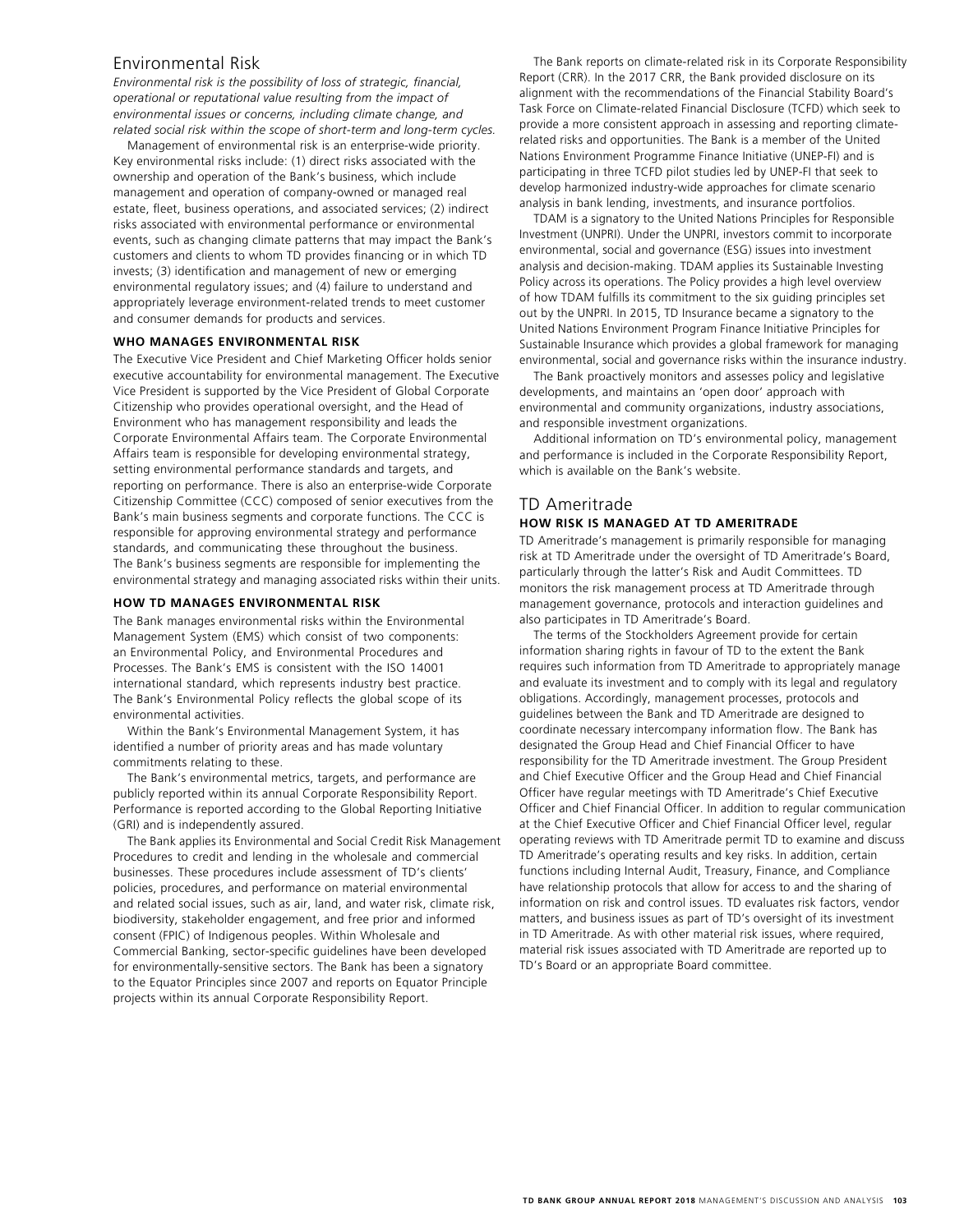### Environmental Risk

*Environmental risk is the possibility of loss of strategic, financial, operational or reputational value resulting from the impact of environmental issues or concerns, including climate change, and related social risk within the scope of short-term and long-term cycles.*

Management of environmental risk is an enterprise-wide priority. Key environmental risks include: (1) direct risks associated with the ownership and operation of the Bank's business, which include management and operation of company-owned or managed real estate, fleet, business operations, and associated services; (2) indirect risks associated with environmental performance or environmental events, such as changing climate patterns that may impact the Bank's customers and clients to whom TD provides financing or in which TD invests; (3) identification and management of new or emerging environmental regulatory issues; and (4) failure to understand and appropriately leverage environment-related trends to meet customer and consumer demands for products and services.

### **WHO MANAGES ENVIRONMENTAL RISK**

The Executive Vice President and Chief Marketing Officer holds senior executive accountability for environmental management. The Executive Vice President is supported by the Vice President of Global Corporate Citizenship who provides operational oversight, and the Head of Environment who has management responsibility and leads the Corporate Environmental Affairs team. The Corporate Environmental Affairs team is responsible for developing environmental strategy, setting environmental performance standards and targets, and reporting on performance. There is also an enterprise-wide Corporate Citizenship Committee (CCC) composed of senior executives from the Bank's main business segments and corporate functions. The CCC is responsible for approving environmental strategy and performance standards, and communicating these throughout the business. The Bank's business segments are responsible for implementing the environmental strategy and managing associated risks within their units.

### **HOW TD MANAGES ENVIRONMENTAL RISK**

The Bank manages environmental risks within the Environmental Management System (EMS) which consist of two components: an Environmental Policy, and Environmental Procedures and Processes. The Bank's EMS is consistent with the ISO 14001 international standard, which represents industry best practice. The Bank's Environmental Policy reflects the global scope of its environmental activities.

Within the Bank's Environmental Management System, it has identified a number of priority areas and has made voluntary commitments relating to these.

The Bank's environmental metrics, targets, and performance are publicly reported within its annual Corporate Responsibility Report. Performance is reported according to the Global Reporting Initiative (GRI) and is independently assured.

The Bank applies its Environmental and Social Credit Risk Management Procedures to credit and lending in the wholesale and commercial businesses. These procedures include assessment of TD's clients' policies, procedures, and performance on material environmental and related social issues, such as air, land, and water risk, climate risk, biodiversity, stakeholder engagement, and free prior and informed consent (FPIC) of Indigenous peoples. Within Wholesale and Commercial Banking, sector-specific guidelines have been developed for environmentally-sensitive sectors. The Bank has been a signatory to the Equator Principles since 2007 and reports on Equator Principle projects within its annual Corporate Responsibility Report.

The Bank reports on climate-related risk in its Corporate Responsibility Report (CRR). In the 2017 CRR, the Bank provided disclosure on its alignment with the recommendations of the Financial Stability Board's Task Force on Climate-related Financial Disclosure (TCFD) which seek to provide a more consistent approach in assessing and reporting climaterelated risks and opportunities. The Bank is a member of the United Nations Environment Programme Finance Initiative (UNEP-FI) and is participating in three TCFD pilot studies led by UNEP-FI that seek to develop harmonized industry-wide approaches for climate scenario analysis in bank lending, investments, and insurance portfolios.

TDAM is a signatory to the United Nations Principles for Responsible Investment (UNPRI). Under the UNPRI, investors commit to incorporate environmental, social and governance (ESG) issues into investment analysis and decision-making. TDAM applies its Sustainable Investing Policy across its operations. The Policy provides a high level overview of how TDAM fulfills its commitment to the six guiding principles set out by the UNPRI. In 2015, TD Insurance became a signatory to the United Nations Environment Program Finance Initiative Principles for Sustainable Insurance which provides a global framework for managing environmental, social and governance risks within the insurance industry.

The Bank proactively monitors and assesses policy and legislative developments, and maintains an 'open door' approach with environmental and community organizations, industry associations, and responsible investment organizations.

Additional information on TD's environmental policy, management and performance is included in the Corporate Responsibility Report, which is available on the Bank's website.

### TD Ameritrade **HOW RISK IS MANAGED AT TD AMERITRADE**

TD Ameritrade's management is primarily responsible for managing risk at TD Ameritrade under the oversight of TD Ameritrade's Board, particularly through the latter's Risk and Audit Committees. TD monitors the risk management process at TD Ameritrade through management governance, protocols and interaction guidelines and also participates in TD Ameritrade's Board.

The terms of the Stockholders Agreement provide for certain information sharing rights in favour of TD to the extent the Bank requires such information from TD Ameritrade to appropriately manage and evaluate its investment and to comply with its legal and regulatory obligations. Accordingly, management processes, protocols and guidelines between the Bank and TD Ameritrade are designed to coordinate necessary intercompany information flow. The Bank has designated the Group Head and Chief Financial Officer to have responsibility for the TD Ameritrade investment. The Group President and Chief Executive Officer and the Group Head and Chief Financial Officer have regular meetings with TD Ameritrade's Chief Executive Officer and Chief Financial Officer. In addition to regular communication at the Chief Executive Officer and Chief Financial Officer level, regular operating reviews with TD Ameritrade permit TD to examine and discuss TD Ameritrade's operating results and key risks. In addition, certain functions including Internal Audit, Treasury, Finance, and Compliance have relationship protocols that allow for access to and the sharing of information on risk and control issues. TD evaluates risk factors, vendor matters, and business issues as part of TD's oversight of its investment in TD Ameritrade. As with other material risk issues, where required, material risk issues associated with TD Ameritrade are reported up to TD's Board or an appropriate Board committee.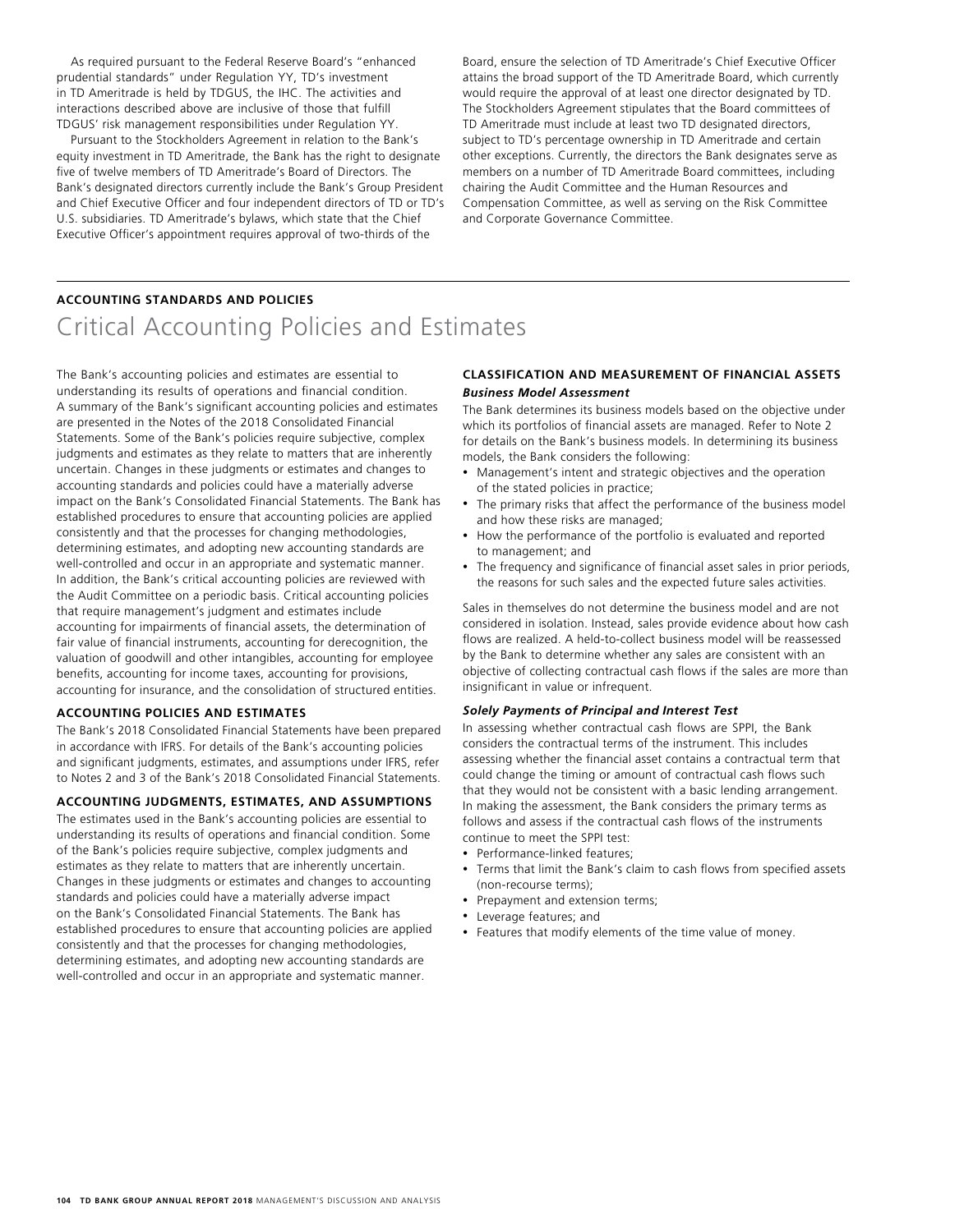As required pursuant to the Federal Reserve Board's "enhanced prudential standards" under Regulation YY, TD's investment in TD Ameritrade is held by TDGUS, the IHC. The activities and interactions described above are inclusive of those that fulfill TDGUS' risk management responsibilities under Regulation YY.

Pursuant to the Stockholders Agreement in relation to the Bank's equity investment in TD Ameritrade, the Bank has the right to designate five of twelve members of TD Ameritrade's Board of Directors. The Bank's designated directors currently include the Bank's Group President and Chief Executive Officer and four independent directors of TD or TD's U.S. subsidiaries. TD Ameritrade's bylaws, which state that the Chief Executive Officer's appointment requires approval of two-thirds of the

Board, ensure the selection of TD Ameritrade's Chief Executive Officer attains the broad support of the TD Ameritrade Board, which currently would require the approval of at least one director designated by TD. The Stockholders Agreement stipulates that the Board committees of TD Ameritrade must include at least two TD designated directors, subject to TD's percentage ownership in TD Ameritrade and certain other exceptions. Currently, the directors the Bank designates serve as members on a number of TD Ameritrade Board committees, including chairing the Audit Committee and the Human Resources and Compensation Committee, as well as serving on the Risk Committee and Corporate Governance Committee.

# **ACCOUNTING STANDARDS AND POLICIES** Critical Accounting Policies and Estimates

The Bank's accounting policies and estimates are essential to understanding its results of operations and financial condition. A summary of the Bank's significant accounting policies and estimates are presented in the Notes of the 2018 Consolidated Financial Statements. Some of the Bank's policies require subjective, complex judgments and estimates as they relate to matters that are inherently uncertain. Changes in these judgments or estimates and changes to accounting standards and policies could have a materially adverse impact on the Bank's Consolidated Financial Statements. The Bank has established procedures to ensure that accounting policies are applied consistently and that the processes for changing methodologies, determining estimates, and adopting new accounting standards are well-controlled and occur in an appropriate and systematic manner. In addition, the Bank's critical accounting policies are reviewed with the Audit Committee on a periodic basis. Critical accounting policies that require management's judgment and estimates include accounting for impairments of financial assets, the determination of fair value of financial instruments, accounting for derecognition, the valuation of goodwill and other intangibles, accounting for employee benefits, accounting for income taxes, accounting for provisions, accounting for insurance, and the consolidation of structured entities.

### **ACCOUNTING POLICIES AND ESTIMATES**

The Bank's 2018 Consolidated Financial Statements have been prepared in accordance with IFRS. For details of the Bank's accounting policies and significant judgments, estimates, and assumptions under IFRS, refer to Notes 2 and 3 of the Bank's 2018 Consolidated Financial Statements.

### **ACCOUNTING JUDGMENTS, ESTIMATES, AND ASSUMPTIONS**

The estimates used in the Bank's accounting policies are essential to understanding its results of operations and financial condition. Some of the Bank's policies require subjective, complex judgments and estimates as they relate to matters that are inherently uncertain. Changes in these judgments or estimates and changes to accounting standards and policies could have a materially adverse impact on the Bank's Consolidated Financial Statements. The Bank has established procedures to ensure that accounting policies are applied consistently and that the processes for changing methodologies, determining estimates, and adopting new accounting standards are well-controlled and occur in an appropriate and systematic manner.

### **CLASSIFICATION AND MEASUREMENT OF FINANCIAL ASSETS** *Business Model Assessment*

The Bank determines its business models based on the objective under which its portfolios of financial assets are managed. Refer to Note 2 for details on the Bank's business models. In determining its business models, the Bank considers the following:

- Management's intent and strategic objectives and the operation of the stated policies in practice;
- The primary risks that affect the performance of the business model and how these risks are managed;
- How the performance of the portfolio is evaluated and reported to management; and
- The frequency and significance of financial asset sales in prior periods, the reasons for such sales and the expected future sales activities.

Sales in themselves do not determine the business model and are not considered in isolation. Instead, sales provide evidence about how cash flows are realized. A held-to-collect business model will be reassessed by the Bank to determine whether any sales are consistent with an objective of collecting contractual cash flows if the sales are more than insignificant in value or infrequent.

### *Solely Payments of Principal and Interest Test*

In assessing whether contractual cash flows are SPPI, the Bank considers the contractual terms of the instrument. This includes assessing whether the financial asset contains a contractual term that could change the timing or amount of contractual cash flows such that they would not be consistent with a basic lending arrangement. In making the assessment, the Bank considers the primary terms as follows and assess if the contractual cash flows of the instruments continue to meet the SPPI test:

- Performance-linked features;
- Terms that limit the Bank's claim to cash flows from specified assets (non-recourse terms);
- Prepayment and extension terms;
- Leverage features; and
- Features that modify elements of the time value of money.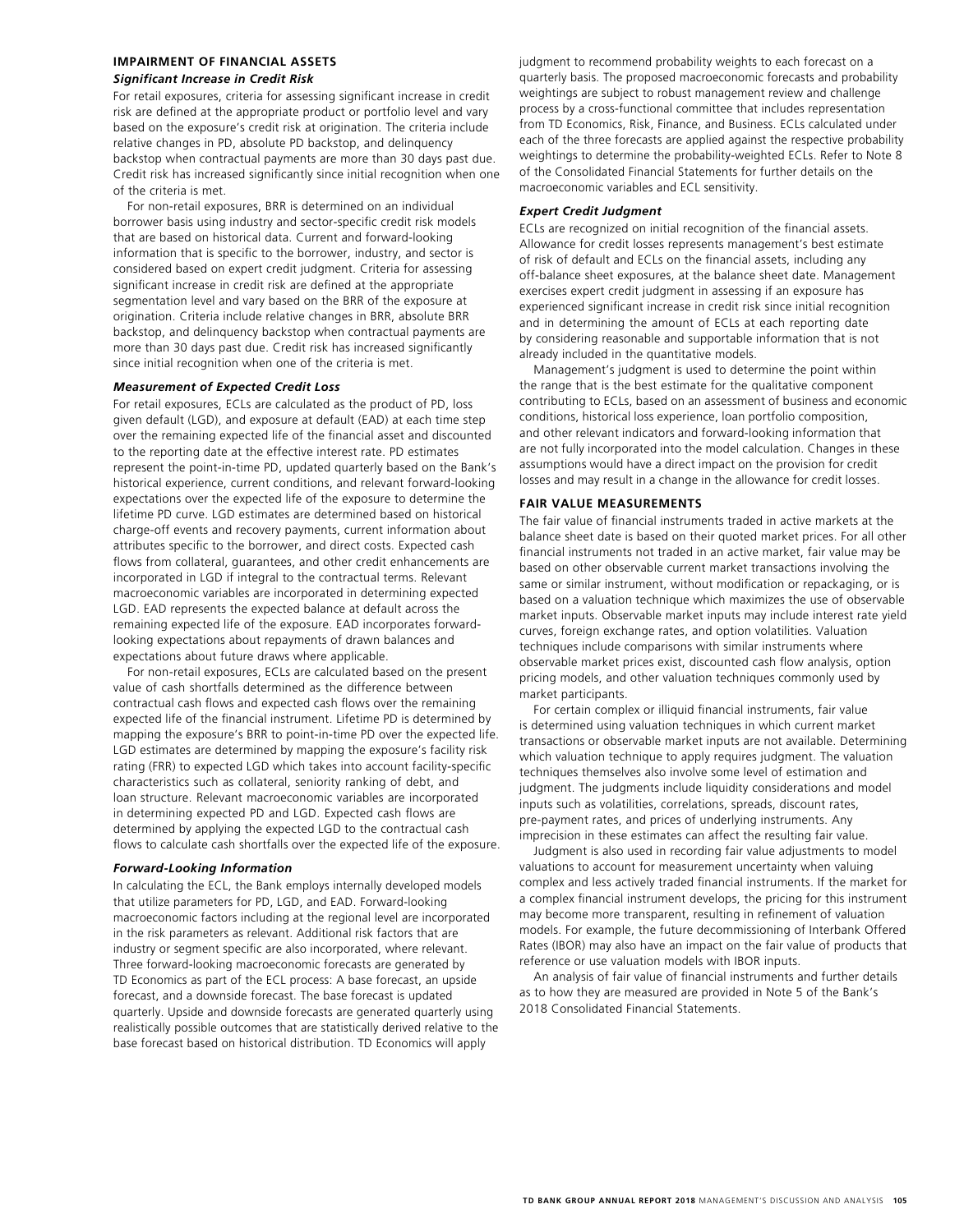### **IMPAIRMENT OF FINANCIAL ASSETS** *Significant Increase in Credit Risk*

For retail exposures, criteria for assessing significant increase in credit risk are defined at the appropriate product or portfolio level and vary based on the exposure's credit risk at origination. The criteria include relative changes in PD, absolute PD backstop, and delinquency backstop when contractual payments are more than 30 days past due. Credit risk has increased significantly since initial recognition when one of the criteria is met.

For non-retail exposures, BRR is determined on an individual borrower basis using industry and sector-specific credit risk models that are based on historical data. Current and forward-looking information that is specific to the borrower, industry, and sector is considered based on expert credit judgment. Criteria for assessing significant increase in credit risk are defined at the appropriate segmentation level and vary based on the BRR of the exposure at origination. Criteria include relative changes in BRR, absolute BRR backstop, and delinquency backstop when contractual payments are more than 30 days past due. Credit risk has increased significantly since initial recognition when one of the criteria is met.

### *Measurement of Expected Credit Loss*

For retail exposures, ECLs are calculated as the product of PD, loss given default (LGD), and exposure at default (EAD) at each time step over the remaining expected life of the financial asset and discounted to the reporting date at the effective interest rate. PD estimates represent the point-in-time PD, updated quarterly based on the Bank's historical experience, current conditions, and relevant forward-looking expectations over the expected life of the exposure to determine the lifetime PD curve. LGD estimates are determined based on historical charge-off events and recovery payments, current information about attributes specific to the borrower, and direct costs. Expected cash flows from collateral, guarantees, and other credit enhancements are incorporated in LGD if integral to the contractual terms. Relevant macroeconomic variables are incorporated in determining expected LGD. EAD represents the expected balance at default across the remaining expected life of the exposure. EAD incorporates forwardlooking expectations about repayments of drawn balances and expectations about future draws where applicable.

For non-retail exposures, ECLs are calculated based on the present value of cash shortfalls determined as the difference between contractual cash flows and expected cash flows over the remaining expected life of the financial instrument. Lifetime PD is determined by mapping the exposure's BRR to point-in-time PD over the expected life. LGD estimates are determined by mapping the exposure's facility risk rating (FRR) to expected LGD which takes into account facility-specific characteristics such as collateral, seniority ranking of debt, and loan structure. Relevant macroeconomic variables are incorporated in determining expected PD and LGD. Expected cash flows are determined by applying the expected LGD to the contractual cash flows to calculate cash shortfalls over the expected life of the exposure.

#### *Forward-Looking Information*

In calculating the ECL, the Bank employs internally developed models that utilize parameters for PD, LGD, and EAD. Forward-looking macroeconomic factors including at the regional level are incorporated in the risk parameters as relevant. Additional risk factors that are industry or segment specific are also incorporated, where relevant. Three forward-looking macroeconomic forecasts are generated by TD Economics as part of the ECL process: A base forecast, an upside forecast, and a downside forecast. The base forecast is updated quarterly. Upside and downside forecasts are generated quarterly using realistically possible outcomes that are statistically derived relative to the base forecast based on historical distribution. TD Economics will apply

judgment to recommend probability weights to each forecast on a quarterly basis. The proposed macroeconomic forecasts and probability weightings are subject to robust management review and challenge process by a cross-functional committee that includes representation from TD Economics, Risk, Finance, and Business. ECLs calculated under each of the three forecasts are applied against the respective probability weightings to determine the probability-weighted ECLs. Refer to Note 8 of the Consolidated Financial Statements for further details on the macroeconomic variables and ECL sensitivity.

#### *Expert Credit Judgment*

ECLs are recognized on initial recognition of the financial assets. Allowance for credit losses represents management's best estimate of risk of default and ECLs on the financial assets, including any off-balance sheet exposures, at the balance sheet date. Management exercises expert credit judgment in assessing if an exposure has experienced significant increase in credit risk since initial recognition and in determining the amount of ECLs at each reporting date by considering reasonable and supportable information that is not already included in the quantitative models.

Management's judgment is used to determine the point within the range that is the best estimate for the qualitative component contributing to ECLs, based on an assessment of business and economic conditions, historical loss experience, loan portfolio composition, and other relevant indicators and forward-looking information that are not fully incorporated into the model calculation. Changes in these assumptions would have a direct impact on the provision for credit losses and may result in a change in the allowance for credit losses.

#### **FAIR VALUE MEASUREMENTS**

The fair value of financial instruments traded in active markets at the balance sheet date is based on their quoted market prices. For all other financial instruments not traded in an active market, fair value may be based on other observable current market transactions involving the same or similar instrument, without modification or repackaging, or is based on a valuation technique which maximizes the use of observable market inputs. Observable market inputs may include interest rate yield curves, foreign exchange rates, and option volatilities. Valuation techniques include comparisons with similar instruments where observable market prices exist, discounted cash flow analysis, option pricing models, and other valuation techniques commonly used by market participants.

For certain complex or illiquid financial instruments, fair value is determined using valuation techniques in which current market transactions or observable market inputs are not available. Determining which valuation technique to apply requires judgment. The valuation techniques themselves also involve some level of estimation and judgment. The judgments include liquidity considerations and model inputs such as volatilities, correlations, spreads, discount rates, pre-payment rates, and prices of underlying instruments. Any imprecision in these estimates can affect the resulting fair value.

Judgment is also used in recording fair value adjustments to model valuations to account for measurement uncertainty when valuing complex and less actively traded financial instruments. If the market for a complex financial instrument develops, the pricing for this instrument may become more transparent, resulting in refinement of valuation models. For example, the future decommissioning of Interbank Offered Rates (IBOR) may also have an impact on the fair value of products that reference or use valuation models with IBOR inputs.

An analysis of fair value of financial instruments and further details as to how they are measured are provided in Note 5 of the Bank's 2018 Consolidated Financial Statements.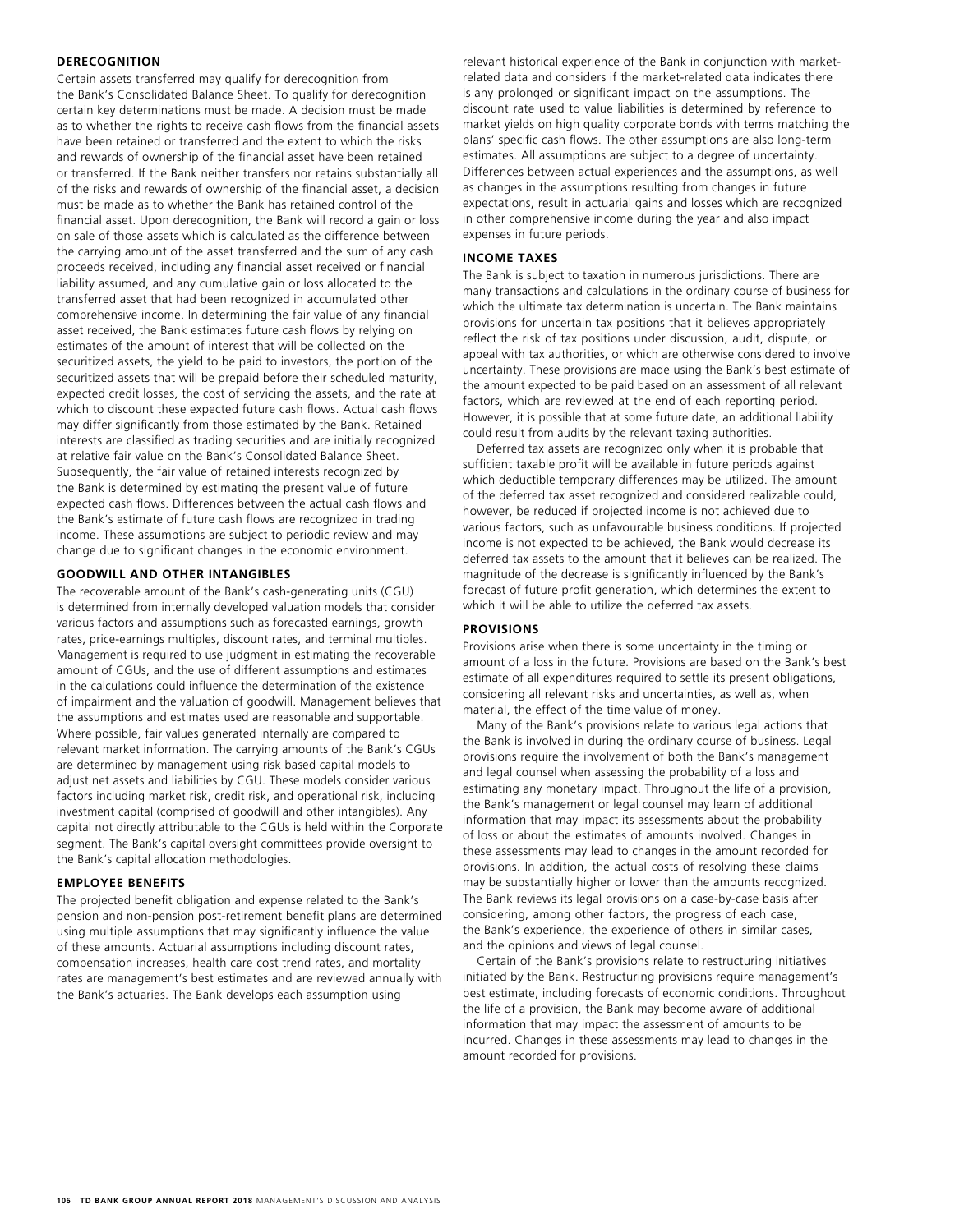### **DERECOGNITION**

Certain assets transferred may qualify for derecognition from the Bank's Consolidated Balance Sheet. To qualify for derecognition certain key determinations must be made. A decision must be made as to whether the rights to receive cash flows from the financial assets have been retained or transferred and the extent to which the risks and rewards of ownership of the financial asset have been retained or transferred. If the Bank neither transfers nor retains substantially all of the risks and rewards of ownership of the financial asset, a decision must be made as to whether the Bank has retained control of the financial asset. Upon derecognition, the Bank will record a gain or loss on sale of those assets which is calculated as the difference between the carrying amount of the asset transferred and the sum of any cash proceeds received, including any financial asset received or financial liability assumed, and any cumulative gain or loss allocated to the transferred asset that had been recognized in accumulated other comprehensive income. In determining the fair value of any financial asset received, the Bank estimates future cash flows by relying on estimates of the amount of interest that will be collected on the securitized assets, the yield to be paid to investors, the portion of the securitized assets that will be prepaid before their scheduled maturity, expected credit losses, the cost of servicing the assets, and the rate at which to discount these expected future cash flows. Actual cash flows may differ significantly from those estimated by the Bank. Retained interests are classified as trading securities and are initially recognized at relative fair value on the Bank's Consolidated Balance Sheet. Subsequently, the fair value of retained interests recognized by the Bank is determined by estimating the present value of future expected cash flows. Differences between the actual cash flows and the Bank's estimate of future cash flows are recognized in trading income. These assumptions are subject to periodic review and may change due to significant changes in the economic environment.

### **GOODWILL AND OTHER INTANGIBLES**

The recoverable amount of the Bank's cash-generating units (CGU) is determined from internally developed valuation models that consider various factors and assumptions such as forecasted earnings, growth rates, price-earnings multiples, discount rates, and terminal multiples. Management is required to use judgment in estimating the recoverable amount of CGUs, and the use of different assumptions and estimates in the calculations could influence the determination of the existence of impairment and the valuation of goodwill. Management believes that the assumptions and estimates used are reasonable and supportable. Where possible, fair values generated internally are compared to relevant market information. The carrying amounts of the Bank's CGUs are determined by management using risk based capital models to adjust net assets and liabilities by CGU. These models consider various factors including market risk, credit risk, and operational risk, including investment capital (comprised of goodwill and other intangibles). Any capital not directly attributable to the CGUs is held within the Corporate segment. The Bank's capital oversight committees provide oversight to the Bank's capital allocation methodologies.

### **EMPLOYEE BENEFITS**

The projected benefit obligation and expense related to the Bank's pension and non-pension post-retirement benefit plans are determined using multiple assumptions that may significantly influence the value of these amounts. Actuarial assumptions including discount rates, compensation increases, health care cost trend rates, and mortality rates are management's best estimates and are reviewed annually with the Bank's actuaries. The Bank develops each assumption using

relevant historical experience of the Bank in conjunction with marketrelated data and considers if the market-related data indicates there is any prolonged or significant impact on the assumptions. The discount rate used to value liabilities is determined by reference to market yields on high quality corporate bonds with terms matching the plans' specific cash flows. The other assumptions are also long-term estimates. All assumptions are subject to a degree of uncertainty. Differences between actual experiences and the assumptions, as well as changes in the assumptions resulting from changes in future expectations, result in actuarial gains and losses which are recognized in other comprehensive income during the year and also impact expenses in future periods.

#### **INCOME TAXES**

The Bank is subject to taxation in numerous jurisdictions. There are many transactions and calculations in the ordinary course of business for which the ultimate tax determination is uncertain. The Bank maintains provisions for uncertain tax positions that it believes appropriately reflect the risk of tax positions under discussion, audit, dispute, or appeal with tax authorities, or which are otherwise considered to involve uncertainty. These provisions are made using the Bank's best estimate of the amount expected to be paid based on an assessment of all relevant factors, which are reviewed at the end of each reporting period. However, it is possible that at some future date, an additional liability could result from audits by the relevant taxing authorities.

Deferred tax assets are recognized only when it is probable that sufficient taxable profit will be available in future periods against which deductible temporary differences may be utilized. The amount of the deferred tax asset recognized and considered realizable could, however, be reduced if projected income is not achieved due to various factors, such as unfavourable business conditions. If projected income is not expected to be achieved, the Bank would decrease its deferred tax assets to the amount that it believes can be realized. The magnitude of the decrease is significantly influenced by the Bank's forecast of future profit generation, which determines the extent to which it will be able to utilize the deferred tax assets.

### **PROVISIONS**

Provisions arise when there is some uncertainty in the timing or amount of a loss in the future. Provisions are based on the Bank's best estimate of all expenditures required to settle its present obligations, considering all relevant risks and uncertainties, as well as, when material, the effect of the time value of money.

Many of the Bank's provisions relate to various legal actions that the Bank is involved in during the ordinary course of business. Legal provisions require the involvement of both the Bank's management and legal counsel when assessing the probability of a loss and estimating any monetary impact. Throughout the life of a provision, the Bank's management or legal counsel may learn of additional information that may impact its assessments about the probability of loss or about the estimates of amounts involved. Changes in these assessments may lead to changes in the amount recorded for provisions. In addition, the actual costs of resolving these claims may be substantially higher or lower than the amounts recognized. The Bank reviews its legal provisions on a case-by-case basis after considering, among other factors, the progress of each case, the Bank's experience, the experience of others in similar cases, and the opinions and views of legal counsel.

Certain of the Bank's provisions relate to restructuring initiatives initiated by the Bank. Restructuring provisions require management's best estimate, including forecasts of economic conditions. Throughout the life of a provision, the Bank may become aware of additional information that may impact the assessment of amounts to be incurred. Changes in these assessments may lead to changes in the amount recorded for provisions.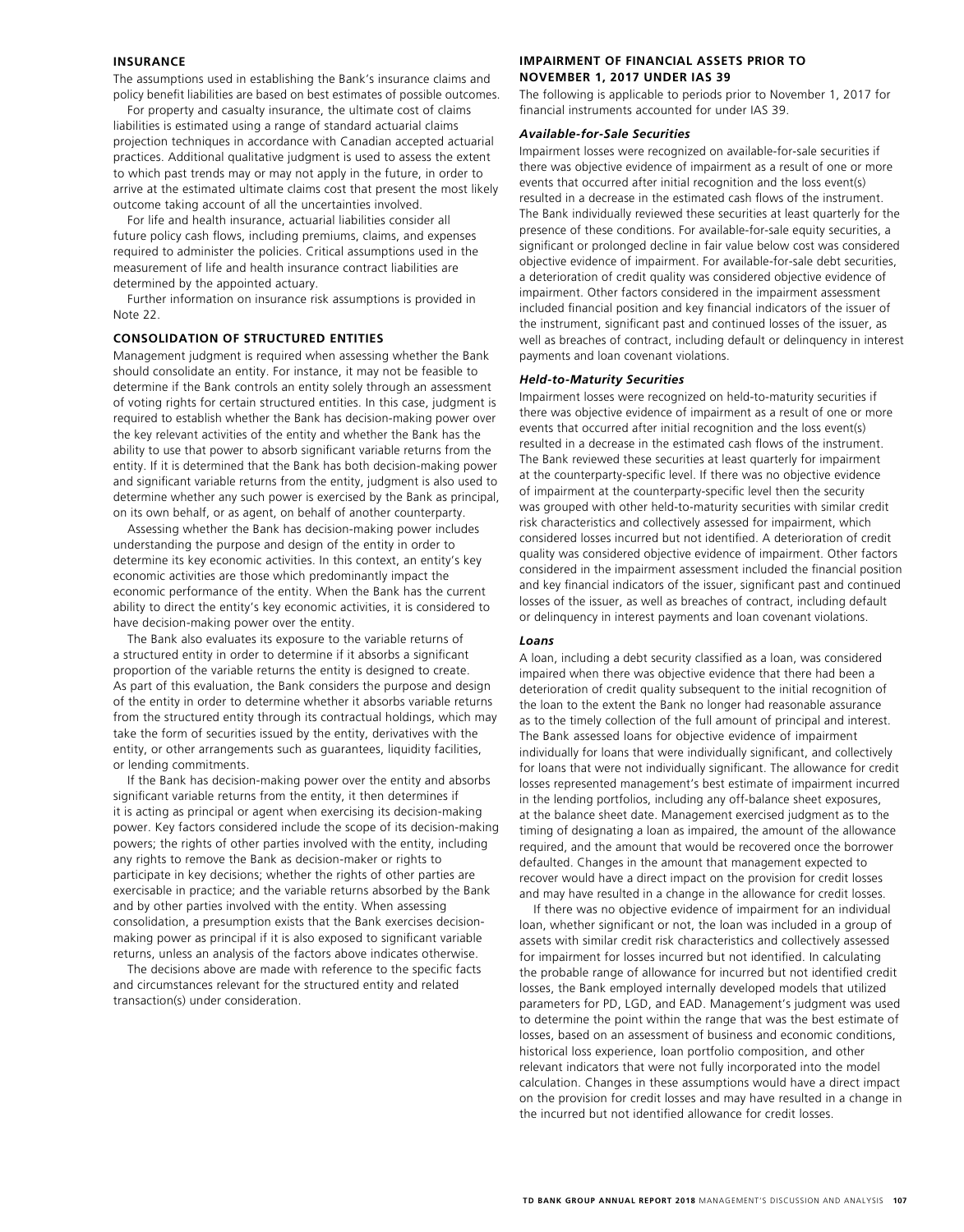### **INSURANCE**

The assumptions used in establishing the Bank's insurance claims and policy benefit liabilities are based on best estimates of possible outcomes.

For property and casualty insurance, the ultimate cost of claims liabilities is estimated using a range of standard actuarial claims projection techniques in accordance with Canadian accepted actuarial practices. Additional qualitative judgment is used to assess the extent to which past trends may or may not apply in the future, in order to arrive at the estimated ultimate claims cost that present the most likely outcome taking account of all the uncertainties involved.

For life and health insurance, actuarial liabilities consider all future policy cash flows, including premiums, claims, and expenses required to administer the policies. Critical assumptions used in the measurement of life and health insurance contract liabilities are determined by the appointed actuary.

Further information on insurance risk assumptions is provided in Note 22.

### **CONSOLIDATION OF STRUCTURED ENTITIES**

Management judgment is required when assessing whether the Bank should consolidate an entity. For instance, it may not be feasible to determine if the Bank controls an entity solely through an assessment of voting rights for certain structured entities. In this case, judgment is required to establish whether the Bank has decision-making power over the key relevant activities of the entity and whether the Bank has the ability to use that power to absorb significant variable returns from the entity. If it is determined that the Bank has both decision-making power and significant variable returns from the entity, judgment is also used to determine whether any such power is exercised by the Bank as principal, on its own behalf, or as agent, on behalf of another counterparty.

Assessing whether the Bank has decision-making power includes understanding the purpose and design of the entity in order to determine its key economic activities. In this context, an entity's key economic activities are those which predominantly impact the economic performance of the entity. When the Bank has the current ability to direct the entity's key economic activities, it is considered to have decision-making power over the entity.

The Bank also evaluates its exposure to the variable returns of a structured entity in order to determine if it absorbs a significant proportion of the variable returns the entity is designed to create. As part of this evaluation, the Bank considers the purpose and design of the entity in order to determine whether it absorbs variable returns from the structured entity through its contractual holdings, which may take the form of securities issued by the entity, derivatives with the entity, or other arrangements such as guarantees, liquidity facilities, or lending commitments.

If the Bank has decision-making power over the entity and absorbs significant variable returns from the entity, it then determines if it is acting as principal or agent when exercising its decision-making power. Key factors considered include the scope of its decision-making powers; the rights of other parties involved with the entity, including any rights to remove the Bank as decision-maker or rights to participate in key decisions; whether the rights of other parties are exercisable in practice; and the variable returns absorbed by the Bank and by other parties involved with the entity. When assessing consolidation, a presumption exists that the Bank exercises decisionmaking power as principal if it is also exposed to significant variable returns, unless an analysis of the factors above indicates otherwise.

The decisions above are made with reference to the specific facts and circumstances relevant for the structured entity and related transaction(s) under consideration.

### **IMPAIRMENT OF FINANCIAL ASSETS PRIOR TO NOVEMBER 1, 2017 UNDER IAS 39**

The following is applicable to periods prior to November 1, 2017 for financial instruments accounted for under IAS 39.

#### *Available-for-Sale Securities*

Impairment losses were recognized on available-for-sale securities if there was objective evidence of impairment as a result of one or more events that occurred after initial recognition and the loss event(s) resulted in a decrease in the estimated cash flows of the instrument. The Bank individually reviewed these securities at least quarterly for the presence of these conditions. For available-for-sale equity securities, a significant or prolonged decline in fair value below cost was considered objective evidence of impairment. For available-for-sale debt securities, a deterioration of credit quality was considered objective evidence of impairment. Other factors considered in the impairment assessment included financial position and key financial indicators of the issuer of the instrument, significant past and continued losses of the issuer, as well as breaches of contract, including default or delinquency in interest payments and loan covenant violations.

### *Held-to-Maturity Securities*

Impairment losses were recognized on held-to-maturity securities if there was objective evidence of impairment as a result of one or more events that occurred after initial recognition and the loss event(s) resulted in a decrease in the estimated cash flows of the instrument. The Bank reviewed these securities at least quarterly for impairment at the counterparty-specific level. If there was no objective evidence of impairment at the counterparty-specific level then the security was grouped with other held-to-maturity securities with similar credit risk characteristics and collectively assessed for impairment, which considered losses incurred but not identified. A deterioration of credit quality was considered objective evidence of impairment. Other factors considered in the impairment assessment included the financial position and key financial indicators of the issuer, significant past and continued losses of the issuer, as well as breaches of contract, including default or delinquency in interest payments and loan covenant violations.

### *Loans*

A loan, including a debt security classified as a loan, was considered impaired when there was objective evidence that there had been a deterioration of credit quality subsequent to the initial recognition of the loan to the extent the Bank no longer had reasonable assurance as to the timely collection of the full amount of principal and interest. The Bank assessed loans for objective evidence of impairment individually for loans that were individually significant, and collectively for loans that were not individually significant. The allowance for credit losses represented management's best estimate of impairment incurred in the lending portfolios, including any off-balance sheet exposures, at the balance sheet date. Management exercised judgment as to the timing of designating a loan as impaired, the amount of the allowance required, and the amount that would be recovered once the borrower defaulted. Changes in the amount that management expected to recover would have a direct impact on the provision for credit losses and may have resulted in a change in the allowance for credit losses.

If there was no objective evidence of impairment for an individual loan, whether significant or not, the loan was included in a group of assets with similar credit risk characteristics and collectively assessed for impairment for losses incurred but not identified. In calculating the probable range of allowance for incurred but not identified credit losses, the Bank employed internally developed models that utilized parameters for PD, LGD, and EAD. Management's judgment was used to determine the point within the range that was the best estimate of losses, based on an assessment of business and economic conditions, historical loss experience, loan portfolio composition, and other relevant indicators that were not fully incorporated into the model calculation. Changes in these assumptions would have a direct impact on the provision for credit losses and may have resulted in a change in the incurred but not identified allowance for credit losses.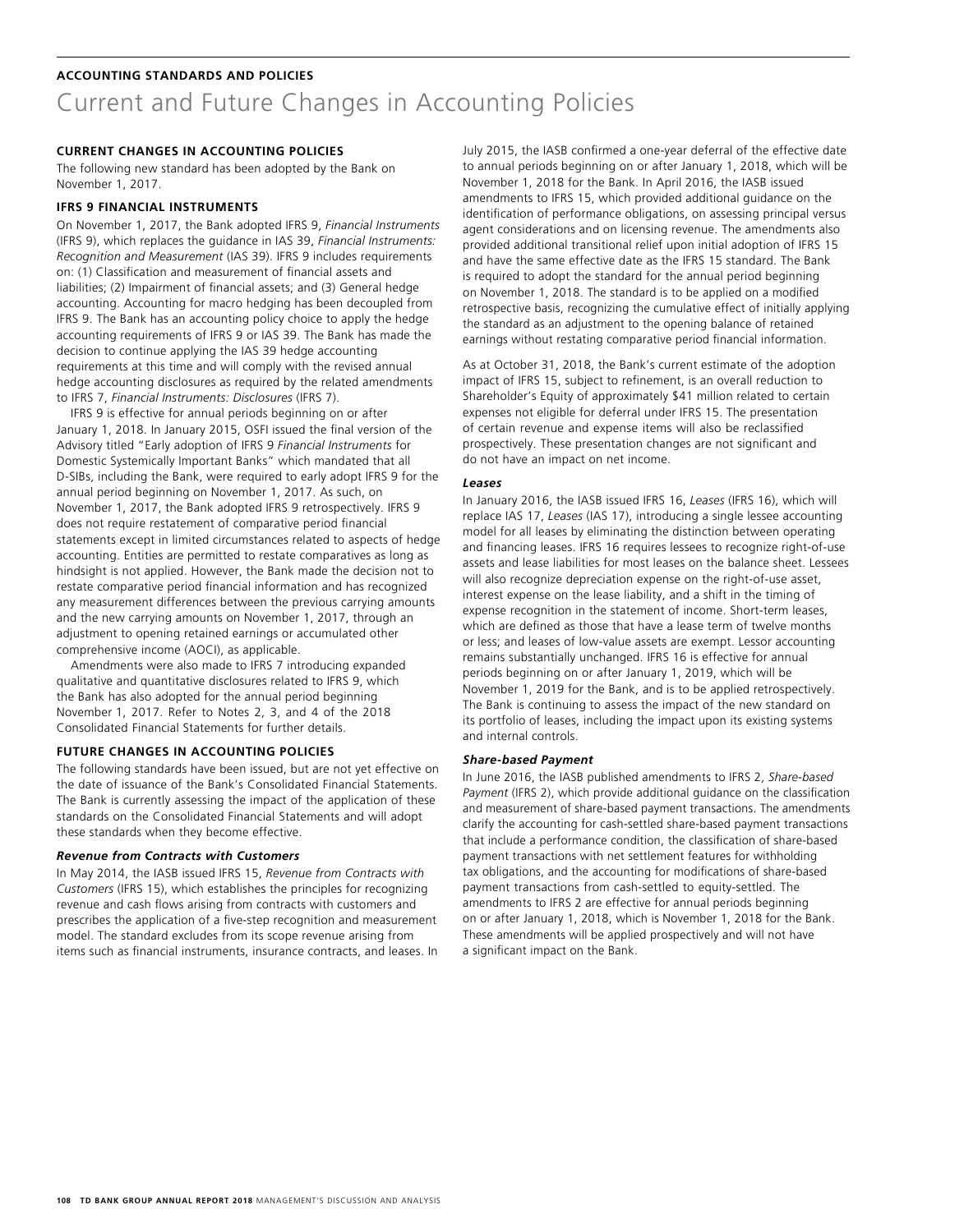# **ACCOUNTING STANDARDS AND POLICIES** Current and Future Changes in Accounting Policies

### **CURRENT CHANGES IN ACCOUNTING POLICIES**

The following new standard has been adopted by the Bank on November 1, 2017.

### **IFRS 9 FINANCIAL INSTRUMENTS**

On November 1, 2017, the Bank adopted IFRS 9, *Financial Instruments* (IFRS 9), which replaces the guidance in IAS 39, *Financial Instruments: Recognition and Measurement* (IAS 39). IFRS 9 includes requirements on: (1) Classification and measurement of financial assets and liabilities; (2) Impairment of financial assets; and (3) General hedge accounting. Accounting for macro hedging has been decoupled from IFRS 9. The Bank has an accounting policy choice to apply the hedge accounting requirements of IFRS 9 or IAS 39. The Bank has made the decision to continue applying the IAS 39 hedge accounting requirements at this time and will comply with the revised annual hedge accounting disclosures as required by the related amendments to IFRS 7, *Financial Instruments: Disclosures* (IFRS 7).

IFRS 9 is effective for annual periods beginning on or after January 1, 2018. In January 2015, OSFI issued the final version of the Advisory titled "Early adoption of IFRS 9 *Financial Instruments* for Domestic Systemically Important Banks" which mandated that all D-SIBs, including the Bank, were required to early adopt IFRS 9 for the annual period beginning on November 1, 2017. As such, on November 1, 2017, the Bank adopted IFRS 9 retrospectively. IFRS 9 does not require restatement of comparative period financial statements except in limited circumstances related to aspects of hedge accounting. Entities are permitted to restate comparatives as long as hindsight is not applied. However, the Bank made the decision not to restate comparative period financial information and has recognized any measurement differences between the previous carrying amounts and the new carrying amounts on November 1, 2017, through an adjustment to opening retained earnings or accumulated other comprehensive income (AOCI), as applicable.

Amendments were also made to IFRS 7 introducing expanded qualitative and quantitative disclosures related to IFRS 9, which the Bank has also adopted for the annual period beginning November 1, 2017. Refer to Notes 2, 3, and 4 of the 2018 Consolidated Financial Statements for further details.

### **FUTURE CHANGES IN ACCOUNTING POLICIES**

The following standards have been issued, but are not yet effective on the date of issuance of the Bank's Consolidated Financial Statements. The Bank is currently assessing the impact of the application of these standards on the Consolidated Financial Statements and will adopt these standards when they become effective.

### *Revenue from Contracts with Customers*

In May 2014, the IASB issued IFRS 15, *Revenue from Contracts with Customers* (IFRS 15), which establishes the principles for recognizing revenue and cash flows arising from contracts with customers and prescribes the application of a five-step recognition and measurement model. The standard excludes from its scope revenue arising from items such as financial instruments, insurance contracts, and leases. In

July 2015, the IASB confirmed a one-year deferral of the effective date to annual periods beginning on or after January 1, 2018, which will be November 1, 2018 for the Bank. In April 2016, the IASB issued amendments to IFRS 15, which provided additional guidance on the identification of performance obligations, on assessing principal versus agent considerations and on licensing revenue. The amendments also provided additional transitional relief upon initial adoption of IFRS 15 and have the same effective date as the IFRS 15 standard. The Bank is required to adopt the standard for the annual period beginning on November 1, 2018. The standard is to be applied on a modified retrospective basis, recognizing the cumulative effect of initially applying the standard as an adjustment to the opening balance of retained earnings without restating comparative period financial information.

As at October 31, 2018, the Bank's current estimate of the adoption impact of IFRS 15, subject to refinement, is an overall reduction to Shareholder's Equity of approximately \$41 million related to certain expenses not eligible for deferral under IFRS 15. The presentation of certain revenue and expense items will also be reclassified prospectively. These presentation changes are not significant and do not have an impact on net income.

### *Leases*

In January 2016, the IASB issued IFRS 16, *Leases* (IFRS 16), which will replace IAS 17, *Leases* (IAS 17), introducing a single lessee accounting model for all leases by eliminating the distinction between operating and financing leases. IFRS 16 requires lessees to recognize right-of-use assets and lease liabilities for most leases on the balance sheet. Lessees will also recognize depreciation expense on the right-of-use asset, interest expense on the lease liability, and a shift in the timing of expense recognition in the statement of income. Short-term leases, which are defined as those that have a lease term of twelve months or less; and leases of low-value assets are exempt. Lessor accounting remains substantially unchanged. IFRS 16 is effective for annual periods beginning on or after January 1, 2019, which will be November 1, 2019 for the Bank, and is to be applied retrospectively. The Bank is continuing to assess the impact of the new standard on its portfolio of leases, including the impact upon its existing systems and internal controls.

### *Share-based Payment*

In June 2016, the IASB published amendments to IFRS 2, *Share-based Payment* (IFRS 2), which provide additional guidance on the classification and measurement of share-based payment transactions. The amendments clarify the accounting for cash-settled share-based payment transactions that include a performance condition, the classification of share-based payment transactions with net settlement features for withholding tax obligations, and the accounting for modifications of share-based payment transactions from cash-settled to equity-settled. The amendments to IFRS 2 are effective for annual periods beginning on or after January 1, 2018, which is November 1, 2018 for the Bank. These amendments will be applied prospectively and will not have a significant impact on the Bank.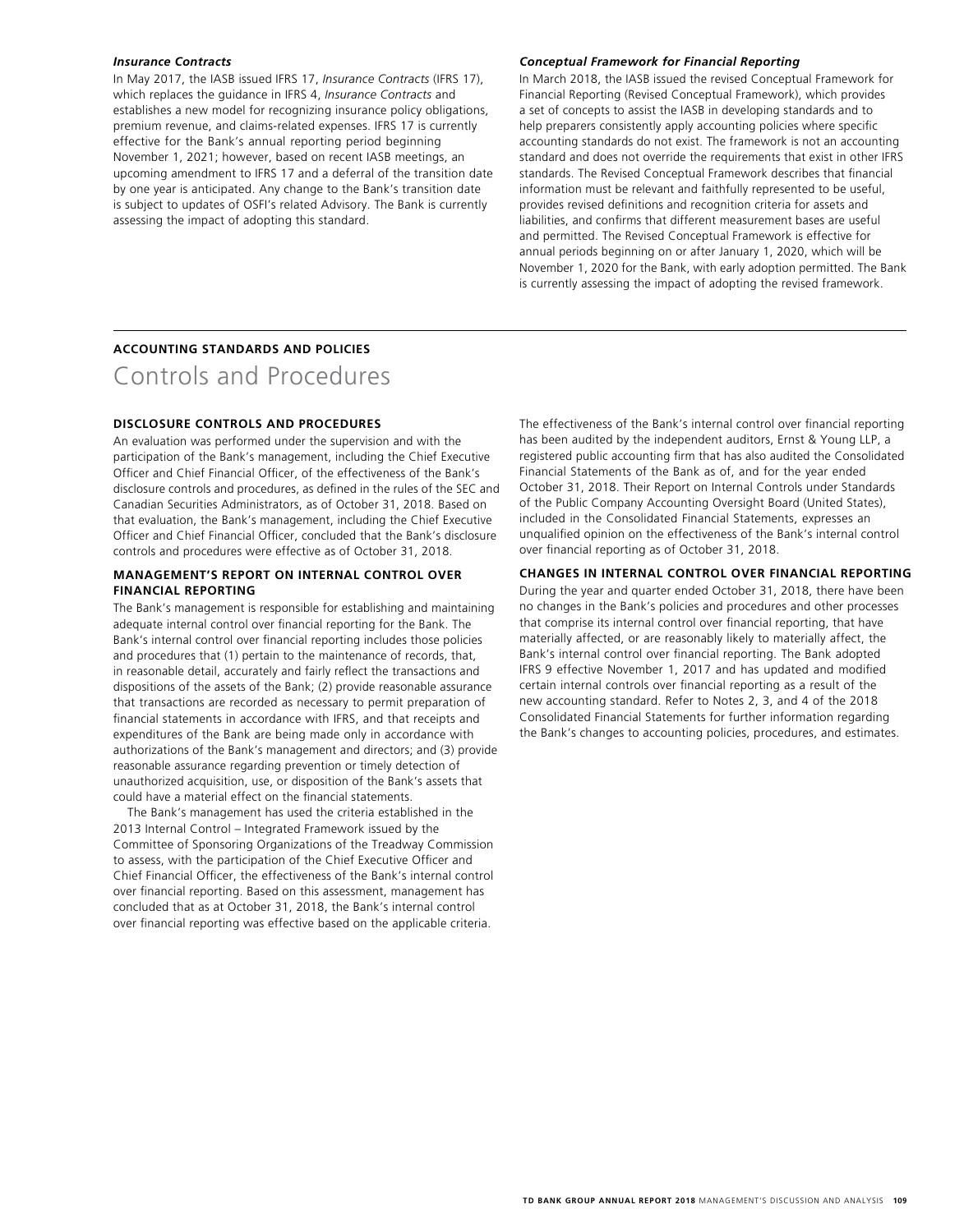### *Insurance Contracts*

In May 2017, the IASB issued IFRS 17, *Insurance Contracts* (IFRS 17), which replaces the guidance in IFRS 4, *Insurance Contracts* and establishes a new model for recognizing insurance policy obligations, premium revenue, and claims-related expenses. IFRS 17 is currently effective for the Bank's annual reporting period beginning November 1, 2021; however, based on recent IASB meetings, an upcoming amendment to IFRS 17 and a deferral of the transition date by one year is anticipated. Any change to the Bank's transition date is subject to updates of OSFI's related Advisory. The Bank is currently assessing the impact of adopting this standard.

### *Conceptual Framework for Financial Reporting*

In March 2018, the IASB issued the revised Conceptual Framework for Financial Reporting (Revised Conceptual Framework), which provides a set of concepts to assist the IASB in developing standards and to help preparers consistently apply accounting policies where specific accounting standards do not exist. The framework is not an accounting standard and does not override the requirements that exist in other IFRS standards. The Revised Conceptual Framework describes that financial information must be relevant and faithfully represented to be useful, provides revised definitions and recognition criteria for assets and liabilities, and confirms that different measurement bases are useful and permitted. The Revised Conceptual Framework is effective for annual periods beginning on or after January 1, 2020, which will be November 1, 2020 for the Bank, with early adoption permitted. The Bank is currently assessing the impact of adopting the revised framework.

# **ACCOUNTING STANDARDS AND POLICIES** Controls and Procedures

### **DISCLOSURE CONTROLS AND PROCEDURES**

An evaluation was performed under the supervision and with the participation of the Bank's management, including the Chief Executive Officer and Chief Financial Officer, of the effectiveness of the Bank's disclosure controls and procedures, as defined in the rules of the SEC and Canadian Securities Administrators, as of October 31, 2018. Based on that evaluation, the Bank's management, including the Chief Executive Officer and Chief Financial Officer, concluded that the Bank's disclosure controls and procedures were effective as of October 31, 2018.

### **MANAGEMENT'S REPORT ON INTERNAL CONTROL OVER FINANCIAL REPORTING**

The Bank's management is responsible for establishing and maintaining adequate internal control over financial reporting for the Bank. The Bank's internal control over financial reporting includes those policies and procedures that (1) pertain to the maintenance of records, that, in reasonable detail, accurately and fairly reflect the transactions and dispositions of the assets of the Bank; (2) provide reasonable assurance that transactions are recorded as necessary to permit preparation of financial statements in accordance with IFRS, and that receipts and expenditures of the Bank are being made only in accordance with authorizations of the Bank's management and directors; and (3) provide reasonable assurance regarding prevention or timely detection of unauthorized acquisition, use, or disposition of the Bank's assets that could have a material effect on the financial statements.

The Bank's management has used the criteria established in the 2013 Internal Control – Integrated Framework issued by the Committee of Sponsoring Organizations of the Treadway Commission to assess, with the participation of the Chief Executive Officer and Chief Financial Officer, the effectiveness of the Bank's internal control over financial reporting. Based on this assessment, management has concluded that as at October 31, 2018, the Bank's internal control over financial reporting was effective based on the applicable criteria.

The effectiveness of the Bank's internal control over financial reporting has been audited by the independent auditors, Ernst & Young LLP, a registered public accounting firm that has also audited the Consolidated Financial Statements of the Bank as of, and for the year ended October 31, 2018. Their Report on Internal Controls under Standards of the Public Company Accounting Oversight Board (United States), included in the Consolidated Financial Statements, expresses an unqualified opinion on the effectiveness of the Bank's internal control over financial reporting as of October 31, 2018.

### **CHANGES IN INTERNAL CONTROL OVER FINANCIAL REPORTING**

During the year and quarter ended October 31, 2018, there have been no changes in the Bank's policies and procedures and other processes that comprise its internal control over financial reporting, that have materially affected, or are reasonably likely to materially affect, the Bank's internal control over financial reporting. The Bank adopted IFRS 9 effective November 1, 2017 and has updated and modified certain internal controls over financial reporting as a result of the new accounting standard. Refer to Notes 2, 3, and 4 of the 2018 Consolidated Financial Statements for further information regarding the Bank's changes to accounting policies, procedures, and estimates.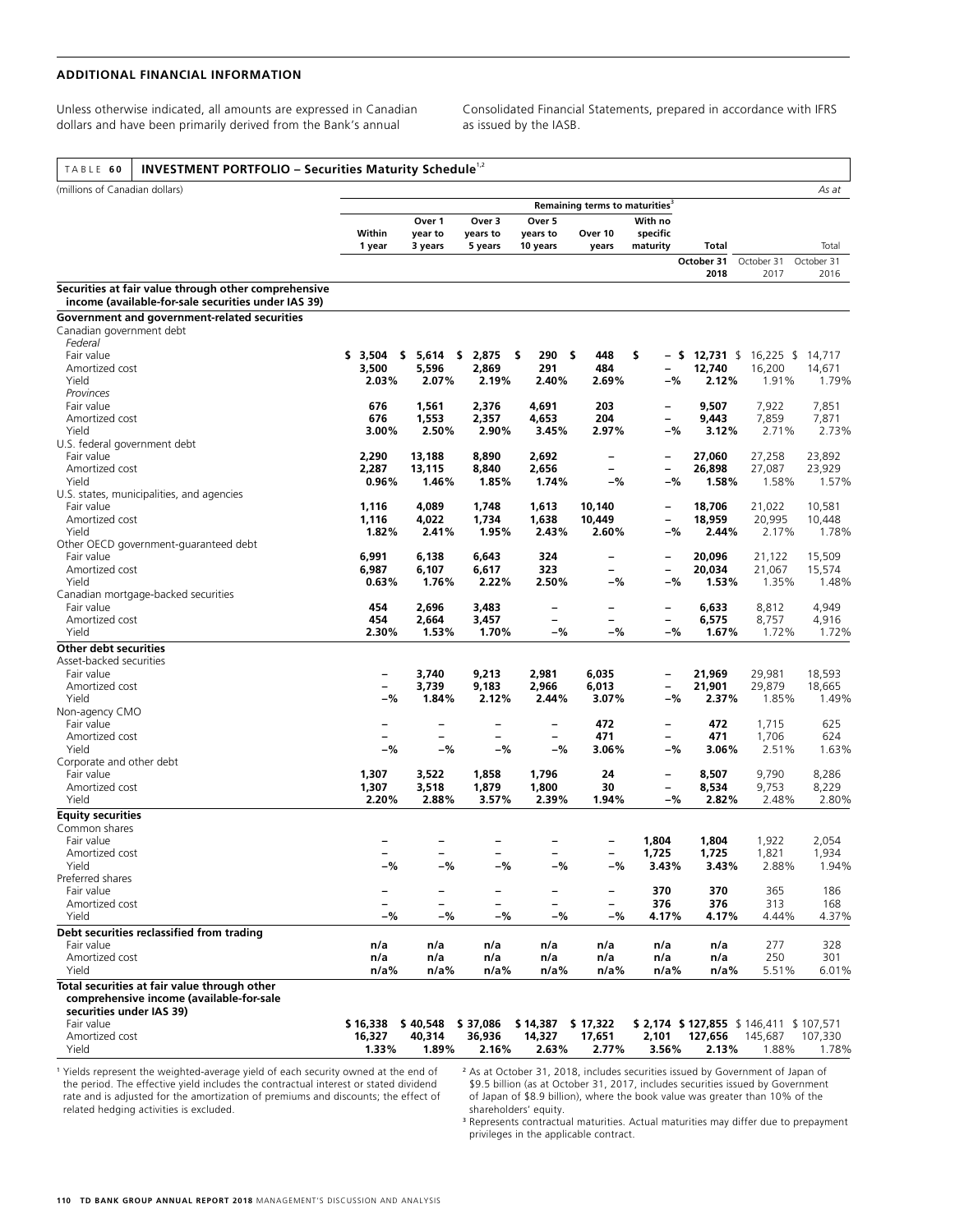### **ADDITIONAL FINANCIAL INFORMATION**

Unless otherwise indicated, all amounts are expressed in Canadian dollars and have been primarily derived from the Bank's annual

Consolidated Financial Statements, prepared in accordance with IFRS as issued by the IASB.

| (millions of Canadian dollars)                                                                              |                               |                          |                          |                               |                                            |                               |                  |                                       | As at            |
|-------------------------------------------------------------------------------------------------------------|-------------------------------|--------------------------|--------------------------|-------------------------------|--------------------------------------------|-------------------------------|------------------|---------------------------------------|------------------|
|                                                                                                             |                               |                          |                          |                               | Remaining terms to maturities <sup>3</sup> |                               |                  |                                       |                  |
|                                                                                                             | Within                        | Over 1                   | Over 3                   | Over 5                        |                                            | With no                       |                  |                                       |                  |
|                                                                                                             | 1 year                        | year to<br>3 years       | years to<br>5 years      | years to<br>10 years          | Over 10<br>years                           | specific<br>maturity          | <b>Total</b>     |                                       | Total            |
|                                                                                                             |                               |                          |                          |                               |                                            |                               | October 31       | October 31                            | October 31       |
|                                                                                                             |                               |                          |                          |                               |                                            |                               | 2018             | 2017                                  | 2016             |
| Securities at fair value through other comprehensive<br>income (available-for-sale securities under IAS 39) |                               |                          |                          |                               |                                            |                               |                  |                                       |                  |
| Government and government-related securities<br>Canadian government debt<br>Federal                         |                               |                          |                          |                               |                                            |                               |                  |                                       |                  |
| Fair value                                                                                                  | \$3,504<br>- 5                | 5,614<br>- \$            | 2,875                    | \$<br>290 \$                  | 448                                        | \$<br>-                       |                  | \$ 12,731 \$ 16,225 \$ 14,717         |                  |
| Amortized cost                                                                                              | 3,500                         | 5,596                    | 2,869                    | 291                           | 484                                        | ÷.                            | 12,740           | 16,200                                | 14,671           |
| Yield                                                                                                       | 2.03%                         | 2.07%                    | 2.19%                    | 2.40%                         | 2.69%                                      | $-$ %                         | 2.12%            | 1.91%                                 | 1.79%            |
| Provinces<br>Fair value                                                                                     | 676                           |                          |                          | 4,691                         | 203                                        | $\qquad \qquad -$             | 9,507            |                                       |                  |
| Amortized cost                                                                                              | 676                           | 1,561<br>1,553           | 2,376<br>2,357           | 4,653                         | 204                                        | -                             | 9,443            | 7,922<br>7,859                        | 7,851<br>7,871   |
| Yield                                                                                                       | 3.00%                         | 2.50%                    | 2.90%                    | 3.45%                         | 2.97%                                      | $-$ %                         | 3.12%            | 2.71%                                 | 2.73%            |
| U.S. federal government debt                                                                                |                               |                          |                          |                               |                                            |                               |                  |                                       |                  |
| Fair value                                                                                                  | 2,290                         | 13,188                   | 8,890                    | 2,692                         | $\overline{\phantom{0}}$                   | $\overline{\phantom{0}}$      | 27,060           | 27,258                                | 23,892           |
| Amortized cost                                                                                              | 2,287                         | 13,115                   | 8,840                    | 2,656                         | -                                          | -                             | 26,898           | 27,087                                | 23,929           |
| Yield<br>U.S. states, municipalities, and agencies                                                          | 0.96%                         | 1.46%                    | 1.85%                    | 1.74%                         | $-$ %                                      | $-$ %                         | 1.58%            | 1.58%                                 | 1.57%            |
| Fair value                                                                                                  | 1,116                         | 4,089                    | 1,748                    | 1,613                         | 10,140                                     | -                             | 18,706           | 21,022                                | 10,581           |
| Amortized cost                                                                                              | 1,116                         | 4,022                    | 1,734                    | 1,638                         | 10.449                                     | $\overline{\phantom{0}}$      | 18,959           | 20,995                                | 10,448           |
| Yield                                                                                                       | 1.82%                         | 2.41%                    | 1.95%                    | 2.43%                         | 2.60%                                      | $-$ %                         | 2.44%            | 2.17%                                 | 1.78%            |
| Other OECD government-guaranteed debt                                                                       |                               |                          |                          |                               |                                            |                               |                  |                                       |                  |
| Fair value                                                                                                  | 6,991                         | 6,138                    | 6,643                    | 324                           |                                            | $\overline{\phantom{0}}$      | 20,096           | 21,122                                | 15,509           |
| Amortized cost<br>Yield                                                                                     | 6,987<br>0.63%                | 6,107<br>1.76%           | 6,617<br>2.22%           | 323<br>2.50%                  | $\overline{\phantom{0}}$<br>$-$ %          | ÷.<br>$-$ %                   | 20.034<br>1.53%  | 21,067<br>1.35%                       | 15,574<br>1.48%  |
| Canadian mortgage-backed securities                                                                         |                               |                          |                          |                               |                                            |                               |                  |                                       |                  |
| Fair value                                                                                                  | 454                           | 2,696                    | 3,483                    | -                             | $\qquad \qquad$                            | $\qquad \qquad -$             | 6,633            | 8,812                                 | 4,949            |
| Amortized cost                                                                                              | 454                           | 2,664                    | 3,457                    | $\qquad \qquad -$             | -                                          | -                             | 6,575            | 8,757                                 | 4,916            |
| Yield                                                                                                       | 2.30%                         | 1.53%                    | 1.70%                    | $-$ %                         | $-$ %                                      | -%                            | 1.67%            | 1.72%                                 | 1.72%            |
| <b>Other debt securities</b>                                                                                |                               |                          |                          |                               |                                            |                               |                  |                                       |                  |
| Asset-backed securities                                                                                     |                               |                          |                          |                               |                                            |                               |                  |                                       |                  |
| Fair value<br>Amortized cost                                                                                | -<br>$\overline{\phantom{0}}$ | 3,740<br>3,739           | 9,213<br>9,183           | 2,981<br>2,966                | 6,035<br>6,013                             | -<br>$\overline{\phantom{0}}$ | 21,969<br>21,901 | 29,981<br>29,879                      | 18,593<br>18,665 |
| Yield                                                                                                       | $-$ %                         | 1.84%                    | 2.12%                    | 2.44%                         | 3.07%                                      | $-$ %                         | 2.37%            | 1.85%                                 | 1.49%            |
| Non-agency CMO                                                                                              |                               |                          |                          |                               |                                            |                               |                  |                                       |                  |
| Fair value                                                                                                  | -                             |                          | $\qquad \qquad$          | $\qquad \qquad \blacksquare$  | 472                                        | -                             | 472              | 1,715                                 | 625              |
| Amortized cost                                                                                              | $\equiv$                      |                          | $\overline{\phantom{0}}$ | $\overline{a}$                | 471                                        | $\overline{\phantom{0}}$      | 471              | 1,706                                 | 624              |
| Yield                                                                                                       | $-$ %                         | $-$ %                    | $-$ %                    | $-$ %                         | 3.06%                                      | $-$ %                         | 3.06%            | 2.51%                                 | 1.63%            |
| Corporate and other debt                                                                                    |                               |                          |                          |                               |                                            |                               |                  |                                       |                  |
| Fair value<br>Amortized cost                                                                                | 1,307<br>1,307                | 3,522<br>3,518           | 1,858<br>1,879           | 1,796<br>1,800                | 24<br>30                                   | $\overline{\phantom{0}}$<br>- | 8,507<br>8,534   | 9,790<br>9,753                        | 8,286<br>8,229   |
| Yield                                                                                                       | 2.20%                         | 2.88%                    | 3.57%                    | 2.39%                         | 1.94%                                      | $-$ %                         | 2.82%            | 2.48%                                 | 2.80%            |
| <b>Equity securities</b>                                                                                    |                               |                          |                          |                               |                                            |                               |                  |                                       |                  |
| Common shares                                                                                               |                               |                          |                          |                               |                                            |                               |                  |                                       |                  |
| Fair value                                                                                                  |                               |                          |                          |                               |                                            | 1,804                         | 1,804            | 1,922                                 | 2,054            |
| Amortized cost                                                                                              | $\overline{\phantom{0}}$      | $\equiv$                 | $\equiv$                 | $\equiv$                      | $\overline{\phantom{m}}$                   | 1,725                         | 1,725            | 1,821                                 | 1,934            |
| Yield                                                                                                       | $-$ %                         | -%                       | -%                       | -%                            | -%                                         | 3.43%                         | 3.43%            | 2.88%                                 | 1.94%            |
| Preferred shares<br>Fair value                                                                              |                               |                          |                          |                               |                                            | 370                           | 370              | 365                                   | 186              |
| Amortized cost                                                                                              | $\overline{\phantom{0}}$      | $\overline{\phantom{0}}$ |                          | -<br>$\overline{\phantom{0}}$ | $\qquad \qquad -$                          | 376                           | 376              | 313                                   | 168              |
| Yield                                                                                                       | $-$ %                         | $-$ %                    | $-$ %                    | $-$ %                         | $-$ %                                      | 4.17%                         | 4.17%            | 4.44%                                 | 4.37%            |
| Debt securities reclassified from trading                                                                   |                               |                          |                          |                               |                                            |                               |                  |                                       |                  |
| Fair value                                                                                                  | n/a                           | n/a                      | n/a                      | n/a                           | n/a                                        | n/a                           | n/a              | 277                                   | 328              |
| Amortized cost                                                                                              | n/a                           | n/a                      | n/a                      | n/a                           | n/a                                        | n/a                           | n/a              | 250                                   | 301              |
| Yield                                                                                                       | $n/a$ %                       | $n/a$ %                  | $n/a$ %                  | $n/a$ %                       | $n/a$ %                                    | $n/a$ %                       | $n/a$ %          | 5.51%                                 | 6.01%            |
| Total securities at fair value through other                                                                |                               |                          |                          |                               |                                            |                               |                  |                                       |                  |
| comprehensive income (available-for-sale                                                                    |                               |                          |                          |                               |                                            |                               |                  |                                       |                  |
| securities under IAS 39)                                                                                    |                               |                          |                          |                               |                                            |                               |                  |                                       |                  |
| Fair value                                                                                                  | \$16,338 \$40,548             |                          | \$37,086                 | \$14,387                      | \$17,322                                   |                               |                  | \$2,174 \$127,855 \$146,411 \$107,571 |                  |
| Amortized cost<br>Yield                                                                                     | 16,327<br>1.33%               | 40,314<br>1.89%          | 36,936<br>2.16%          | 14,327<br>2.63%               | 17,651<br>2.77%                            | 2,101<br>3.56%                | 127,656<br>2.13% | 145,687<br>1.88%                      | 107,330<br>1.78% |
|                                                                                                             |                               |                          |                          |                               |                                            |                               |                  |                                       |                  |

<sup>1</sup> Yields represent the weighted-average yield of each security owned at the end of the period. The effective yield includes the contractual interest or stated dividend rate and is adjusted for the amortization of premiums and discounts; the effect of related hedging activities is excluded.

<sup>2</sup> As at October 31, 2018, includes securities issued by Government of Japan of \$9.5 billion (as at October 31, 2017, includes securities issued by Government of Japan of \$8.9 billion), where the book value was greater than 10% of the shareholders' equity.

<sup>3</sup> Represents contractual maturities. Actual maturities may differ due to prepayment privileges in the applicable contract.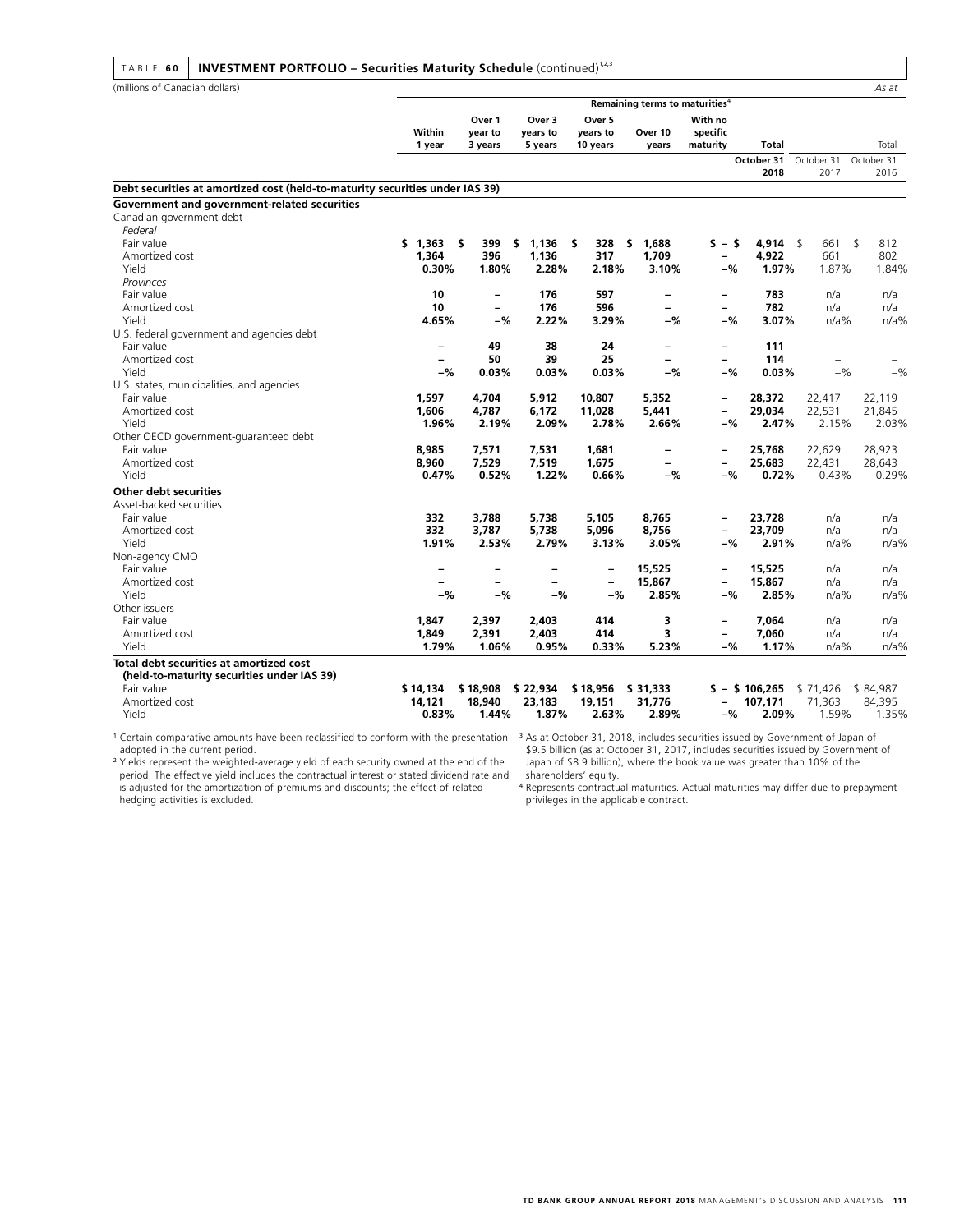### TABLE **60** | **INVESTMENT PORTFOLIO - Securities Maturity Schedule** (continued)<sup>1,2,3</sup>

(millions of Canadian dollars) *As at*

|                                                                              |                          |                              |                               |                                | Remaining terms to maturities <sup>4</sup> |                                 |                    |                          |                    |
|------------------------------------------------------------------------------|--------------------------|------------------------------|-------------------------------|--------------------------------|--------------------------------------------|---------------------------------|--------------------|--------------------------|--------------------|
|                                                                              | Within<br>1 year         | Over 1<br>year to<br>3 years | Over 3<br>years to<br>5 years | Over 5<br>years to<br>10 years | Over 10<br>years                           | With no<br>specific<br>maturity | <b>Total</b>       |                          | Total              |
|                                                                              |                          |                              |                               |                                |                                            |                                 | October 31<br>2018 | October 31<br>2017       | October 31<br>2016 |
| Debt securities at amortized cost (held-to-maturity securities under IAS 39) |                          |                              |                               |                                |                                            |                                 |                    |                          |                    |
| Government and government-related securities                                 |                          |                              |                               |                                |                                            |                                 |                    |                          |                    |
| Canadian government debt                                                     |                          |                              |                               |                                |                                            |                                 |                    |                          |                    |
| Federal                                                                      |                          |                              |                               |                                |                                            |                                 |                    |                          |                    |
| Fair value                                                                   | \$1.363                  | - \$<br>399                  | 1,136<br>\$                   | \$<br>328                      | \$<br>1,688                                | $s - s$                         | 4,914 \$           | 661 \$                   | 812                |
| Amortized cost                                                               | 1,364                    | 396                          | 1,136                         | 317                            | 1,709                                      | $\overline{\phantom{0}}$        | 4,922              | 661                      | 802                |
| Yield                                                                        | 0.30%                    | 1.80%                        | 2.28%                         | 2.18%                          | 3.10%                                      | $-$ %                           | 1.97%              | 1.87%                    | 1.84%              |
| Provinces                                                                    |                          |                              |                               |                                |                                            |                                 |                    |                          |                    |
| Fair value                                                                   | 10                       | L.                           | 176                           | 597                            | $\equiv$                                   | $\equiv$                        | 783                | n/a                      | n/a                |
| Amortized cost                                                               | 10                       | $\overline{\phantom{0}}$     | 176                           | 596                            | $\overline{\phantom{0}}$                   | $\overline{\phantom{0}}$        | 782                | n/a                      | n/a                |
| Yield                                                                        | 4.65%                    | $-$ %                        | 2.22%                         | 3.29%                          | $-$ %                                      | $-$ %                           | 3.07%              | $n/a$ %                  | $n/a$ %            |
| U.S. federal government and agencies debt                                    |                          |                              |                               |                                |                                            |                                 |                    |                          |                    |
| Fair value                                                                   | $\overline{\phantom{0}}$ | 49                           | 38                            | 24                             | $\overline{\phantom{0}}$                   | $\overline{\phantom{0}}$        | 111                |                          |                    |
| Amortized cost                                                               | Ξ.                       | 50                           | 39                            | 25                             | $\overline{\phantom{0}}$                   | $\qquad \qquad -$               | 114                | $\overline{\phantom{0}}$ |                    |
| Yield                                                                        | $-$ %                    | 0.03%                        | 0.03%                         | 0.03%                          | $-$ %                                      | $-$ %                           | 0.03%              | $-$ %                    | $-$ %              |
|                                                                              |                          |                              |                               |                                |                                            |                                 |                    |                          |                    |
| U.S. states, municipalities, and agencies<br>Fair value                      | 1,597                    | 4,704                        | 5,912                         | 10,807                         | 5,352                                      | -                               | 28,372             | 22,417                   |                    |
|                                                                              |                          | 4,787                        | 6,172                         | 11,028                         | 5,441                                      |                                 | 29,034             | 22,531                   | 22,119<br>21,845   |
| Amortized cost<br>Yield                                                      | 1,606                    |                              |                               | 2.78%                          |                                            | $\overline{\phantom{a}}$        |                    | 2.15%                    |                    |
|                                                                              | 1.96%                    | 2.19%                        | 2.09%                         |                                | 2.66%                                      | $-$ %                           | 2.47%              |                          | 2.03%              |
| Other OECD government-guaranteed debt                                        |                          |                              |                               |                                |                                            |                                 |                    |                          |                    |
| Fair value                                                                   | 8,985                    | 7,571                        | 7,531                         | 1,681                          | $\equiv$                                   | $\qquad \qquad -$               | 25,768             | 22,629                   | 28,923             |
| Amortized cost                                                               | 8,960                    | 7,529                        | 7,519                         | 1,675                          | $\overline{\phantom{m}}$                   | $\qquad \qquad -$               | 25,683             | 22,431                   | 28,643             |
| Yield                                                                        | 0.47%                    | 0.52%                        | 1.22%                         | 0.66%                          | $-$ %                                      | $-$ %                           | 0.72%              | 0.43%                    | 0.29%              |
| <b>Other debt securities</b>                                                 |                          |                              |                               |                                |                                            |                                 |                    |                          |                    |
| Asset-backed securities                                                      |                          |                              |                               |                                |                                            |                                 |                    |                          |                    |
| Fair value                                                                   | 332                      | 3,788                        | 5,738                         | 5,105                          | 8,765                                      |                                 | 23,728             | n/a                      | n/a                |
| Amortized cost                                                               | 332                      | 3.787                        | 5.738                         | 5,096                          | 8,756                                      | $\qquad \qquad -$               | 23.709             | n/a                      | n/a                |
| Yield                                                                        | 1.91%                    | 2.53%                        | 2.79%                         | 3.13%                          | 3.05%                                      | $-$ %                           | 2.91%              | $n/a$ %                  | $n/a$ %            |
| Non-agency CMO                                                               |                          |                              |                               |                                |                                            |                                 |                    |                          |                    |
| Fair value                                                                   | $\overline{\phantom{0}}$ |                              | ÷                             |                                | 15,525                                     | $\overline{\phantom{0}}$        | 15,525             | n/a                      | n/a                |
| Amortized cost                                                               | $\equiv$                 | L.                           | $\overline{a}$                | $\overline{\phantom{0}}$       | 15,867                                     | $\equiv$                        | 15,867             | n/a                      | n/a                |
| Yield                                                                        | $-$ %                    | $-$ %                        | $-$ %                         | $-$ %                          | 2.85%                                      | $-$ %                           | 2.85%              | $n/a$ %                  | $n/a$ %            |
| Other issuers                                                                |                          |                              |                               |                                |                                            |                                 |                    |                          |                    |
| Fair value                                                                   | 1,847                    | 2,397                        | 2,403                         | 414                            | 3                                          | $\overline{\phantom{a}}$        | 7,064              | n/a                      | n/a                |
| Amortized cost                                                               | 1,849                    | 2,391                        | 2,403                         | 414                            | 3                                          | -                               | 7.060              | n/a                      | n/a                |
| Yield                                                                        | 1.79%                    | 1.06%                        | 0.95%                         | 0.33%                          | 5.23%                                      | $-$ %                           | 1.17%              | $n/a$ %                  | $n/a$ %            |
| Total debt securities at amortized cost                                      |                          |                              |                               |                                |                                            |                                 |                    |                          |                    |
| (held-to-maturity securities under IAS 39)                                   |                          |                              |                               |                                |                                            |                                 |                    |                          |                    |
| Fair value                                                                   | \$14,134                 | \$18,908                     | \$22,934                      | \$18,956                       | \$31,333                                   |                                 | $$ - $106,265$     | \$71,426                 | \$84,987           |
| Amortized cost                                                               | 14,121                   | 18,940                       | 23,183                        | 19,151                         | 31,776                                     |                                 | 107,171            | 71,363                   | 84,395             |
| Yield                                                                        | 0.83%                    | 1.44%                        | 1.87%                         | 2.63%                          | 2.89%                                      | $-$ %                           | 2.09%              | 1.59%                    | 1.35%              |
|                                                                              |                          |                              |                               |                                |                                            |                                 |                    |                          |                    |

<sup>1</sup> Certain comparative amounts have been reclassified to conform with the presentation <sup>3</sup> As at October 31, 2018, includes securities issued by Government of Japan of adopted in the current period.

\$9.5 billion (as at October 31, 2017, includes securities issued by Government of Japan of \$8.9 billion), where the book value was greater than 10% of the shareholders' equity.

<sup>2</sup> Yields represent the weighted-average yield of each security owned at the end of the period. The effective yield includes the contractual interest or stated dividend rate and is adjusted for the amortization of premiums and discounts; the effect of related hedging activities is excluded.

<sup>4</sup> Represents contractual maturities. Actual maturities may differ due to prepayment privileges in the applicable contract.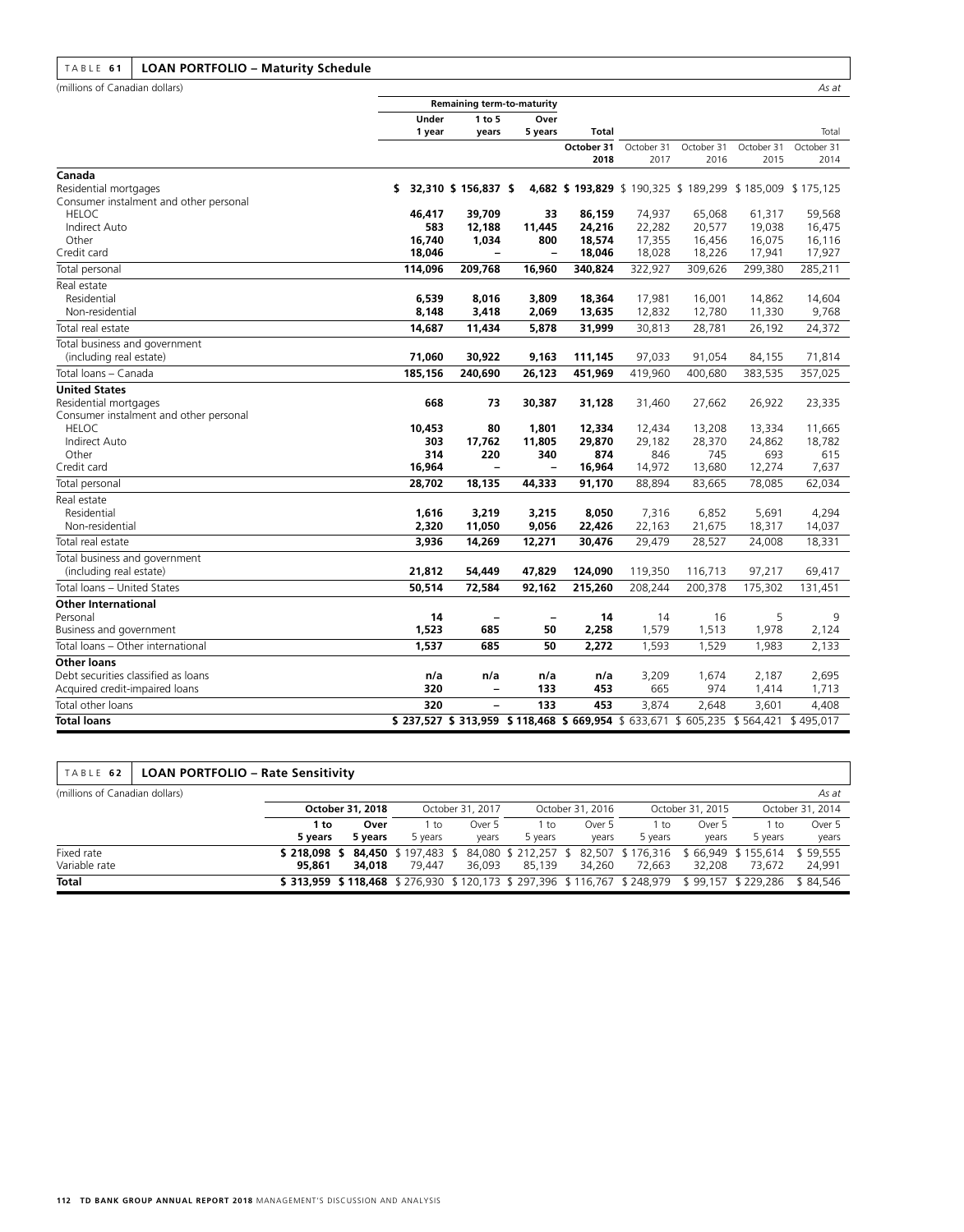| TABLE 61                            | <b>LOAN PORTFOLIO - Maturity Schedule</b> |         |                                                                                 |         |                                                         |                  |                  |                  |            |
|-------------------------------------|-------------------------------------------|---------|---------------------------------------------------------------------------------|---------|---------------------------------------------------------|------------------|------------------|------------------|------------|
| (millions of Canadian dollars)      |                                           |         |                                                                                 |         |                                                         |                  |                  |                  | As at      |
|                                     |                                           |         | <b>Remaining term-to-maturity</b>                                               |         |                                                         |                  |                  |                  |            |
|                                     |                                           | Under   | 1 to 5                                                                          | Over    |                                                         |                  |                  |                  |            |
|                                     |                                           | 1 year  | years                                                                           | 5 years | <b>Total</b>                                            |                  |                  |                  | Total      |
|                                     |                                           |         |                                                                                 |         | October 31                                              | October 31       | October 31       | October 31       | October 31 |
| Canada                              |                                           |         |                                                                                 |         | 2018                                                    | 2017             | 2016             | 2015             | 2014       |
| Residential mortgages               |                                           | \$.     | 32,310 \$ 156,837 \$                                                            |         | 4,682 \$193,829 \$190,325 \$189,299 \$185,009 \$175,125 |                  |                  |                  |            |
|                                     | Consumer instalment and other personal    |         |                                                                                 |         |                                                         |                  |                  |                  |            |
| <b>HELOC</b>                        |                                           | 46,417  | 39,709                                                                          | 33      | 86,159                                                  | 74,937           | 65,068           | 61,317           | 59,568     |
| <b>Indirect Auto</b>                |                                           | 583     | 12,188                                                                          | 11,445  | 24,216                                                  | 22,282           | 20,577           | 19,038           | 16,475     |
| Other                               |                                           | 16,740  | 1,034                                                                           | 800     | 18,574                                                  | 17,355           | 16,456           | 16,075           | 16,116     |
| Credit card                         |                                           | 18,046  |                                                                                 |         | 18,046                                                  | 18,028           | 18,226           | 17,941           | 17,927     |
| Total personal                      |                                           | 114,096 | 209,768                                                                         | 16,960  | 340,824                                                 | 322,927          | 309,626          | 299,380          | 285,211    |
| Real estate                         |                                           |         |                                                                                 |         |                                                         |                  |                  |                  |            |
| Residential                         |                                           | 6,539   | 8,016                                                                           | 3,809   | 18,364                                                  | 17,981           | 16,001           | 14,862           | 14,604     |
| Non-residential                     |                                           | 8,148   | 3,418                                                                           | 2,069   | 13,635                                                  | 12,832           | 12,780           | 11,330           | 9,768      |
| Total real estate                   |                                           | 14,687  | 11,434                                                                          | 5,878   | 31,999                                                  | 30,813           | 28,781           | 26,192           | 24,372     |
| Total business and government       |                                           |         |                                                                                 |         |                                                         |                  |                  |                  |            |
| (including real estate)             |                                           | 71,060  | 30,922                                                                          | 9,163   | 111,145                                                 | 97,033           | 91,054           | 84,155           | 71,814     |
| Total loans - Canada                |                                           | 185,156 | 240,690                                                                         | 26,123  | 451,969                                                 | 419,960          | 400,680          | 383,535          | 357,025    |
| <b>United States</b>                |                                           |         |                                                                                 |         |                                                         |                  |                  |                  |            |
| Residential mortgages               |                                           | 668     | 73                                                                              | 30,387  | 31,128                                                  | 31,460           | 27,662           | 26,922           | 23,335     |
| <b>HELOC</b>                        | Consumer instalment and other personal    | 10,453  | 80                                                                              | 1,801   | 12,334                                                  |                  |                  |                  | 11,665     |
| Indirect Auto                       |                                           | 303     | 17,762                                                                          | 11,805  | 29,870                                                  | 12,434<br>29,182 | 13,208<br>28,370 | 13,334<br>24,862 | 18,782     |
| Other                               |                                           | 314     | 220                                                                             | 340     | 874                                                     | 846              | 745              | 693              | 615        |
| Credit card                         |                                           | 16,964  | $\overline{\phantom{a}}$                                                        | -       | 16,964                                                  | 14,972           | 13,680           | 12,274           | 7,637      |
| Total personal                      |                                           | 28,702  | 18,135                                                                          | 44,333  | 91,170                                                  | 88,894           | 83,665           | 78,085           | 62,034     |
| Real estate                         |                                           |         |                                                                                 |         |                                                         |                  |                  |                  |            |
| Residential                         |                                           | 1,616   | 3,219                                                                           | 3,215   | 8,050                                                   | 7,316            | 6,852            | 5,691            | 4,294      |
| Non-residential                     |                                           | 2,320   | 11,050                                                                          | 9,056   | 22,426                                                  | 22,163           | 21,675           | 18,317           | 14,037     |
| Total real estate                   |                                           | 3,936   | 14,269                                                                          | 12,271  | 30,476                                                  | 29,479           | 28,527           | 24,008           | 18,331     |
| Total business and government       |                                           |         |                                                                                 |         |                                                         |                  |                  |                  |            |
| (including real estate)             |                                           | 21,812  | 54,449                                                                          | 47,829  | 124,090                                                 | 119,350          | 116,713          | 97,217           | 69,417     |
| Total Joans - United States         |                                           | 50,514  | 72,584                                                                          | 92,162  | 215,260                                                 | 208,244          | 200,378          | 175,302          | 131,451    |
| <b>Other International</b>          |                                           |         |                                                                                 |         |                                                         |                  |                  |                  |            |
| Personal                            |                                           | 14      |                                                                                 |         | 14                                                      | 14               | 16               | 5                | 9          |
| Business and government             |                                           | 1,523   | 685                                                                             | 50      | 2,258                                                   | 1,579            | 1,513            | 1,978            | 2,124      |
| Total loans - Other international   |                                           | 1,537   | 685                                                                             | 50      | 2,272                                                   | 1,593            | 1,529            | 1,983            | 2,133      |
| <b>Other loans</b>                  |                                           |         |                                                                                 |         |                                                         |                  |                  |                  |            |
| Debt securities classified as loans |                                           | n/a     | n/a                                                                             | n/a     | n/a                                                     | 3,209            | 1,674            | 2,187            | 2,695      |
| Acquired credit-impaired loans      |                                           | 320     | $\overline{\phantom{0}}$                                                        | 133     | 453                                                     | 665              | 974              | 1,414            | 1,713      |
| Total other loans                   |                                           | 320     | $\overline{a}$                                                                  | 133     | 453                                                     | 3,874            | 2,648            | 3,601            | 4,408      |
| <b>Total loans</b>                  |                                           |         | \$237,527 \$313,959 \$118,468 \$669,954 \$633,671 \$605,235 \$564,421 \$495,017 |         |                                                         |                  |                  |                  |            |

# TABLE **6 2 LOAN PORTFOLIO – Rate Sensitivity**

| (millions of Canadian dollars) |                                                                       |                  |                            |                  |                      |                  |                  |                  |                    | As at            |
|--------------------------------|-----------------------------------------------------------------------|------------------|----------------------------|------------------|----------------------|------------------|------------------|------------------|--------------------|------------------|
|                                |                                                                       | October 31, 2018 |                            | October 31, 2017 |                      | October 31, 2016 |                  | October 31, 2015 |                    | October 31, 2014 |
|                                | 1 to                                                                  | Over             | to                         | Over 5           | to                   | Over 5           | to.              | Over 5           | 1 to               | Over 5           |
|                                | 5 vears                                                               | 5 vears          | 5 years                    | vears            | 5 vears              | vears            | 5 years          | vears            | 5 years            | years            |
| Fixed rate                     | \$218,098 \$                                                          |                  | <b>84.450</b> \$197.483 \$ |                  | 84,080 \$ 212,257 \$ |                  | 82,507 \$176,316 |                  | \$66.949 \$155.614 | \$59.555         |
| Variable rate                  | 95,861                                                                | 34.018           | 79.447                     | 36.093           | 85,139               | 34,260           | 72.663           | 32,208           | 73.672             | 24,991           |
| <b>Total</b>                   | \$313,959 \$118,468 \$276,930 \$120,173 \$297,396 \$116,767 \$248,979 |                  |                            |                  |                      |                  |                  |                  | \$99.157 \$229.286 | \$84,546         |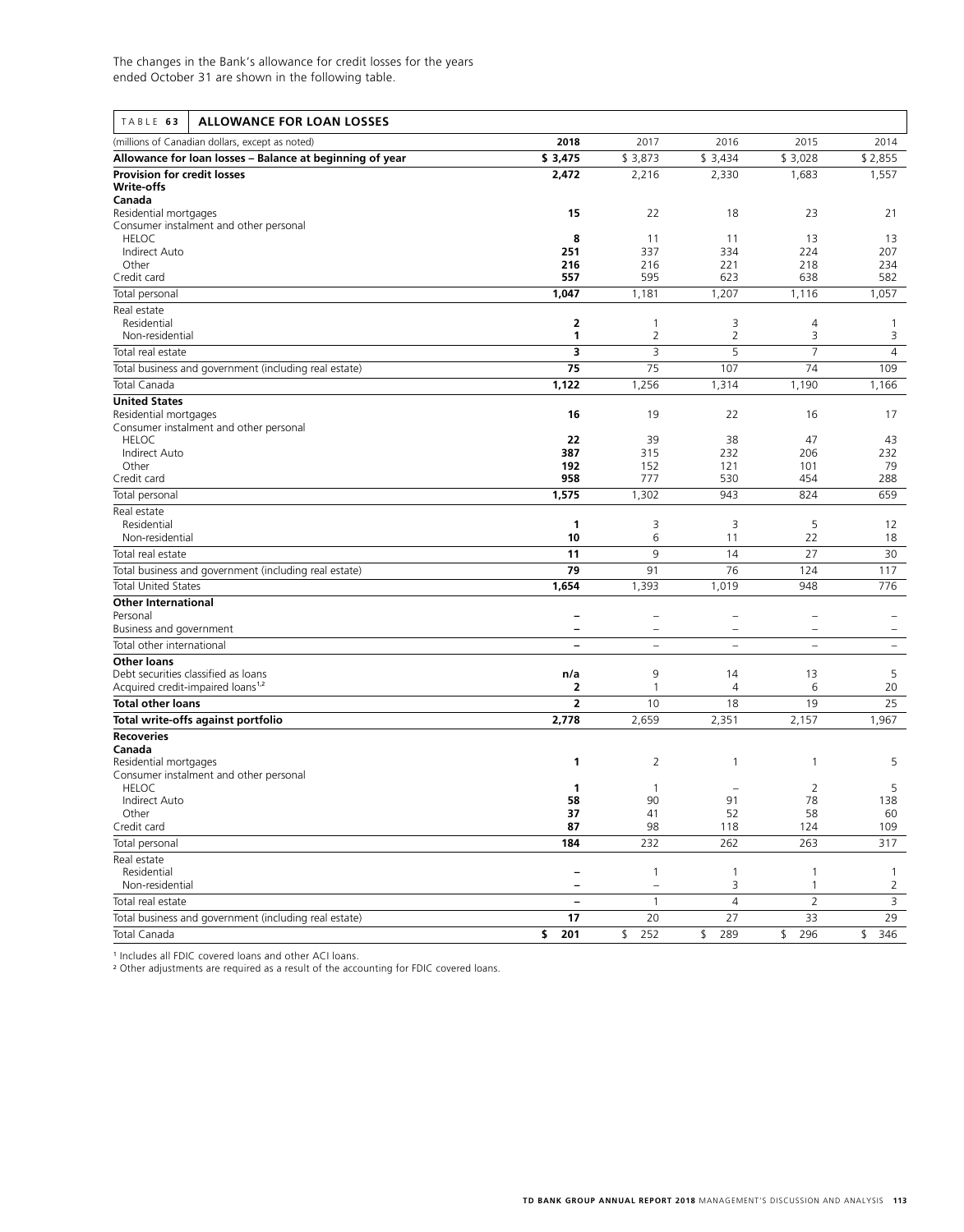The changes in the Bank's allowance for credit losses for the years ended October 31 are shown in the following table.

| TABLE 63<br><b>ALLOWANCE FOR LOAN LOSSES</b>                                         |                          |                                 |                          |                                 |                          |
|--------------------------------------------------------------------------------------|--------------------------|---------------------------------|--------------------------|---------------------------------|--------------------------|
| (millions of Canadian dollars, except as noted)                                      | 2018                     | 2017                            | 2016                     | 2015                            | 2014                     |
| Allowance for loan losses - Balance at beginning of year                             | \$3,475                  | \$3,873                         | \$3,434                  | \$3,028                         | \$2,855                  |
| <b>Provision for credit losses</b>                                                   | 2,472                    | 2,216                           | 2,330                    | 1,683                           | 1,557                    |
| Write-offs                                                                           |                          |                                 |                          |                                 |                          |
| Canada                                                                               |                          |                                 |                          |                                 |                          |
| Residential mortgages                                                                | 15                       | 22                              | 18                       | 23                              | 21                       |
| Consumer instalment and other personal<br><b>HELOC</b>                               | 8                        | 11                              | 11                       | 13                              | 13                       |
| Indirect Auto                                                                        | 251                      | 337                             | 334                      | 224                             | 207                      |
| Other                                                                                | 216                      | 216                             | 221                      | 218                             | 234                      |
| Credit card                                                                          | 557                      | 595                             | 623                      | 638                             | 582                      |
| Total personal                                                                       | 1,047                    | 1,181                           | 1,207                    | 1,116                           | 1,057                    |
| Real estate                                                                          |                          |                                 |                          |                                 |                          |
| Residential                                                                          | $\overline{2}$           | 1                               | 3                        | 4                               | 1                        |
| Non-residential                                                                      | 1                        | $\overline{2}$                  | 2                        | 3                               | 3                        |
| Total real estate                                                                    | 3                        | 3                               | 5                        | 7                               | $\overline{4}$           |
| Total business and government (including real estate)                                | 75                       | 75                              | 107                      | 74                              | 109                      |
| <b>Total Canada</b>                                                                  | 1,122                    | 1,256                           | 1,314                    | 1,190                           | 1,166                    |
| <b>United States</b>                                                                 |                          |                                 |                          |                                 |                          |
| Residential mortgages                                                                | 16                       | 19                              | 22                       | 16                              | 17                       |
| Consumer instalment and other personal<br><b>HELOC</b>                               | 22                       | 39                              | 38                       | 47                              | 43                       |
| Indirect Auto                                                                        | 387                      | 315                             | 232                      | 206                             | 232                      |
| Other                                                                                | 192                      | 152                             | 121                      | 101                             | 79                       |
| Credit card                                                                          | 958                      | 777                             | 530                      | 454                             | 288                      |
| Total personal                                                                       | 1,575                    | 1,302                           | 943                      | 824                             | 659                      |
| Real estate                                                                          |                          |                                 |                          |                                 |                          |
| Residential                                                                          | 1                        | 3                               | 3                        | 5                               | 12                       |
| Non-residential                                                                      | 10                       | 6                               | 11                       | 22                              | 18                       |
| Total real estate                                                                    | 11                       | 9                               | 14                       | 27                              | 30                       |
| Total business and government (including real estate)                                | 79                       | 91                              | 76                       | 124                             | 117                      |
| <b>Total United States</b>                                                           | 1,654                    | 1,393                           | 1,019                    | 948                             | 776                      |
| <b>Other International</b>                                                           |                          |                                 |                          |                                 |                          |
| Personal                                                                             |                          |                                 |                          |                                 |                          |
| Business and government                                                              |                          | $\overline{\phantom{0}}$        | $\overline{\phantom{0}}$ | $\overline{\phantom{0}}$        |                          |
| Total other international                                                            | ÷                        | $\overline{\phantom{a}}$        | $\qquad \qquad -$        | $\overline{\phantom{0}}$        | $\overline{\phantom{0}}$ |
| <b>Other loans</b>                                                                   |                          |                                 |                          |                                 |                          |
| Debt securities classified as loans<br>Acquired credit-impaired loans <sup>1,2</sup> | n/a<br>2                 | 9<br>$\mathbf{1}$               | 14<br>4                  | 13<br>6                         | 5<br>20                  |
| <b>Total other loans</b>                                                             | $\overline{2}$           | 10                              | 18                       | 19                              | 25                       |
| Total write-offs against portfolio                                                   | 2,778                    | 2,659                           | 2,351                    | 2,157                           | 1,967                    |
| <b>Recoveries</b>                                                                    |                          |                                 |                          |                                 |                          |
| Canada                                                                               |                          |                                 |                          |                                 |                          |
| Residential mortgages                                                                | 1                        | 2                               | $\mathbf{1}$             | 1                               | 5                        |
| Consumer instalment and other personal                                               |                          |                                 |                          |                                 |                          |
| <b>HELOC</b>                                                                         | 1                        | -1                              |                          | 2                               | 5                        |
| Indirect Auto                                                                        | 58                       | 90                              | 91                       | 78                              | 138                      |
| Other<br>Credit card                                                                 | 37<br>87                 | 41<br>98                        | 52<br>118                | 58<br>124                       | 60<br>109                |
| Total personal                                                                       | 184                      | 232                             | 262                      | 263                             | 317                      |
| Real estate                                                                          |                          |                                 |                          |                                 |                          |
| Residential                                                                          |                          | $\mathbf{1}$                    | $\mathbf{1}$             | $\mathbf{1}$                    | $\mathbf{1}$             |
| Non-residential                                                                      |                          | $\overline{\phantom{0}}$        | 3                        | 1                               | 2                        |
| Total real estate                                                                    | $\overline{\phantom{a}}$ | $\mathbf{1}$                    | $\overline{4}$           | $\overline{2}$                  | $\overline{3}$           |
| Total business and government (including real estate)                                | 17                       | 20                              | 27                       | $\overline{33}$                 | 29                       |
| Total Canada                                                                         | $5$ 201                  | $\overline{\mathcal{L}}$<br>252 | \$<br>289                | $\overline{\mathcal{L}}$<br>296 | \$346                    |

<sup>1</sup> Includes all FDIC covered loans and other ACI loans.<br><sup>2</sup> Other adjustments are required as a result of the accounting for FDIC covered loans.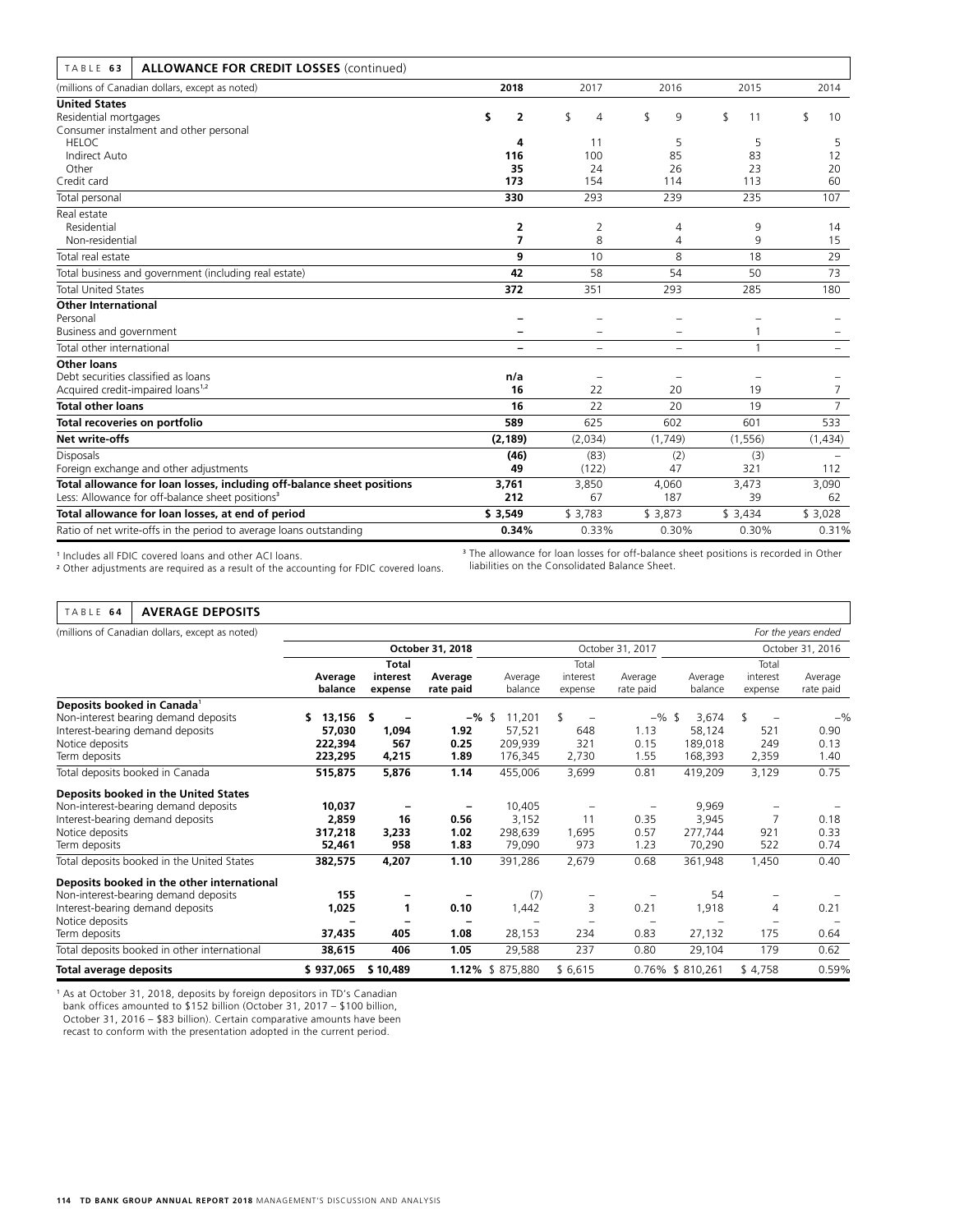| TABLE 63                                      | <b>ALLOWANCE FOR CREDIT LOSSES (continued)</b>                         |                          |                          |                          |              |                |
|-----------------------------------------------|------------------------------------------------------------------------|--------------------------|--------------------------|--------------------------|--------------|----------------|
|                                               | (millions of Canadian dollars, except as noted)                        | 2018                     | 2017                     | 2016                     | 2015         | 2014           |
| <b>United States</b><br>Residential mortgages |                                                                        | \$<br>2                  | \$<br>4                  | \$<br>9                  | \$<br>11     | \$<br>10       |
|                                               | Consumer instalment and other personal                                 |                          |                          |                          |              |                |
| <b>HELOC</b>                                  |                                                                        | 4                        | 11                       | 5                        | 5            | 5              |
| Indirect Auto                                 |                                                                        | 116                      | 100                      | 85                       | 83           | 12             |
| Other                                         |                                                                        | 35                       | 24                       | 26                       | 23           | 20             |
| Credit card                                   |                                                                        | 173                      | 154                      | 114                      | 113          | 60             |
| Total personal                                |                                                                        | 330                      | 293                      | 239                      | 235          | 107            |
| Real estate<br>Residential                    |                                                                        | 2                        | 2                        | 4                        | 9            | 14             |
| Non-residential                               |                                                                        | 7                        | 8                        | 4                        | 9            | 15             |
| Total real estate                             |                                                                        | 9                        | 10                       | 8                        | 18           | 29             |
|                                               | Total business and government (including real estate)                  | 42                       | 58                       | 54                       | 50           | 73             |
| <b>Total United States</b>                    |                                                                        | 372                      | 351                      | 293                      | 285          | 180            |
| <b>Other International</b>                    |                                                                        |                          |                          |                          |              |                |
| Personal                                      |                                                                        |                          |                          | $\overline{\phantom{a}}$ |              |                |
| Business and government                       |                                                                        |                          | $\overline{\phantom{0}}$ |                          | 1            |                |
| Total other international                     |                                                                        | $\overline{\phantom{0}}$ | ÷                        | $\overline{\phantom{0}}$ | $\mathbf{1}$ |                |
| <b>Other loans</b>                            |                                                                        |                          |                          |                          |              |                |
|                                               | Debt securities classified as loans                                    | n/a                      | ۰                        | ۰                        |              |                |
|                                               | Acquired credit-impaired loans <sup>1,2</sup>                          | 16                       | 22                       | 20                       | 19           | $\overline{7}$ |
| <b>Total other loans</b>                      |                                                                        | 16                       | 22                       | 20                       | 19           | $\overline{7}$ |
| Total recoveries on portfolio                 |                                                                        | 589                      | 625                      | 602                      | 601          | 533            |
| Net write-offs                                |                                                                        | (2, 189)                 | (2,034)                  | (1,749)                  | (1, 556)     | (1,434)        |
| <b>Disposals</b>                              |                                                                        | (46)                     | (83)                     | (2)                      | (3)          |                |
|                                               | Foreign exchange and other adjustments                                 | 49                       | (122)                    | 47                       | 321          | 112            |
|                                               | Total allowance for loan losses, including off-balance sheet positions | 3,761                    | 3,850                    | 4,060                    | 3,473        | 3,090          |
|                                               | Less: Allowance for off-balance sheet positions <sup>3</sup>           | 212                      | 67                       | 187                      | 39           | 62             |
|                                               | Total allowance for loan losses, at end of period                      | \$3,549                  | \$3,783                  | \$3,873                  | \$3,434      | \$3,028        |
|                                               | Ratio of net write-offs in the period to average loans outstanding     | 0.34%                    | 0.33%                    | 0.30%                    | 0.30%        | 0.31%          |

1 Includes all FDIC covered loans and other ACI loans.

<sup>2</sup> Other adjustments are required as a result of the accounting for FDIC covered loans. <sup>3</sup> The allowance for loan losses for off-balance sheet positions is recorded in Other liabilities on the Consolidated Balance Sheet.

## TABLE **6 4 AVERAGE DEPOSITS**

| (millions of Canadian dollars, except as noted) |                  |          |           |                  |          |                  |                  |          | For the years ended |
|-------------------------------------------------|------------------|----------|-----------|------------------|----------|------------------|------------------|----------|---------------------|
|                                                 | October 31, 2018 |          |           |                  |          | October 31, 2017 | October 31, 2016 |          |                     |
|                                                 |                  | Total    |           |                  | Total    |                  |                  | Total    |                     |
|                                                 | Average          | interest | Average   | Average          | interest | Average          | Average          | interest | Average             |
|                                                 | balance          | expense  | rate paid | balance          | expense  | rate paid        | balance          | expense  | rate paid           |
| Deposits booked in Canada <sup>1</sup>          |                  |          |           |                  |          |                  |                  |          |                     |
| Non-interest bearing demand deposits            | 13,156           | -5       | -%        | 11,201<br>-S     | \$       | $-$ % \$         | 3,674            | \$.      | $-$ %               |
| Interest-bearing demand deposits                | 57,030           | 1,094    | 1.92      | 57,521           | 648      | 1.13             | 58,124           | 521      | 0.90                |
| Notice deposits                                 | 222,394          | 567      | 0.25      | 209,939          | 321      | 0.15             | 189,018          | 249      | 0.13                |
| Term deposits                                   | 223,295          | 4,215    | 1.89      | 176,345          | 2,730    | 1.55             | 168,393          | 2,359    | 1.40                |
| Total deposits booked in Canada                 | 515,875          | 5,876    | 1.14      | 455,006          | 3,699    | 0.81             | 419,209          | 3,129    | 0.75                |
| Deposits booked in the United States            |                  |          |           |                  |          |                  |                  |          |                     |
| Non-interest-bearing demand deposits            | 10,037           |          |           | 10,405           |          |                  | 9,969            |          |                     |
| Interest-bearing demand deposits                | 2,859            | 16       | 0.56      | 3,152            | 11       | 0.35             | 3,945            |          | 0.18                |
| Notice deposits                                 | 317,218          | 3,233    | 1.02      | 298,639          | 1,695    | 0.57             | 277,744          | 921      | 0.33                |
| Term deposits                                   | 52,461           | 958      | 1.83      | 79,090           | 973      | 1.23             | 70,290           | 522      | 0.74                |
| Total deposits booked in the United States      | 382,575          | 4,207    | 1.10      | 391,286          | 2,679    | 0.68             | 361,948          | 1,450    | 0.40                |
| Deposits booked in the other international      |                  |          |           |                  |          |                  |                  |          |                     |
| Non-interest-bearing demand deposits            | 155              |          |           | (7)              |          |                  | 54               |          |                     |
| Interest-bearing demand deposits                | 1,025            |          | 0.10      | 1,442            | 3        | 0.21             | 1,918            | 4        | 0.21                |
| Notice deposits                                 |                  |          |           |                  |          |                  |                  |          |                     |
| Term deposits                                   | 37,435           | 405      | 1.08      | 28,153           | 234      | 0.83             | 27,132           | 175      | 0.64                |
| Total deposits booked in other international    | 38,615           | 406      | 1.05      | 29,588           | 237      | 0.80             | 29,104           | 179      | 0.62                |
| <b>Total average deposits</b>                   | \$937,065        | \$10,489 |           | 1.12% \$ 875,880 | \$6,615  |                  | 0.76% \$810,261  | \$4,758  | 0.59%               |

<sup>1</sup> As at October 31, 2018, deposits by foreign depositors in TD's Canadian

bank offices amounted to \$152 billion (October 31, 2017 – \$100 billion,

October 31, 2016 – \$83 billion). Certain comparative amounts have been

recast to conform with the presentation adopted in the current period.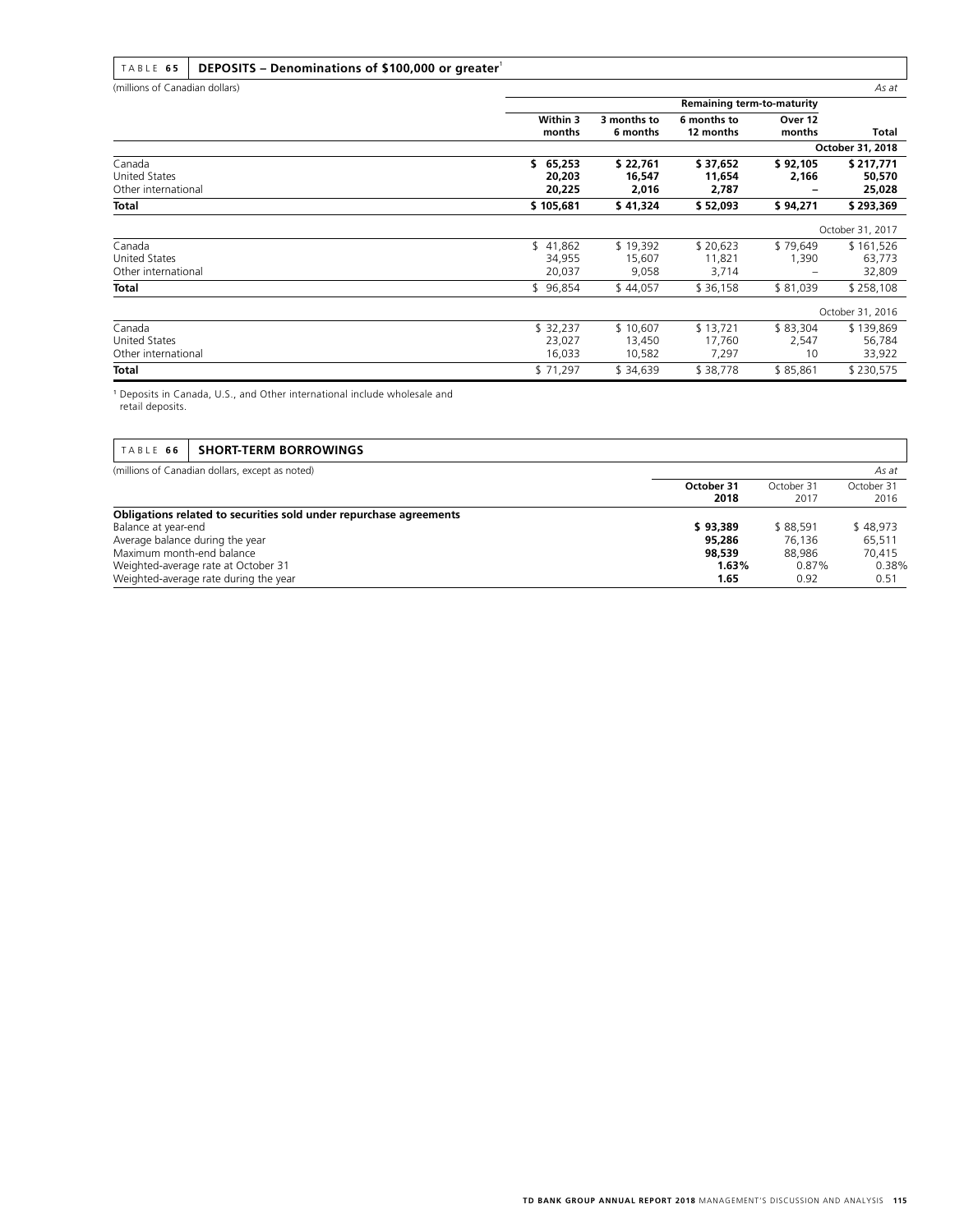### TABLE **65** | DEPOSITS – Denominations of \$100,000 or greater<sup>1</sup>

(millions of Canadian dollars) *As at*

|                      |              | Remaining term-to-maturity |             |                  |                  |  |
|----------------------|--------------|----------------------------|-------------|------------------|------------------|--|
|                      | Within 3     | 3 months to                | 6 months to | Over 12          |                  |  |
|                      | months       | 6 months                   | 12 months   | months           | Total            |  |
|                      |              |                            |             | October 31, 2018 |                  |  |
| Canada               | \$<br>65,253 | \$22,761                   | \$37,652    | \$92,105         | \$217,771        |  |
| <b>United States</b> | 20,203       | 16,547                     | 11,654      | 2,166            | 50,570           |  |
| Other international  | 20,225       | 2,016                      | 2,787       |                  | 25,028           |  |
| Total                | \$105,681    | \$41,324                   | \$52,093    | \$94,271         | \$293,369        |  |
|                      |              |                            |             |                  | October 31, 2017 |  |
| Canada               | \$41,862     | \$19,392                   | \$20,623    | \$79,649         | \$161,526        |  |
| <b>United States</b> | 34,955       | 15,607                     | 11,821      | 1,390            | 63,773           |  |
| Other international  | 20,037       | 9,058                      | 3,714       | -                | 32,809           |  |
| Total                | \$96,854     | \$44,057                   | \$36,158    | \$81,039         | \$258,108        |  |
|                      |              |                            |             |                  | October 31, 2016 |  |
| Canada               | \$32,237     | \$10,607                   | \$13,721    | \$83,304         | \$139,869        |  |
| <b>United States</b> | 23,027       | 13,450                     | 17,760      | 2,547            | 56,784           |  |
| Other international  | 16,033       | 10,582                     | 7,297       | 10               | 33,922           |  |
| Total                | \$71,297     | \$34,639                   | \$38,778    | \$85,861         | \$230,575        |  |

<sup>1</sup> Deposits in Canada, U.S., and Other international include wholesale and retail deposits.

| TABLE 66                  | <b>SHORT-TERM BORROWINGS</b>                                       |                    |                    |                    |
|---------------------------|--------------------------------------------------------------------|--------------------|--------------------|--------------------|
|                           | (millions of Canadian dollars, except as noted)                    |                    |                    | As at              |
|                           |                                                                    | October 31<br>2018 | October 31<br>2017 | October 31<br>2016 |
|                           | Obligations related to securities sold under repurchase agreements |                    |                    |                    |
| Balance at year-end       |                                                                    | \$93,389           | \$88.591           | \$48.973           |
|                           | Average balance during the year                                    | 95,286             | 76.136             | 65,511             |
| Maximum month-end balance |                                                                    | 98,539             | 88.986             | 70,415             |
|                           | Weighted-average rate at October 31                                | 1.63%              | $0.87\%$           | 0.38%              |
|                           | Weighted-average rate during the year                              | 1.65               | 0.92               | 0.51               |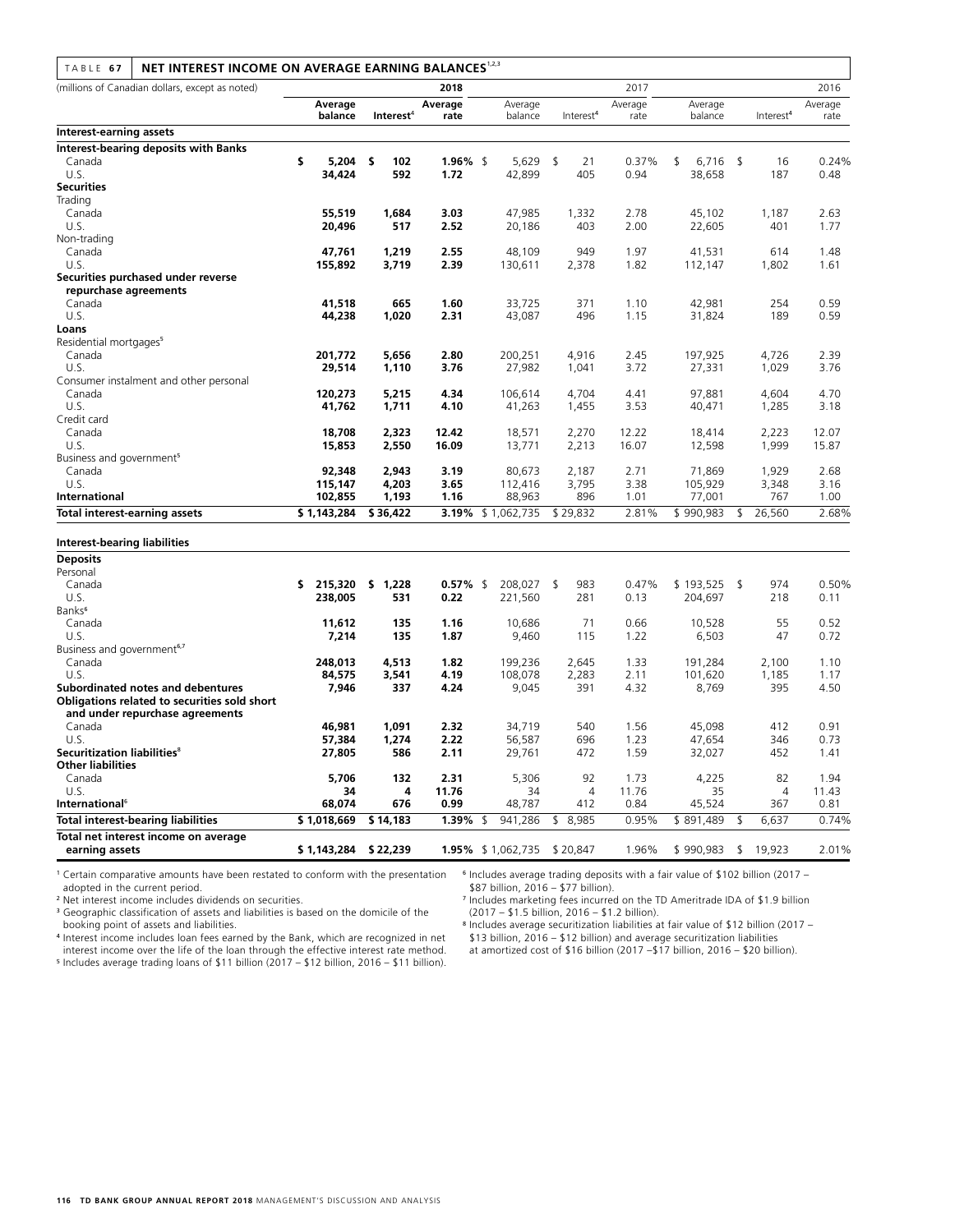| NET INTEREST INCOME ON AVERAGE EARNING BALANCES <sup>1,23</sup><br>TABLE 67 |                    |                       |                 |                    |                       |                 |                    |                       |                 |
|-----------------------------------------------------------------------------|--------------------|-----------------------|-----------------|--------------------|-----------------------|-----------------|--------------------|-----------------------|-----------------|
| (millions of Canadian dollars, except as noted)                             |                    |                       | 2018            |                    |                       | 2017            |                    |                       | 2016            |
|                                                                             | Average<br>balance | Interest <sup>4</sup> | Average<br>rate | Average<br>balance | Interest <sup>4</sup> | Average<br>rate | Average<br>balance | Interest <sup>4</sup> | Average<br>rate |
| <b>Interest-earning assets</b>                                              |                    |                       |                 |                    |                       |                 |                    |                       |                 |
| <b>Interest-bearing deposits with Banks</b>                                 |                    |                       |                 |                    |                       |                 |                    |                       |                 |
| Canada                                                                      | \$<br>5,204        | \$<br>102             | $1.96\%$ \$     | 5,629              | \$<br>21              | 0.37%           | \$<br>6,716<br>\$  | 16                    | 0.24%           |
| U.S.                                                                        | 34,424             | 592                   | 1.72            | 42,899             | 405                   | 0.94            | 38,658             | 187                   | 0.48            |
| <b>Securities</b>                                                           |                    |                       |                 |                    |                       |                 |                    |                       |                 |
| Trading                                                                     |                    | 1,684                 | 3.03            | 47,985             |                       | 2.78            |                    |                       |                 |
| Canada<br>U.S.                                                              | 55,519<br>20,496   | 517                   | 2.52            | 20,186             | 1,332<br>403          | 2.00            | 45,102<br>22,605   | 1,187<br>401          | 2.63<br>1.77    |
| Non-trading                                                                 |                    |                       |                 |                    |                       |                 |                    |                       |                 |
| Canada                                                                      | 47,761             | 1,219                 | 2.55            | 48,109             | 949                   | 1.97            | 41,531             | 614                   | 1.48            |
| U.S.                                                                        | 155,892            | 3,719                 | 2.39            | 130,611            | 2,378                 | 1.82            | 112,147            | 1,802                 | 1.61            |
| Securities purchased under reverse                                          |                    |                       |                 |                    |                       |                 |                    |                       |                 |
| repurchase agreements                                                       |                    |                       |                 |                    |                       |                 |                    |                       |                 |
| Canada                                                                      | 41,518             | 665                   | 1.60            | 33,725             | 371                   | 1.10            | 42,981             | 254                   | 0.59            |
| U.S.                                                                        | 44,238             | 1,020                 | 2.31            | 43,087             | 496                   | 1.15            | 31,824             | 189                   | 0.59            |
| Loans                                                                       |                    |                       |                 |                    |                       |                 |                    |                       |                 |
| Residential mortgages <sup>5</sup>                                          |                    |                       |                 |                    |                       |                 |                    |                       |                 |
| Canada                                                                      | 201,772            | 5,656                 | 2.80            | 200,251            | 4,916                 | 2.45            | 197,925            | 4,726                 | 2.39            |
| U.S.                                                                        | 29,514             | 1,110                 | 3.76            | 27,982             | 1,041                 | 3.72            | 27,331             | 1,029                 | 3.76            |
| Consumer instalment and other personal                                      |                    |                       |                 |                    |                       |                 |                    |                       |                 |
| Canada<br>U.S.                                                              | 120,273            | 5,215<br>1,711        | 4.34<br>4.10    | 106,614            | 4,704                 | 4.41<br>3.53    | 97,881             | 4,604                 | 4.70            |
| Credit card                                                                 | 41,762             |                       |                 | 41,263             | 1,455                 |                 | 40,471             | 1,285                 | 3.18            |
| Canada                                                                      | 18,708             | 2,323                 | 12.42           | 18,571             | 2,270                 | 12.22           | 18,414             | 2,223                 | 12.07           |
| U.S.                                                                        | 15,853             | 2,550                 | 16.09           | 13,771             | 2,213                 | 16.07           | 12,598             | 1,999                 | 15.87           |
| Business and government <sup>5</sup>                                        |                    |                       |                 |                    |                       |                 |                    |                       |                 |
| Canada                                                                      | 92,348             | 2,943                 | 3.19            | 80,673             | 2,187                 | 2.71            | 71,869             | 1,929                 | 2.68            |
| U.S.                                                                        | 115,147            | 4,203                 | 3.65            | 112,416            | 3,795                 | 3.38            | 105,929            | 3,348                 | 3.16            |
| International                                                               | 102,855            | 1,193                 | 1.16            | 88,963             | 896                   | 1.01            | 77,001             | 767                   | 1.00            |
| <b>Total interest-earning assets</b>                                        | \$1,143,284        | \$36,422              |                 | 3.19% \$1,062,735  | \$29,832              | 2.81%           | \$990,983<br>\$    | 26,560                | 2.68%           |
| Interest-bearing liabilities                                                |                    |                       |                 |                    |                       |                 |                    |                       |                 |
| <b>Deposits</b>                                                             |                    |                       |                 |                    |                       |                 |                    |                       |                 |
| Personal                                                                    |                    |                       |                 |                    |                       |                 |                    |                       |                 |
| Canada                                                                      | s.<br>215,320      | \$1,228               | $0.57\%$ \$     | 208,027            | \$<br>983             | 0.47%           | \$193,525<br>\$    | 974                   | 0.50%           |
| U.S.                                                                        | 238,005            | 531                   | 0.22            | 221,560            | 281                   | 0.13            | 204,697            | 218                   | 0.11            |
| Banks <sup>6</sup>                                                          |                    |                       |                 |                    |                       |                 |                    |                       |                 |
| Canada                                                                      | 11,612             | 135                   | 1.16            | 10,686             | 71                    | 0.66            | 10,528             | 55                    | 0.52            |
| U.S.                                                                        | 7,214              | 135                   | 1.87            | 9,460              | 115                   | 1.22            | 6,503              | 47                    | 0.72            |
| Business and government <sup>6,7</sup>                                      |                    |                       |                 |                    |                       |                 |                    |                       |                 |
| Canada                                                                      | 248,013            | 4,513                 | 1.82            | 199,236            | 2,645                 | 1.33            | 191,284            | 2,100                 | 1.10            |
| U.S.                                                                        | 84,575             | 3,541                 | 4.19            | 108,078            | 2,283                 | 2.11            | 101,620            | 1,185                 | 1.17            |
| Subordinated notes and debentures                                           | 7,946              | 337                   | 4.24            | 9,045              | 391                   | 4.32            | 8,769              | 395                   | 4.50            |
| Obligations related to securities sold short                                |                    |                       |                 |                    |                       |                 |                    |                       |                 |
| and under repurchase agreements<br>Canada                                   | 46,981             | 1,091                 | 2.32            | 34,719             | 540                   | 1.56            | 45,098             | 412                   | 0.91            |
| U.S.                                                                        | 57,384             | 1,274                 | 2.22            | 56,587             | 696                   | 1.23            | 47,654             | 346                   | 0.73            |
| Securitization liabilities <sup>8</sup>                                     | 27,805             | 586                   | 2.11            | 29,761             | 472                   | 1.59            | 32,027             | 452                   | 1.41            |
| <b>Other liabilities</b>                                                    |                    |                       |                 |                    |                       |                 |                    |                       |                 |
| Canada                                                                      | 5,706              | 132                   | 2.31            | 5,306              | 92                    | 1.73            | 4,225              | 82                    | 1.94            |
| U.S.                                                                        | 34                 | 4                     | 11.76           | 34                 | $\overline{4}$        | 11.76           | 35                 | $\overline{4}$        | 11.43           |
| <b>International</b> <sup>6</sup>                                           | 68,074             | 676                   | 0.99            | 48,787             | 412                   | 0.84            | 45,524             | 367                   | 0.81            |
| <b>Total interest-bearing liabilities</b>                                   | \$1,018,669        | \$14,183              | 1.39%           | -\$<br>941,286     | \$<br>8,985           | 0.95%           | \$891,489<br>\$    | 6,637                 | 0.74%           |
| Total net interest income on average                                        |                    |                       |                 |                    |                       |                 |                    |                       |                 |
| earning assets                                                              | \$1,143,284        | \$ 22,239             |                 | 1.95% \$1,062,735  | \$20,847              | 1.96%           | \$990,983<br>\$    | 19,923                | 2.01%           |

<sup>1</sup> Certain comparative amounts have been restated to conform with the presentation adopted in the current period.

<sup>2</sup> Net interest income includes dividends on securities.

<sup>3</sup> Geographic classification of assets and liabilities is based on the domicile of the booking point of assets and liabilities.

<sup>4</sup> Interest income includes loan fees earned by the Bank, which are recognized in net

<sup>6</sup> Includes average trading deposits with a fair value of \$102 billion (2017 – \$87 billion, 2016 – \$77 billion).

<sup>7</sup> Includes marketing fees incurred on the TD Ameritrade IDA of \$1.9 billion (2017 – \$1.5 billion, 2016 – \$1.2 billion). <sup>8</sup> Includes average securitization liabilities at fair value of \$12 billion (2017 –

\$13 billion, 2016 – \$12 billion) and average securitization liabilities

interest income over the life of the loan through the effective interest rate method. <sup>5</sup> Includes average trading loans of \$11 billion (2017 – \$12 billion, 2016 – \$11 billion).

at amortized cost of \$16 billion (2017 –\$17 billion, 2016 – \$20 billion).